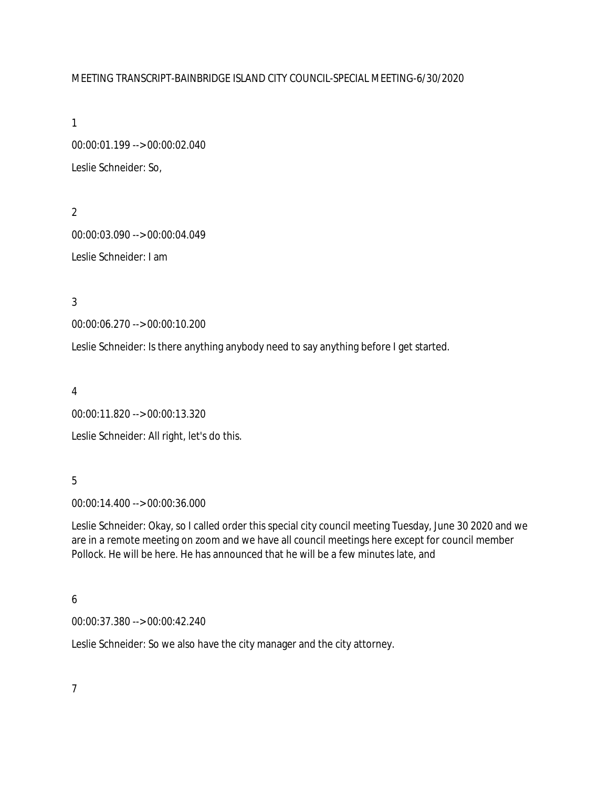#### MEETING TRANSCRIPT-BAINBRIDGE ISLAND CITY COUNCIL-SPECIAL MEETING-6/30/2020

1

00:00:01.199 --> 00:00:02.040 Leslie Schneider: So,

2 00:00:03.090 --> 00:00:04.049 Leslie Schneider: I am

3

00:00:06.270 --> 00:00:10.200

Leslie Schneider: Is there anything anybody need to say anything before I get started.

4

00:00:11.820 --> 00:00:13.320 Leslie Schneider: All right, let's do this.

#### 5

00:00:14.400 --> 00:00:36.000

Leslie Schneider: Okay, so I called order this special city council meeting Tuesday, June 30 2020 and we are in a remote meeting on zoom and we have all council meetings here except for council member Pollock. He will be here. He has announced that he will be a few minutes late, and

#### 6

00:00:37.380 --> 00:00:42.240

Leslie Schneider: So we also have the city manager and the city attorney.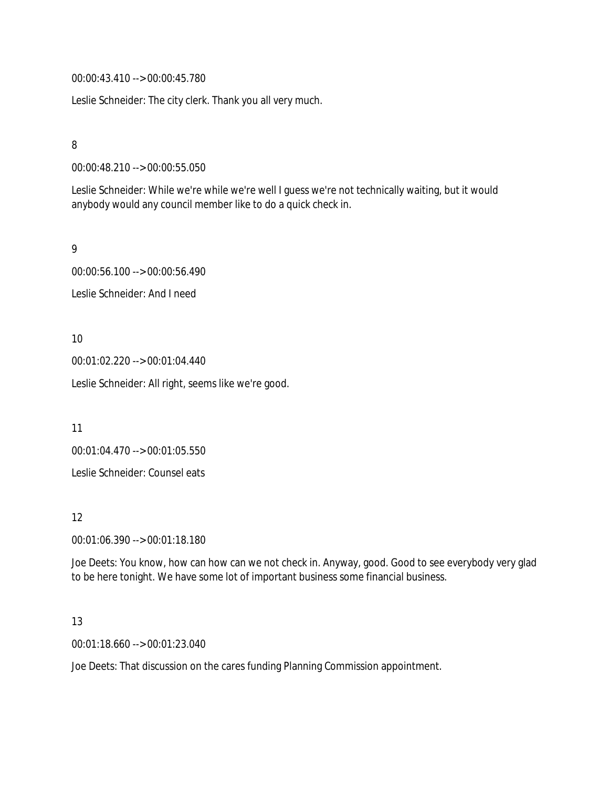00:00:43.410 --> 00:00:45.780

Leslie Schneider: The city clerk. Thank you all very much.

8

00:00:48.210 --> 00:00:55.050

Leslie Schneider: While we're while we're well I guess we're not technically waiting, but it would anybody would any council member like to do a quick check in.

9

00:00:56.100 --> 00:00:56.490 Leslie Schneider: And I need

10

00:01:02.220 --> 00:01:04.440

Leslie Schneider: All right, seems like we're good.

11

00:01:04.470 --> 00:01:05.550

Leslie Schneider: Counsel eats

12

00:01:06.390 --> 00:01:18.180

Joe Deets: You know, how can how can we not check in. Anyway, good. Good to see everybody very glad to be here tonight. We have some lot of important business some financial business.

13

00:01:18.660 --> 00:01:23.040

Joe Deets: That discussion on the cares funding Planning Commission appointment.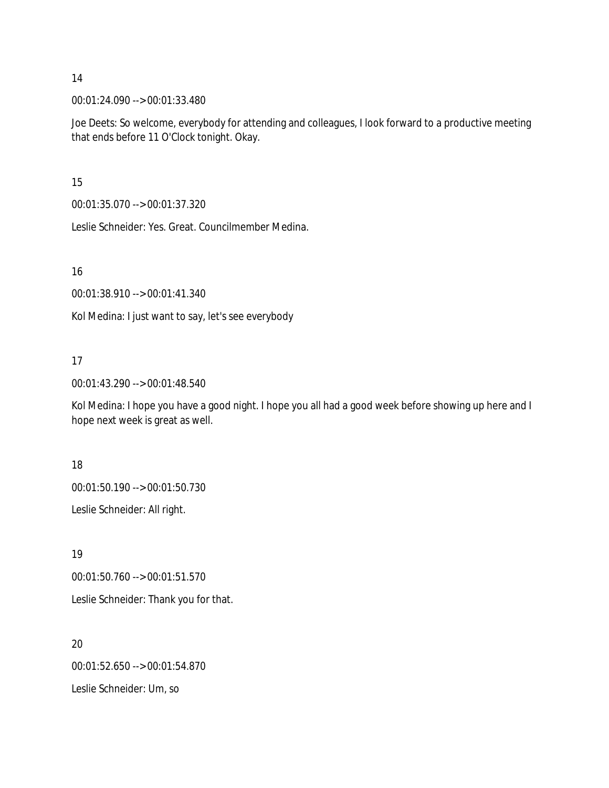00:01:24.090 --> 00:01:33.480

Joe Deets: So welcome, everybody for attending and colleagues, I look forward to a productive meeting that ends before 11 O'Clock tonight. Okay.

15

00:01:35.070 --> 00:01:37.320

Leslie Schneider: Yes. Great. Councilmember Medina.

16

00:01:38.910 --> 00:01:41.340

Kol Medina: I just want to say, let's see everybody

# 17

00:01:43.290 --> 00:01:48.540

Kol Medina: I hope you have a good night. I hope you all had a good week before showing up here and I hope next week is great as well.

18

00:01:50.190 --> 00:01:50.730

Leslie Schneider: All right.

19

00:01:50.760 --> 00:01:51.570

Leslie Schneider: Thank you for that.

20 00:01:52.650 --> 00:01:54.870 Leslie Schneider: Um, so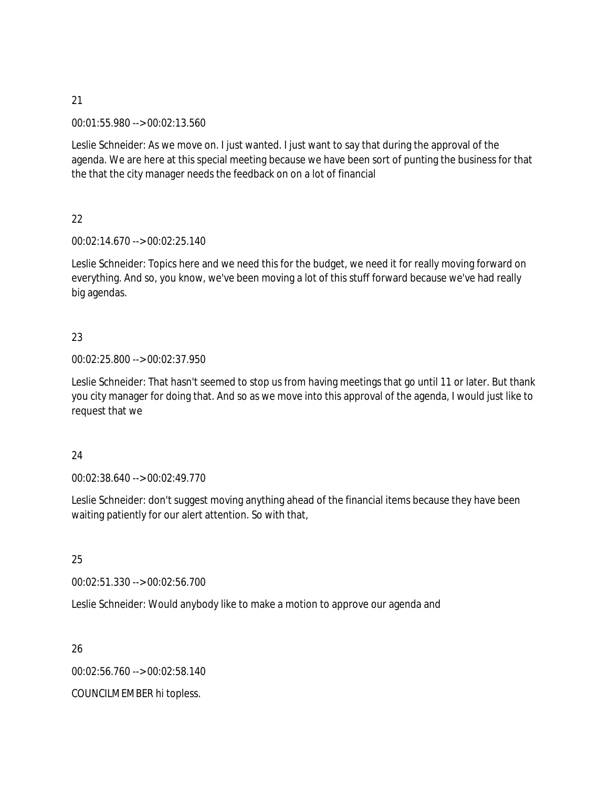00:01:55.980 --> 00:02:13.560

Leslie Schneider: As we move on. I just wanted. I just want to say that during the approval of the agenda. We are here at this special meeting because we have been sort of punting the business for that the that the city manager needs the feedback on on a lot of financial

22

00:02:14.670 --> 00:02:25.140

Leslie Schneider: Topics here and we need this for the budget, we need it for really moving forward on everything. And so, you know, we've been moving a lot of this stuff forward because we've had really big agendas.

# 23

#### 00:02:25.800 --> 00:02:37.950

Leslie Schneider: That hasn't seemed to stop us from having meetings that go until 11 or later. But thank you city manager for doing that. And so as we move into this approval of the agenda, I would just like to request that we

# 24

00:02:38.640 --> 00:02:49.770

Leslie Schneider: don't suggest moving anything ahead of the financial items because they have been waiting patiently for our alert attention. So with that,

25

00:02:51.330 --> 00:02:56.700

Leslie Schneider: Would anybody like to make a motion to approve our agenda and

26

00:02:56.760 --> 00:02:58.140

COUNCILMEMBER hi topless.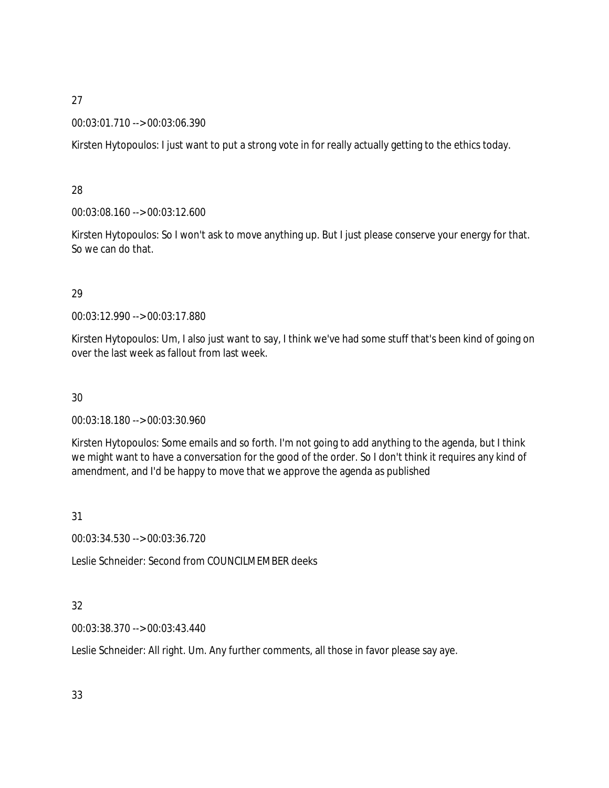### 00:03:01.710 --> 00:03:06.390

Kirsten Hytopoulos: I just want to put a strong vote in for really actually getting to the ethics today.

### 28

00:03:08.160 --> 00:03:12.600

Kirsten Hytopoulos: So I won't ask to move anything up. But I just please conserve your energy for that. So we can do that.

# 29

00:03:12.990 --> 00:03:17.880

Kirsten Hytopoulos: Um, I also just want to say, I think we've had some stuff that's been kind of going on over the last week as fallout from last week.

# 30

00:03:18.180 --> 00:03:30.960

Kirsten Hytopoulos: Some emails and so forth. I'm not going to add anything to the agenda, but I think we might want to have a conversation for the good of the order. So I don't think it requires any kind of amendment, and I'd be happy to move that we approve the agenda as published

# 31

00:03:34.530 --> 00:03:36.720

Leslie Schneider: Second from COUNCILMEMBER deeks

# 32

00:03:38.370 --> 00:03:43.440

Leslie Schneider: All right. Um. Any further comments, all those in favor please say aye.

33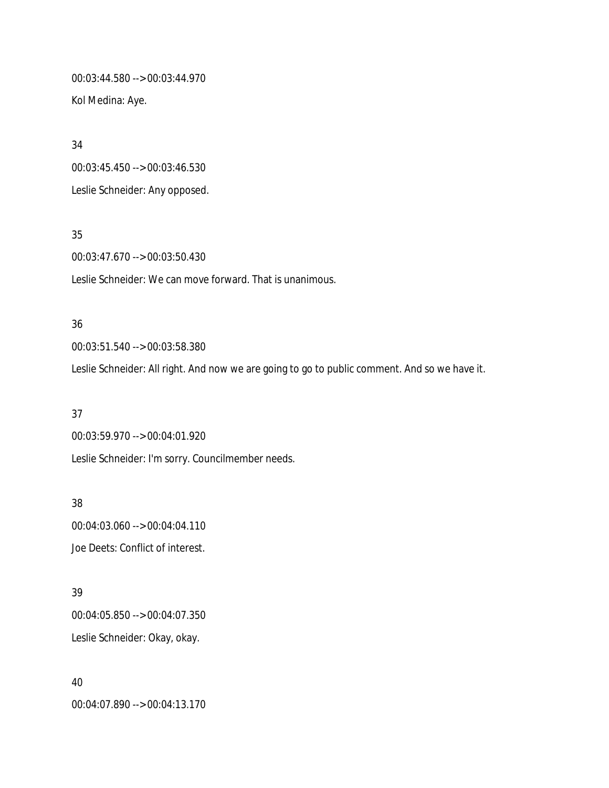00:03:44.580 --> 00:03:44.970 Kol Medina: Aye.

34 00:03:45.450 --> 00:03:46.530 Leslie Schneider: Any opposed.

35 00:03:47.670 --> 00:03:50.430 Leslie Schneider: We can move forward. That is unanimous.

# 36 00:03:51.540 --> 00:03:58.380

Leslie Schneider: All right. And now we are going to go to public comment. And so we have it.

37 00:03:59.970 --> 00:04:01.920 Leslie Schneider: I'm sorry. Councilmember needs.

38 00:04:03.060 --> 00:04:04.110 Joe Deets: Conflict of interest.

39 00:04:05.850 --> 00:04:07.350 Leslie Schneider: Okay, okay.

40 00:04:07.890 --> 00:04:13.170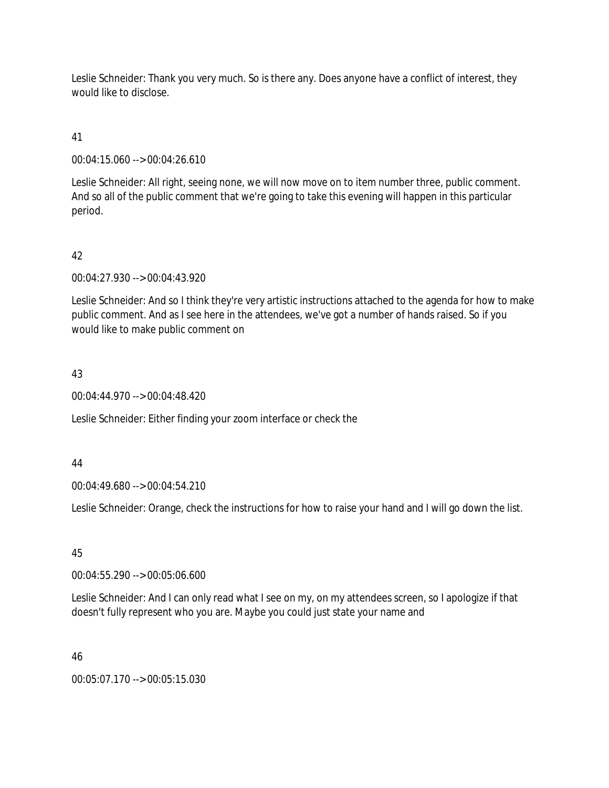Leslie Schneider: Thank you very much. So is there any. Does anyone have a conflict of interest, they would like to disclose.

41

00:04:15.060 --> 00:04:26.610

Leslie Schneider: All right, seeing none, we will now move on to item number three, public comment. And so all of the public comment that we're going to take this evening will happen in this particular period.

# 42

00:04:27.930 --> 00:04:43.920

Leslie Schneider: And so I think they're very artistic instructions attached to the agenda for how to make public comment. And as I see here in the attendees, we've got a number of hands raised. So if you would like to make public comment on

#### 43

00:04:44.970 --> 00:04:48.420

Leslie Schneider: Either finding your zoom interface or check the

44

00:04:49.680 --> 00:04:54.210

Leslie Schneider: Orange, check the instructions for how to raise your hand and I will go down the list.

45

00:04:55.290 --> 00:05:06.600

Leslie Schneider: And I can only read what I see on my, on my attendees screen, so I apologize if that doesn't fully represent who you are. Maybe you could just state your name and

46

00:05:07.170 --> 00:05:15.030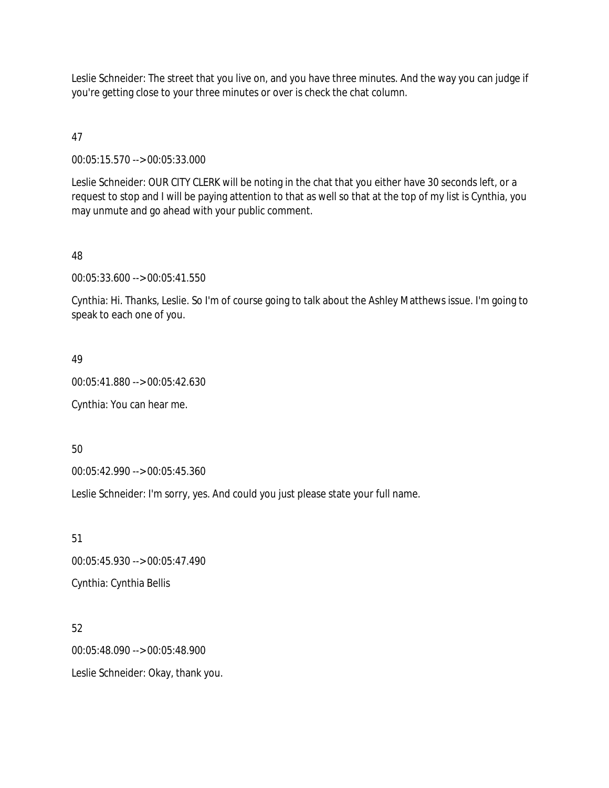Leslie Schneider: The street that you live on, and you have three minutes. And the way you can judge if you're getting close to your three minutes or over is check the chat column.

47

00:05:15.570 --> 00:05:33.000

Leslie Schneider: OUR CITY CLERK will be noting in the chat that you either have 30 seconds left, or a request to stop and I will be paying attention to that as well so that at the top of my list is Cynthia, you may unmute and go ahead with your public comment.

#### 48

00:05:33.600 --> 00:05:41.550

Cynthia: Hi. Thanks, Leslie. So I'm of course going to talk about the Ashley Matthews issue. I'm going to speak to each one of you.

#### 49

00:05:41.880 --> 00:05:42.630

Cynthia: You can hear me.

50

00:05:42.990 --> 00:05:45.360

Leslie Schneider: I'm sorry, yes. And could you just please state your full name.

51 00:05:45.930 --> 00:05:47.490 Cynthia: Cynthia Bellis

52 00:05:48.090 --> 00:05:48.900 Leslie Schneider: Okay, thank you.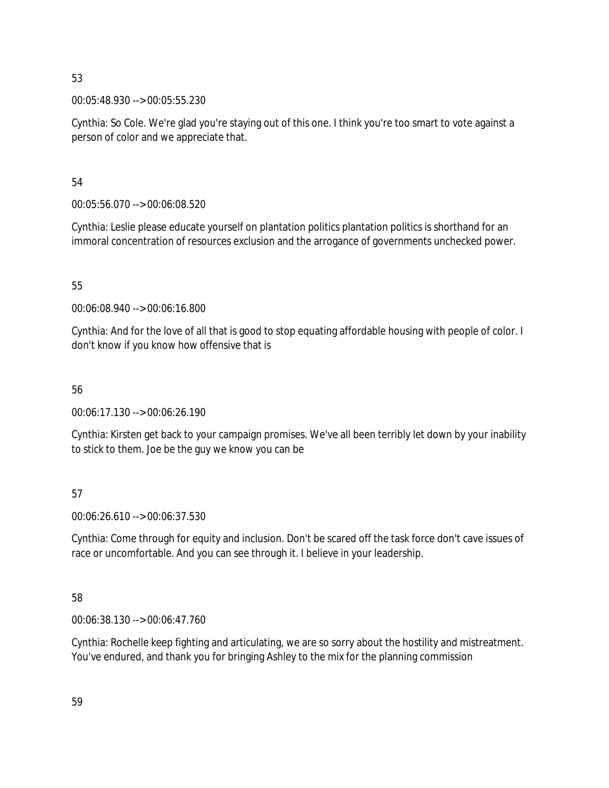00:05:48.930 --> 00:05:55.230

Cynthia: So Cole. We're glad you're staying out of this one. I think you're too smart to vote against a person of color and we appreciate that.

54

00:05:56.070 --> 00:06:08.520

Cynthia: Leslie please educate yourself on plantation politics plantation politics is shorthand for an immoral concentration of resources exclusion and the arrogance of governments unchecked power.

55

00:06:08.940 --> 00:06:16.800

Cynthia: And for the love of all that is good to stop equating affordable housing with people of color. I don't know if you know how offensive that is

# 56

00:06:17.130 --> 00:06:26.190

Cynthia: Kirsten get back to your campaign promises. We've all been terribly let down by your inability to stick to them. Joe be the guy we know you can be

# 57

00:06:26.610 --> 00:06:37.530

Cynthia: Come through for equity and inclusion. Don't be scared off the task force don't cave issues of race or uncomfortable. And you can see through it. I believe in your leadership.

58

00:06:38.130 --> 00:06:47.760

Cynthia: Rochelle keep fighting and articulating, we are so sorry about the hostility and mistreatment. You've endured, and thank you for bringing Ashley to the mix for the planning commission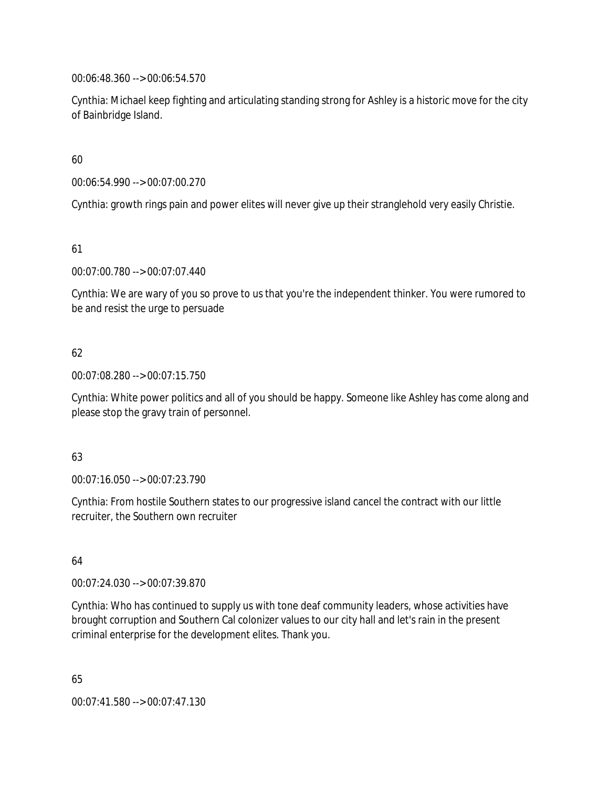00:06:48.360 --> 00:06:54.570

Cynthia: Michael keep fighting and articulating standing strong for Ashley is a historic move for the city of Bainbridge Island.

60

00:06:54.990 --> 00:07:00.270

Cynthia: growth rings pain and power elites will never give up their stranglehold very easily Christie.

61

00:07:00.780 --> 00:07:07.440

Cynthia: We are wary of you so prove to us that you're the independent thinker. You were rumored to be and resist the urge to persuade

# 62

00:07:08.280 --> 00:07:15.750

Cynthia: White power politics and all of you should be happy. Someone like Ashley has come along and please stop the gravy train of personnel.

# 63

00:07:16.050 --> 00:07:23.790

Cynthia: From hostile Southern states to our progressive island cancel the contract with our little recruiter, the Southern own recruiter

64

00:07:24.030 --> 00:07:39.870

Cynthia: Who has continued to supply us with tone deaf community leaders, whose activities have brought corruption and Southern Cal colonizer values to our city hall and let's rain in the present criminal enterprise for the development elites. Thank you.

65 00:07:41.580 --> 00:07:47.130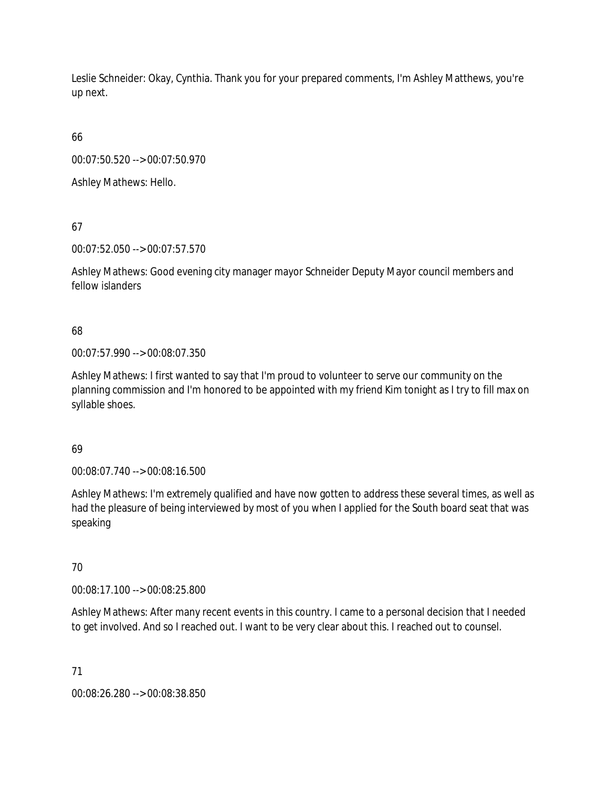Leslie Schneider: Okay, Cynthia. Thank you for your prepared comments, I'm Ashley Matthews, you're up next.

66

00:07:50.520 --> 00:07:50.970

Ashley Mathews: Hello.

67

00:07:52.050 --> 00:07:57.570

Ashley Mathews: Good evening city manager mayor Schneider Deputy Mayor council members and fellow islanders

68

00:07:57.990 --> 00:08:07.350

Ashley Mathews: I first wanted to say that I'm proud to volunteer to serve our community on the planning commission and I'm honored to be appointed with my friend Kim tonight as I try to fill max on syllable shoes.

69

00:08:07.740 --> 00:08:16.500

Ashley Mathews: I'm extremely qualified and have now gotten to address these several times, as well as had the pleasure of being interviewed by most of you when I applied for the South board seat that was speaking

70

00:08:17.100 --> 00:08:25.800

Ashley Mathews: After many recent events in this country. I came to a personal decision that I needed to get involved. And so I reached out. I want to be very clear about this. I reached out to counsel.

71

00:08:26.280 --> 00:08:38.850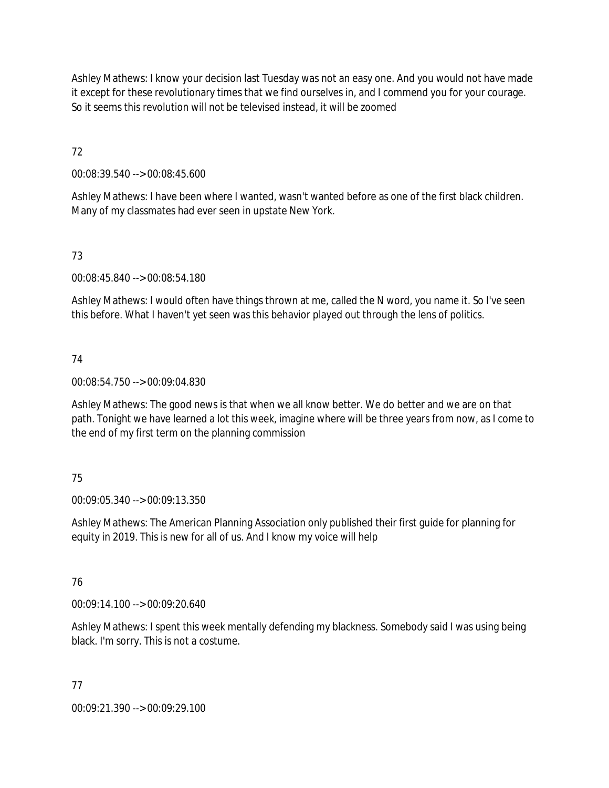Ashley Mathews: I know your decision last Tuesday was not an easy one. And you would not have made it except for these revolutionary times that we find ourselves in, and I commend you for your courage. So it seems this revolution will not be televised instead, it will be zoomed

72

00:08:39.540 --> 00:08:45.600

Ashley Mathews: I have been where I wanted, wasn't wanted before as one of the first black children. Many of my classmates had ever seen in upstate New York.

# 73

00:08:45.840 --> 00:08:54.180

Ashley Mathews: I would often have things thrown at me, called the N word, you name it. So I've seen this before. What I haven't yet seen was this behavior played out through the lens of politics.

# 74

00:08:54.750 --> 00:09:04.830

Ashley Mathews: The good news is that when we all know better. We do better and we are on that path. Tonight we have learned a lot this week, imagine where will be three years from now, as I come to the end of my first term on the planning commission

# 75

00:09:05.340 --> 00:09:13.350

Ashley Mathews: The American Planning Association only published their first guide for planning for equity in 2019. This is new for all of us. And I know my voice will help

# 76

00:09:14.100 --> 00:09:20.640

Ashley Mathews: I spent this week mentally defending my blackness. Somebody said I was using being black. I'm sorry. This is not a costume.

# 77

00:09:21.390 --> 00:09:29.100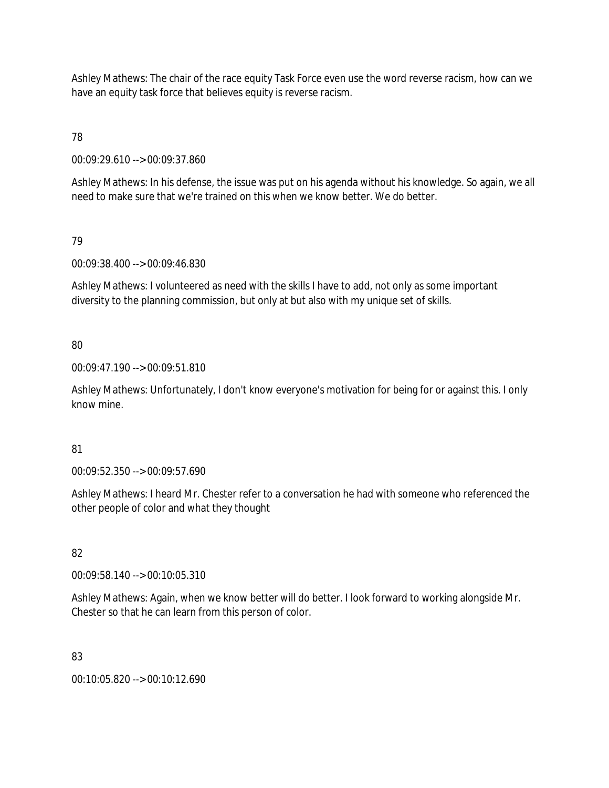Ashley Mathews: The chair of the race equity Task Force even use the word reverse racism, how can we have an equity task force that believes equity is reverse racism.

78

00:09:29.610 --> 00:09:37.860

Ashley Mathews: In his defense, the issue was put on his agenda without his knowledge. So again, we all need to make sure that we're trained on this when we know better. We do better.

79

00:09:38.400 --> 00:09:46.830

Ashley Mathews: I volunteered as need with the skills I have to add, not only as some important diversity to the planning commission, but only at but also with my unique set of skills.

80

00:09:47.190 --> 00:09:51.810

Ashley Mathews: Unfortunately, I don't know everyone's motivation for being for or against this. I only know mine.

81

00:09:52.350 --> 00:09:57.690

Ashley Mathews: I heard Mr. Chester refer to a conversation he had with someone who referenced the other people of color and what they thought

82

00:09:58.140 --> 00:10:05.310

Ashley Mathews: Again, when we know better will do better. I look forward to working alongside Mr. Chester so that he can learn from this person of color.

83

00:10:05.820 --> 00:10:12.690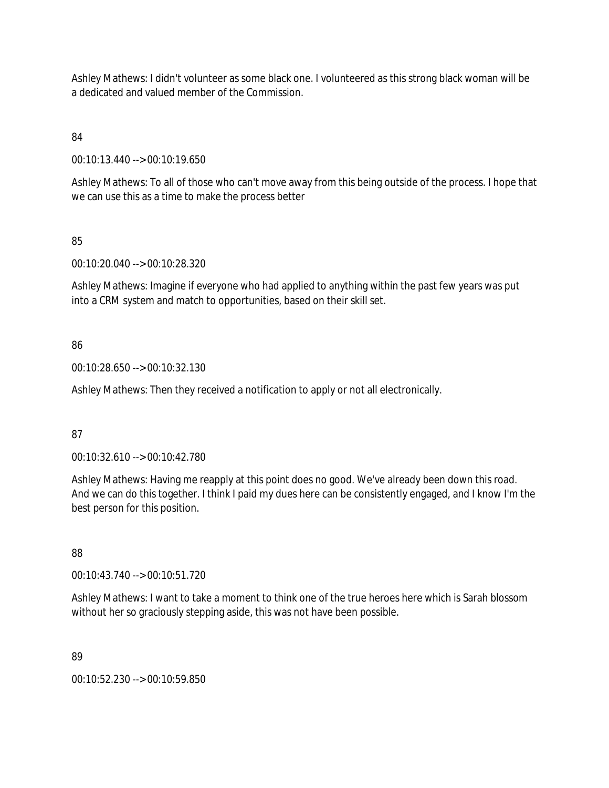Ashley Mathews: I didn't volunteer as some black one. I volunteered as this strong black woman will be a dedicated and valued member of the Commission.

84

00:10:13.440 --> 00:10:19.650

Ashley Mathews: To all of those who can't move away from this being outside of the process. I hope that we can use this as a time to make the process better

85

00:10:20.040 --> 00:10:28.320

Ashley Mathews: Imagine if everyone who had applied to anything within the past few years was put into a CRM system and match to opportunities, based on their skill set.

#### 86

00:10:28.650 --> 00:10:32.130

Ashley Mathews: Then they received a notification to apply or not all electronically.

#### 87

00:10:32.610 --> 00:10:42.780

Ashley Mathews: Having me reapply at this point does no good. We've already been down this road. And we can do this together. I think I paid my dues here can be consistently engaged, and I know I'm the best person for this position.

88

00:10:43.740 --> 00:10:51.720

Ashley Mathews: I want to take a moment to think one of the true heroes here which is Sarah blossom without her so graciously stepping aside, this was not have been possible.

# 89

00:10:52.230 --> 00:10:59.850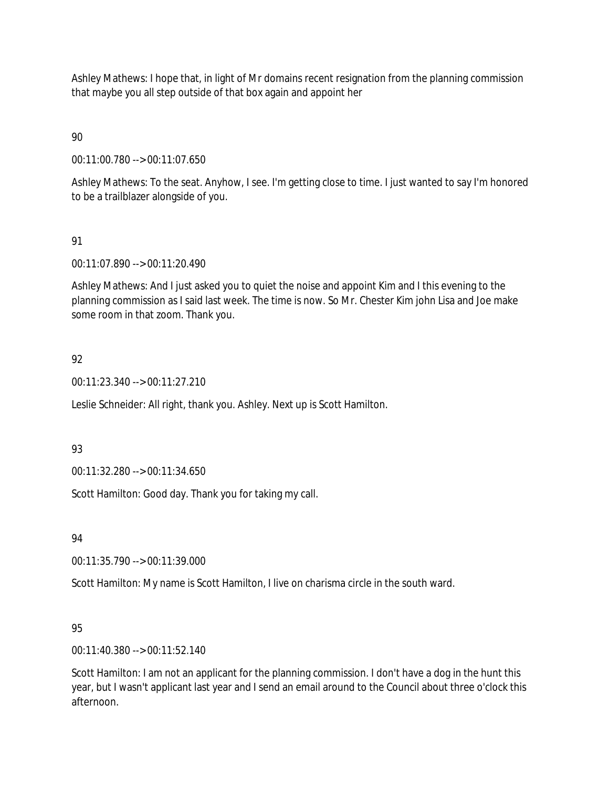Ashley Mathews: I hope that, in light of Mr domains recent resignation from the planning commission that maybe you all step outside of that box again and appoint her

# 90

00:11:00.780 --> 00:11:07.650

Ashley Mathews: To the seat. Anyhow, I see. I'm getting close to time. I just wanted to say I'm honored to be a trailblazer alongside of you.

# 91

00:11:07.890 --> 00:11:20.490

Ashley Mathews: And I just asked you to quiet the noise and appoint Kim and I this evening to the planning commission as I said last week. The time is now. So Mr. Chester Kim john Lisa and Joe make some room in that zoom. Thank you.

# 92

00:11:23.340 --> 00:11:27.210

Leslie Schneider: All right, thank you. Ashley. Next up is Scott Hamilton.

#### 93

00:11:32.280 --> 00:11:34.650

Scott Hamilton: Good day. Thank you for taking my call.

#### 94

00:11:35.790 --> 00:11:39.000

Scott Hamilton: My name is Scott Hamilton, I live on charisma circle in the south ward.

# 95

00:11:40.380 --> 00:11:52.140

Scott Hamilton: I am not an applicant for the planning commission. I don't have a dog in the hunt this year, but I wasn't applicant last year and I send an email around to the Council about three o'clock this afternoon.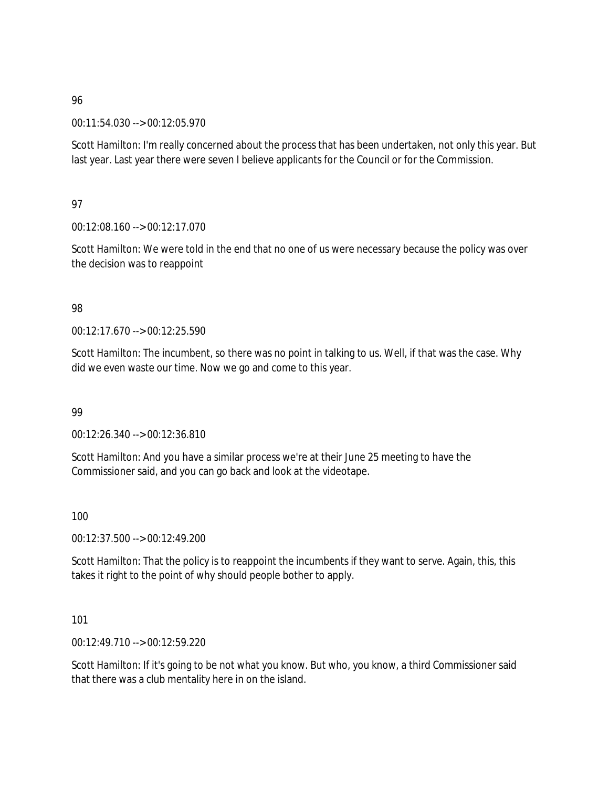00:11:54.030 --> 00:12:05.970

Scott Hamilton: I'm really concerned about the process that has been undertaken, not only this year. But last year. Last year there were seven I believe applicants for the Council or for the Commission.

# 97

00:12:08.160 --> 00:12:17.070

Scott Hamilton: We were told in the end that no one of us were necessary because the policy was over the decision was to reappoint

# 98

00:12:17.670 --> 00:12:25.590

Scott Hamilton: The incumbent, so there was no point in talking to us. Well, if that was the case. Why did we even waste our time. Now we go and come to this year.

# 99

00:12:26.340 --> 00:12:36.810

Scott Hamilton: And you have a similar process we're at their June 25 meeting to have the Commissioner said, and you can go back and look at the videotape.

# 100

00:12:37.500 --> 00:12:49.200

Scott Hamilton: That the policy is to reappoint the incumbents if they want to serve. Again, this, this takes it right to the point of why should people bother to apply.

# 101

00:12:49.710 --> 00:12:59.220

Scott Hamilton: If it's going to be not what you know. But who, you know, a third Commissioner said that there was a club mentality here in on the island.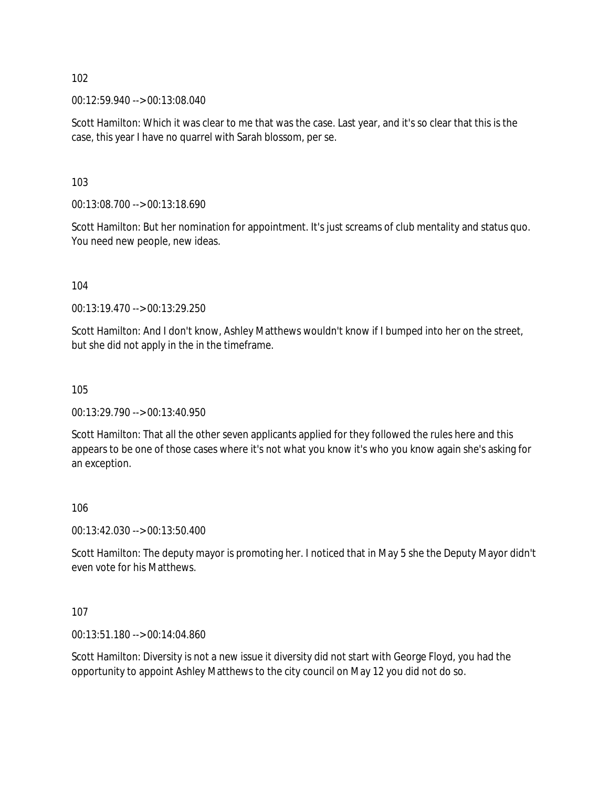00:12:59.940 --> 00:13:08.040

Scott Hamilton: Which it was clear to me that was the case. Last year, and it's so clear that this is the case, this year I have no quarrel with Sarah blossom, per se.

103

00:13:08.700 --> 00:13:18.690

Scott Hamilton: But her nomination for appointment. It's just screams of club mentality and status quo. You need new people, new ideas.

104

00:13:19.470 --> 00:13:29.250

Scott Hamilton: And I don't know, Ashley Matthews wouldn't know if I bumped into her on the street, but she did not apply in the in the timeframe.

105

00:13:29.790 --> 00:13:40.950

Scott Hamilton: That all the other seven applicants applied for they followed the rules here and this appears to be one of those cases where it's not what you know it's who you know again she's asking for an exception.

106

00:13:42.030 --> 00:13:50.400

Scott Hamilton: The deputy mayor is promoting her. I noticed that in May 5 she the Deputy Mayor didn't even vote for his Matthews.

107

00:13:51.180 --> 00:14:04.860

Scott Hamilton: Diversity is not a new issue it diversity did not start with George Floyd, you had the opportunity to appoint Ashley Matthews to the city council on May 12 you did not do so.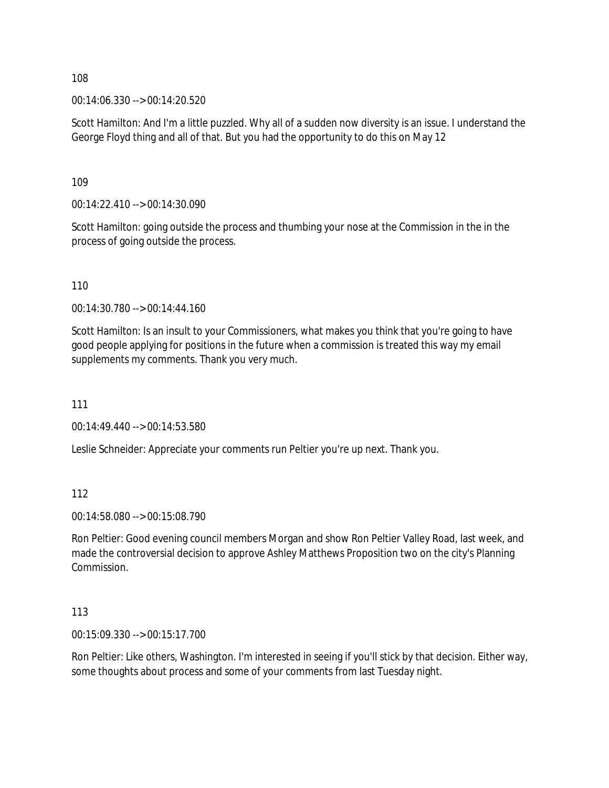00:14:06.330 --> 00:14:20.520

Scott Hamilton: And I'm a little puzzled. Why all of a sudden now diversity is an issue. I understand the George Floyd thing and all of that. But you had the opportunity to do this on May 12

109

00:14:22.410 --> 00:14:30.090

Scott Hamilton: going outside the process and thumbing your nose at the Commission in the in the process of going outside the process.

110

00:14:30.780 --> 00:14:44.160

Scott Hamilton: Is an insult to your Commissioners, what makes you think that you're going to have good people applying for positions in the future when a commission is treated this way my email supplements my comments. Thank you very much.

111

00:14:49.440 --> 00:14:53.580

Leslie Schneider: Appreciate your comments run Peltier you're up next. Thank you.

112

00:14:58.080 --> 00:15:08.790

Ron Peltier: Good evening council members Morgan and show Ron Peltier Valley Road, last week, and made the controversial decision to approve Ashley Matthews Proposition two on the city's Planning Commission.

113

00:15:09.330 --> 00:15:17.700

Ron Peltier: Like others, Washington. I'm interested in seeing if you'll stick by that decision. Either way, some thoughts about process and some of your comments from last Tuesday night.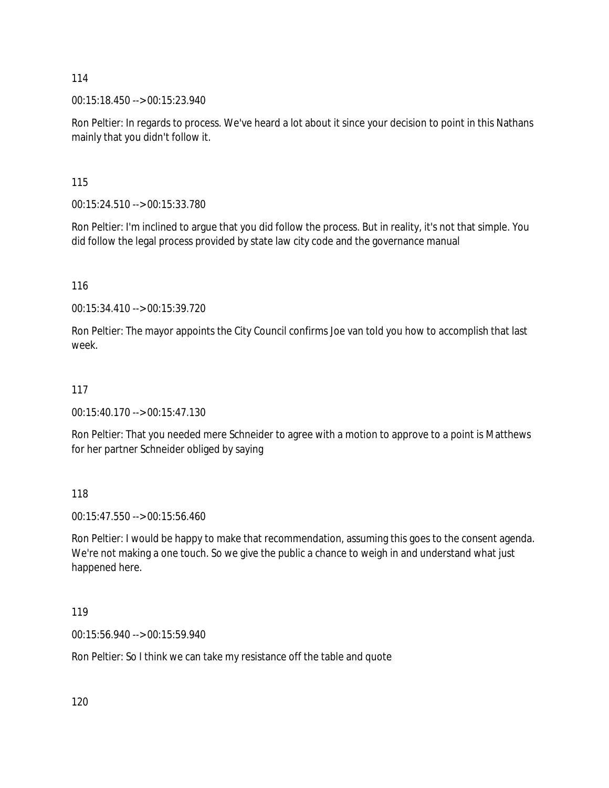00:15:18.450 --> 00:15:23.940

Ron Peltier: In regards to process. We've heard a lot about it since your decision to point in this Nathans mainly that you didn't follow it.

115

00:15:24.510 --> 00:15:33.780

Ron Peltier: I'm inclined to argue that you did follow the process. But in reality, it's not that simple. You did follow the legal process provided by state law city code and the governance manual

116

00:15:34.410 --> 00:15:39.720

Ron Peltier: The mayor appoints the City Council confirms Joe van told you how to accomplish that last week.

# 117

00:15:40.170 --> 00:15:47.130

Ron Peltier: That you needed mere Schneider to agree with a motion to approve to a point is Matthews for her partner Schneider obliged by saying

118

00:15:47.550 --> 00:15:56.460

Ron Peltier: I would be happy to make that recommendation, assuming this goes to the consent agenda. We're not making a one touch. So we give the public a chance to weigh in and understand what just happened here.

119

00:15:56.940 --> 00:15:59.940

Ron Peltier: So I think we can take my resistance off the table and quote

120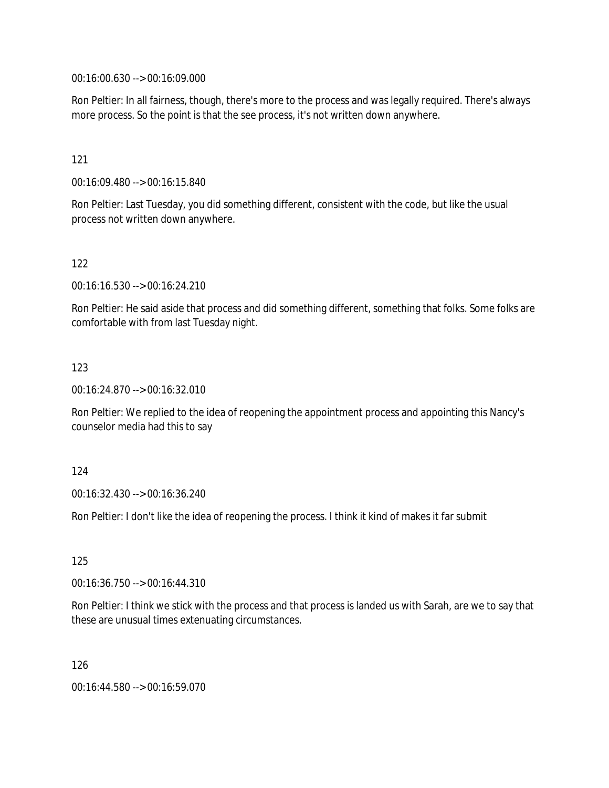00:16:00.630 --> 00:16:09.000

Ron Peltier: In all fairness, though, there's more to the process and was legally required. There's always more process. So the point is that the see process, it's not written down anywhere.

121

00:16:09.480 --> 00:16:15.840

Ron Peltier: Last Tuesday, you did something different, consistent with the code, but like the usual process not written down anywhere.

122

00:16:16.530 --> 00:16:24.210

Ron Peltier: He said aside that process and did something different, something that folks. Some folks are comfortable with from last Tuesday night.

123

00:16:24.870 --> 00:16:32.010

Ron Peltier: We replied to the idea of reopening the appointment process and appointing this Nancy's counselor media had this to say

124

00:16:32.430 --> 00:16:36.240

Ron Peltier: I don't like the idea of reopening the process. I think it kind of makes it far submit

125

00:16:36.750 --> 00:16:44.310

Ron Peltier: I think we stick with the process and that process is landed us with Sarah, are we to say that these are unusual times extenuating circumstances.

126

00:16:44.580 --> 00:16:59.070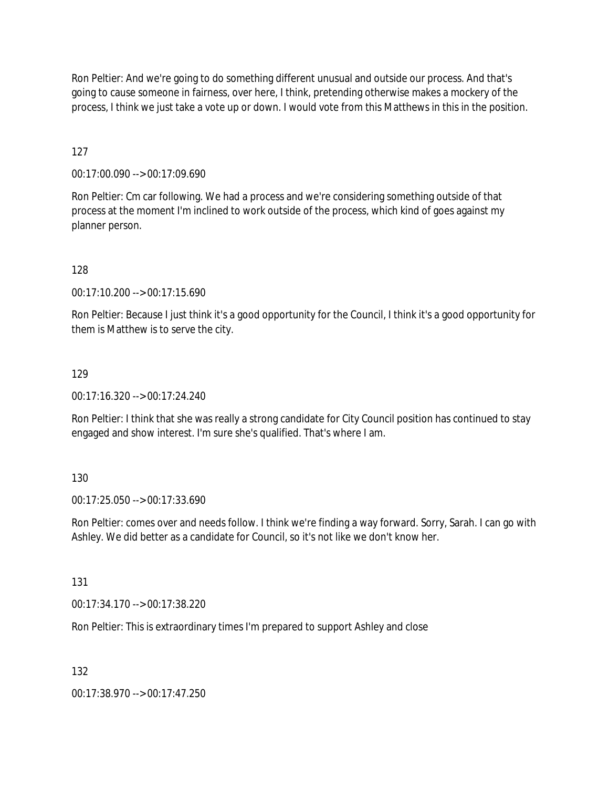Ron Peltier: And we're going to do something different unusual and outside our process. And that's going to cause someone in fairness, over here, I think, pretending otherwise makes a mockery of the process, I think we just take a vote up or down. I would vote from this Matthews in this in the position.

127

00:17:00.090 --> 00:17:09.690

Ron Peltier: Cm car following. We had a process and we're considering something outside of that process at the moment I'm inclined to work outside of the process, which kind of goes against my planner person.

128

00:17:10.200 --> 00:17:15.690

Ron Peltier: Because I just think it's a good opportunity for the Council, I think it's a good opportunity for them is Matthew is to serve the city.

#### 129

00:17:16.320 --> 00:17:24.240

Ron Peltier: I think that she was really a strong candidate for City Council position has continued to stay engaged and show interest. I'm sure she's qualified. That's where I am.

130

00:17:25.050 --> 00:17:33.690

Ron Peltier: comes over and needs follow. I think we're finding a way forward. Sorry, Sarah. I can go with Ashley. We did better as a candidate for Council, so it's not like we don't know her.

131

00:17:34.170 --> 00:17:38.220

Ron Peltier: This is extraordinary times I'm prepared to support Ashley and close

132

00:17:38.970 --> 00:17:47.250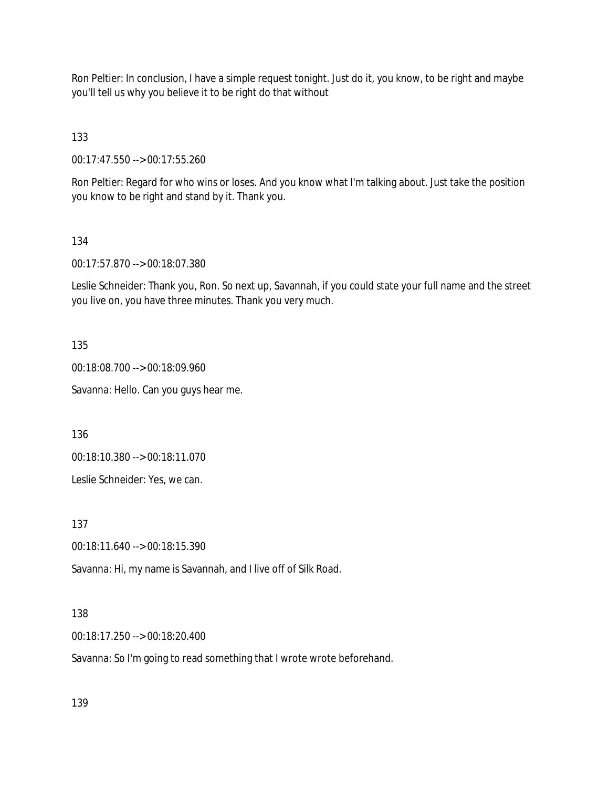Ron Peltier: In conclusion, I have a simple request tonight. Just do it, you know, to be right and maybe you'll tell us why you believe it to be right do that without

133

00:17:47.550 --> 00:17:55.260

Ron Peltier: Regard for who wins or loses. And you know what I'm talking about. Just take the position you know to be right and stand by it. Thank you.

#### 134

00:17:57.870 --> 00:18:07.380

Leslie Schneider: Thank you, Ron. So next up, Savannah, if you could state your full name and the street you live on, you have three minutes. Thank you very much.

135

00:18:08.700 --> 00:18:09.960

Savanna: Hello. Can you guys hear me.

136

00:18:10.380 --> 00:18:11.070

Leslie Schneider: Yes, we can.

137

00:18:11.640 --> 00:18:15.390

Savanna: Hi, my name is Savannah, and I live off of Silk Road.

#### 138

00:18:17.250 --> 00:18:20.400

Savanna: So I'm going to read something that I wrote wrote beforehand.

139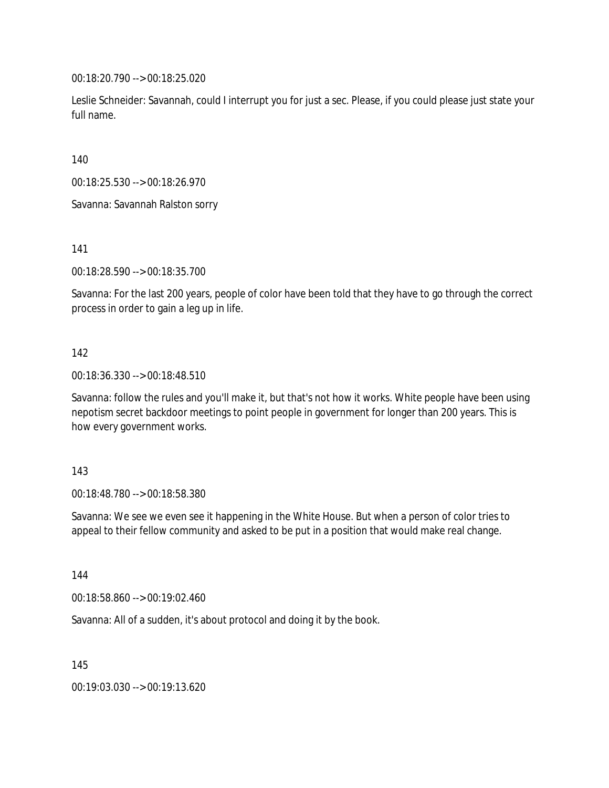00:18:20.790 --> 00:18:25.020

Leslie Schneider: Savannah, could I interrupt you for just a sec. Please, if you could please just state your full name.

140

00:18:25.530 --> 00:18:26.970

Savanna: Savannah Ralston sorry

141

00:18:28.590 --> 00:18:35.700

Savanna: For the last 200 years, people of color have been told that they have to go through the correct process in order to gain a leg up in life.

#### 142

00:18:36.330 --> 00:18:48.510

Savanna: follow the rules and you'll make it, but that's not how it works. White people have been using nepotism secret backdoor meetings to point people in government for longer than 200 years. This is how every government works.

#### 143

00:18:48.780 --> 00:18:58.380

Savanna: We see we even see it happening in the White House. But when a person of color tries to appeal to their fellow community and asked to be put in a position that would make real change.

144

00:18:58.860 --> 00:19:02.460

Savanna: All of a sudden, it's about protocol and doing it by the book.

145

00:19:03.030 --> 00:19:13.620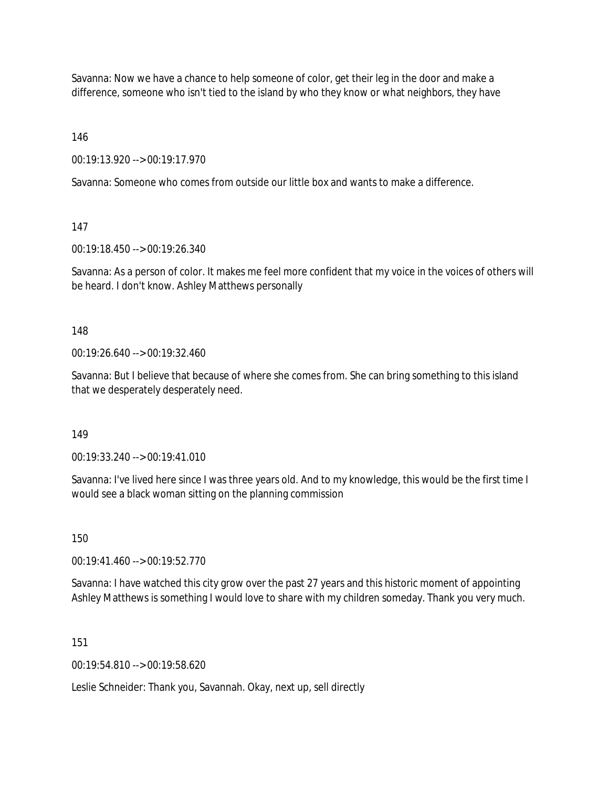Savanna: Now we have a chance to help someone of color, get their leg in the door and make a difference, someone who isn't tied to the island by who they know or what neighbors, they have

146

00:19:13.920 --> 00:19:17.970

Savanna: Someone who comes from outside our little box and wants to make a difference.

147

00:19:18.450 --> 00:19:26.340

Savanna: As a person of color. It makes me feel more confident that my voice in the voices of others will be heard. I don't know. Ashley Matthews personally

148

00:19:26.640 --> 00:19:32.460

Savanna: But I believe that because of where she comes from. She can bring something to this island that we desperately desperately need.

149

00:19:33.240 --> 00:19:41.010

Savanna: I've lived here since I was three years old. And to my knowledge, this would be the first time I would see a black woman sitting on the planning commission

150

00:19:41.460 --> 00:19:52.770

Savanna: I have watched this city grow over the past 27 years and this historic moment of appointing Ashley Matthews is something I would love to share with my children someday. Thank you very much.

151

00:19:54.810 --> 00:19:58.620

Leslie Schneider: Thank you, Savannah. Okay, next up, sell directly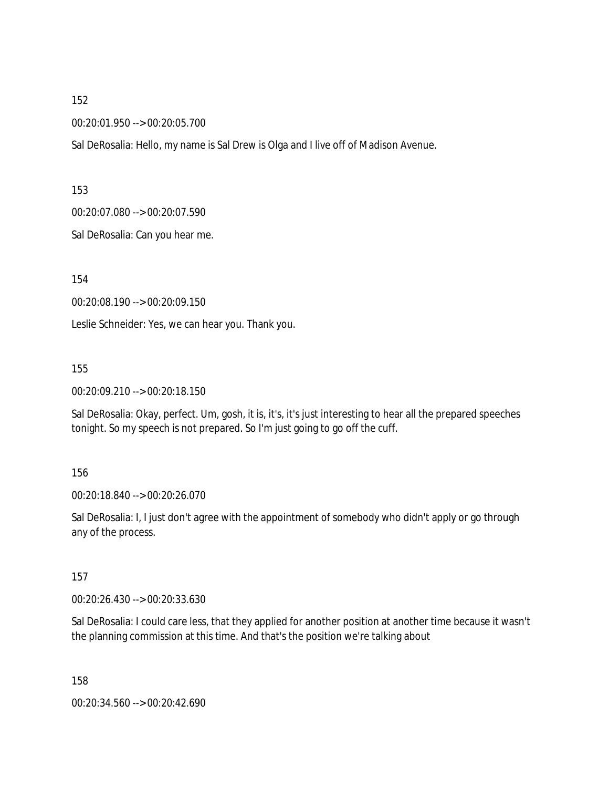00:20:01.950 --> 00:20:05.700

Sal DeRosalia: Hello, my name is Sal Drew is Olga and I live off of Madison Avenue.

153

00:20:07.080 --> 00:20:07.590

Sal DeRosalia: Can you hear me.

154

00:20:08.190 --> 00:20:09.150

Leslie Schneider: Yes, we can hear you. Thank you.

155

00:20:09.210 --> 00:20:18.150

Sal DeRosalia: Okay, perfect. Um, gosh, it is, it's, it's just interesting to hear all the prepared speeches tonight. So my speech is not prepared. So I'm just going to go off the cuff.

156

00:20:18.840 --> 00:20:26.070

Sal DeRosalia: I, I just don't agree with the appointment of somebody who didn't apply or go through any of the process.

157

00:20:26.430 --> 00:20:33.630

Sal DeRosalia: I could care less, that they applied for another position at another time because it wasn't the planning commission at this time. And that's the position we're talking about

158

00:20:34.560 --> 00:20:42.690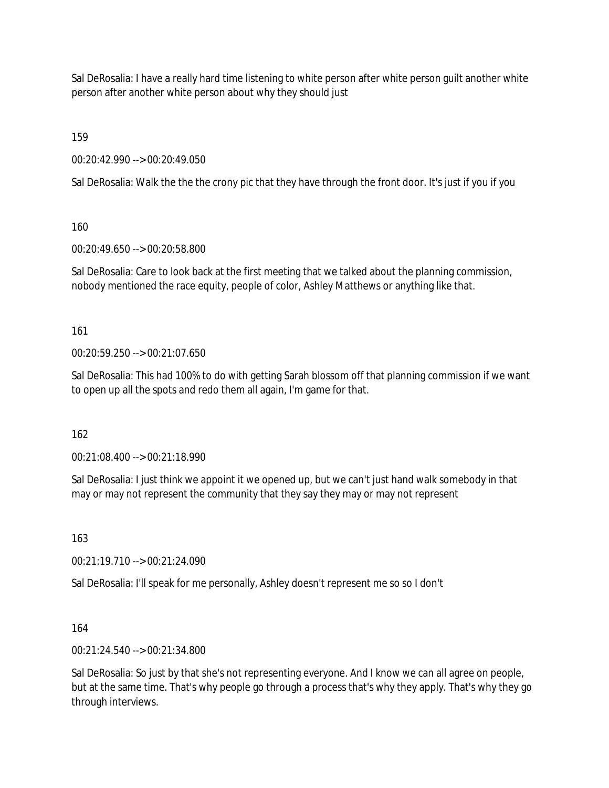Sal DeRosalia: I have a really hard time listening to white person after white person guilt another white person after another white person about why they should just

159

00:20:42.990 --> 00:20:49.050

Sal DeRosalia: Walk the the the crony pic that they have through the front door. It's just if you if you

160

00:20:49.650 --> 00:20:58.800

Sal DeRosalia: Care to look back at the first meeting that we talked about the planning commission, nobody mentioned the race equity, people of color, Ashley Matthews or anything like that.

161

00:20:59.250 --> 00:21:07.650

Sal DeRosalia: This had 100% to do with getting Sarah blossom off that planning commission if we want to open up all the spots and redo them all again, I'm game for that.

162

00:21:08.400 --> 00:21:18.990

Sal DeRosalia: I just think we appoint it we opened up, but we can't just hand walk somebody in that may or may not represent the community that they say they may or may not represent

163

00:21:19.710 --> 00:21:24.090

Sal DeRosalia: I'll speak for me personally, Ashley doesn't represent me so so I don't

164

00:21:24.540 --> 00:21:34.800

Sal DeRosalia: So just by that she's not representing everyone. And I know we can all agree on people, but at the same time. That's why people go through a process that's why they apply. That's why they go through interviews.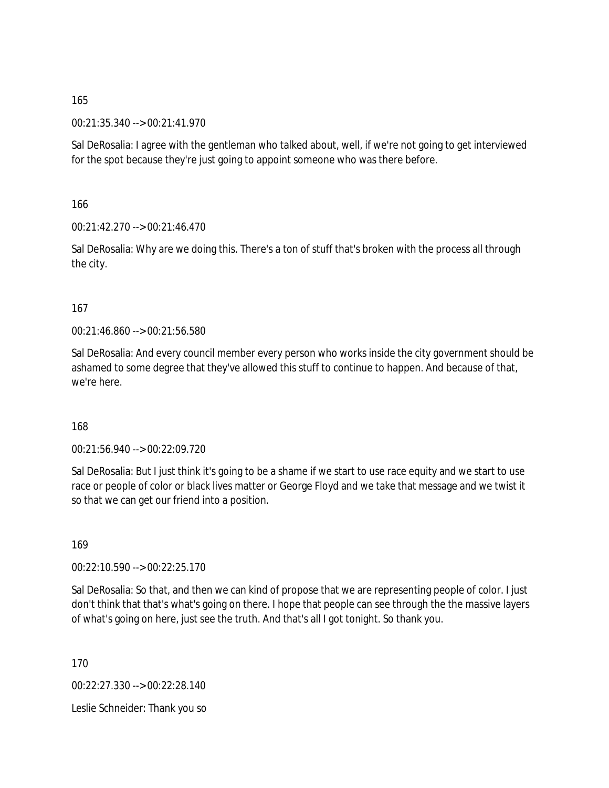00:21:35.340 --> 00:21:41.970

Sal DeRosalia: I agree with the gentleman who talked about, well, if we're not going to get interviewed for the spot because they're just going to appoint someone who was there before.

166

00:21:42.270 --> 00:21:46.470

Sal DeRosalia: Why are we doing this. There's a ton of stuff that's broken with the process all through the city.

#### 167

00:21:46.860 --> 00:21:56.580

Sal DeRosalia: And every council member every person who works inside the city government should be ashamed to some degree that they've allowed this stuff to continue to happen. And because of that, we're here.

#### 168

00:21:56.940 --> 00:22:09.720

Sal DeRosalia: But I just think it's going to be a shame if we start to use race equity and we start to use race or people of color or black lives matter or George Floyd and we take that message and we twist it so that we can get our friend into a position.

169

00:22:10.590 --> 00:22:25.170

Sal DeRosalia: So that, and then we can kind of propose that we are representing people of color. I just don't think that that's what's going on there. I hope that people can see through the the massive layers of what's going on here, just see the truth. And that's all I got tonight. So thank you.

170

00:22:27.330 --> 00:22:28.140

Leslie Schneider: Thank you so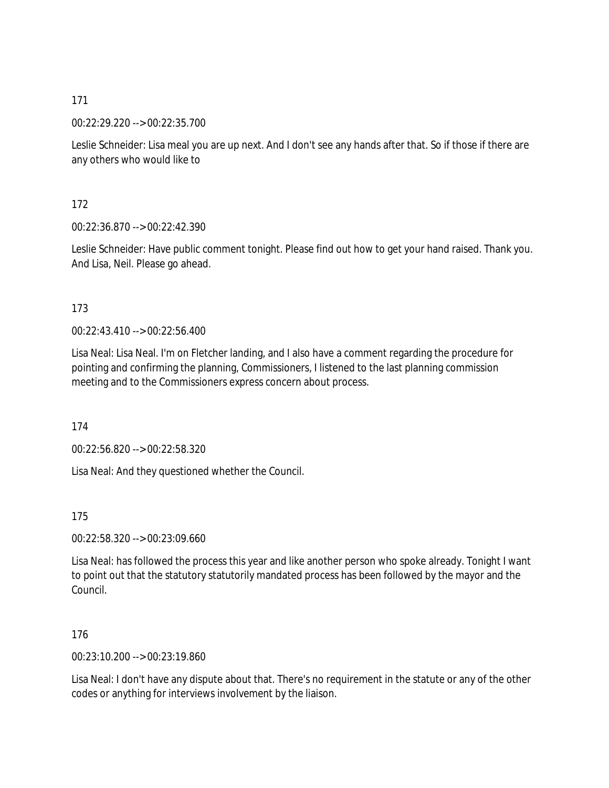00:22:29.220 --> 00:22:35.700

Leslie Schneider: Lisa meal you are up next. And I don't see any hands after that. So if those if there are any others who would like to

172

00:22:36.870 --> 00:22:42.390

Leslie Schneider: Have public comment tonight. Please find out how to get your hand raised. Thank you. And Lisa, Neil. Please go ahead.

#### 173

00:22:43.410 --> 00:22:56.400

Lisa Neal: Lisa Neal. I'm on Fletcher landing, and I also have a comment regarding the procedure for pointing and confirming the planning, Commissioners, I listened to the last planning commission meeting and to the Commissioners express concern about process.

174

00:22:56.820 --> 00:22:58.320

Lisa Neal: And they questioned whether the Council.

175

00:22:58.320 --> 00:23:09.660

Lisa Neal: has followed the process this year and like another person who spoke already. Tonight I want to point out that the statutory statutorily mandated process has been followed by the mayor and the Council.

176

00:23:10.200 --> 00:23:19.860

Lisa Neal: I don't have any dispute about that. There's no requirement in the statute or any of the other codes or anything for interviews involvement by the liaison.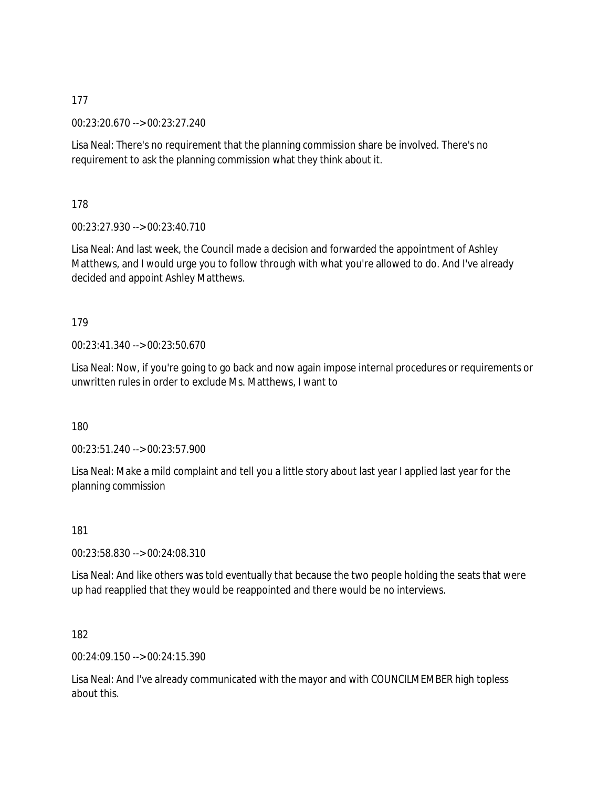00:23:20.670 --> 00:23:27.240

Lisa Neal: There's no requirement that the planning commission share be involved. There's no requirement to ask the planning commission what they think about it.

178

00:23:27.930 --> 00:23:40.710

Lisa Neal: And last week, the Council made a decision and forwarded the appointment of Ashley Matthews, and I would urge you to follow through with what you're allowed to do. And I've already decided and appoint Ashley Matthews.

#### 179

00:23:41.340 --> 00:23:50.670

Lisa Neal: Now, if you're going to go back and now again impose internal procedures or requirements or unwritten rules in order to exclude Ms. Matthews, I want to

180

00:23:51.240 --> 00:23:57.900

Lisa Neal: Make a mild complaint and tell you a little story about last year I applied last year for the planning commission

181

00:23:58.830 --> 00:24:08.310

Lisa Neal: And like others was told eventually that because the two people holding the seats that were up had reapplied that they would be reappointed and there would be no interviews.

182

00:24:09.150 --> 00:24:15.390

Lisa Neal: And I've already communicated with the mayor and with COUNCILMEMBER high topless about this.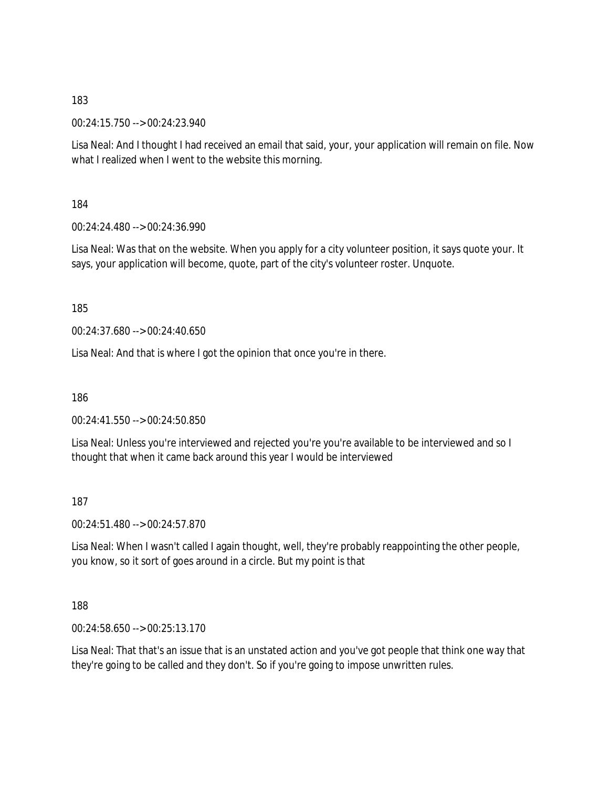00:24:15.750 --> 00:24:23.940

Lisa Neal: And I thought I had received an email that said, your, your application will remain on file. Now what I realized when I went to the website this morning.

184

00:24:24.480 --> 00:24:36.990

Lisa Neal: Was that on the website. When you apply for a city volunteer position, it says quote your. It says, your application will become, quote, part of the city's volunteer roster. Unquote.

185

00:24:37.680 --> 00:24:40.650

Lisa Neal: And that is where I got the opinion that once you're in there.

186

00:24:41.550 --> 00:24:50.850

Lisa Neal: Unless you're interviewed and rejected you're you're available to be interviewed and so I thought that when it came back around this year I would be interviewed

187

00:24:51.480 --> 00:24:57.870

Lisa Neal: When I wasn't called I again thought, well, they're probably reappointing the other people, you know, so it sort of goes around in a circle. But my point is that

188

00:24:58.650 --> 00:25:13.170

Lisa Neal: That that's an issue that is an unstated action and you've got people that think one way that they're going to be called and they don't. So if you're going to impose unwritten rules.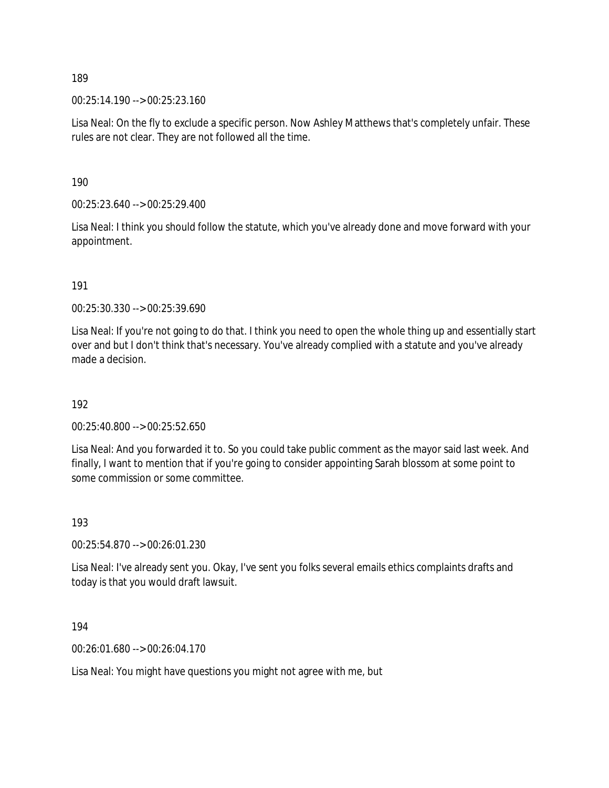00:25:14.190 --> 00:25:23.160

Lisa Neal: On the fly to exclude a specific person. Now Ashley Matthews that's completely unfair. These rules are not clear. They are not followed all the time.

190

00:25:23.640 --> 00:25:29.400

Lisa Neal: I think you should follow the statute, which you've already done and move forward with your appointment.

191

00:25:30.330 --> 00:25:39.690

Lisa Neal: If you're not going to do that. I think you need to open the whole thing up and essentially start over and but I don't think that's necessary. You've already complied with a statute and you've already made a decision.

192

00:25:40.800 --> 00:25:52.650

Lisa Neal: And you forwarded it to. So you could take public comment as the mayor said last week. And finally, I want to mention that if you're going to consider appointing Sarah blossom at some point to some commission or some committee.

193

00:25:54.870 --> 00:26:01.230

Lisa Neal: I've already sent you. Okay, I've sent you folks several emails ethics complaints drafts and today is that you would draft lawsuit.

194

00:26:01.680 --> 00:26:04.170

Lisa Neal: You might have questions you might not agree with me, but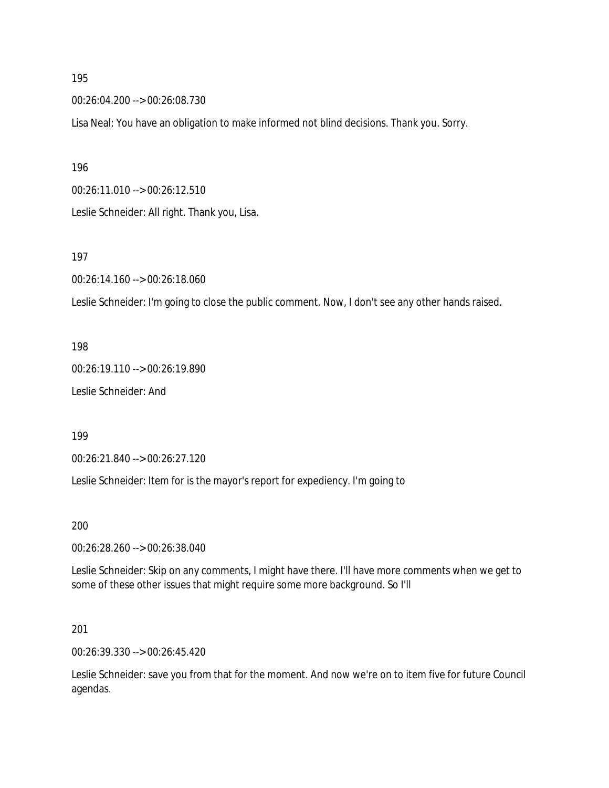00:26:04.200 --> 00:26:08.730

Lisa Neal: You have an obligation to make informed not blind decisions. Thank you. Sorry.

196

00:26:11.010 --> 00:26:12.510

Leslie Schneider: All right. Thank you, Lisa.

197

00:26:14.160 --> 00:26:18.060

Leslie Schneider: I'm going to close the public comment. Now, I don't see any other hands raised.

198

00:26:19.110 --> 00:26:19.890 Leslie Schneider: And

199

00:26:21.840 --> 00:26:27.120

Leslie Schneider: Item for is the mayor's report for expediency. I'm going to

200

00:26:28.260 --> 00:26:38.040

Leslie Schneider: Skip on any comments, I might have there. I'll have more comments when we get to some of these other issues that might require some more background. So I'll

201

00:26:39.330 --> 00:26:45.420

Leslie Schneider: save you from that for the moment. And now we're on to item five for future Council agendas.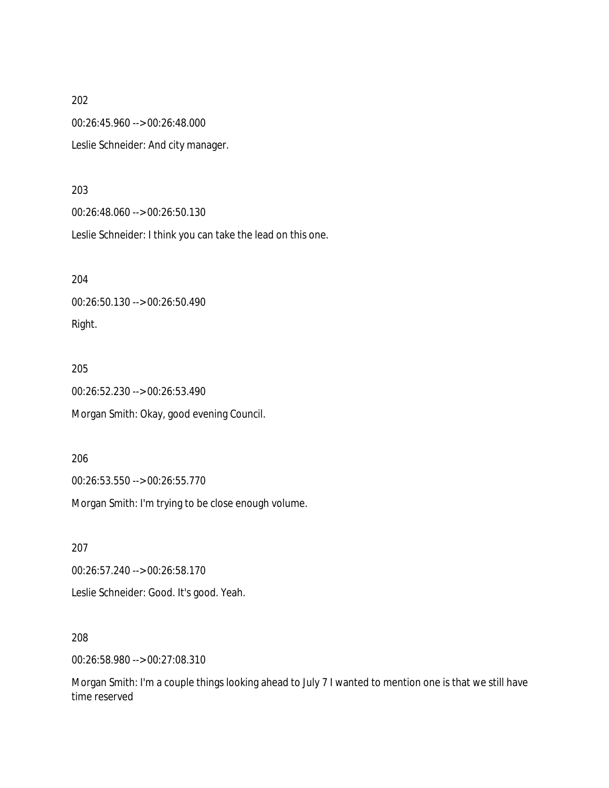00:26:45.960 --> 00:26:48.000

Leslie Schneider: And city manager.

#### 203

00:26:48.060 --> 00:26:50.130

Leslie Schneider: I think you can take the lead on this one.

204

00:26:50.130 --> 00:26:50.490 Right.

#### 205

00:26:52.230 --> 00:26:53.490

Morgan Smith: Okay, good evening Council.

206

00:26:53.550 --> 00:26:55.770

Morgan Smith: I'm trying to be close enough volume.

207 00:26:57.240 --> 00:26:58.170 Leslie Schneider: Good. It's good. Yeah.

208

00:26:58.980 --> 00:27:08.310

Morgan Smith: I'm a couple things looking ahead to July 7 I wanted to mention one is that we still have time reserved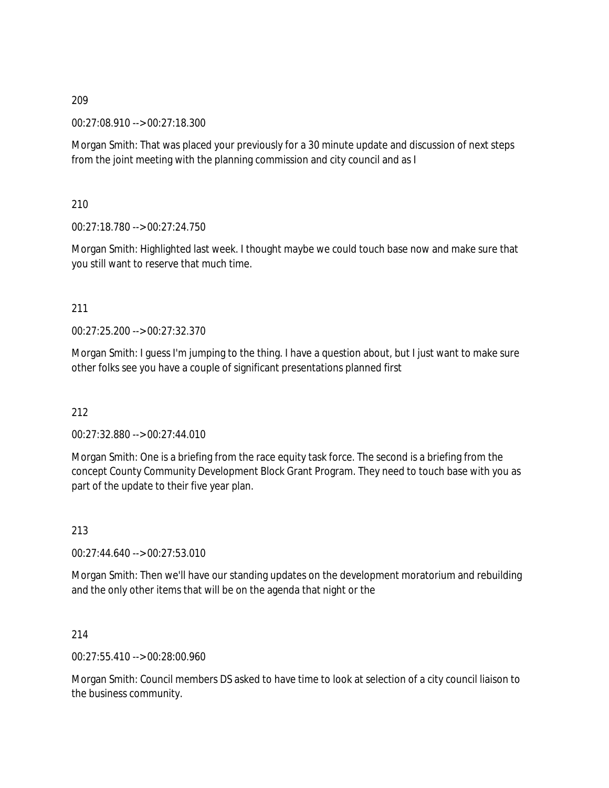00:27:08.910 --> 00:27:18.300

Morgan Smith: That was placed your previously for a 30 minute update and discussion of next steps from the joint meeting with the planning commission and city council and as I

210

00:27:18.780 --> 00:27:24.750

Morgan Smith: Highlighted last week. I thought maybe we could touch base now and make sure that you still want to reserve that much time.

211

00:27:25.200 --> 00:27:32.370

Morgan Smith: I guess I'm jumping to the thing. I have a question about, but I just want to make sure other folks see you have a couple of significant presentations planned first

212

00:27:32.880 --> 00:27:44.010

Morgan Smith: One is a briefing from the race equity task force. The second is a briefing from the concept County Community Development Block Grant Program. They need to touch base with you as part of the update to their five year plan.

213

00:27:44.640 --> 00:27:53.010

Morgan Smith: Then we'll have our standing updates on the development moratorium and rebuilding and the only other items that will be on the agenda that night or the

214

00:27:55.410 --> 00:28:00.960

Morgan Smith: Council members DS asked to have time to look at selection of a city council liaison to the business community.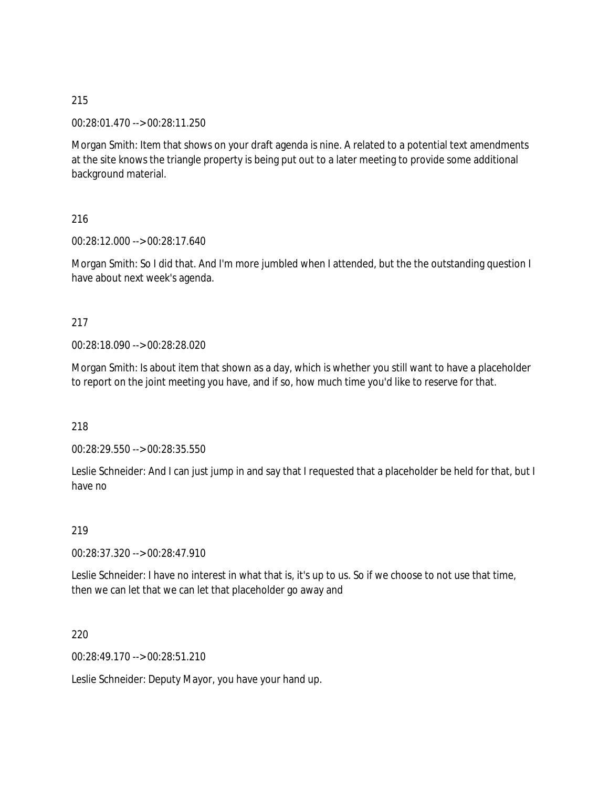00:28:01.470 --> 00:28:11.250

Morgan Smith: Item that shows on your draft agenda is nine. A related to a potential text amendments at the site knows the triangle property is being put out to a later meeting to provide some additional background material.

216

00:28:12.000 --> 00:28:17.640

Morgan Smith: So I did that. And I'm more jumbled when I attended, but the the outstanding question I have about next week's agenda.

#### 217

00:28:18.090 --> 00:28:28.020

Morgan Smith: Is about item that shown as a day, which is whether you still want to have a placeholder to report on the joint meeting you have, and if so, how much time you'd like to reserve for that.

218

00:28:29.550 --> 00:28:35.550

Leslie Schneider: And I can just jump in and say that I requested that a placeholder be held for that, but I have no

219

00:28:37.320 --> 00:28:47.910

Leslie Schneider: I have no interest in what that is, it's up to us. So if we choose to not use that time, then we can let that we can let that placeholder go away and

220

00:28:49.170 --> 00:28:51.210

Leslie Schneider: Deputy Mayor, you have your hand up.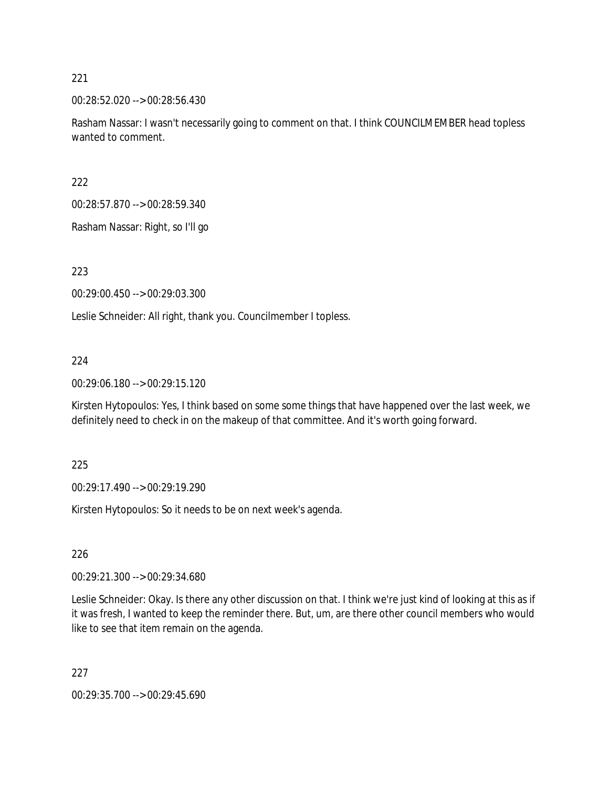00:28:52.020 --> 00:28:56.430

Rasham Nassar: I wasn't necessarily going to comment on that. I think COUNCILMEMBER head topless wanted to comment.

222

00:28:57.870 --> 00:28:59.340

Rasham Nassar: Right, so I'll go

223

00:29:00.450 --> 00:29:03.300

Leslie Schneider: All right, thank you. Councilmember I topless.

#### 224

00:29:06.180 --> 00:29:15.120

Kirsten Hytopoulos: Yes, I think based on some some things that have happened over the last week, we definitely need to check in on the makeup of that committee. And it's worth going forward.

225

00:29:17.490 --> 00:29:19.290

Kirsten Hytopoulos: So it needs to be on next week's agenda.

226

00:29:21.300 --> 00:29:34.680

Leslie Schneider: Okay. Is there any other discussion on that. I think we're just kind of looking at this as if it was fresh, I wanted to keep the reminder there. But, um, are there other council members who would like to see that item remain on the agenda.

227

00:29:35.700 --> 00:29:45.690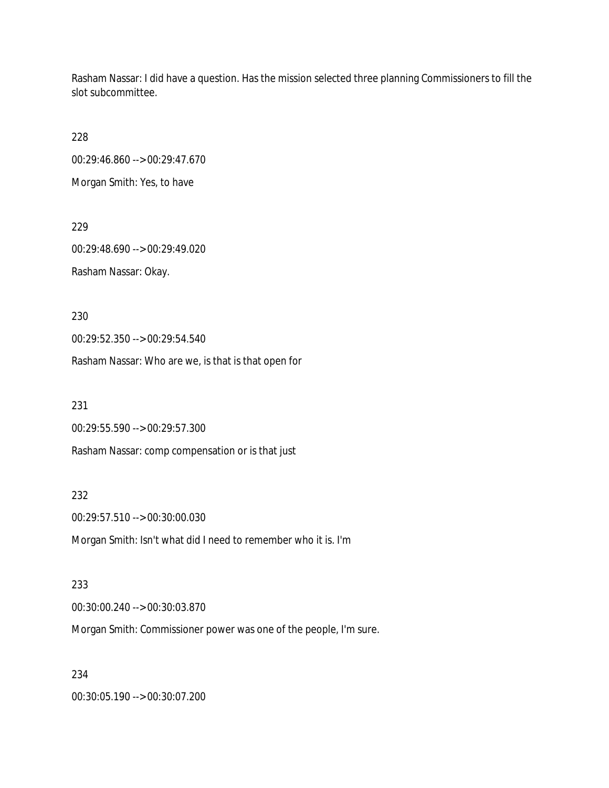Rasham Nassar: I did have a question. Has the mission selected three planning Commissioners to fill the slot subcommittee.

228

00:29:46.860 --> 00:29:47.670

Morgan Smith: Yes, to have

229

00:29:48.690 --> 00:29:49.020 Rasham Nassar: Okay.

230

00:29:52.350 --> 00:29:54.540

Rasham Nassar: Who are we, is that is that open for

231

00:29:55.590 --> 00:29:57.300

Rasham Nassar: comp compensation or is that just

232

00:29:57.510 --> 00:30:00.030

Morgan Smith: Isn't what did I need to remember who it is. I'm

233

00:30:00.240 --> 00:30:03.870

Morgan Smith: Commissioner power was one of the people, I'm sure.

234

00:30:05.190 --> 00:30:07.200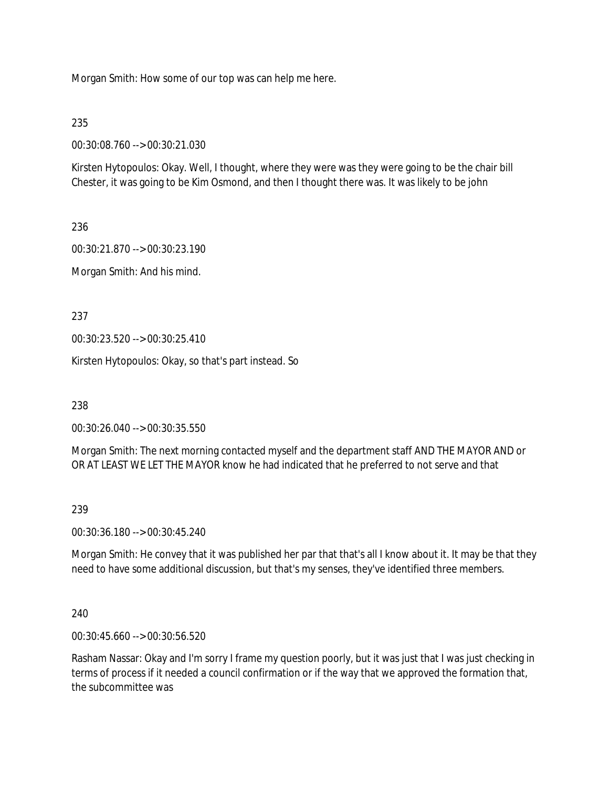Morgan Smith: How some of our top was can help me here.

# 235

00:30:08.760 --> 00:30:21.030

Kirsten Hytopoulos: Okay. Well, I thought, where they were was they were going to be the chair bill Chester, it was going to be Kim Osmond, and then I thought there was. It was likely to be john

236

00:30:21.870 --> 00:30:23.190

Morgan Smith: And his mind.

237

00:30:23.520 --> 00:30:25.410

Kirsten Hytopoulos: Okay, so that's part instead. So

238

00:30:26.040 --> 00:30:35.550

Morgan Smith: The next morning contacted myself and the department staff AND THE MAYOR AND or OR AT LEAST WE LET THE MAYOR know he had indicated that he preferred to not serve and that

### 239

00:30:36.180 --> 00:30:45.240

Morgan Smith: He convey that it was published her par that that's all I know about it. It may be that they need to have some additional discussion, but that's my senses, they've identified three members.

## 240

00:30:45.660 --> 00:30:56.520

Rasham Nassar: Okay and I'm sorry I frame my question poorly, but it was just that I was just checking in terms of process if it needed a council confirmation or if the way that we approved the formation that, the subcommittee was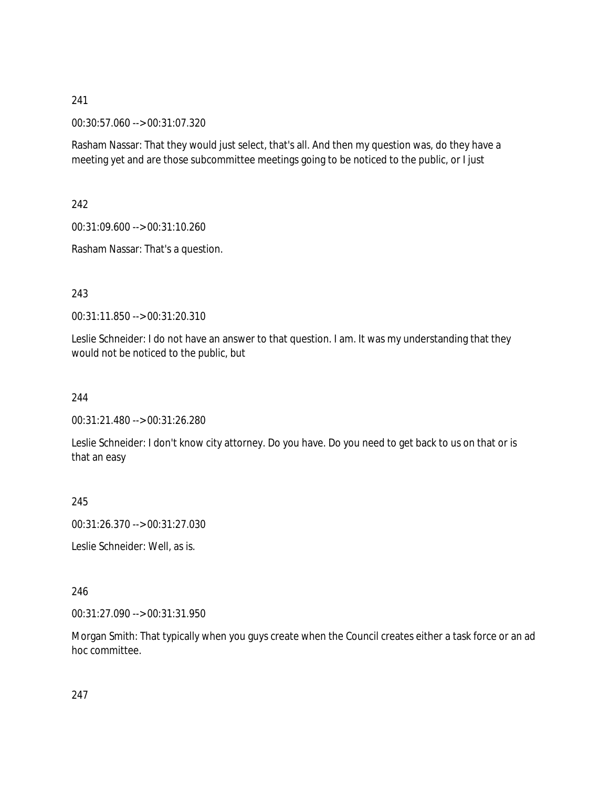00:30:57.060 --> 00:31:07.320

Rasham Nassar: That they would just select, that's all. And then my question was, do they have a meeting yet and are those subcommittee meetings going to be noticed to the public, or I just

242

00:31:09.600 --> 00:31:10.260

Rasham Nassar: That's a question.

243

00:31:11.850 --> 00:31:20.310

Leslie Schneider: I do not have an answer to that question. I am. It was my understanding that they would not be noticed to the public, but

244

00:31:21.480 --> 00:31:26.280

Leslie Schneider: I don't know city attorney. Do you have. Do you need to get back to us on that or is that an easy

245

00:31:26.370 --> 00:31:27.030

Leslie Schneider: Well, as is.

246

00:31:27.090 --> 00:31:31.950

Morgan Smith: That typically when you guys create when the Council creates either a task force or an ad hoc committee.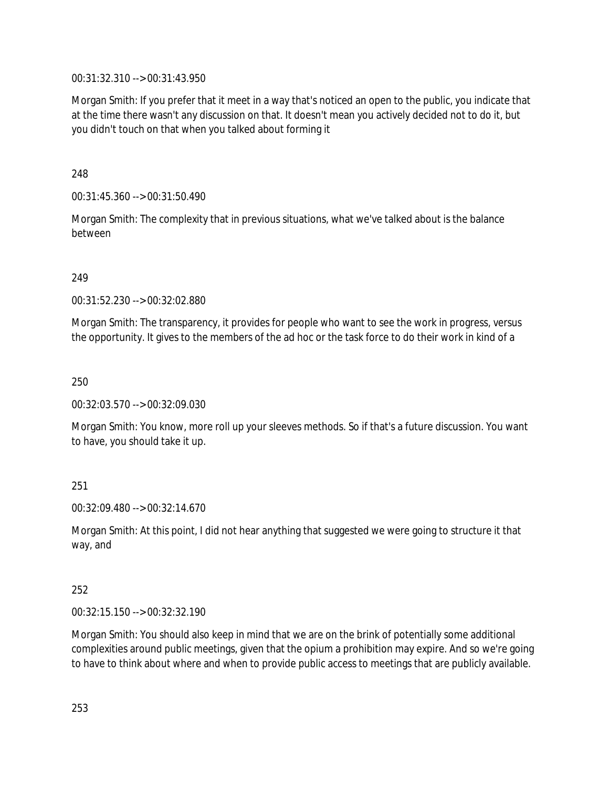00:31:32.310 --> 00:31:43.950

Morgan Smith: If you prefer that it meet in a way that's noticed an open to the public, you indicate that at the time there wasn't any discussion on that. It doesn't mean you actively decided not to do it, but you didn't touch on that when you talked about forming it

248

00:31:45.360 --> 00:31:50.490

Morgan Smith: The complexity that in previous situations, what we've talked about is the balance between

249

00:31:52.230 --> 00:32:02.880

Morgan Smith: The transparency, it provides for people who want to see the work in progress, versus the opportunity. It gives to the members of the ad hoc or the task force to do their work in kind of a

250

00:32:03.570 --> 00:32:09.030

Morgan Smith: You know, more roll up your sleeves methods. So if that's a future discussion. You want to have, you should take it up.

251

00:32:09.480 --> 00:32:14.670

Morgan Smith: At this point, I did not hear anything that suggested we were going to structure it that way, and

252

00:32:15.150 --> 00:32:32.190

Morgan Smith: You should also keep in mind that we are on the brink of potentially some additional complexities around public meetings, given that the opium a prohibition may expire. And so we're going to have to think about where and when to provide public access to meetings that are publicly available.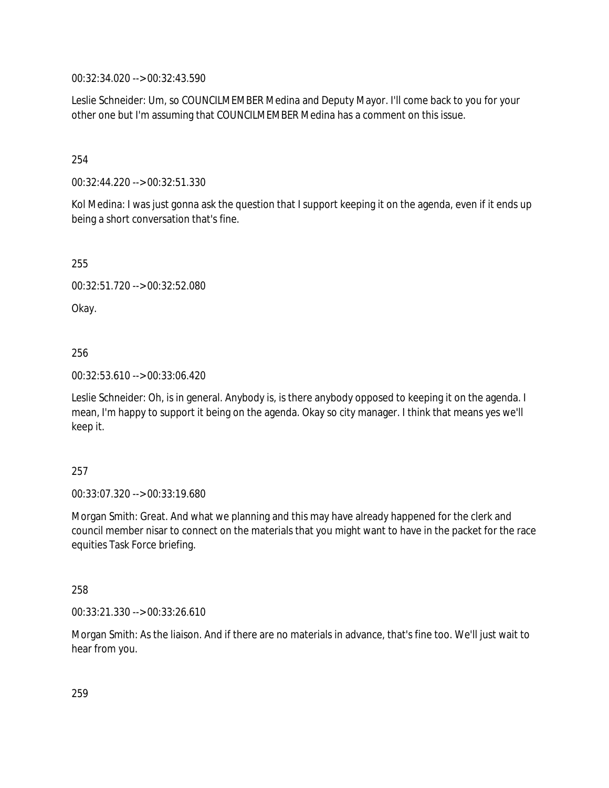00:32:34.020 --> 00:32:43.590

Leslie Schneider: Um, so COUNCILMEMBER Medina and Deputy Mayor. I'll come back to you for your other one but I'm assuming that COUNCILMEMBER Medina has a comment on this issue.

254

00:32:44.220 --> 00:32:51.330

Kol Medina: I was just gonna ask the question that I support keeping it on the agenda, even if it ends up being a short conversation that's fine.

255

00:32:51.720 --> 00:32:52.080

Okay.

256

00:32:53.610 --> 00:33:06.420

Leslie Schneider: Oh, is in general. Anybody is, is there anybody opposed to keeping it on the agenda. I mean, I'm happy to support it being on the agenda. Okay so city manager. I think that means yes we'll keep it.

### 257

00:33:07.320 --> 00:33:19.680

Morgan Smith: Great. And what we planning and this may have already happened for the clerk and council member nisar to connect on the materials that you might want to have in the packet for the race equities Task Force briefing.

258

00:33:21.330 --> 00:33:26.610

Morgan Smith: As the liaison. And if there are no materials in advance, that's fine too. We'll just wait to hear from you.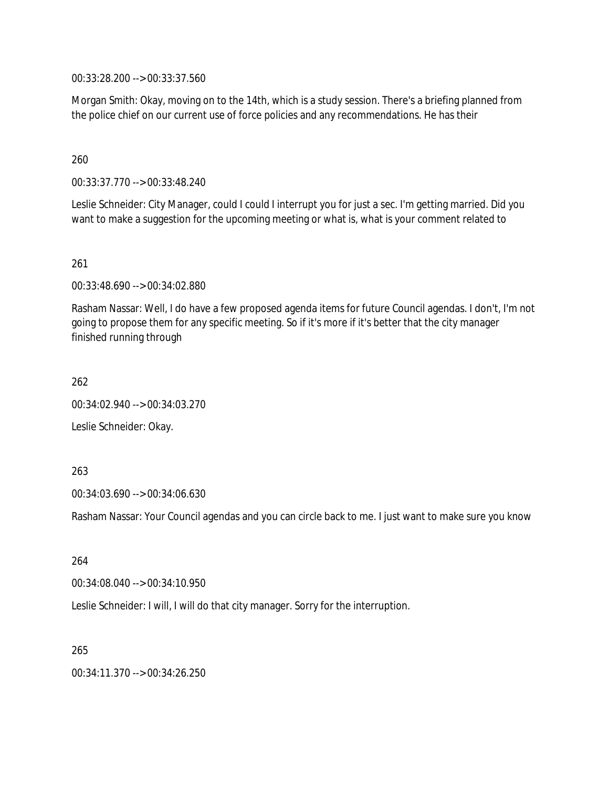00:33:28.200 --> 00:33:37.560

Morgan Smith: Okay, moving on to the 14th, which is a study session. There's a briefing planned from the police chief on our current use of force policies and any recommendations. He has their

## 260

00:33:37.770 --> 00:33:48.240

Leslie Schneider: City Manager, could I could I interrupt you for just a sec. I'm getting married. Did you want to make a suggestion for the upcoming meeting or what is, what is your comment related to

### 261

00:33:48.690 --> 00:34:02.880

Rasham Nassar: Well, I do have a few proposed agenda items for future Council agendas. I don't, I'm not going to propose them for any specific meeting. So if it's more if it's better that the city manager finished running through

262

00:34:02.940 --> 00:34:03.270

Leslie Schneider: Okay.

### 263

00:34:03.690 --> 00:34:06.630

Rasham Nassar: Your Council agendas and you can circle back to me. I just want to make sure you know

### 264

00:34:08.040 --> 00:34:10.950

Leslie Schneider: I will, I will do that city manager. Sorry for the interruption.

#### 265

00:34:11.370 --> 00:34:26.250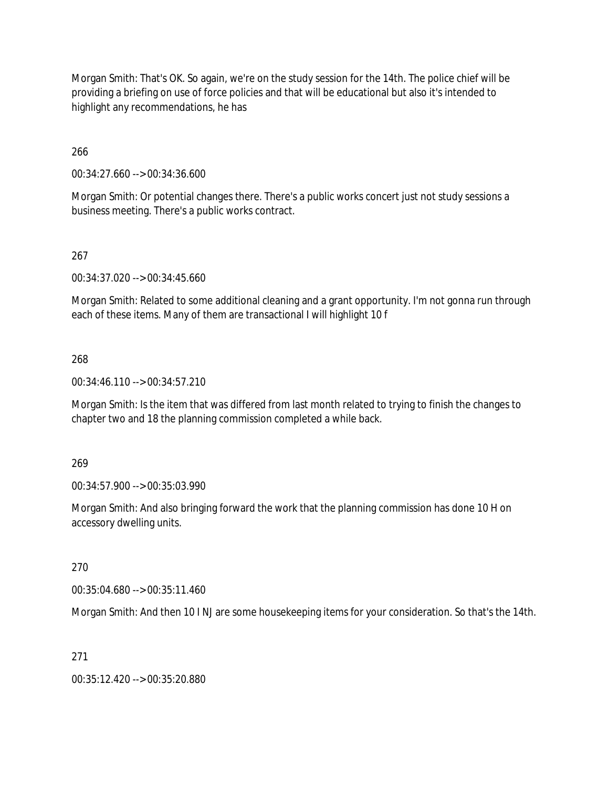Morgan Smith: That's OK. So again, we're on the study session for the 14th. The police chief will be providing a briefing on use of force policies and that will be educational but also it's intended to highlight any recommendations, he has

266

00:34:27.660 --> 00:34:36.600

Morgan Smith: Or potential changes there. There's a public works concert just not study sessions a business meeting. There's a public works contract.

# 267

00:34:37.020 --> 00:34:45.660

Morgan Smith: Related to some additional cleaning and a grant opportunity. I'm not gonna run through each of these items. Many of them are transactional I will highlight 10 f

### 268

00:34:46.110 --> 00:34:57.210

Morgan Smith: Is the item that was differed from last month related to trying to finish the changes to chapter two and 18 the planning commission completed a while back.

269

00:34:57.900 --> 00:35:03.990

Morgan Smith: And also bringing forward the work that the planning commission has done 10 H on accessory dwelling units.

270

00:35:04.680 --> 00:35:11.460

Morgan Smith: And then 10 I NJ are some housekeeping items for your consideration. So that's the 14th.

271

00:35:12.420 --> 00:35:20.880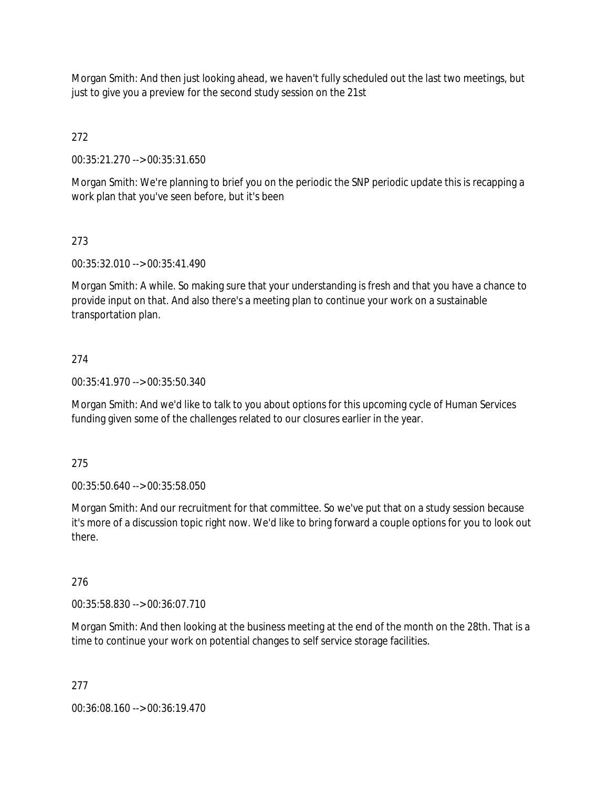Morgan Smith: And then just looking ahead, we haven't fully scheduled out the last two meetings, but just to give you a preview for the second study session on the 21st

272

00:35:21.270 --> 00:35:31.650

Morgan Smith: We're planning to brief you on the periodic the SNP periodic update this is recapping a work plan that you've seen before, but it's been

# 273

00:35:32.010 --> 00:35:41.490

Morgan Smith: A while. So making sure that your understanding is fresh and that you have a chance to provide input on that. And also there's a meeting plan to continue your work on a sustainable transportation plan.

# 274

00:35:41.970 --> 00:35:50.340

Morgan Smith: And we'd like to talk to you about options for this upcoming cycle of Human Services funding given some of the challenges related to our closures earlier in the year.

### 275

00:35:50.640 --> 00:35:58.050

Morgan Smith: And our recruitment for that committee. So we've put that on a study session because it's more of a discussion topic right now. We'd like to bring forward a couple options for you to look out there.

### 276

00:35:58.830 --> 00:36:07.710

Morgan Smith: And then looking at the business meeting at the end of the month on the 28th. That is a time to continue your work on potential changes to self service storage facilities.

### 277

00:36:08.160 --> 00:36:19.470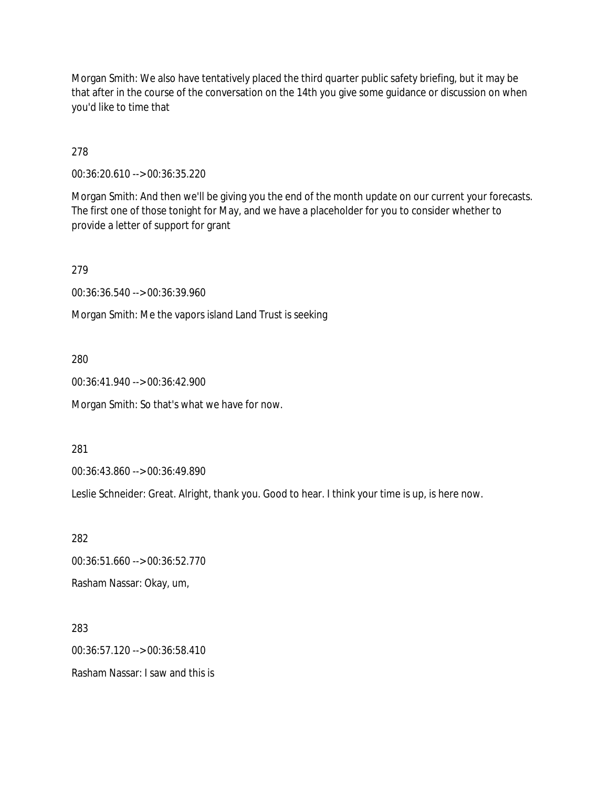Morgan Smith: We also have tentatively placed the third quarter public safety briefing, but it may be that after in the course of the conversation on the 14th you give some guidance or discussion on when you'd like to time that

278

00:36:20.610 --> 00:36:35.220

Morgan Smith: And then we'll be giving you the end of the month update on our current your forecasts. The first one of those tonight for May, and we have a placeholder for you to consider whether to provide a letter of support for grant

279

00:36:36.540 --> 00:36:39.960

Morgan Smith: Me the vapors island Land Trust is seeking

280

00:36:41.940 --> 00:36:42.900

Morgan Smith: So that's what we have for now.

281

00:36:43.860 --> 00:36:49.890

Leslie Schneider: Great. Alright, thank you. Good to hear. I think your time is up, is here now.

282

00:36:51.660 --> 00:36:52.770

Rasham Nassar: Okay, um,

283

00:36:57.120 --> 00:36:58.410

Rasham Nassar: I saw and this is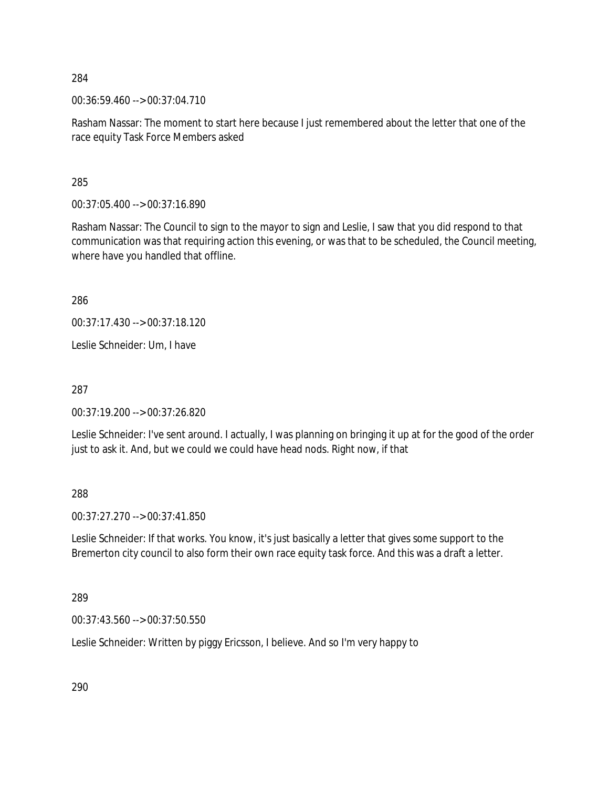00:36:59.460 --> 00:37:04.710

Rasham Nassar: The moment to start here because I just remembered about the letter that one of the race equity Task Force Members asked

285

00:37:05.400 --> 00:37:16.890

Rasham Nassar: The Council to sign to the mayor to sign and Leslie, I saw that you did respond to that communication was that requiring action this evening, or was that to be scheduled, the Council meeting, where have you handled that offline.

286

00:37:17.430 --> 00:37:18.120

Leslie Schneider: Um, I have

287

00:37:19.200 --> 00:37:26.820

Leslie Schneider: I've sent around. I actually, I was planning on bringing it up at for the good of the order just to ask it. And, but we could we could have head nods. Right now, if that

288

00:37:27.270 --> 00:37:41.850

Leslie Schneider: If that works. You know, it's just basically a letter that gives some support to the Bremerton city council to also form their own race equity task force. And this was a draft a letter.

289

00:37:43.560 --> 00:37:50.550

Leslie Schneider: Written by piggy Ericsson, I believe. And so I'm very happy to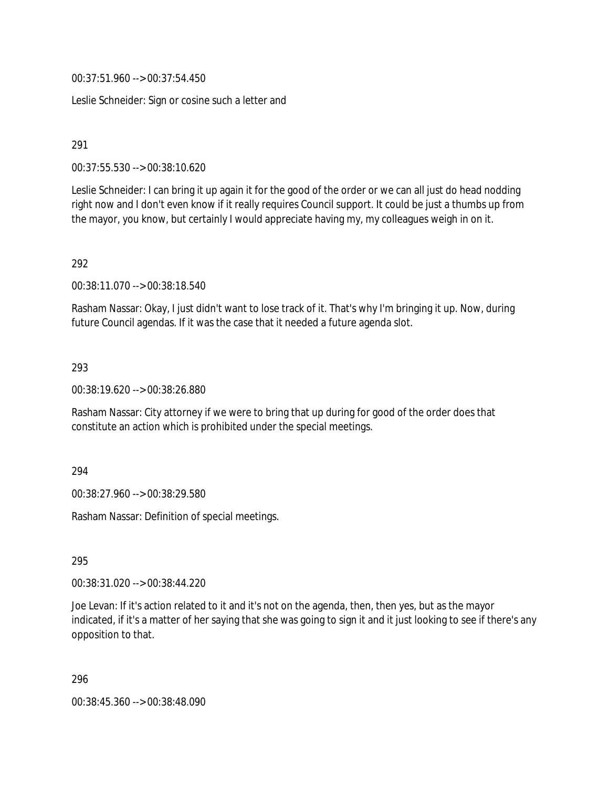00:37:51.960 --> 00:37:54.450

Leslie Schneider: Sign or cosine such a letter and

291

00:37:55.530 --> 00:38:10.620

Leslie Schneider: I can bring it up again it for the good of the order or we can all just do head nodding right now and I don't even know if it really requires Council support. It could be just a thumbs up from the mayor, you know, but certainly I would appreciate having my, my colleagues weigh in on it.

292

00:38:11.070 --> 00:38:18.540

Rasham Nassar: Okay, I just didn't want to lose track of it. That's why I'm bringing it up. Now, during future Council agendas. If it was the case that it needed a future agenda slot.

293

00:38:19.620 --> 00:38:26.880

Rasham Nassar: City attorney if we were to bring that up during for good of the order does that constitute an action which is prohibited under the special meetings.

294

00:38:27.960 --> 00:38:29.580

Rasham Nassar: Definition of special meetings.

295

00:38:31.020 --> 00:38:44.220

Joe Levan: If it's action related to it and it's not on the agenda, then, then yes, but as the mayor indicated, if it's a matter of her saying that she was going to sign it and it just looking to see if there's any opposition to that.

296

00:38:45.360 --> 00:38:48.090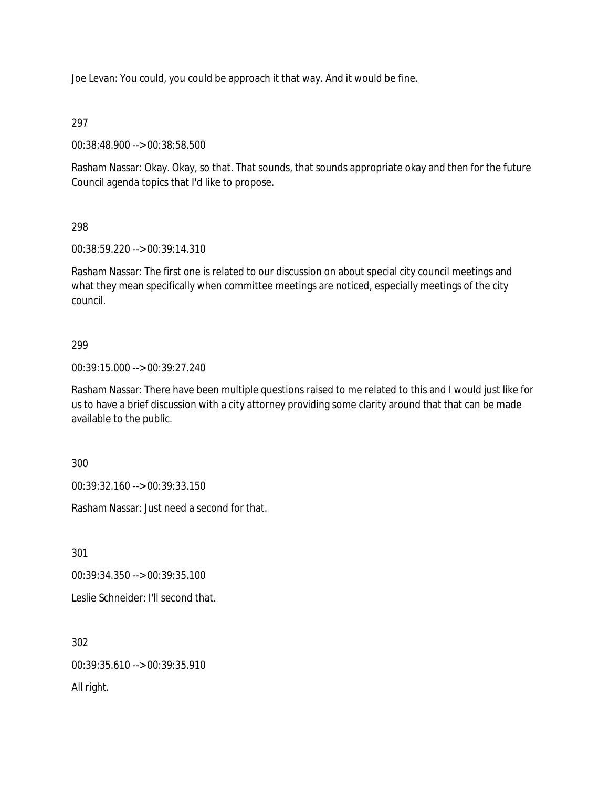Joe Levan: You could, you could be approach it that way. And it would be fine.

297

00:38:48.900 --> 00:38:58.500

Rasham Nassar: Okay. Okay, so that. That sounds, that sounds appropriate okay and then for the future Council agenda topics that I'd like to propose.

# 298

00:38:59.220 --> 00:39:14.310

Rasham Nassar: The first one is related to our discussion on about special city council meetings and what they mean specifically when committee meetings are noticed, especially meetings of the city council.

# 299

00:39:15.000 --> 00:39:27.240

Rasham Nassar: There have been multiple questions raised to me related to this and I would just like for us to have a brief discussion with a city attorney providing some clarity around that that can be made available to the public.

300

00:39:32.160 --> 00:39:33.150

Rasham Nassar: Just need a second for that.

301

00:39:34.350 --> 00:39:35.100

Leslie Schneider: I'll second that.

302

00:39:35.610 --> 00:39:35.910

All right.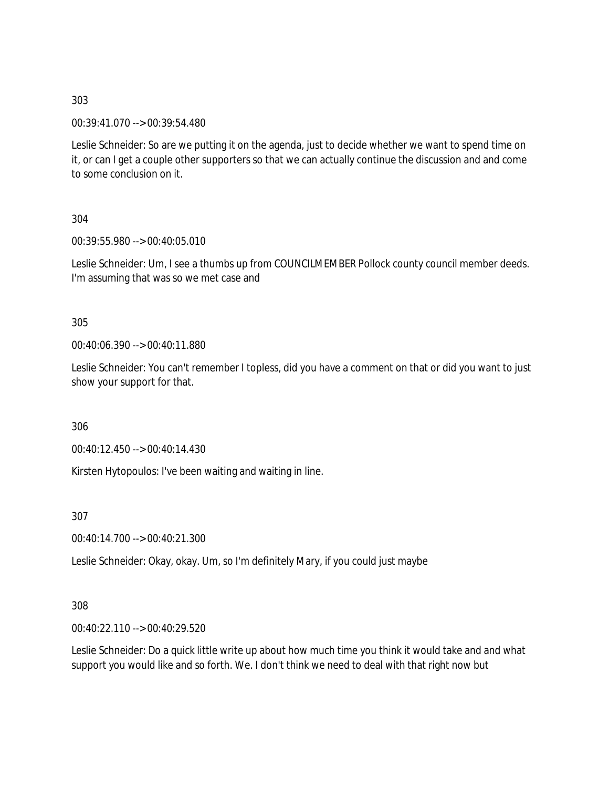00:39:41.070 --> 00:39:54.480

Leslie Schneider: So are we putting it on the agenda, just to decide whether we want to spend time on it, or can I get a couple other supporters so that we can actually continue the discussion and and come to some conclusion on it.

304

00:39:55.980 --> 00:40:05.010

Leslie Schneider: Um, I see a thumbs up from COUNCILMEMBER Pollock county council member deeds. I'm assuming that was so we met case and

305

00:40:06.390 --> 00:40:11.880

Leslie Schneider: You can't remember I topless, did you have a comment on that or did you want to just show your support for that.

306

00:40:12.450 --> 00:40:14.430

Kirsten Hytopoulos: I've been waiting and waiting in line.

307

00:40:14.700 --> 00:40:21.300

Leslie Schneider: Okay, okay. Um, so I'm definitely Mary, if you could just maybe

308

00:40:22.110 --> 00:40:29.520

Leslie Schneider: Do a quick little write up about how much time you think it would take and and what support you would like and so forth. We. I don't think we need to deal with that right now but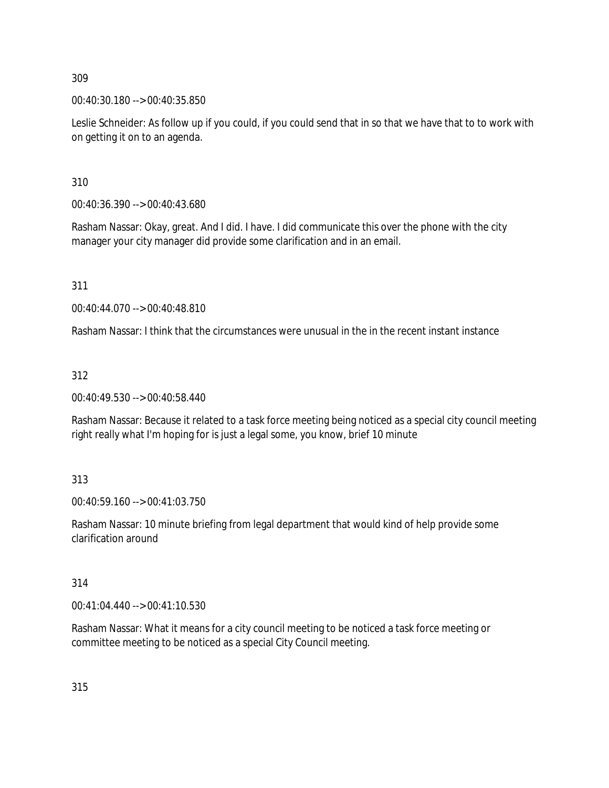00:40:30.180 --> 00:40:35.850

Leslie Schneider: As follow up if you could, if you could send that in so that we have that to to work with on getting it on to an agenda.

310

00:40:36.390 --> 00:40:43.680

Rasham Nassar: Okay, great. And I did. I have. I did communicate this over the phone with the city manager your city manager did provide some clarification and in an email.

311

00:40:44.070 --> 00:40:48.810

Rasham Nassar: I think that the circumstances were unusual in the in the recent instant instance

312

00:40:49.530 --> 00:40:58.440

Rasham Nassar: Because it related to a task force meeting being noticed as a special city council meeting right really what I'm hoping for is just a legal some, you know, brief 10 minute

313

00:40:59.160 --> 00:41:03.750

Rasham Nassar: 10 minute briefing from legal department that would kind of help provide some clarification around

314

00:41:04.440 --> 00:41:10.530

Rasham Nassar: What it means for a city council meeting to be noticed a task force meeting or committee meeting to be noticed as a special City Council meeting.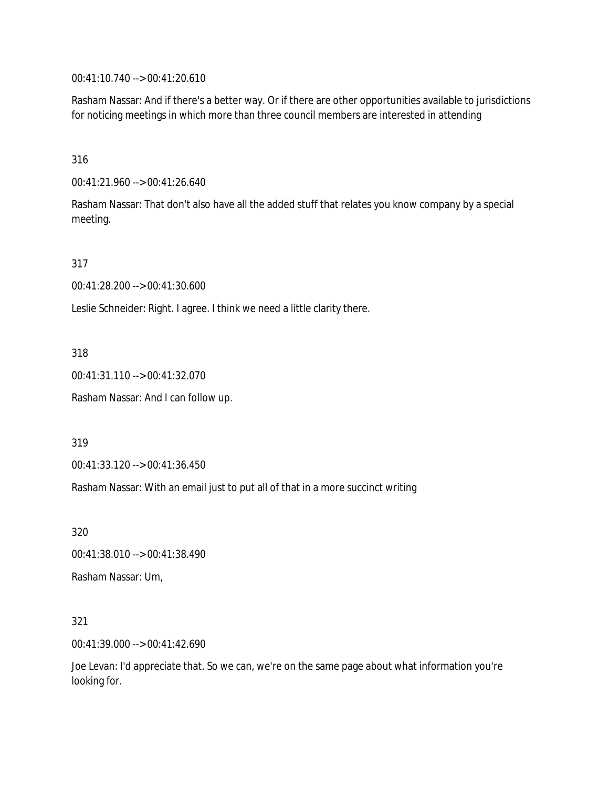00:41:10.740 --> 00:41:20.610

Rasham Nassar: And if there's a better way. Or if there are other opportunities available to jurisdictions for noticing meetings in which more than three council members are interested in attending

316

00:41:21.960 --> 00:41:26.640

Rasham Nassar: That don't also have all the added stuff that relates you know company by a special meeting.

317

00:41:28.200 --> 00:41:30.600

Leslie Schneider: Right. I agree. I think we need a little clarity there.

318

00:41:31.110 --> 00:41:32.070

Rasham Nassar: And I can follow up.

319

00:41:33.120 --> 00:41:36.450

Rasham Nassar: With an email just to put all of that in a more succinct writing

320

00:41:38.010 --> 00:41:38.490

Rasham Nassar: Um,

321

00:41:39.000 --> 00:41:42.690

Joe Levan: I'd appreciate that. So we can, we're on the same page about what information you're looking for.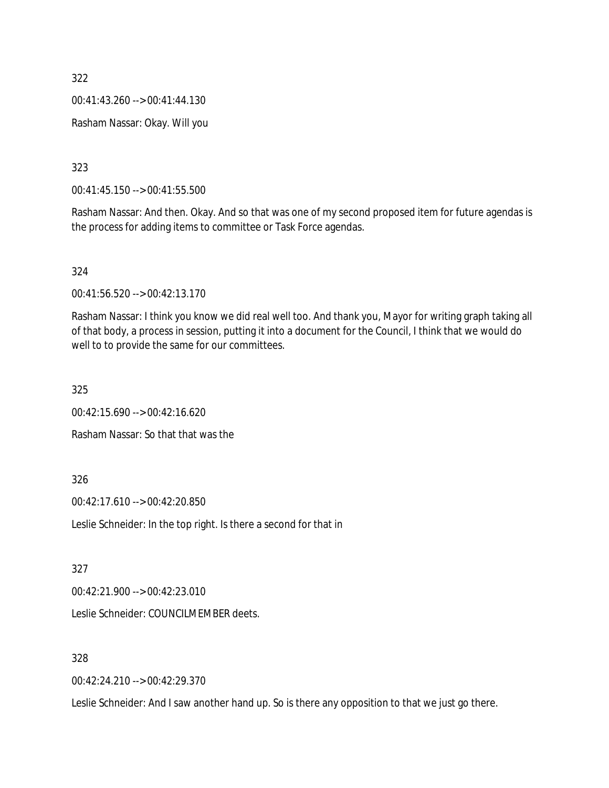00:41:43.260 --> 00:41:44.130

Rasham Nassar: Okay. Will you

323

00:41:45.150 --> 00:41:55.500

Rasham Nassar: And then. Okay. And so that was one of my second proposed item for future agendas is the process for adding items to committee or Task Force agendas.

324

00:41:56.520 --> 00:42:13.170

Rasham Nassar: I think you know we did real well too. And thank you, Mayor for writing graph taking all of that body, a process in session, putting it into a document for the Council, I think that we would do well to to provide the same for our committees.

325

00:42:15.690 --> 00:42:16.620

Rasham Nassar: So that that was the

326

00:42:17.610 --> 00:42:20.850

Leslie Schneider: In the top right. Is there a second for that in

327

00:42:21.900 --> 00:42:23.010

Leslie Schneider: COUNCILMEMBER deets.

328

00:42:24.210 --> 00:42:29.370

Leslie Schneider: And I saw another hand up. So is there any opposition to that we just go there.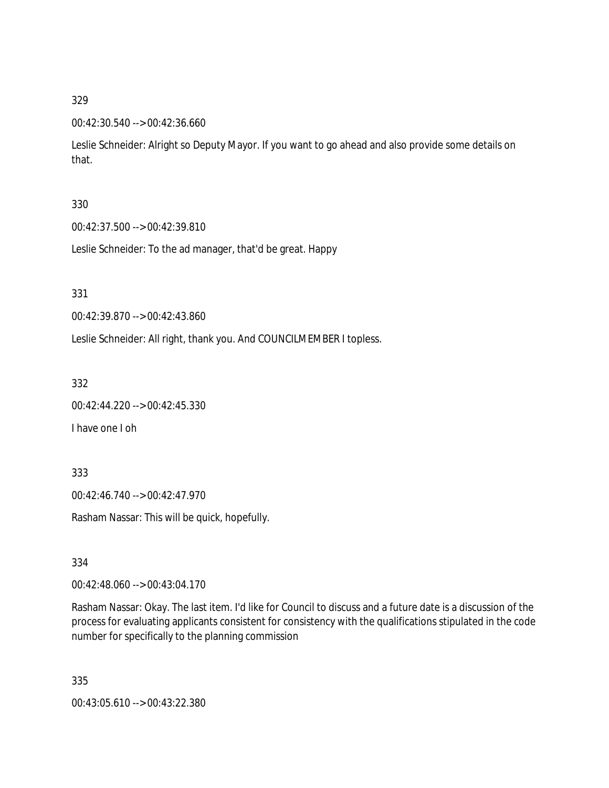## 00:42:30.540 --> 00:42:36.660

Leslie Schneider: Alright so Deputy Mayor. If you want to go ahead and also provide some details on that.

## 330

00:42:37.500 --> 00:42:39.810

Leslie Schneider: To the ad manager, that'd be great. Happy

331

00:42:39.870 --> 00:42:43.860

Leslie Schneider: All right, thank you. And COUNCILMEMBER I topless.

332

00:42:44.220 --> 00:42:45.330

I have one I oh

333

00:42:46.740 --> 00:42:47.970

Rasham Nassar: This will be quick, hopefully.

334

00:42:48.060 --> 00:43:04.170

Rasham Nassar: Okay. The last item. I'd like for Council to discuss and a future date is a discussion of the process for evaluating applicants consistent for consistency with the qualifications stipulated in the code number for specifically to the planning commission

335

00:43:05.610 --> 00:43:22.380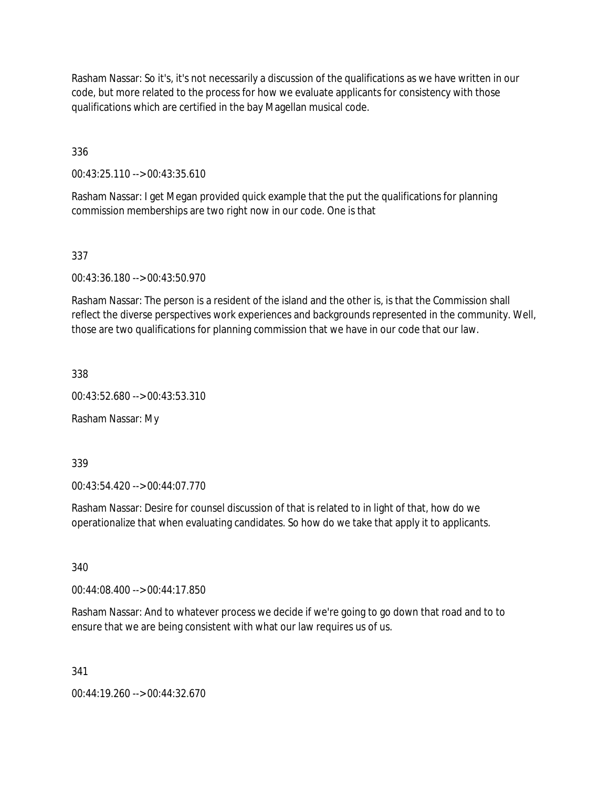Rasham Nassar: So it's, it's not necessarily a discussion of the qualifications as we have written in our code, but more related to the process for how we evaluate applicants for consistency with those qualifications which are certified in the bay Magellan musical code.

336

00:43:25.110 --> 00:43:35.610

Rasham Nassar: I get Megan provided quick example that the put the qualifications for planning commission memberships are two right now in our code. One is that

337

00:43:36.180 --> 00:43:50.970

Rasham Nassar: The person is a resident of the island and the other is, is that the Commission shall reflect the diverse perspectives work experiences and backgrounds represented in the community. Well, those are two qualifications for planning commission that we have in our code that our law.

338

00:43:52.680 --> 00:43:53.310

Rasham Nassar: My

339

00:43:54.420 --> 00:44:07.770

Rasham Nassar: Desire for counsel discussion of that is related to in light of that, how do we operationalize that when evaluating candidates. So how do we take that apply it to applicants.

340

00:44:08.400 --> 00:44:17.850

Rasham Nassar: And to whatever process we decide if we're going to go down that road and to to ensure that we are being consistent with what our law requires us of us.

341

00:44:19.260 --> 00:44:32.670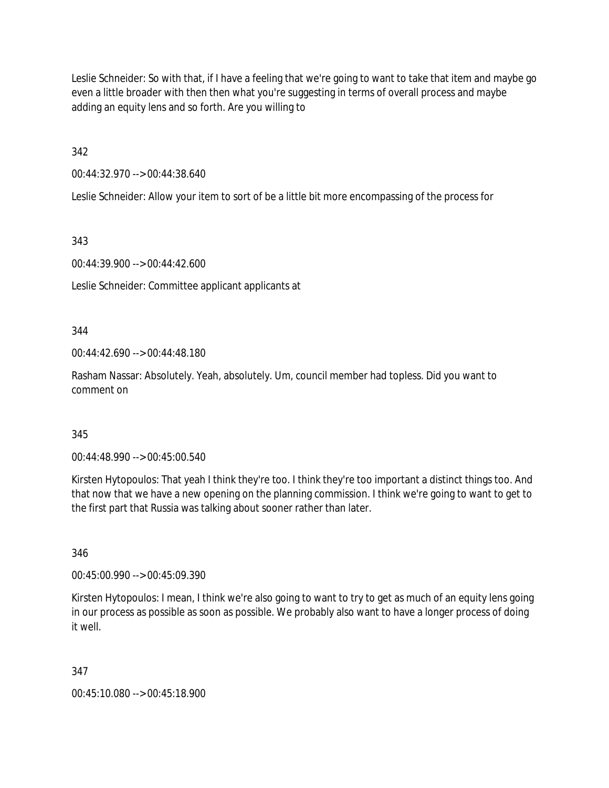Leslie Schneider: So with that, if I have a feeling that we're going to want to take that item and maybe go even a little broader with then then what you're suggesting in terms of overall process and maybe adding an equity lens and so forth. Are you willing to

342

00:44:32.970 --> 00:44:38.640

Leslie Schneider: Allow your item to sort of be a little bit more encompassing of the process for

343

00:44:39.900 --> 00:44:42.600

Leslie Schneider: Committee applicant applicants at

344

00:44:42.690 --> 00:44:48.180

Rasham Nassar: Absolutely. Yeah, absolutely. Um, council member had topless. Did you want to comment on

### 345

00:44:48.990 --> 00:45:00.540

Kirsten Hytopoulos: That yeah I think they're too. I think they're too important a distinct things too. And that now that we have a new opening on the planning commission. I think we're going to want to get to the first part that Russia was talking about sooner rather than later.

346

00:45:00.990 --> 00:45:09.390

Kirsten Hytopoulos: I mean, I think we're also going to want to try to get as much of an equity lens going in our process as possible as soon as possible. We probably also want to have a longer process of doing it well.

347

00:45:10.080 --> 00:45:18.900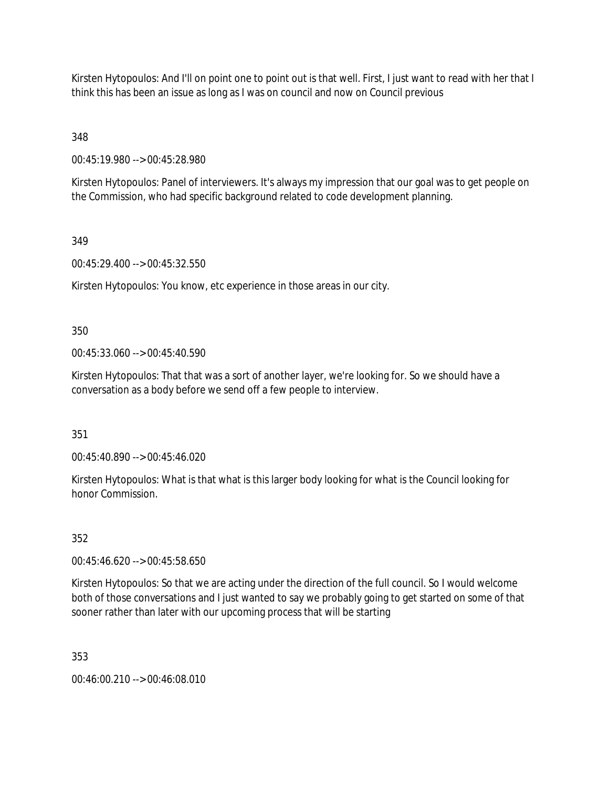Kirsten Hytopoulos: And I'll on point one to point out is that well. First, I just want to read with her that I think this has been an issue as long as I was on council and now on Council previous

348

00:45:19.980 --> 00:45:28.980

Kirsten Hytopoulos: Panel of interviewers. It's always my impression that our goal was to get people on the Commission, who had specific background related to code development planning.

# 349

00:45:29.400 --> 00:45:32.550

Kirsten Hytopoulos: You know, etc experience in those areas in our city.

350

00:45:33.060 --> 00:45:40.590

Kirsten Hytopoulos: That that was a sort of another layer, we're looking for. So we should have a conversation as a body before we send off a few people to interview.

351

00:45:40.890 --> 00:45:46.020

Kirsten Hytopoulos: What is that what is this larger body looking for what is the Council looking for honor Commission.

# 352

00:45:46.620 --> 00:45:58.650

Kirsten Hytopoulos: So that we are acting under the direction of the full council. So I would welcome both of those conversations and I just wanted to say we probably going to get started on some of that sooner rather than later with our upcoming process that will be starting

353

00:46:00.210 --> 00:46:08.010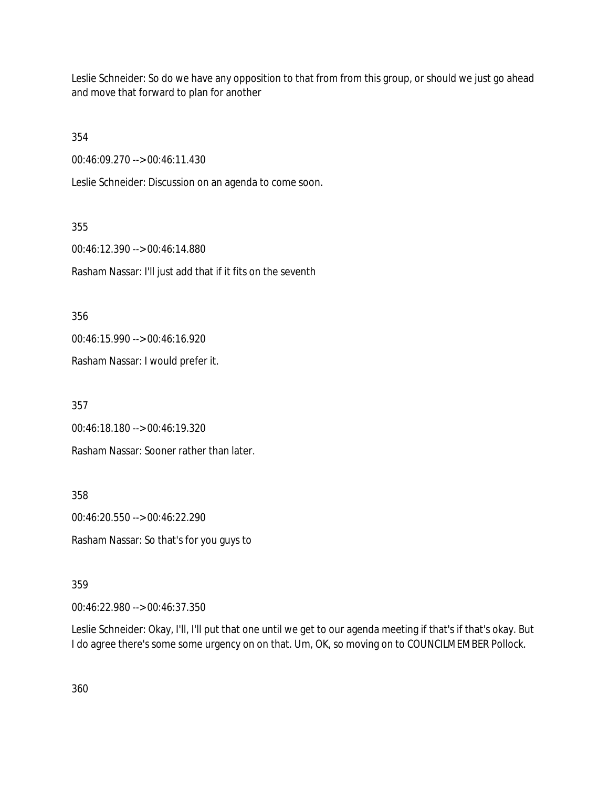Leslie Schneider: So do we have any opposition to that from from this group, or should we just go ahead and move that forward to plan for another

354

00:46:09.270 --> 00:46:11.430

Leslie Schneider: Discussion on an agenda to come soon.

355 00:46:12.390 --> 00:46:14.880 Rasham Nassar: I'll just add that if it fits on the seventh

356

00:46:15.990 --> 00:46:16.920

Rasham Nassar: I would prefer it.

357

00:46:18.180 --> 00:46:19.320

Rasham Nassar: Sooner rather than later.

358

00:46:20.550 --> 00:46:22.290

Rasham Nassar: So that's for you guys to

359

00:46:22.980 --> 00:46:37.350

Leslie Schneider: Okay, I'll, I'll put that one until we get to our agenda meeting if that's if that's okay. But I do agree there's some some urgency on on that. Um, OK, so moving on to COUNCILMEMBER Pollock.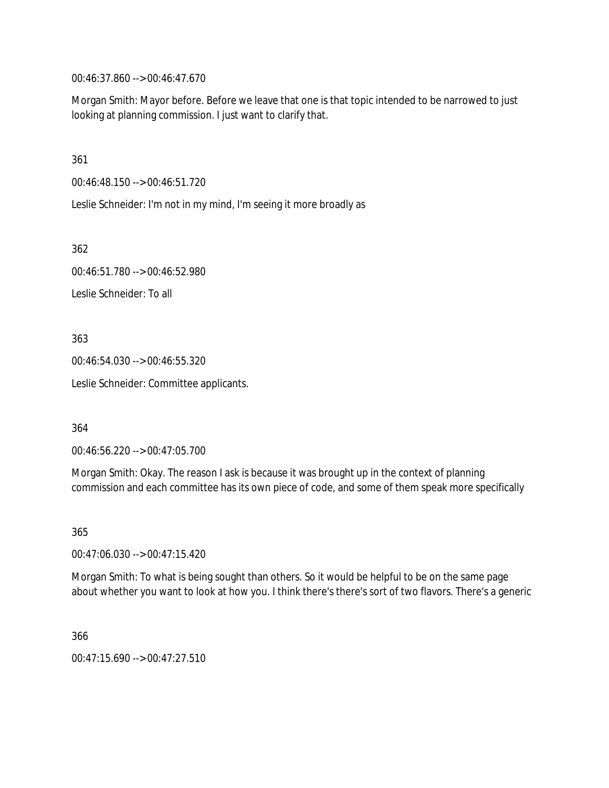00:46:37.860 --> 00:46:47.670

Morgan Smith: Mayor before. Before we leave that one is that topic intended to be narrowed to just looking at planning commission. I just want to clarify that.

361

00:46:48.150 --> 00:46:51.720

Leslie Schneider: I'm not in my mind, I'm seeing it more broadly as

362

00:46:51.780 --> 00:46:52.980 Leslie Schneider: To all

363

00:46:54.030 --> 00:46:55.320

Leslie Schneider: Committee applicants.

364

00:46:56.220 --> 00:47:05.700

Morgan Smith: Okay. The reason I ask is because it was brought up in the context of planning commission and each committee has its own piece of code, and some of them speak more specifically

365

00:47:06.030 --> 00:47:15.420

Morgan Smith: To what is being sought than others. So it would be helpful to be on the same page about whether you want to look at how you. I think there's there's sort of two flavors. There's a generic

366

00:47:15.690 --> 00:47:27.510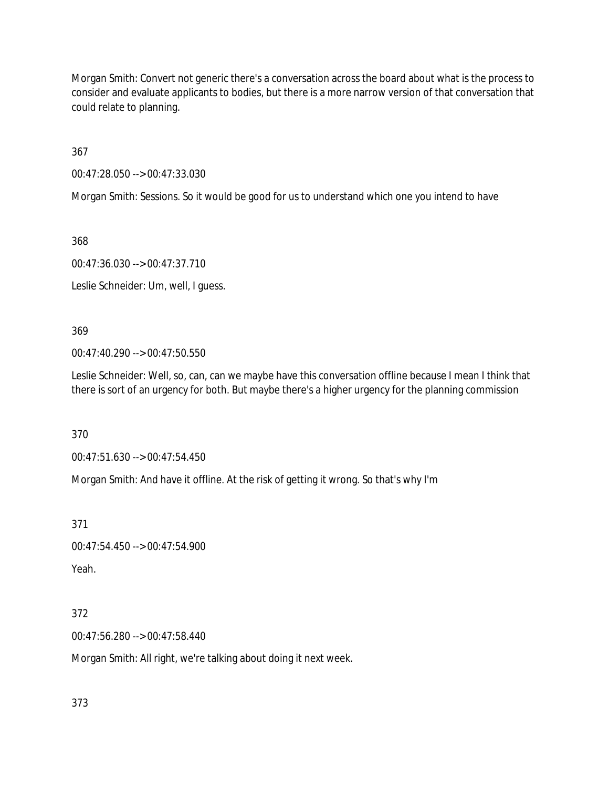Morgan Smith: Convert not generic there's a conversation across the board about what is the process to consider and evaluate applicants to bodies, but there is a more narrow version of that conversation that could relate to planning.

367

00:47:28.050 --> 00:47:33.030

Morgan Smith: Sessions. So it would be good for us to understand which one you intend to have

368

00:47:36.030 --> 00:47:37.710

Leslie Schneider: Um, well, I guess.

369

00:47:40.290 --> 00:47:50.550

Leslie Schneider: Well, so, can, can we maybe have this conversation offline because I mean I think that there is sort of an urgency for both. But maybe there's a higher urgency for the planning commission

370

00:47:51.630 --> 00:47:54.450

Morgan Smith: And have it offline. At the risk of getting it wrong. So that's why I'm

371

00:47:54.450 --> 00:47:54.900 Yeah.

372

00:47:56.280 --> 00:47:58.440

Morgan Smith: All right, we're talking about doing it next week.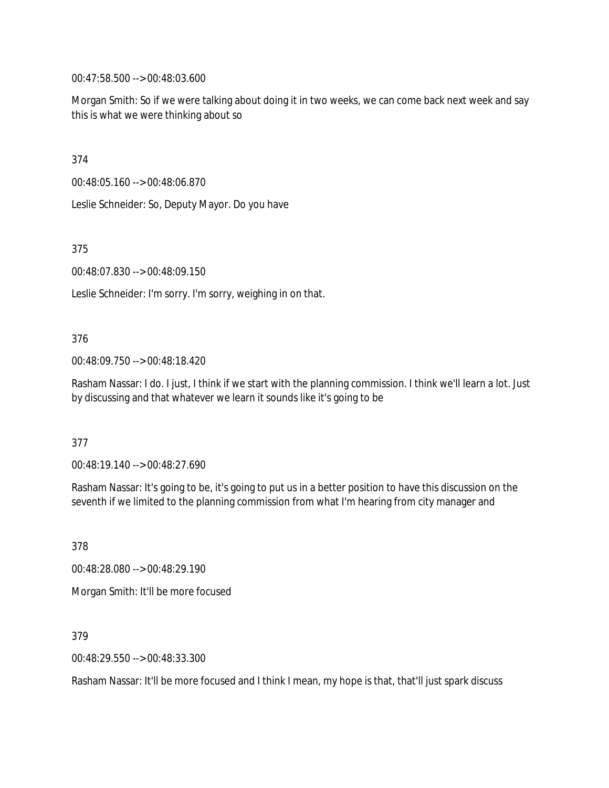00:47:58.500 --> 00:48:03.600

Morgan Smith: So if we were talking about doing it in two weeks, we can come back next week and say this is what we were thinking about so

374

00:48:05.160 --> 00:48:06.870

Leslie Schneider: So, Deputy Mayor. Do you have

375

00:48:07.830 --> 00:48:09.150

Leslie Schneider: I'm sorry. I'm sorry, weighing in on that.

#### 376

00:48:09.750 --> 00:48:18.420

Rasham Nassar: I do. I just, I think if we start with the planning commission. I think we'll learn a lot. Just by discussing and that whatever we learn it sounds like it's going to be

#### 377

00:48:19.140 --> 00:48:27.690

Rasham Nassar: It's going to be, it's going to put us in a better position to have this discussion on the seventh if we limited to the planning commission from what I'm hearing from city manager and

378 00:48:28.080 --> 00:48:29.190

Morgan Smith: It'll be more focused

379

00:48:29.550 --> 00:48:33.300

Rasham Nassar: It'll be more focused and I think I mean, my hope is that, that'll just spark discuss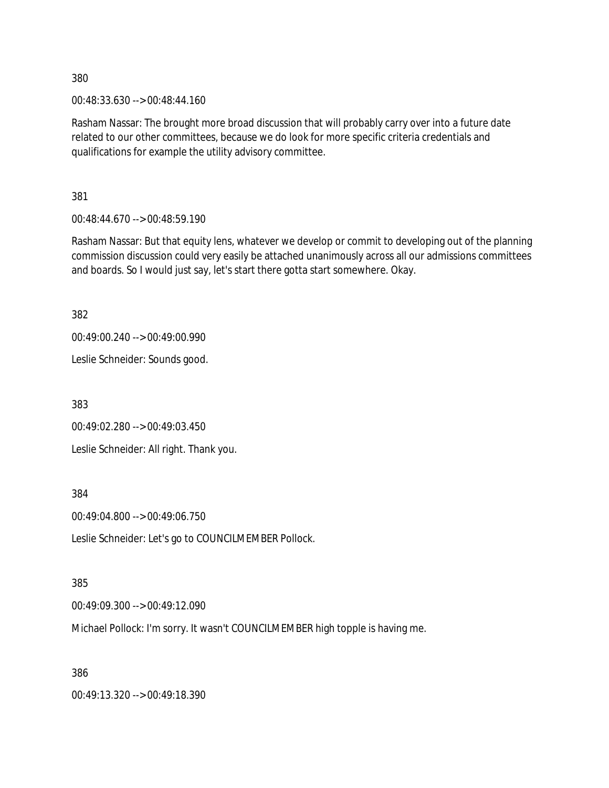00:48:33.630 --> 00:48:44.160

Rasham Nassar: The brought more broad discussion that will probably carry over into a future date related to our other committees, because we do look for more specific criteria credentials and qualifications for example the utility advisory committee.

381

00:48:44.670 --> 00:48:59.190

Rasham Nassar: But that equity lens, whatever we develop or commit to developing out of the planning commission discussion could very easily be attached unanimously across all our admissions committees and boards. So I would just say, let's start there gotta start somewhere. Okay.

382

```
00:49:00.240 --> 00:49:00.990
```
Leslie Schneider: Sounds good.

383

00:49:02.280 --> 00:49:03.450

Leslie Schneider: All right. Thank you.

384

00:49:04.800 --> 00:49:06.750

Leslie Schneider: Let's go to COUNCILMEMBER Pollock.

385

00:49:09.300 --> 00:49:12.090

Michael Pollock: I'm sorry. It wasn't COUNCILMEMBER high topple is having me.

386

00:49:13.320 --> 00:49:18.390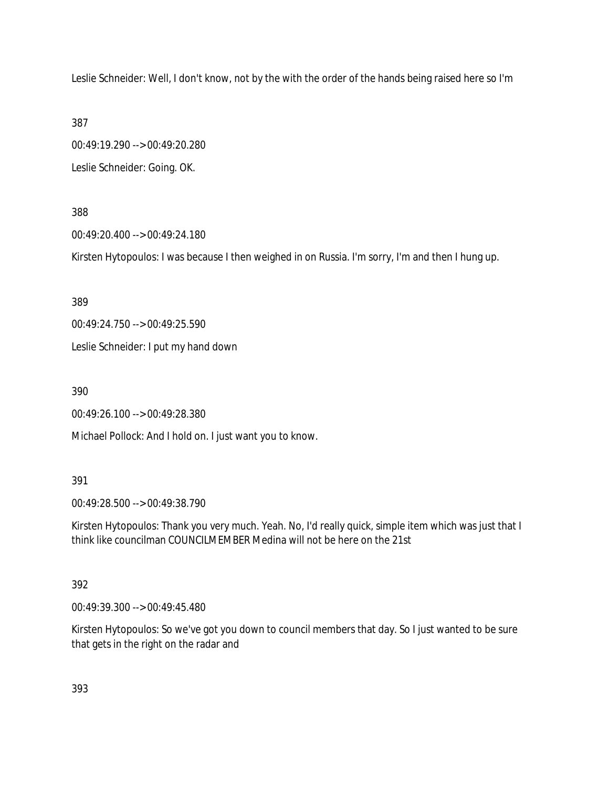Leslie Schneider: Well, I don't know, not by the with the order of the hands being raised here so I'm

387

00:49:19.290 --> 00:49:20.280 Leslie Schneider: Going. OK.

388

00:49:20.400 --> 00:49:24.180

Kirsten Hytopoulos: I was because I then weighed in on Russia. I'm sorry, I'm and then I hung up.

389

00:49:24.750 --> 00:49:25.590

Leslie Schneider: I put my hand down

390

00:49:26.100 --> 00:49:28.380

Michael Pollock: And I hold on. I just want you to know.

391

00:49:28.500 --> 00:49:38.790

Kirsten Hytopoulos: Thank you very much. Yeah. No, I'd really quick, simple item which was just that I think like councilman COUNCILMEMBER Medina will not be here on the 21st

392

00:49:39.300 --> 00:49:45.480

Kirsten Hytopoulos: So we've got you down to council members that day. So I just wanted to be sure that gets in the right on the radar and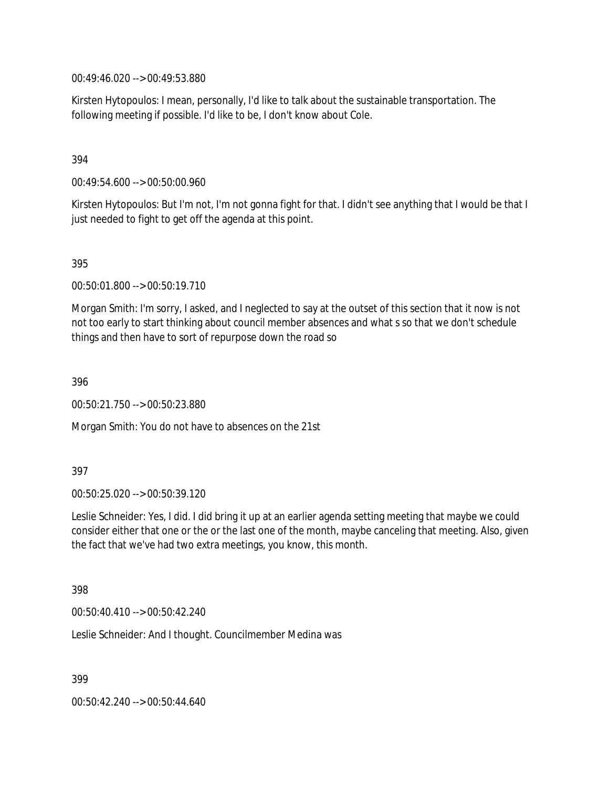00:49:46.020 --> 00:49:53.880

Kirsten Hytopoulos: I mean, personally, I'd like to talk about the sustainable transportation. The following meeting if possible. I'd like to be, I don't know about Cole.

## 394

00:49:54.600 --> 00:50:00.960

Kirsten Hytopoulos: But I'm not, I'm not gonna fight for that. I didn't see anything that I would be that I just needed to fight to get off the agenda at this point.

395

00:50:01.800 --> 00:50:19.710

Morgan Smith: I'm sorry, I asked, and I neglected to say at the outset of this section that it now is not not too early to start thinking about council member absences and what s so that we don't schedule things and then have to sort of repurpose down the road so

396

00:50:21.750 --> 00:50:23.880

Morgan Smith: You do not have to absences on the 21st

### 397

00:50:25.020 --> 00:50:39.120

Leslie Schneider: Yes, I did. I did bring it up at an earlier agenda setting meeting that maybe we could consider either that one or the or the last one of the month, maybe canceling that meeting. Also, given the fact that we've had two extra meetings, you know, this month.

398

00:50:40.410 --> 00:50:42.240

Leslie Schneider: And I thought. Councilmember Medina was

399

00:50:42.240 --> 00:50:44.640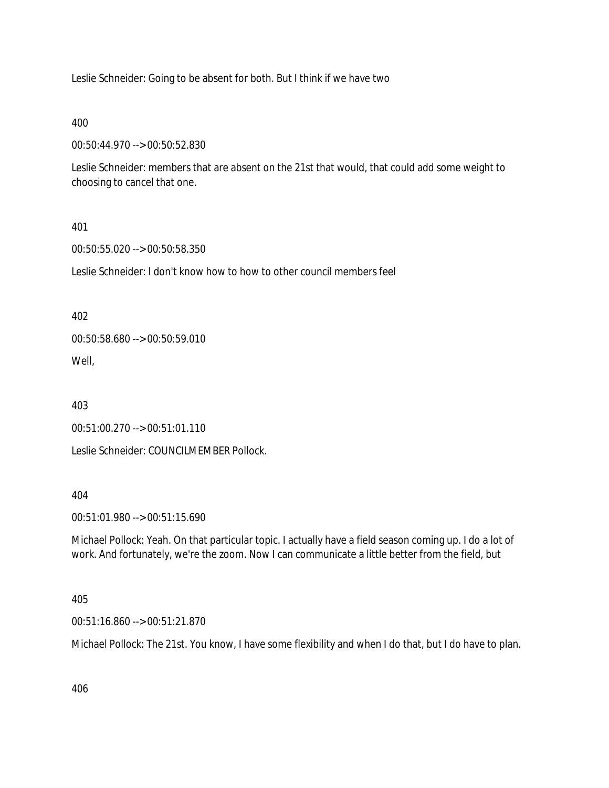Leslie Schneider: Going to be absent for both. But I think if we have two

400

00:50:44.970 --> 00:50:52.830

Leslie Schneider: members that are absent on the 21st that would, that could add some weight to choosing to cancel that one.

### 401

00:50:55.020 --> 00:50:58.350

Leslie Schneider: I don't know how to how to other council members feel

402

00:50:58.680 --> 00:50:59.010 Well,

403

00:51:00.270 --> 00:51:01.110

Leslie Schneider: COUNCILMEMBER Pollock.

404

00:51:01.980 --> 00:51:15.690

Michael Pollock: Yeah. On that particular topic. I actually have a field season coming up. I do a lot of work. And fortunately, we're the zoom. Now I can communicate a little better from the field, but

### 405

00:51:16.860 --> 00:51:21.870

Michael Pollock: The 21st. You know, I have some flexibility and when I do that, but I do have to plan.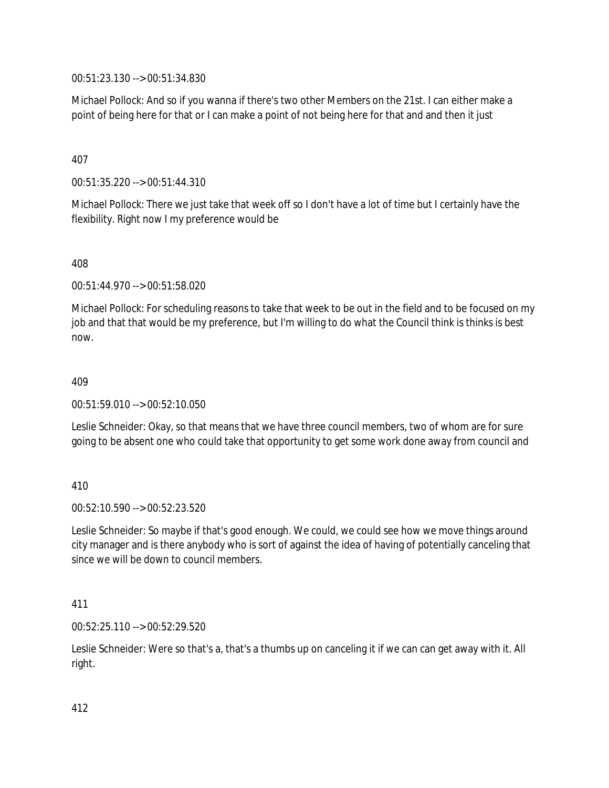00:51:23.130 --> 00:51:34.830

Michael Pollock: And so if you wanna if there's two other Members on the 21st. I can either make a point of being here for that or I can make a point of not being here for that and and then it just

407

00:51:35.220 --> 00:51:44.310

Michael Pollock: There we just take that week off so I don't have a lot of time but I certainly have the flexibility. Right now I my preference would be

408

00:51:44.970 --> 00:51:58.020

Michael Pollock: For scheduling reasons to take that week to be out in the field and to be focused on my job and that that would be my preference, but I'm willing to do what the Council think is thinks is best now.

409

00:51:59.010 --> 00:52:10.050

Leslie Schneider: Okay, so that means that we have three council members, two of whom are for sure going to be absent one who could take that opportunity to get some work done away from council and

410

00:52:10.590 --> 00:52:23.520

Leslie Schneider: So maybe if that's good enough. We could, we could see how we move things around city manager and is there anybody who is sort of against the idea of having of potentially canceling that since we will be down to council members.

411

00:52:25.110 --> 00:52:29.520

Leslie Schneider: Were so that's a, that's a thumbs up on canceling it if we can can get away with it. All right.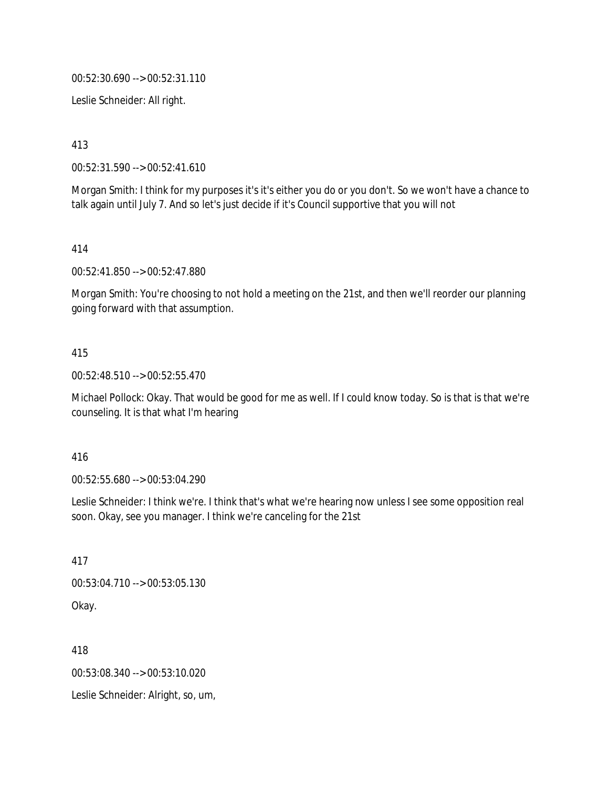00:52:30.690 --> 00:52:31.110

Leslie Schneider: All right.

413

00:52:31.590 --> 00:52:41.610

Morgan Smith: I think for my purposes it's it's either you do or you don't. So we won't have a chance to talk again until July 7. And so let's just decide if it's Council supportive that you will not

414

00:52:41.850 --> 00:52:47.880

Morgan Smith: You're choosing to not hold a meeting on the 21st, and then we'll reorder our planning going forward with that assumption.

### 415

00:52:48.510 --> 00:52:55.470

Michael Pollock: Okay. That would be good for me as well. If I could know today. So is that is that we're counseling. It is that what I'm hearing

#### 416

00:52:55.680 --> 00:53:04.290

Leslie Schneider: I think we're. I think that's what we're hearing now unless I see some opposition real soon. Okay, see you manager. I think we're canceling for the 21st

417

00:53:04.710 --> 00:53:05.130 Okay.

418

00:53:08.340 --> 00:53:10.020

Leslie Schneider: Alright, so, um,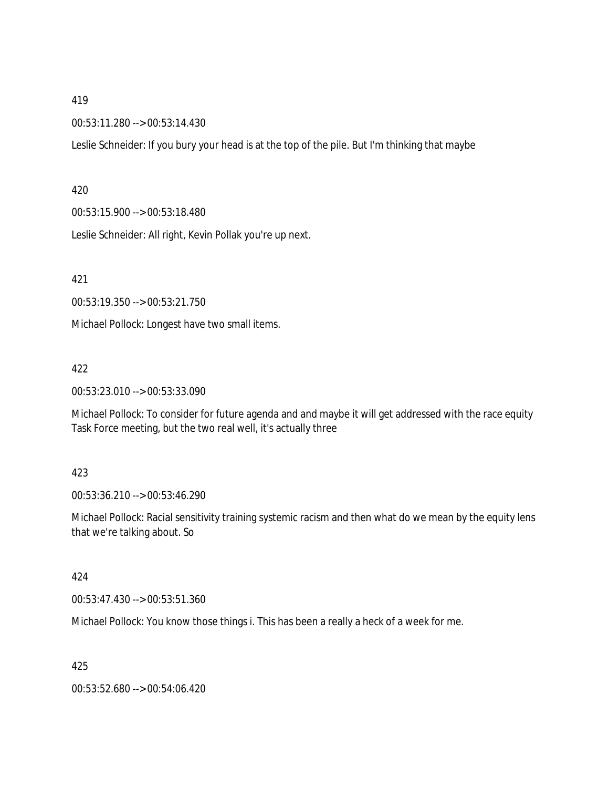00:53:11.280 --> 00:53:14.430

Leslie Schneider: If you bury your head is at the top of the pile. But I'm thinking that maybe

#### 420

00:53:15.900 --> 00:53:18.480

Leslie Schneider: All right, Kevin Pollak you're up next.

421

00:53:19.350 --> 00:53:21.750

Michael Pollock: Longest have two small items.

#### 422

00:53:23.010 --> 00:53:33.090

Michael Pollock: To consider for future agenda and and maybe it will get addressed with the race equity Task Force meeting, but the two real well, it's actually three

### 423

00:53:36.210 --> 00:53:46.290

Michael Pollock: Racial sensitivity training systemic racism and then what do we mean by the equity lens that we're talking about. So

### 424

00:53:47.430 --> 00:53:51.360

Michael Pollock: You know those things i. This has been a really a heck of a week for me.

425

00:53:52.680 --> 00:54:06.420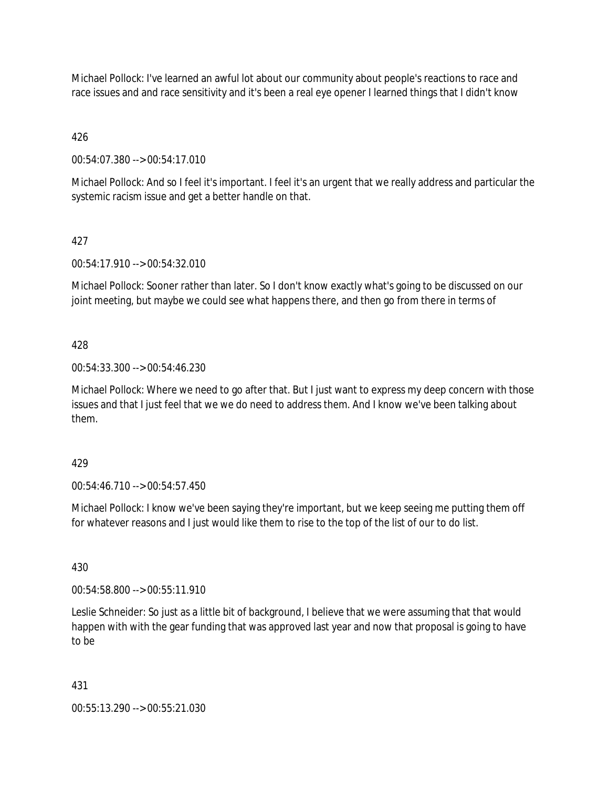Michael Pollock: I've learned an awful lot about our community about people's reactions to race and race issues and and race sensitivity and it's been a real eye opener I learned things that I didn't know

426

00:54:07.380 --> 00:54:17.010

Michael Pollock: And so I feel it's important. I feel it's an urgent that we really address and particular the systemic racism issue and get a better handle on that.

# 427

00:54:17.910 --> 00:54:32.010

Michael Pollock: Sooner rather than later. So I don't know exactly what's going to be discussed on our joint meeting, but maybe we could see what happens there, and then go from there in terms of

# 428

00:54:33.300 --> 00:54:46.230

Michael Pollock: Where we need to go after that. But I just want to express my deep concern with those issues and that I just feel that we we do need to address them. And I know we've been talking about them.

### 429

00:54:46.710 --> 00:54:57.450

Michael Pollock: I know we've been saying they're important, but we keep seeing me putting them off for whatever reasons and I just would like them to rise to the top of the list of our to do list.

430

00:54:58.800 --> 00:55:11.910

Leslie Schneider: So just as a little bit of background, I believe that we were assuming that that would happen with with the gear funding that was approved last year and now that proposal is going to have to be

### 431

00:55:13.290 --> 00:55:21.030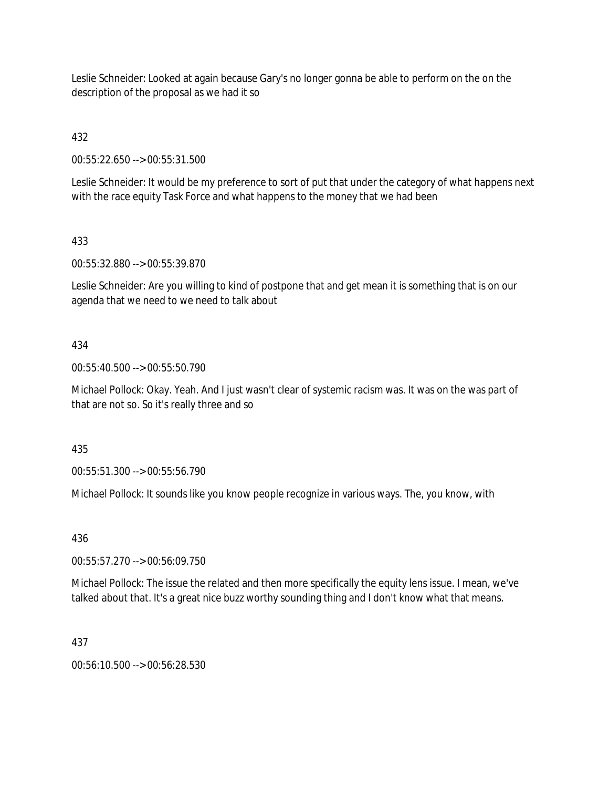Leslie Schneider: Looked at again because Gary's no longer gonna be able to perform on the on the description of the proposal as we had it so

432

00:55:22.650 --> 00:55:31.500

Leslie Schneider: It would be my preference to sort of put that under the category of what happens next with the race equity Task Force and what happens to the money that we had been

# 433

00:55:32.880 --> 00:55:39.870

Leslie Schneider: Are you willing to kind of postpone that and get mean it is something that is on our agenda that we need to we need to talk about

# 434

00:55:40.500 --> 00:55:50.790

Michael Pollock: Okay. Yeah. And I just wasn't clear of systemic racism was. It was on the was part of that are not so. So it's really three and so

435

00:55:51.300 --> 00:55:56.790

Michael Pollock: It sounds like you know people recognize in various ways. The, you know, with

### 436

00:55:57.270 --> 00:56:09.750

Michael Pollock: The issue the related and then more specifically the equity lens issue. I mean, we've talked about that. It's a great nice buzz worthy sounding thing and I don't know what that means.

### 437

00:56:10.500 --> 00:56:28.530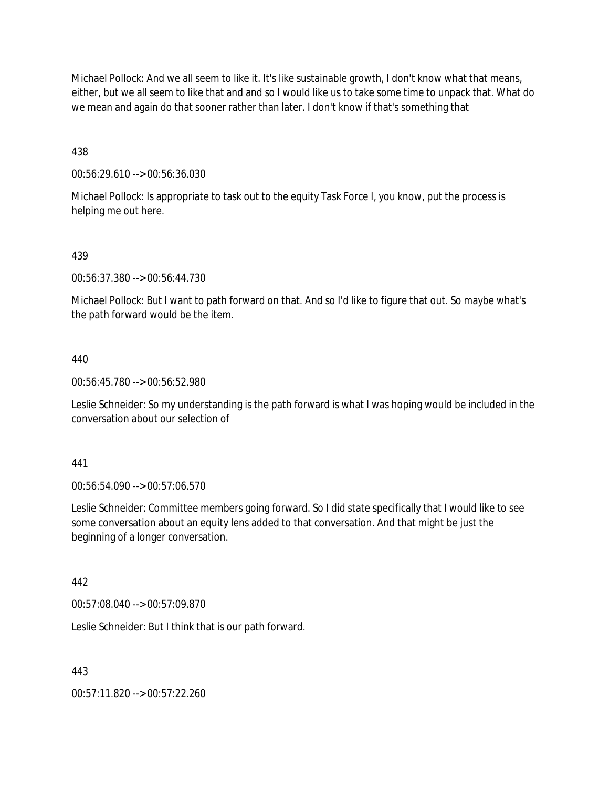Michael Pollock: And we all seem to like it. It's like sustainable growth, I don't know what that means, either, but we all seem to like that and and so I would like us to take some time to unpack that. What do we mean and again do that sooner rather than later. I don't know if that's something that

438

00:56:29.610 --> 00:56:36.030

Michael Pollock: Is appropriate to task out to the equity Task Force I, you know, put the process is helping me out here.

### 439

00:56:37.380 --> 00:56:44.730

Michael Pollock: But I want to path forward on that. And so I'd like to figure that out. So maybe what's the path forward would be the item.

### 440

00:56:45.780 --> 00:56:52.980

Leslie Schneider: So my understanding is the path forward is what I was hoping would be included in the conversation about our selection of

#### 441

00:56:54.090 --> 00:57:06.570

Leslie Schneider: Committee members going forward. So I did state specifically that I would like to see some conversation about an equity lens added to that conversation. And that might be just the beginning of a longer conversation.

### 442

00:57:08.040 --> 00:57:09.870

Leslie Schneider: But I think that is our path forward.

443

00:57:11.820 --> 00:57:22.260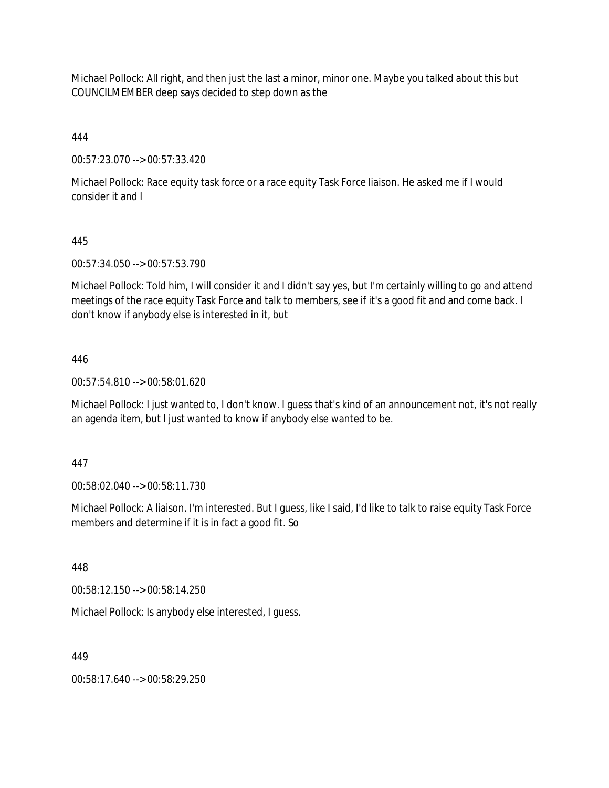Michael Pollock: All right, and then just the last a minor, minor one. Maybe you talked about this but COUNCILMEMBER deep says decided to step down as the

444

00:57:23.070 --> 00:57:33.420

Michael Pollock: Race equity task force or a race equity Task Force liaison. He asked me if I would consider it and I

# 445

00:57:34.050 --> 00:57:53.790

Michael Pollock: Told him, I will consider it and I didn't say yes, but I'm certainly willing to go and attend meetings of the race equity Task Force and talk to members, see if it's a good fit and and come back. I don't know if anybody else is interested in it, but

# 446

00:57:54.810 --> 00:58:01.620

Michael Pollock: I just wanted to, I don't know. I guess that's kind of an announcement not, it's not really an agenda item, but I just wanted to know if anybody else wanted to be.

### 447

00:58:02.040 --> 00:58:11.730

Michael Pollock: A liaison. I'm interested. But I guess, like I said, I'd like to talk to raise equity Task Force members and determine if it is in fact a good fit. So

448

00:58:12.150 --> 00:58:14.250

Michael Pollock: Is anybody else interested, I guess.

### 449

00:58:17.640 --> 00:58:29.250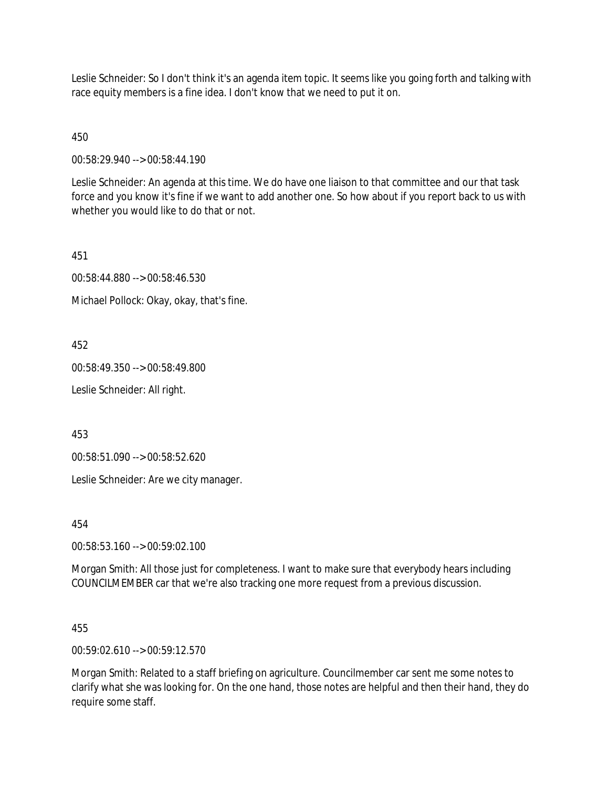Leslie Schneider: So I don't think it's an agenda item topic. It seems like you going forth and talking with race equity members is a fine idea. I don't know that we need to put it on.

450

00:58:29.940 --> 00:58:44.190

Leslie Schneider: An agenda at this time. We do have one liaison to that committee and our that task force and you know it's fine if we want to add another one. So how about if you report back to us with whether you would like to do that or not.

451

00:58:44.880 --> 00:58:46.530

Michael Pollock: Okay, okay, that's fine.

452

00:58:49.350 --> 00:58:49.800

Leslie Schneider: All right.

453

00:58:51.090 --> 00:58:52.620

Leslie Schneider: Are we city manager.

454

00:58:53.160 --> 00:59:02.100

Morgan Smith: All those just for completeness. I want to make sure that everybody hears including COUNCILMEMBER car that we're also tracking one more request from a previous discussion.

455

00:59:02.610 --> 00:59:12.570

Morgan Smith: Related to a staff briefing on agriculture. Councilmember car sent me some notes to clarify what she was looking for. On the one hand, those notes are helpful and then their hand, they do require some staff.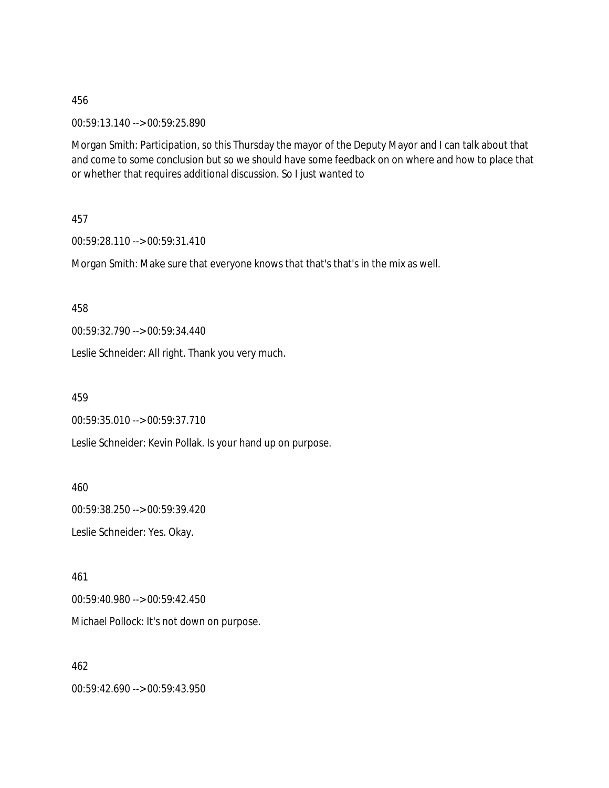00:59:13.140 --> 00:59:25.890

Morgan Smith: Participation, so this Thursday the mayor of the Deputy Mayor and I can talk about that and come to some conclusion but so we should have some feedback on on where and how to place that or whether that requires additional discussion. So I just wanted to

457

00:59:28.110 --> 00:59:31.410

Morgan Smith: Make sure that everyone knows that that's that's in the mix as well.

458

00:59:32.790 --> 00:59:34.440

Leslie Schneider: All right. Thank you very much.

459

00:59:35.010 --> 00:59:37.710

Leslie Schneider: Kevin Pollak. Is your hand up on purpose.

460

00:59:38.250 --> 00:59:39.420

Leslie Schneider: Yes. Okay.

461

00:59:40.980 --> 00:59:42.450

Michael Pollock: It's not down on purpose.

462

00:59:42.690 --> 00:59:43.950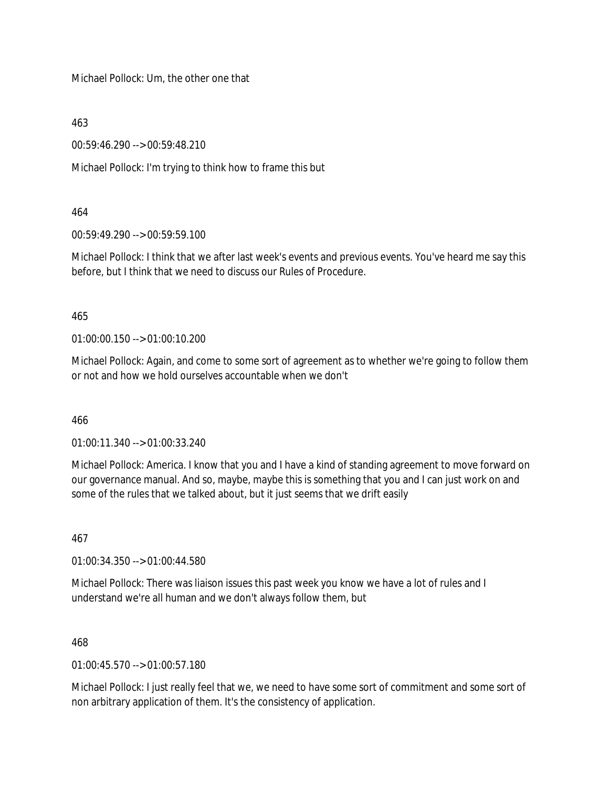Michael Pollock: Um, the other one that

463

00:59:46.290 --> 00:59:48.210

Michael Pollock: I'm trying to think how to frame this but

## 464

00:59:49.290 --> 00:59:59.100

Michael Pollock: I think that we after last week's events and previous events. You've heard me say this before, but I think that we need to discuss our Rules of Procedure.

## 465

01:00:00.150 --> 01:00:10.200

Michael Pollock: Again, and come to some sort of agreement as to whether we're going to follow them or not and how we hold ourselves accountable when we don't

## 466

01:00:11.340 --> 01:00:33.240

Michael Pollock: America. I know that you and I have a kind of standing agreement to move forward on our governance manual. And so, maybe, maybe this is something that you and I can just work on and some of the rules that we talked about, but it just seems that we drift easily

## 467

01:00:34.350 --> 01:00:44.580

Michael Pollock: There was liaison issues this past week you know we have a lot of rules and I understand we're all human and we don't always follow them, but

## 468

 $01:00:45.570 \rightarrow 01:00:57.180$ 

Michael Pollock: I just really feel that we, we need to have some sort of commitment and some sort of non arbitrary application of them. It's the consistency of application.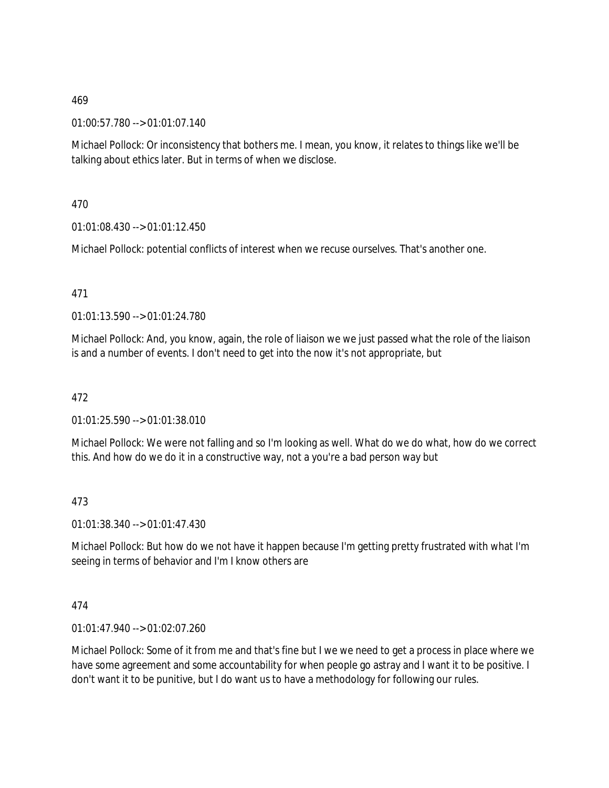01:00:57.780 --> 01:01:07.140

Michael Pollock: Or inconsistency that bothers me. I mean, you know, it relates to things like we'll be talking about ethics later. But in terms of when we disclose.

470

01:01:08.430 --> 01:01:12.450

Michael Pollock: potential conflicts of interest when we recuse ourselves. That's another one.

## 471

01:01:13.590 --> 01:01:24.780

Michael Pollock: And, you know, again, the role of liaison we we just passed what the role of the liaison is and a number of events. I don't need to get into the now it's not appropriate, but

## 472

01:01:25.590 --> 01:01:38.010

Michael Pollock: We were not falling and so I'm looking as well. What do we do what, how do we correct this. And how do we do it in a constructive way, not a you're a bad person way but

## 473

01:01:38.340 --> 01:01:47.430

Michael Pollock: But how do we not have it happen because I'm getting pretty frustrated with what I'm seeing in terms of behavior and I'm I know others are

## 474

01:01:47.940 --> 01:02:07.260

Michael Pollock: Some of it from me and that's fine but I we we need to get a process in place where we have some agreement and some accountability for when people go astray and I want it to be positive. I don't want it to be punitive, but I do want us to have a methodology for following our rules.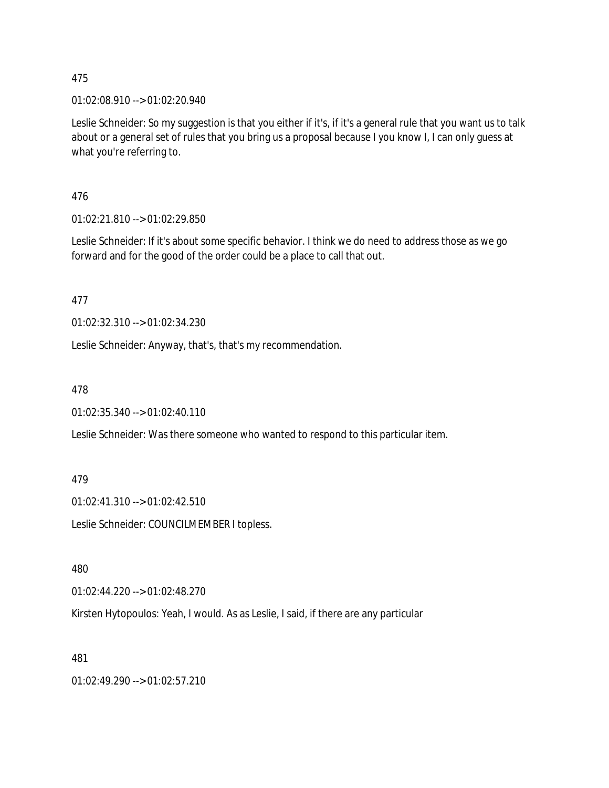01:02:08.910 --> 01:02:20.940

Leslie Schneider: So my suggestion is that you either if it's, if it's a general rule that you want us to talk about or a general set of rules that you bring us a proposal because I you know I, I can only guess at what you're referring to.

476

01:02:21.810 --> 01:02:29.850

Leslie Schneider: If it's about some specific behavior. I think we do need to address those as we go forward and for the good of the order could be a place to call that out.

477

01:02:32.310 --> 01:02:34.230

Leslie Schneider: Anyway, that's, that's my recommendation.

478

01:02:35.340 --> 01:02:40.110

Leslie Schneider: Was there someone who wanted to respond to this particular item.

479

01:02:41.310 --> 01:02:42.510

Leslie Schneider: COUNCILMEMBER I topless.

480

01:02:44.220 --> 01:02:48.270

Kirsten Hytopoulos: Yeah, I would. As as Leslie, I said, if there are any particular

481

01:02:49.290 --> 01:02:57.210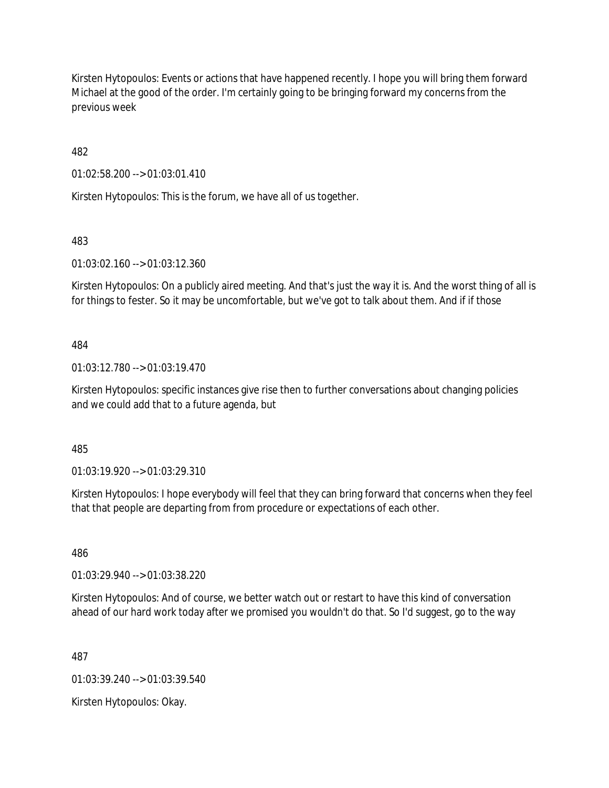Kirsten Hytopoulos: Events or actions that have happened recently. I hope you will bring them forward Michael at the good of the order. I'm certainly going to be bringing forward my concerns from the previous week

482

01:02:58.200 --> 01:03:01.410

Kirsten Hytopoulos: This is the forum, we have all of us together.

483

01:03:02.160 --> 01:03:12.360

Kirsten Hytopoulos: On a publicly aired meeting. And that's just the way it is. And the worst thing of all is for things to fester. So it may be uncomfortable, but we've got to talk about them. And if if those

484

01:03:12.780 --> 01:03:19.470

Kirsten Hytopoulos: specific instances give rise then to further conversations about changing policies and we could add that to a future agenda, but

485

01:03:19.920 --> 01:03:29.310

Kirsten Hytopoulos: I hope everybody will feel that they can bring forward that concerns when they feel that that people are departing from from procedure or expectations of each other.

486

01:03:29.940 --> 01:03:38.220

Kirsten Hytopoulos: And of course, we better watch out or restart to have this kind of conversation ahead of our hard work today after we promised you wouldn't do that. So I'd suggest, go to the way

487

01:03:39.240 --> 01:03:39.540

Kirsten Hytopoulos: Okay.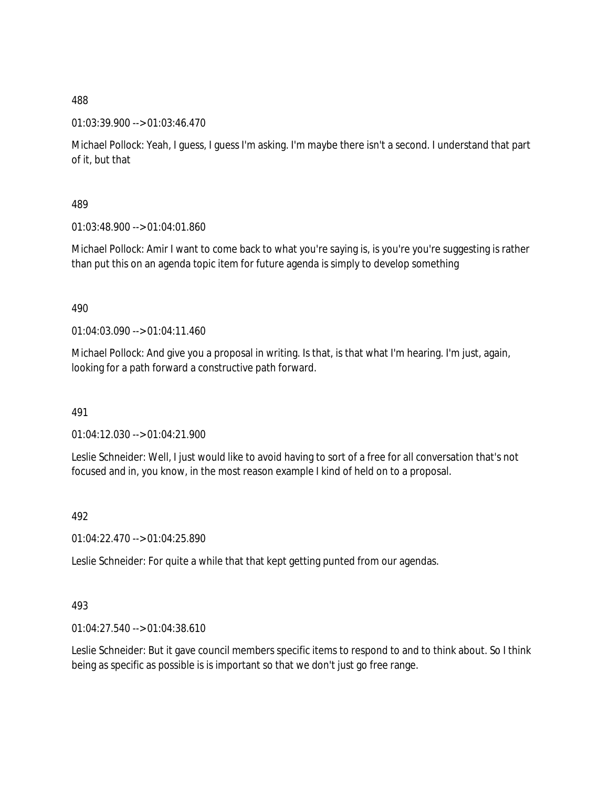## 01:03:39.900 --> 01:03:46.470

Michael Pollock: Yeah, I guess, I guess I'm asking. I'm maybe there isn't a second. I understand that part of it, but that

## 489

01:03:48.900 --> 01:04:01.860

Michael Pollock: Amir I want to come back to what you're saying is, is you're you're suggesting is rather than put this on an agenda topic item for future agenda is simply to develop something

## 490

01:04:03.090 --> 01:04:11.460

Michael Pollock: And give you a proposal in writing. Is that, is that what I'm hearing. I'm just, again, looking for a path forward a constructive path forward.

## 491

01:04:12.030 --> 01:04:21.900

Leslie Schneider: Well, I just would like to avoid having to sort of a free for all conversation that's not focused and in, you know, in the most reason example I kind of held on to a proposal.

# 492

01:04:22.470 --> 01:04:25.890

Leslie Schneider: For quite a while that that kept getting punted from our agendas.

## 493

01:04:27.540 --> 01:04:38.610

Leslie Schneider: But it gave council members specific items to respond to and to think about. So I think being as specific as possible is is important so that we don't just go free range.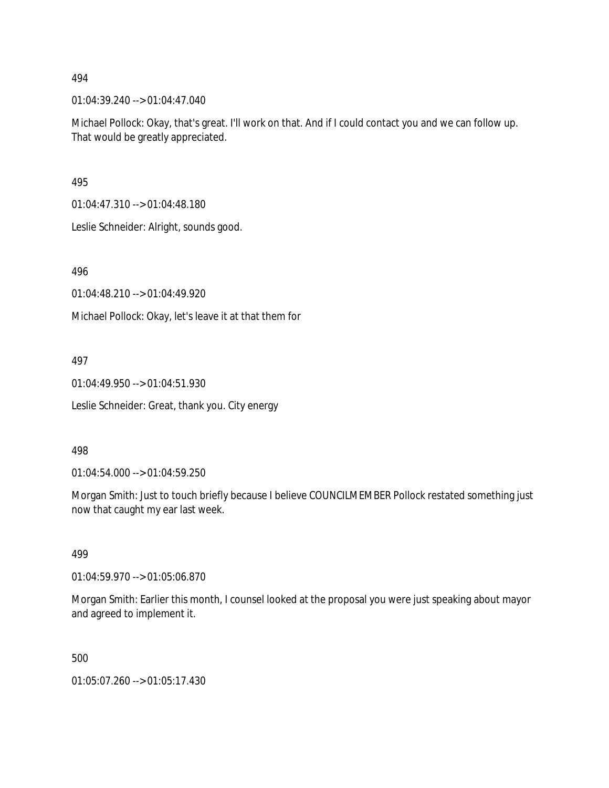01:04:39.240 --> 01:04:47.040

Michael Pollock: Okay, that's great. I'll work on that. And if I could contact you and we can follow up. That would be greatly appreciated.

495

01:04:47.310 --> 01:04:48.180

Leslie Schneider: Alright, sounds good.

496

01:04:48.210 --> 01:04:49.920

Michael Pollock: Okay, let's leave it at that them for

497

01:04:49.950 --> 01:04:51.930

Leslie Schneider: Great, thank you. City energy

#### 498

01:04:54.000 --> 01:04:59.250

Morgan Smith: Just to touch briefly because I believe COUNCILMEMBER Pollock restated something just now that caught my ear last week.

#### 499

01:04:59.970 --> 01:05:06.870

Morgan Smith: Earlier this month, I counsel looked at the proposal you were just speaking about mayor and agreed to implement it.

500

01:05:07.260 --> 01:05:17.430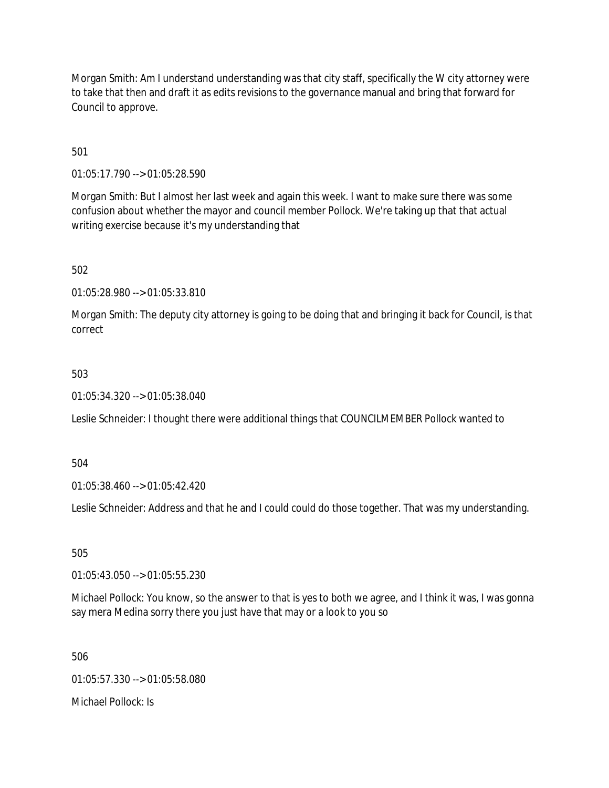Morgan Smith: Am I understand understanding was that city staff, specifically the W city attorney were to take that then and draft it as edits revisions to the governance manual and bring that forward for Council to approve.

501

01:05:17.790 --> 01:05:28.590

Morgan Smith: But I almost her last week and again this week. I want to make sure there was some confusion about whether the mayor and council member Pollock. We're taking up that that actual writing exercise because it's my understanding that

502

01:05:28.980 --> 01:05:33.810

Morgan Smith: The deputy city attorney is going to be doing that and bringing it back for Council, is that correct

## 503

01:05:34.320 --> 01:05:38.040

Leslie Schneider: I thought there were additional things that COUNCILMEMBER Pollock wanted to

504

01:05:38.460 --> 01:05:42.420

Leslie Schneider: Address and that he and I could could do those together. That was my understanding.

505

01:05:43.050 --> 01:05:55.230

Michael Pollock: You know, so the answer to that is yes to both we agree, and I think it was, I was gonna say mera Medina sorry there you just have that may or a look to you so

506

01:05:57.330 --> 01:05:58.080

Michael Pollock: Is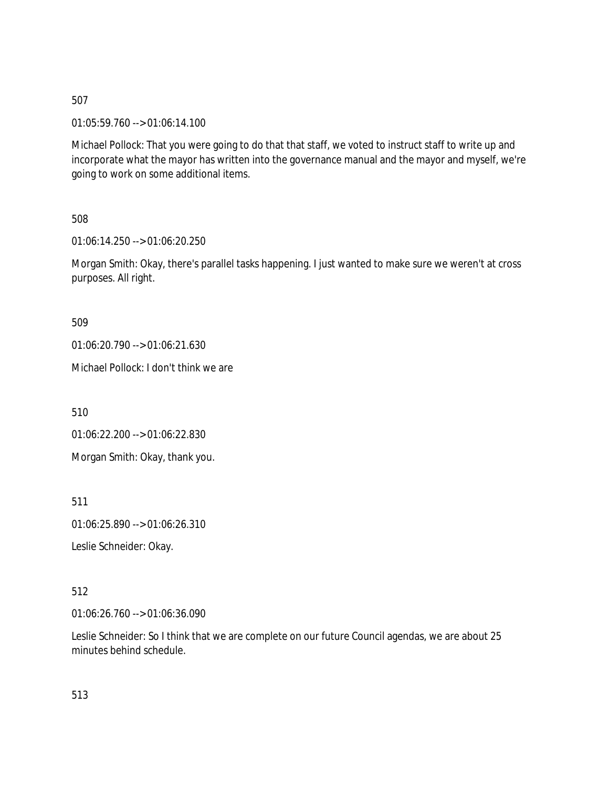01:05:59.760 --> 01:06:14.100

Michael Pollock: That you were going to do that that staff, we voted to instruct staff to write up and incorporate what the mayor has written into the governance manual and the mayor and myself, we're going to work on some additional items.

508

01:06:14.250 --> 01:06:20.250

Morgan Smith: Okay, there's parallel tasks happening. I just wanted to make sure we weren't at cross purposes. All right.

509

01:06:20.790 --> 01:06:21.630

Michael Pollock: I don't think we are

510

01:06:22.200 --> 01:06:22.830

Morgan Smith: Okay, thank you.

511

01:06:25.890 --> 01:06:26.310

Leslie Schneider: Okay.

512

01:06:26.760 --> 01:06:36.090

Leslie Schneider: So I think that we are complete on our future Council agendas, we are about 25 minutes behind schedule.

513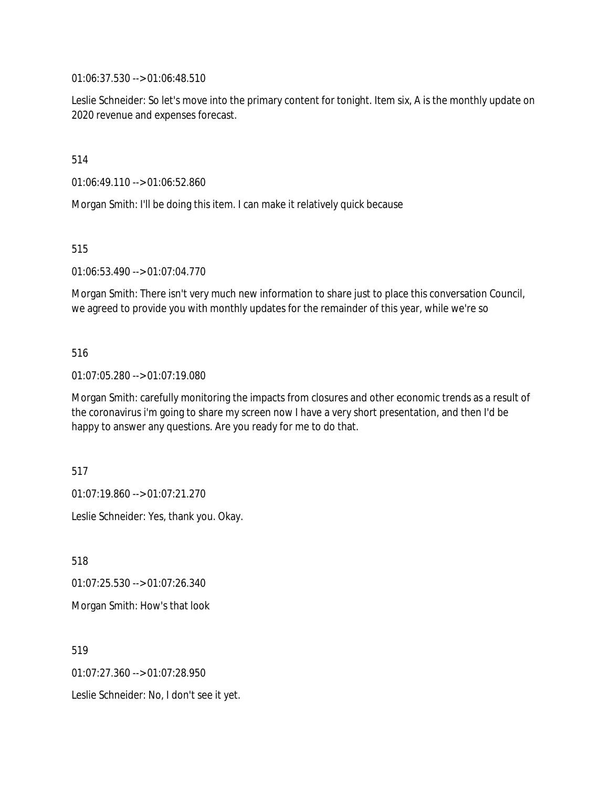01:06:37.530 --> 01:06:48.510

Leslie Schneider: So let's move into the primary content for tonight. Item six, A is the monthly update on 2020 revenue and expenses forecast.

514

01:06:49.110 --> 01:06:52.860

Morgan Smith: I'll be doing this item. I can make it relatively quick because

515

01:06:53.490 --> 01:07:04.770

Morgan Smith: There isn't very much new information to share just to place this conversation Council, we agreed to provide you with monthly updates for the remainder of this year, while we're so

516

01:07:05.280 --> 01:07:19.080

Morgan Smith: carefully monitoring the impacts from closures and other economic trends as a result of the coronavirus i'm going to share my screen now I have a very short presentation, and then I'd be happy to answer any questions. Are you ready for me to do that.

517

01:07:19.860 --> 01:07:21.270

Leslie Schneider: Yes, thank you. Okay.

518

01:07:25.530 --> 01:07:26.340

Morgan Smith: How's that look

519

01:07:27.360 --> 01:07:28.950

Leslie Schneider: No, I don't see it yet.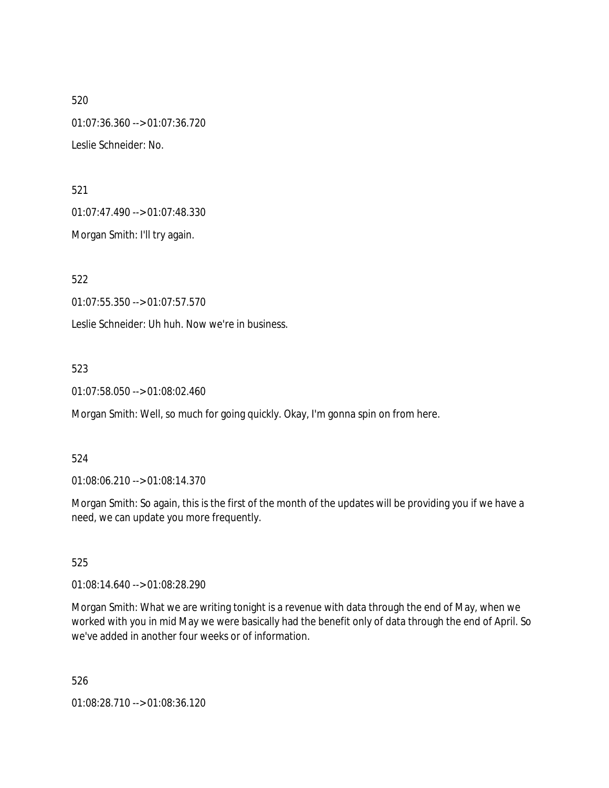520 01:07:36.360 --> 01:07:36.720 Leslie Schneider: No.

521

01:07:47.490 --> 01:07:48.330

Morgan Smith: I'll try again.

522

01:07:55.350 --> 01:07:57.570

Leslie Schneider: Uh huh. Now we're in business.

523

01:07:58.050 --> 01:08:02.460

Morgan Smith: Well, so much for going quickly. Okay, I'm gonna spin on from here.

## 524

01:08:06.210 --> 01:08:14.370

Morgan Smith: So again, this is the first of the month of the updates will be providing you if we have a need, we can update you more frequently.

525

01:08:14.640 --> 01:08:28.290

Morgan Smith: What we are writing tonight is a revenue with data through the end of May, when we worked with you in mid May we were basically had the benefit only of data through the end of April. So we've added in another four weeks or of information.

526

01:08:28.710 --> 01:08:36.120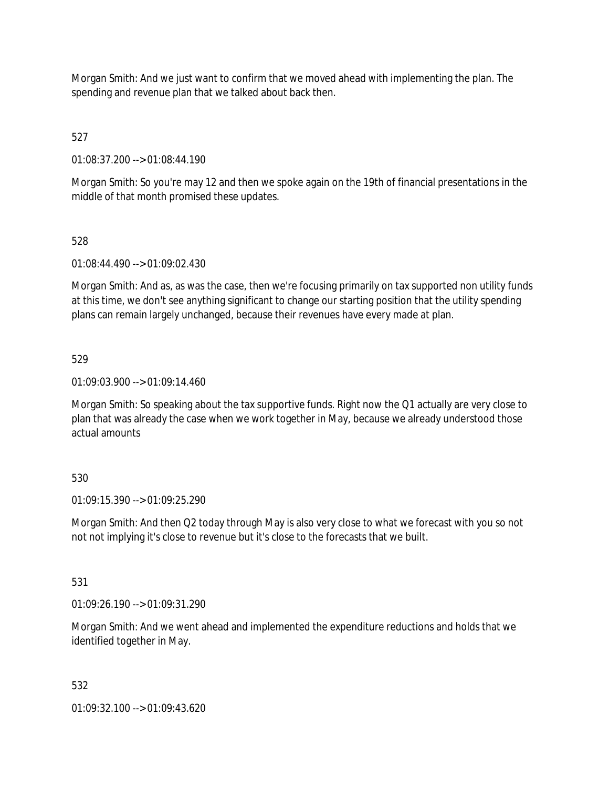Morgan Smith: And we just want to confirm that we moved ahead with implementing the plan. The spending and revenue plan that we talked about back then.

527

01:08:37.200 --> 01:08:44.190

Morgan Smith: So you're may 12 and then we spoke again on the 19th of financial presentations in the middle of that month promised these updates.

## 528

01:08:44.490 --> 01:09:02.430

Morgan Smith: And as, as was the case, then we're focusing primarily on tax supported non utility funds at this time, we don't see anything significant to change our starting position that the utility spending plans can remain largely unchanged, because their revenues have every made at plan.

## 529

01:09:03.900 --> 01:09:14.460

Morgan Smith: So speaking about the tax supportive funds. Right now the Q1 actually are very close to plan that was already the case when we work together in May, because we already understood those actual amounts

## 530

01:09:15.390 --> 01:09:25.290

Morgan Smith: And then Q2 today through May is also very close to what we forecast with you so not not not implying it's close to revenue but it's close to the forecasts that we built.

## 531

01:09:26.190 --> 01:09:31.290

Morgan Smith: And we went ahead and implemented the expenditure reductions and holds that we identified together in May.

## 532

01:09:32.100 --> 01:09:43.620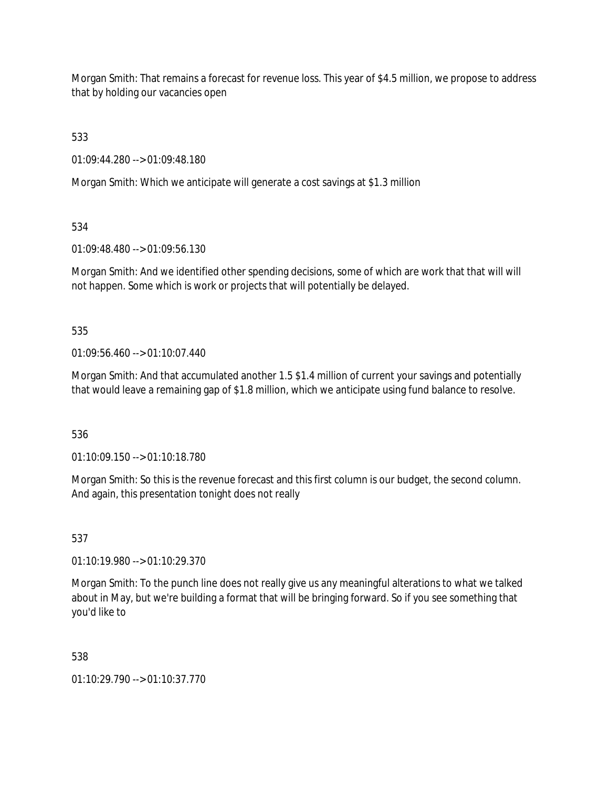Morgan Smith: That remains a forecast for revenue loss. This year of \$4.5 million, we propose to address that by holding our vacancies open

533

01:09:44.280 --> 01:09:48.180

Morgan Smith: Which we anticipate will generate a cost savings at \$1.3 million

534

01:09:48.480 --> 01:09:56.130

Morgan Smith: And we identified other spending decisions, some of which are work that that will will not happen. Some which is work or projects that will potentially be delayed.

535

 $01:09:56.460 \rightarrow 01:10:07.440$ 

Morgan Smith: And that accumulated another 1.5 \$1.4 million of current your savings and potentially that would leave a remaining gap of \$1.8 million, which we anticipate using fund balance to resolve.

536

01:10:09.150 --> 01:10:18.780

Morgan Smith: So this is the revenue forecast and this first column is our budget, the second column. And again, this presentation tonight does not really

537

01:10:19.980 --> 01:10:29.370

Morgan Smith: To the punch line does not really give us any meaningful alterations to what we talked about in May, but we're building a format that will be bringing forward. So if you see something that you'd like to

538

01:10:29.790 --> 01:10:37.770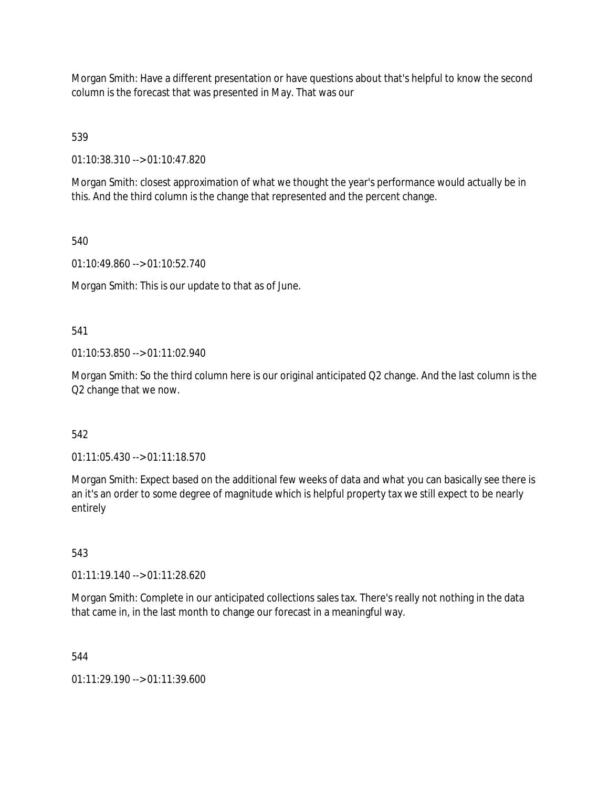Morgan Smith: Have a different presentation or have questions about that's helpful to know the second column is the forecast that was presented in May. That was our

539

01:10:38.310 --> 01:10:47.820

Morgan Smith: closest approximation of what we thought the year's performance would actually be in this. And the third column is the change that represented and the percent change.

540

01:10:49.860 --> 01:10:52.740

Morgan Smith: This is our update to that as of June.

541

01:10:53.850 --> 01:11:02.940

Morgan Smith: So the third column here is our original anticipated Q2 change. And the last column is the Q2 change that we now.

542

01:11:05.430 --> 01:11:18.570

Morgan Smith: Expect based on the additional few weeks of data and what you can basically see there is an it's an order to some degree of magnitude which is helpful property tax we still expect to be nearly entirely

543

01:11:19.140 --> 01:11:28.620

Morgan Smith: Complete in our anticipated collections sales tax. There's really not nothing in the data that came in, in the last month to change our forecast in a meaningful way.

544

01:11:29.190 --> 01:11:39.600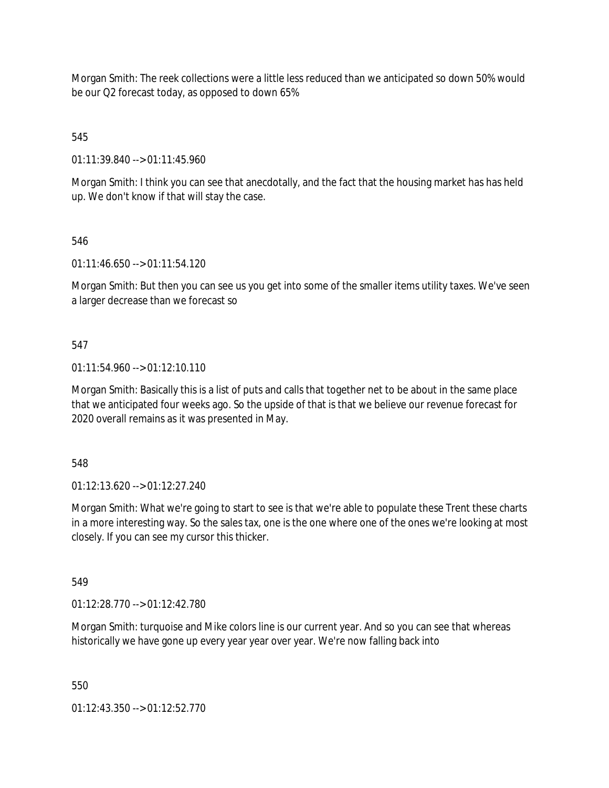Morgan Smith: The reek collections were a little less reduced than we anticipated so down 50% would be our Q2 forecast today, as opposed to down 65%

545

01:11:39.840 --> 01:11:45.960

Morgan Smith: I think you can see that anecdotally, and the fact that the housing market has has held up. We don't know if that will stay the case.

# 546

01:11:46.650 --> 01:11:54.120

Morgan Smith: But then you can see us you get into some of the smaller items utility taxes. We've seen a larger decrease than we forecast so

# 547

01:11:54.960 --> 01:12:10.110

Morgan Smith: Basically this is a list of puts and calls that together net to be about in the same place that we anticipated four weeks ago. So the upside of that is that we believe our revenue forecast for 2020 overall remains as it was presented in May.

548

01:12:13.620 --> 01:12:27.240

Morgan Smith: What we're going to start to see is that we're able to populate these Trent these charts in a more interesting way. So the sales tax, one is the one where one of the ones we're looking at most closely. If you can see my cursor this thicker.

549

01:12:28.770 --> 01:12:42.780

Morgan Smith: turquoise and Mike colors line is our current year. And so you can see that whereas historically we have gone up every year year over year. We're now falling back into

550

01:12:43.350 --> 01:12:52.770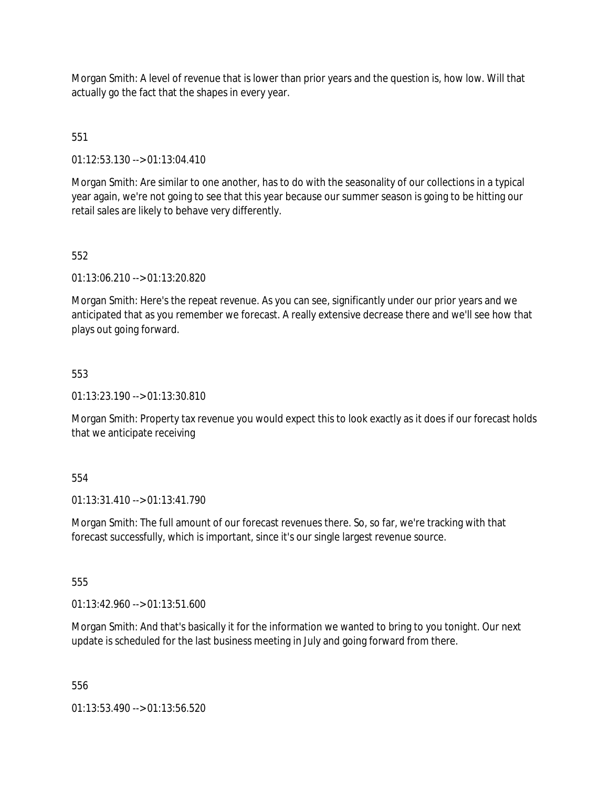Morgan Smith: A level of revenue that is lower than prior years and the question is, how low. Will that actually go the fact that the shapes in every year.

551

01:12:53.130 --> 01:13:04.410

Morgan Smith: Are similar to one another, has to do with the seasonality of our collections in a typical year again, we're not going to see that this year because our summer season is going to be hitting our retail sales are likely to behave very differently.

552

01:13:06.210 --> 01:13:20.820

Morgan Smith: Here's the repeat revenue. As you can see, significantly under our prior years and we anticipated that as you remember we forecast. A really extensive decrease there and we'll see how that plays out going forward.

553

01:13:23.190 --> 01:13:30.810

Morgan Smith: Property tax revenue you would expect this to look exactly as it does if our forecast holds that we anticipate receiving

554

01:13:31.410 --> 01:13:41.790

Morgan Smith: The full amount of our forecast revenues there. So, so far, we're tracking with that forecast successfully, which is important, since it's our single largest revenue source.

555

01:13:42.960 --> 01:13:51.600

Morgan Smith: And that's basically it for the information we wanted to bring to you tonight. Our next update is scheduled for the last business meeting in July and going forward from there.

556

01:13:53.490 --> 01:13:56.520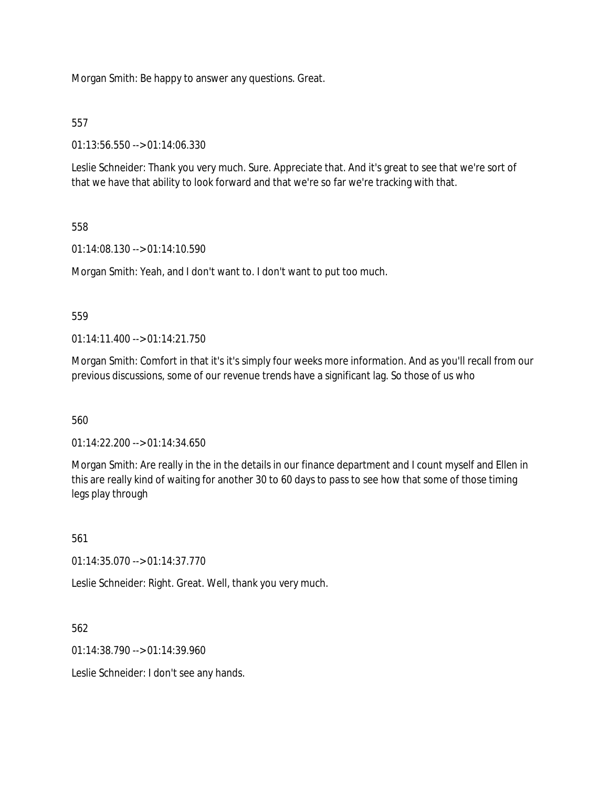Morgan Smith: Be happy to answer any questions. Great.

## 557

01:13:56.550 --> 01:14:06.330

Leslie Schneider: Thank you very much. Sure. Appreciate that. And it's great to see that we're sort of that we have that ability to look forward and that we're so far we're tracking with that.

## 558

01:14:08.130 --> 01:14:10.590

Morgan Smith: Yeah, and I don't want to. I don't want to put too much.

## 559

01:14:11.400 --> 01:14:21.750

Morgan Smith: Comfort in that it's it's simply four weeks more information. And as you'll recall from our previous discussions, some of our revenue trends have a significant lag. So those of us who

## 560

01:14:22.200 --> 01:14:34.650

Morgan Smith: Are really in the in the details in our finance department and I count myself and Ellen in this are really kind of waiting for another 30 to 60 days to pass to see how that some of those timing legs play through

## 561

01:14:35.070 --> 01:14:37.770

Leslie Schneider: Right. Great. Well, thank you very much.

## 562

01:14:38.790 --> 01:14:39.960

Leslie Schneider: I don't see any hands.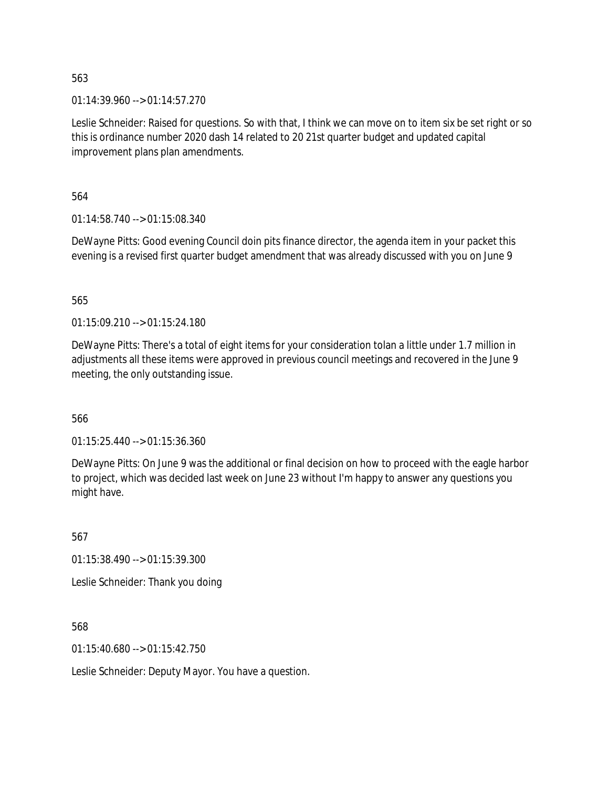01:14:39.960 --> 01:14:57.270

Leslie Schneider: Raised for questions. So with that, I think we can move on to item six be set right or so this is ordinance number 2020 dash 14 related to 20 21st quarter budget and updated capital improvement plans plan amendments.

564

01:14:58.740 --> 01:15:08.340

DeWayne Pitts: Good evening Council doin pits finance director, the agenda item in your packet this evening is a revised first quarter budget amendment that was already discussed with you on June 9

565

01:15:09.210 --> 01:15:24.180

DeWayne Pitts: There's a total of eight items for your consideration tolan a little under 1.7 million in adjustments all these items were approved in previous council meetings and recovered in the June 9 meeting, the only outstanding issue.

566

01:15:25.440 --> 01:15:36.360

DeWayne Pitts: On June 9 was the additional or final decision on how to proceed with the eagle harbor to project, which was decided last week on June 23 without I'm happy to answer any questions you might have.

567

01:15:38.490 --> 01:15:39.300

Leslie Schneider: Thank you doing

568

01:15:40.680 --> 01:15:42.750

Leslie Schneider: Deputy Mayor. You have a question.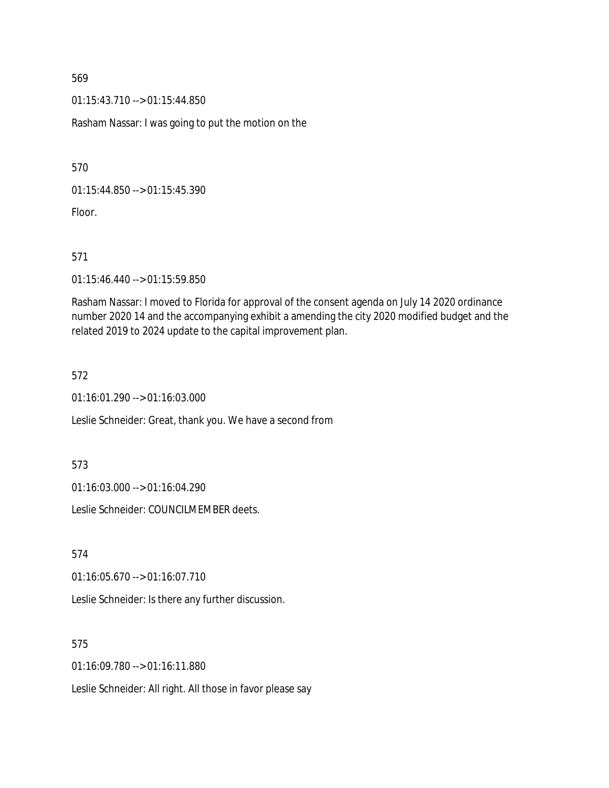01:15:43.710 --> 01:15:44.850

Rasham Nassar: I was going to put the motion on the

570

01:15:44.850 --> 01:15:45.390

Floor.

571

01:15:46.440 --> 01:15:59.850

Rasham Nassar: I moved to Florida for approval of the consent agenda on July 14 2020 ordinance number 2020 14 and the accompanying exhibit a amending the city 2020 modified budget and the related 2019 to 2024 update to the capital improvement plan.

572

01:16:01.290 --> 01:16:03.000

Leslie Schneider: Great, thank you. We have a second from

573

01:16:03.000 --> 01:16:04.290

Leslie Schneider: COUNCILMEMBER deets.

574

01:16:05.670 --> 01:16:07.710

Leslie Schneider: Is there any further discussion.

575

01:16:09.780 --> 01:16:11.880

Leslie Schneider: All right. All those in favor please say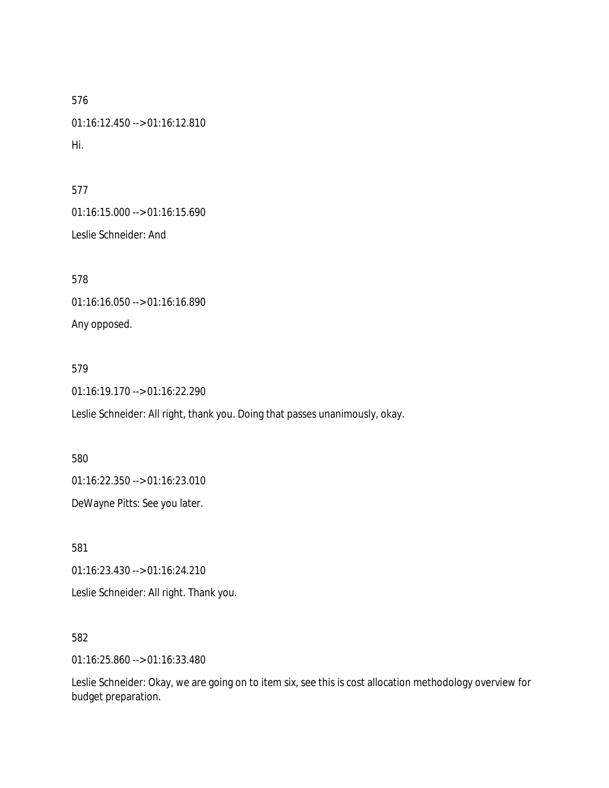576 01:16:12.450 --> 01:16:12.810 Hi.

577

01:16:15.000 --> 01:16:15.690

Leslie Schneider: And

578

01:16:16.050 --> 01:16:16.890

Any opposed.

579

01:16:19.170 --> 01:16:22.290

Leslie Schneider: All right, thank you. Doing that passes unanimously, okay.

580

01:16:22.350 --> 01:16:23.010

DeWayne Pitts: See you later.

581

01:16:23.430 --> 01:16:24.210

Leslie Schneider: All right. Thank you.

582

01:16:25.860 --> 01:16:33.480

Leslie Schneider: Okay, we are going on to item six, see this is cost allocation methodology overview for budget preparation.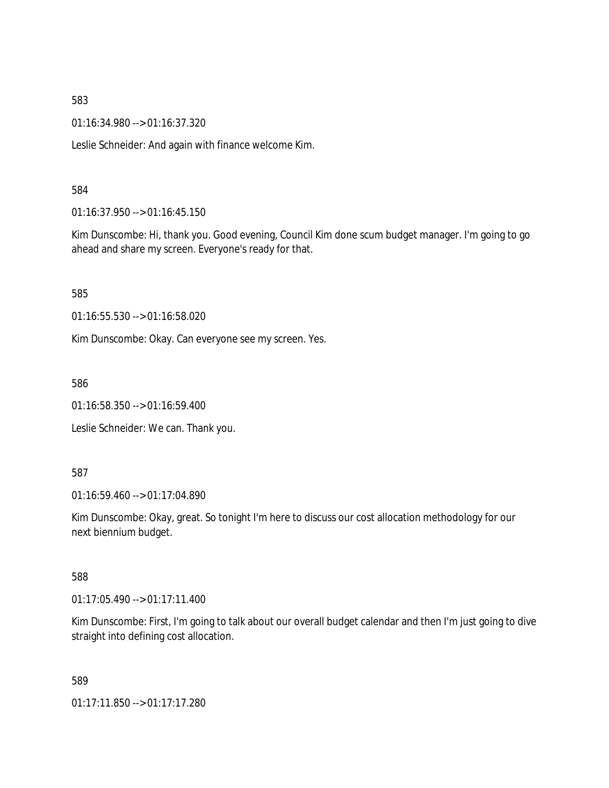01:16:34.980 --> 01:16:37.320

Leslie Schneider: And again with finance welcome Kim.

#### 584

01:16:37.950 --> 01:16:45.150

Kim Dunscombe: Hi, thank you. Good evening, Council Kim done scum budget manager. I'm going to go ahead and share my screen. Everyone's ready for that.

585

01:16:55.530 --> 01:16:58.020

Kim Dunscombe: Okay. Can everyone see my screen. Yes.

586

01:16:58.350 --> 01:16:59.400

Leslie Schneider: We can. Thank you.

#### 587

01:16:59.460 --> 01:17:04.890

Kim Dunscombe: Okay, great. So tonight I'm here to discuss our cost allocation methodology for our next biennium budget.

## 588

01:17:05.490 --> 01:17:11.400

Kim Dunscombe: First, I'm going to talk about our overall budget calendar and then I'm just going to dive straight into defining cost allocation.

589

01:17:11.850 --> 01:17:17.280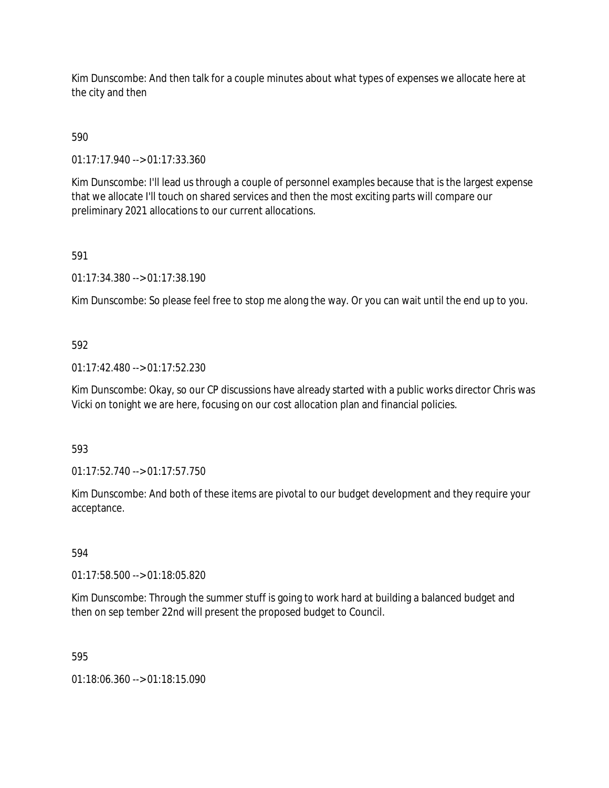Kim Dunscombe: And then talk for a couple minutes about what types of expenses we allocate here at the city and then

# 590

01:17:17.940 --> 01:17:33.360

Kim Dunscombe: I'll lead us through a couple of personnel examples because that is the largest expense that we allocate I'll touch on shared services and then the most exciting parts will compare our preliminary 2021 allocations to our current allocations.

# 591

01:17:34.380 --> 01:17:38.190

Kim Dunscombe: So please feel free to stop me along the way. Or you can wait until the end up to you.

# 592

01:17:42.480 --> 01:17:52.230

Kim Dunscombe: Okay, so our CP discussions have already started with a public works director Chris was Vicki on tonight we are here, focusing on our cost allocation plan and financial policies.

# 593

01:17:52.740 --> 01:17:57.750

Kim Dunscombe: And both of these items are pivotal to our budget development and they require your acceptance.

# 594

01:17:58.500 --> 01:18:05.820

Kim Dunscombe: Through the summer stuff is going to work hard at building a balanced budget and then on sep tember 22nd will present the proposed budget to Council.

# 595

01:18:06.360 --> 01:18:15.090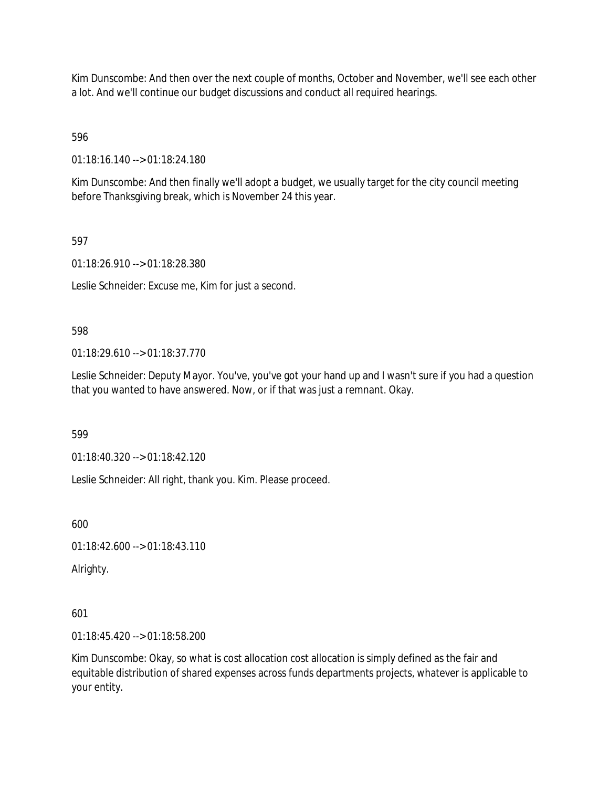Kim Dunscombe: And then over the next couple of months, October and November, we'll see each other a lot. And we'll continue our budget discussions and conduct all required hearings.

596

01:18:16.140 --> 01:18:24.180

Kim Dunscombe: And then finally we'll adopt a budget, we usually target for the city council meeting before Thanksgiving break, which is November 24 this year.

597

01:18:26.910 --> 01:18:28.380

Leslie Schneider: Excuse me, Kim for just a second.

598

01:18:29.610 --> 01:18:37.770

Leslie Schneider: Deputy Mayor. You've, you've got your hand up and I wasn't sure if you had a question that you wanted to have answered. Now, or if that was just a remnant. Okay.

599

01:18:40.320 --> 01:18:42.120

Leslie Schneider: All right, thank you. Kim. Please proceed.

600

01:18:42.600 --> 01:18:43.110

Alrighty.

601

01:18:45.420 --> 01:18:58.200

Kim Dunscombe: Okay, so what is cost allocation cost allocation is simply defined as the fair and equitable distribution of shared expenses across funds departments projects, whatever is applicable to your entity.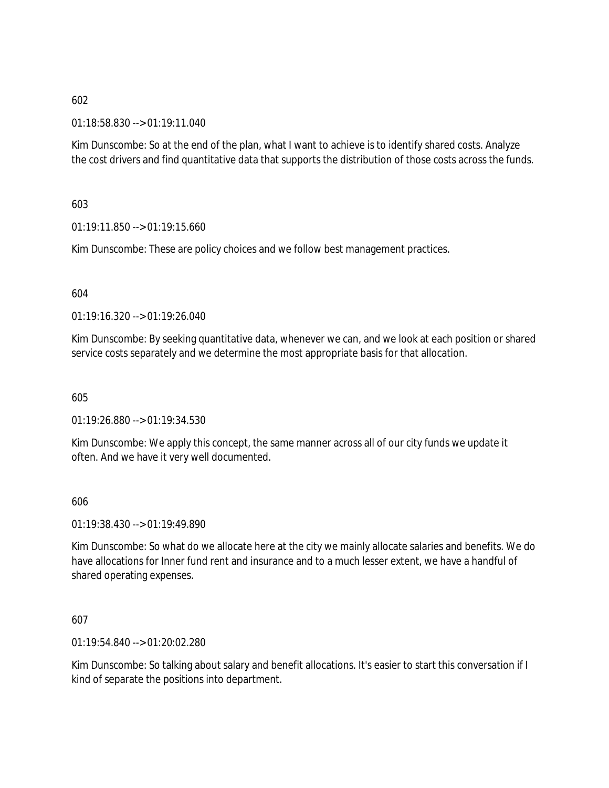01:18:58.830 --> 01:19:11.040

Kim Dunscombe: So at the end of the plan, what I want to achieve is to identify shared costs. Analyze the cost drivers and find quantitative data that supports the distribution of those costs across the funds.

603

 $01:19:11.850 \rightarrow 01:19:15.660$ 

Kim Dunscombe: These are policy choices and we follow best management practices.

604

01:19:16.320 --> 01:19:26.040

Kim Dunscombe: By seeking quantitative data, whenever we can, and we look at each position or shared service costs separately and we determine the most appropriate basis for that allocation.

605

01:19:26.880 --> 01:19:34.530

Kim Dunscombe: We apply this concept, the same manner across all of our city funds we update it often. And we have it very well documented.

606

01:19:38.430 --> 01:19:49.890

Kim Dunscombe: So what do we allocate here at the city we mainly allocate salaries and benefits. We do have allocations for Inner fund rent and insurance and to a much lesser extent, we have a handful of shared operating expenses.

607

01:19:54.840 --> 01:20:02.280

Kim Dunscombe: So talking about salary and benefit allocations. It's easier to start this conversation if I kind of separate the positions into department.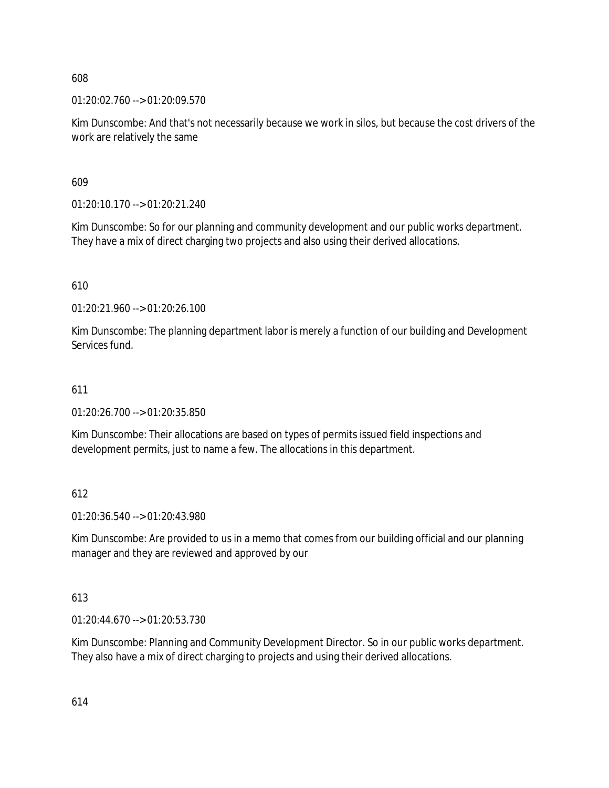01:20:02.760 --> 01:20:09.570

Kim Dunscombe: And that's not necessarily because we work in silos, but because the cost drivers of the work are relatively the same

609

01:20:10.170 --> 01:20:21.240

Kim Dunscombe: So for our planning and community development and our public works department. They have a mix of direct charging two projects and also using their derived allocations.

610

01:20:21.960 --> 01:20:26.100

Kim Dunscombe: The planning department labor is merely a function of our building and Development Services fund.

# 611

01:20:26.700 --> 01:20:35.850

Kim Dunscombe: Their allocations are based on types of permits issued field inspections and development permits, just to name a few. The allocations in this department.

# 612

01:20:36.540 --> 01:20:43.980

Kim Dunscombe: Are provided to us in a memo that comes from our building official and our planning manager and they are reviewed and approved by our

## 613

01:20:44.670 --> 01:20:53.730

Kim Dunscombe: Planning and Community Development Director. So in our public works department. They also have a mix of direct charging to projects and using their derived allocations.

614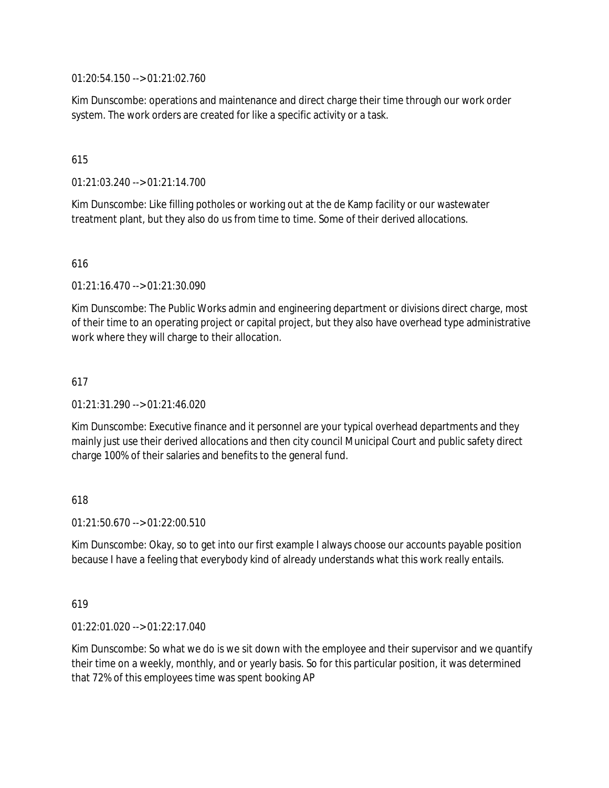01:20:54.150 --> 01:21:02.760

Kim Dunscombe: operations and maintenance and direct charge their time through our work order system. The work orders are created for like a specific activity or a task.

## 615

01:21:03.240 --> 01:21:14.700

Kim Dunscombe: Like filling potholes or working out at the de Kamp facility or our wastewater treatment plant, but they also do us from time to time. Some of their derived allocations.

## 616

01:21:16.470 --> 01:21:30.090

Kim Dunscombe: The Public Works admin and engineering department or divisions direct charge, most of their time to an operating project or capital project, but they also have overhead type administrative work where they will charge to their allocation.

## 617

01:21:31.290 --> 01:21:46.020

Kim Dunscombe: Executive finance and it personnel are your typical overhead departments and they mainly just use their derived allocations and then city council Municipal Court and public safety direct charge 100% of their salaries and benefits to the general fund.

## 618

01:21:50.670 --> 01:22:00.510

Kim Dunscombe: Okay, so to get into our first example I always choose our accounts payable position because I have a feeling that everybody kind of already understands what this work really entails.

## 619

01:22:01.020 --> 01:22:17.040

Kim Dunscombe: So what we do is we sit down with the employee and their supervisor and we quantify their time on a weekly, monthly, and or yearly basis. So for this particular position, it was determined that 72% of this employees time was spent booking AP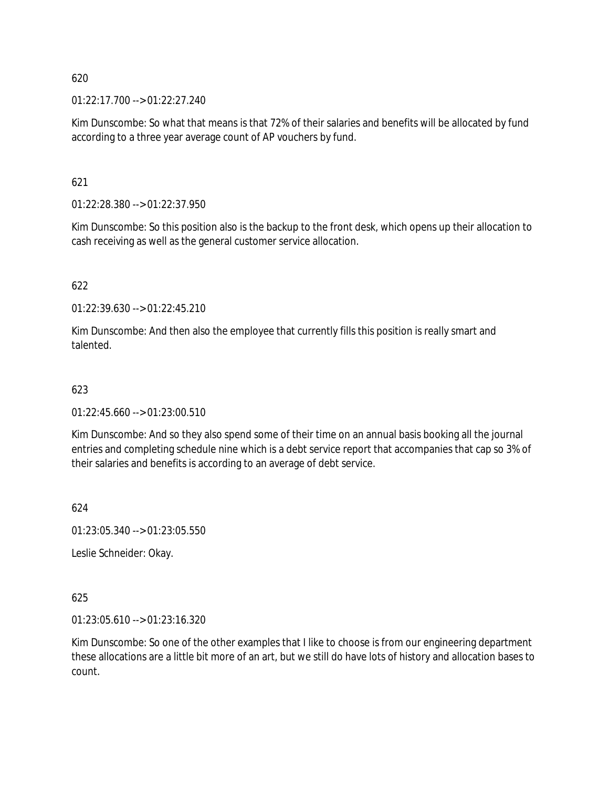01:22:17.700 --> 01:22:27.240

Kim Dunscombe: So what that means is that 72% of their salaries and benefits will be allocated by fund according to a three year average count of AP vouchers by fund.

621

01:22:28.380 --> 01:22:37.950

Kim Dunscombe: So this position also is the backup to the front desk, which opens up their allocation to cash receiving as well as the general customer service allocation.

## 622

01:22:39.630 --> 01:22:45.210

Kim Dunscombe: And then also the employee that currently fills this position is really smart and talented.

## 623

 $01:22:45.660 \rightarrow 01:23:00.510$ 

Kim Dunscombe: And so they also spend some of their time on an annual basis booking all the journal entries and completing schedule nine which is a debt service report that accompanies that cap so 3% of their salaries and benefits is according to an average of debt service.

624

01:23:05.340 --> 01:23:05.550

Leslie Schneider: Okay.

## 625

01:23:05.610 --> 01:23:16.320

Kim Dunscombe: So one of the other examples that I like to choose is from our engineering department these allocations are a little bit more of an art, but we still do have lots of history and allocation bases to count.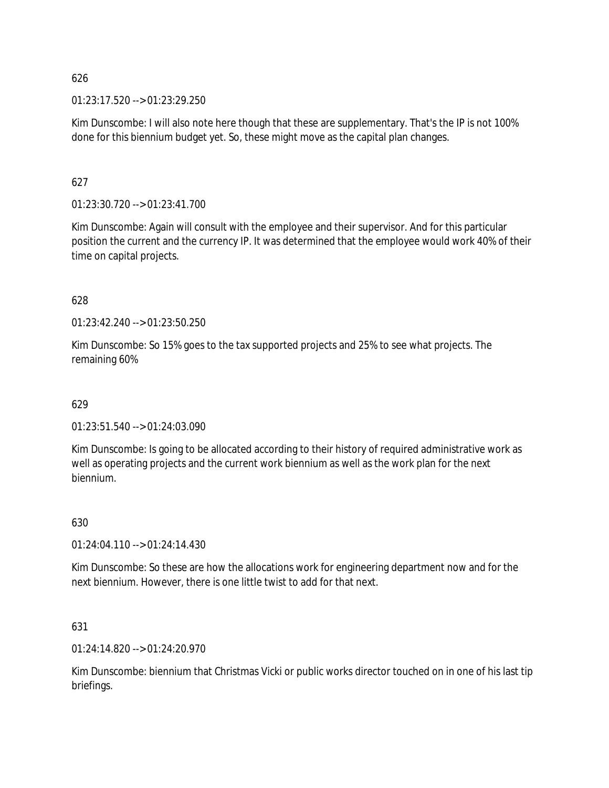01:23:17.520 --> 01:23:29.250

Kim Dunscombe: I will also note here though that these are supplementary. That's the IP is not 100% done for this biennium budget yet. So, these might move as the capital plan changes.

## 627

01:23:30.720 --> 01:23:41.700

Kim Dunscombe: Again will consult with the employee and their supervisor. And for this particular position the current and the currency IP. It was determined that the employee would work 40% of their time on capital projects.

## 628

01:23:42.240 --> 01:23:50.250

Kim Dunscombe: So 15% goes to the tax supported projects and 25% to see what projects. The remaining 60%

## 629

01:23:51.540 --> 01:24:03.090

Kim Dunscombe: Is going to be allocated according to their history of required administrative work as well as operating projects and the current work biennium as well as the work plan for the next biennium.

## 630

01:24:04.110 --> 01:24:14.430

Kim Dunscombe: So these are how the allocations work for engineering department now and for the next biennium. However, there is one little twist to add for that next.

## 631

01:24:14.820 --> 01:24:20.970

Kim Dunscombe: biennium that Christmas Vicki or public works director touched on in one of his last tip briefings.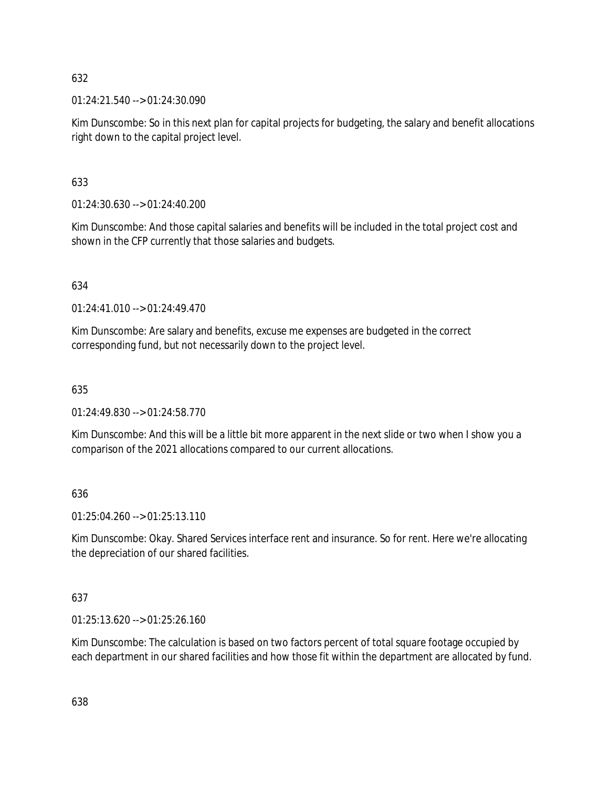01:24:21.540 --> 01:24:30.090

Kim Dunscombe: So in this next plan for capital projects for budgeting, the salary and benefit allocations right down to the capital project level.

633

01:24:30.630 --> 01:24:40.200

Kim Dunscombe: And those capital salaries and benefits will be included in the total project cost and shown in the CFP currently that those salaries and budgets.

634

01:24:41.010 --> 01:24:49.470

Kim Dunscombe: Are salary and benefits, excuse me expenses are budgeted in the correct corresponding fund, but not necessarily down to the project level.

635

01:24:49.830 --> 01:24:58.770

Kim Dunscombe: And this will be a little bit more apparent in the next slide or two when I show you a comparison of the 2021 allocations compared to our current allocations.

636

01:25:04.260 --> 01:25:13.110

Kim Dunscombe: Okay. Shared Services interface rent and insurance. So for rent. Here we're allocating the depreciation of our shared facilities.

637

01:25:13.620 --> 01:25:26.160

Kim Dunscombe: The calculation is based on two factors percent of total square footage occupied by each department in our shared facilities and how those fit within the department are allocated by fund.

638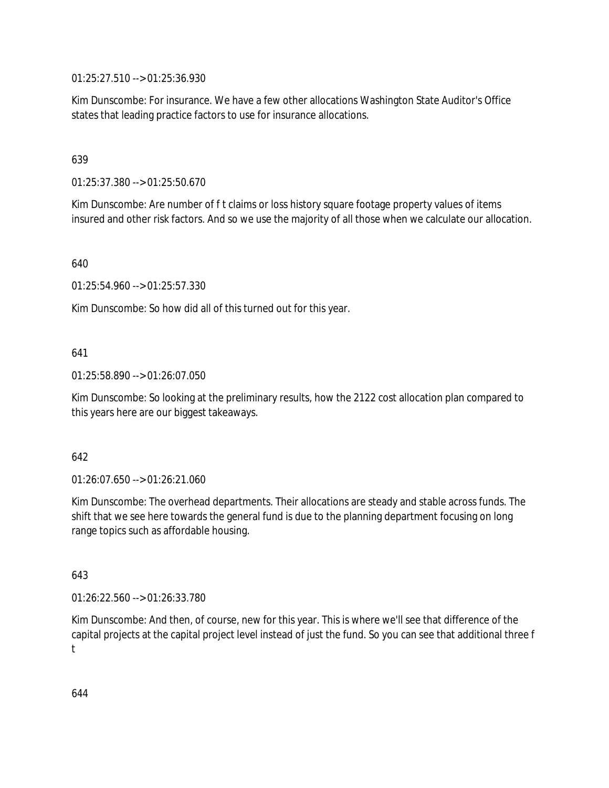01:25:27.510 --> 01:25:36.930

Kim Dunscombe: For insurance. We have a few other allocations Washington State Auditor's Office states that leading practice factors to use for insurance allocations.

## 639

01:25:37.380 --> 01:25:50.670

Kim Dunscombe: Are number of f t claims or loss history square footage property values of items insured and other risk factors. And so we use the majority of all those when we calculate our allocation.

640

01:25:54.960 --> 01:25:57.330

Kim Dunscombe: So how did all of this turned out for this year.

## 641

01:25:58.890 --> 01:26:07.050

Kim Dunscombe: So looking at the preliminary results, how the 2122 cost allocation plan compared to this years here are our biggest takeaways.

## 642

01:26:07.650 --> 01:26:21.060

Kim Dunscombe: The overhead departments. Their allocations are steady and stable across funds. The shift that we see here towards the general fund is due to the planning department focusing on long range topics such as affordable housing.

## 643

01:26:22.560 --> 01:26:33.780

Kim Dunscombe: And then, of course, new for this year. This is where we'll see that difference of the capital projects at the capital project level instead of just the fund. So you can see that additional three f t

644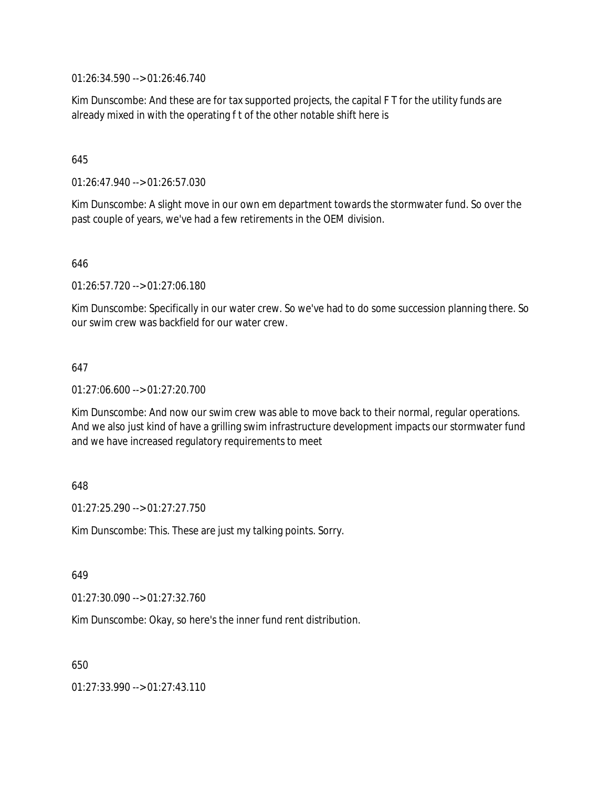01:26:34.590 --> 01:26:46.740

Kim Dunscombe: And these are for tax supported projects, the capital F T for the utility funds are already mixed in with the operating f t of the other notable shift here is

## 645

01:26:47.940 --> 01:26:57.030

Kim Dunscombe: A slight move in our own em department towards the stormwater fund. So over the past couple of years, we've had a few retirements in the OEM division.

646

01:26:57.720 --> 01:27:06.180

Kim Dunscombe: Specifically in our water crew. So we've had to do some succession planning there. So our swim crew was backfield for our water crew.

## 647

01:27:06.600 --> 01:27:20.700

Kim Dunscombe: And now our swim crew was able to move back to their normal, regular operations. And we also just kind of have a grilling swim infrastructure development impacts our stormwater fund and we have increased regulatory requirements to meet

## 648

 $01:27:25.290 \rightarrow 01:27:27.750$ 

Kim Dunscombe: This. These are just my talking points. Sorry.

649

01:27:30.090 --> 01:27:32.760

Kim Dunscombe: Okay, so here's the inner fund rent distribution.

650

01:27:33.990 --> 01:27:43.110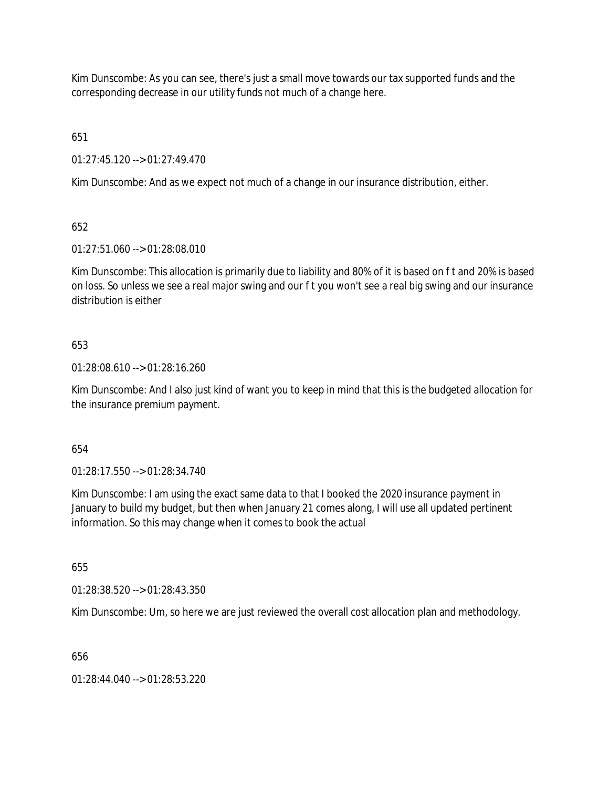Kim Dunscombe: As you can see, there's just a small move towards our tax supported funds and the corresponding decrease in our utility funds not much of a change here.

651

01:27:45.120 --> 01:27:49.470

Kim Dunscombe: And as we expect not much of a change in our insurance distribution, either.

652

01:27:51.060 --> 01:28:08.010

Kim Dunscombe: This allocation is primarily due to liability and 80% of it is based on f t and 20% is based on loss. So unless we see a real major swing and our f t you won't see a real big swing and our insurance distribution is either

# 653

01:28:08.610 --> 01:28:16.260

Kim Dunscombe: And I also just kind of want you to keep in mind that this is the budgeted allocation for the insurance premium payment.

654

01:28:17.550 --> 01:28:34.740

Kim Dunscombe: I am using the exact same data to that I booked the 2020 insurance payment in January to build my budget, but then when January 21 comes along, I will use all updated pertinent information. So this may change when it comes to book the actual

655

01:28:38.520 --> 01:28:43.350

Kim Dunscombe: Um, so here we are just reviewed the overall cost allocation plan and methodology.

656

01:28:44.040 --> 01:28:53.220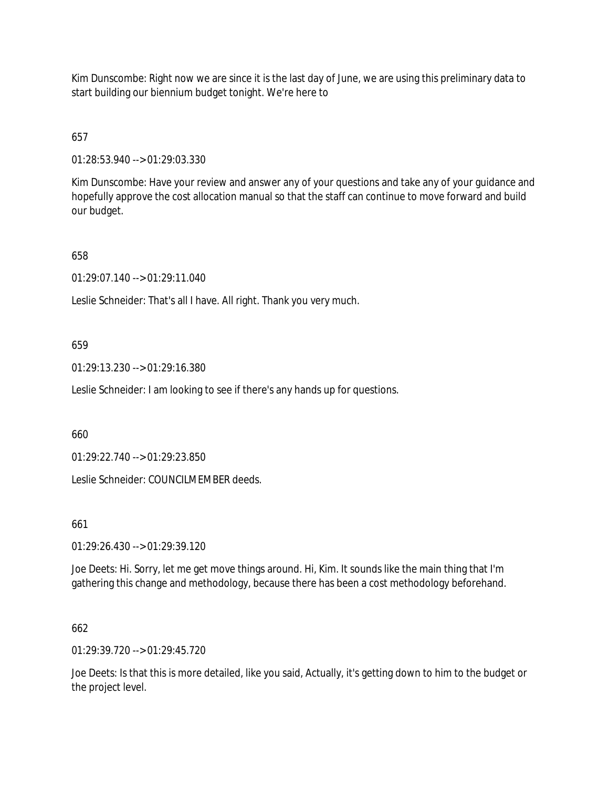Kim Dunscombe: Right now we are since it is the last day of June, we are using this preliminary data to start building our biennium budget tonight. We're here to

657

01:28:53.940 --> 01:29:03.330

Kim Dunscombe: Have your review and answer any of your questions and take any of your guidance and hopefully approve the cost allocation manual so that the staff can continue to move forward and build our budget.

658

01:29:07.140 --> 01:29:11.040

Leslie Schneider: That's all I have. All right. Thank you very much.

659

01:29:13.230 --> 01:29:16.380

Leslie Schneider: I am looking to see if there's any hands up for questions.

660

01:29:22.740 --> 01:29:23.850

Leslie Schneider: COUNCILMEMBER deeds.

661

01:29:26.430 --> 01:29:39.120

Joe Deets: Hi. Sorry, let me get move things around. Hi, Kim. It sounds like the main thing that I'm gathering this change and methodology, because there has been a cost methodology beforehand.

662

01:29:39.720 --> 01:29:45.720

Joe Deets: Is that this is more detailed, like you said, Actually, it's getting down to him to the budget or the project level.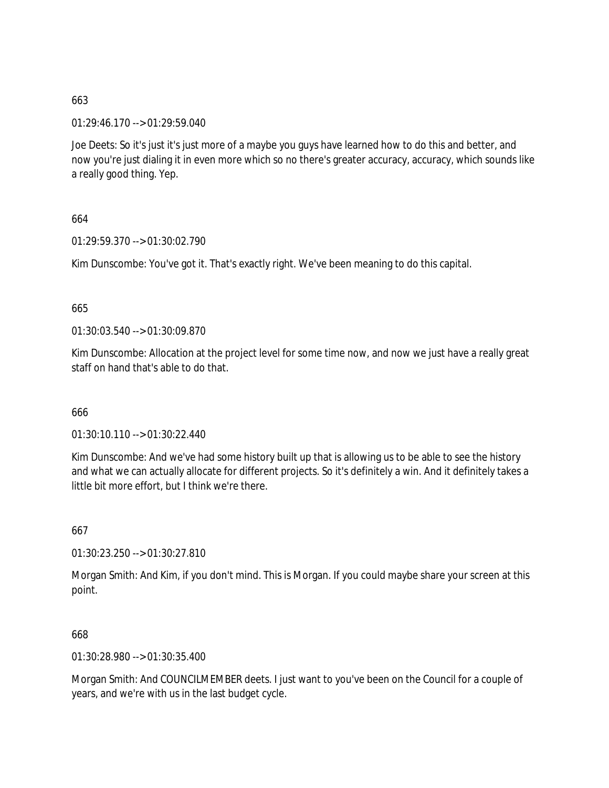01:29:46.170 --> 01:29:59.040

Joe Deets: So it's just it's just more of a maybe you guys have learned how to do this and better, and now you're just dialing it in even more which so no there's greater accuracy, accuracy, which sounds like a really good thing. Yep.

664

01:29:59.370 --> 01:30:02.790

Kim Dunscombe: You've got it. That's exactly right. We've been meaning to do this capital.

665

01:30:03.540 --> 01:30:09.870

Kim Dunscombe: Allocation at the project level for some time now, and now we just have a really great staff on hand that's able to do that.

666

01:30:10.110 --> 01:30:22.440

Kim Dunscombe: And we've had some history built up that is allowing us to be able to see the history and what we can actually allocate for different projects. So it's definitely a win. And it definitely takes a little bit more effort, but I think we're there.

667

01:30:23.250 --> 01:30:27.810

Morgan Smith: And Kim, if you don't mind. This is Morgan. If you could maybe share your screen at this point.

668

01:30:28.980 --> 01:30:35.400

Morgan Smith: And COUNCILMEMBER deets. I just want to you've been on the Council for a couple of years, and we're with us in the last budget cycle.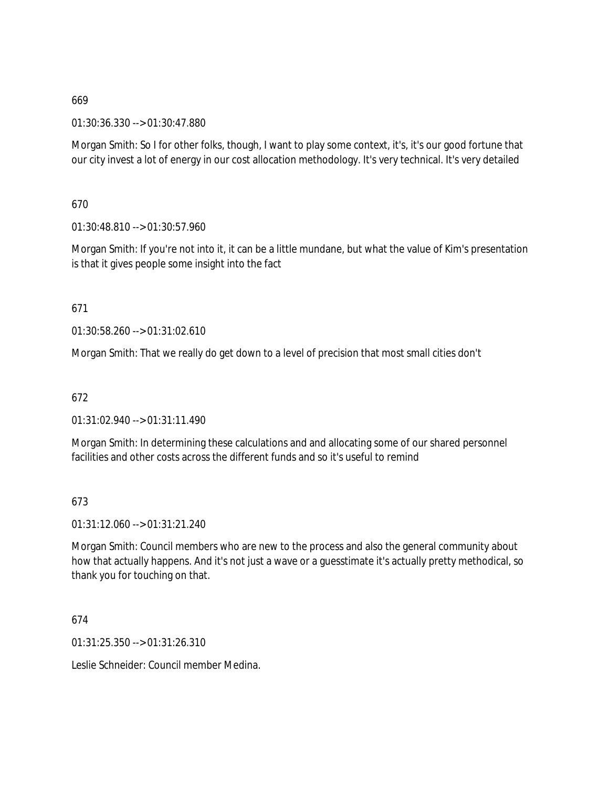01:30:36.330 --> 01:30:47.880

Morgan Smith: So I for other folks, though, I want to play some context, it's, it's our good fortune that our city invest a lot of energy in our cost allocation methodology. It's very technical. It's very detailed

670

01:30:48.810 --> 01:30:57.960

Morgan Smith: If you're not into it, it can be a little mundane, but what the value of Kim's presentation is that it gives people some insight into the fact

671

01:30:58.260 --> 01:31:02.610

Morgan Smith: That we really do get down to a level of precision that most small cities don't

672

01:31:02.940 --> 01:31:11.490

Morgan Smith: In determining these calculations and and allocating some of our shared personnel facilities and other costs across the different funds and so it's useful to remind

673

01:31:12.060 --> 01:31:21.240

Morgan Smith: Council members who are new to the process and also the general community about how that actually happens. And it's not just a wave or a guesstimate it's actually pretty methodical, so thank you for touching on that.

674

01:31:25.350 --> 01:31:26.310

Leslie Schneider: Council member Medina.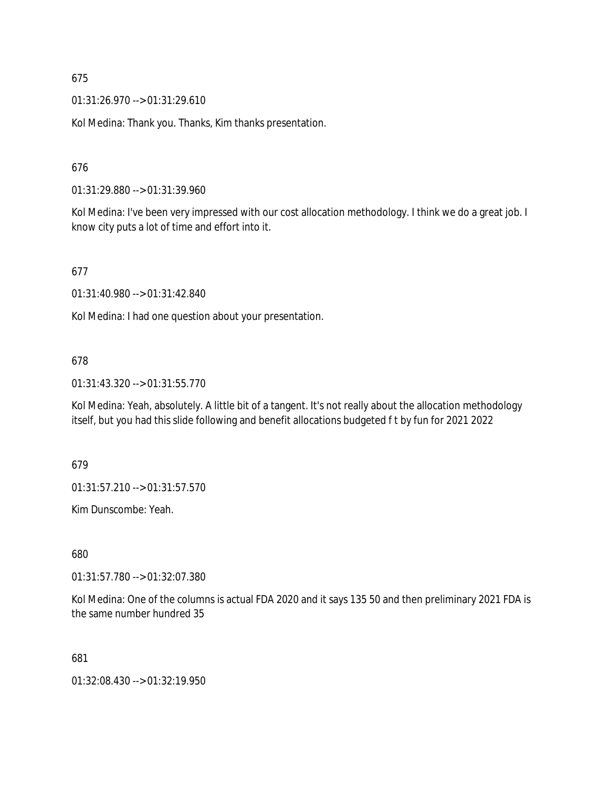01:31:26.970 --> 01:31:29.610

Kol Medina: Thank you. Thanks, Kim thanks presentation.

676

01:31:29.880 --> 01:31:39.960

Kol Medina: I've been very impressed with our cost allocation methodology. I think we do a great job. I know city puts a lot of time and effort into it.

677

01:31:40.980 --> 01:31:42.840

Kol Medina: I had one question about your presentation.

#### 678

01:31:43.320 --> 01:31:55.770

Kol Medina: Yeah, absolutely. A little bit of a tangent. It's not really about the allocation methodology itself, but you had this slide following and benefit allocations budgeted f t by fun for 2021 2022

679

01:31:57.210 --> 01:31:57.570

Kim Dunscombe: Yeah.

680

01:31:57.780 --> 01:32:07.380

Kol Medina: One of the columns is actual FDA 2020 and it says 135 50 and then preliminary 2021 FDA is the same number hundred 35

681

01:32:08.430 --> 01:32:19.950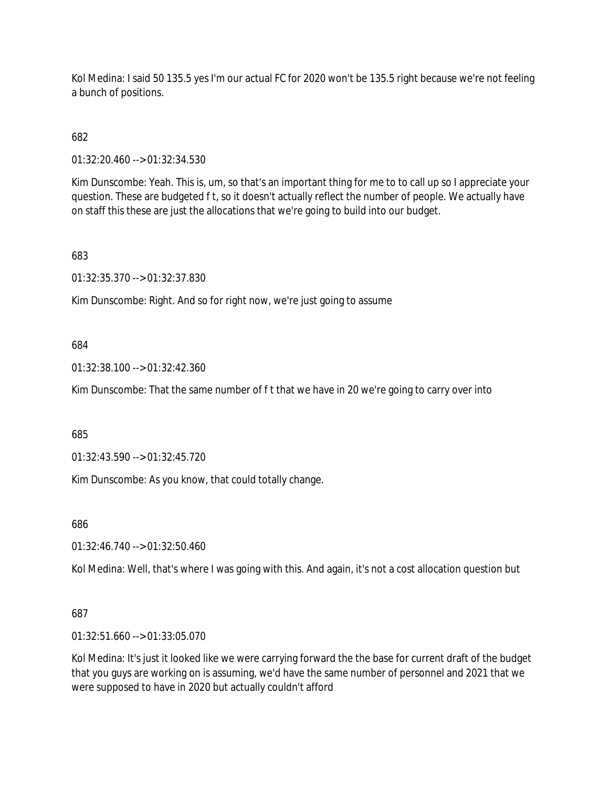Kol Medina: I said 50 135.5 yes I'm our actual FC for 2020 won't be 135.5 right because we're not feeling a bunch of positions.

682

01:32:20.460 --> 01:32:34.530

Kim Dunscombe: Yeah. This is, um, so that's an important thing for me to to call up so I appreciate your question. These are budgeted f t, so it doesn't actually reflect the number of people. We actually have on staff this these are just the allocations that we're going to build into our budget.

### 683

01:32:35.370 --> 01:32:37.830

Kim Dunscombe: Right. And so for right now, we're just going to assume

### 684

01:32:38.100 --> 01:32:42.360

Kim Dunscombe: That the same number of f t that we have in 20 we're going to carry over into

685

01:32:43.590 --> 01:32:45.720

Kim Dunscombe: As you know, that could totally change.

686

01:32:46.740 --> 01:32:50.460

Kol Medina: Well, that's where I was going with this. And again, it's not a cost allocation question but

### 687

01:32:51.660 --> 01:33:05.070

Kol Medina: It's just it looked like we were carrying forward the the base for current draft of the budget that you guys are working on is assuming, we'd have the same number of personnel and 2021 that we were supposed to have in 2020 but actually couldn't afford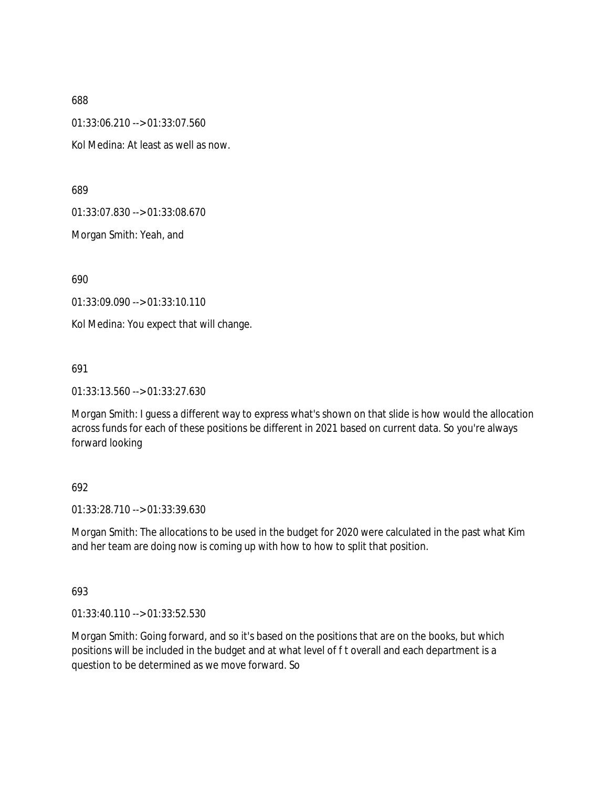01:33:06.210 --> 01:33:07.560

Kol Medina: At least as well as now.

689

01:33:07.830 --> 01:33:08.670

Morgan Smith: Yeah, and

690

01:33:09.090 --> 01:33:10.110

Kol Medina: You expect that will change.

691

01:33:13.560 --> 01:33:27.630

Morgan Smith: I guess a different way to express what's shown on that slide is how would the allocation across funds for each of these positions be different in 2021 based on current data. So you're always forward looking

### 692

01:33:28.710 --> 01:33:39.630

Morgan Smith: The allocations to be used in the budget for 2020 were calculated in the past what Kim and her team are doing now is coming up with how to how to split that position.

693

01:33:40.110 --> 01:33:52.530

Morgan Smith: Going forward, and so it's based on the positions that are on the books, but which positions will be included in the budget and at what level of f t overall and each department is a question to be determined as we move forward. So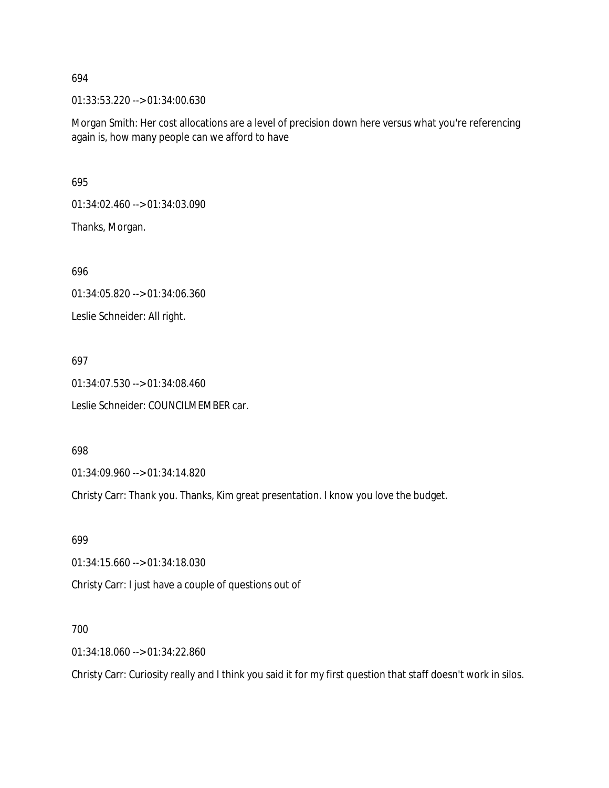01:33:53.220 --> 01:34:00.630

Morgan Smith: Her cost allocations are a level of precision down here versus what you're referencing again is, how many people can we afford to have

695

01:34:02.460 --> 01:34:03.090

Thanks, Morgan.

696

01:34:05.820 --> 01:34:06.360

Leslie Schneider: All right.

697

01:34:07.530 --> 01:34:08.460 Leslie Schneider: COUNCILMEMBER car.

698

01:34:09.960 --> 01:34:14.820

Christy Carr: Thank you. Thanks, Kim great presentation. I know you love the budget.

699

01:34:15.660 --> 01:34:18.030

Christy Carr: I just have a couple of questions out of

700

01:34:18.060 --> 01:34:22.860

Christy Carr: Curiosity really and I think you said it for my first question that staff doesn't work in silos.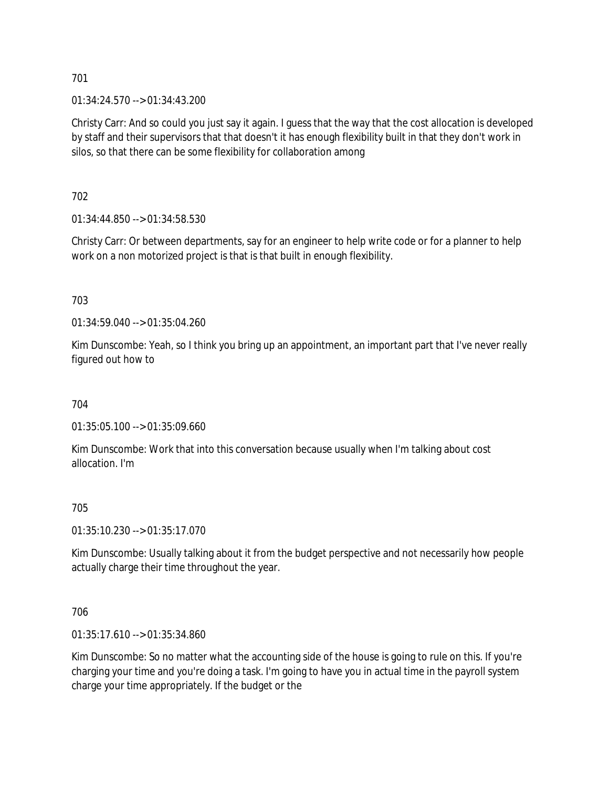01:34:24.570 --> 01:34:43.200

Christy Carr: And so could you just say it again. I guess that the way that the cost allocation is developed by staff and their supervisors that that doesn't it has enough flexibility built in that they don't work in silos, so that there can be some flexibility for collaboration among

702

01:34:44.850 --> 01:34:58.530

Christy Carr: Or between departments, say for an engineer to help write code or for a planner to help work on a non motorized project is that is that built in enough flexibility.

703

01:34:59.040 --> 01:35:04.260

Kim Dunscombe: Yeah, so I think you bring up an appointment, an important part that I've never really figured out how to

704

01:35:05.100 --> 01:35:09.660

Kim Dunscombe: Work that into this conversation because usually when I'm talking about cost allocation. I'm

### 705

01:35:10.230 --> 01:35:17.070

Kim Dunscombe: Usually talking about it from the budget perspective and not necessarily how people actually charge their time throughout the year.

### 706

01:35:17.610 --> 01:35:34.860

Kim Dunscombe: So no matter what the accounting side of the house is going to rule on this. If you're charging your time and you're doing a task. I'm going to have you in actual time in the payroll system charge your time appropriately. If the budget or the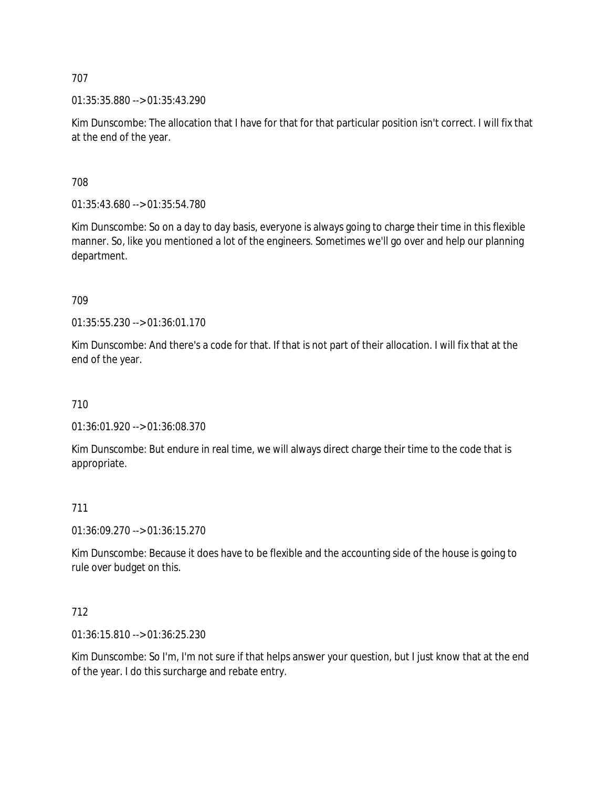01:35:35.880 --> 01:35:43.290

Kim Dunscombe: The allocation that I have for that for that particular position isn't correct. I will fix that at the end of the year.

708

01:35:43.680 --> 01:35:54.780

Kim Dunscombe: So on a day to day basis, everyone is always going to charge their time in this flexible manner. So, like you mentioned a lot of the engineers. Sometimes we'll go over and help our planning department.

709

01:35:55.230 --> 01:36:01.170

Kim Dunscombe: And there's a code for that. If that is not part of their allocation. I will fix that at the end of the year.

710

01:36:01.920 --> 01:36:08.370

Kim Dunscombe: But endure in real time, we will always direct charge their time to the code that is appropriate.

### 711

01:36:09.270 --> 01:36:15.270

Kim Dunscombe: Because it does have to be flexible and the accounting side of the house is going to rule over budget on this.

### 712

01:36:15.810 --> 01:36:25.230

Kim Dunscombe: So I'm, I'm not sure if that helps answer your question, but I just know that at the end of the year. I do this surcharge and rebate entry.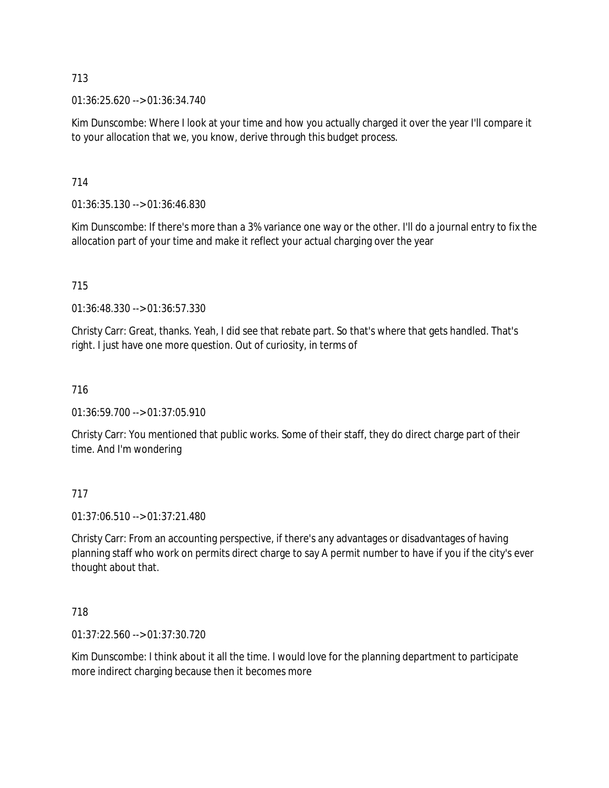01:36:25.620 --> 01:36:34.740

Kim Dunscombe: Where I look at your time and how you actually charged it over the year I'll compare it to your allocation that we, you know, derive through this budget process.

# 714

01:36:35.130 --> 01:36:46.830

Kim Dunscombe: If there's more than a 3% variance one way or the other. I'll do a journal entry to fix the allocation part of your time and make it reflect your actual charging over the year

# 715

01:36:48.330 --> 01:36:57.330

Christy Carr: Great, thanks. Yeah, I did see that rebate part. So that's where that gets handled. That's right. I just have one more question. Out of curiosity, in terms of

# 716

01:36:59.700 --> 01:37:05.910

Christy Carr: You mentioned that public works. Some of their staff, they do direct charge part of their time. And I'm wondering

# 717

01:37:06.510 --> 01:37:21.480

Christy Carr: From an accounting perspective, if there's any advantages or disadvantages of having planning staff who work on permits direct charge to say A permit number to have if you if the city's ever thought about that.

# 718

01:37:22.560 --> 01:37:30.720

Kim Dunscombe: I think about it all the time. I would love for the planning department to participate more indirect charging because then it becomes more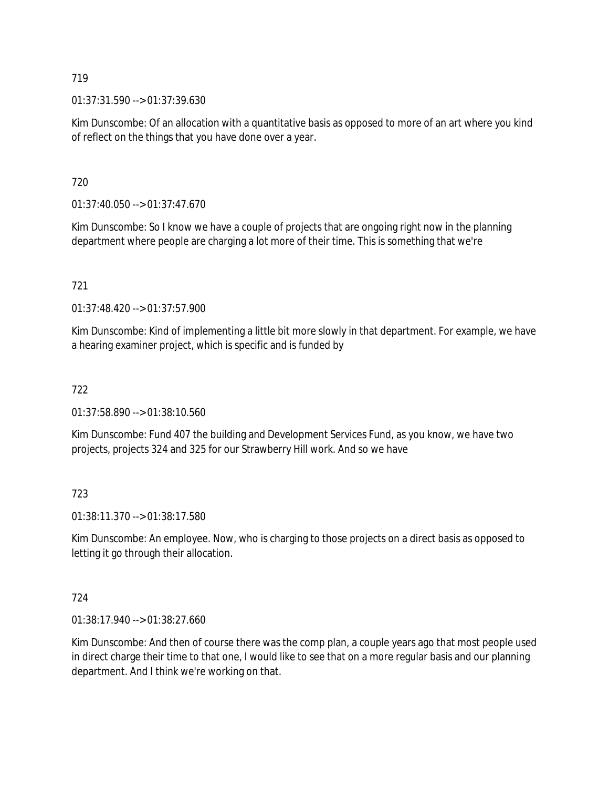01:37:31.590 --> 01:37:39.630

Kim Dunscombe: Of an allocation with a quantitative basis as opposed to more of an art where you kind of reflect on the things that you have done over a year.

720

 $01:37:40.050 \rightarrow 01:37:47.670$ 

Kim Dunscombe: So I know we have a couple of projects that are ongoing right now in the planning department where people are charging a lot more of their time. This is something that we're

# 721

01:37:48.420 --> 01:37:57.900

Kim Dunscombe: Kind of implementing a little bit more slowly in that department. For example, we have a hearing examiner project, which is specific and is funded by

# 722

01:37:58.890 --> 01:38:10.560

Kim Dunscombe: Fund 407 the building and Development Services Fund, as you know, we have two projects, projects 324 and 325 for our Strawberry Hill work. And so we have

# 723

01:38:11.370 --> 01:38:17.580

Kim Dunscombe: An employee. Now, who is charging to those projects on a direct basis as opposed to letting it go through their allocation.

# 724

01:38:17.940 --> 01:38:27.660

Kim Dunscombe: And then of course there was the comp plan, a couple years ago that most people used in direct charge their time to that one, I would like to see that on a more regular basis and our planning department. And I think we're working on that.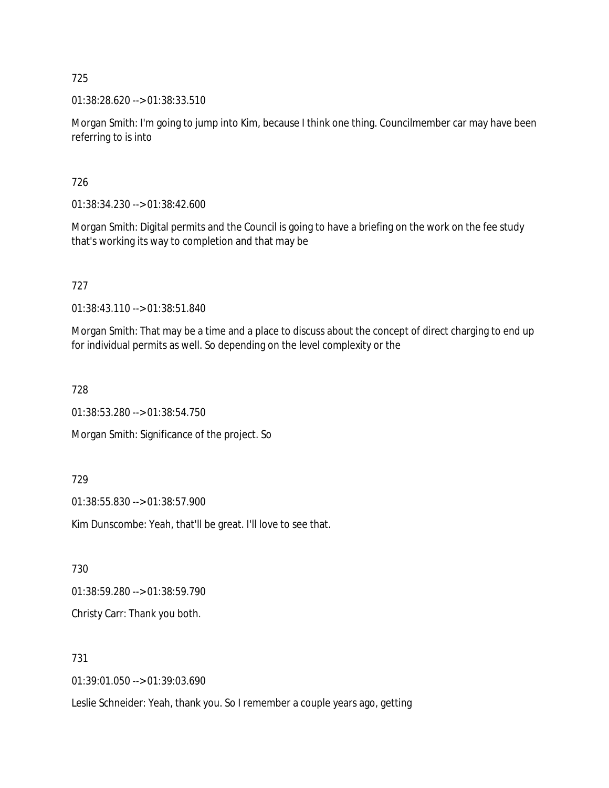01:38:28.620 --> 01:38:33.510

Morgan Smith: I'm going to jump into Kim, because I think one thing. Councilmember car may have been referring to is into

726

01:38:34.230 --> 01:38:42.600

Morgan Smith: Digital permits and the Council is going to have a briefing on the work on the fee study that's working its way to completion and that may be

727

01:38:43.110 --> 01:38:51.840

Morgan Smith: That may be a time and a place to discuss about the concept of direct charging to end up for individual permits as well. So depending on the level complexity or the

728

01:38:53.280 --> 01:38:54.750

Morgan Smith: Significance of the project. So

729

01:38:55.830 --> 01:38:57.900

Kim Dunscombe: Yeah, that'll be great. I'll love to see that.

730

01:38:59.280 --> 01:38:59.790

Christy Carr: Thank you both.

731

01:39:01.050 --> 01:39:03.690

Leslie Schneider: Yeah, thank you. So I remember a couple years ago, getting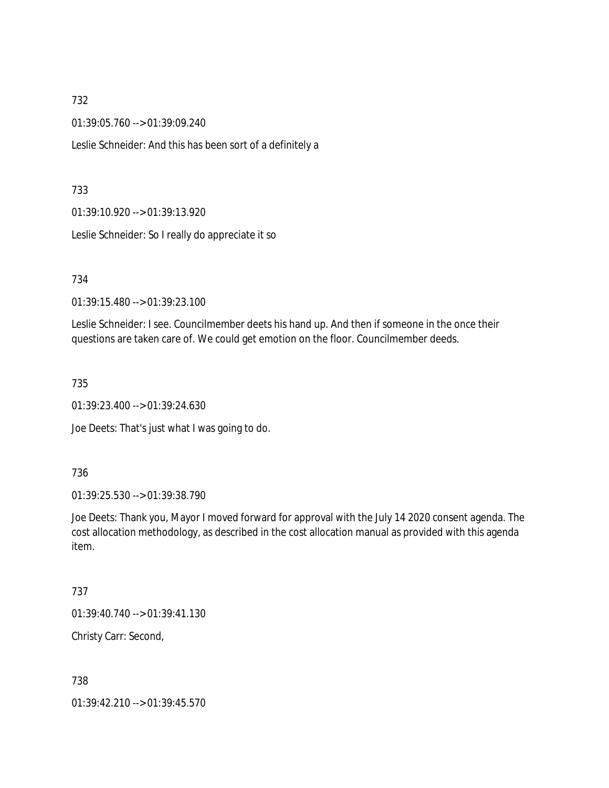01:39:05.760 --> 01:39:09.240

Leslie Schneider: And this has been sort of a definitely a

#### 733

01:39:10.920 --> 01:39:13.920

Leslie Schneider: So I really do appreciate it so

734

01:39:15.480 --> 01:39:23.100

Leslie Schneider: I see. Councilmember deets his hand up. And then if someone in the once their questions are taken care of. We could get emotion on the floor. Councilmember deeds.

735

01:39:23.400 --> 01:39:24.630

Joe Deets: That's just what I was going to do.

#### 736

01:39:25.530 --> 01:39:38.790

Joe Deets: Thank you, Mayor I moved forward for approval with the July 14 2020 consent agenda. The cost allocation methodology, as described in the cost allocation manual as provided with this agenda item.

### 737

01:39:40.740 --> 01:39:41.130

Christy Carr: Second,

### 738

01:39:42.210 --> 01:39:45.570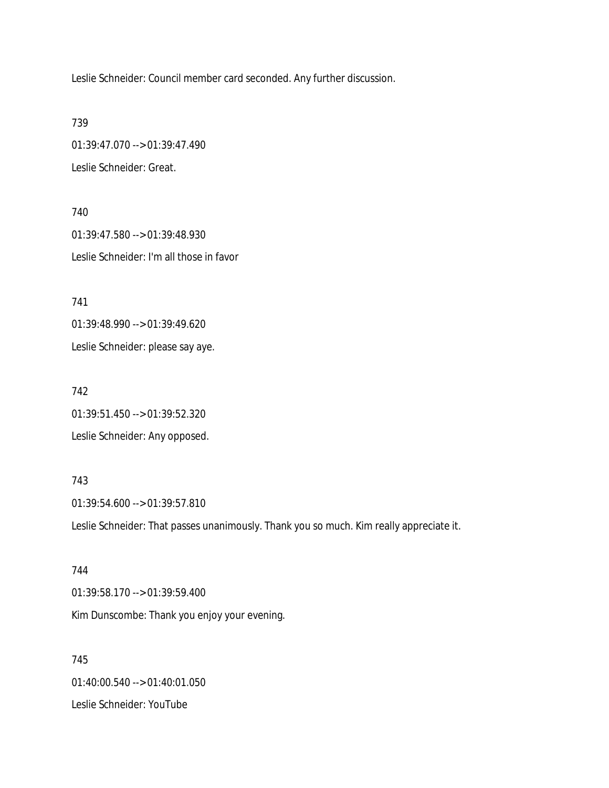Leslie Schneider: Council member card seconded. Any further discussion.

739

01:39:47.070 --> 01:39:47.490 Leslie Schneider: Great.

740 01:39:47.580 --> 01:39:48.930 Leslie Schneider: I'm all those in favor

741

01:39:48.990 --> 01:39:49.620

Leslie Schneider: please say aye.

742 01:39:51.450 --> 01:39:52.320 Leslie Schneider: Any opposed.

743 01:39:54.600 --> 01:39:57.810 Leslie Schneider: That passes unanimously. Thank you so much. Kim really appreciate it.

744 01:39:58.170 --> 01:39:59.400 Kim Dunscombe: Thank you enjoy your evening.

745 01:40:00.540 --> 01:40:01.050 Leslie Schneider: YouTube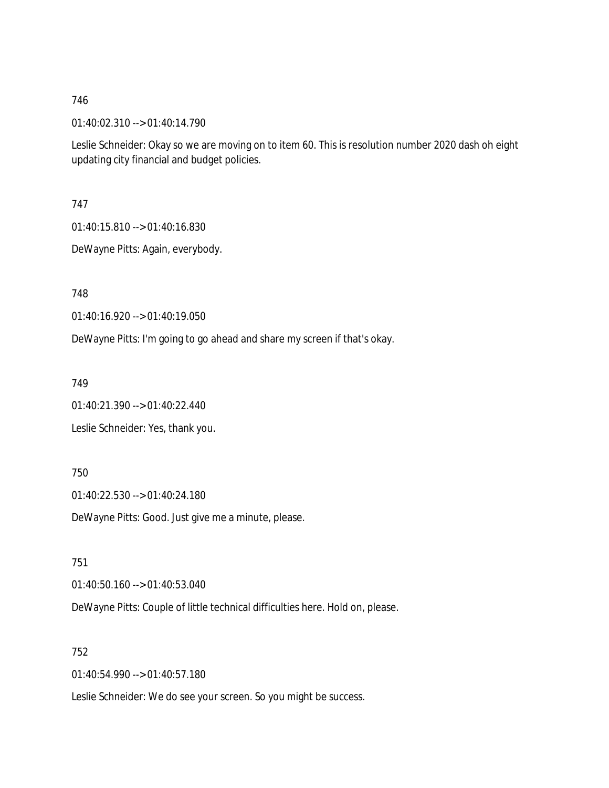01:40:02.310 --> 01:40:14.790

Leslie Schneider: Okay so we are moving on to item 60. This is resolution number 2020 dash oh eight updating city financial and budget policies.

747

01:40:15.810 --> 01:40:16.830

DeWayne Pitts: Again, everybody.

748

01:40:16.920 --> 01:40:19.050

DeWayne Pitts: I'm going to go ahead and share my screen if that's okay.

749

01:40:21.390 --> 01:40:22.440

Leslie Schneider: Yes, thank you.

750

01:40:22.530 --> 01:40:24.180

DeWayne Pitts: Good. Just give me a minute, please.

751

01:40:50.160 --> 01:40:53.040

DeWayne Pitts: Couple of little technical difficulties here. Hold on, please.

752

01:40:54.990 --> 01:40:57.180

Leslie Schneider: We do see your screen. So you might be success.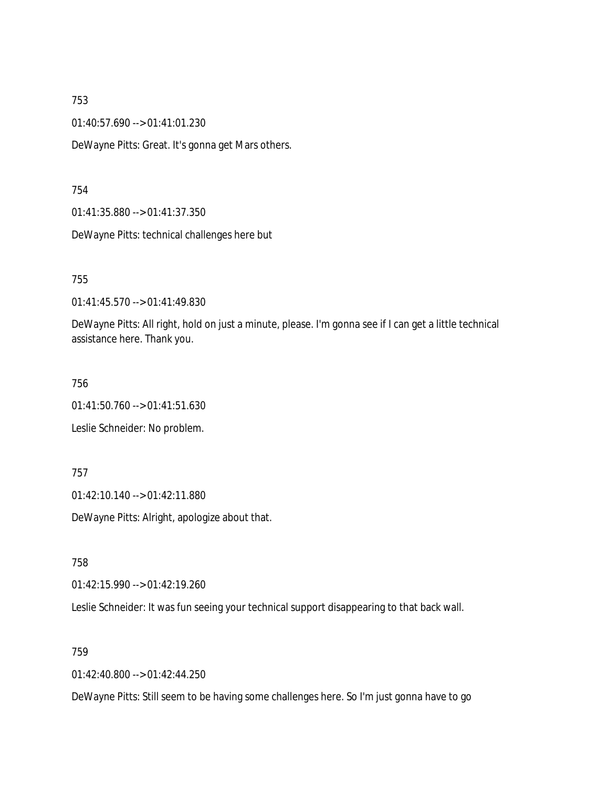01:40:57.690 --> 01:41:01.230

DeWayne Pitts: Great. It's gonna get Mars others.

754

01:41:35.880 --> 01:41:37.350

DeWayne Pitts: technical challenges here but

755

01:41:45.570 --> 01:41:49.830

DeWayne Pitts: All right, hold on just a minute, please. I'm gonna see if I can get a little technical assistance here. Thank you.

756

01:41:50.760 --> 01:41:51.630

Leslie Schneider: No problem.

757

01:42:10.140 --> 01:42:11.880

DeWayne Pitts: Alright, apologize about that.

758

01:42:15.990 --> 01:42:19.260

Leslie Schneider: It was fun seeing your technical support disappearing to that back wall.

759

01:42:40.800 --> 01:42:44.250

DeWayne Pitts: Still seem to be having some challenges here. So I'm just gonna have to go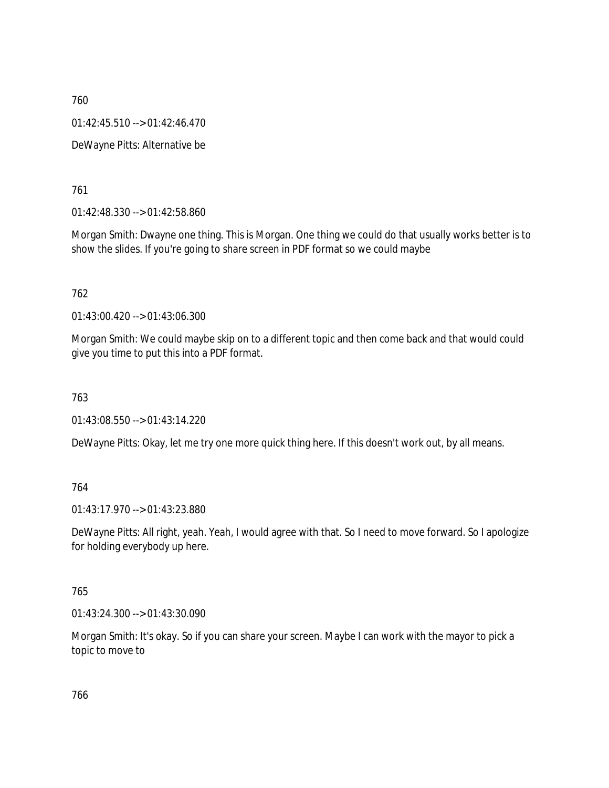760 01:42:45.510 --> 01:42:46.470 DeWayne Pitts: Alternative be

761

01:42:48.330 --> 01:42:58.860

Morgan Smith: Dwayne one thing. This is Morgan. One thing we could do that usually works better is to show the slides. If you're going to share screen in PDF format so we could maybe

762

01:43:00.420 --> 01:43:06.300

Morgan Smith: We could maybe skip on to a different topic and then come back and that would could give you time to put this into a PDF format.

763

01:43:08.550 --> 01:43:14.220

DeWayne Pitts: Okay, let me try one more quick thing here. If this doesn't work out, by all means.

#### 764

01:43:17.970 --> 01:43:23.880

DeWayne Pitts: All right, yeah. Yeah, I would agree with that. So I need to move forward. So I apologize for holding everybody up here.

765

01:43:24.300 --> 01:43:30.090

Morgan Smith: It's okay. So if you can share your screen. Maybe I can work with the mayor to pick a topic to move to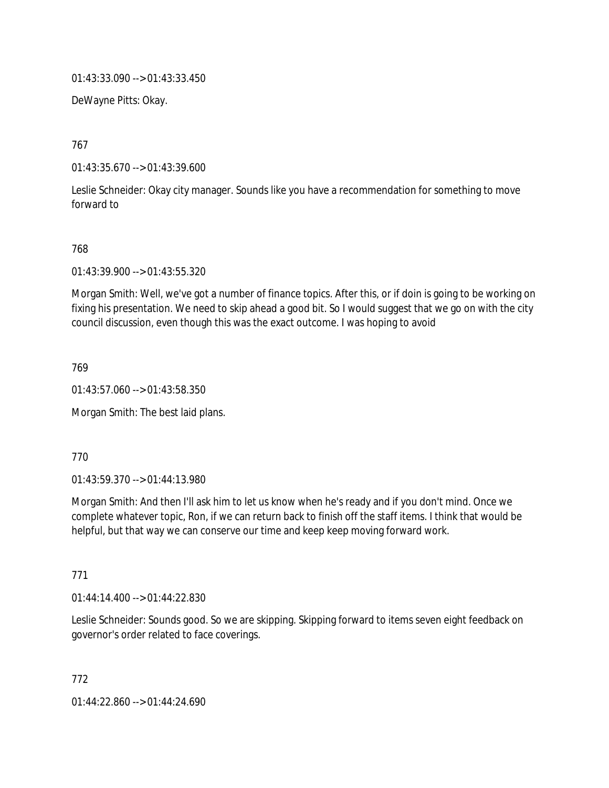01:43:33.090 --> 01:43:33.450

DeWayne Pitts: Okay.

767

01:43:35.670 --> 01:43:39.600

Leslie Schneider: Okay city manager. Sounds like you have a recommendation for something to move forward to

#### 768

01:43:39.900 --> 01:43:55.320

Morgan Smith: Well, we've got a number of finance topics. After this, or if doin is going to be working on fixing his presentation. We need to skip ahead a good bit. So I would suggest that we go on with the city council discussion, even though this was the exact outcome. I was hoping to avoid

769

01:43:57.060 --> 01:43:58.350

Morgan Smith: The best laid plans.

770

01:43:59.370 --> 01:44:13.980

Morgan Smith: And then I'll ask him to let us know when he's ready and if you don't mind. Once we complete whatever topic, Ron, if we can return back to finish off the staff items. I think that would be helpful, but that way we can conserve our time and keep keep moving forward work.

771

01:44:14.400 --> 01:44:22.830

Leslie Schneider: Sounds good. So we are skipping. Skipping forward to items seven eight feedback on governor's order related to face coverings.

772 01:44:22.860 --> 01:44:24.690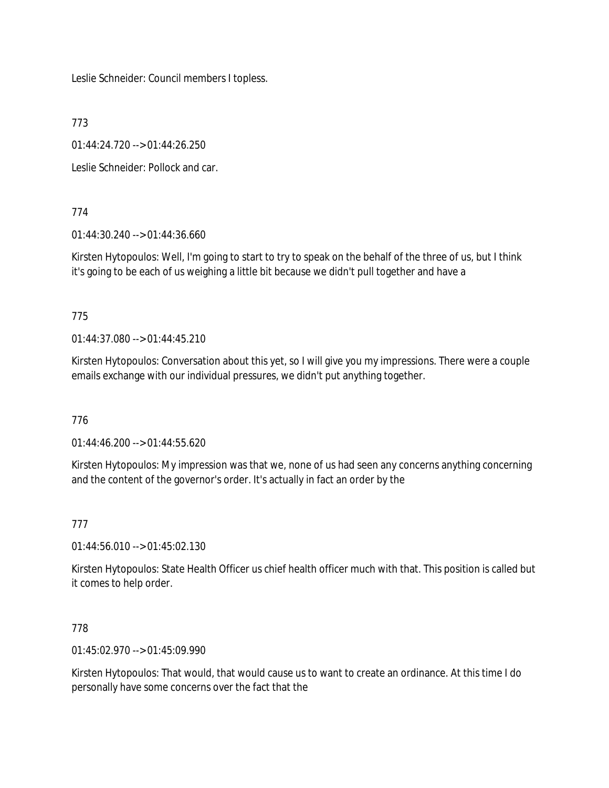Leslie Schneider: Council members I topless.

773

01:44:24.720 --> 01:44:26.250

Leslie Schneider: Pollock and car.

774

01:44:30.240 --> 01:44:36.660

Kirsten Hytopoulos: Well, I'm going to start to try to speak on the behalf of the three of us, but I think it's going to be each of us weighing a little bit because we didn't pull together and have a

775

01:44:37.080 --> 01:44:45.210

Kirsten Hytopoulos: Conversation about this yet, so I will give you my impressions. There were a couple emails exchange with our individual pressures, we didn't put anything together.

776

01:44:46.200 --> 01:44:55.620

Kirsten Hytopoulos: My impression was that we, none of us had seen any concerns anything concerning and the content of the governor's order. It's actually in fact an order by the

777

01:44:56.010 --> 01:45:02.130

Kirsten Hytopoulos: State Health Officer us chief health officer much with that. This position is called but it comes to help order.

778

01:45:02.970 --> 01:45:09.990

Kirsten Hytopoulos: That would, that would cause us to want to create an ordinance. At this time I do personally have some concerns over the fact that the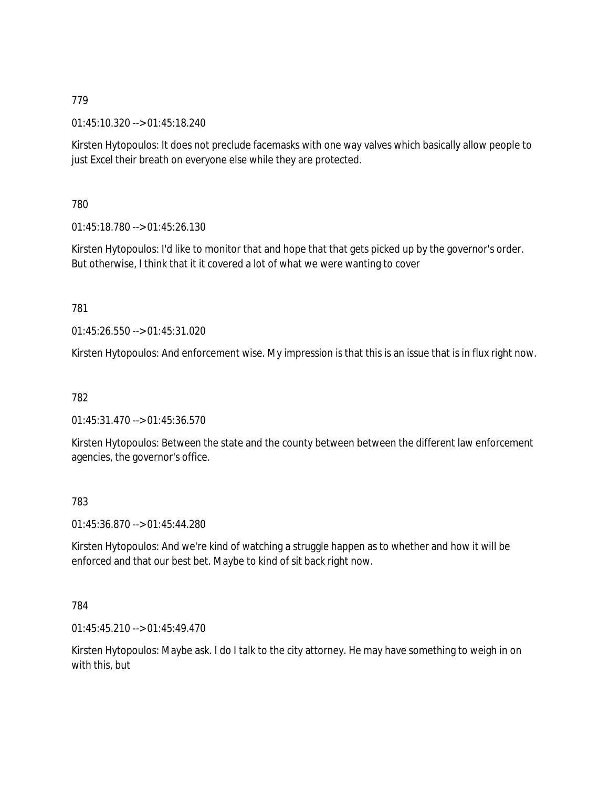01:45:10.320 --> 01:45:18.240

Kirsten Hytopoulos: It does not preclude facemasks with one way valves which basically allow people to just Excel their breath on everyone else while they are protected.

780

01:45:18.780 --> 01:45:26.130

Kirsten Hytopoulos: I'd like to monitor that and hope that that gets picked up by the governor's order. But otherwise, I think that it it covered a lot of what we were wanting to cover

781

01:45:26.550 --> 01:45:31.020

Kirsten Hytopoulos: And enforcement wise. My impression is that this is an issue that is in flux right now.

782

01:45:31.470 --> 01:45:36.570

Kirsten Hytopoulos: Between the state and the county between between the different law enforcement agencies, the governor's office.

783

01:45:36.870 --> 01:45:44.280

Kirsten Hytopoulos: And we're kind of watching a struggle happen as to whether and how it will be enforced and that our best bet. Maybe to kind of sit back right now.

784

01:45:45.210 --> 01:45:49.470

Kirsten Hytopoulos: Maybe ask. I do I talk to the city attorney. He may have something to weigh in on with this, but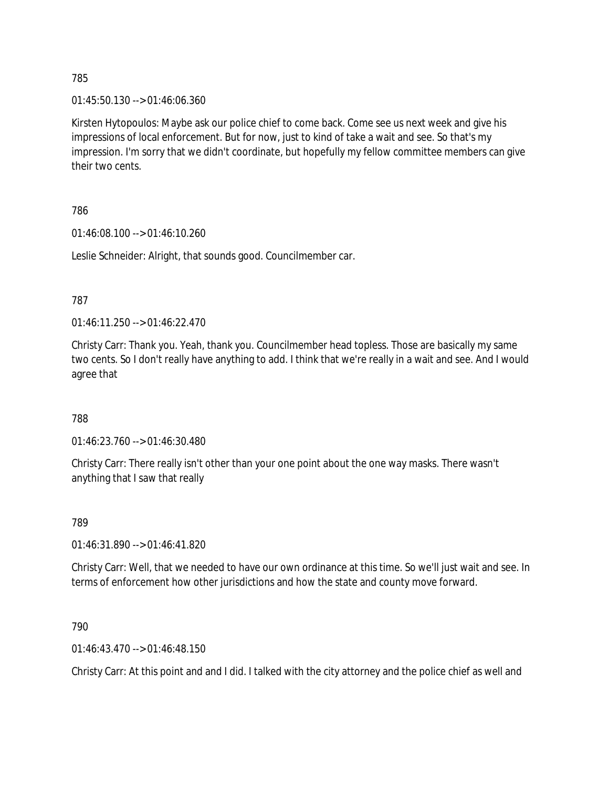01:45:50.130 --> 01:46:06.360

Kirsten Hytopoulos: Maybe ask our police chief to come back. Come see us next week and give his impressions of local enforcement. But for now, just to kind of take a wait and see. So that's my impression. I'm sorry that we didn't coordinate, but hopefully my fellow committee members can give their two cents.

### 786

01:46:08.100 --> 01:46:10.260

Leslie Schneider: Alright, that sounds good. Councilmember car.

787

01:46:11.250 --> 01:46:22.470

Christy Carr: Thank you. Yeah, thank you. Councilmember head topless. Those are basically my same two cents. So I don't really have anything to add. I think that we're really in a wait and see. And I would agree that

788

01:46:23.760 --> 01:46:30.480

Christy Carr: There really isn't other than your one point about the one way masks. There wasn't anything that I saw that really

### 789

01:46:31.890 --> 01:46:41.820

Christy Carr: Well, that we needed to have our own ordinance at this time. So we'll just wait and see. In terms of enforcement how other jurisdictions and how the state and county move forward.

790

01:46:43.470 --> 01:46:48.150

Christy Carr: At this point and and I did. I talked with the city attorney and the police chief as well and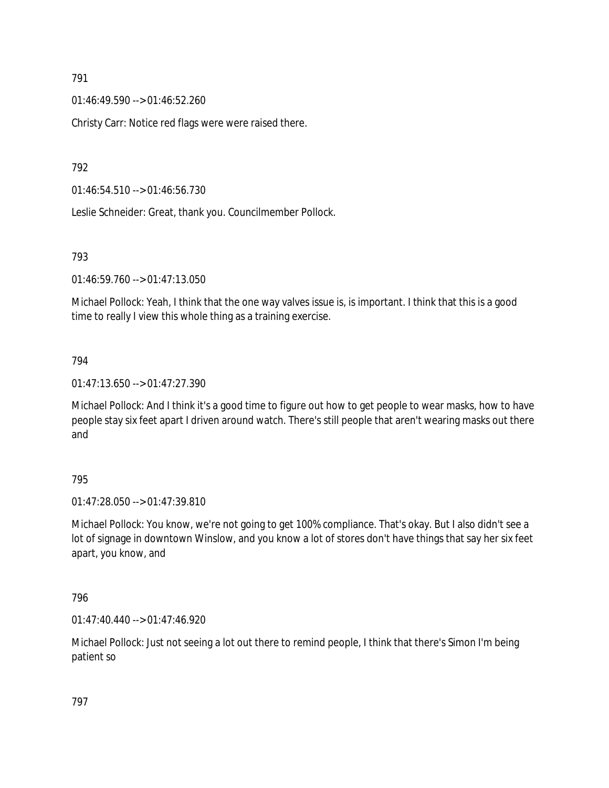01:46:49.590 --> 01:46:52.260

Christy Carr: Notice red flags were were raised there.

792

01:46:54.510 --> 01:46:56.730

Leslie Schneider: Great, thank you. Councilmember Pollock.

#### 793

01:46:59.760 --> 01:47:13.050

Michael Pollock: Yeah, I think that the one way valves issue is, is important. I think that this is a good time to really I view this whole thing as a training exercise.

### 794

01:47:13.650 --> 01:47:27.390

Michael Pollock: And I think it's a good time to figure out how to get people to wear masks, how to have people stay six feet apart I driven around watch. There's still people that aren't wearing masks out there and

### 795

01:47:28.050 --> 01:47:39.810

Michael Pollock: You know, we're not going to get 100% compliance. That's okay. But I also didn't see a lot of signage in downtown Winslow, and you know a lot of stores don't have things that say her six feet apart, you know, and

### 796

01:47:40.440 --> 01:47:46.920

Michael Pollock: Just not seeing a lot out there to remind people, I think that there's Simon I'm being patient so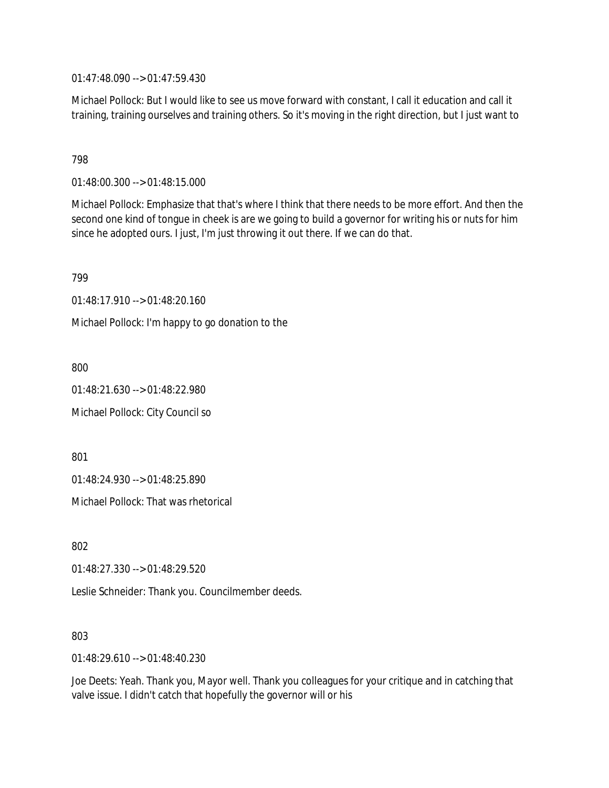01:47:48.090 --> 01:47:59.430

Michael Pollock: But I would like to see us move forward with constant, I call it education and call it training, training ourselves and training others. So it's moving in the right direction, but I just want to

798

01:48:00.300 --> 01:48:15.000

Michael Pollock: Emphasize that that's where I think that there needs to be more effort. And then the second one kind of tongue in cheek is are we going to build a governor for writing his or nuts for him since he adopted ours. I just, I'm just throwing it out there. If we can do that.

799

01:48:17.910 --> 01:48:20.160

Michael Pollock: I'm happy to go donation to the

800

01:48:21.630 --> 01:48:22.980

Michael Pollock: City Council so

801

01:48:24.930 --> 01:48:25.890

Michael Pollock: That was rhetorical

802

01:48:27.330 --> 01:48:29.520

Leslie Schneider: Thank you. Councilmember deeds.

803

01:48:29.610 --> 01:48:40.230

Joe Deets: Yeah. Thank you, Mayor well. Thank you colleagues for your critique and in catching that valve issue. I didn't catch that hopefully the governor will or his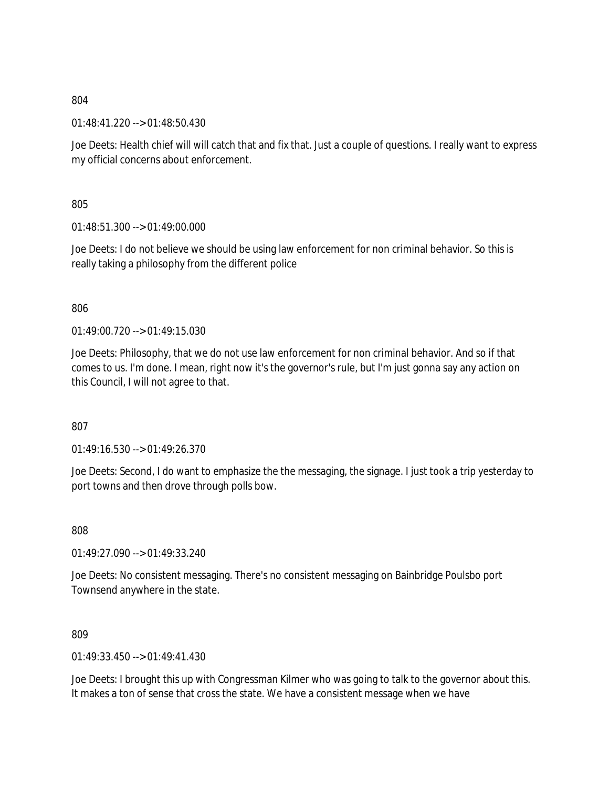01:48:41.220 --> 01:48:50.430

Joe Deets: Health chief will will catch that and fix that. Just a couple of questions. I really want to express my official concerns about enforcement.

805

01:48:51.300 --> 01:49:00.000

Joe Deets: I do not believe we should be using law enforcement for non criminal behavior. So this is really taking a philosophy from the different police

806

 $01.49.00$  720 -->  $01.49.15$  030

Joe Deets: Philosophy, that we do not use law enforcement for non criminal behavior. And so if that comes to us. I'm done. I mean, right now it's the governor's rule, but I'm just gonna say any action on this Council, I will not agree to that.

807

01:49:16.530 --> 01:49:26.370

Joe Deets: Second, I do want to emphasize the the messaging, the signage. I just took a trip yesterday to port towns and then drove through polls bow.

808

01:49:27.090 --> 01:49:33.240

Joe Deets: No consistent messaging. There's no consistent messaging on Bainbridge Poulsbo port Townsend anywhere in the state.

809

01:49:33.450 --> 01:49:41.430

Joe Deets: I brought this up with Congressman Kilmer who was going to talk to the governor about this. It makes a ton of sense that cross the state. We have a consistent message when we have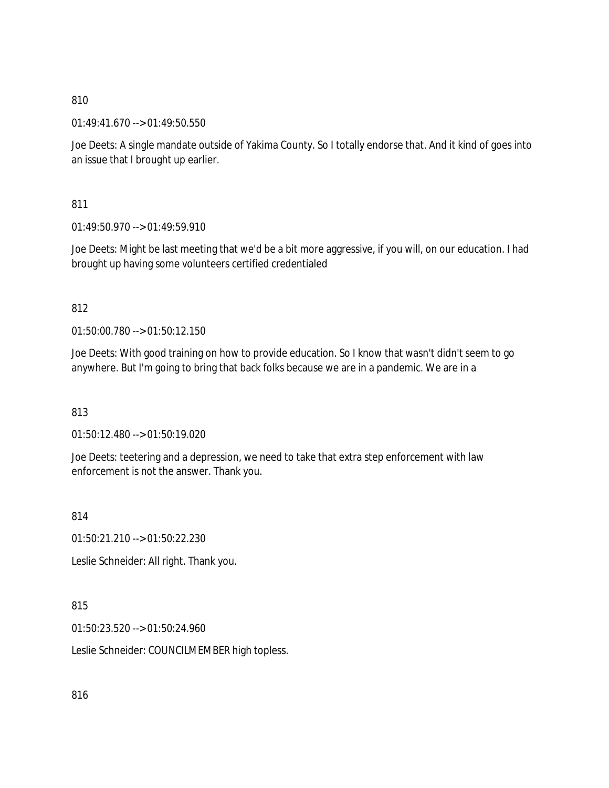01:49:41.670 --> 01:49:50.550

Joe Deets: A single mandate outside of Yakima County. So I totally endorse that. And it kind of goes into an issue that I brought up earlier.

811

 $01:49:50.970 \rightarrow 01:49:59.910$ 

Joe Deets: Might be last meeting that we'd be a bit more aggressive, if you will, on our education. I had brought up having some volunteers certified credentialed

812

01:50:00.780 --> 01:50:12.150

Joe Deets: With good training on how to provide education. So I know that wasn't didn't seem to go anywhere. But I'm going to bring that back folks because we are in a pandemic. We are in a

813

01:50:12.480 --> 01:50:19.020

Joe Deets: teetering and a depression, we need to take that extra step enforcement with law enforcement is not the answer. Thank you.

814

01:50:21.210 --> 01:50:22.230

Leslie Schneider: All right. Thank you.

815

01:50:23.520 --> 01:50:24.960

Leslie Schneider: COUNCILMEMBER high topless.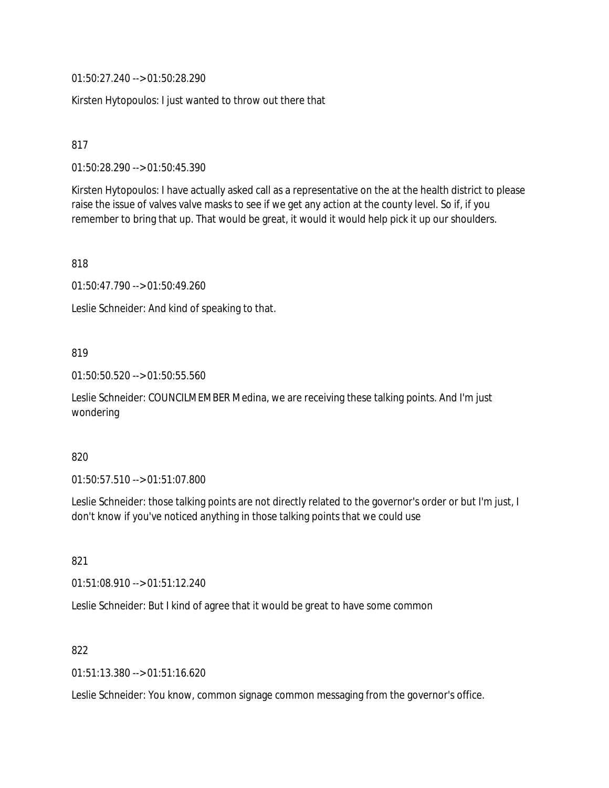01:50:27.240 --> 01:50:28.290

Kirsten Hytopoulos: I just wanted to throw out there that

817

01:50:28.290 --> 01:50:45.390

Kirsten Hytopoulos: I have actually asked call as a representative on the at the health district to please raise the issue of valves valve masks to see if we get any action at the county level. So if, if you remember to bring that up. That would be great, it would it would help pick it up our shoulders.

818

01:50:47.790 --> 01:50:49.260

Leslie Schneider: And kind of speaking to that.

### 819

01:50:50.520 --> 01:50:55.560

Leslie Schneider: COUNCILMEMBER Medina, we are receiving these talking points. And I'm just wondering

### 820

01:50:57.510 --> 01:51:07.800

Leslie Schneider: those talking points are not directly related to the governor's order or but I'm just, I don't know if you've noticed anything in those talking points that we could use

821

01:51:08.910 --> 01:51:12.240

Leslie Schneider: But I kind of agree that it would be great to have some common

### 822

01:51:13.380 --> 01:51:16.620

Leslie Schneider: You know, common signage common messaging from the governor's office.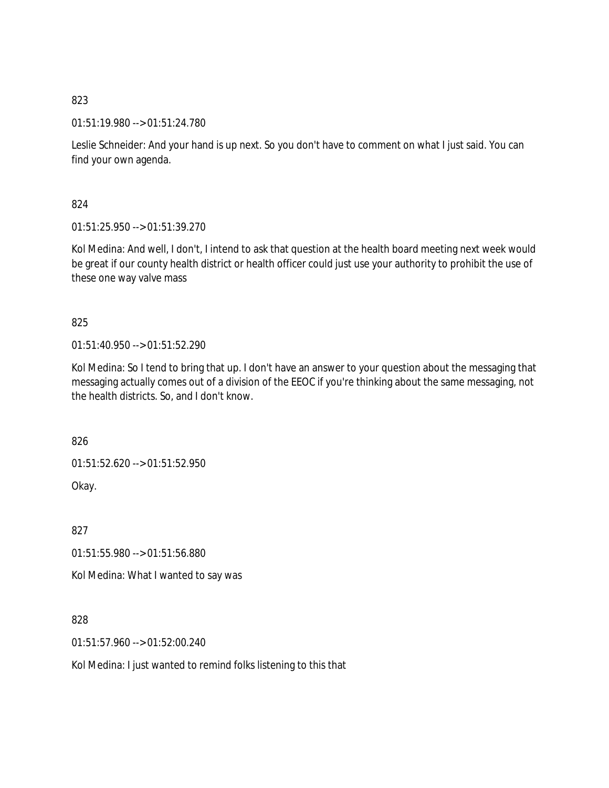01:51:19.980 --> 01:51:24.780

Leslie Schneider: And your hand is up next. So you don't have to comment on what I just said. You can find your own agenda.

824

01:51:25.950 --> 01:51:39.270

Kol Medina: And well, I don't, I intend to ask that question at the health board meeting next week would be great if our county health district or health officer could just use your authority to prohibit the use of these one way valve mass

825

01:51:40.950 --> 01:51:52.290

Kol Medina: So I tend to bring that up. I don't have an answer to your question about the messaging that messaging actually comes out of a division of the EEOC if you're thinking about the same messaging, not the health districts. So, and I don't know.

826

01:51:52.620 --> 01:51:52.950

Okay.

827

01:51:55.980 --> 01:51:56.880

Kol Medina: What I wanted to say was

828

01:51:57.960 --> 01:52:00.240

Kol Medina: I just wanted to remind folks listening to this that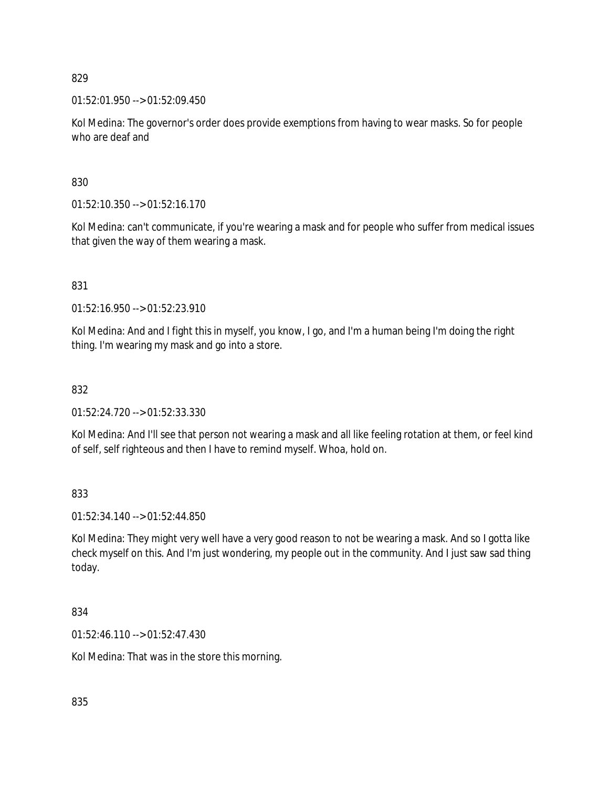$01:52:01.950 \rightarrow 01:52:09.450$ 

Kol Medina: The governor's order does provide exemptions from having to wear masks. So for people who are deaf and

830

01:52:10.350 --> 01:52:16.170

Kol Medina: can't communicate, if you're wearing a mask and for people who suffer from medical issues that given the way of them wearing a mask.

831

01:52:16.950 --> 01:52:23.910

Kol Medina: And and I fight this in myself, you know, I go, and I'm a human being I'm doing the right thing. I'm wearing my mask and go into a store.

832

01:52:24.720 --> 01:52:33.330

Kol Medina: And I'll see that person not wearing a mask and all like feeling rotation at them, or feel kind of self, self righteous and then I have to remind myself. Whoa, hold on.

833

01:52:34.140 --> 01:52:44.850

Kol Medina: They might very well have a very good reason to not be wearing a mask. And so I gotta like check myself on this. And I'm just wondering, my people out in the community. And I just saw sad thing today.

834

01:52:46.110 --> 01:52:47.430

Kol Medina: That was in the store this morning.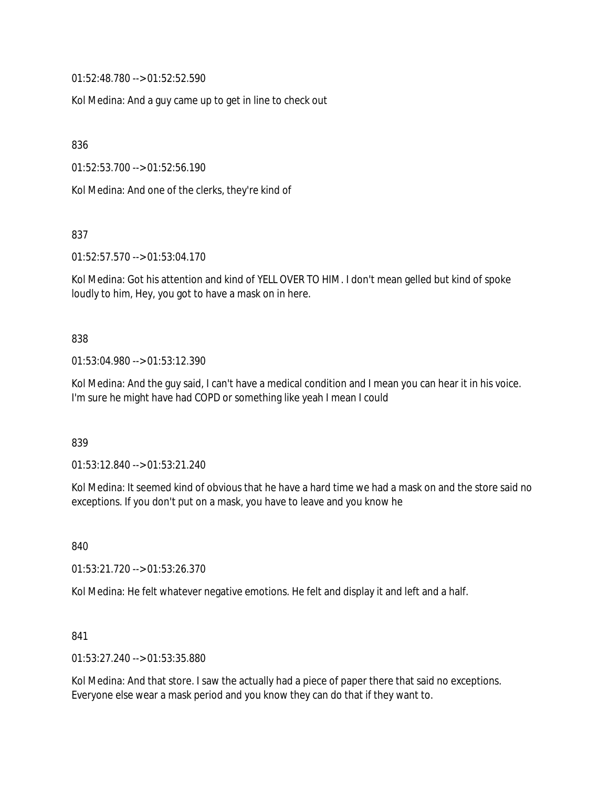01:52:48.780 --> 01:52:52.590

Kol Medina: And a guy came up to get in line to check out

836

01:52:53.700 --> 01:52:56.190

Kol Medina: And one of the clerks, they're kind of

837

01:52:57.570 --> 01:53:04.170

Kol Medina: Got his attention and kind of YELL OVER TO HIM. I don't mean gelled but kind of spoke loudly to him, Hey, you got to have a mask on in here.

838

01:53:04.980 --> 01:53:12.390

Kol Medina: And the guy said, I can't have a medical condition and I mean you can hear it in his voice. I'm sure he might have had COPD or something like yeah I mean I could

839

01:53:12.840 --> 01:53:21.240

Kol Medina: It seemed kind of obvious that he have a hard time we had a mask on and the store said no exceptions. If you don't put on a mask, you have to leave and you know he

840

01:53:21.720 --> 01:53:26.370

Kol Medina: He felt whatever negative emotions. He felt and display it and left and a half.

841

01:53:27.240 --> 01:53:35.880

Kol Medina: And that store. I saw the actually had a piece of paper there that said no exceptions. Everyone else wear a mask period and you know they can do that if they want to.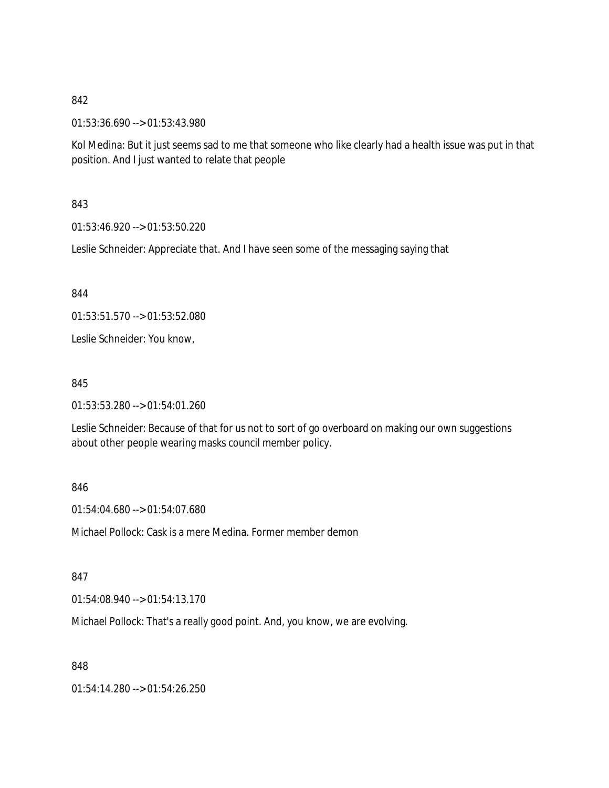01:53:36.690 --> 01:53:43.980

Kol Medina: But it just seems sad to me that someone who like clearly had a health issue was put in that position. And I just wanted to relate that people

### 843

01:53:46.920 --> 01:53:50.220

Leslie Schneider: Appreciate that. And I have seen some of the messaging saying that

844

01:53:51.570 --> 01:53:52.080

Leslie Schneider: You know,

#### 845

01:53:53.280 --> 01:54:01.260

Leslie Schneider: Because of that for us not to sort of go overboard on making our own suggestions about other people wearing masks council member policy.

### 846

01:54:04.680 --> 01:54:07.680

Michael Pollock: Cask is a mere Medina. Former member demon

### 847

01:54:08.940 --> 01:54:13.170

Michael Pollock: That's a really good point. And, you know, we are evolving.

848

01:54:14.280 --> 01:54:26.250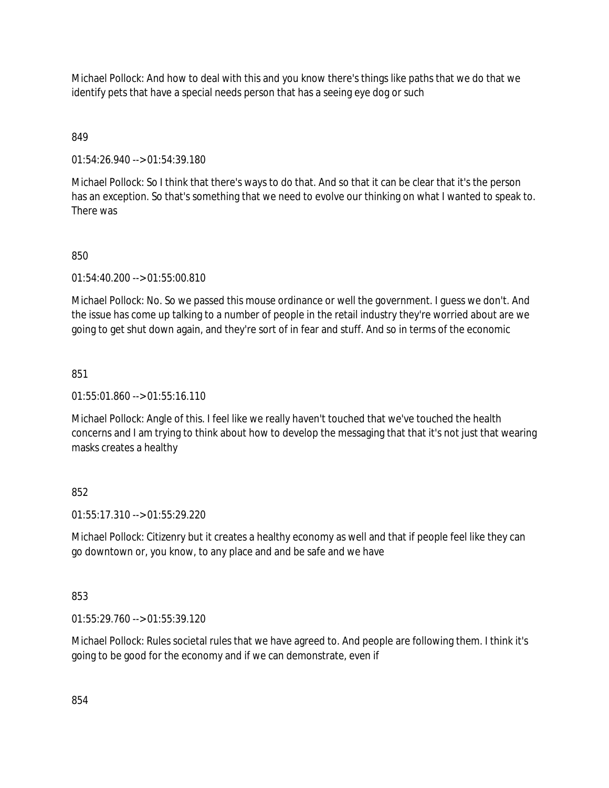Michael Pollock: And how to deal with this and you know there's things like paths that we do that we identify pets that have a special needs person that has a seeing eye dog or such

# 849

01:54:26.940 --> 01:54:39.180

Michael Pollock: So I think that there's ways to do that. And so that it can be clear that it's the person has an exception. So that's something that we need to evolve our thinking on what I wanted to speak to. There was

# 850

01:54:40.200 --> 01:55:00.810

Michael Pollock: No. So we passed this mouse ordinance or well the government. I guess we don't. And the issue has come up talking to a number of people in the retail industry they're worried about are we going to get shut down again, and they're sort of in fear and stuff. And so in terms of the economic

### 851

 $01:55:01.860 \rightarrow 01:55:16.110$ 

Michael Pollock: Angle of this. I feel like we really haven't touched that we've touched the health concerns and I am trying to think about how to develop the messaging that that it's not just that wearing masks creates a healthy

# 852

01:55:17.310 --> 01:55:29.220

Michael Pollock: Citizenry but it creates a healthy economy as well and that if people feel like they can go downtown or, you know, to any place and and be safe and we have

### 853

01:55:29.760 --> 01:55:39.120

Michael Pollock: Rules societal rules that we have agreed to. And people are following them. I think it's going to be good for the economy and if we can demonstrate, even if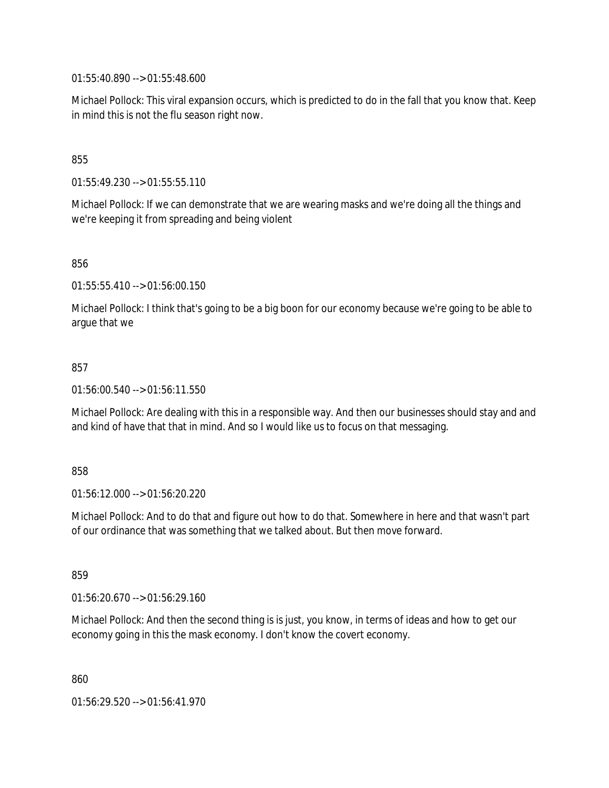01:55:40.890 --> 01:55:48.600

Michael Pollock: This viral expansion occurs, which is predicted to do in the fall that you know that. Keep in mind this is not the flu season right now.

855

01:55:49.230 --> 01:55:55.110

Michael Pollock: If we can demonstrate that we are wearing masks and we're doing all the things and we're keeping it from spreading and being violent

856

01:55:55.410 --> 01:56:00.150

Michael Pollock: I think that's going to be a big boon for our economy because we're going to be able to argue that we

#### 857

01:56:00.540 --> 01:56:11.550

Michael Pollock: Are dealing with this in a responsible way. And then our businesses should stay and and and kind of have that that in mind. And so I would like us to focus on that messaging.

#### 858

01:56:12.000 --> 01:56:20.220

Michael Pollock: And to do that and figure out how to do that. Somewhere in here and that wasn't part of our ordinance that was something that we talked about. But then move forward.

859

01:56:20.670 --> 01:56:29.160

Michael Pollock: And then the second thing is is just, you know, in terms of ideas and how to get our economy going in this the mask economy. I don't know the covert economy.

860

01:56:29.520 --> 01:56:41.970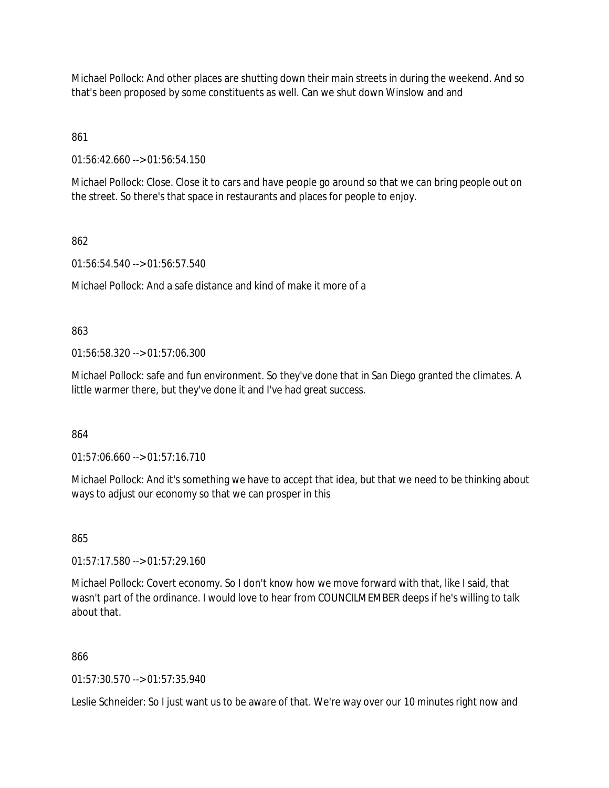Michael Pollock: And other places are shutting down their main streets in during the weekend. And so that's been proposed by some constituents as well. Can we shut down Winslow and and

861

01:56:42.660 --> 01:56:54.150

Michael Pollock: Close. Close it to cars and have people go around so that we can bring people out on the street. So there's that space in restaurants and places for people to enjoy.

862

01:56:54.540 --> 01:56:57.540

Michael Pollock: And a safe distance and kind of make it more of a

863

01:56:58.320 --> 01:57:06.300

Michael Pollock: safe and fun environment. So they've done that in San Diego granted the climates. A little warmer there, but they've done it and I've had great success.

864

01:57:06.660 --> 01:57:16.710

Michael Pollock: And it's something we have to accept that idea, but that we need to be thinking about ways to adjust our economy so that we can prosper in this

865

01:57:17.580 --> 01:57:29.160

Michael Pollock: Covert economy. So I don't know how we move forward with that, like I said, that wasn't part of the ordinance. I would love to hear from COUNCILMEMBER deeps if he's willing to talk about that.

866

01:57:30.570 --> 01:57:35.940

Leslie Schneider: So I just want us to be aware of that. We're way over our 10 minutes right now and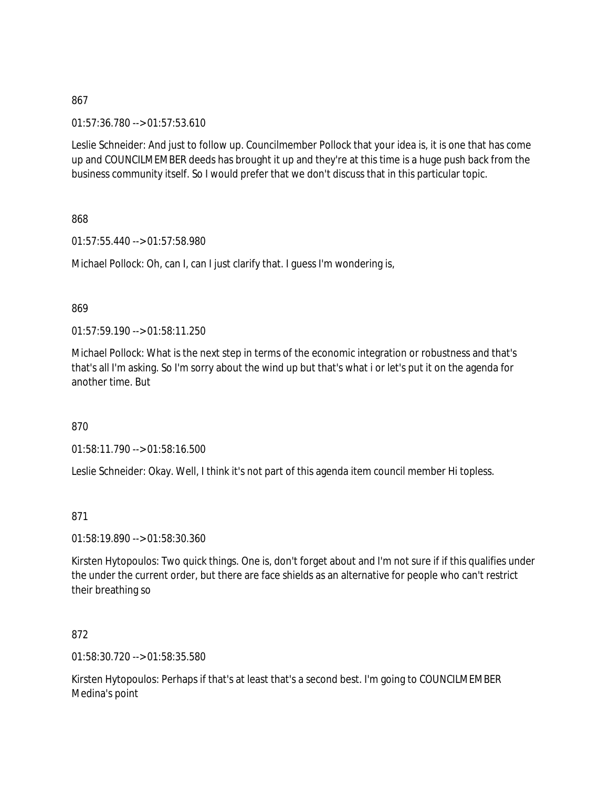01:57:36.780 --> 01:57:53.610

Leslie Schneider: And just to follow up. Councilmember Pollock that your idea is, it is one that has come up and COUNCILMEMBER deeds has brought it up and they're at this time is a huge push back from the business community itself. So I would prefer that we don't discuss that in this particular topic.

868

01:57:55.440 --> 01:57:58.980

Michael Pollock: Oh, can I, can I just clarify that. I guess I'm wondering is,

#### 869

01:57:59.190 --> 01:58:11.250

Michael Pollock: What is the next step in terms of the economic integration or robustness and that's that's all I'm asking. So I'm sorry about the wind up but that's what i or let's put it on the agenda for another time. But

870

01:58:11.790 --> 01:58:16.500

Leslie Schneider: Okay. Well, I think it's not part of this agenda item council member Hi topless.

### 871

01:58:19.890 --> 01:58:30.360

Kirsten Hytopoulos: Two quick things. One is, don't forget about and I'm not sure if if this qualifies under the under the current order, but there are face shields as an alternative for people who can't restrict their breathing so

### 872

01:58:30.720 --> 01:58:35.580

Kirsten Hytopoulos: Perhaps if that's at least that's a second best. I'm going to COUNCILMEMBER Medina's point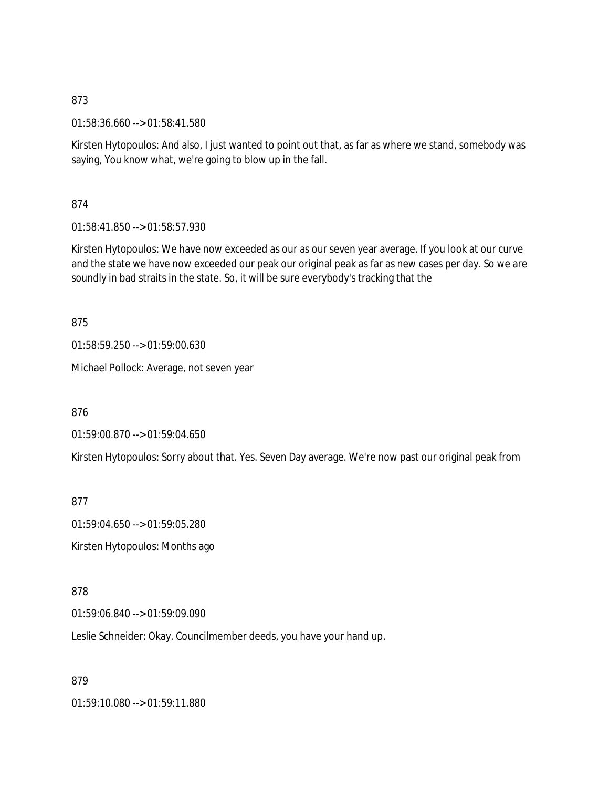01:58:36.660 --> 01:58:41.580

Kirsten Hytopoulos: And also, I just wanted to point out that, as far as where we stand, somebody was saying, You know what, we're going to blow up in the fall.

874

01:58:41.850 --> 01:58:57.930

Kirsten Hytopoulos: We have now exceeded as our as our seven year average. If you look at our curve and the state we have now exceeded our peak our original peak as far as new cases per day. So we are soundly in bad straits in the state. So, it will be sure everybody's tracking that the

875

01:58:59.250 --> 01:59:00.630

Michael Pollock: Average, not seven year

876

01:59:00.870 --> 01:59:04.650

Kirsten Hytopoulos: Sorry about that. Yes. Seven Day average. We're now past our original peak from

877

01:59:04.650 --> 01:59:05.280

Kirsten Hytopoulos: Months ago

878

01:59:06.840 --> 01:59:09.090

Leslie Schneider: Okay. Councilmember deeds, you have your hand up.

879

01:59:10.080 --> 01:59:11.880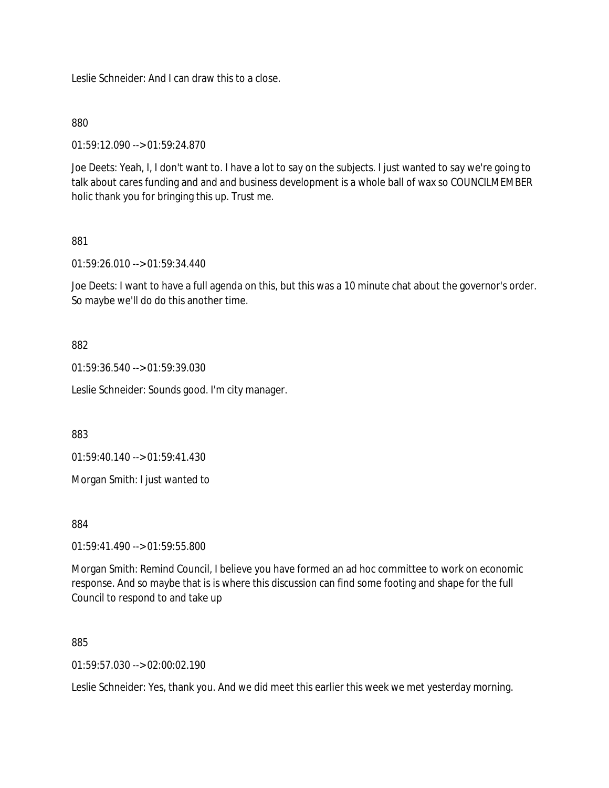Leslie Schneider: And I can draw this to a close.

### 880

01:59:12.090 --> 01:59:24.870

Joe Deets: Yeah, I, I don't want to. I have a lot to say on the subjects. I just wanted to say we're going to talk about cares funding and and and business development is a whole ball of wax so COUNCILMEMBER holic thank you for bringing this up. Trust me.

### 881

01:59:26.010 --> 01:59:34.440

Joe Deets: I want to have a full agenda on this, but this was a 10 minute chat about the governor's order. So maybe we'll do do this another time.

### 882

01:59:36.540 --> 01:59:39.030

Leslie Schneider: Sounds good. I'm city manager.

883

01:59:40.140 --> 01:59:41.430

Morgan Smith: I just wanted to

884

01:59:41.490 --> 01:59:55.800

Morgan Smith: Remind Council, I believe you have formed an ad hoc committee to work on economic response. And so maybe that is is where this discussion can find some footing and shape for the full Council to respond to and take up

885

 $01:59:57.030 \rightarrow 02:00:02.190$ 

Leslie Schneider: Yes, thank you. And we did meet this earlier this week we met yesterday morning.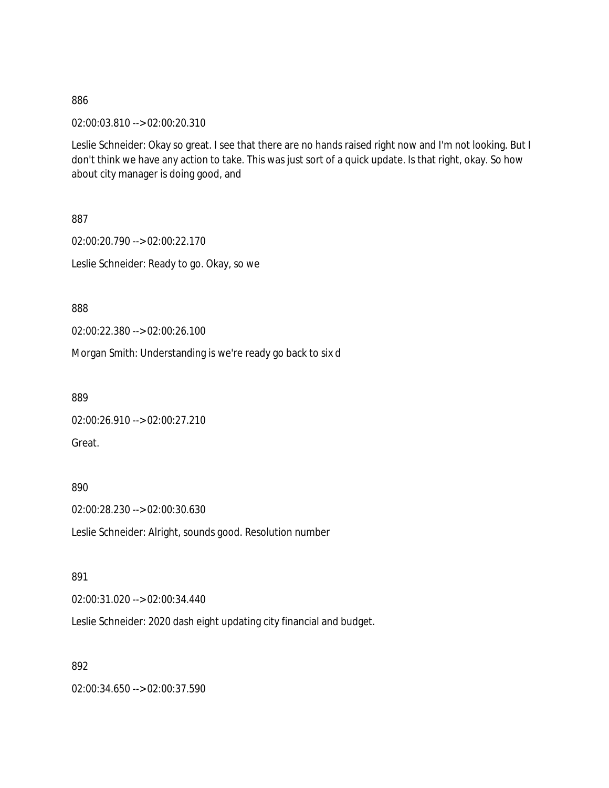02:00:03.810 --> 02:00:20.310

Leslie Schneider: Okay so great. I see that there are no hands raised right now and I'm not looking. But I don't think we have any action to take. This was just sort of a quick update. Is that right, okay. So how about city manager is doing good, and

887

02:00:20.790 --> 02:00:22.170 Leslie Schneider: Ready to go. Okay, so we

888

02:00:22.380 --> 02:00:26.100

Morgan Smith: Understanding is we're ready go back to six d

889

02:00:26.910 --> 02:00:27.210 Great.

890

02:00:28.230 --> 02:00:30.630

Leslie Schneider: Alright, sounds good. Resolution number

891

02:00:31.020 --> 02:00:34.440

Leslie Schneider: 2020 dash eight updating city financial and budget.

892

02:00:34.650 --> 02:00:37.590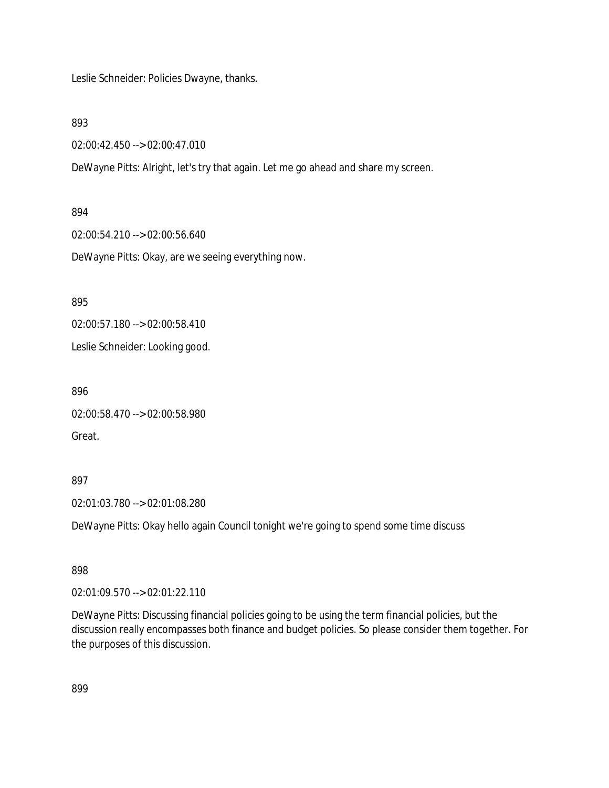Leslie Schneider: Policies Dwayne, thanks.

893

02:00:42.450 --> 02:00:47.010

DeWayne Pitts: Alright, let's try that again. Let me go ahead and share my screen.

894

02:00:54.210 --> 02:00:56.640

DeWayne Pitts: Okay, are we seeing everything now.

895

02:00:57.180 --> 02:00:58.410

Leslie Schneider: Looking good.

896

```
02:00:58.470 --> 02:00:58.980
```
Great.

897

02:01:03.780 --> 02:01:08.280

DeWayne Pitts: Okay hello again Council tonight we're going to spend some time discuss

898

02:01:09.570 --> 02:01:22.110

DeWayne Pitts: Discussing financial policies going to be using the term financial policies, but the discussion really encompasses both finance and budget policies. So please consider them together. For the purposes of this discussion.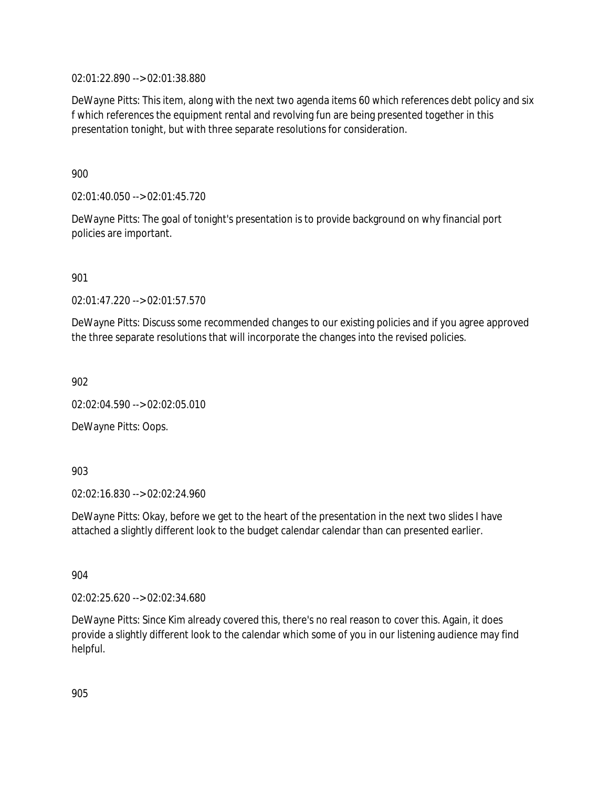02:01:22.890 --> 02:01:38.880

DeWayne Pitts: This item, along with the next two agenda items 60 which references debt policy and six f which references the equipment rental and revolving fun are being presented together in this presentation tonight, but with three separate resolutions for consideration.

900

02:01:40.050 --> 02:01:45.720

DeWayne Pitts: The goal of tonight's presentation is to provide background on why financial port policies are important.

901

02:01:47.220 --> 02:01:57.570

DeWayne Pitts: Discuss some recommended changes to our existing policies and if you agree approved the three separate resolutions that will incorporate the changes into the revised policies.

902

02:02:04.590 --> 02:02:05.010

DeWayne Pitts: Oops.

903

02:02:16.830 --> 02:02:24.960

DeWayne Pitts: Okay, before we get to the heart of the presentation in the next two slides I have attached a slightly different look to the budget calendar calendar than can presented earlier.

904

02:02:25.620 --> 02:02:34.680

DeWayne Pitts: Since Kim already covered this, there's no real reason to cover this. Again, it does provide a slightly different look to the calendar which some of you in our listening audience may find helpful.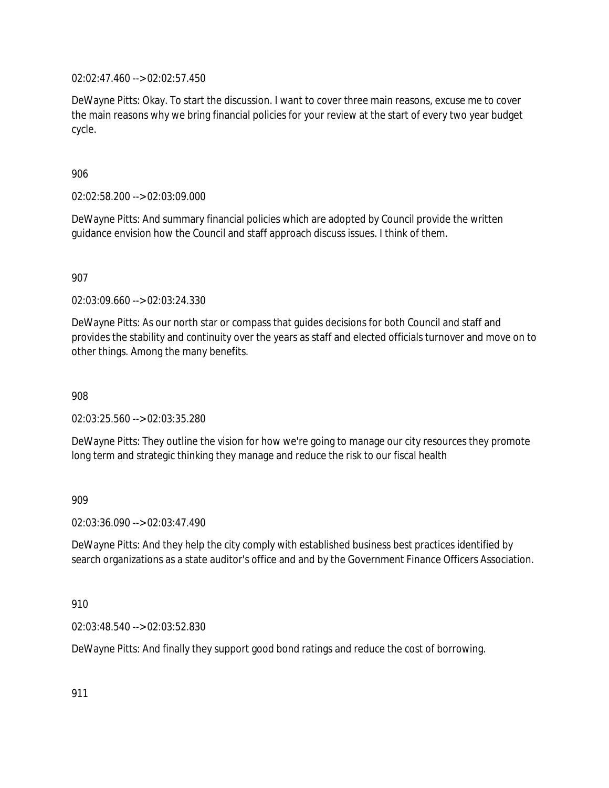02:02:47.460 --> 02:02:57.450

DeWayne Pitts: Okay. To start the discussion. I want to cover three main reasons, excuse me to cover the main reasons why we bring financial policies for your review at the start of every two year budget cycle.

### 906

02:02:58.200 --> 02:03:09.000

DeWayne Pitts: And summary financial policies which are adopted by Council provide the written guidance envision how the Council and staff approach discuss issues. I think of them.

907

02:03:09.660 --> 02:03:24.330

DeWayne Pitts: As our north star or compass that guides decisions for both Council and staff and provides the stability and continuity over the years as staff and elected officials turnover and move on to other things. Among the many benefits.

908

02:03:25.560 --> 02:03:35.280

DeWayne Pitts: They outline the vision for how we're going to manage our city resources they promote long term and strategic thinking they manage and reduce the risk to our fiscal health

909

02:03:36.090 --> 02:03:47.490

DeWayne Pitts: And they help the city comply with established business best practices identified by search organizations as a state auditor's office and and by the Government Finance Officers Association.

910

02:03:48.540 --> 02:03:52.830

DeWayne Pitts: And finally they support good bond ratings and reduce the cost of borrowing.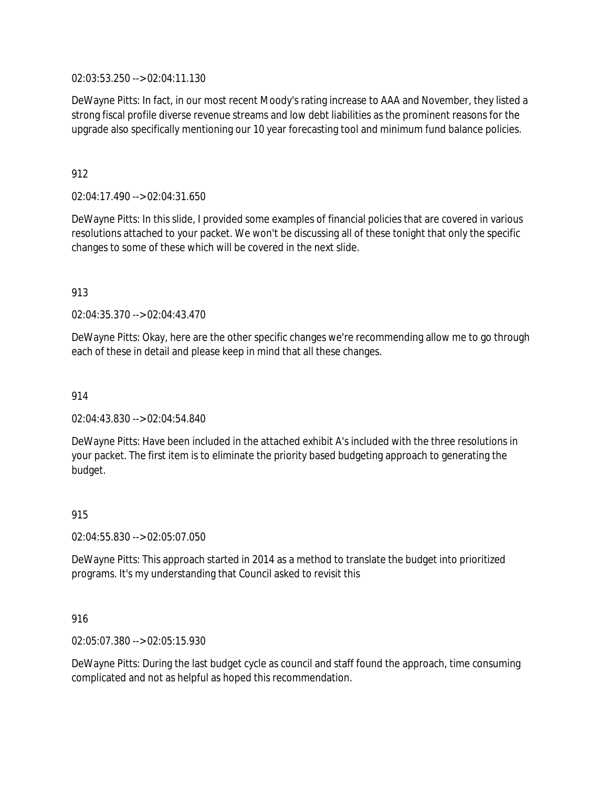02:03:53.250 --> 02:04:11.130

DeWayne Pitts: In fact, in our most recent Moody's rating increase to AAA and November, they listed a strong fiscal profile diverse revenue streams and low debt liabilities as the prominent reasons for the upgrade also specifically mentioning our 10 year forecasting tool and minimum fund balance policies.

# 912

02:04:17.490 --> 02:04:31.650

DeWayne Pitts: In this slide, I provided some examples of financial policies that are covered in various resolutions attached to your packet. We won't be discussing all of these tonight that only the specific changes to some of these which will be covered in the next slide.

### 913

02:04:35.370 --> 02:04:43.470

DeWayne Pitts: Okay, here are the other specific changes we're recommending allow me to go through each of these in detail and please keep in mind that all these changes.

### 914

02:04:43.830 --> 02:04:54.840

DeWayne Pitts: Have been included in the attached exhibit A's included with the three resolutions in your packet. The first item is to eliminate the priority based budgeting approach to generating the budget.

#### 915

02:04:55.830 --> 02:05:07.050

DeWayne Pitts: This approach started in 2014 as a method to translate the budget into prioritized programs. It's my understanding that Council asked to revisit this

### 916

02:05:07.380 --> 02:05:15.930

DeWayne Pitts: During the last budget cycle as council and staff found the approach, time consuming complicated and not as helpful as hoped this recommendation.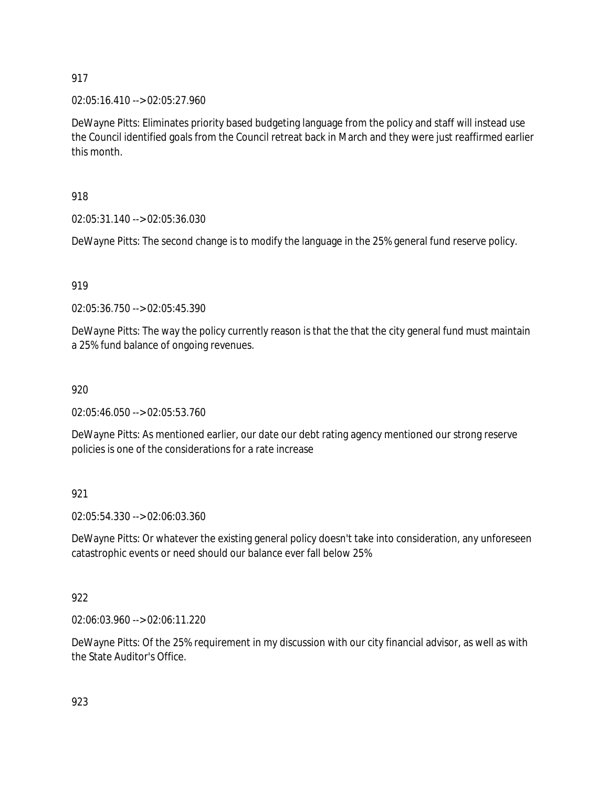02:05:16.410 --> 02:05:27.960

DeWayne Pitts: Eliminates priority based budgeting language from the policy and staff will instead use the Council identified goals from the Council retreat back in March and they were just reaffirmed earlier this month.

# 918

02:05:31.140 --> 02:05:36.030

DeWayne Pitts: The second change is to modify the language in the 25% general fund reserve policy.

## 919

02:05:36.750 --> 02:05:45.390

DeWayne Pitts: The way the policy currently reason is that the that the city general fund must maintain a 25% fund balance of ongoing revenues.

### 920

02:05:46.050 --> 02:05:53.760

DeWayne Pitts: As mentioned earlier, our date our debt rating agency mentioned our strong reserve policies is one of the considerations for a rate increase

### 921

02:05:54.330 --> 02:06:03.360

DeWayne Pitts: Or whatever the existing general policy doesn't take into consideration, any unforeseen catastrophic events or need should our balance ever fall below 25%

### 922

02:06:03.960 --> 02:06:11.220

DeWayne Pitts: Of the 25% requirement in my discussion with our city financial advisor, as well as with the State Auditor's Office.

923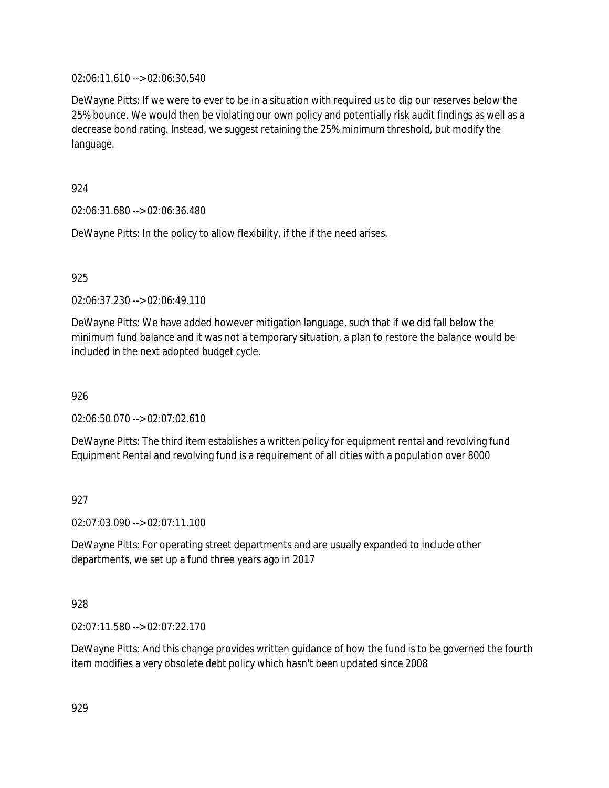02:06:11.610 --> 02:06:30.540

DeWayne Pitts: If we were to ever to be in a situation with required us to dip our reserves below the 25% bounce. We would then be violating our own policy and potentially risk audit findings as well as a decrease bond rating. Instead, we suggest retaining the 25% minimum threshold, but modify the language.

924

02:06:31.680 --> 02:06:36.480

DeWayne Pitts: In the policy to allow flexibility, if the if the need arises.

925

02:06:37.230 --> 02:06:49.110

DeWayne Pitts: We have added however mitigation language, such that if we did fall below the minimum fund balance and it was not a temporary situation, a plan to restore the balance would be included in the next adopted budget cycle.

926

02:06:50.070 --> 02:07:02.610

DeWayne Pitts: The third item establishes a written policy for equipment rental and revolving fund Equipment Rental and revolving fund is a requirement of all cities with a population over 8000

927

02:07:03.090 --> 02:07:11.100

DeWayne Pitts: For operating street departments and are usually expanded to include other departments, we set up a fund three years ago in 2017

928

02:07:11.580 --> 02:07:22.170

DeWayne Pitts: And this change provides written guidance of how the fund is to be governed the fourth item modifies a very obsolete debt policy which hasn't been updated since 2008

929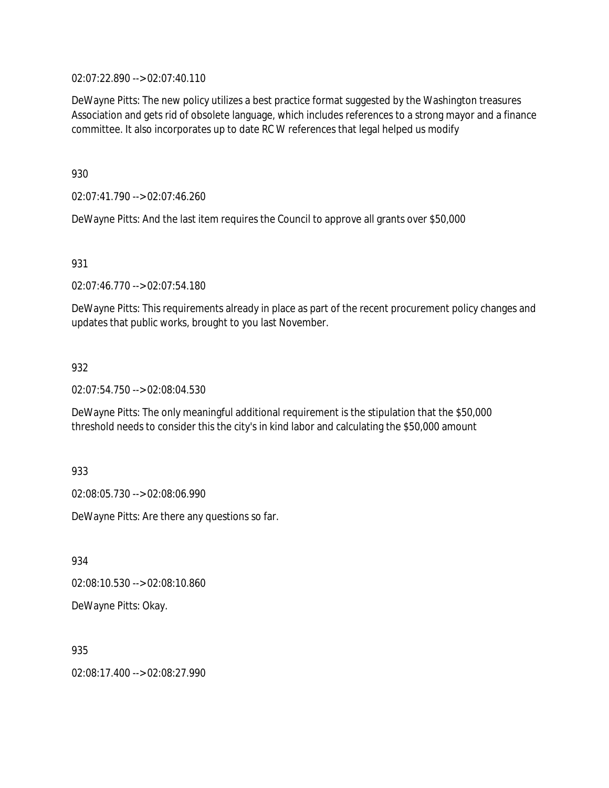02:07:22.890 --> 02:07:40.110

DeWayne Pitts: The new policy utilizes a best practice format suggested by the Washington treasures Association and gets rid of obsolete language, which includes references to a strong mayor and a finance committee. It also incorporates up to date RC W references that legal helped us modify

930

02:07:41.790 --> 02:07:46.260

DeWayne Pitts: And the last item requires the Council to approve all grants over \$50,000

931

02:07:46.770 --> 02:07:54.180

DeWayne Pitts: This requirements already in place as part of the recent procurement policy changes and updates that public works, brought to you last November.

932

02:07:54.750 --> 02:08:04.530

DeWayne Pitts: The only meaningful additional requirement is the stipulation that the \$50,000 threshold needs to consider this the city's in kind labor and calculating the \$50,000 amount

933

02:08:05.730 --> 02:08:06.990

DeWayne Pitts: Are there any questions so far.

934

02:08:10.530 --> 02:08:10.860

DeWayne Pitts: Okay.

935

02:08:17.400 --> 02:08:27.990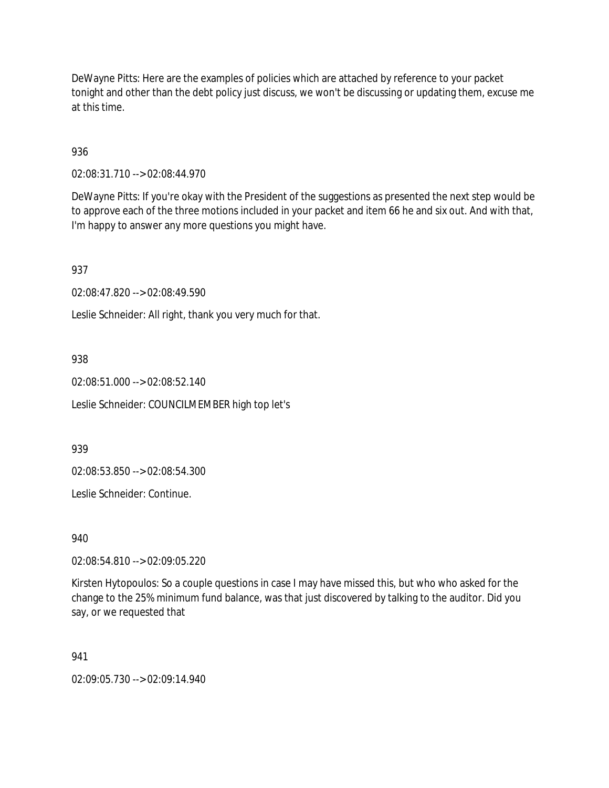DeWayne Pitts: Here are the examples of policies which are attached by reference to your packet tonight and other than the debt policy just discuss, we won't be discussing or updating them, excuse me at this time.

936

02:08:31.710 --> 02:08:44.970

DeWayne Pitts: If you're okay with the President of the suggestions as presented the next step would be to approve each of the three motions included in your packet and item 66 he and six out. And with that, I'm happy to answer any more questions you might have.

937

02:08:47.820 --> 02:08:49.590

Leslie Schneider: All right, thank you very much for that.

938

02:08:51.000 --> 02:08:52.140

Leslie Schneider: COUNCILMEMBER high top let's

939

02:08:53.850 --> 02:08:54.300

Leslie Schneider: Continue.

940

02:08:54.810 --> 02:09:05.220

Kirsten Hytopoulos: So a couple questions in case I may have missed this, but who who asked for the change to the 25% minimum fund balance, was that just discovered by talking to the auditor. Did you say, or we requested that

941

02:09:05.730 --> 02:09:14.940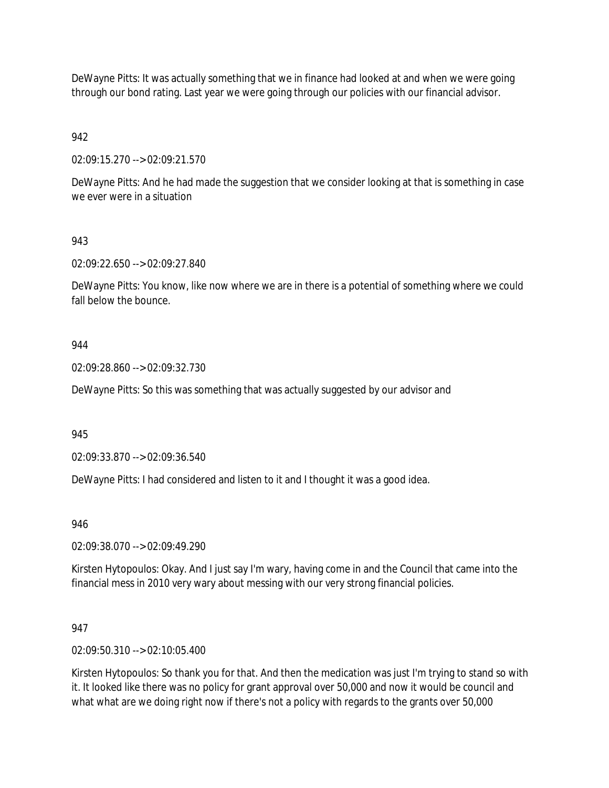DeWayne Pitts: It was actually something that we in finance had looked at and when we were going through our bond rating. Last year we were going through our policies with our financial advisor.

942

02:09:15.270 --> 02:09:21.570

DeWayne Pitts: And he had made the suggestion that we consider looking at that is something in case we ever were in a situation

943

02:09:22.650 --> 02:09:27.840

DeWayne Pitts: You know, like now where we are in there is a potential of something where we could fall below the bounce.

#### 944

02:09:28.860 --> 02:09:32.730

DeWayne Pitts: So this was something that was actually suggested by our advisor and

945

02:09:33.870 --> 02:09:36.540

DeWayne Pitts: I had considered and listen to it and I thought it was a good idea.

946

02:09:38.070 --> 02:09:49.290

Kirsten Hytopoulos: Okay. And I just say I'm wary, having come in and the Council that came into the financial mess in 2010 very wary about messing with our very strong financial policies.

947

02:09:50.310 --> 02:10:05.400

Kirsten Hytopoulos: So thank you for that. And then the medication was just I'm trying to stand so with it. It looked like there was no policy for grant approval over 50,000 and now it would be council and what what are we doing right now if there's not a policy with regards to the grants over 50,000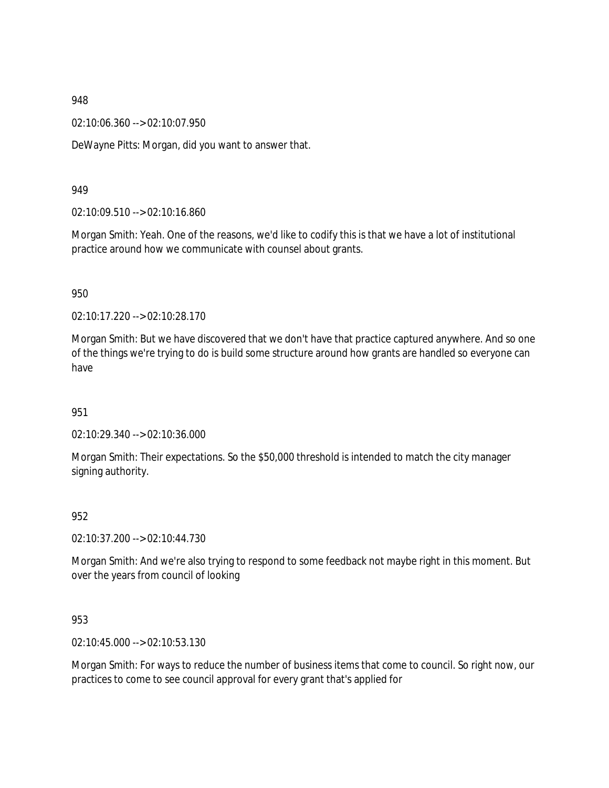02:10:06.360 --> 02:10:07.950

DeWayne Pitts: Morgan, did you want to answer that.

#### 949

02:10:09.510 --> 02:10:16.860

Morgan Smith: Yeah. One of the reasons, we'd like to codify this is that we have a lot of institutional practice around how we communicate with counsel about grants.

#### 950

02:10:17.220 --> 02:10:28.170

Morgan Smith: But we have discovered that we don't have that practice captured anywhere. And so one of the things we're trying to do is build some structure around how grants are handled so everyone can have

### 951

02:10:29.340 --> 02:10:36.000

Morgan Smith: Their expectations. So the \$50,000 threshold is intended to match the city manager signing authority.

#### 952

02:10:37.200 --> 02:10:44.730

Morgan Smith: And we're also trying to respond to some feedback not maybe right in this moment. But over the years from council of looking

### 953

02:10:45.000 --> 02:10:53.130

Morgan Smith: For ways to reduce the number of business items that come to council. So right now, our practices to come to see council approval for every grant that's applied for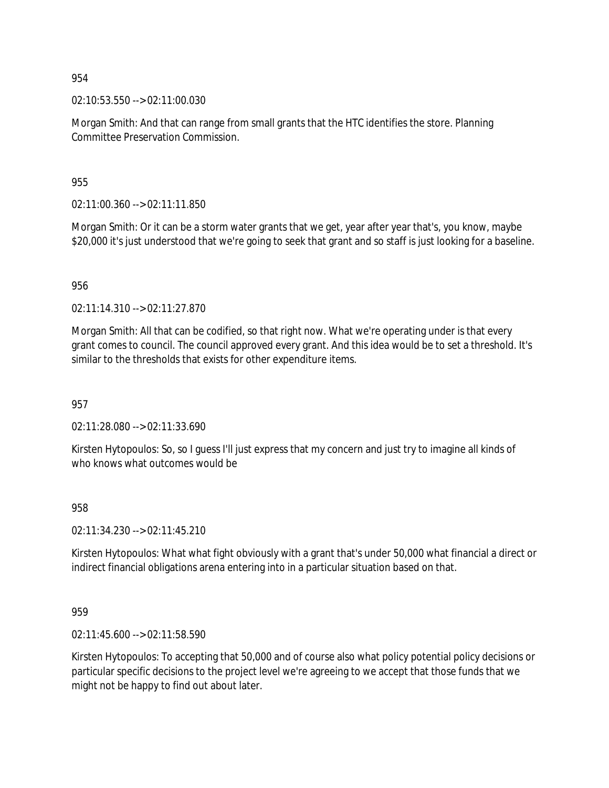02:10:53.550 --> 02:11:00.030

Morgan Smith: And that can range from small grants that the HTC identifies the store. Planning Committee Preservation Commission.

955

02:11:00.360 --> 02:11:11.850

Morgan Smith: Or it can be a storm water grants that we get, year after year that's, you know, maybe \$20,000 it's just understood that we're going to seek that grant and so staff is just looking for a baseline.

956

02:11:14.310 --> 02:11:27.870

Morgan Smith: All that can be codified, so that right now. What we're operating under is that every grant comes to council. The council approved every grant. And this idea would be to set a threshold. It's similar to the thresholds that exists for other expenditure items.

957

02:11:28.080 --> 02:11:33.690

Kirsten Hytopoulos: So, so I guess I'll just express that my concern and just try to imagine all kinds of who knows what outcomes would be

958

02:11:34.230 --> 02:11:45.210

Kirsten Hytopoulos: What what fight obviously with a grant that's under 50,000 what financial a direct or indirect financial obligations arena entering into in a particular situation based on that.

959

02:11:45.600 --> 02:11:58.590

Kirsten Hytopoulos: To accepting that 50,000 and of course also what policy potential policy decisions or particular specific decisions to the project level we're agreeing to we accept that those funds that we might not be happy to find out about later.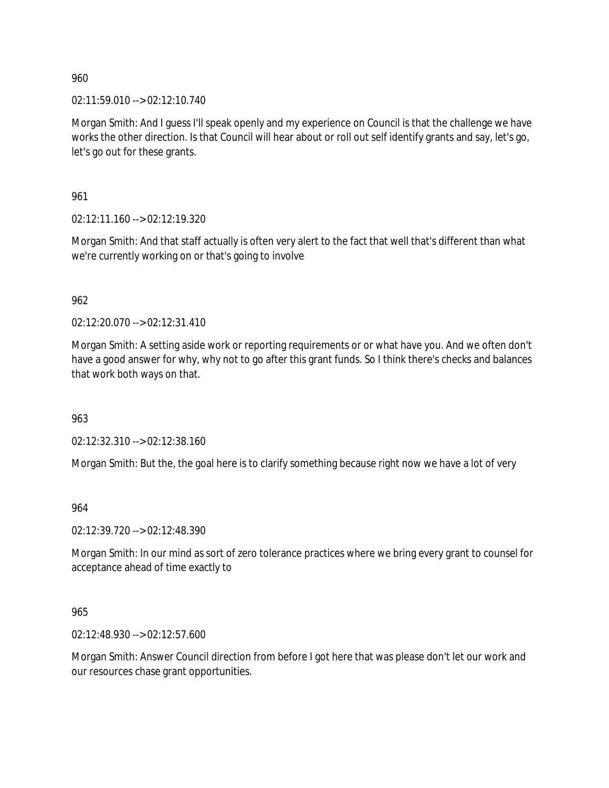02:11:59.010 --> 02:12:10.740

Morgan Smith: And I guess I'll speak openly and my experience on Council is that the challenge we have works the other direction. Is that Council will hear about or roll out self identify grants and say, let's go, let's go out for these grants.

961

02:12:11.160 --> 02:12:19.320

Morgan Smith: And that staff actually is often very alert to the fact that well that's different than what we're currently working on or that's going to involve

962

02:12:20.070 --> 02:12:31.410

Morgan Smith: A setting aside work or reporting requirements or or what have you. And we often don't have a good answer for why, why not to go after this grant funds. So I think there's checks and balances that work both ways on that.

963

02:12:32.310 --> 02:12:38.160

Morgan Smith: But the, the goal here is to clarify something because right now we have a lot of very

964

02:12:39.720 --> 02:12:48.390

Morgan Smith: In our mind as sort of zero tolerance practices where we bring every grant to counsel for acceptance ahead of time exactly to

965

02:12:48.930 --> 02:12:57.600

Morgan Smith: Answer Council direction from before I got here that was please don't let our work and our resources chase grant opportunities.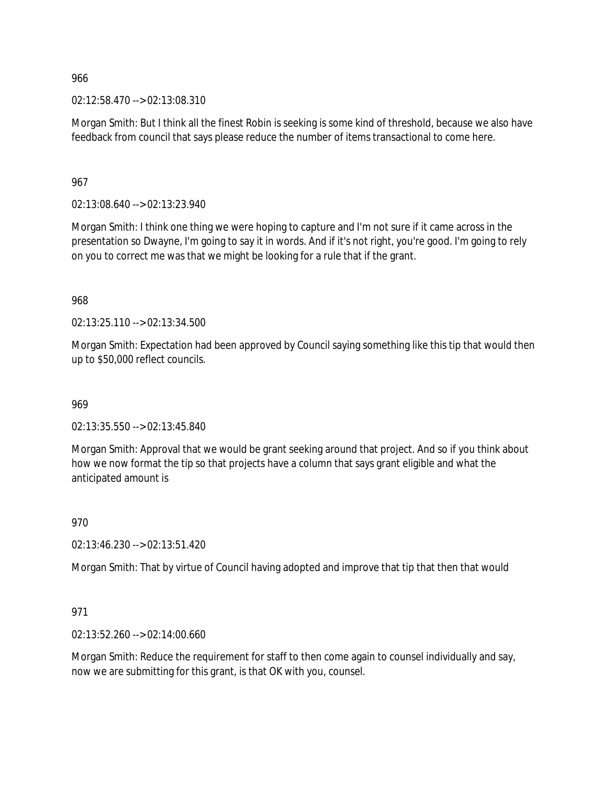02:12:58.470 --> 02:13:08.310

Morgan Smith: But I think all the finest Robin is seeking is some kind of threshold, because we also have feedback from council that says please reduce the number of items transactional to come here.

967

02:13:08.640 --> 02:13:23.940

Morgan Smith: I think one thing we were hoping to capture and I'm not sure if it came across in the presentation so Dwayne, I'm going to say it in words. And if it's not right, you're good. I'm going to rely on you to correct me was that we might be looking for a rule that if the grant.

968

02:13:25.110 --> 02:13:34.500

Morgan Smith: Expectation had been approved by Council saying something like this tip that would then up to \$50,000 reflect councils.

969

02:13:35.550 --> 02:13:45.840

Morgan Smith: Approval that we would be grant seeking around that project. And so if you think about how we now format the tip so that projects have a column that says grant eligible and what the anticipated amount is

970

02:13:46.230 --> 02:13:51.420

Morgan Smith: That by virtue of Council having adopted and improve that tip that then that would

971

02:13:52.260 --> 02:14:00.660

Morgan Smith: Reduce the requirement for staff to then come again to counsel individually and say, now we are submitting for this grant, is that OK with you, counsel.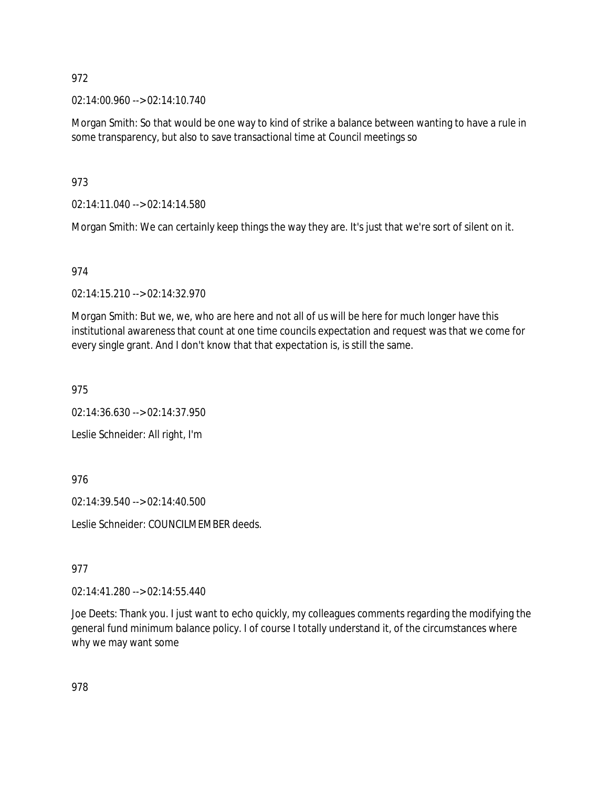02:14:00.960 --> 02:14:10.740

Morgan Smith: So that would be one way to kind of strike a balance between wanting to have a rule in some transparency, but also to save transactional time at Council meetings so

973

02:14:11.040 --> 02:14:14.580

Morgan Smith: We can certainly keep things the way they are. It's just that we're sort of silent on it.

### 974

02:14:15.210 --> 02:14:32.970

Morgan Smith: But we, we, who are here and not all of us will be here for much longer have this institutional awareness that count at one time councils expectation and request was that we come for every single grant. And I don't know that that expectation is, is still the same.

975

02:14:36.630 --> 02:14:37.950

Leslie Schneider: All right, I'm

976

02:14:39.540 --> 02:14:40.500

Leslie Schneider: COUNCILMEMBER deeds.

977

02:14:41.280 --> 02:14:55.440

Joe Deets: Thank you. I just want to echo quickly, my colleagues comments regarding the modifying the general fund minimum balance policy. I of course I totally understand it, of the circumstances where why we may want some

978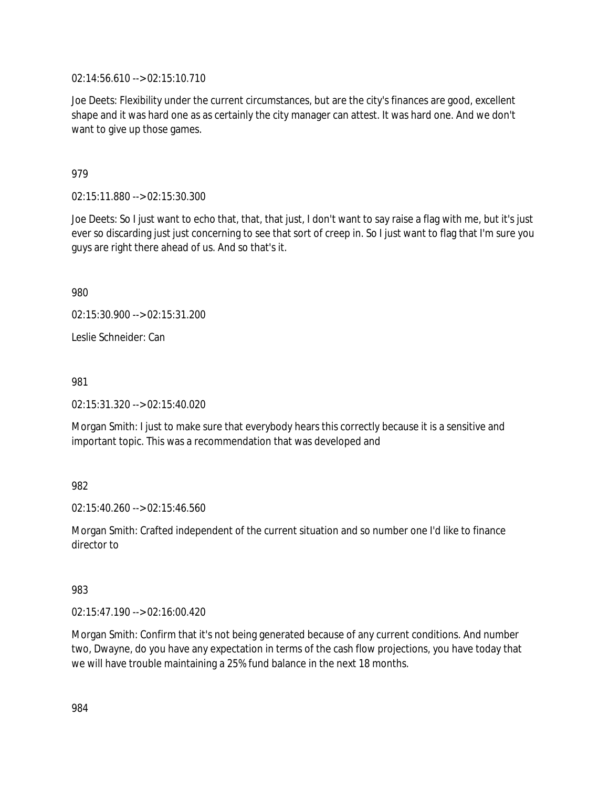02:14:56.610 --> 02:15:10.710

Joe Deets: Flexibility under the current circumstances, but are the city's finances are good, excellent shape and it was hard one as as certainly the city manager can attest. It was hard one. And we don't want to give up those games.

979

02:15:11.880 --> 02:15:30.300

Joe Deets: So I just want to echo that, that, that just, I don't want to say raise a flag with me, but it's just ever so discarding just just concerning to see that sort of creep in. So I just want to flag that I'm sure you guys are right there ahead of us. And so that's it.

980

02:15:30.900 --> 02:15:31.200

Leslie Schneider: Can

981

02:15:31.320 --> 02:15:40.020

Morgan Smith: I just to make sure that everybody hears this correctly because it is a sensitive and important topic. This was a recommendation that was developed and

982

02:15:40.260 --> 02:15:46.560

Morgan Smith: Crafted independent of the current situation and so number one I'd like to finance director to

983

02:15:47.190 --> 02:16:00.420

Morgan Smith: Confirm that it's not being generated because of any current conditions. And number two, Dwayne, do you have any expectation in terms of the cash flow projections, you have today that we will have trouble maintaining a 25% fund balance in the next 18 months.

984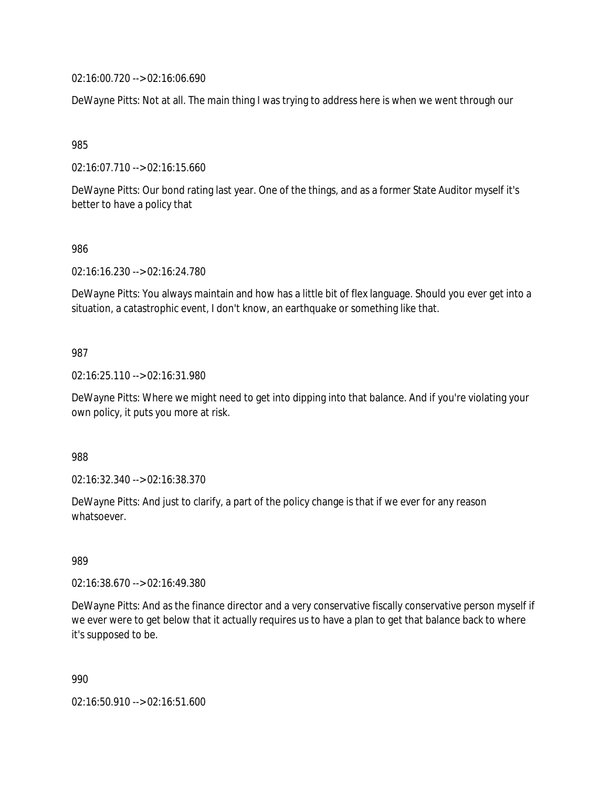02:16:00.720 --> 02:16:06.690

DeWayne Pitts: Not at all. The main thing I was trying to address here is when we went through our

985

02:16:07.710 --> 02:16:15.660

DeWayne Pitts: Our bond rating last year. One of the things, and as a former State Auditor myself it's better to have a policy that

#### 986

02:16:16.230 --> 02:16:24.780

DeWayne Pitts: You always maintain and how has a little bit of flex language. Should you ever get into a situation, a catastrophic event, I don't know, an earthquake or something like that.

#### 987

02:16:25.110 --> 02:16:31.980

DeWayne Pitts: Where we might need to get into dipping into that balance. And if you're violating your own policy, it puts you more at risk.

988

02:16:32.340 --> 02:16:38.370

DeWayne Pitts: And just to clarify, a part of the policy change is that if we ever for any reason whatsoever.

#### 989

02:16:38.670 --> 02:16:49.380

DeWayne Pitts: And as the finance director and a very conservative fiscally conservative person myself if we ever were to get below that it actually requires us to have a plan to get that balance back to where it's supposed to be.

990

02:16:50.910 --> 02:16:51.600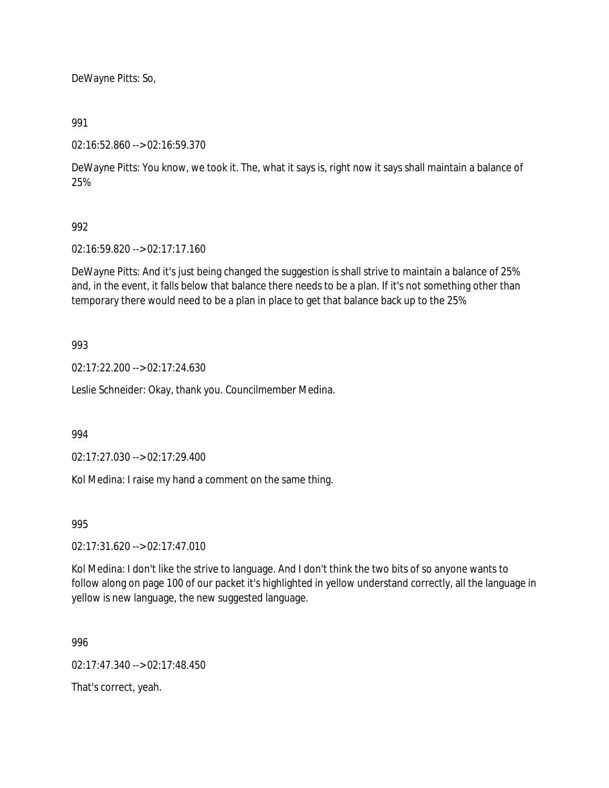DeWayne Pitts: So,

### 991

02:16:52.860 --> 02:16:59.370

DeWayne Pitts: You know, we took it. The, what it says is, right now it says shall maintain a balance of 25%

## 992

02:16:59.820 --> 02:17:17.160

DeWayne Pitts: And it's just being changed the suggestion is shall strive to maintain a balance of 25% and, in the event, it falls below that balance there needs to be a plan. If it's not something other than temporary there would need to be a plan in place to get that balance back up to the 25%

## 993

02:17:22.200 --> 02:17:24.630

Leslie Schneider: Okay, thank you. Councilmember Medina.

### 994

02:17:27.030 --> 02:17:29.400

Kol Medina: I raise my hand a comment on the same thing.

995

02:17:31.620 --> 02:17:47.010

Kol Medina: I don't like the strive to language. And I don't think the two bits of so anyone wants to follow along on page 100 of our packet it's highlighted in yellow understand correctly, all the language in yellow is new language, the new suggested language.

996

02:17:47.340 --> 02:17:48.450

That's correct, yeah.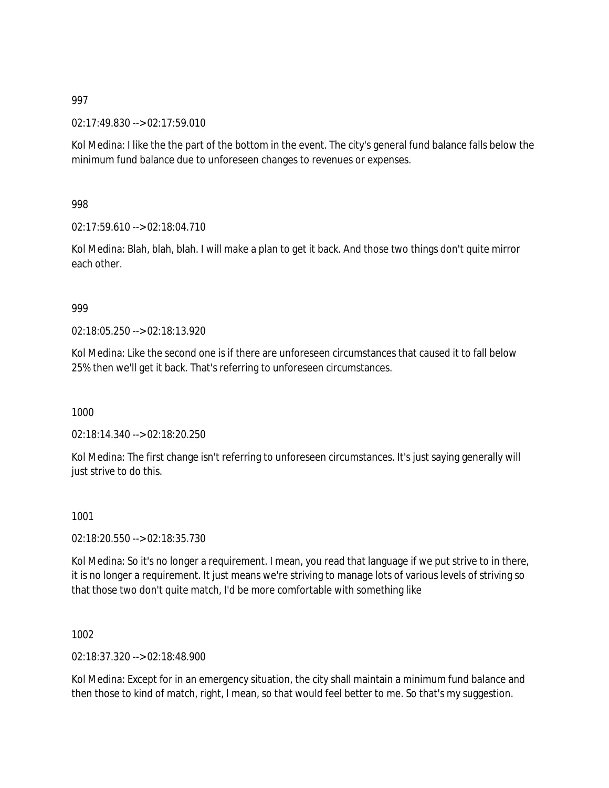02:17:49.830 --> 02:17:59.010

Kol Medina: I like the the part of the bottom in the event. The city's general fund balance falls below the minimum fund balance due to unforeseen changes to revenues or expenses.

998

02:17:59.610 --> 02:18:04.710

Kol Medina: Blah, blah, blah. I will make a plan to get it back. And those two things don't quite mirror each other.

#### 999

02:18:05.250 --> 02:18:13.920

Kol Medina: Like the second one is if there are unforeseen circumstances that caused it to fall below 25% then we'll get it back. That's referring to unforeseen circumstances.

1000

02:18:14.340 --> 02:18:20.250

Kol Medina: The first change isn't referring to unforeseen circumstances. It's just saying generally will just strive to do this.

1001

02:18:20.550 --> 02:18:35.730

Kol Medina: So it's no longer a requirement. I mean, you read that language if we put strive to in there, it is no longer a requirement. It just means we're striving to manage lots of various levels of striving so that those two don't quite match, I'd be more comfortable with something like

1002

02:18:37.320 --> 02:18:48.900

Kol Medina: Except for in an emergency situation, the city shall maintain a minimum fund balance and then those to kind of match, right, I mean, so that would feel better to me. So that's my suggestion.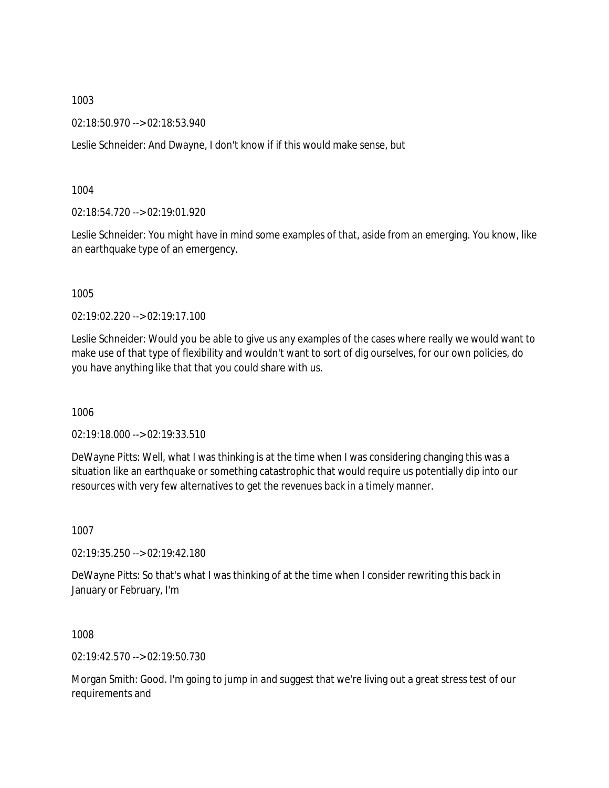02:18:50.970 --> 02:18:53.940

Leslie Schneider: And Dwayne, I don't know if if this would make sense, but

1004

02:18:54.720 --> 02:19:01.920

Leslie Schneider: You might have in mind some examples of that, aside from an emerging. You know, like an earthquake type of an emergency.

1005

02:19:02.220 --> 02:19:17.100

Leslie Schneider: Would you be able to give us any examples of the cases where really we would want to make use of that type of flexibility and wouldn't want to sort of dig ourselves, for our own policies, do you have anything like that that you could share with us.

1006

02:19:18.000 --> 02:19:33.510

DeWayne Pitts: Well, what I was thinking is at the time when I was considering changing this was a situation like an earthquake or something catastrophic that would require us potentially dip into our resources with very few alternatives to get the revenues back in a timely manner.

1007

02:19:35.250 --> 02:19:42.180

DeWayne Pitts: So that's what I was thinking of at the time when I consider rewriting this back in January or February, I'm

1008

02:19:42.570 --> 02:19:50.730

Morgan Smith: Good. I'm going to jump in and suggest that we're living out a great stress test of our requirements and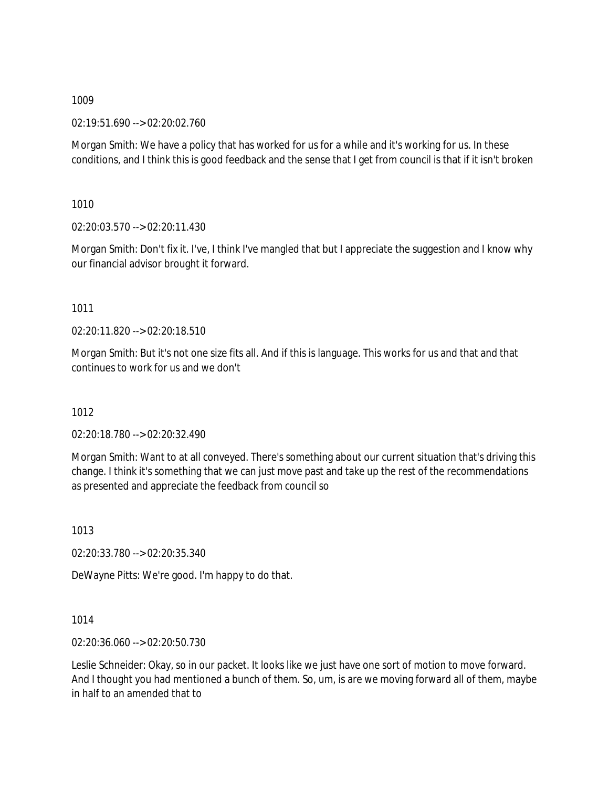02:19:51.690 --> 02:20:02.760

Morgan Smith: We have a policy that has worked for us for a while and it's working for us. In these conditions, and I think this is good feedback and the sense that I get from council is that if it isn't broken

1010

02:20:03.570 --> 02:20:11.430

Morgan Smith: Don't fix it. I've, I think I've mangled that but I appreciate the suggestion and I know why our financial advisor brought it forward.

1011

02:20:11.820 --> 02:20:18.510

Morgan Smith: But it's not one size fits all. And if this is language. This works for us and that and that continues to work for us and we don't

1012

02:20:18.780 --> 02:20:32.490

Morgan Smith: Want to at all conveyed. There's something about our current situation that's driving this change. I think it's something that we can just move past and take up the rest of the recommendations as presented and appreciate the feedback from council so

1013

02:20:33.780 --> 02:20:35.340

DeWayne Pitts: We're good. I'm happy to do that.

1014

02:20:36.060 --> 02:20:50.730

Leslie Schneider: Okay, so in our packet. It looks like we just have one sort of motion to move forward. And I thought you had mentioned a bunch of them. So, um, is are we moving forward all of them, maybe in half to an amended that to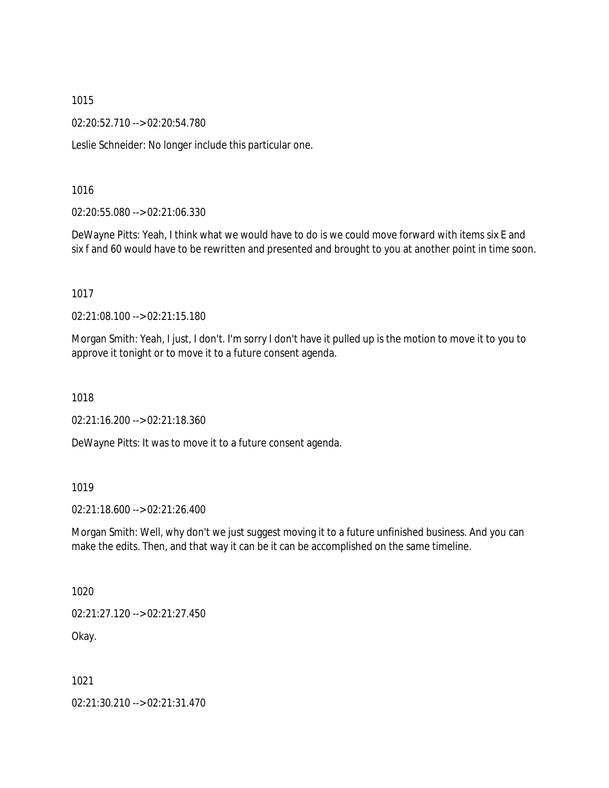02:20:52.710 --> 02:20:54.780

Leslie Schneider: No longer include this particular one.

1016

02:20:55.080 --> 02:21:06.330

DeWayne Pitts: Yeah, I think what we would have to do is we could move forward with items six E and six f and 60 would have to be rewritten and presented and brought to you at another point in time soon.

1017

02:21:08.100 --> 02:21:15.180

Morgan Smith: Yeah, I just, I don't. I'm sorry I don't have it pulled up is the motion to move it to you to approve it tonight or to move it to a future consent agenda.

1018

02:21:16.200 --> 02:21:18.360

DeWayne Pitts: It was to move it to a future consent agenda.

### 1019

02:21:18.600 --> 02:21:26.400

Morgan Smith: Well, why don't we just suggest moving it to a future unfinished business. And you can make the edits. Then, and that way it can be it can be accomplished on the same timeline.

1020

02:21:27.120 --> 02:21:27.450

Okay.

1021

02:21:30.210 --> 02:21:31.470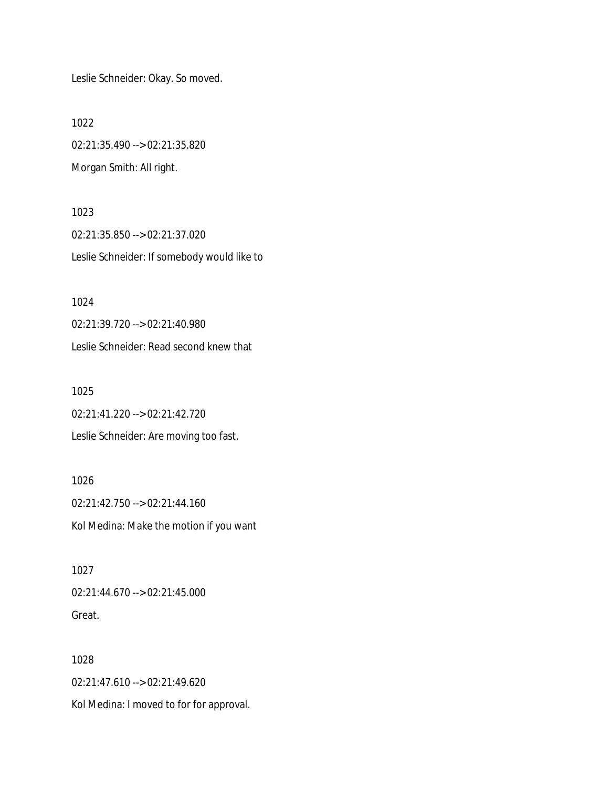Leslie Schneider: Okay. So moved.

1022

1024

02:21:35.490 --> 02:21:35.820 Morgan Smith: All right.

1023 02:21:35.850 --> 02:21:37.020 Leslie Schneider: If somebody would like to

02:21:39.720 --> 02:21:40.980 Leslie Schneider: Read second knew that 1025

02:21:41.220 --> 02:21:42.720 Leslie Schneider: Are moving too fast.

1026 02:21:42.750 --> 02:21:44.160 Kol Medina: Make the motion if you want

1027 02:21:44.670 --> 02:21:45.000 Great.

1028 02:21:47.610 --> 02:21:49.620 Kol Medina: I moved to for for approval.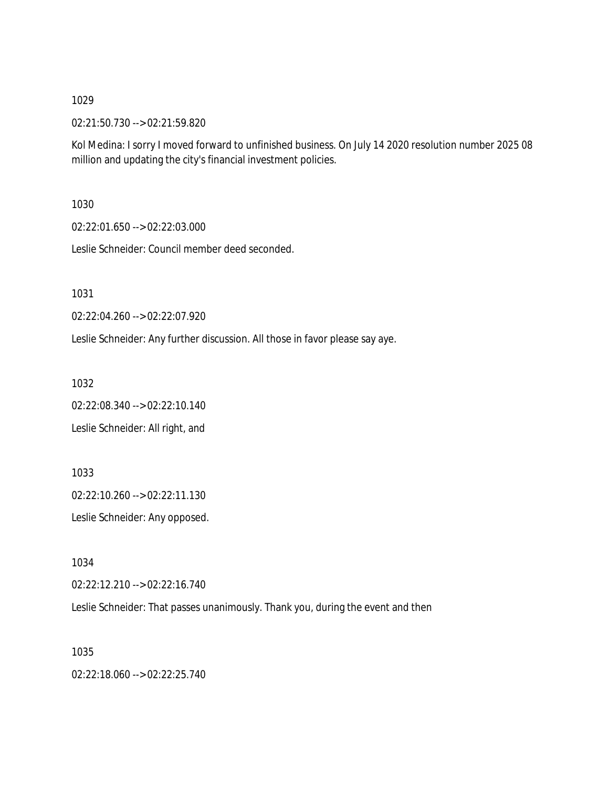02:21:50.730 --> 02:21:59.820

Kol Medina: I sorry I moved forward to unfinished business. On July 14 2020 resolution number 2025 08 million and updating the city's financial investment policies.

1030

02:22:01.650 --> 02:22:03.000

Leslie Schneider: Council member deed seconded.

1031

02:22:04.260 --> 02:22:07.920

Leslie Schneider: Any further discussion. All those in favor please say aye.

1032

02:22:08.340 --> 02:22:10.140 Leslie Schneider: All right, and

1033

02:22:10.260 --> 02:22:11.130

Leslie Schneider: Any opposed.

1034

02:22:12.210 --> 02:22:16.740

Leslie Schneider: That passes unanimously. Thank you, during the event and then

1035

02:22:18.060 --> 02:22:25.740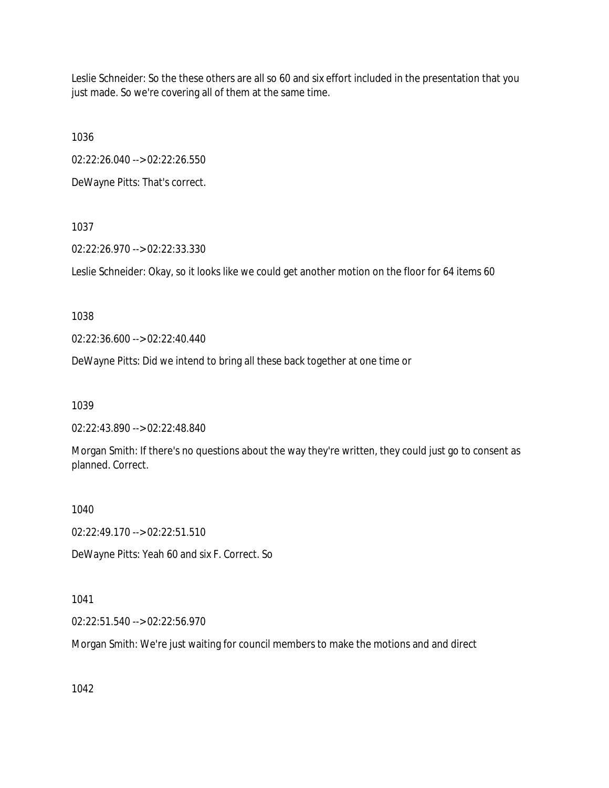Leslie Schneider: So the these others are all so 60 and six effort included in the presentation that you just made. So we're covering all of them at the same time.

1036

02:22:26.040 --> 02:22:26.550

DeWayne Pitts: That's correct.

1037

02:22:26.970 --> 02:22:33.330

Leslie Schneider: Okay, so it looks like we could get another motion on the floor for 64 items 60

1038

02:22:36.600 --> 02:22:40.440

DeWayne Pitts: Did we intend to bring all these back together at one time or

1039

02:22:43.890 --> 02:22:48.840

Morgan Smith: If there's no questions about the way they're written, they could just go to consent as planned. Correct.

1040

02:22:49.170 --> 02:22:51.510

DeWayne Pitts: Yeah 60 and six F. Correct. So

1041

02:22:51.540 --> 02:22:56.970

Morgan Smith: We're just waiting for council members to make the motions and and direct

1042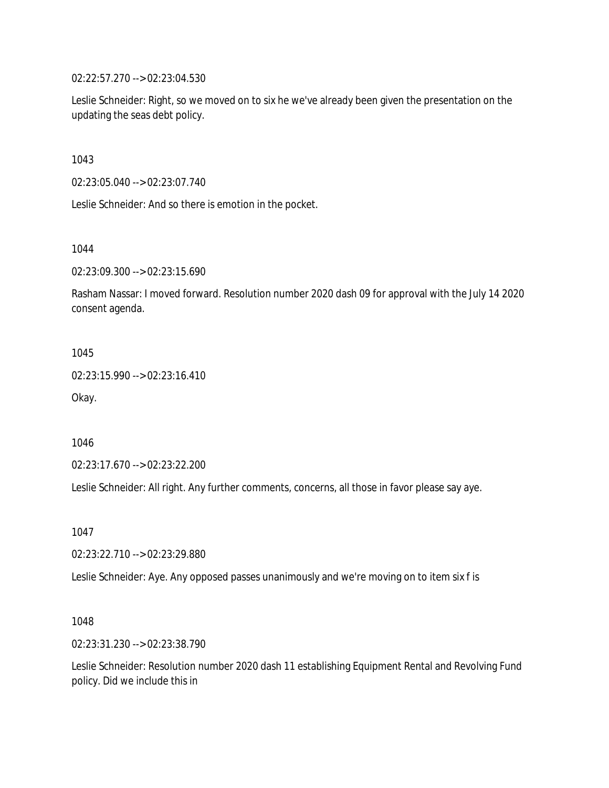02:22:57.270 --> 02:23:04.530

Leslie Schneider: Right, so we moved on to six he we've already been given the presentation on the updating the seas debt policy.

1043

02:23:05.040 --> 02:23:07.740

Leslie Schneider: And so there is emotion in the pocket.

1044

02:23:09.300 --> 02:23:15.690

Rasham Nassar: I moved forward. Resolution number 2020 dash 09 for approval with the July 14 2020 consent agenda.

1045

02:23:15.990 --> 02:23:16.410

Okay.

1046

02:23:17.670 --> 02:23:22.200

Leslie Schneider: All right. Any further comments, concerns, all those in favor please say aye.

1047

02:23:22.710 --> 02:23:29.880

Leslie Schneider: Aye. Any opposed passes unanimously and we're moving on to item six f is

1048

02:23:31.230 --> 02:23:38.790

Leslie Schneider: Resolution number 2020 dash 11 establishing Equipment Rental and Revolving Fund policy. Did we include this in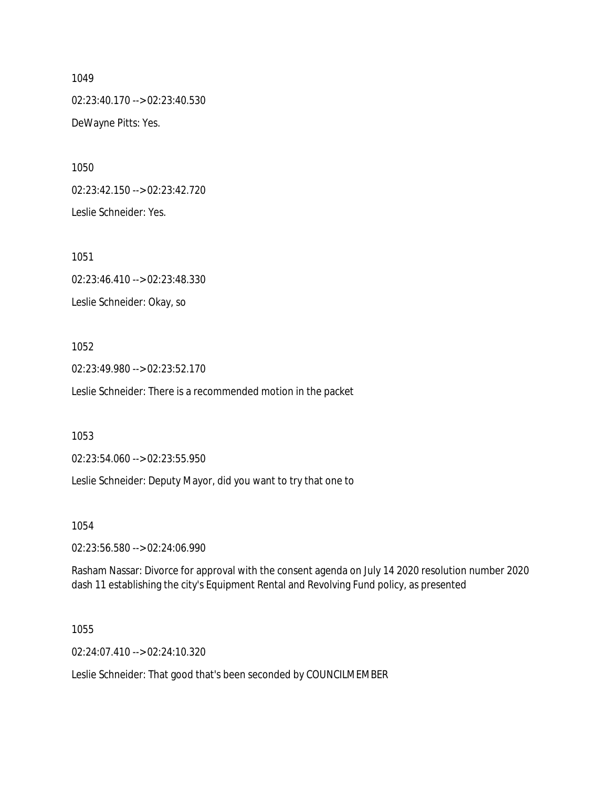02:23:40.170 --> 02:23:40.530 DeWayne Pitts: Yes.

1050

02:23:42.150 --> 02:23:42.720 Leslie Schneider: Yes.

1051

02:23:46.410 --> 02:23:48.330 Leslie Schneider: Okay, so

# 1052

02:23:49.980 --> 02:23:52.170

Leslie Schneider: There is a recommended motion in the packet

1053

02:23:54.060 --> 02:23:55.950

Leslie Schneider: Deputy Mayor, did you want to try that one to

1054

02:23:56.580 --> 02:24:06.990

Rasham Nassar: Divorce for approval with the consent agenda on July 14 2020 resolution number 2020 dash 11 establishing the city's Equipment Rental and Revolving Fund policy, as presented

1055

02:24:07.410 --> 02:24:10.320

Leslie Schneider: That good that's been seconded by COUNCILMEMBER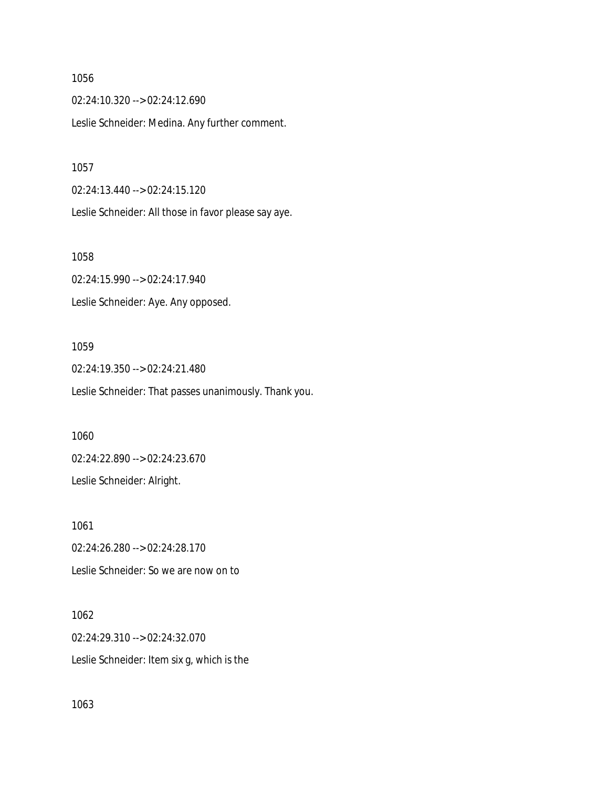02:24:10.320 --> 02:24:12.690 Leslie Schneider: Medina. Any further comment.

1057

02:24:13.440 --> 02:24:15.120

Leslie Schneider: All those in favor please say aye.

1058

02:24:15.990 --> 02:24:17.940 Leslie Schneider: Aye. Any opposed.

### 1059

02:24:19.350 --> 02:24:21.480 Leslie Schneider: That passes unanimously. Thank you.

1060

02:24:22.890 --> 02:24:23.670

Leslie Schneider: Alright.

1061 02:24:26.280 --> 02:24:28.170 Leslie Schneider: So we are now on to

1062 02:24:29.310 --> 02:24:32.070 Leslie Schneider: Item six g, which is the

1063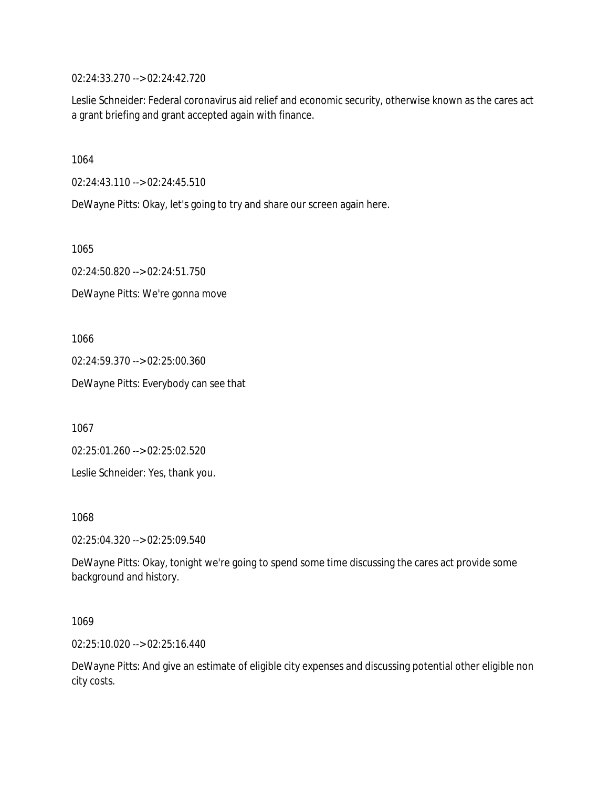02:24:33.270 --> 02:24:42.720

Leslie Schneider: Federal coronavirus aid relief and economic security, otherwise known as the cares act a grant briefing and grant accepted again with finance.

1064

02:24:43.110 --> 02:24:45.510

DeWayne Pitts: Okay, let's going to try and share our screen again here.

1065

02:24:50.820 --> 02:24:51.750

DeWayne Pitts: We're gonna move

1066

02:24:59.370 --> 02:25:00.360

DeWayne Pitts: Everybody can see that

1067

02:25:01.260 --> 02:25:02.520

Leslie Schneider: Yes, thank you.

1068

02:25:04.320 --> 02:25:09.540

DeWayne Pitts: Okay, tonight we're going to spend some time discussing the cares act provide some background and history.

1069

02:25:10.020 --> 02:25:16.440

DeWayne Pitts: And give an estimate of eligible city expenses and discussing potential other eligible non city costs.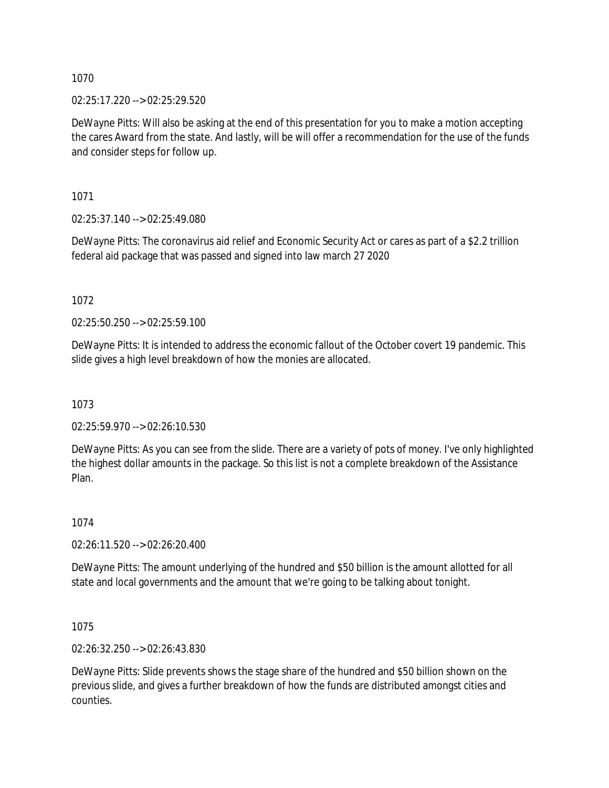02:25:17.220 --> 02:25:29.520

DeWayne Pitts: Will also be asking at the end of this presentation for you to make a motion accepting the cares Award from the state. And lastly, will be will offer a recommendation for the use of the funds and consider steps for follow up.

1071

02:25:37.140 --> 02:25:49.080

DeWayne Pitts: The coronavirus aid relief and Economic Security Act or cares as part of a \$2.2 trillion federal aid package that was passed and signed into law march 27 2020

1072

02:25:50.250 --> 02:25:59.100

DeWayne Pitts: It is intended to address the economic fallout of the October covert 19 pandemic. This slide gives a high level breakdown of how the monies are allocated.

1073

02:25:59.970 --> 02:26:10.530

DeWayne Pitts: As you can see from the slide. There are a variety of pots of money. I've only highlighted the highest dollar amounts in the package. So this list is not a complete breakdown of the Assistance Plan.

1074

02:26:11.520 --> 02:26:20.400

DeWayne Pitts: The amount underlying of the hundred and \$50 billion is the amount allotted for all state and local governments and the amount that we're going to be talking about tonight.

1075

02:26:32.250 --> 02:26:43.830

DeWayne Pitts: Slide prevents shows the stage share of the hundred and \$50 billion shown on the previous slide, and gives a further breakdown of how the funds are distributed amongst cities and counties.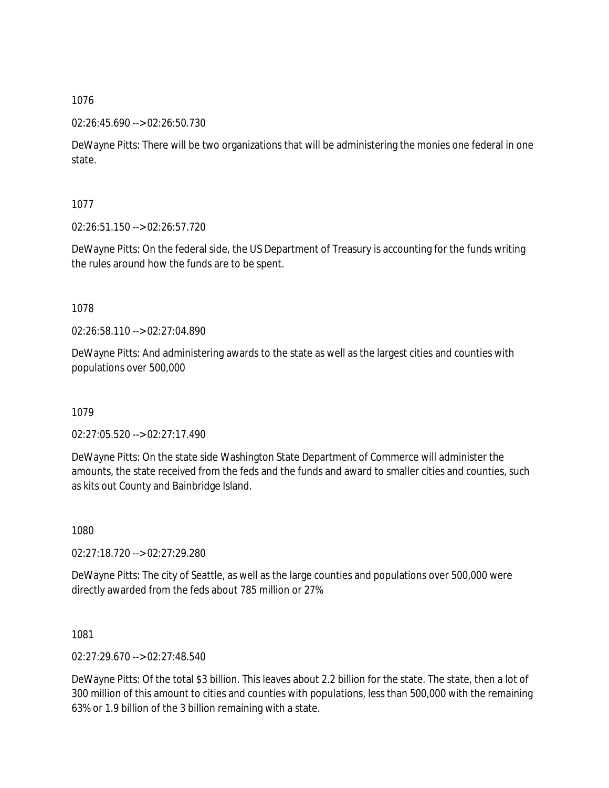#### 02:26:45.690 --> 02:26:50.730

DeWayne Pitts: There will be two organizations that will be administering the monies one federal in one state.

1077

02:26:51.150 --> 02:26:57.720

DeWayne Pitts: On the federal side, the US Department of Treasury is accounting for the funds writing the rules around how the funds are to be spent.

1078

02:26:58.110 --> 02:27:04.890

DeWayne Pitts: And administering awards to the state as well as the largest cities and counties with populations over 500,000

1079

02:27:05.520 --> 02:27:17.490

DeWayne Pitts: On the state side Washington State Department of Commerce will administer the amounts, the state received from the feds and the funds and award to smaller cities and counties, such as kits out County and Bainbridge Island.

1080

02:27:18.720 --> 02:27:29.280

DeWayne Pitts: The city of Seattle, as well as the large counties and populations over 500,000 were directly awarded from the feds about 785 million or 27%

1081

02:27:29.670 --> 02:27:48.540

DeWayne Pitts: Of the total \$3 billion. This leaves about 2.2 billion for the state. The state, then a lot of 300 million of this amount to cities and counties with populations, less than 500,000 with the remaining 63% or 1.9 billion of the 3 billion remaining with a state.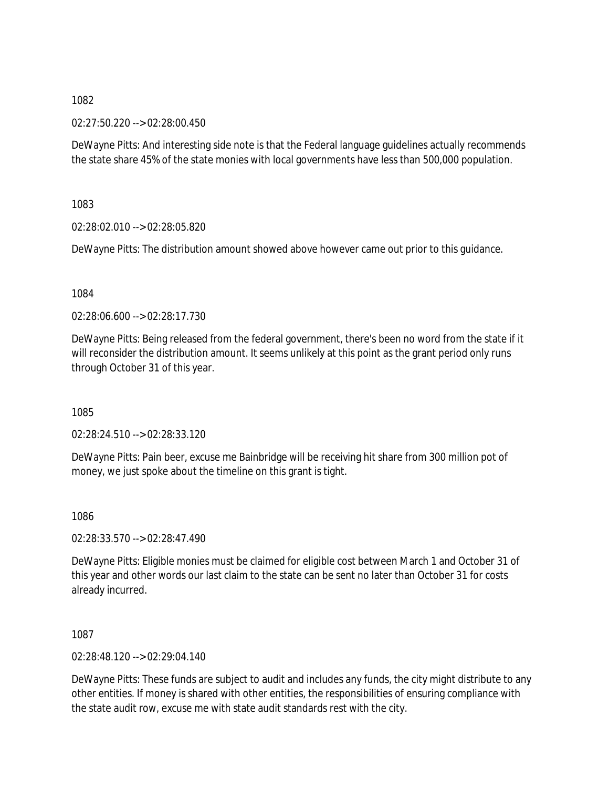02:27:50.220 --> 02:28:00.450

DeWayne Pitts: And interesting side note is that the Federal language guidelines actually recommends the state share 45% of the state monies with local governments have less than 500,000 population.

1083

02:28:02.010 --> 02:28:05.820

DeWayne Pitts: The distribution amount showed above however came out prior to this guidance.

1084

02:28:06.600 --> 02:28:17.730

DeWayne Pitts: Being released from the federal government, there's been no word from the state if it will reconsider the distribution amount. It seems unlikely at this point as the grant period only runs through October 31 of this year.

1085

02:28:24.510 --> 02:28:33.120

DeWayne Pitts: Pain beer, excuse me Bainbridge will be receiving hit share from 300 million pot of money, we just spoke about the timeline on this grant is tight.

1086

02:28:33.570 --> 02:28:47.490

DeWayne Pitts: Eligible monies must be claimed for eligible cost between March 1 and October 31 of this year and other words our last claim to the state can be sent no later than October 31 for costs already incurred.

1087

02:28:48.120 --> 02:29:04.140

DeWayne Pitts: These funds are subject to audit and includes any funds, the city might distribute to any other entities. If money is shared with other entities, the responsibilities of ensuring compliance with the state audit row, excuse me with state audit standards rest with the city.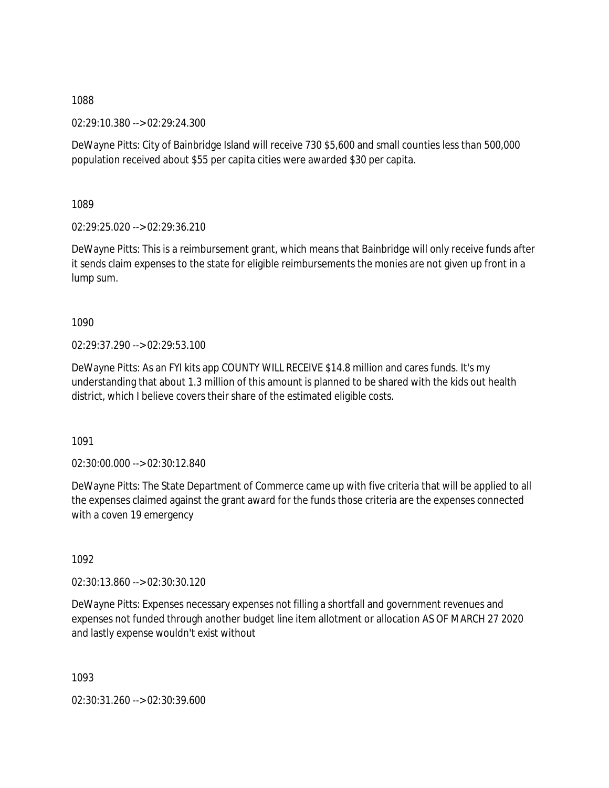02:29:10.380 --> 02:29:24.300

DeWayne Pitts: City of Bainbridge Island will receive 730 \$5,600 and small counties less than 500,000 population received about \$55 per capita cities were awarded \$30 per capita.

1089

02:29:25.020 --> 02:29:36.210

DeWayne Pitts: This is a reimbursement grant, which means that Bainbridge will only receive funds after it sends claim expenses to the state for eligible reimbursements the monies are not given up front in a lump sum.

1090

02:29:37.290 --> 02:29:53.100

DeWayne Pitts: As an FYI kits app COUNTY WILL RECEIVE \$14.8 million and cares funds. It's my understanding that about 1.3 million of this amount is planned to be shared with the kids out health district, which I believe covers their share of the estimated eligible costs.

1091

02:30:00.000 --> 02:30:12.840

DeWayne Pitts: The State Department of Commerce came up with five criteria that will be applied to all the expenses claimed against the grant award for the funds those criteria are the expenses connected with a coven 19 emergency

1092

02:30:13.860 --> 02:30:30.120

DeWayne Pitts: Expenses necessary expenses not filling a shortfall and government revenues and expenses not funded through another budget line item allotment or allocation AS OF MARCH 27 2020 and lastly expense wouldn't exist without

1093

02:30:31.260 --> 02:30:39.600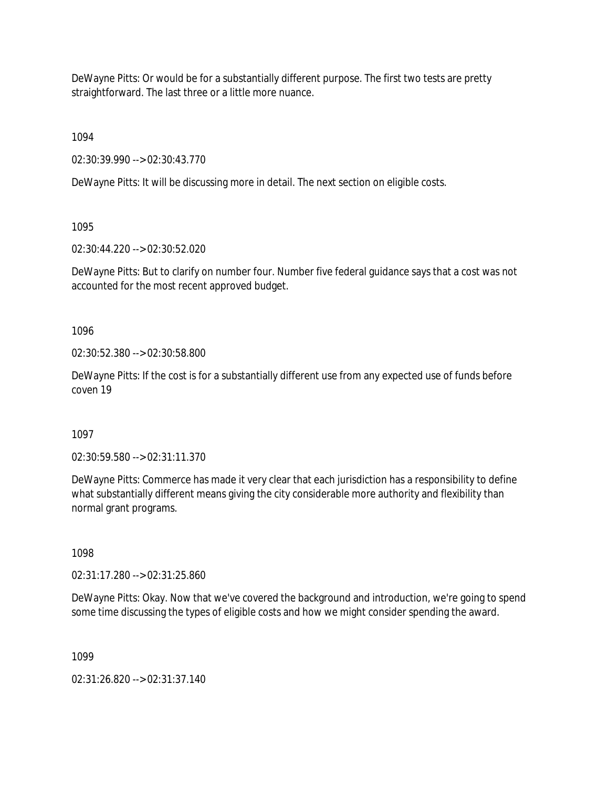DeWayne Pitts: Or would be for a substantially different purpose. The first two tests are pretty straightforward. The last three or a little more nuance.

1094

02:30:39.990 --> 02:30:43.770

DeWayne Pitts: It will be discussing more in detail. The next section on eligible costs.

1095

02:30:44.220 --> 02:30:52.020

DeWayne Pitts: But to clarify on number four. Number five federal guidance says that a cost was not accounted for the most recent approved budget.

1096

02:30:52.380 --> 02:30:58.800

DeWayne Pitts: If the cost is for a substantially different use from any expected use of funds before coven 19

1097

02:30:59.580 --> 02:31:11.370

DeWayne Pitts: Commerce has made it very clear that each jurisdiction has a responsibility to define what substantially different means giving the city considerable more authority and flexibility than normal grant programs.

1098

02:31:17.280 --> 02:31:25.860

DeWayne Pitts: Okay. Now that we've covered the background and introduction, we're going to spend some time discussing the types of eligible costs and how we might consider spending the award.

1099

02:31:26.820 --> 02:31:37.140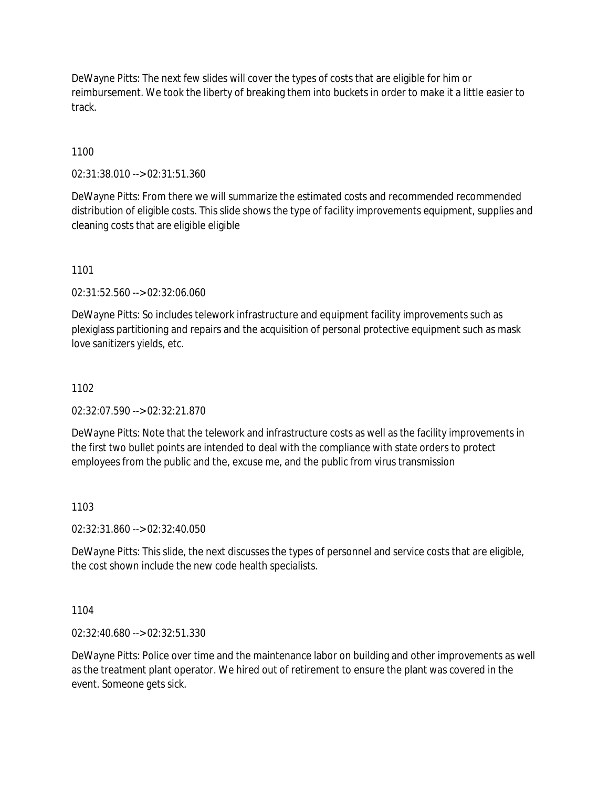DeWayne Pitts: The next few slides will cover the types of costs that are eligible for him or reimbursement. We took the liberty of breaking them into buckets in order to make it a little easier to track.

# 1100

02:31:38.010 --> 02:31:51.360

DeWayne Pitts: From there we will summarize the estimated costs and recommended recommended distribution of eligible costs. This slide shows the type of facility improvements equipment, supplies and cleaning costs that are eligible eligible

1101

02:31:52.560 --> 02:32:06.060

DeWayne Pitts: So includes telework infrastructure and equipment facility improvements such as plexiglass partitioning and repairs and the acquisition of personal protective equipment such as mask love sanitizers yields, etc.

### 1102

02:32:07.590 --> 02:32:21.870

DeWayne Pitts: Note that the telework and infrastructure costs as well as the facility improvements in the first two bullet points are intended to deal with the compliance with state orders to protect employees from the public and the, excuse me, and the public from virus transmission

### 1103

02:32:31.860 --> 02:32:40.050

DeWayne Pitts: This slide, the next discusses the types of personnel and service costs that are eligible, the cost shown include the new code health specialists.

### 1104

02:32:40.680 --> 02:32:51.330

DeWayne Pitts: Police over time and the maintenance labor on building and other improvements as well as the treatment plant operator. We hired out of retirement to ensure the plant was covered in the event. Someone gets sick.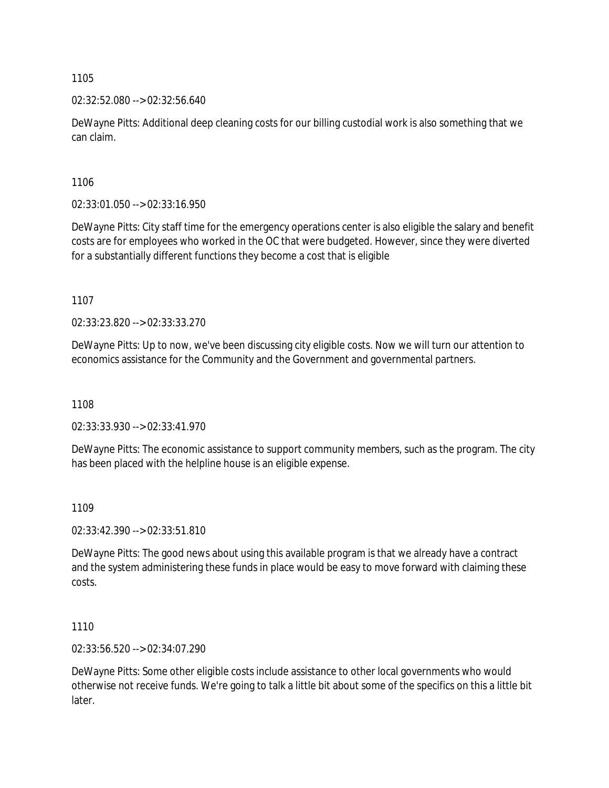### 02:32:52.080 --> 02:32:56.640

DeWayne Pitts: Additional deep cleaning costs for our billing custodial work is also something that we can claim.

1106

02:33:01.050 --> 02:33:16.950

DeWayne Pitts: City staff time for the emergency operations center is also eligible the salary and benefit costs are for employees who worked in the OC that were budgeted. However, since they were diverted for a substantially different functions they become a cost that is eligible

1107

02:33:23.820 --> 02:33:33.270

DeWayne Pitts: Up to now, we've been discussing city eligible costs. Now we will turn our attention to economics assistance for the Community and the Government and governmental partners.

1108

02:33:33.930 --> 02:33:41.970

DeWayne Pitts: The economic assistance to support community members, such as the program. The city has been placed with the helpline house is an eligible expense.

### 1109

02:33:42.390 --> 02:33:51.810

DeWayne Pitts: The good news about using this available program is that we already have a contract and the system administering these funds in place would be easy to move forward with claiming these costs.

1110

02:33:56.520 --> 02:34:07.290

DeWayne Pitts: Some other eligible costs include assistance to other local governments who would otherwise not receive funds. We're going to talk a little bit about some of the specifics on this a little bit later.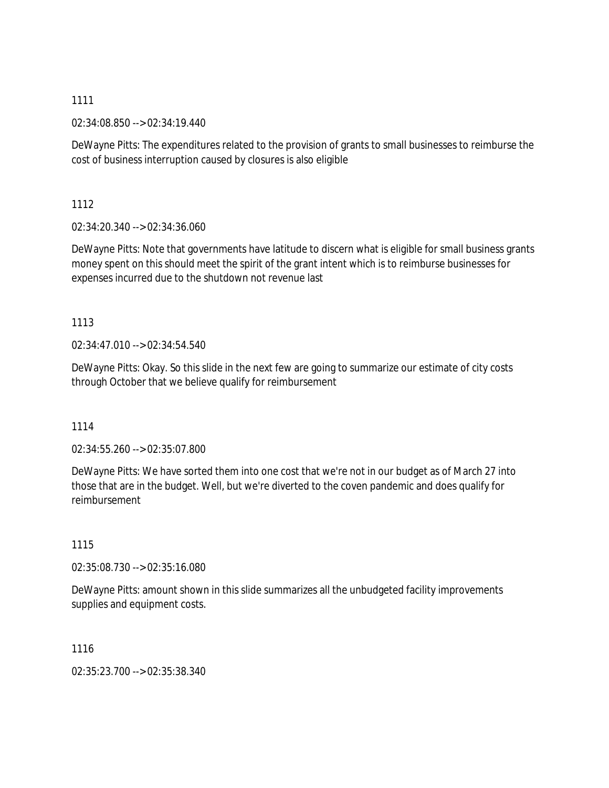02:34:08.850 --> 02:34:19.440

DeWayne Pitts: The expenditures related to the provision of grants to small businesses to reimburse the cost of business interruption caused by closures is also eligible

1112

02:34:20.340 --> 02:34:36.060

DeWayne Pitts: Note that governments have latitude to discern what is eligible for small business grants money spent on this should meet the spirit of the grant intent which is to reimburse businesses for expenses incurred due to the shutdown not revenue last

# 1113

02:34:47.010 --> 02:34:54.540

DeWayne Pitts: Okay. So this slide in the next few are going to summarize our estimate of city costs through October that we believe qualify for reimbursement

# 1114

02:34:55.260 --> 02:35:07.800

DeWayne Pitts: We have sorted them into one cost that we're not in our budget as of March 27 into those that are in the budget. Well, but we're diverted to the coven pandemic and does qualify for reimbursement

### 1115

02:35:08.730 --> 02:35:16.080

DeWayne Pitts: amount shown in this slide summarizes all the unbudgeted facility improvements supplies and equipment costs.

1116

02:35:23.700 --> 02:35:38.340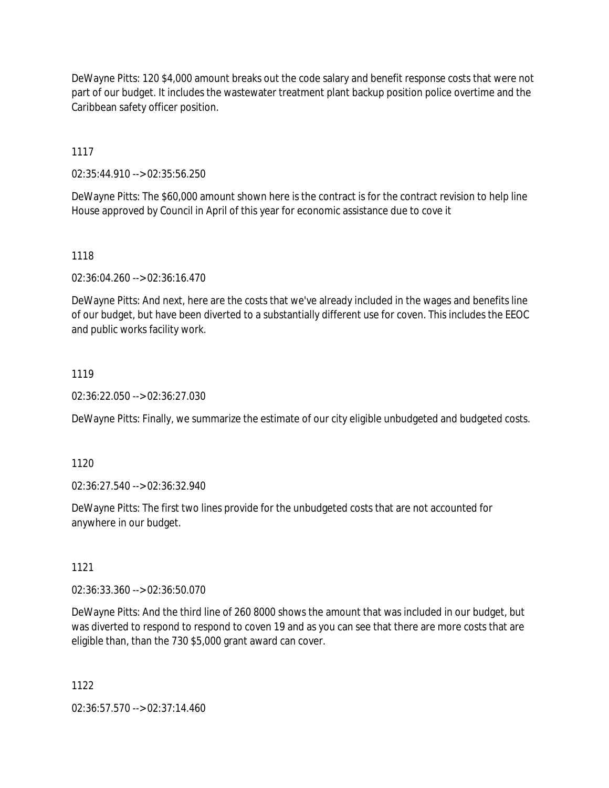DeWayne Pitts: 120 \$4,000 amount breaks out the code salary and benefit response costs that were not part of our budget. It includes the wastewater treatment plant backup position police overtime and the Caribbean safety officer position.

1117

02:35:44.910 --> 02:35:56.250

DeWayne Pitts: The \$60,000 amount shown here is the contract is for the contract revision to help line House approved by Council in April of this year for economic assistance due to cove it

1118

02:36:04.260 --> 02:36:16.470

DeWayne Pitts: And next, here are the costs that we've already included in the wages and benefits line of our budget, but have been diverted to a substantially different use for coven. This includes the EEOC and public works facility work.

## 1119

02:36:22.050 --> 02:36:27.030

DeWayne Pitts: Finally, we summarize the estimate of our city eligible unbudgeted and budgeted costs.

1120

02:36:27.540 --> 02:36:32.940

DeWayne Pitts: The first two lines provide for the unbudgeted costs that are not accounted for anywhere in our budget.

1121

02:36:33.360 --> 02:36:50.070

DeWayne Pitts: And the third line of 260 8000 shows the amount that was included in our budget, but was diverted to respond to respond to coven 19 and as you can see that there are more costs that are eligible than, than the 730 \$5,000 grant award can cover.

1122

02:36:57.570 --> 02:37:14.460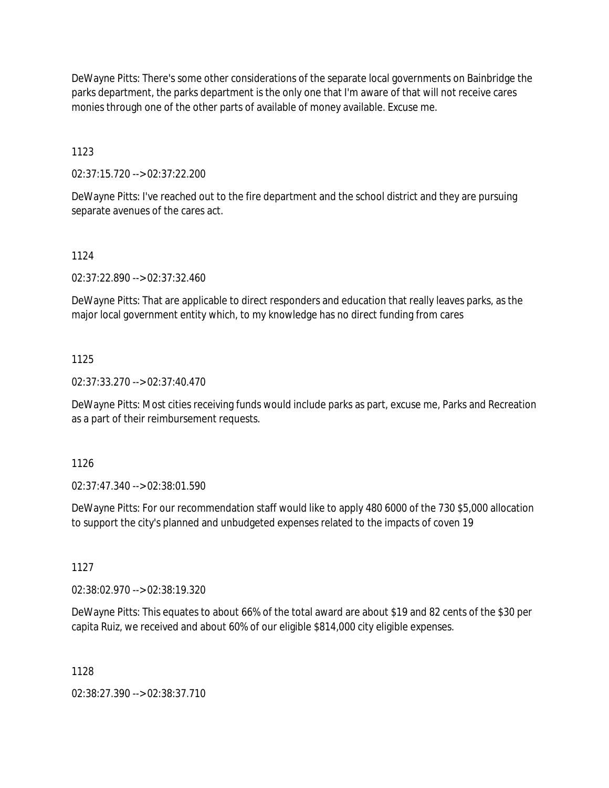DeWayne Pitts: There's some other considerations of the separate local governments on Bainbridge the parks department, the parks department is the only one that I'm aware of that will not receive cares monies through one of the other parts of available of money available. Excuse me.

1123

02:37:15.720 --> 02:37:22.200

DeWayne Pitts: I've reached out to the fire department and the school district and they are pursuing separate avenues of the cares act.

### 1124

02:37:22.890 --> 02:37:32.460

DeWayne Pitts: That are applicable to direct responders and education that really leaves parks, as the major local government entity which, to my knowledge has no direct funding from cares

### 1125

02:37:33.270 --> 02:37:40.470

DeWayne Pitts: Most cities receiving funds would include parks as part, excuse me, Parks and Recreation as a part of their reimbursement requests.

1126

02:37:47.340 --> 02:38:01.590

DeWayne Pitts: For our recommendation staff would like to apply 480 6000 of the 730 \$5,000 allocation to support the city's planned and unbudgeted expenses related to the impacts of coven 19

1127

02:38:02.970 --> 02:38:19.320

DeWayne Pitts: This equates to about 66% of the total award are about \$19 and 82 cents of the \$30 per capita Ruiz, we received and about 60% of our eligible \$814,000 city eligible expenses.

1128

02:38:27.390 --> 02:38:37.710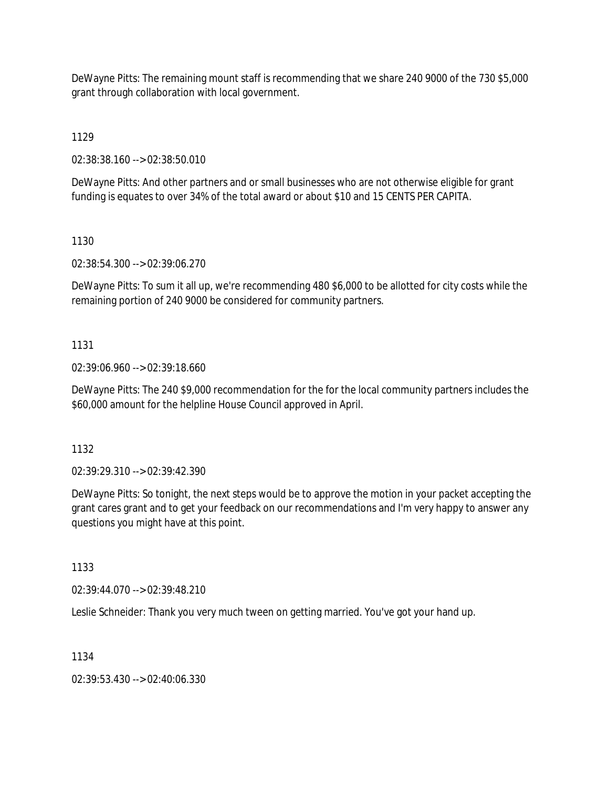DeWayne Pitts: The remaining mount staff is recommending that we share 240 9000 of the 730 \$5,000 grant through collaboration with local government.

1129

02:38:38.160 --> 02:38:50.010

DeWayne Pitts: And other partners and or small businesses who are not otherwise eligible for grant funding is equates to over 34% of the total award or about \$10 and 15 CENTS PER CAPITA.

1130

02:38:54.300 --> 02:39:06.270

DeWayne Pitts: To sum it all up, we're recommending 480 \$6,000 to be allotted for city costs while the remaining portion of 240 9000 be considered for community partners.

## 1131

02:39:06.960 --> 02:39:18.660

DeWayne Pitts: The 240 \$9,000 recommendation for the for the local community partners includes the \$60,000 amount for the helpline House Council approved in April.

1132

02:39:29.310 --> 02:39:42.390

DeWayne Pitts: So tonight, the next steps would be to approve the motion in your packet accepting the grant cares grant and to get your feedback on our recommendations and I'm very happy to answer any questions you might have at this point.

1133

02:39:44.070 --> 02:39:48.210

Leslie Schneider: Thank you very much tween on getting married. You've got your hand up.

1134

02:39:53.430 --> 02:40:06.330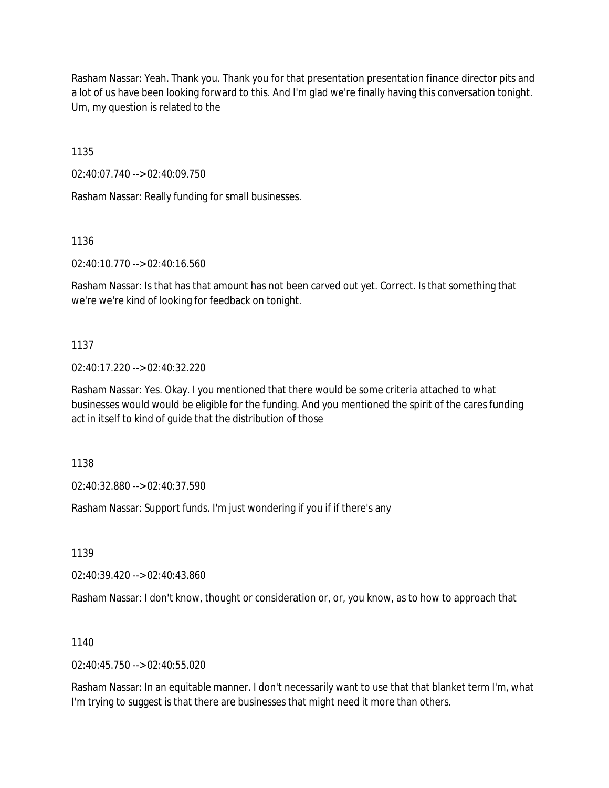Rasham Nassar: Yeah. Thank you. Thank you for that presentation presentation finance director pits and a lot of us have been looking forward to this. And I'm glad we're finally having this conversation tonight. Um, my question is related to the

1135

02:40:07.740 --> 02:40:09.750

Rasham Nassar: Really funding for small businesses.

1136

02:40:10.770 --> 02:40:16.560

Rasham Nassar: Is that has that amount has not been carved out yet. Correct. Is that something that we're we're kind of looking for feedback on tonight.

1137

02:40:17.220 --> 02:40:32.220

Rasham Nassar: Yes. Okay. I you mentioned that there would be some criteria attached to what businesses would would be eligible for the funding. And you mentioned the spirit of the cares funding act in itself to kind of guide that the distribution of those

1138

02:40:32.880 --> 02:40:37.590

Rasham Nassar: Support funds. I'm just wondering if you if if there's any

1139

02:40:39.420 --> 02:40:43.860

Rasham Nassar: I don't know, thought or consideration or, or, you know, as to how to approach that

1140

 $02:40:45.750 \rightarrow 02:40:55.020$ 

Rasham Nassar: In an equitable manner. I don't necessarily want to use that that blanket term I'm, what I'm trying to suggest is that there are businesses that might need it more than others.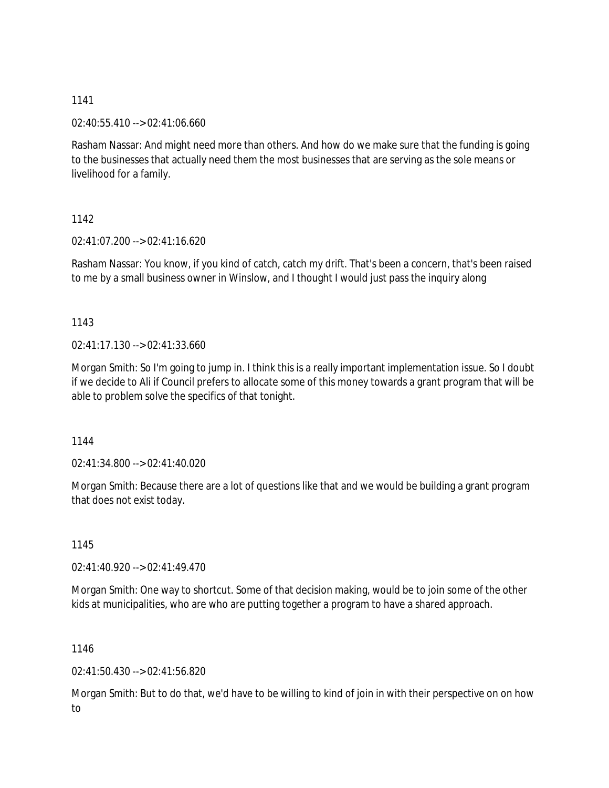02:40:55.410 --> 02:41:06.660

Rasham Nassar: And might need more than others. And how do we make sure that the funding is going to the businesses that actually need them the most businesses that are serving as the sole means or livelihood for a family.

1142

02:41:07.200 --> 02:41:16.620

Rasham Nassar: You know, if you kind of catch, catch my drift. That's been a concern, that's been raised to me by a small business owner in Winslow, and I thought I would just pass the inquiry along

1143

02:41:17.130 --> 02:41:33.660

Morgan Smith: So I'm going to jump in. I think this is a really important implementation issue. So I doubt if we decide to Ali if Council prefers to allocate some of this money towards a grant program that will be able to problem solve the specifics of that tonight.

1144

02:41:34.800 --> 02:41:40.020

Morgan Smith: Because there are a lot of questions like that and we would be building a grant program that does not exist today.

1145

02:41:40.920 --> 02:41:49.470

Morgan Smith: One way to shortcut. Some of that decision making, would be to join some of the other kids at municipalities, who are who are putting together a program to have a shared approach.

1146

02:41:50.430 --> 02:41:56.820

Morgan Smith: But to do that, we'd have to be willing to kind of join in with their perspective on on how to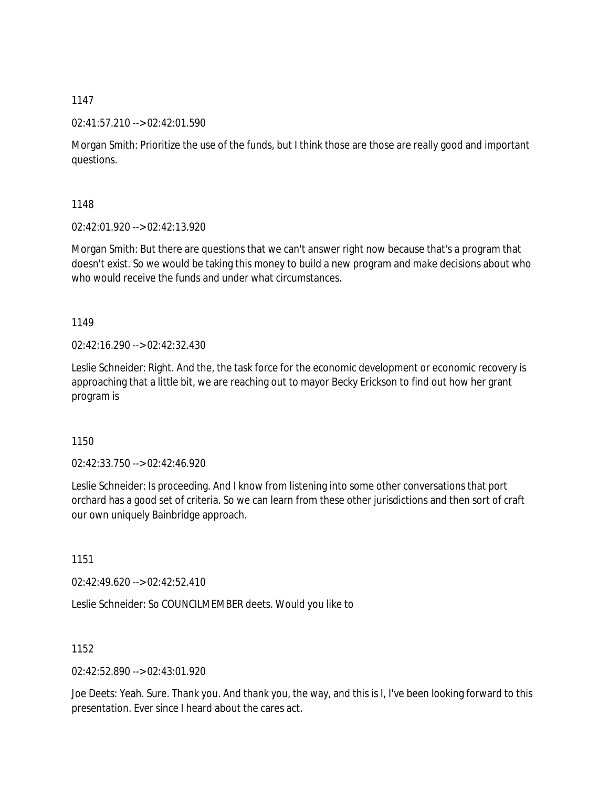### 02:41:57.210 --> 02:42:01.590

Morgan Smith: Prioritize the use of the funds, but I think those are those are really good and important questions.

1148

02:42:01.920 --> 02:42:13.920

Morgan Smith: But there are questions that we can't answer right now because that's a program that doesn't exist. So we would be taking this money to build a new program and make decisions about who who would receive the funds and under what circumstances.

1149

02:42:16.290 --> 02:42:32.430

Leslie Schneider: Right. And the, the task force for the economic development or economic recovery is approaching that a little bit, we are reaching out to mayor Becky Erickson to find out how her grant program is

1150

02:42:33.750 --> 02:42:46.920

Leslie Schneider: Is proceeding. And I know from listening into some other conversations that port orchard has a good set of criteria. So we can learn from these other jurisdictions and then sort of craft our own uniquely Bainbridge approach.

1151

02:42:49.620 --> 02:42:52.410

Leslie Schneider: So COUNCILMEMBER deets. Would you like to

1152

02:42:52.890 --> 02:43:01.920

Joe Deets: Yeah. Sure. Thank you. And thank you, the way, and this is I, I've been looking forward to this presentation. Ever since I heard about the cares act.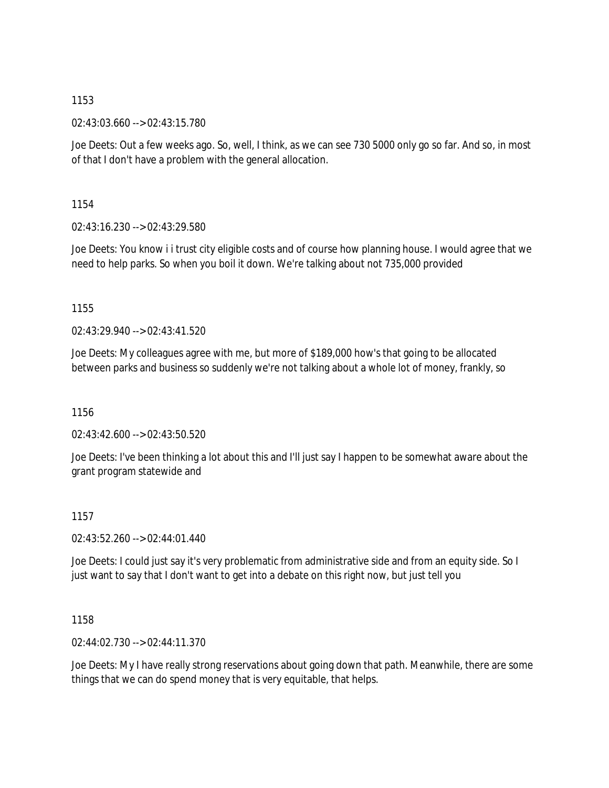02:43:03.660 --> 02:43:15.780

Joe Deets: Out a few weeks ago. So, well, I think, as we can see 730 5000 only go so far. And so, in most of that I don't have a problem with the general allocation.

1154

02:43:16.230 --> 02:43:29.580

Joe Deets: You know i i trust city eligible costs and of course how planning house. I would agree that we need to help parks. So when you boil it down. We're talking about not 735,000 provided

1155

 $02.43.29.940 -5.02.43.41.520$ 

Joe Deets: My colleagues agree with me, but more of \$189,000 how's that going to be allocated between parks and business so suddenly we're not talking about a whole lot of money, frankly, so

1156

02:43:42.600 --> 02:43:50.520

Joe Deets: I've been thinking a lot about this and I'll just say I happen to be somewhat aware about the grant program statewide and

1157

02:43:52.260 --> 02:44:01.440

Joe Deets: I could just say it's very problematic from administrative side and from an equity side. So I just want to say that I don't want to get into a debate on this right now, but just tell you

1158

02:44:02.730 --> 02:44:11.370

Joe Deets: My I have really strong reservations about going down that path. Meanwhile, there are some things that we can do spend money that is very equitable, that helps.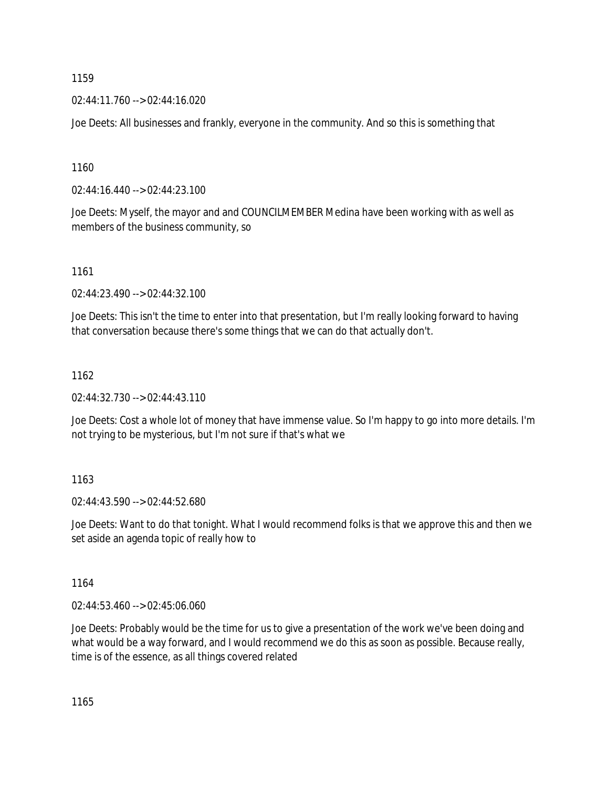02:44:11.760 --> 02:44:16.020

Joe Deets: All businesses and frankly, everyone in the community. And so this is something that

1160

02:44:16.440 --> 02:44:23.100

Joe Deets: Myself, the mayor and and COUNCILMEMBER Medina have been working with as well as members of the business community, so

1161

02:44:23.490 --> 02:44:32.100

Joe Deets: This isn't the time to enter into that presentation, but I'm really looking forward to having that conversation because there's some things that we can do that actually don't.

## 1162

02:44:32.730 --> 02:44:43.110

Joe Deets: Cost a whole lot of money that have immense value. So I'm happy to go into more details. I'm not trying to be mysterious, but I'm not sure if that's what we

# 1163

02:44:43.590 --> 02:44:52.680

Joe Deets: Want to do that tonight. What I would recommend folks is that we approve this and then we set aside an agenda topic of really how to

1164

02:44:53.460 --> 02:45:06.060

Joe Deets: Probably would be the time for us to give a presentation of the work we've been doing and what would be a way forward, and I would recommend we do this as soon as possible. Because really, time is of the essence, as all things covered related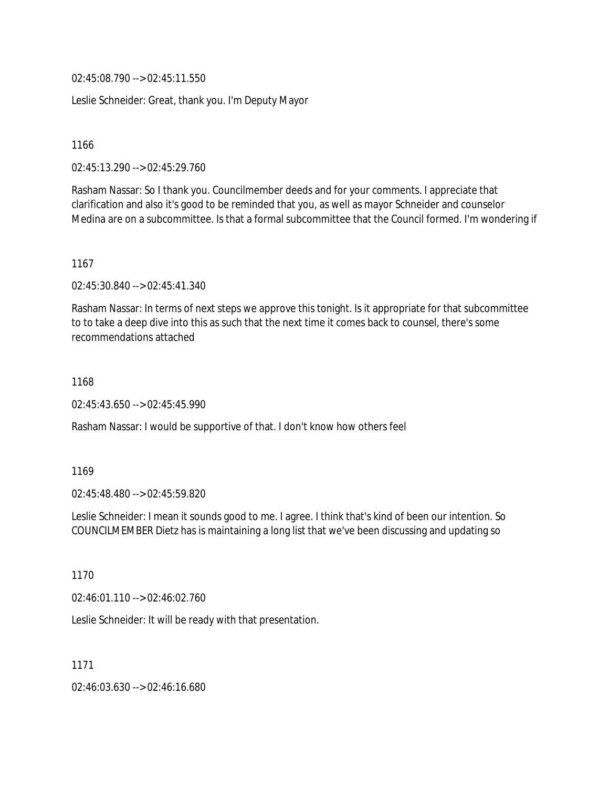02:45:08.790 --> 02:45:11.550

Leslie Schneider: Great, thank you. I'm Deputy Mayor

1166

02:45:13.290 --> 02:45:29.760

Rasham Nassar: So I thank you. Councilmember deeds and for your comments. I appreciate that clarification and also it's good to be reminded that you, as well as mayor Schneider and counselor Medina are on a subcommittee. Is that a formal subcommittee that the Council formed. I'm wondering if

1167

02:45:30.840 --> 02:45:41.340

Rasham Nassar: In terms of next steps we approve this tonight. Is it appropriate for that subcommittee to to take a deep dive into this as such that the next time it comes back to counsel, there's some recommendations attached

1168

02:45:43.650 --> 02:45:45.990

Rasham Nassar: I would be supportive of that. I don't know how others feel

1169

02:45:48.480 --> 02:45:59.820

Leslie Schneider: I mean it sounds good to me. I agree. I think that's kind of been our intention. So COUNCILMEMBER Dietz has is maintaining a long list that we've been discussing and updating so

1170

02:46:01.110 --> 02:46:02.760

Leslie Schneider: It will be ready with that presentation.

1171

02:46:03.630 --> 02:46:16.680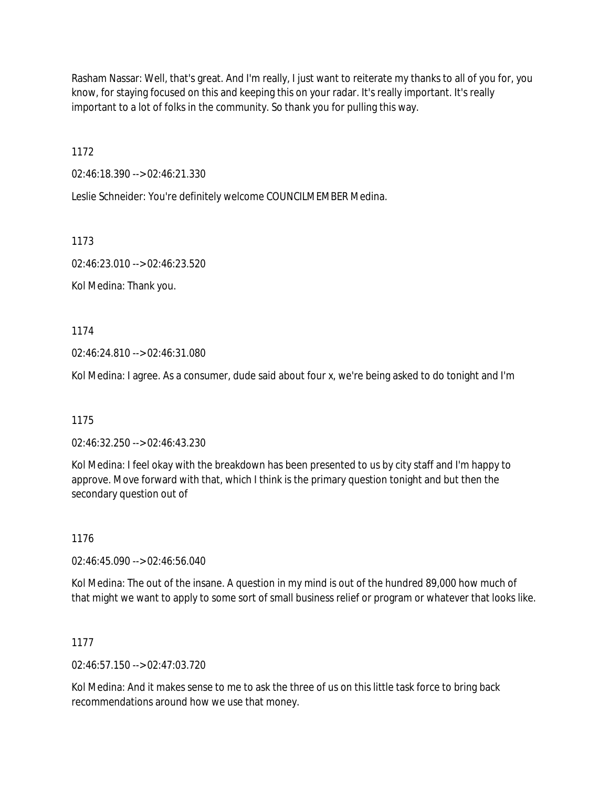Rasham Nassar: Well, that's great. And I'm really, I just want to reiterate my thanks to all of you for, you know, for staying focused on this and keeping this on your radar. It's really important. It's really important to a lot of folks in the community. So thank you for pulling this way.

1172

02:46:18.390 --> 02:46:21.330

Leslie Schneider: You're definitely welcome COUNCILMEMBER Medina.

1173

02:46:23.010 --> 02:46:23.520

Kol Medina: Thank you.

1174

02:46:24.810 --> 02:46:31.080

Kol Medina: I agree. As a consumer, dude said about four x, we're being asked to do tonight and I'm

1175

02:46:32.250 --> 02:46:43.230

Kol Medina: I feel okay with the breakdown has been presented to us by city staff and I'm happy to approve. Move forward with that, which I think is the primary question tonight and but then the secondary question out of

1176

02:46:45.090 --> 02:46:56.040

Kol Medina: The out of the insane. A question in my mind is out of the hundred 89,000 how much of that might we want to apply to some sort of small business relief or program or whatever that looks like.

1177

 $02.46.57.150 \rightarrow 02.47.03.720$ 

Kol Medina: And it makes sense to me to ask the three of us on this little task force to bring back recommendations around how we use that money.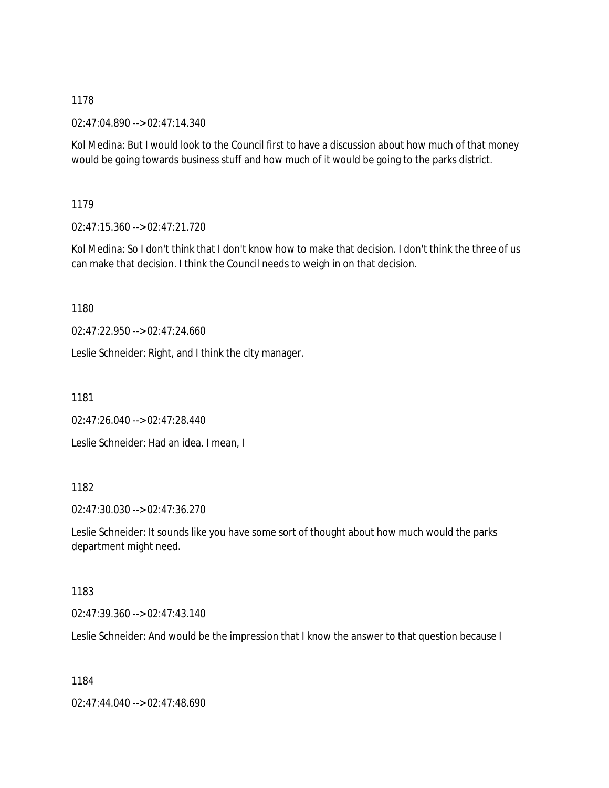02:47:04.890 --> 02:47:14.340

Kol Medina: But I would look to the Council first to have a discussion about how much of that money would be going towards business stuff and how much of it would be going to the parks district.

1179

02:47:15.360 --> 02:47:21.720

Kol Medina: So I don't think that I don't know how to make that decision. I don't think the three of us can make that decision. I think the Council needs to weigh in on that decision.

1180

02:47:22.950 --> 02:47:24.660

Leslie Schneider: Right, and I think the city manager.

1181

02:47:26.040 --> 02:47:28.440

Leslie Schneider: Had an idea. I mean, I

# 1182

02:47:30.030 --> 02:47:36.270

Leslie Schneider: It sounds like you have some sort of thought about how much would the parks department might need.

### 1183

02:47:39.360 --> 02:47:43.140

Leslie Schneider: And would be the impression that I know the answer to that question because I

1184

02:47:44.040 --> 02:47:48.690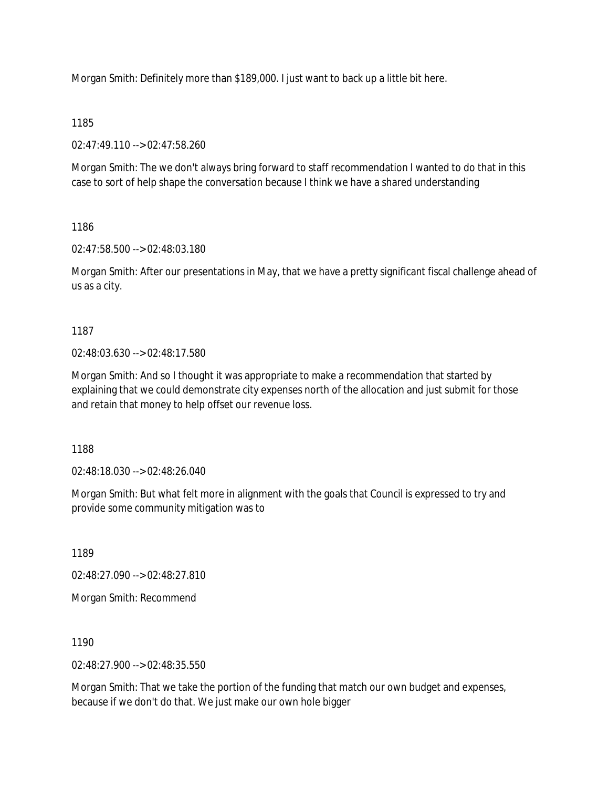Morgan Smith: Definitely more than \$189,000. I just want to back up a little bit here.

## 1185

02:47:49.110 --> 02:47:58.260

Morgan Smith: The we don't always bring forward to staff recommendation I wanted to do that in this case to sort of help shape the conversation because I think we have a shared understanding

## 1186

02:47:58.500 --> 02:48:03.180

Morgan Smith: After our presentations in May, that we have a pretty significant fiscal challenge ahead of us as a city.

1187

02:48:03.630 --> 02:48:17.580

Morgan Smith: And so I thought it was appropriate to make a recommendation that started by explaining that we could demonstrate city expenses north of the allocation and just submit for those and retain that money to help offset our revenue loss.

1188

02:48:18.030 --> 02:48:26.040

Morgan Smith: But what felt more in alignment with the goals that Council is expressed to try and provide some community mitigation was to

1189

02:48:27.090 --> 02:48:27.810

Morgan Smith: Recommend

1190

02:48:27.900 --> 02:48:35.550

Morgan Smith: That we take the portion of the funding that match our own budget and expenses, because if we don't do that. We just make our own hole bigger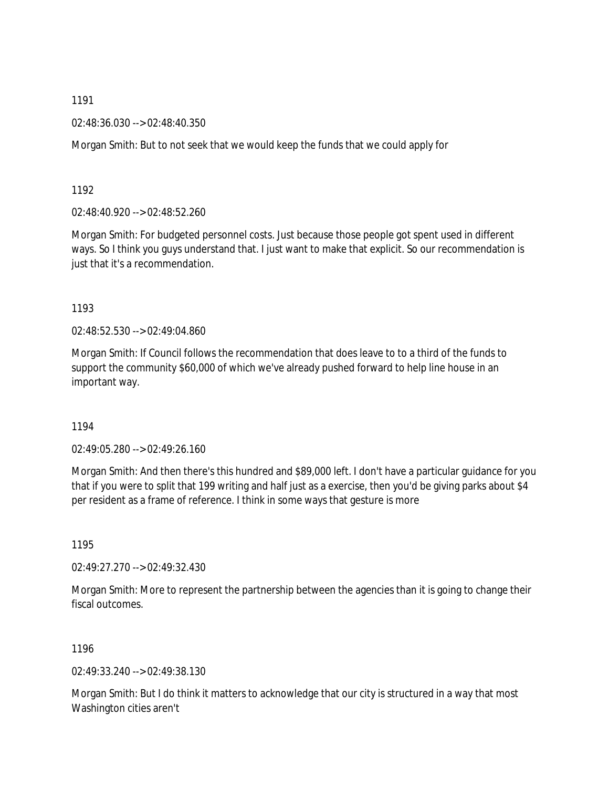02:48:36.030 --> 02:48:40.350

Morgan Smith: But to not seek that we would keep the funds that we could apply for

1192

02:48:40.920 --> 02:48:52.260

Morgan Smith: For budgeted personnel costs. Just because those people got spent used in different ways. So I think you guys understand that. I just want to make that explicit. So our recommendation is just that it's a recommendation.

1193

02:48:52.530 --> 02:49:04.860

Morgan Smith: If Council follows the recommendation that does leave to to a third of the funds to support the community \$60,000 of which we've already pushed forward to help line house in an important way.

1194

02:49:05.280 --> 02:49:26.160

Morgan Smith: And then there's this hundred and \$89,000 left. I don't have a particular guidance for you that if you were to split that 199 writing and half just as a exercise, then you'd be giving parks about \$4 per resident as a frame of reference. I think in some ways that gesture is more

1195

02:49:27.270 --> 02:49:32.430

Morgan Smith: More to represent the partnership between the agencies than it is going to change their fiscal outcomes.

1196

02:49:33.240 --> 02:49:38.130

Morgan Smith: But I do think it matters to acknowledge that our city is structured in a way that most Washington cities aren't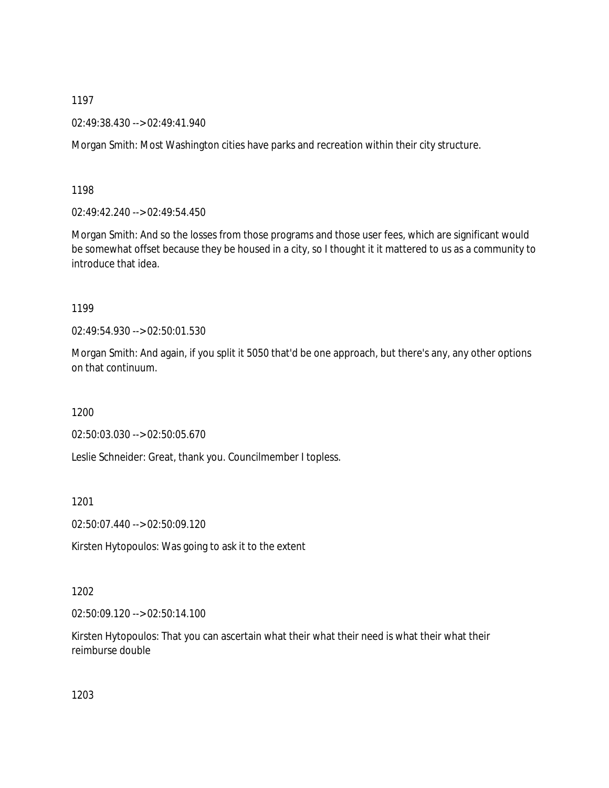02:49:38.430 --> 02:49:41.940

Morgan Smith: Most Washington cities have parks and recreation within their city structure.

1198

02:49:42.240 --> 02:49:54.450

Morgan Smith: And so the losses from those programs and those user fees, which are significant would be somewhat offset because they be housed in a city, so I thought it it mattered to us as a community to introduce that idea.

1199

02:49:54.930 --> 02:50:01.530

Morgan Smith: And again, if you split it 5050 that'd be one approach, but there's any, any other options on that continuum.

1200

02:50:03.030 --> 02:50:05.670

Leslie Schneider: Great, thank you. Councilmember I topless.

1201

02:50:07.440 --> 02:50:09.120

Kirsten Hytopoulos: Was going to ask it to the extent

1202

02:50:09.120 --> 02:50:14.100

Kirsten Hytopoulos: That you can ascertain what their what their need is what their what their reimburse double

1203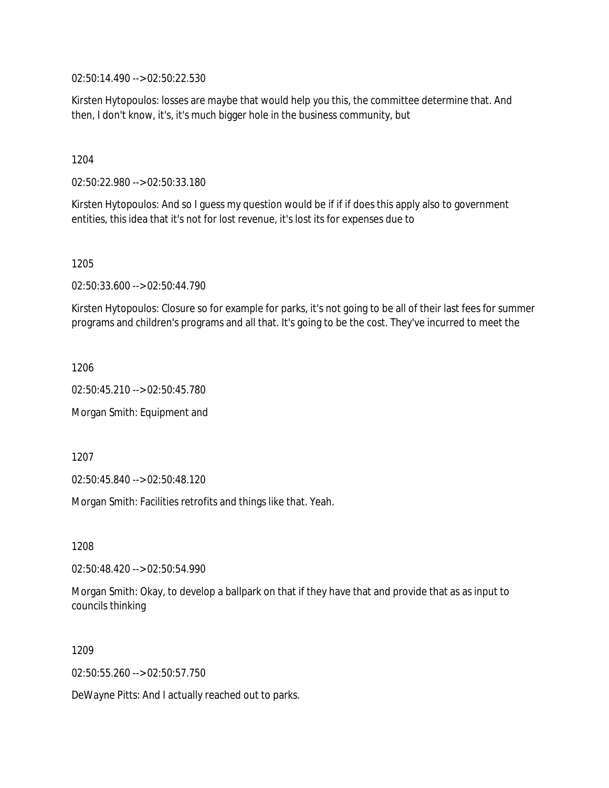02:50:14.490 --> 02:50:22.530

Kirsten Hytopoulos: losses are maybe that would help you this, the committee determine that. And then, I don't know, it's, it's much bigger hole in the business community, but

1204

02:50:22.980 --> 02:50:33.180

Kirsten Hytopoulos: And so I guess my question would be if if if does this apply also to government entities, this idea that it's not for lost revenue, it's lost its for expenses due to

1205

02:50:33.600 --> 02:50:44.790

Kirsten Hytopoulos: Closure so for example for parks, it's not going to be all of their last fees for summer programs and children's programs and all that. It's going to be the cost. They've incurred to meet the

1206

02:50:45.210 --> 02:50:45.780

Morgan Smith: Equipment and

1207

02:50:45.840 --> 02:50:48.120

Morgan Smith: Facilities retrofits and things like that. Yeah.

1208

02:50:48.420 --> 02:50:54.990

Morgan Smith: Okay, to develop a ballpark on that if they have that and provide that as as input to councils thinking

1209

02:50:55.260 --> 02:50:57.750

DeWayne Pitts: And I actually reached out to parks.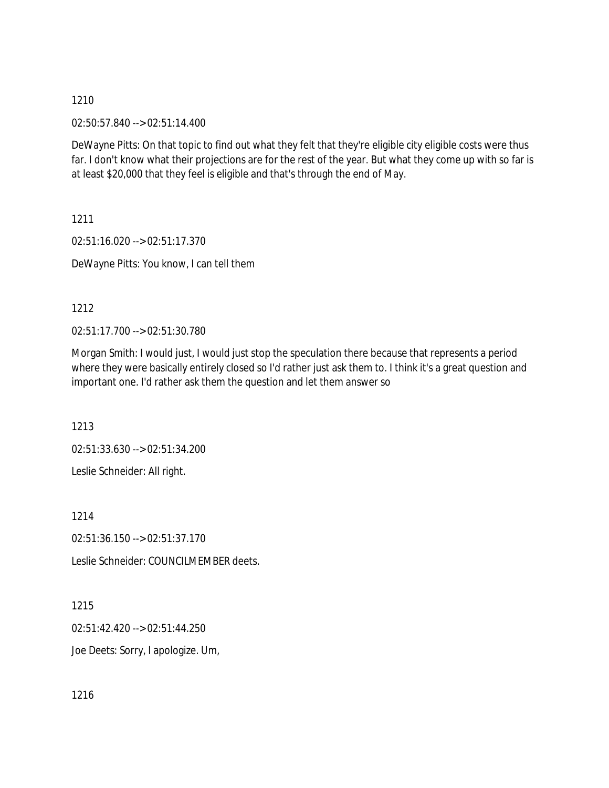02:50:57.840 --> 02:51:14.400

DeWayne Pitts: On that topic to find out what they felt that they're eligible city eligible costs were thus far. I don't know what their projections are for the rest of the year. But what they come up with so far is at least \$20,000 that they feel is eligible and that's through the end of May.

1211

02:51:16.020 --> 02:51:17.370 DeWayne Pitts: You know, I can tell them

1212

02:51:17.700 --> 02:51:30.780

Morgan Smith: I would just, I would just stop the speculation there because that represents a period where they were basically entirely closed so I'd rather just ask them to. I think it's a great question and important one. I'd rather ask them the question and let them answer so

1213

02:51:33.630 --> 02:51:34.200 Leslie Schneider: All right.

1214

02:51:36.150 --> 02:51:37.170

Leslie Schneider: COUNCILMEMBER deets.

1215

02:51:42.420 --> 02:51:44.250

Joe Deets: Sorry, I apologize. Um,

1216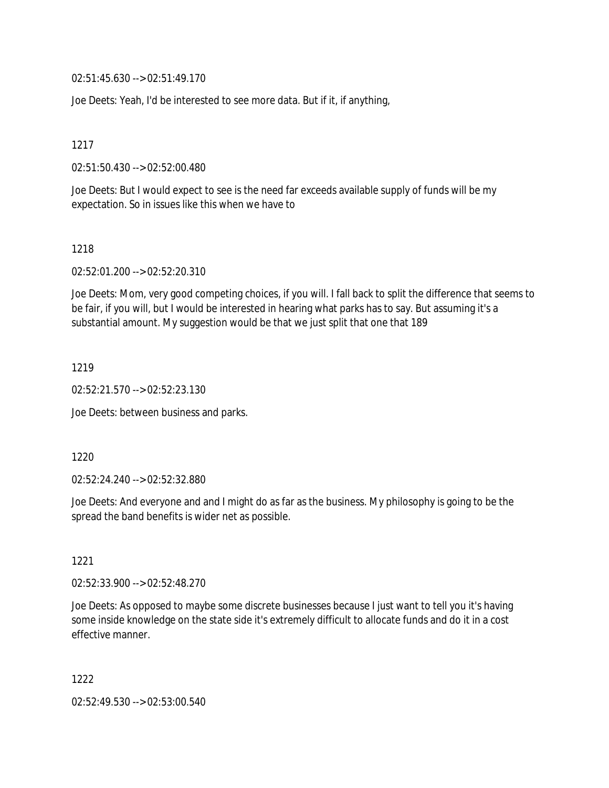02:51:45.630 --> 02:51:49.170

Joe Deets: Yeah, I'd be interested to see more data. But if it, if anything,

1217

02:51:50.430 --> 02:52:00.480

Joe Deets: But I would expect to see is the need far exceeds available supply of funds will be my expectation. So in issues like this when we have to

1218

02:52:01.200 --> 02:52:20.310

Joe Deets: Mom, very good competing choices, if you will. I fall back to split the difference that seems to be fair, if you will, but I would be interested in hearing what parks has to say. But assuming it's a substantial amount. My suggestion would be that we just split that one that 189

1219

02:52:21.570 --> 02:52:23.130

Joe Deets: between business and parks.

1220

02:52:24.240 --> 02:52:32.880

Joe Deets: And everyone and and I might do as far as the business. My philosophy is going to be the spread the band benefits is wider net as possible.

1221

02:52:33.900 --> 02:52:48.270

Joe Deets: As opposed to maybe some discrete businesses because I just want to tell you it's having some inside knowledge on the state side it's extremely difficult to allocate funds and do it in a cost effective manner.

1222

02:52:49.530 --> 02:53:00.540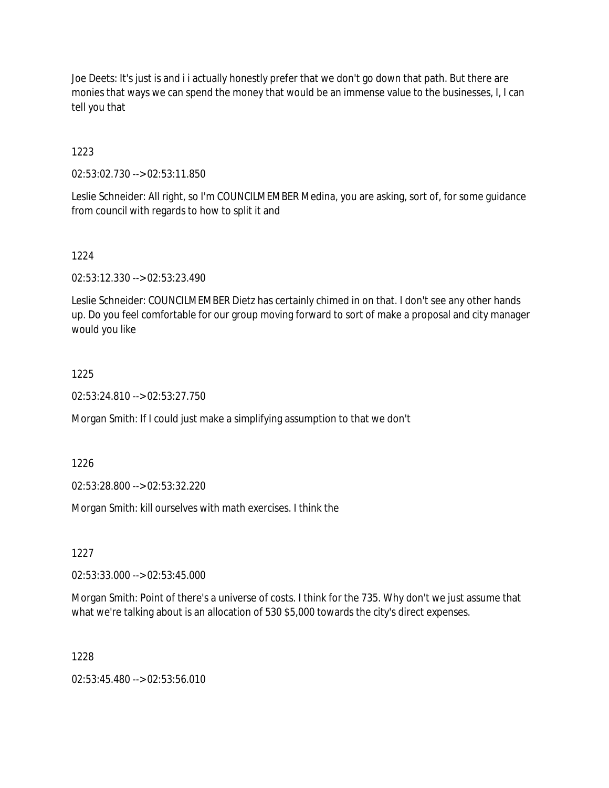Joe Deets: It's just is and i i actually honestly prefer that we don't go down that path. But there are monies that ways we can spend the money that would be an immense value to the businesses, I, I can tell you that

1223

02:53:02.730 --> 02:53:11.850

Leslie Schneider: All right, so I'm COUNCILMEMBER Medina, you are asking, sort of, for some guidance from council with regards to how to split it and

1224

02:53:12.330 --> 02:53:23.490

Leslie Schneider: COUNCILMEMBER Dietz has certainly chimed in on that. I don't see any other hands up. Do you feel comfortable for our group moving forward to sort of make a proposal and city manager would you like

### 1225

02:53:24.810 --> 02:53:27.750

Morgan Smith: If I could just make a simplifying assumption to that we don't

1226

02:53:28.800 --> 02:53:32.220

Morgan Smith: kill ourselves with math exercises. I think the

1227

02:53:33.000 --> 02:53:45.000

Morgan Smith: Point of there's a universe of costs. I think for the 735. Why don't we just assume that what we're talking about is an allocation of 530 \$5,000 towards the city's direct expenses.

1228

02:53:45.480 --> 02:53:56.010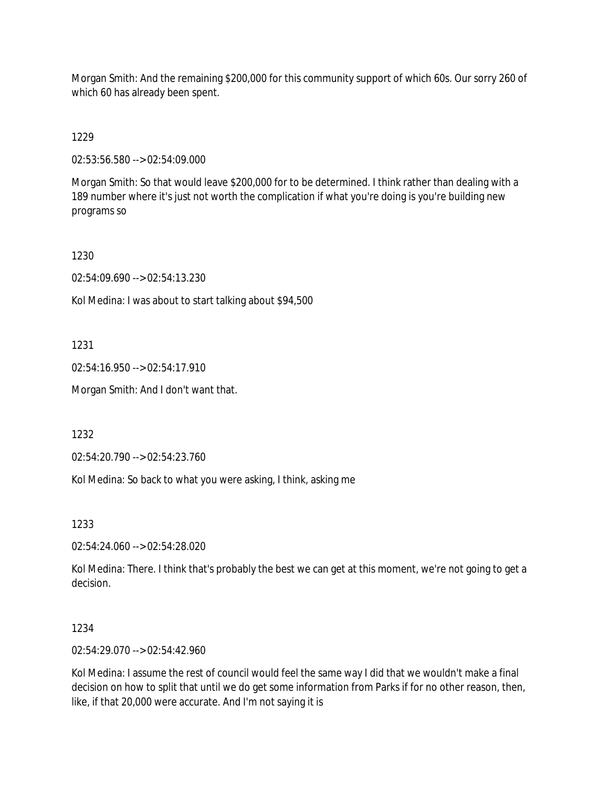Morgan Smith: And the remaining \$200,000 for this community support of which 60s. Our sorry 260 of which 60 has already been spent.

1229

02:53:56.580 --> 02:54:09.000

Morgan Smith: So that would leave \$200,000 for to be determined. I think rather than dealing with a 189 number where it's just not worth the complication if what you're doing is you're building new programs so

1230

02:54:09.690 --> 02:54:13.230

Kol Medina: I was about to start talking about \$94,500

1231

02:54:16.950 --> 02:54:17.910

Morgan Smith: And I don't want that.

1232

02:54:20.790 --> 02:54:23.760

Kol Medina: So back to what you were asking, I think, asking me

1233

02:54:24.060 --> 02:54:28.020

Kol Medina: There. I think that's probably the best we can get at this moment, we're not going to get a decision.

1234

02:54:29.070 --> 02:54:42.960

Kol Medina: I assume the rest of council would feel the same way I did that we wouldn't make a final decision on how to split that until we do get some information from Parks if for no other reason, then, like, if that 20,000 were accurate. And I'm not saying it is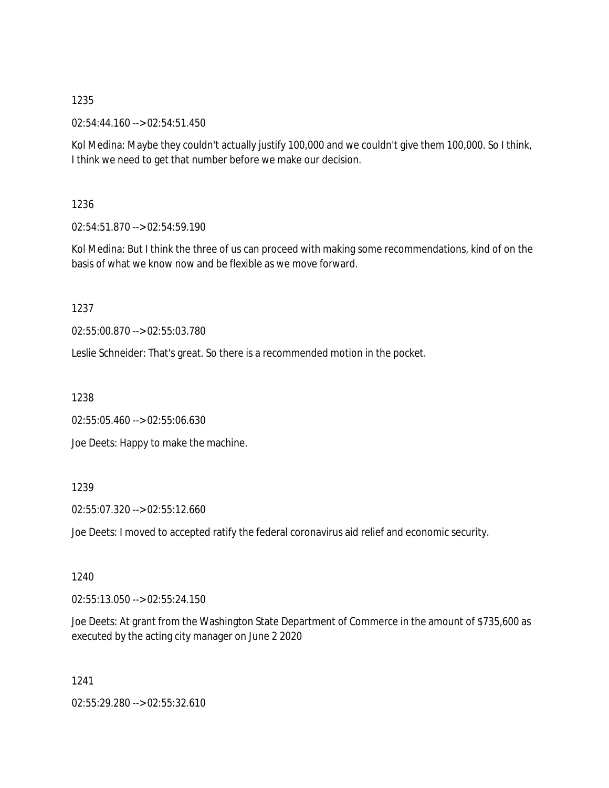02:54:44.160 --> 02:54:51.450

Kol Medina: Maybe they couldn't actually justify 100,000 and we couldn't give them 100,000. So I think, I think we need to get that number before we make our decision.

1236

02:54:51.870 --> 02:54:59.190

Kol Medina: But I think the three of us can proceed with making some recommendations, kind of on the basis of what we know now and be flexible as we move forward.

1237

02:55:00.870 --> 02:55:03.780

Leslie Schneider: That's great. So there is a recommended motion in the pocket.

1238

02:55:05.460 --> 02:55:06.630

Joe Deets: Happy to make the machine.

# 1239

02:55:07.320 --> 02:55:12.660

Joe Deets: I moved to accepted ratify the federal coronavirus aid relief and economic security.

1240

02:55:13.050 --> 02:55:24.150

Joe Deets: At grant from the Washington State Department of Commerce in the amount of \$735,600 as executed by the acting city manager on June 2 2020

1241

02:55:29.280 --> 02:55:32.610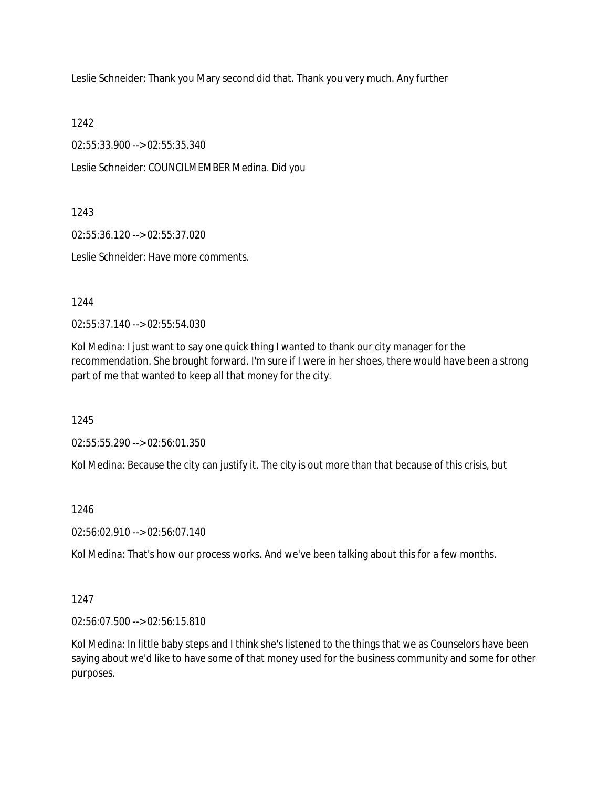Leslie Schneider: Thank you Mary second did that. Thank you very much. Any further

1242

02:55:33.900 --> 02:55:35.340

Leslie Schneider: COUNCILMEMBER Medina. Did you

1243

02:55:36.120 --> 02:55:37.020

Leslie Schneider: Have more comments.

1244

02:55:37.140 --> 02:55:54.030

Kol Medina: I just want to say one quick thing I wanted to thank our city manager for the recommendation. She brought forward. I'm sure if I were in her shoes, there would have been a strong part of me that wanted to keep all that money for the city.

1245

02:55:55.290 --> 02:56:01.350

Kol Medina: Because the city can justify it. The city is out more than that because of this crisis, but

1246

02:56:02.910 --> 02:56:07.140

Kol Medina: That's how our process works. And we've been talking about this for a few months.

1247

02:56:07.500 --> 02:56:15.810

Kol Medina: In little baby steps and I think she's listened to the things that we as Counselors have been saying about we'd like to have some of that money used for the business community and some for other purposes.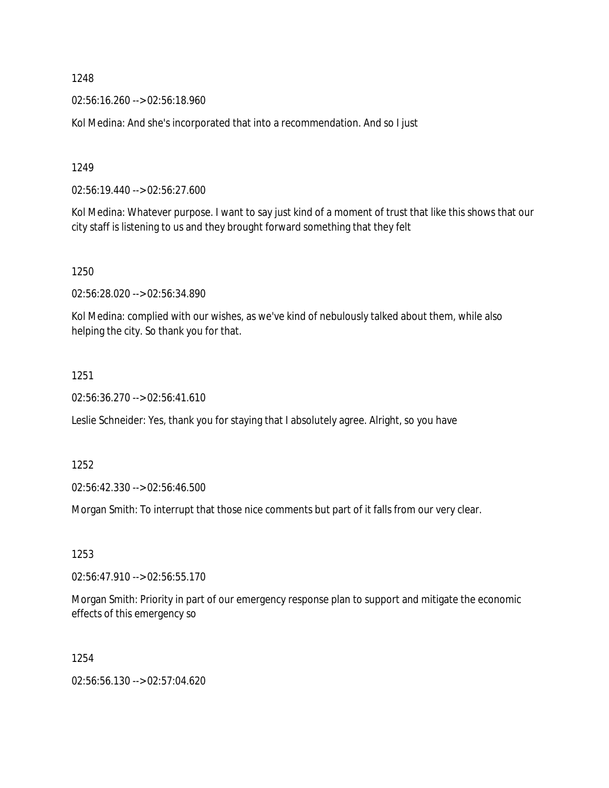02:56:16.260 --> 02:56:18.960

Kol Medina: And she's incorporated that into a recommendation. And so I just

1249

02:56:19.440 --> 02:56:27.600

Kol Medina: Whatever purpose. I want to say just kind of a moment of trust that like this shows that our city staff is listening to us and they brought forward something that they felt

1250

02:56:28.020 --> 02:56:34.890

Kol Medina: complied with our wishes, as we've kind of nebulously talked about them, while also helping the city. So thank you for that.

1251

02:56:36.270 --> 02:56:41.610

Leslie Schneider: Yes, thank you for staying that I absolutely agree. Alright, so you have

1252

02:56:42.330 --> 02:56:46.500

Morgan Smith: To interrupt that those nice comments but part of it falls from our very clear.

1253

02:56:47.910 --> 02:56:55.170

Morgan Smith: Priority in part of our emergency response plan to support and mitigate the economic effects of this emergency so

1254

02:56:56.130 --> 02:57:04.620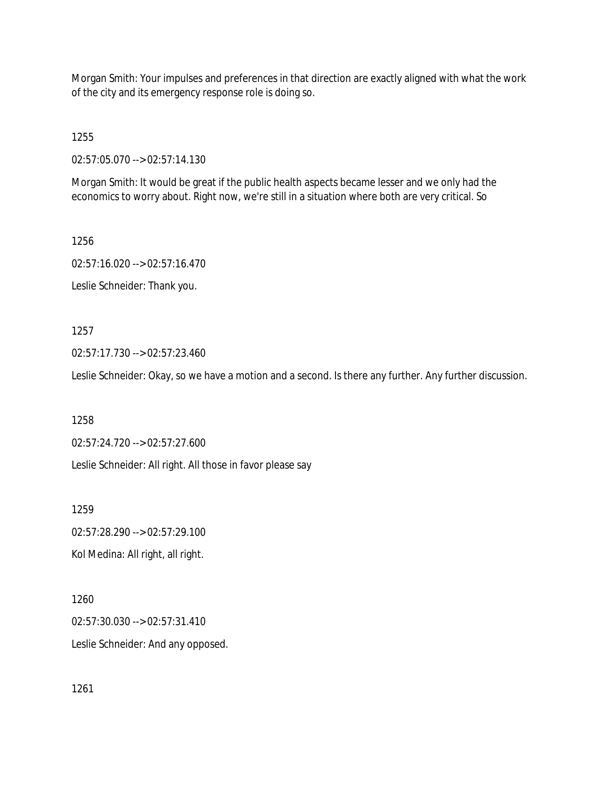Morgan Smith: Your impulses and preferences in that direction are exactly aligned with what the work of the city and its emergency response role is doing so.

1255

02:57:05.070 --> 02:57:14.130

Morgan Smith: It would be great if the public health aspects became lesser and we only had the economics to worry about. Right now, we're still in a situation where both are very critical. So

1256 02:57:16.020 --> 02:57:16.470 Leslie Schneider: Thank you.

1257

02:57:17.730 --> 02:57:23.460

Leslie Schneider: Okay, so we have a motion and a second. Is there any further. Any further discussion.

1258

02:57:24.720 --> 02:57:27.600

Leslie Schneider: All right. All those in favor please say

1259

02:57:28.290 --> 02:57:29.100

Kol Medina: All right, all right.

1260

02:57:30.030 --> 02:57:31.410

Leslie Schneider: And any opposed.

1261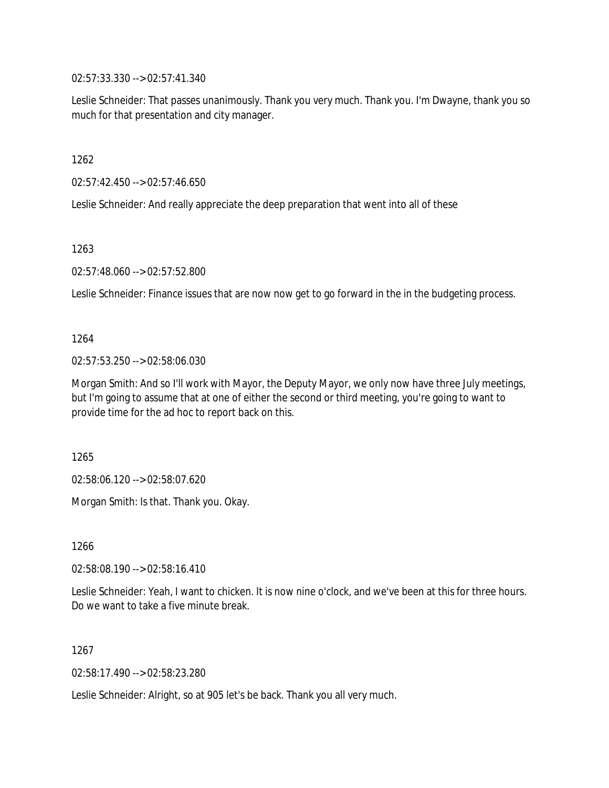02:57:33.330 --> 02:57:41.340

Leslie Schneider: That passes unanimously. Thank you very much. Thank you. I'm Dwayne, thank you so much for that presentation and city manager.

1262

02:57:42.450 --> 02:57:46.650

Leslie Schneider: And really appreciate the deep preparation that went into all of these

1263

02:57:48.060 --> 02:57:52.800

Leslie Schneider: Finance issues that are now now get to go forward in the in the budgeting process.

1264

02:57:53.250 --> 02:58:06.030

Morgan Smith: And so I'll work with Mayor, the Deputy Mayor, we only now have three July meetings, but I'm going to assume that at one of either the second or third meeting, you're going to want to provide time for the ad hoc to report back on this.

1265

02:58:06.120 --> 02:58:07.620

Morgan Smith: Is that. Thank you. Okay.

1266

02:58:08.190 --> 02:58:16.410

Leslie Schneider: Yeah, I want to chicken. It is now nine o'clock, and we've been at this for three hours. Do we want to take a five minute break.

1267

02:58:17.490 --> 02:58:23.280

Leslie Schneider: Alright, so at 905 let's be back. Thank you all very much.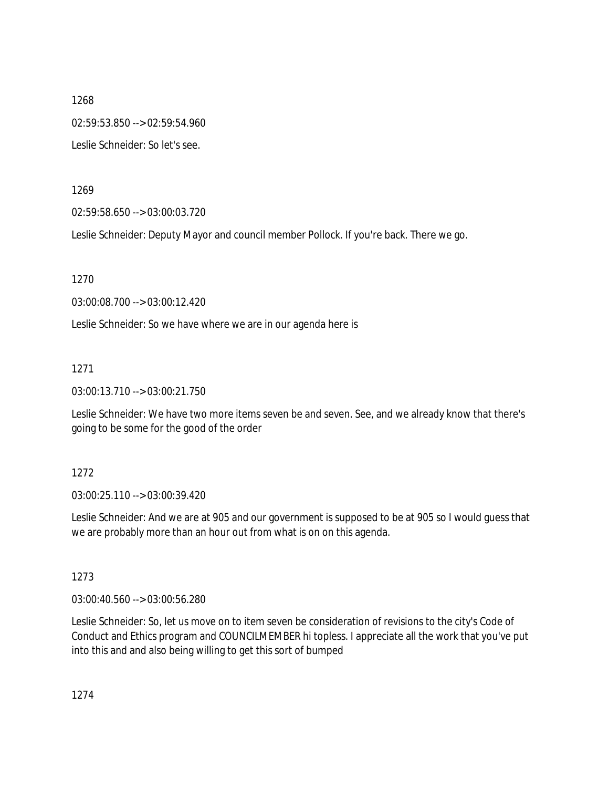1268 02:59:53.850 --> 02:59:54.960 Leslie Schneider: So let's see.

1269

02:59:58.650 --> 03:00:03.720

Leslie Schneider: Deputy Mayor and council member Pollock. If you're back. There we go.

1270

03:00:08.700 --> 03:00:12.420

Leslie Schneider: So we have where we are in our agenda here is

1271

03:00:13.710 --> 03:00:21.750

Leslie Schneider: We have two more items seven be and seven. See, and we already know that there's going to be some for the good of the order

1272

03:00:25.110 --> 03:00:39.420

Leslie Schneider: And we are at 905 and our government is supposed to be at 905 so I would guess that we are probably more than an hour out from what is on on this agenda.

1273

03:00:40.560 --> 03:00:56.280

Leslie Schneider: So, let us move on to item seven be consideration of revisions to the city's Code of Conduct and Ethics program and COUNCILMEMBER hi topless. I appreciate all the work that you've put into this and and also being willing to get this sort of bumped

1274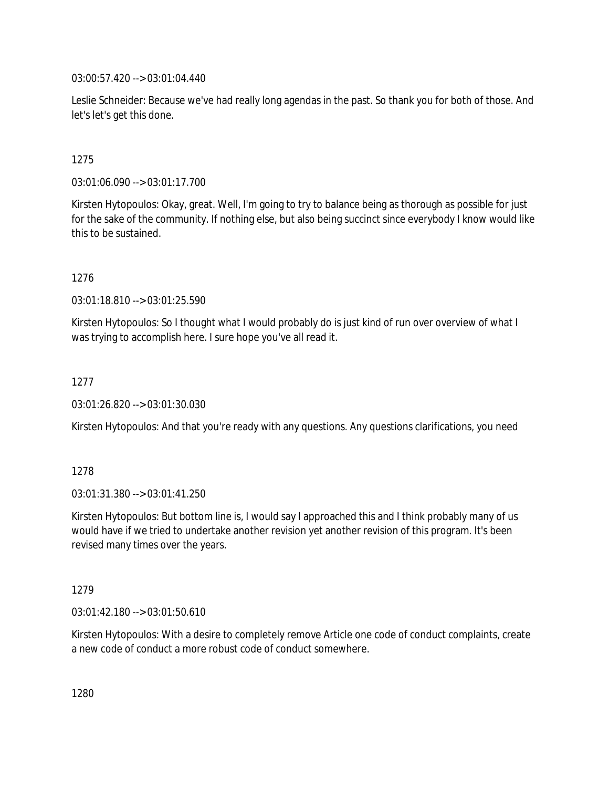03:00:57.420 --> 03:01:04.440

Leslie Schneider: Because we've had really long agendas in the past. So thank you for both of those. And let's let's get this done.

## 1275

03:01:06.090 --> 03:01:17.700

Kirsten Hytopoulos: Okay, great. Well, I'm going to try to balance being as thorough as possible for just for the sake of the community. If nothing else, but also being succinct since everybody I know would like this to be sustained.

1276

03:01:18.810 --> 03:01:25.590

Kirsten Hytopoulos: So I thought what I would probably do is just kind of run over overview of what I was trying to accomplish here. I sure hope you've all read it.

1277

03:01:26.820 --> 03:01:30.030

Kirsten Hytopoulos: And that you're ready with any questions. Any questions clarifications, you need

### 1278

03:01:31.380 --> 03:01:41.250

Kirsten Hytopoulos: But bottom line is, I would say I approached this and I think probably many of us would have if we tried to undertake another revision yet another revision of this program. It's been revised many times over the years.

1279

03:01:42.180 --> 03:01:50.610

Kirsten Hytopoulos: With a desire to completely remove Article one code of conduct complaints, create a new code of conduct a more robust code of conduct somewhere.

1280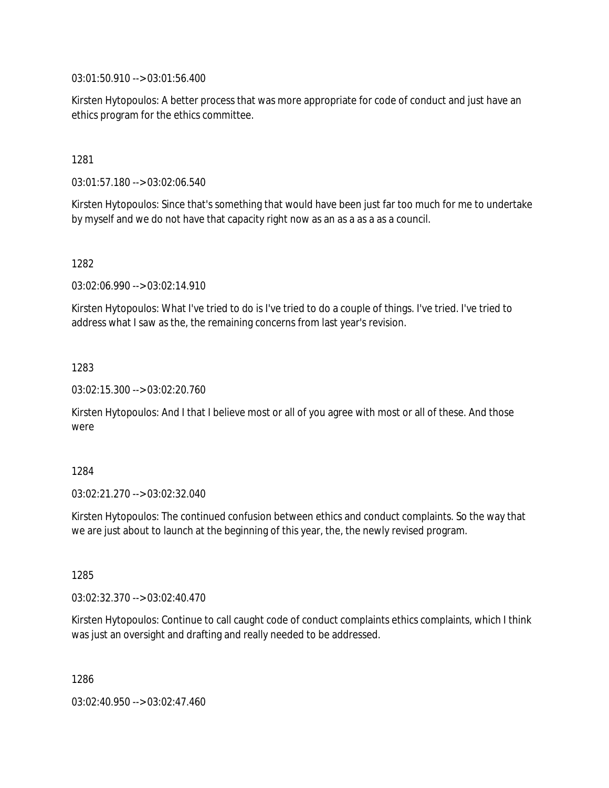03:01:50.910 --> 03:01:56.400

Kirsten Hytopoulos: A better process that was more appropriate for code of conduct and just have an ethics program for the ethics committee.

1281

03:01:57.180 --> 03:02:06.540

Kirsten Hytopoulos: Since that's something that would have been just far too much for me to undertake by myself and we do not have that capacity right now as an as a as a as a council.

1282

03:02:06.990 --> 03:02:14.910

Kirsten Hytopoulos: What I've tried to do is I've tried to do a couple of things. I've tried. I've tried to address what I saw as the, the remaining concerns from last year's revision.

1283

03:02:15.300 --> 03:02:20.760

Kirsten Hytopoulos: And I that I believe most or all of you agree with most or all of these. And those were

1284

03:02:21.270 --> 03:02:32.040

Kirsten Hytopoulos: The continued confusion between ethics and conduct complaints. So the way that we are just about to launch at the beginning of this year, the, the newly revised program.

1285

03:02:32.370 --> 03:02:40.470

Kirsten Hytopoulos: Continue to call caught code of conduct complaints ethics complaints, which I think was just an oversight and drafting and really needed to be addressed.

1286

03:02:40.950 --> 03:02:47.460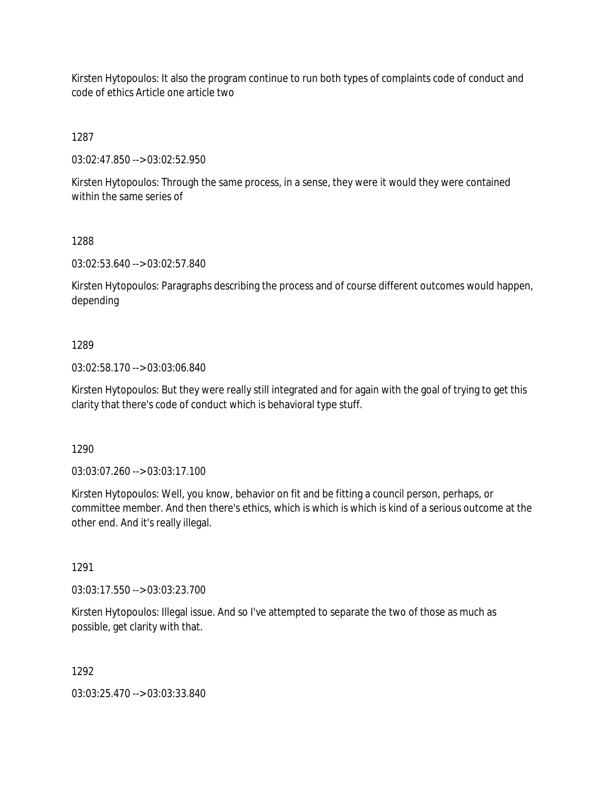Kirsten Hytopoulos: It also the program continue to run both types of complaints code of conduct and code of ethics Article one article two

1287

03:02:47.850 --> 03:02:52.950

Kirsten Hytopoulos: Through the same process, in a sense, they were it would they were contained within the same series of

1288

03:02:53.640 --> 03:02:57.840

Kirsten Hytopoulos: Paragraphs describing the process and of course different outcomes would happen, depending

### 1289

03:02:58.170 --> 03:03:06.840

Kirsten Hytopoulos: But they were really still integrated and for again with the goal of trying to get this clarity that there's code of conduct which is behavioral type stuff.

1290

03:03:07.260 --> 03:03:17.100

Kirsten Hytopoulos: Well, you know, behavior on fit and be fitting a council person, perhaps, or committee member. And then there's ethics, which is which is which is kind of a serious outcome at the other end. And it's really illegal.

1291

03:03:17.550 --> 03:03:23.700

Kirsten Hytopoulos: Illegal issue. And so I've attempted to separate the two of those as much as possible, get clarity with that.

1292

03:03:25.470 --> 03:03:33.840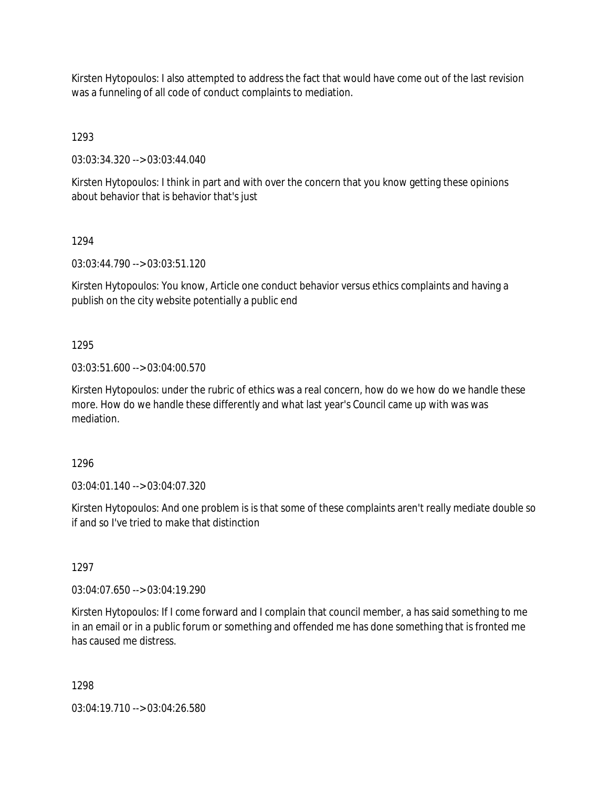Kirsten Hytopoulos: I also attempted to address the fact that would have come out of the last revision was a funneling of all code of conduct complaints to mediation.

1293

03:03:34.320 --> 03:03:44.040

Kirsten Hytopoulos: I think in part and with over the concern that you know getting these opinions about behavior that is behavior that's just

1294

03:03:44.790 --> 03:03:51.120

Kirsten Hytopoulos: You know, Article one conduct behavior versus ethics complaints and having a publish on the city website potentially a public end

1295

03:03:51.600 --> 03:04:00.570

Kirsten Hytopoulos: under the rubric of ethics was a real concern, how do we how do we handle these more. How do we handle these differently and what last year's Council came up with was was mediation.

1296

03:04:01.140 --> 03:04:07.320

Kirsten Hytopoulos: And one problem is is that some of these complaints aren't really mediate double so if and so I've tried to make that distinction

1297

03:04:07.650 --> 03:04:19.290

Kirsten Hytopoulos: If I come forward and I complain that council member, a has said something to me in an email or in a public forum or something and offended me has done something that is fronted me has caused me distress.

1298

03:04:19.710 --> 03:04:26.580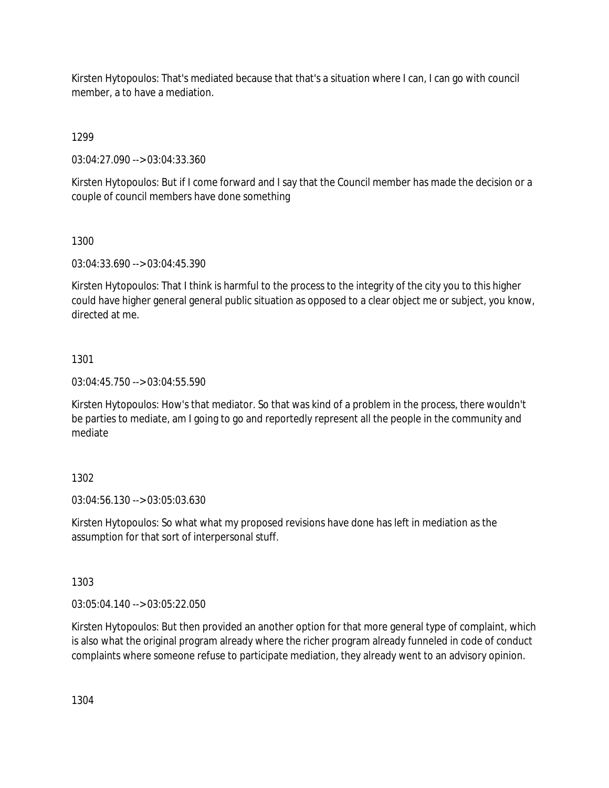Kirsten Hytopoulos: That's mediated because that that's a situation where I can, I can go with council member, a to have a mediation.

1299

03:04:27.090 --> 03:04:33.360

Kirsten Hytopoulos: But if I come forward and I say that the Council member has made the decision or a couple of council members have done something

# 1300

03:04:33.690 --> 03:04:45.390

Kirsten Hytopoulos: That I think is harmful to the process to the integrity of the city you to this higher could have higher general general public situation as opposed to a clear object me or subject, you know, directed at me.

# 1301

03:04:45.750 --> 03:04:55.590

Kirsten Hytopoulos: How's that mediator. So that was kind of a problem in the process, there wouldn't be parties to mediate, am I going to go and reportedly represent all the people in the community and mediate

# 1302

03:04:56.130 --> 03:05:03.630

Kirsten Hytopoulos: So what what my proposed revisions have done has left in mediation as the assumption for that sort of interpersonal stuff.

1303

03:05:04.140 --> 03:05:22.050

Kirsten Hytopoulos: But then provided an another option for that more general type of complaint, which is also what the original program already where the richer program already funneled in code of conduct complaints where someone refuse to participate mediation, they already went to an advisory opinion.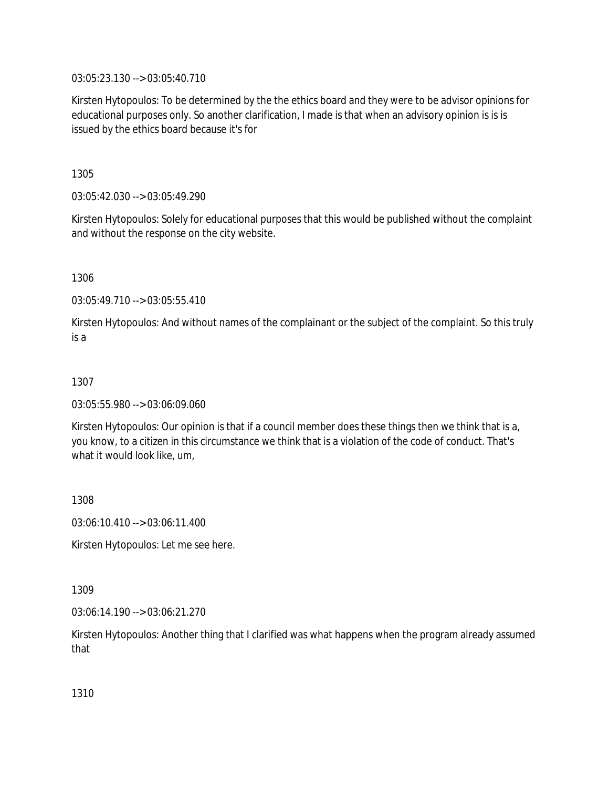03:05:23.130 --> 03:05:40.710

Kirsten Hytopoulos: To be determined by the the ethics board and they were to be advisor opinions for educational purposes only. So another clarification, I made is that when an advisory opinion is is is issued by the ethics board because it's for

1305

03:05:42.030 --> 03:05:49.290

Kirsten Hytopoulos: Solely for educational purposes that this would be published without the complaint and without the response on the city website.

1306

03:05:49.710 --> 03:05:55.410

Kirsten Hytopoulos: And without names of the complainant or the subject of the complaint. So this truly is a

## 1307

03:05:55.980 --> 03:06:09.060

Kirsten Hytopoulos: Our opinion is that if a council member does these things then we think that is a, you know, to a citizen in this circumstance we think that is a violation of the code of conduct. That's what it would look like, um,

1308

03:06:10.410 --> 03:06:11.400

Kirsten Hytopoulos: Let me see here.

1309

03:06:14.190 --> 03:06:21.270

Kirsten Hytopoulos: Another thing that I clarified was what happens when the program already assumed that

1310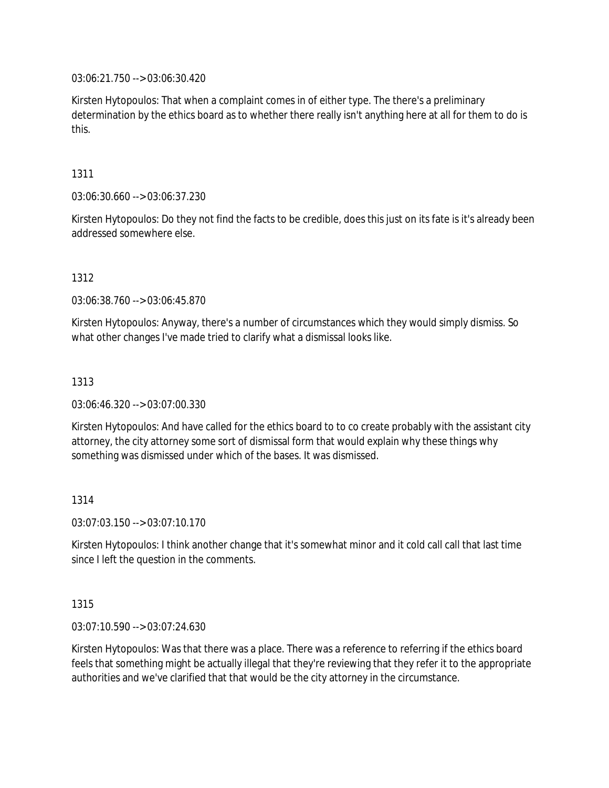03:06:21.750 --> 03:06:30.420

Kirsten Hytopoulos: That when a complaint comes in of either type. The there's a preliminary determination by the ethics board as to whether there really isn't anything here at all for them to do is this.

1311

03:06:30.660 --> 03:06:37.230

Kirsten Hytopoulos: Do they not find the facts to be credible, does this just on its fate is it's already been addressed somewhere else.

1312

03:06:38.760 --> 03:06:45.870

Kirsten Hytopoulos: Anyway, there's a number of circumstances which they would simply dismiss. So what other changes I've made tried to clarify what a dismissal looks like.

1313

03:06:46.320 --> 03:07:00.330

Kirsten Hytopoulos: And have called for the ethics board to to co create probably with the assistant city attorney, the city attorney some sort of dismissal form that would explain why these things why something was dismissed under which of the bases. It was dismissed.

1314

03:07:03.150 --> 03:07:10.170

Kirsten Hytopoulos: I think another change that it's somewhat minor and it cold call call that last time since I left the question in the comments.

1315

03:07:10.590 --> 03:07:24.630

Kirsten Hytopoulos: Was that there was a place. There was a reference to referring if the ethics board feels that something might be actually illegal that they're reviewing that they refer it to the appropriate authorities and we've clarified that that would be the city attorney in the circumstance.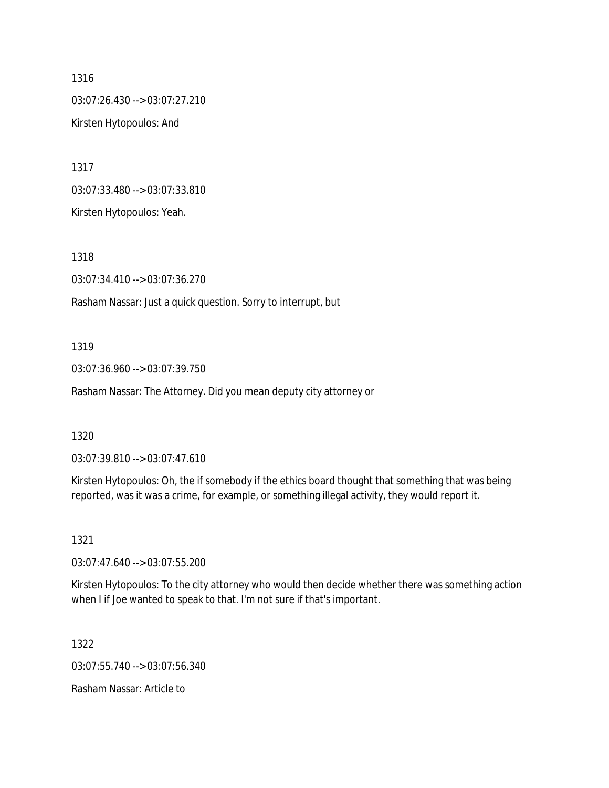1316 03:07:26.430 --> 03:07:27.210 Kirsten Hytopoulos: And

1317 03:07:33.480 --> 03:07:33.810 Kirsten Hytopoulos: Yeah.

1318

03:07:34.410 --> 03:07:36.270

Rasham Nassar: Just a quick question. Sorry to interrupt, but

#### 1319

03:07:36.960 --> 03:07:39.750

Rasham Nassar: The Attorney. Did you mean deputy city attorney or

#### 1320

03:07:39.810 --> 03:07:47.610

Kirsten Hytopoulos: Oh, the if somebody if the ethics board thought that something that was being reported, was it was a crime, for example, or something illegal activity, they would report it.

#### 1321

03:07:47.640 --> 03:07:55.200

Kirsten Hytopoulos: To the city attorney who would then decide whether there was something action when I if Joe wanted to speak to that. I'm not sure if that's important.

1322

03:07:55.740 --> 03:07:56.340

Rasham Nassar: Article to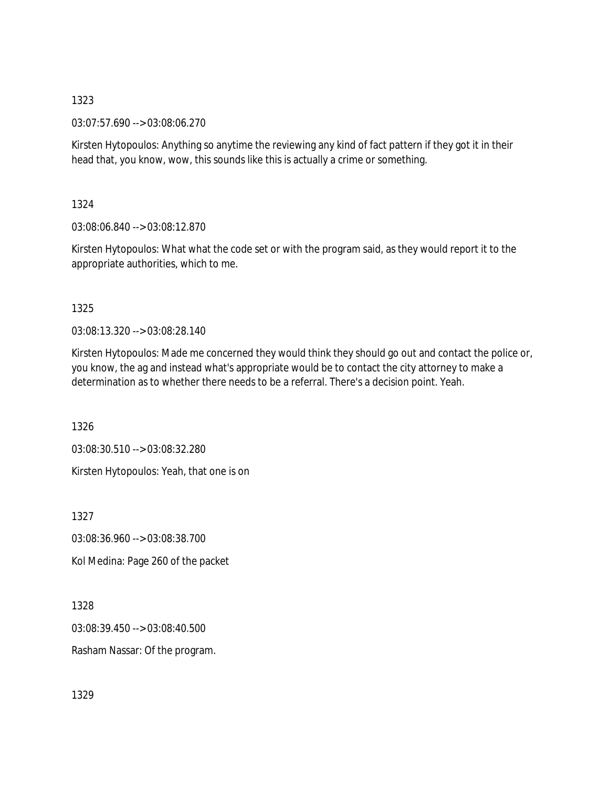03:07:57.690 --> 03:08:06.270

Kirsten Hytopoulos: Anything so anytime the reviewing any kind of fact pattern if they got it in their head that, you know, wow, this sounds like this is actually a crime or something.

1324

03:08:06.840 --> 03:08:12.870

Kirsten Hytopoulos: What what the code set or with the program said, as they would report it to the appropriate authorities, which to me.

1325

03:08:13.320 --> 03:08:28.140

Kirsten Hytopoulos: Made me concerned they would think they should go out and contact the police or, you know, the ag and instead what's appropriate would be to contact the city attorney to make a determination as to whether there needs to be a referral. There's a decision point. Yeah.

1326

03:08:30.510 --> 03:08:32.280

Kirsten Hytopoulos: Yeah, that one is on

1327

03:08:36.960 --> 03:08:38.700

Kol Medina: Page 260 of the packet

1328

03:08:39.450 --> 03:08:40.500

Rasham Nassar: Of the program.

1329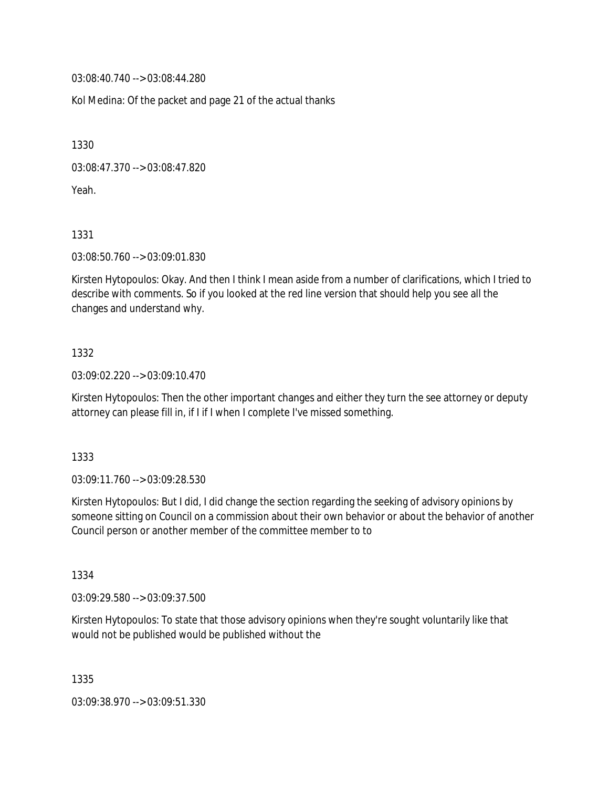03:08:40.740 --> 03:08:44.280

Kol Medina: Of the packet and page 21 of the actual thanks

1330

03:08:47.370 --> 03:08:47.820

Yeah.

1331

03:08:50.760 --> 03:09:01.830

Kirsten Hytopoulos: Okay. And then I think I mean aside from a number of clarifications, which I tried to describe with comments. So if you looked at the red line version that should help you see all the changes and understand why.

### 1332

03:09:02.220 --> 03:09:10.470

Kirsten Hytopoulos: Then the other important changes and either they turn the see attorney or deputy attorney can please fill in, if I if I when I complete I've missed something.

1333

03:09:11.760 --> 03:09:28.530

Kirsten Hytopoulos: But I did, I did change the section regarding the seeking of advisory opinions by someone sitting on Council on a commission about their own behavior or about the behavior of another Council person or another member of the committee member to to

1334

03:09:29.580 --> 03:09:37.500

Kirsten Hytopoulos: To state that those advisory opinions when they're sought voluntarily like that would not be published would be published without the

1335

03:09:38.970 --> 03:09:51.330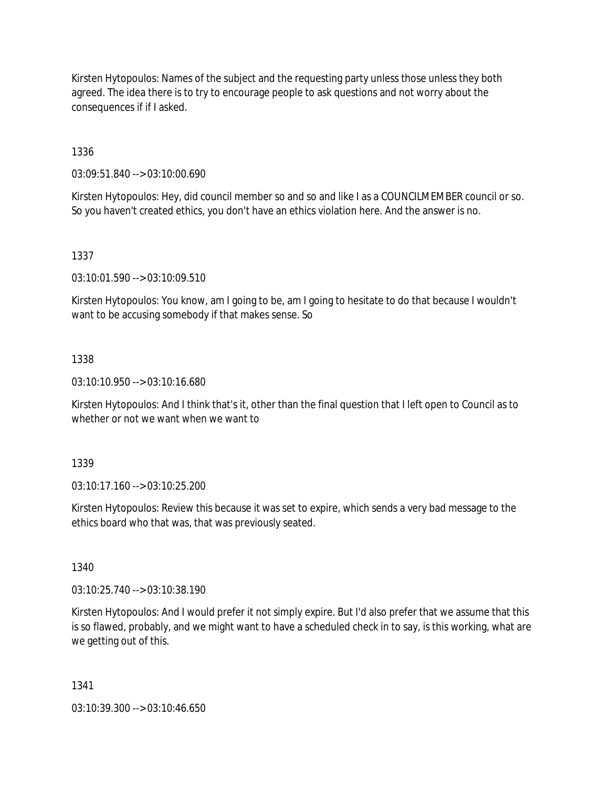Kirsten Hytopoulos: Names of the subject and the requesting party unless those unless they both agreed. The idea there is to try to encourage people to ask questions and not worry about the consequences if if I asked.

1336

03:09:51.840 --> 03:10:00.690

Kirsten Hytopoulos: Hey, did council member so and so and like I as a COUNCILMEMBER council or so. So you haven't created ethics, you don't have an ethics violation here. And the answer is no.

1337

03:10:01.590 --> 03:10:09.510

Kirsten Hytopoulos: You know, am I going to be, am I going to hesitate to do that because I wouldn't want to be accusing somebody if that makes sense. So

### 1338

03:10:10.950 --> 03:10:16.680

Kirsten Hytopoulos: And I think that's it, other than the final question that I left open to Council as to whether or not we want when we want to

1339

03:10:17.160 --> 03:10:25.200

Kirsten Hytopoulos: Review this because it was set to expire, which sends a very bad message to the ethics board who that was, that was previously seated.

1340

03:10:25.740 --> 03:10:38.190

Kirsten Hytopoulos: And I would prefer it not simply expire. But I'd also prefer that we assume that this is so flawed, probably, and we might want to have a scheduled check in to say, is this working, what are we getting out of this.

1341

03:10:39.300 --> 03:10:46.650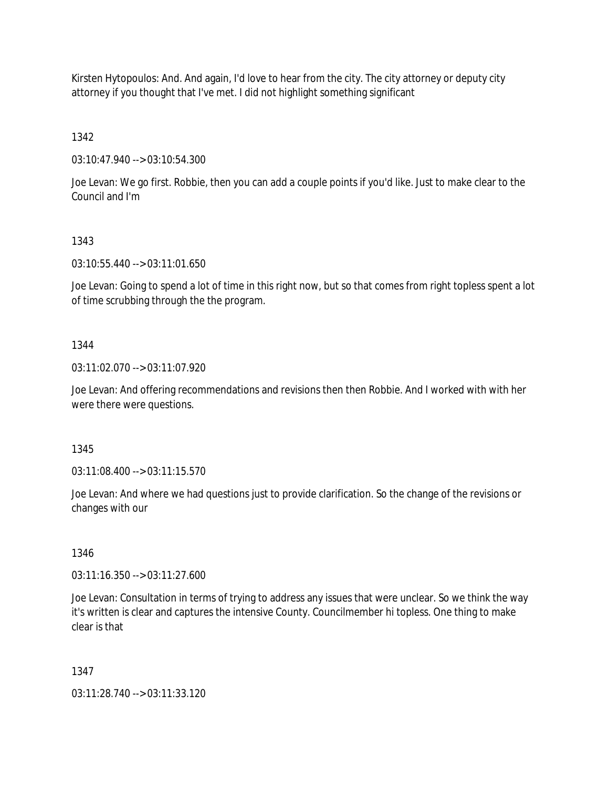Kirsten Hytopoulos: And. And again, I'd love to hear from the city. The city attorney or deputy city attorney if you thought that I've met. I did not highlight something significant

1342

03:10:47.940 --> 03:10:54.300

Joe Levan: We go first. Robbie, then you can add a couple points if you'd like. Just to make clear to the Council and I'm

# 1343

03:10:55.440 --> 03:11:01.650

Joe Levan: Going to spend a lot of time in this right now, but so that comes from right topless spent a lot of time scrubbing through the the program.

## 1344

03:11:02.070 --> 03:11:07.920

Joe Levan: And offering recommendations and revisions then then Robbie. And I worked with with her were there were questions.

# 1345

03:11:08.400 --> 03:11:15.570

Joe Levan: And where we had questions just to provide clarification. So the change of the revisions or changes with our

# 1346

03:11:16.350 --> 03:11:27.600

Joe Levan: Consultation in terms of trying to address any issues that were unclear. So we think the way it's written is clear and captures the intensive County. Councilmember hi topless. One thing to make clear is that

# 1347

03:11:28.740 --> 03:11:33.120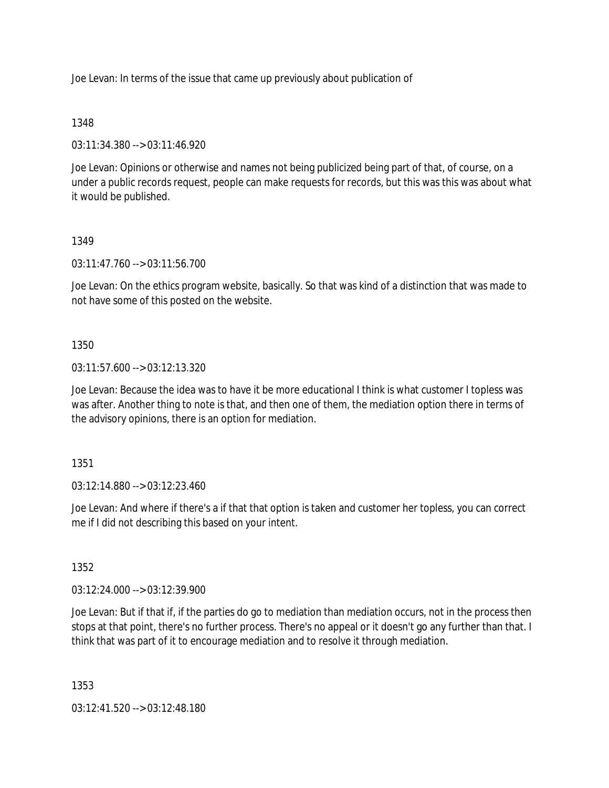Joe Levan: In terms of the issue that came up previously about publication of

## 1348

03:11:34.380 --> 03:11:46.920

Joe Levan: Opinions or otherwise and names not being publicized being part of that, of course, on a under a public records request, people can make requests for records, but this was this was about what it would be published.

## 1349

03:11:47.760 --> 03:11:56.700

Joe Levan: On the ethics program website, basically. So that was kind of a distinction that was made to not have some of this posted on the website.

## 1350

03:11:57.600 --> 03:12:13.320

Joe Levan: Because the idea was to have it be more educational I think is what customer I topless was was after. Another thing to note is that, and then one of them, the mediation option there in terms of the advisory opinions, there is an option for mediation.

### 1351

03:12:14.880 --> 03:12:23.460

Joe Levan: And where if there's a if that that option is taken and customer her topless, you can correct me if I did not describing this based on your intent.

### 1352

03:12:24.000 --> 03:12:39.900

Joe Levan: But if that if, if the parties do go to mediation than mediation occurs, not in the process then stops at that point, there's no further process. There's no appeal or it doesn't go any further than that. I think that was part of it to encourage mediation and to resolve it through mediation.

1353

03:12:41.520 --> 03:12:48.180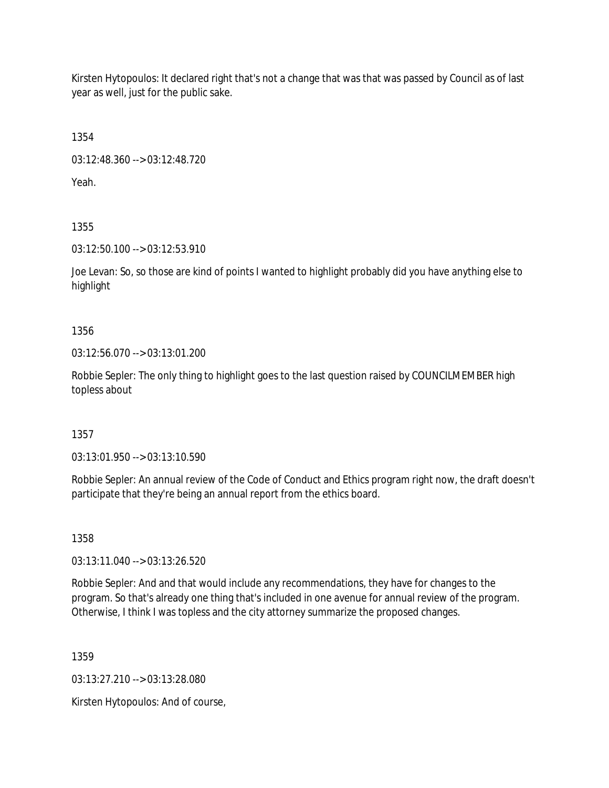Kirsten Hytopoulos: It declared right that's not a change that was that was passed by Council as of last year as well, just for the public sake.

1354

03:12:48.360 --> 03:12:48.720

Yeah.

1355

03:12:50.100 --> 03:12:53.910

Joe Levan: So, so those are kind of points I wanted to highlight probably did you have anything else to highlight

1356

03:12:56.070 --> 03:13:01.200

Robbie Sepler: The only thing to highlight goes to the last question raised by COUNCILMEMBER high topless about

1357

03:13:01.950 --> 03:13:10.590

Robbie Sepler: An annual review of the Code of Conduct and Ethics program right now, the draft doesn't participate that they're being an annual report from the ethics board.

1358

03:13:11.040 --> 03:13:26.520

Robbie Sepler: And and that would include any recommendations, they have for changes to the program. So that's already one thing that's included in one avenue for annual review of the program. Otherwise, I think I was topless and the city attorney summarize the proposed changes.

1359

03:13:27.210 --> 03:13:28.080

Kirsten Hytopoulos: And of course,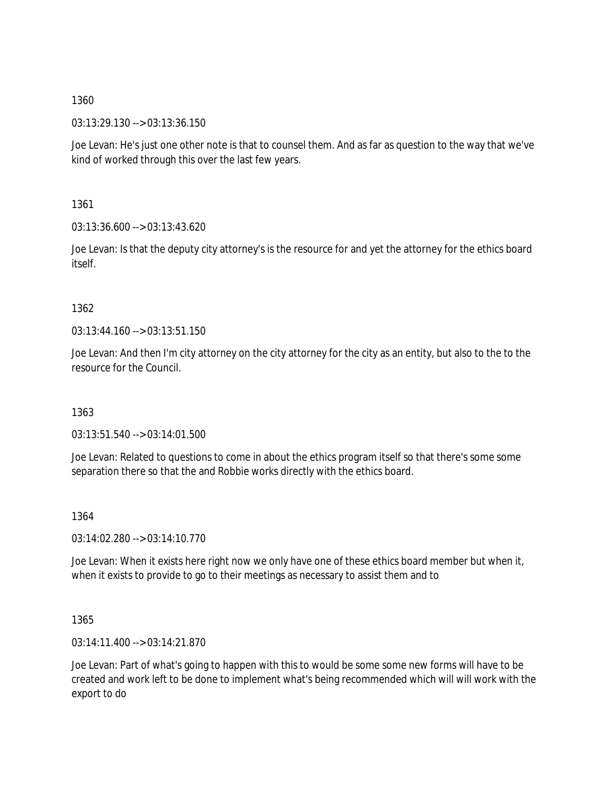03:13:29.130 --> 03:13:36.150

Joe Levan: He's just one other note is that to counsel them. And as far as question to the way that we've kind of worked through this over the last few years.

1361

03:13:36.600 --> 03:13:43.620

Joe Levan: Is that the deputy city attorney's is the resource for and yet the attorney for the ethics board itself.

# 1362

03:13:44.160 --> 03:13:51.150

Joe Levan: And then I'm city attorney on the city attorney for the city as an entity, but also to the to the resource for the Council.

# 1363

03:13:51.540 --> 03:14:01.500

Joe Levan: Related to questions to come in about the ethics program itself so that there's some some separation there so that the and Robbie works directly with the ethics board.

## 1364

03:14:02.280 --> 03:14:10.770

Joe Levan: When it exists here right now we only have one of these ethics board member but when it, when it exists to provide to go to their meetings as necessary to assist them and to

# 1365

03:14:11.400 --> 03:14:21.870

Joe Levan: Part of what's going to happen with this to would be some some new forms will have to be created and work left to be done to implement what's being recommended which will will work with the export to do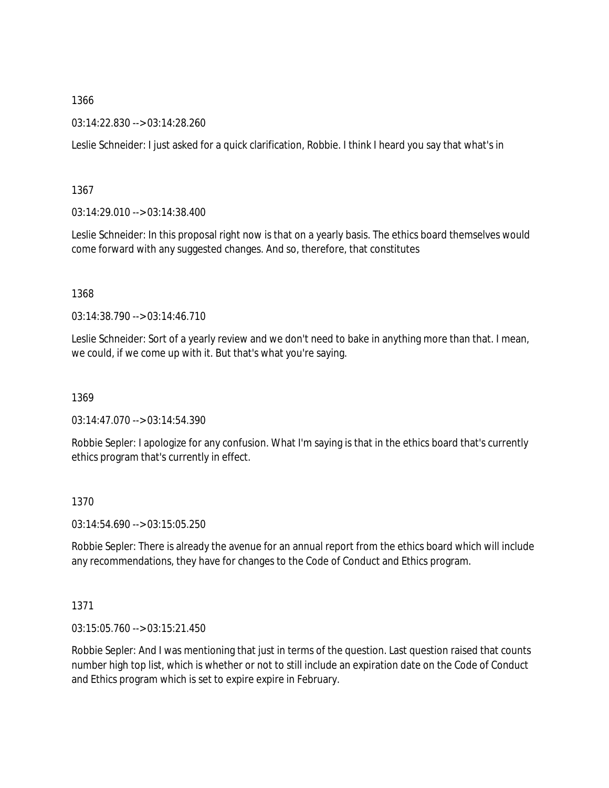03:14:22.830 --> 03:14:28.260

Leslie Schneider: I just asked for a quick clarification, Robbie. I think I heard you say that what's in

1367

03:14:29.010 --> 03:14:38.400

Leslie Schneider: In this proposal right now is that on a yearly basis. The ethics board themselves would come forward with any suggested changes. And so, therefore, that constitutes

1368

03:14:38.790 --> 03:14:46.710

Leslie Schneider: Sort of a yearly review and we don't need to bake in anything more than that. I mean, we could, if we come up with it. But that's what you're saying.

1369

03:14:47.070 --> 03:14:54.390

Robbie Sepler: I apologize for any confusion. What I'm saying is that in the ethics board that's currently ethics program that's currently in effect.

1370

03:14:54.690 --> 03:15:05.250

Robbie Sepler: There is already the avenue for an annual report from the ethics board which will include any recommendations, they have for changes to the Code of Conduct and Ethics program.

1371

03:15:05.760 --> 03:15:21.450

Robbie Sepler: And I was mentioning that just in terms of the question. Last question raised that counts number high top list, which is whether or not to still include an expiration date on the Code of Conduct and Ethics program which is set to expire expire in February.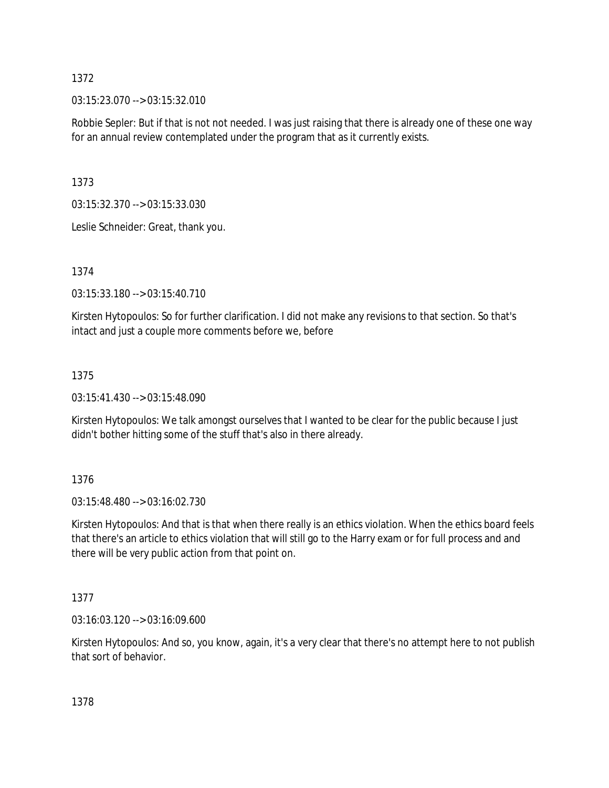03:15:23.070 --> 03:15:32.010

Robbie Sepler: But if that is not not needed. I was just raising that there is already one of these one way for an annual review contemplated under the program that as it currently exists.

1373

03:15:32.370 --> 03:15:33.030

Leslie Schneider: Great, thank you.

1374

03:15:33.180 --> 03:15:40.710

Kirsten Hytopoulos: So for further clarification. I did not make any revisions to that section. So that's intact and just a couple more comments before we, before

## 1375

03:15:41.430 --> 03:15:48.090

Kirsten Hytopoulos: We talk amongst ourselves that I wanted to be clear for the public because I just didn't bother hitting some of the stuff that's also in there already.

1376

03:15:48.480 --> 03:16:02.730

Kirsten Hytopoulos: And that is that when there really is an ethics violation. When the ethics board feels that there's an article to ethics violation that will still go to the Harry exam or for full process and and there will be very public action from that point on.

# 1377

03:16:03.120 --> 03:16:09.600

Kirsten Hytopoulos: And so, you know, again, it's a very clear that there's no attempt here to not publish that sort of behavior.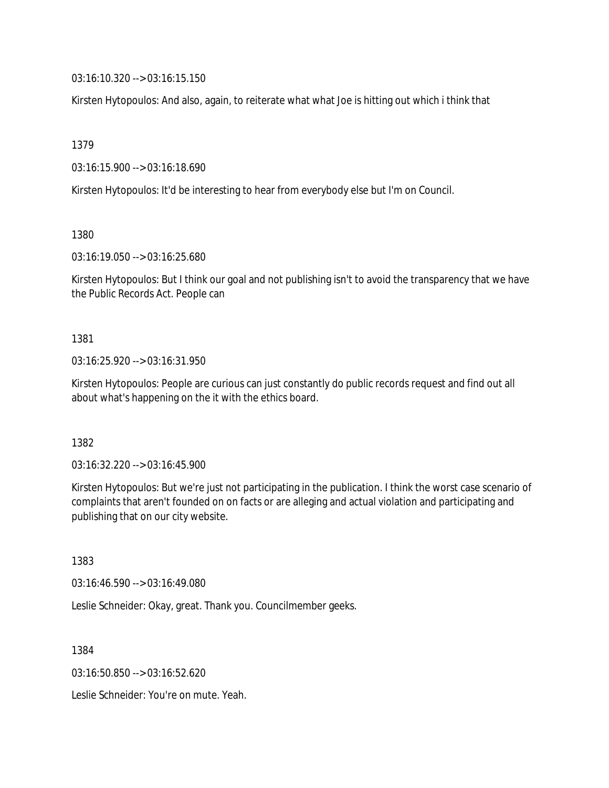03:16:10.320 --> 03:16:15.150

Kirsten Hytopoulos: And also, again, to reiterate what what Joe is hitting out which i think that

1379

03:16:15.900 --> 03:16:18.690

Kirsten Hytopoulos: It'd be interesting to hear from everybody else but I'm on Council.

1380

03:16:19.050 --> 03:16:25.680

Kirsten Hytopoulos: But I think our goal and not publishing isn't to avoid the transparency that we have the Public Records Act. People can

1381

03:16:25.920 --> 03:16:31.950

Kirsten Hytopoulos: People are curious can just constantly do public records request and find out all about what's happening on the it with the ethics board.

1382

03:16:32.220 --> 03:16:45.900

Kirsten Hytopoulos: But we're just not participating in the publication. I think the worst case scenario of complaints that aren't founded on on facts or are alleging and actual violation and participating and publishing that on our city website.

1383

03:16:46.590 --> 03:16:49.080

Leslie Schneider: Okay, great. Thank you. Councilmember geeks.

1384

03:16:50.850 --> 03:16:52.620

Leslie Schneider: You're on mute. Yeah.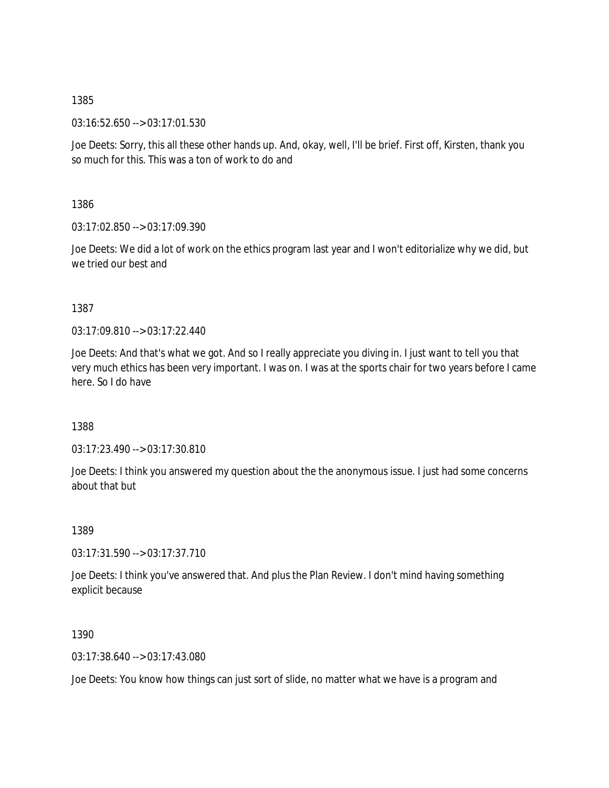03:16:52.650 --> 03:17:01.530

Joe Deets: Sorry, this all these other hands up. And, okay, well, I'll be brief. First off, Kirsten, thank you so much for this. This was a ton of work to do and

1386

03:17:02.850 --> 03:17:09.390

Joe Deets: We did a lot of work on the ethics program last year and I won't editorialize why we did, but we tried our best and

1387

03:17:09.810 --> 03:17:22.440

Joe Deets: And that's what we got. And so I really appreciate you diving in. I just want to tell you that very much ethics has been very important. I was on. I was at the sports chair for two years before I came here. So I do have

1388

03:17:23.490 --> 03:17:30.810

Joe Deets: I think you answered my question about the the anonymous issue. I just had some concerns about that but

1389

03:17:31.590 --> 03:17:37.710

Joe Deets: I think you've answered that. And plus the Plan Review. I don't mind having something explicit because

1390

03:17:38.640 --> 03:17:43.080

Joe Deets: You know how things can just sort of slide, no matter what we have is a program and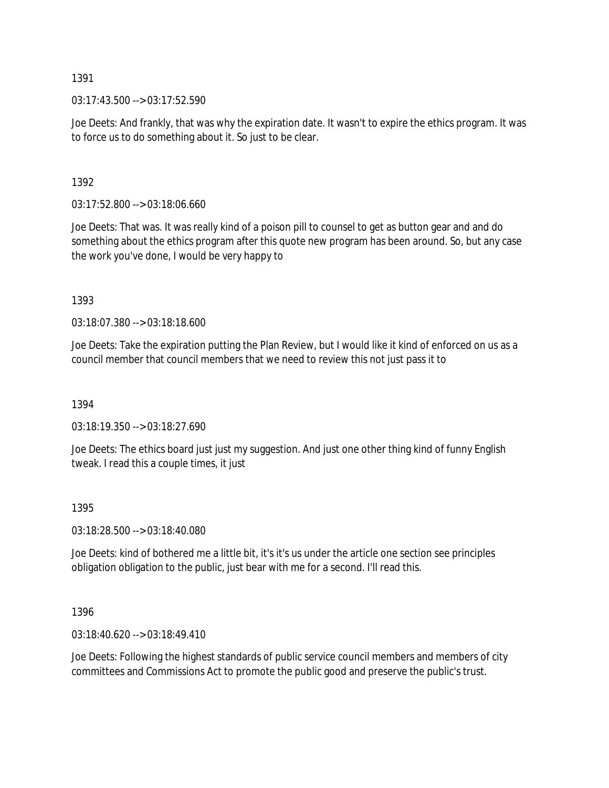$03:17:43.500 \rightarrow 03:17:52.590$ 

Joe Deets: And frankly, that was why the expiration date. It wasn't to expire the ethics program. It was to force us to do something about it. So just to be clear.

1392

03:17:52.800 --> 03:18:06.660

Joe Deets: That was. It was really kind of a poison pill to counsel to get as button gear and and do something about the ethics program after this quote new program has been around. So, but any case the work you've done, I would be very happy to

1393

03:18:07.380 --> 03:18:18.600

Joe Deets: Take the expiration putting the Plan Review, but I would like it kind of enforced on us as a council member that council members that we need to review this not just pass it to

1394

03:18:19.350 --> 03:18:27.690

Joe Deets: The ethics board just just my suggestion. And just one other thing kind of funny English tweak. I read this a couple times, it just

1395

03:18:28.500 --> 03:18:40.080

Joe Deets: kind of bothered me a little bit, it's it's us under the article one section see principles obligation obligation to the public, just bear with me for a second. I'll read this.

1396

03:18:40.620 --> 03:18:49.410

Joe Deets: Following the highest standards of public service council members and members of city committees and Commissions Act to promote the public good and preserve the public's trust.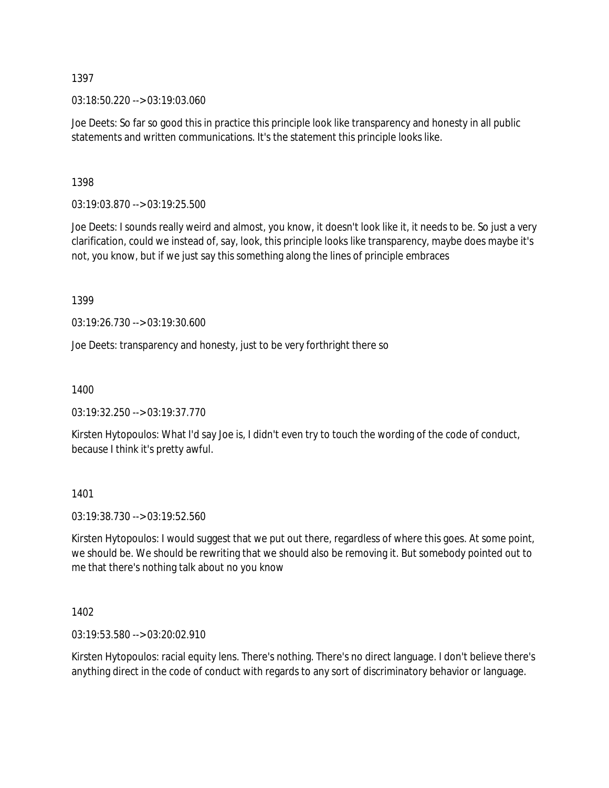03:18:50.220 --> 03:19:03.060

Joe Deets: So far so good this in practice this principle look like transparency and honesty in all public statements and written communications. It's the statement this principle looks like.

1398

03:19:03.870 --> 03:19:25.500

Joe Deets: I sounds really weird and almost, you know, it doesn't look like it, it needs to be. So just a very clarification, could we instead of, say, look, this principle looks like transparency, maybe does maybe it's not, you know, but if we just say this something along the lines of principle embraces

1399

03:19:26.730 --> 03:19:30.600

Joe Deets: transparency and honesty, just to be very forthright there so

1400

03:19:32.250 --> 03:19:37.770

Kirsten Hytopoulos: What I'd say Joe is, I didn't even try to touch the wording of the code of conduct, because I think it's pretty awful.

1401

03:19:38.730 --> 03:19:52.560

Kirsten Hytopoulos: I would suggest that we put out there, regardless of where this goes. At some point, we should be. We should be rewriting that we should also be removing it. But somebody pointed out to me that there's nothing talk about no you know

1402

03:19:53.580 --> 03:20:02.910

Kirsten Hytopoulos: racial equity lens. There's nothing. There's no direct language. I don't believe there's anything direct in the code of conduct with regards to any sort of discriminatory behavior or language.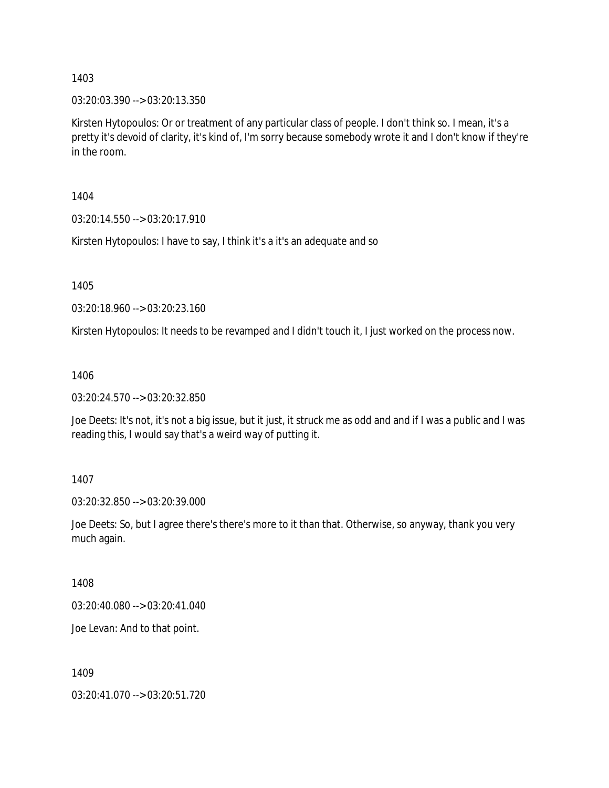03:20:03.390 --> 03:20:13.350

Kirsten Hytopoulos: Or or treatment of any particular class of people. I don't think so. I mean, it's a pretty it's devoid of clarity, it's kind of, I'm sorry because somebody wrote it and I don't know if they're in the room.

1404

03:20:14.550 --> 03:20:17.910

Kirsten Hytopoulos: I have to say, I think it's a it's an adequate and so

1405

03:20:18.960 --> 03:20:23.160

Kirsten Hytopoulos: It needs to be revamped and I didn't touch it, I just worked on the process now.

1406

03:20:24.570 --> 03:20:32.850

Joe Deets: It's not, it's not a big issue, but it just, it struck me as odd and and if I was a public and I was reading this, I would say that's a weird way of putting it.

1407

03:20:32.850 --> 03:20:39.000

Joe Deets: So, but I agree there's there's more to it than that. Otherwise, so anyway, thank you very much again.

1408

03:20:40.080 --> 03:20:41.040

Joe Levan: And to that point.

1409

03:20:41.070 --> 03:20:51.720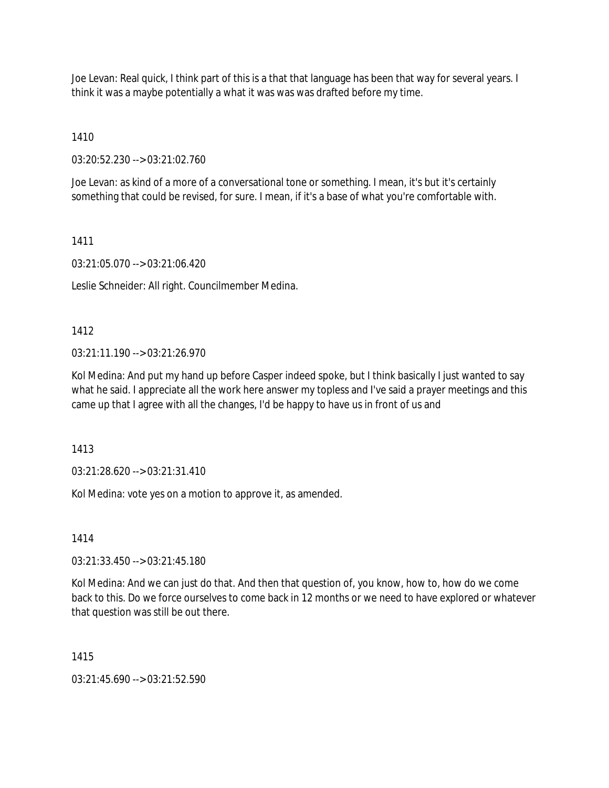Joe Levan: Real quick, I think part of this is a that that language has been that way for several years. I think it was a maybe potentially a what it was was was drafted before my time.

1410

03:20:52.230 --> 03:21:02.760

Joe Levan: as kind of a more of a conversational tone or something. I mean, it's but it's certainly something that could be revised, for sure. I mean, if it's a base of what you're comfortable with.

1411

03:21:05.070 --> 03:21:06.420

Leslie Schneider: All right. Councilmember Medina.

1412

 $03:21:11.190 \rightarrow 03:21:26.970$ 

Kol Medina: And put my hand up before Casper indeed spoke, but I think basically I just wanted to say what he said. I appreciate all the work here answer my topless and I've said a prayer meetings and this came up that I agree with all the changes, I'd be happy to have us in front of us and

1413

03:21:28.620 --> 03:21:31.410

Kol Medina: vote yes on a motion to approve it, as amended.

1414

03:21:33.450 --> 03:21:45.180

Kol Medina: And we can just do that. And then that question of, you know, how to, how do we come back to this. Do we force ourselves to come back in 12 months or we need to have explored or whatever that question was still be out there.

1415

03:21:45.690 --> 03:21:52.590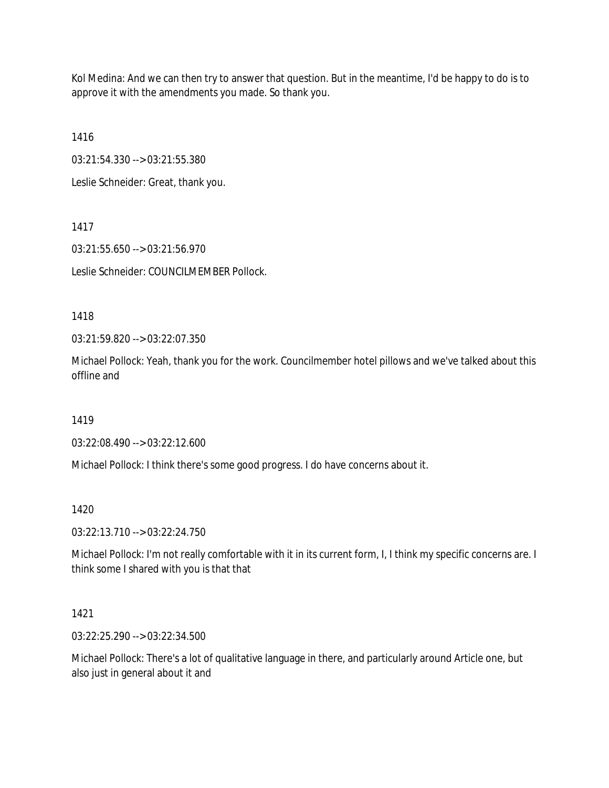Kol Medina: And we can then try to answer that question. But in the meantime, I'd be happy to do is to approve it with the amendments you made. So thank you.

1416

03:21:54.330 --> 03:21:55.380

Leslie Schneider: Great, thank you.

1417

03:21:55.650 --> 03:21:56.970

Leslie Schneider: COUNCILMEMBER Pollock.

1418

03:21:59.820 --> 03:22:07.350

Michael Pollock: Yeah, thank you for the work. Councilmember hotel pillows and we've talked about this offline and

1419

03:22:08.490 --> 03:22:12.600

Michael Pollock: I think there's some good progress. I do have concerns about it.

1420

03:22:13.710 --> 03:22:24.750

Michael Pollock: I'm not really comfortable with it in its current form, I, I think my specific concerns are. I think some I shared with you is that that

1421

03:22:25.290 --> 03:22:34.500

Michael Pollock: There's a lot of qualitative language in there, and particularly around Article one, but also just in general about it and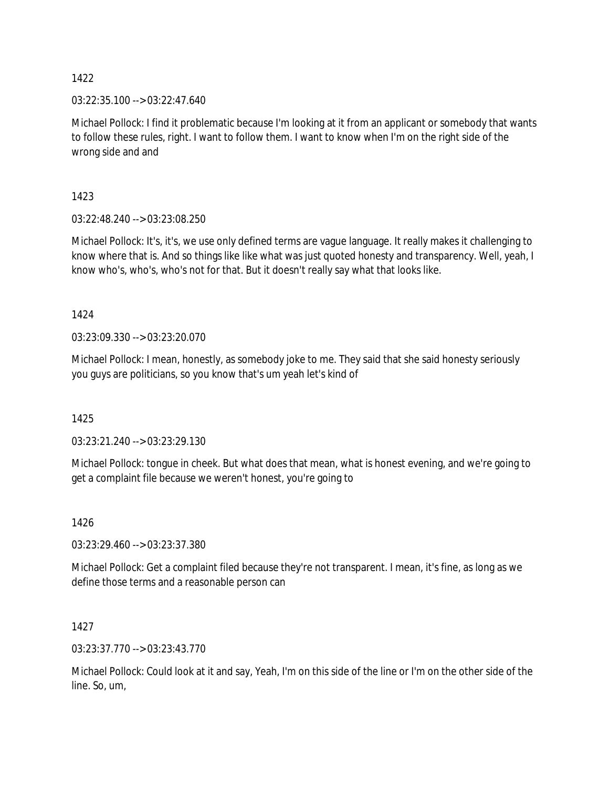03:22:35.100 --> 03:22:47.640

Michael Pollock: I find it problematic because I'm looking at it from an applicant or somebody that wants to follow these rules, right. I want to follow them. I want to know when I'm on the right side of the wrong side and and

1423

03:22:48.240 --> 03:23:08.250

Michael Pollock: It's, it's, we use only defined terms are vague language. It really makes it challenging to know where that is. And so things like like what was just quoted honesty and transparency. Well, yeah, I know who's, who's, who's not for that. But it doesn't really say what that looks like.

1424

03:23:09.330 --> 03:23:20.070

Michael Pollock: I mean, honestly, as somebody joke to me. They said that she said honesty seriously you guys are politicians, so you know that's um yeah let's kind of

1425

03:23:21.240 --> 03:23:29.130

Michael Pollock: tongue in cheek. But what does that mean, what is honest evening, and we're going to get a complaint file because we weren't honest, you're going to

1426

03:23:29.460 --> 03:23:37.380

Michael Pollock: Get a complaint filed because they're not transparent. I mean, it's fine, as long as we define those terms and a reasonable person can

1427

03:23:37.770 --> 03:23:43.770

Michael Pollock: Could look at it and say, Yeah, I'm on this side of the line or I'm on the other side of the line. So, um,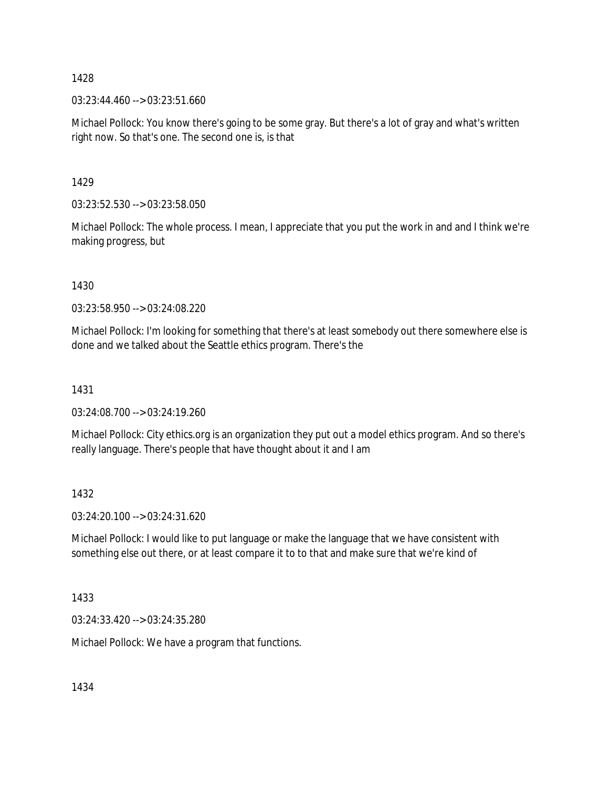03:23:44.460 --> 03:23:51.660

Michael Pollock: You know there's going to be some gray. But there's a lot of gray and what's written right now. So that's one. The second one is, is that

1429

03:23:52.530 --> 03:23:58.050

Michael Pollock: The whole process. I mean, I appreciate that you put the work in and and I think we're making progress, but

1430

03:23:58.950 --> 03:24:08.220

Michael Pollock: I'm looking for something that there's at least somebody out there somewhere else is done and we talked about the Seattle ethics program. There's the

1431

03:24:08.700 --> 03:24:19.260

Michael Pollock: City ethics.org is an organization they put out a model ethics program. And so there's really language. There's people that have thought about it and I am

1432

03:24:20.100 --> 03:24:31.620

Michael Pollock: I would like to put language or make the language that we have consistent with something else out there, or at least compare it to to that and make sure that we're kind of

1433

03:24:33.420 --> 03:24:35.280

Michael Pollock: We have a program that functions.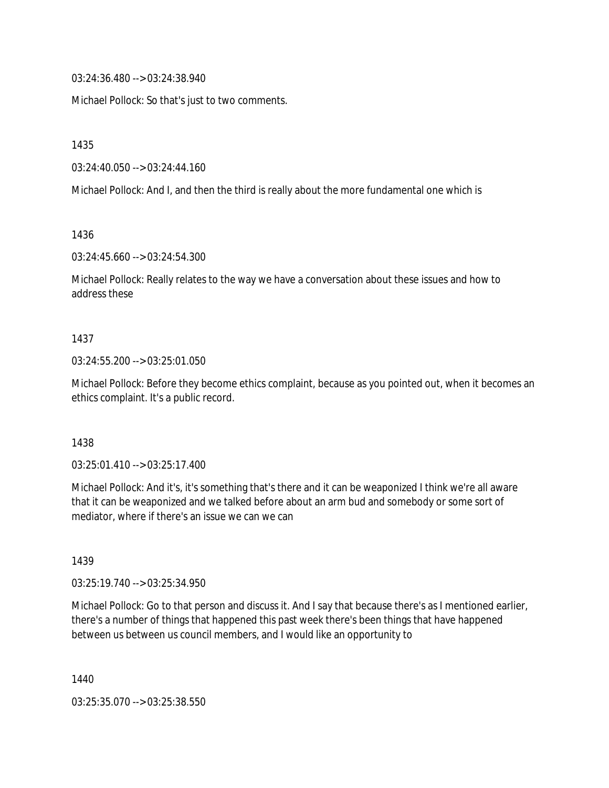03:24:36.480 --> 03:24:38.940

Michael Pollock: So that's just to two comments.

1435

03:24:40.050 --> 03:24:44.160

Michael Pollock: And I, and then the third is really about the more fundamental one which is

1436

03:24:45.660 --> 03:24:54.300

Michael Pollock: Really relates to the way we have a conversation about these issues and how to address these

#### 1437

#### 03:24:55.200 --> 03:25:01.050

Michael Pollock: Before they become ethics complaint, because as you pointed out, when it becomes an ethics complaint. It's a public record.

#### 1438

03:25:01.410 --> 03:25:17.400

Michael Pollock: And it's, it's something that's there and it can be weaponized I think we're all aware that it can be weaponized and we talked before about an arm bud and somebody or some sort of mediator, where if there's an issue we can we can

#### 1439

03:25:19.740 --> 03:25:34.950

Michael Pollock: Go to that person and discuss it. And I say that because there's as I mentioned earlier, there's a number of things that happened this past week there's been things that have happened between us between us council members, and I would like an opportunity to

1440

03:25:35.070 --> 03:25:38.550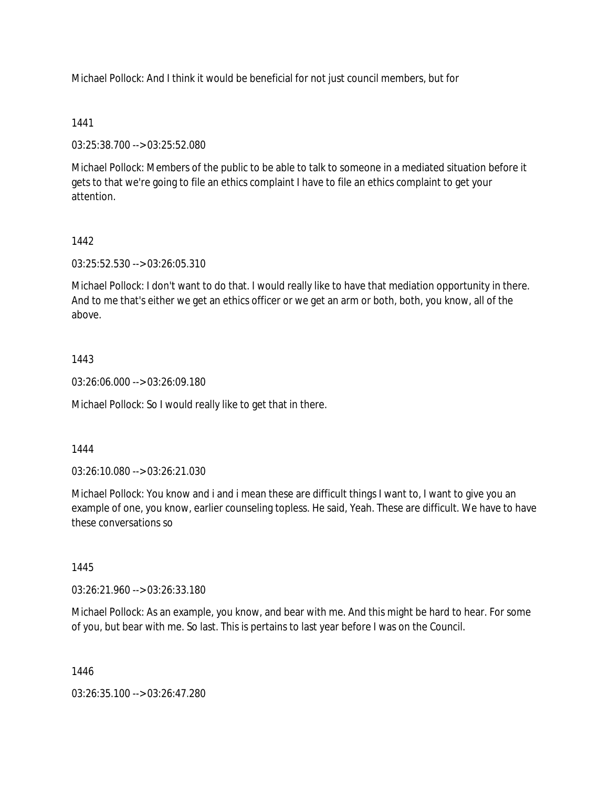Michael Pollock: And I think it would be beneficial for not just council members, but for

## 1441

03:25:38.700 --> 03:25:52.080

Michael Pollock: Members of the public to be able to talk to someone in a mediated situation before it gets to that we're going to file an ethics complaint I have to file an ethics complaint to get your attention.

## 1442

03:25:52.530 --> 03:26:05.310

Michael Pollock: I don't want to do that. I would really like to have that mediation opportunity in there. And to me that's either we get an ethics officer or we get an arm or both, both, you know, all of the above.

## 1443

03:26:06.000 --> 03:26:09.180

Michael Pollock: So I would really like to get that in there.

### 1444

03:26:10.080 --> 03:26:21.030

Michael Pollock: You know and i and i mean these are difficult things I want to, I want to give you an example of one, you know, earlier counseling topless. He said, Yeah. These are difficult. We have to have these conversations so

#### 1445

03:26:21.960 --> 03:26:33.180

Michael Pollock: As an example, you know, and bear with me. And this might be hard to hear. For some of you, but bear with me. So last. This is pertains to last year before I was on the Council.

1446

03:26:35.100 --> 03:26:47.280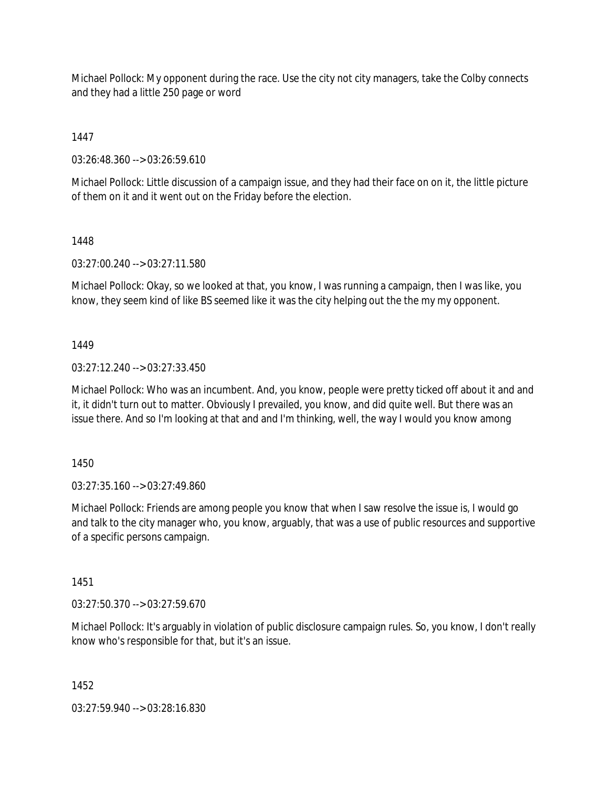Michael Pollock: My opponent during the race. Use the city not city managers, take the Colby connects and they had a little 250 page or word

1447

03:26:48.360 --> 03:26:59.610

Michael Pollock: Little discussion of a campaign issue, and they had their face on on it, the little picture of them on it and it went out on the Friday before the election.

# 1448

03:27:00.240 --> 03:27:11.580

Michael Pollock: Okay, so we looked at that, you know, I was running a campaign, then I was like, you know, they seem kind of like BS seemed like it was the city helping out the the my my opponent.

# 1449

03:27:12.240 --> 03:27:33.450

Michael Pollock: Who was an incumbent. And, you know, people were pretty ticked off about it and and it, it didn't turn out to matter. Obviously I prevailed, you know, and did quite well. But there was an issue there. And so I'm looking at that and and I'm thinking, well, the way I would you know among

1450

03:27:35.160 --> 03:27:49.860

Michael Pollock: Friends are among people you know that when I saw resolve the issue is, I would go and talk to the city manager who, you know, arguably, that was a use of public resources and supportive of a specific persons campaign.

1451

03:27:50.370 --> 03:27:59.670

Michael Pollock: It's arguably in violation of public disclosure campaign rules. So, you know, I don't really know who's responsible for that, but it's an issue.

1452

03:27:59.940 --> 03:28:16.830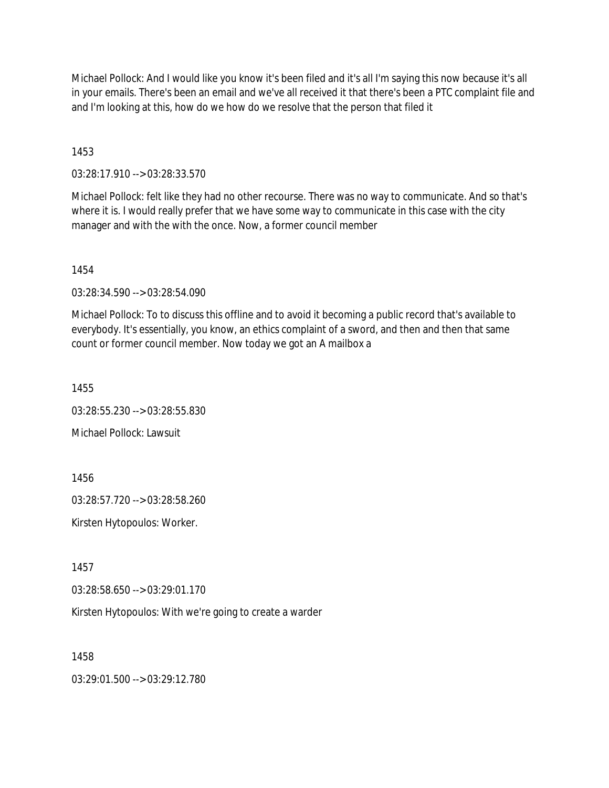Michael Pollock: And I would like you know it's been filed and it's all I'm saying this now because it's all in your emails. There's been an email and we've all received it that there's been a PTC complaint file and and I'm looking at this, how do we how do we resolve that the person that filed it

1453

03:28:17.910 --> 03:28:33.570

Michael Pollock: felt like they had no other recourse. There was no way to communicate. And so that's where it is. I would really prefer that we have some way to communicate in this case with the city manager and with the with the once. Now, a former council member

1454

03:28:34.590 --> 03:28:54.090

Michael Pollock: To to discuss this offline and to avoid it becoming a public record that's available to everybody. It's essentially, you know, an ethics complaint of a sword, and then and then that same count or former council member. Now today we got an A mailbox a

1455

03:28:55.230 --> 03:28:55.830

Michael Pollock: Lawsuit

1456

03:28:57.720 --> 03:28:58.260

Kirsten Hytopoulos: Worker.

1457

03:28:58.650 --> 03:29:01.170

Kirsten Hytopoulos: With we're going to create a warder

1458

03:29:01.500 --> 03:29:12.780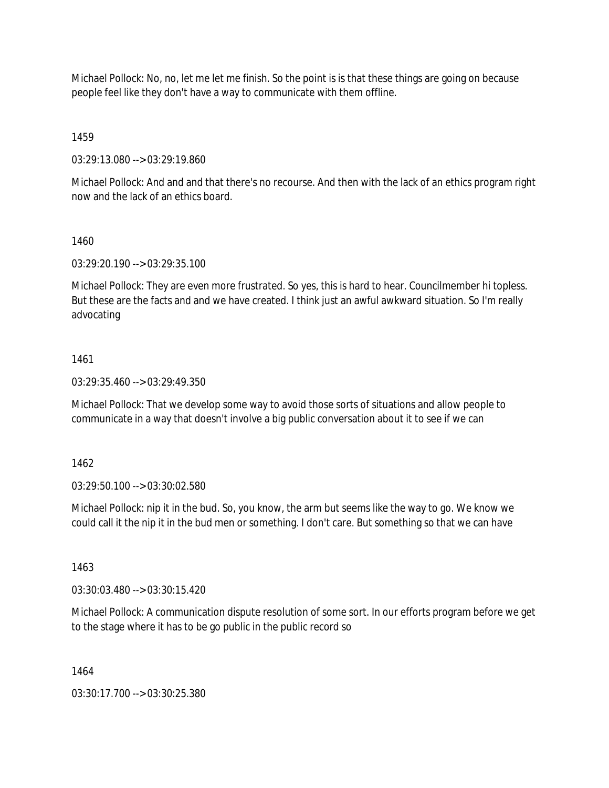Michael Pollock: No, no, let me let me finish. So the point is is that these things are going on because people feel like they don't have a way to communicate with them offline.

1459

03:29:13.080 --> 03:29:19.860

Michael Pollock: And and and that there's no recourse. And then with the lack of an ethics program right now and the lack of an ethics board.

### 1460

03:29:20.190 --> 03:29:35.100

Michael Pollock: They are even more frustrated. So yes, this is hard to hear. Councilmember hi topless. But these are the facts and and we have created. I think just an awful awkward situation. So I'm really advocating

### 1461

 $03:29:35.460 \rightarrow 03:29:49.350$ 

Michael Pollock: That we develop some way to avoid those sorts of situations and allow people to communicate in a way that doesn't involve a big public conversation about it to see if we can

1462

03:29:50.100 --> 03:30:02.580

Michael Pollock: nip it in the bud. So, you know, the arm but seems like the way to go. We know we could call it the nip it in the bud men or something. I don't care. But something so that we can have

1463

03:30:03.480 --> 03:30:15.420

Michael Pollock: A communication dispute resolution of some sort. In our efforts program before we get to the stage where it has to be go public in the public record so

1464

03:30:17.700 --> 03:30:25.380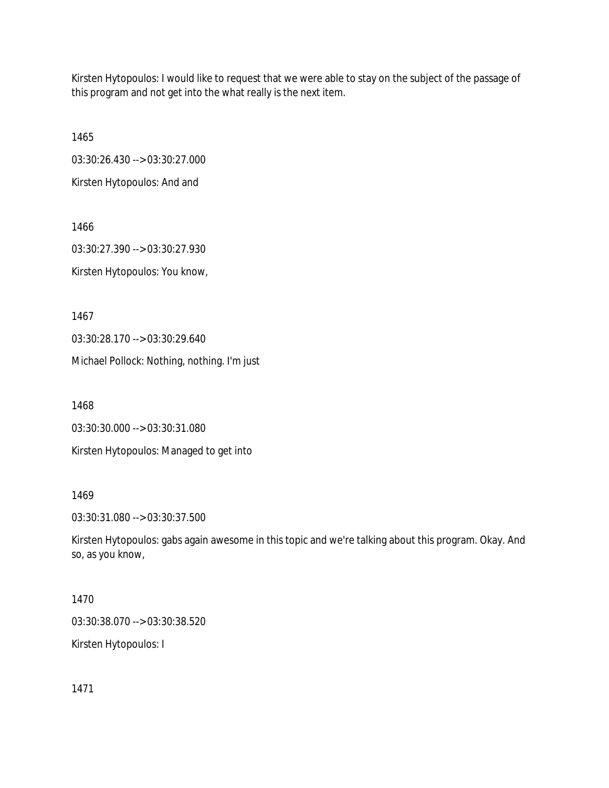Kirsten Hytopoulos: I would like to request that we were able to stay on the subject of the passage of this program and not get into the what really is the next item.

1465 03:30:26.430 --> 03:30:27.000 Kirsten Hytopoulos: And and

1466 03:30:27.390 --> 03:30:27.930 Kirsten Hytopoulos: You know,

1467

03:30:28.170 --> 03:30:29.640

Michael Pollock: Nothing, nothing. I'm just

1468

03:30:30.000 --> 03:30:31.080

Kirsten Hytopoulos: Managed to get into

1469

03:30:31.080 --> 03:30:37.500

Kirsten Hytopoulos: gabs again awesome in this topic and we're talking about this program. Okay. And so, as you know,

1470

03:30:38.070 --> 03:30:38.520

Kirsten Hytopoulos: I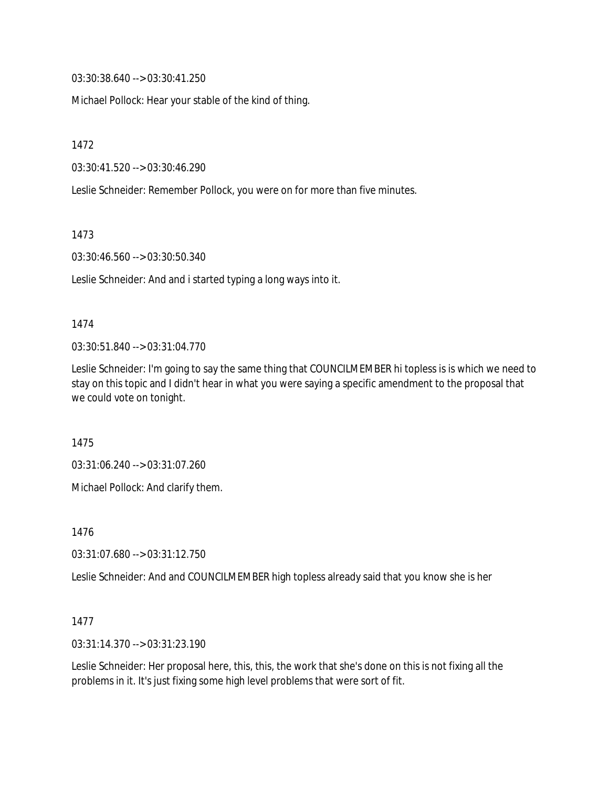03:30:38.640 --> 03:30:41.250

Michael Pollock: Hear your stable of the kind of thing.

1472

03:30:41.520 --> 03:30:46.290

Leslie Schneider: Remember Pollock, you were on for more than five minutes.

1473

03:30:46.560 --> 03:30:50.340

Leslie Schneider: And and i started typing a long ways into it.

### 1474

03:30:51.840 --> 03:31:04.770

Leslie Schneider: I'm going to say the same thing that COUNCILMEMBER hi topless is is which we need to stay on this topic and I didn't hear in what you were saying a specific amendment to the proposal that we could vote on tonight.

1475

03:31:06.240 --> 03:31:07.260

Michael Pollock: And clarify them.

1476

03:31:07.680 --> 03:31:12.750

Leslie Schneider: And and COUNCILMEMBER high topless already said that you know she is her

#### 1477

03:31:14.370 --> 03:31:23.190

Leslie Schneider: Her proposal here, this, this, the work that she's done on this is not fixing all the problems in it. It's just fixing some high level problems that were sort of fit.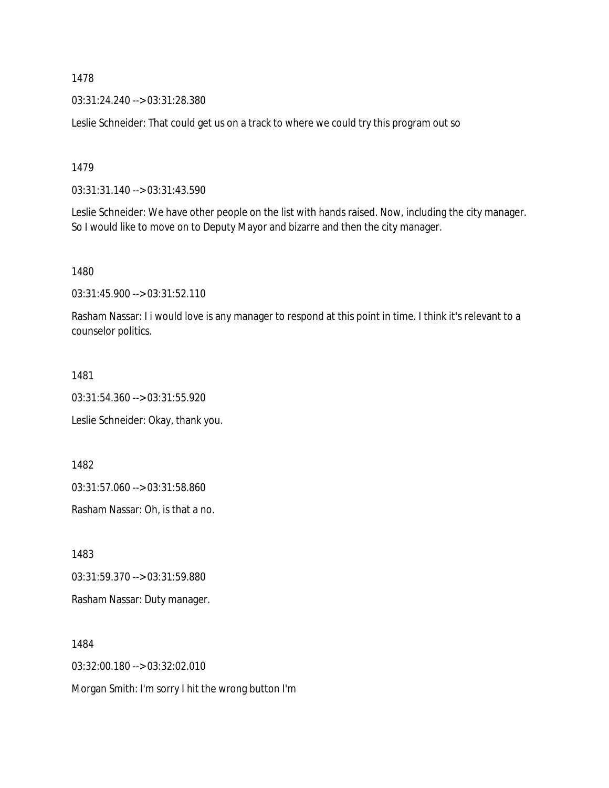03:31:24.240 --> 03:31:28.380

Leslie Schneider: That could get us on a track to where we could try this program out so

1479

03:31:31.140 --> 03:31:43.590

Leslie Schneider: We have other people on the list with hands raised. Now, including the city manager. So I would like to move on to Deputy Mayor and bizarre and then the city manager.

1480

03:31:45.900 --> 03:31:52.110

Rasham Nassar: I i would love is any manager to respond at this point in time. I think it's relevant to a counselor politics.

1481

03:31:54.360 --> 03:31:55.920

Leslie Schneider: Okay, thank you.

1482

03:31:57.060 --> 03:31:58.860

Rasham Nassar: Oh, is that a no.

1483

03:31:59.370 --> 03:31:59.880

Rasham Nassar: Duty manager.

1484

03:32:00.180 --> 03:32:02.010

Morgan Smith: I'm sorry I hit the wrong button I'm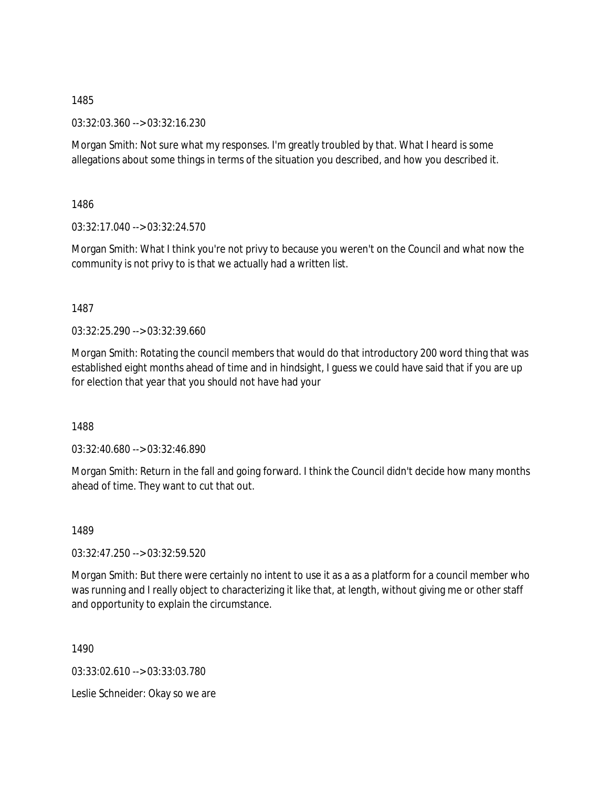03:32:03.360 --> 03:32:16.230

Morgan Smith: Not sure what my responses. I'm greatly troubled by that. What I heard is some allegations about some things in terms of the situation you described, and how you described it.

1486

03:32:17.040 --> 03:32:24.570

Morgan Smith: What I think you're not privy to because you weren't on the Council and what now the community is not privy to is that we actually had a written list.

1487

03:32:25.290 --> 03:32:39.660

Morgan Smith: Rotating the council members that would do that introductory 200 word thing that was established eight months ahead of time and in hindsight, I guess we could have said that if you are up for election that year that you should not have had your

1488

03:32:40.680 --> 03:32:46.890

Morgan Smith: Return in the fall and going forward. I think the Council didn't decide how many months ahead of time. They want to cut that out.

1489

03:32:47.250 --> 03:32:59.520

Morgan Smith: But there were certainly no intent to use it as a as a platform for a council member who was running and I really object to characterizing it like that, at length, without giving me or other staff and opportunity to explain the circumstance.

1490

03:33:02.610 --> 03:33:03.780

Leslie Schneider: Okay so we are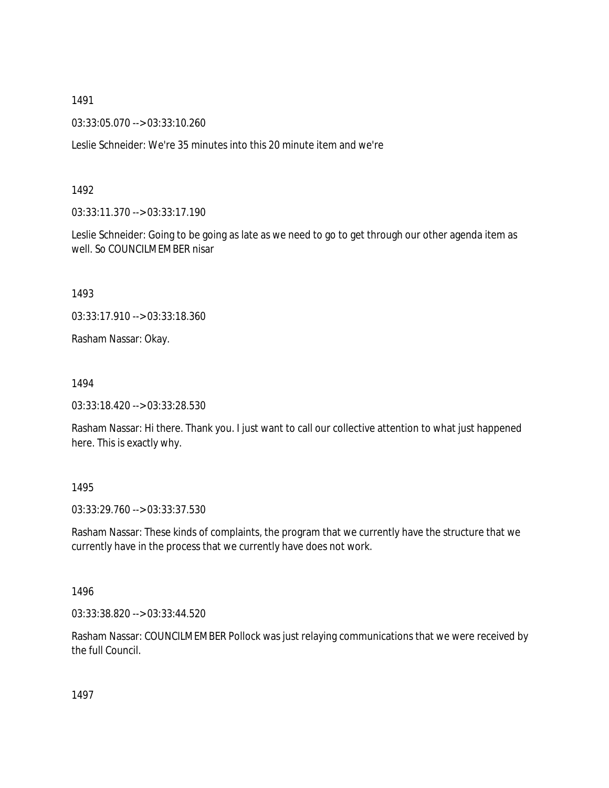03:33:05.070 --> 03:33:10.260

Leslie Schneider: We're 35 minutes into this 20 minute item and we're

### 1492

03:33:11.370 --> 03:33:17.190

Leslie Schneider: Going to be going as late as we need to go to get through our other agenda item as well. So COUNCILMEMBER nisar

1493

03:33:17.910 --> 03:33:18.360

Rasham Nassar: Okay.

1494

03:33:18.420 --> 03:33:28.530

Rasham Nassar: Hi there. Thank you. I just want to call our collective attention to what just happened here. This is exactly why.

## 1495

03:33:29.760 --> 03:33:37.530

Rasham Nassar: These kinds of complaints, the program that we currently have the structure that we currently have in the process that we currently have does not work.

## 1496

03:33:38.820 --> 03:33:44.520

Rasham Nassar: COUNCILMEMBER Pollock was just relaying communications that we were received by the full Council.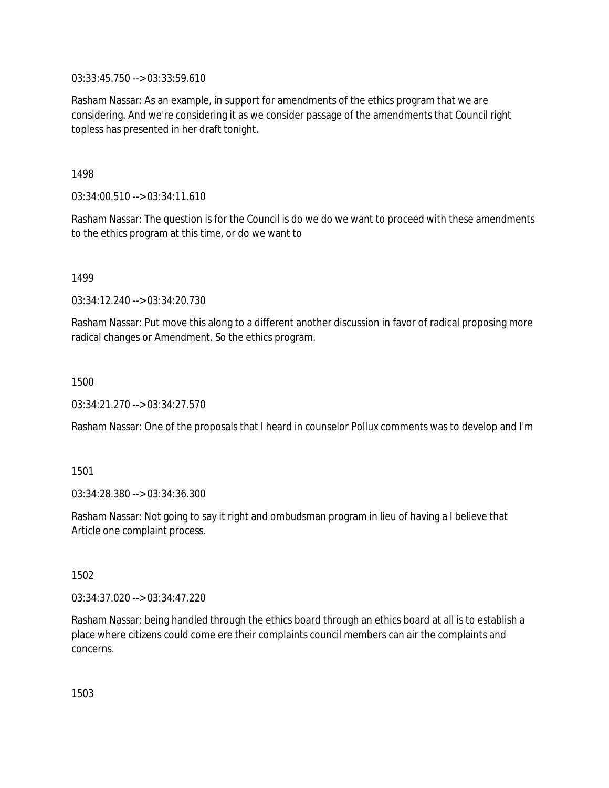03:33:45.750 --> 03:33:59.610

Rasham Nassar: As an example, in support for amendments of the ethics program that we are considering. And we're considering it as we consider passage of the amendments that Council right topless has presented in her draft tonight.

1498

03:34:00.510 --> 03:34:11.610

Rasham Nassar: The question is for the Council is do we do we want to proceed with these amendments to the ethics program at this time, or do we want to

1499

03:34:12.240 --> 03:34:20.730

Rasham Nassar: Put move this along to a different another discussion in favor of radical proposing more radical changes or Amendment. So the ethics program.

1500

03:34:21.270 --> 03:34:27.570

Rasham Nassar: One of the proposals that I heard in counselor Pollux comments was to develop and I'm

1501

03:34:28.380 --> 03:34:36.300

Rasham Nassar: Not going to say it right and ombudsman program in lieu of having a I believe that Article one complaint process.

1502

03:34:37.020 --> 03:34:47.220

Rasham Nassar: being handled through the ethics board through an ethics board at all is to establish a place where citizens could come ere their complaints council members can air the complaints and concerns.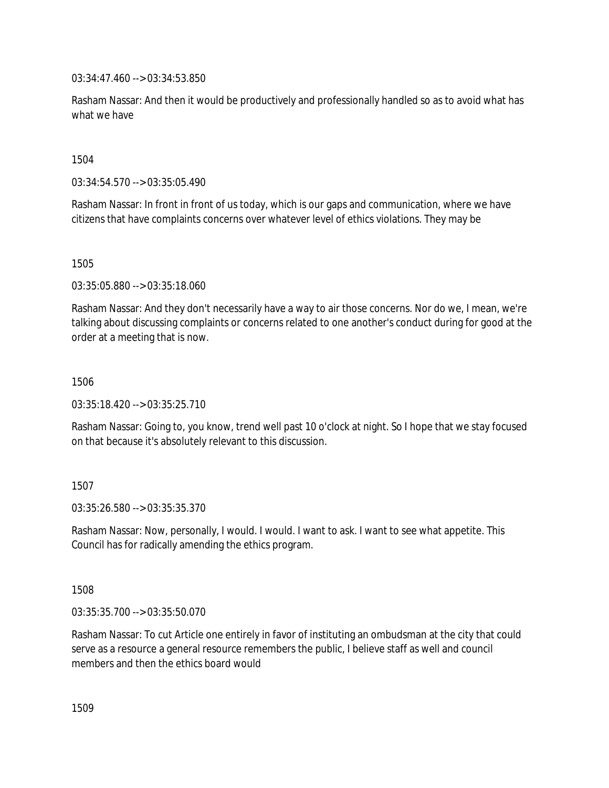03:34:47.460 --> 03:34:53.850

Rasham Nassar: And then it would be productively and professionally handled so as to avoid what has what we have

1504

03:34:54.570 --> 03:35:05.490

Rasham Nassar: In front in front of us today, which is our gaps and communication, where we have citizens that have complaints concerns over whatever level of ethics violations. They may be

1505

03:35:05.880 --> 03:35:18.060

Rasham Nassar: And they don't necessarily have a way to air those concerns. Nor do we, I mean, we're talking about discussing complaints or concerns related to one another's conduct during for good at the order at a meeting that is now.

1506

03:35:18.420 --> 03:35:25.710

Rasham Nassar: Going to, you know, trend well past 10 o'clock at night. So I hope that we stay focused on that because it's absolutely relevant to this discussion.

1507

03:35:26.580 --> 03:35:35.370

Rasham Nassar: Now, personally, I would. I would. I want to ask. I want to see what appetite. This Council has for radically amending the ethics program.

1508

03:35:35.700 --> 03:35:50.070

Rasham Nassar: To cut Article one entirely in favor of instituting an ombudsman at the city that could serve as a resource a general resource remembers the public, I believe staff as well and council members and then the ethics board would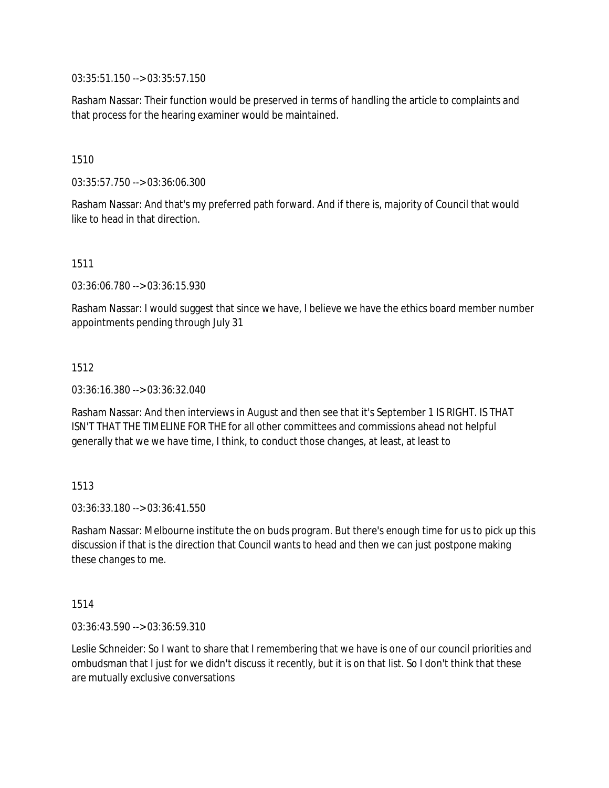03:35:51.150 --> 03:35:57.150

Rasham Nassar: Their function would be preserved in terms of handling the article to complaints and that process for the hearing examiner would be maintained.

1510

03:35:57.750 --> 03:36:06.300

Rasham Nassar: And that's my preferred path forward. And if there is, majority of Council that would like to head in that direction.

1511

03:36:06.780 --> 03:36:15.930

Rasham Nassar: I would suggest that since we have, I believe we have the ethics board member number appointments pending through July 31

1512

03:36:16.380 --> 03:36:32.040

Rasham Nassar: And then interviews in August and then see that it's September 1 IS RIGHT. IS THAT ISN'T THAT THE TIMELINE FOR THE for all other committees and commissions ahead not helpful generally that we we have time, I think, to conduct those changes, at least, at least to

1513

03:36:33.180 --> 03:36:41.550

Rasham Nassar: Melbourne institute the on buds program. But there's enough time for us to pick up this discussion if that is the direction that Council wants to head and then we can just postpone making these changes to me.

1514

03:36:43.590 --> 03:36:59.310

Leslie Schneider: So I want to share that I remembering that we have is one of our council priorities and ombudsman that I just for we didn't discuss it recently, but it is on that list. So I don't think that these are mutually exclusive conversations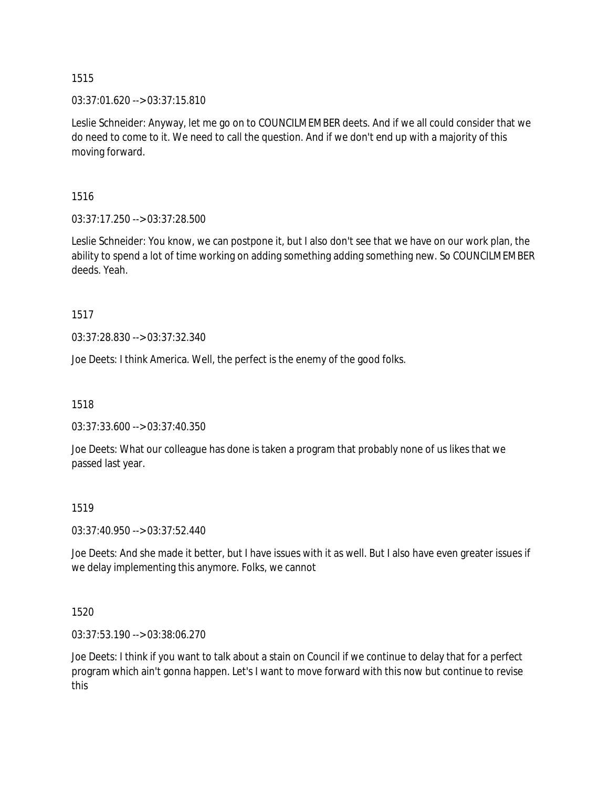$03:37:01.620 \rightarrow 03:37:15.810$ 

Leslie Schneider: Anyway, let me go on to COUNCILMEMBER deets. And if we all could consider that we do need to come to it. We need to call the question. And if we don't end up with a majority of this moving forward.

1516

03:37:17.250 --> 03:37:28.500

Leslie Schneider: You know, we can postpone it, but I also don't see that we have on our work plan, the ability to spend a lot of time working on adding something adding something new. So COUNCILMEMBER deeds. Yeah.

1517

03:37:28.830 --> 03:37:32.340

Joe Deets: I think America. Well, the perfect is the enemy of the good folks.

1518

03:37:33.600 --> 03:37:40.350

Joe Deets: What our colleague has done is taken a program that probably none of us likes that we passed last year.

## 1519

03:37:40.950 --> 03:37:52.440

Joe Deets: And she made it better, but I have issues with it as well. But I also have even greater issues if we delay implementing this anymore. Folks, we cannot

1520

03:37:53.190 --> 03:38:06.270

Joe Deets: I think if you want to talk about a stain on Council if we continue to delay that for a perfect program which ain't gonna happen. Let's I want to move forward with this now but continue to revise this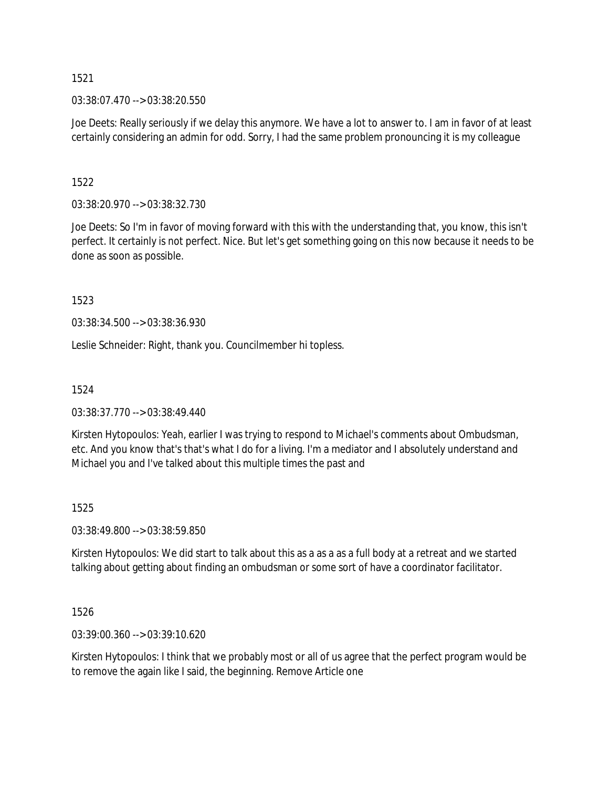03:38:07.470 --> 03:38:20.550

Joe Deets: Really seriously if we delay this anymore. We have a lot to answer to. I am in favor of at least certainly considering an admin for odd. Sorry, I had the same problem pronouncing it is my colleague

1522

03:38:20.970 --> 03:38:32.730

Joe Deets: So I'm in favor of moving forward with this with the understanding that, you know, this isn't perfect. It certainly is not perfect. Nice. But let's get something going on this now because it needs to be done as soon as possible.

1523

03:38:34.500 --> 03:38:36.930

Leslie Schneider: Right, thank you. Councilmember hi topless.

1524

03:38:37.770 --> 03:38:49.440

Kirsten Hytopoulos: Yeah, earlier I was trying to respond to Michael's comments about Ombudsman, etc. And you know that's that's what I do for a living. I'm a mediator and I absolutely understand and Michael you and I've talked about this multiple times the past and

1525

03:38:49.800 --> 03:38:59.850

Kirsten Hytopoulos: We did start to talk about this as a as a as a full body at a retreat and we started talking about getting about finding an ombudsman or some sort of have a coordinator facilitator.

1526

03:39:00.360 --> 03:39:10.620

Kirsten Hytopoulos: I think that we probably most or all of us agree that the perfect program would be to remove the again like I said, the beginning. Remove Article one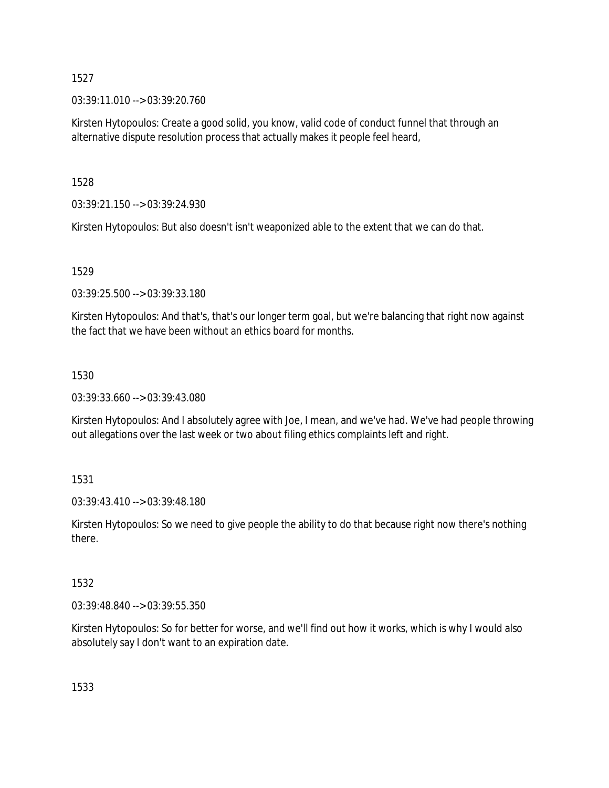03:39:11.010 --> 03:39:20.760

Kirsten Hytopoulos: Create a good solid, you know, valid code of conduct funnel that through an alternative dispute resolution process that actually makes it people feel heard,

1528

03:39:21.150 --> 03:39:24.930

Kirsten Hytopoulos: But also doesn't isn't weaponized able to the extent that we can do that.

1529

03:39:25.500 --> 03:39:33.180

Kirsten Hytopoulos: And that's, that's our longer term goal, but we're balancing that right now against the fact that we have been without an ethics board for months.

## 1530

03:39:33.660 --> 03:39:43.080

Kirsten Hytopoulos: And I absolutely agree with Joe, I mean, and we've had. We've had people throwing out allegations over the last week or two about filing ethics complaints left and right.

## 1531

03:39:43.410 --> 03:39:48.180

Kirsten Hytopoulos: So we need to give people the ability to do that because right now there's nothing there.

## 1532

03:39:48.840 --> 03:39:55.350

Kirsten Hytopoulos: So for better for worse, and we'll find out how it works, which is why I would also absolutely say I don't want to an expiration date.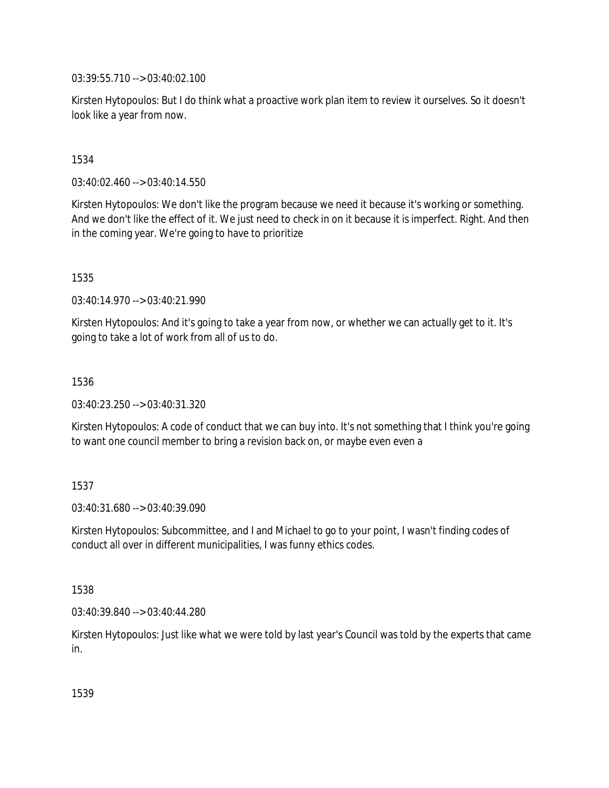03:39:55.710 --> 03:40:02.100

Kirsten Hytopoulos: But I do think what a proactive work plan item to review it ourselves. So it doesn't look like a year from now.

## 1534

03:40:02.460 --> 03:40:14.550

Kirsten Hytopoulos: We don't like the program because we need it because it's working or something. And we don't like the effect of it. We just need to check in on it because it is imperfect. Right. And then in the coming year. We're going to have to prioritize

1535

03:40:14.970 --> 03:40:21.990

Kirsten Hytopoulos: And it's going to take a year from now, or whether we can actually get to it. It's going to take a lot of work from all of us to do.

1536

03:40:23.250 --> 03:40:31.320

Kirsten Hytopoulos: A code of conduct that we can buy into. It's not something that I think you're going to want one council member to bring a revision back on, or maybe even even a

## 1537

03:40:31.680 --> 03:40:39.090

Kirsten Hytopoulos: Subcommittee, and I and Michael to go to your point, I wasn't finding codes of conduct all over in different municipalities, I was funny ethics codes.

## 1538

03:40:39.840 --> 03:40:44.280

Kirsten Hytopoulos: Just like what we were told by last year's Council was told by the experts that came in.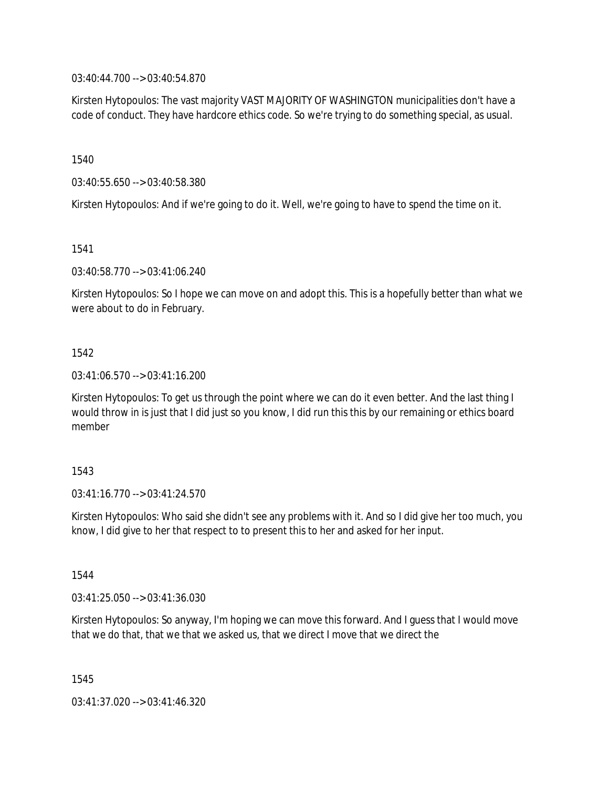03:40:44.700 --> 03:40:54.870

Kirsten Hytopoulos: The vast majority VAST MAJORITY OF WASHINGTON municipalities don't have a code of conduct. They have hardcore ethics code. So we're trying to do something special, as usual.

1540

03:40:55.650 --> 03:40:58.380

Kirsten Hytopoulos: And if we're going to do it. Well, we're going to have to spend the time on it.

1541

03:40:58.770 --> 03:41:06.240

Kirsten Hytopoulos: So I hope we can move on and adopt this. This is a hopefully better than what we were about to do in February.

1542

03:41:06.570 --> 03:41:16.200

Kirsten Hytopoulos: To get us through the point where we can do it even better. And the last thing I would throw in is just that I did just so you know, I did run this this by our remaining or ethics board member

1543

03:41:16.770 --> 03:41:24.570

Kirsten Hytopoulos: Who said she didn't see any problems with it. And so I did give her too much, you know, I did give to her that respect to to present this to her and asked for her input.

1544

03:41:25.050 --> 03:41:36.030

Kirsten Hytopoulos: So anyway, I'm hoping we can move this forward. And I guess that I would move that we do that, that we that we asked us, that we direct I move that we direct the

1545

03:41:37.020 --> 03:41:46.320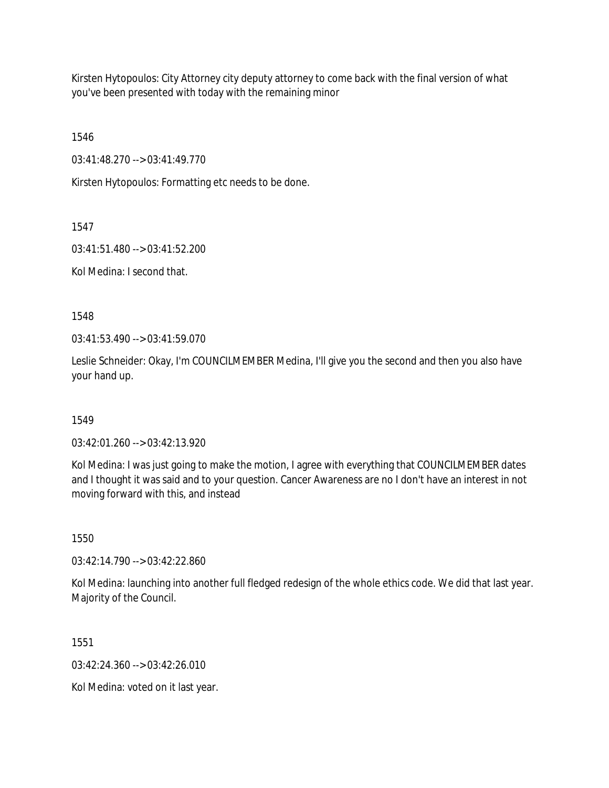Kirsten Hytopoulos: City Attorney city deputy attorney to come back with the final version of what you've been presented with today with the remaining minor

1546

03:41:48.270 --> 03:41:49.770

Kirsten Hytopoulos: Formatting etc needs to be done.

1547

03:41:51.480 --> 03:41:52.200

Kol Medina: I second that.

1548

03:41:53.490 --> 03:41:59.070

Leslie Schneider: Okay, I'm COUNCILMEMBER Medina, I'll give you the second and then you also have your hand up.

## 1549

03:42:01.260 --> 03:42:13.920

Kol Medina: I was just going to make the motion, I agree with everything that COUNCILMEMBER dates and I thought it was said and to your question. Cancer Awareness are no I don't have an interest in not moving forward with this, and instead

1550

03:42:14.790 --> 03:42:22.860

Kol Medina: launching into another full fledged redesign of the whole ethics code. We did that last year. Majority of the Council.

1551

03:42:24.360 --> 03:42:26.010

Kol Medina: voted on it last year.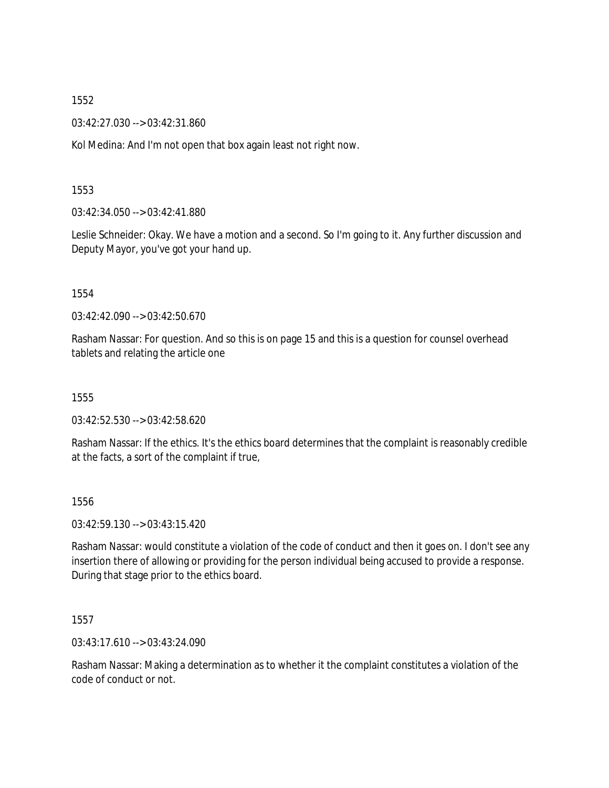03:42:27.030 --> 03:42:31.860

Kol Medina: And I'm not open that box again least not right now.

## 1553

03:42:34.050 --> 03:42:41.880

Leslie Schneider: Okay. We have a motion and a second. So I'm going to it. Any further discussion and Deputy Mayor, you've got your hand up.

1554

03:42:42.090 --> 03:42:50.670

Rasham Nassar: For question. And so this is on page 15 and this is a question for counsel overhead tablets and relating the article one

1555

03:42:52.530 --> 03:42:58.620

Rasham Nassar: If the ethics. It's the ethics board determines that the complaint is reasonably credible at the facts, a sort of the complaint if true,

1556

03:42:59.130 --> 03:43:15.420

Rasham Nassar: would constitute a violation of the code of conduct and then it goes on. I don't see any insertion there of allowing or providing for the person individual being accused to provide a response. During that stage prior to the ethics board.

1557

03:43:17.610 --> 03:43:24.090

Rasham Nassar: Making a determination as to whether it the complaint constitutes a violation of the code of conduct or not.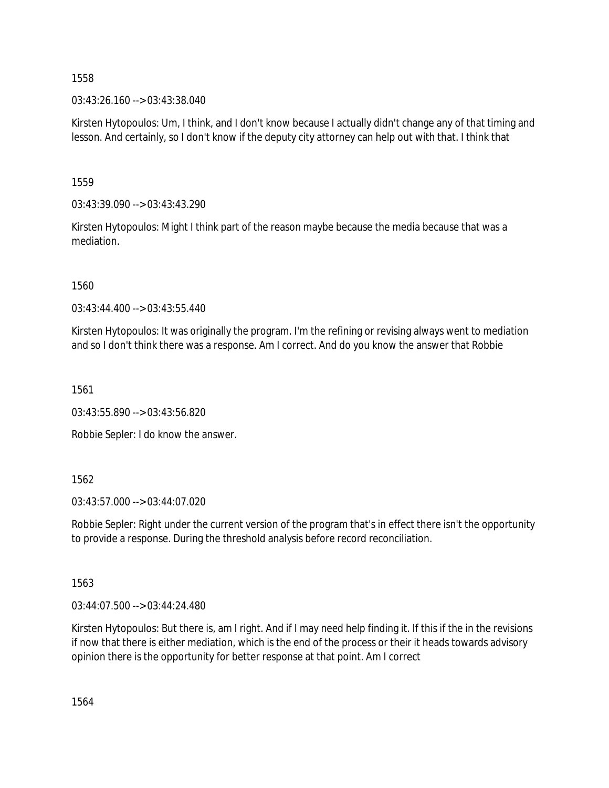03:43:26.160 --> 03:43:38.040

Kirsten Hytopoulos: Um, I think, and I don't know because I actually didn't change any of that timing and lesson. And certainly, so I don't know if the deputy city attorney can help out with that. I think that

1559

03:43:39.090 --> 03:43:43.290

Kirsten Hytopoulos: Might I think part of the reason maybe because the media because that was a mediation.

1560

03:43:44.400 --> 03:43:55.440

Kirsten Hytopoulos: It was originally the program. I'm the refining or revising always went to mediation and so I don't think there was a response. Am I correct. And do you know the answer that Robbie

1561

03:43:55.890 --> 03:43:56.820

Robbie Sepler: I do know the answer.

1562

03:43:57.000 --> 03:44:07.020

Robbie Sepler: Right under the current version of the program that's in effect there isn't the opportunity to provide a response. During the threshold analysis before record reconciliation.

1563

03:44:07.500 --> 03:44:24.480

Kirsten Hytopoulos: But there is, am I right. And if I may need help finding it. If this if the in the revisions if now that there is either mediation, which is the end of the process or their it heads towards advisory opinion there is the opportunity for better response at that point. Am I correct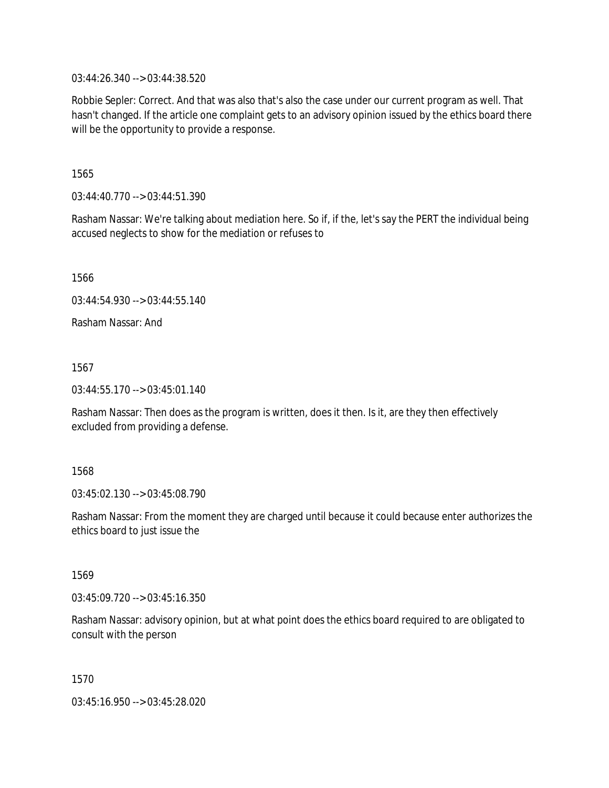03:44:26.340 --> 03:44:38.520

Robbie Sepler: Correct. And that was also that's also the case under our current program as well. That hasn't changed. If the article one complaint gets to an advisory opinion issued by the ethics board there will be the opportunity to provide a response.

1565

03:44:40.770 --> 03:44:51.390

Rasham Nassar: We're talking about mediation here. So if, if the, let's say the PERT the individual being accused neglects to show for the mediation or refuses to

1566

03:44:54.930 --> 03:44:55.140

Rasham Nassar: And

1567

03:44:55.170 --> 03:45:01.140

Rasham Nassar: Then does as the program is written, does it then. Is it, are they then effectively excluded from providing a defense.

1568

03:45:02.130 --> 03:45:08.790

Rasham Nassar: From the moment they are charged until because it could because enter authorizes the ethics board to just issue the

1569

03:45:09.720 --> 03:45:16.350

Rasham Nassar: advisory opinion, but at what point does the ethics board required to are obligated to consult with the person

1570

03:45:16.950 --> 03:45:28.020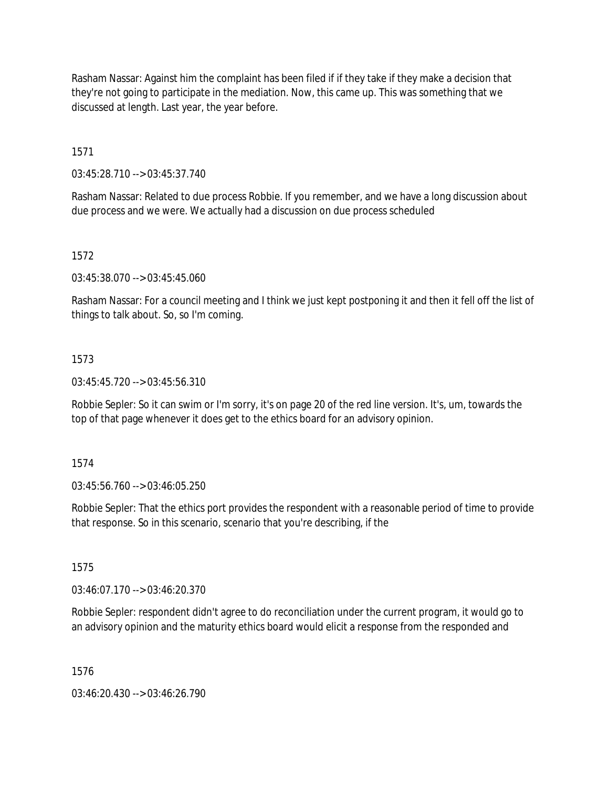Rasham Nassar: Against him the complaint has been filed if if they take if they make a decision that they're not going to participate in the mediation. Now, this came up. This was something that we discussed at length. Last year, the year before.

1571

03:45:28.710 --> 03:45:37.740

Rasham Nassar: Related to due process Robbie. If you remember, and we have a long discussion about due process and we were. We actually had a discussion on due process scheduled

## 1572

03:45:38.070 --> 03:45:45.060

Rasham Nassar: For a council meeting and I think we just kept postponing it and then it fell off the list of things to talk about. So, so I'm coming.

## 1573

03:45:45.720 --> 03:45:56.310

Robbie Sepler: So it can swim or I'm sorry, it's on page 20 of the red line version. It's, um, towards the top of that page whenever it does get to the ethics board for an advisory opinion.

1574

03:45:56.760 --> 03:46:05.250

Robbie Sepler: That the ethics port provides the respondent with a reasonable period of time to provide that response. So in this scenario, scenario that you're describing, if the

1575

03:46:07.170 --> 03:46:20.370

Robbie Sepler: respondent didn't agree to do reconciliation under the current program, it would go to an advisory opinion and the maturity ethics board would elicit a response from the responded and

1576

03:46:20.430 --> 03:46:26.790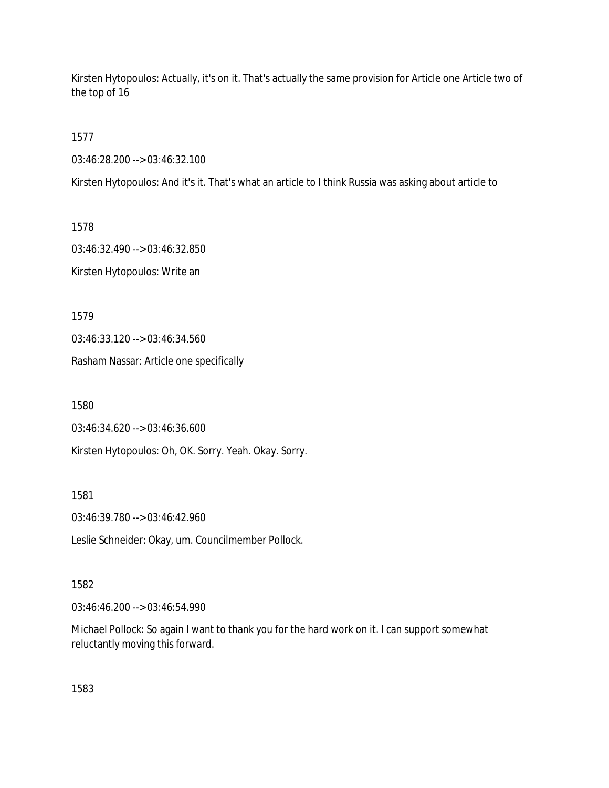Kirsten Hytopoulos: Actually, it's on it. That's actually the same provision for Article one Article two of the top of 16

1577

03:46:28.200 --> 03:46:32.100

Kirsten Hytopoulos: And it's it. That's what an article to I think Russia was asking about article to

1578 03:46:32.490 --> 03:46:32.850 Kirsten Hytopoulos: Write an

1579

03:46:33.120 --> 03:46:34.560

Rasham Nassar: Article one specifically

1580

03:46:34.620 --> 03:46:36.600

Kirsten Hytopoulos: Oh, OK. Sorry. Yeah. Okay. Sorry.

1581

03:46:39.780 --> 03:46:42.960

Leslie Schneider: Okay, um. Councilmember Pollock.

## 1582

03:46:46.200 --> 03:46:54.990

Michael Pollock: So again I want to thank you for the hard work on it. I can support somewhat reluctantly moving this forward.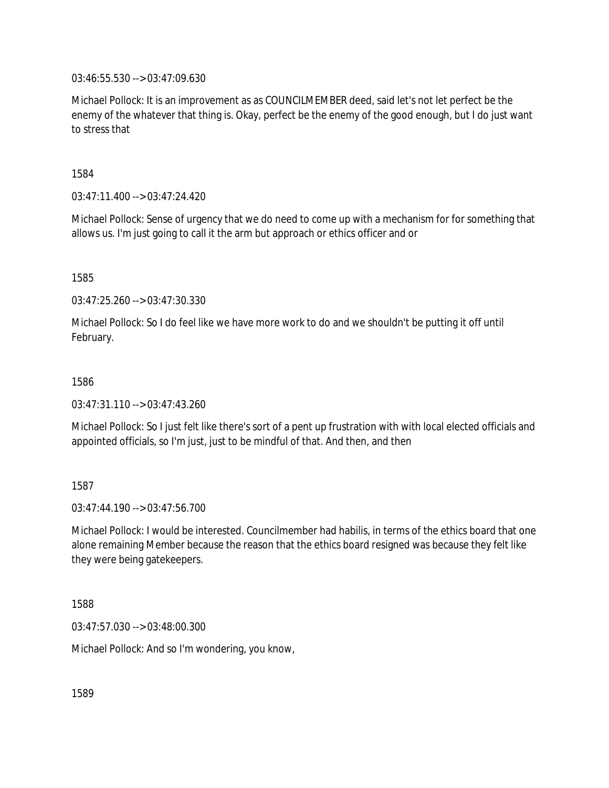03:46:55.530 --> 03:47:09.630

Michael Pollock: It is an improvement as as COUNCILMEMBER deed, said let's not let perfect be the enemy of the whatever that thing is. Okay, perfect be the enemy of the good enough, but I do just want to stress that

1584

03:47:11.400 --> 03:47:24.420

Michael Pollock: Sense of urgency that we do need to come up with a mechanism for for something that allows us. I'm just going to call it the arm but approach or ethics officer and or

1585

03:47:25.260 --> 03:47:30.330

Michael Pollock: So I do feel like we have more work to do and we shouldn't be putting it off until February.

1586

03:47:31.110 --> 03:47:43.260

Michael Pollock: So I just felt like there's sort of a pent up frustration with with local elected officials and appointed officials, so I'm just, just to be mindful of that. And then, and then

1587

 $03:47:44.190 \rightarrow 03:47:56.700$ 

Michael Pollock: I would be interested. Councilmember had habilis, in terms of the ethics board that one alone remaining Member because the reason that the ethics board resigned was because they felt like they were being gatekeepers.

1588

03:47:57.030 --> 03:48:00.300

Michael Pollock: And so I'm wondering, you know,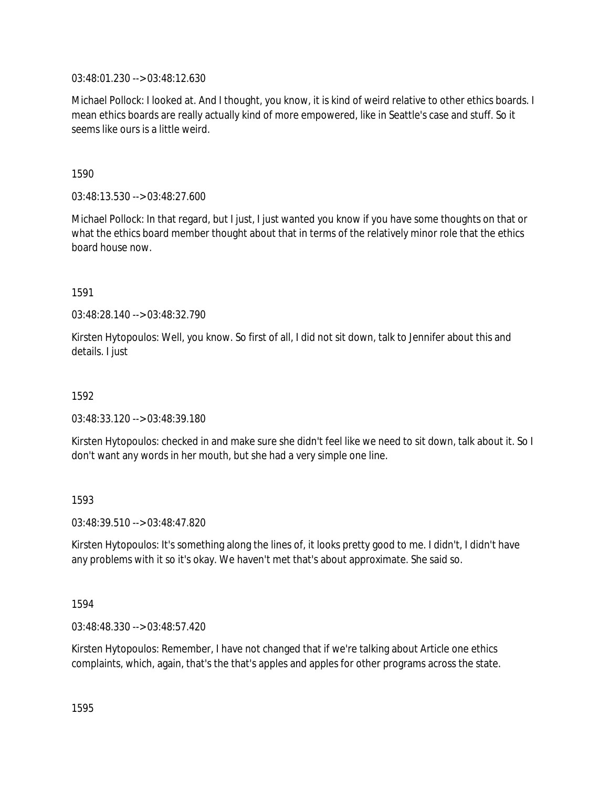03:48:01.230 --> 03:48:12.630

Michael Pollock: I looked at. And I thought, you know, it is kind of weird relative to other ethics boards. I mean ethics boards are really actually kind of more empowered, like in Seattle's case and stuff. So it seems like ours is a little weird.

1590

03:48:13.530 --> 03:48:27.600

Michael Pollock: In that regard, but I just, I just wanted you know if you have some thoughts on that or what the ethics board member thought about that in terms of the relatively minor role that the ethics board house now.

1591

03:48:28.140 --> 03:48:32.790

Kirsten Hytopoulos: Well, you know. So first of all, I did not sit down, talk to Jennifer about this and details. I just

1592

03:48:33.120 --> 03:48:39.180

Kirsten Hytopoulos: checked in and make sure she didn't feel like we need to sit down, talk about it. So I don't want any words in her mouth, but she had a very simple one line.

1593

03:48:39.510 --> 03:48:47.820

Kirsten Hytopoulos: It's something along the lines of, it looks pretty good to me. I didn't, I didn't have any problems with it so it's okay. We haven't met that's about approximate. She said so.

1594

03:48:48.330 --> 03:48:57.420

Kirsten Hytopoulos: Remember, I have not changed that if we're talking about Article one ethics complaints, which, again, that's the that's apples and apples for other programs across the state.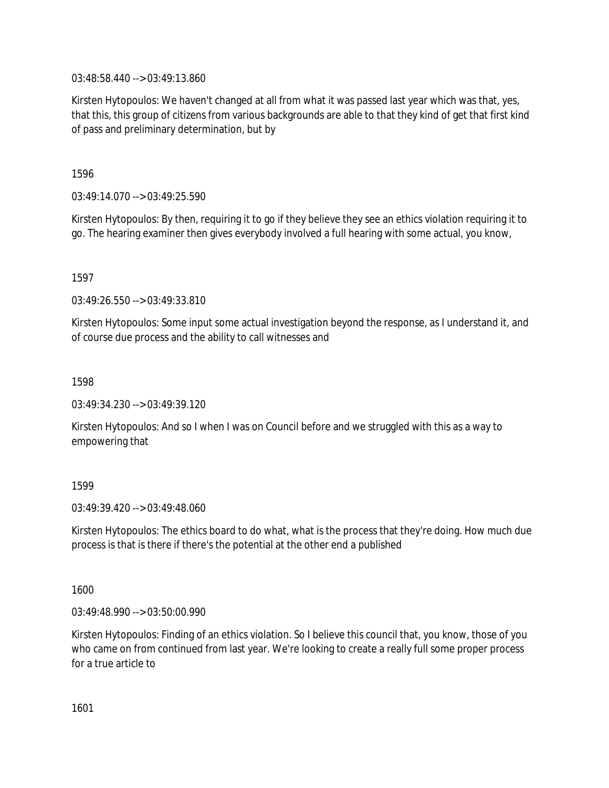03:48:58.440 --> 03:49:13.860

Kirsten Hytopoulos: We haven't changed at all from what it was passed last year which was that, yes, that this, this group of citizens from various backgrounds are able to that they kind of get that first kind of pass and preliminary determination, but by

1596

03:49:14.070 --> 03:49:25.590

Kirsten Hytopoulos: By then, requiring it to go if they believe they see an ethics violation requiring it to go. The hearing examiner then gives everybody involved a full hearing with some actual, you know,

1597

03:49:26.550 --> 03:49:33.810

Kirsten Hytopoulos: Some input some actual investigation beyond the response, as I understand it, and of course due process and the ability to call witnesses and

1598

03:49:34.230 --> 03:49:39.120

Kirsten Hytopoulos: And so I when I was on Council before and we struggled with this as a way to empowering that

1599

03:49:39.420 --> 03:49:48.060

Kirsten Hytopoulos: The ethics board to do what, what is the process that they're doing. How much due process is that is there if there's the potential at the other end a published

1600

03:49:48.990 --> 03:50:00.990

Kirsten Hytopoulos: Finding of an ethics violation. So I believe this council that, you know, those of you who came on from continued from last year. We're looking to create a really full some proper process for a true article to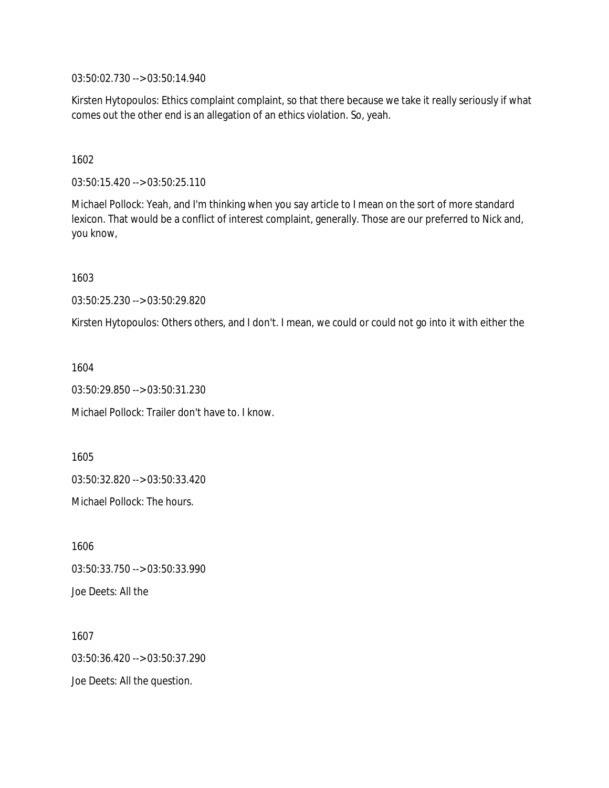03:50:02.730 --> 03:50:14.940

Kirsten Hytopoulos: Ethics complaint complaint, so that there because we take it really seriously if what comes out the other end is an allegation of an ethics violation. So, yeah.

1602

03:50:15.420 --> 03:50:25.110

Michael Pollock: Yeah, and I'm thinking when you say article to I mean on the sort of more standard lexicon. That would be a conflict of interest complaint, generally. Those are our preferred to Nick and, you know,

1603

03:50:25.230 --> 03:50:29.820

Kirsten Hytopoulos: Others others, and I don't. I mean, we could or could not go into it with either the

1604

03:50:29.850 --> 03:50:31.230

Michael Pollock: Trailer don't have to. I know.

1605 03:50:32.820 --> 03:50:33.420 Michael Pollock: The hours.

1606 03:50:33.750 --> 03:50:33.990 Joe Deets: All the

1607 03:50:36.420 --> 03:50:37.290 Joe Deets: All the question.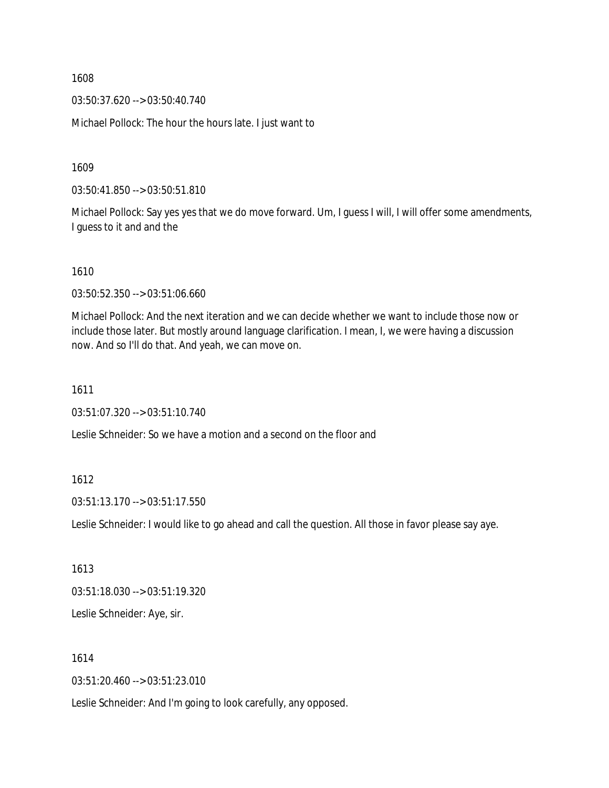03:50:37.620 --> 03:50:40.740

Michael Pollock: The hour the hours late. I just want to

1609

03:50:41.850 --> 03:50:51.810

Michael Pollock: Say yes yes that we do move forward. Um, I guess I will, I will offer some amendments, I guess to it and and the

1610

03:50:52.350 --> 03:51:06.660

Michael Pollock: And the next iteration and we can decide whether we want to include those now or include those later. But mostly around language clarification. I mean, I, we were having a discussion now. And so I'll do that. And yeah, we can move on.

1611

03:51:07.320 --> 03:51:10.740

Leslie Schneider: So we have a motion and a second on the floor and

1612

03:51:13.170 --> 03:51:17.550

Leslie Schneider: I would like to go ahead and call the question. All those in favor please say aye.

1613

03:51:18.030 --> 03:51:19.320

Leslie Schneider: Aye, sir.

1614

03:51:20.460 --> 03:51:23.010

Leslie Schneider: And I'm going to look carefully, any opposed.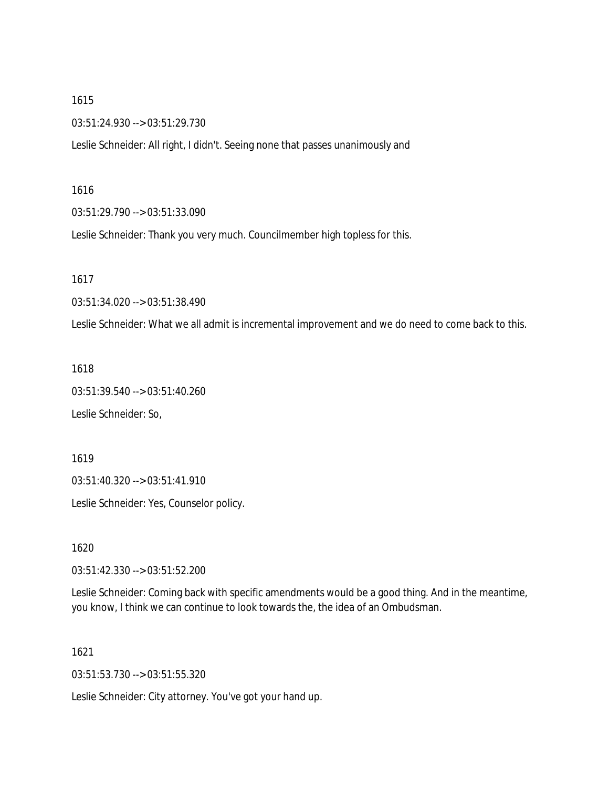03:51:24.930 --> 03:51:29.730

Leslie Schneider: All right, I didn't. Seeing none that passes unanimously and

#### 1616

03:51:29.790 --> 03:51:33.090

Leslie Schneider: Thank you very much. Councilmember high topless for this.

1617

03:51:34.020 --> 03:51:38.490

Leslie Schneider: What we all admit is incremental improvement and we do need to come back to this.

#### 1618

03:51:39.540 --> 03:51:40.260

Leslie Schneider: So,

1619

03:51:40.320 --> 03:51:41.910

Leslie Schneider: Yes, Counselor policy.

1620

03:51:42.330 --> 03:51:52.200

Leslie Schneider: Coming back with specific amendments would be a good thing. And in the meantime, you know, I think we can continue to look towards the, the idea of an Ombudsman.

1621

03:51:53.730 --> 03:51:55.320

Leslie Schneider: City attorney. You've got your hand up.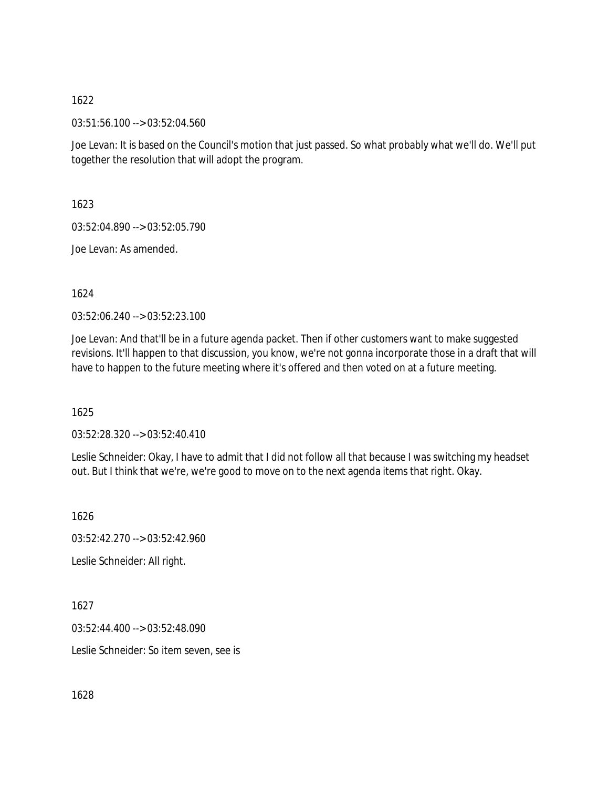03:51:56.100 --> 03:52:04.560

Joe Levan: It is based on the Council's motion that just passed. So what probably what we'll do. We'll put together the resolution that will adopt the program.

1623

03:52:04.890 --> 03:52:05.790

Joe Levan: As amended.

1624

03:52:06.240 --> 03:52:23.100

Joe Levan: And that'll be in a future agenda packet. Then if other customers want to make suggested revisions. It'll happen to that discussion, you know, we're not gonna incorporate those in a draft that will have to happen to the future meeting where it's offered and then voted on at a future meeting.

1625

03:52:28.320 --> 03:52:40.410

Leslie Schneider: Okay, I have to admit that I did not follow all that because I was switching my headset out. But I think that we're, we're good to move on to the next agenda items that right. Okay.

1626

03:52:42.270 --> 03:52:42.960

Leslie Schneider: All right.

1627

03:52:44.400 --> 03:52:48.090

Leslie Schneider: So item seven, see is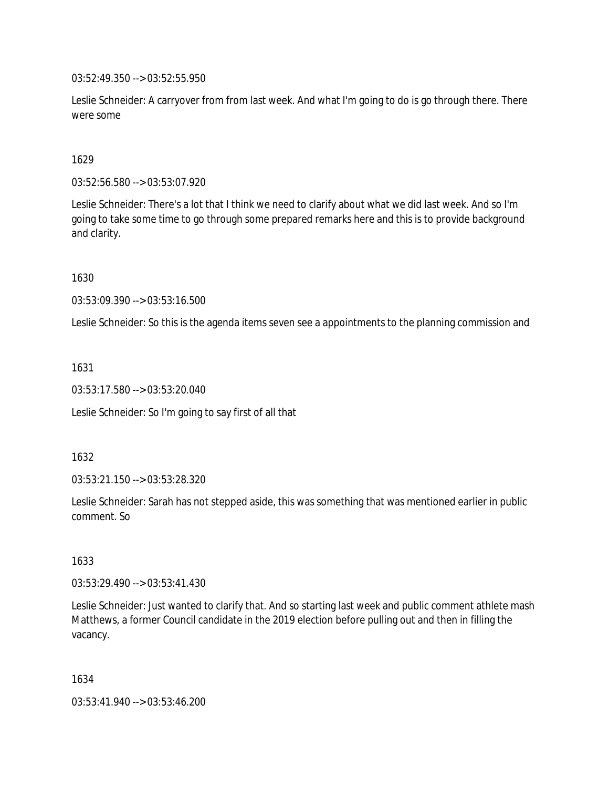03:52:49.350 --> 03:52:55.950

Leslie Schneider: A carryover from from last week. And what I'm going to do is go through there. There were some

### 1629

03:52:56.580 --> 03:53:07.920

Leslie Schneider: There's a lot that I think we need to clarify about what we did last week. And so I'm going to take some time to go through some prepared remarks here and this is to provide background and clarity.

1630

03:53:09.390 --> 03:53:16.500

Leslie Schneider: So this is the agenda items seven see a appointments to the planning commission and

1631

03:53:17.580 --> 03:53:20.040

Leslie Schneider: So I'm going to say first of all that

1632

03:53:21.150 --> 03:53:28.320

Leslie Schneider: Sarah has not stepped aside, this was something that was mentioned earlier in public comment. So

1633

03:53:29.490 --> 03:53:41.430

Leslie Schneider: Just wanted to clarify that. And so starting last week and public comment athlete mash Matthews, a former Council candidate in the 2019 election before pulling out and then in filling the vacancy.

1634

03:53:41.940 --> 03:53:46.200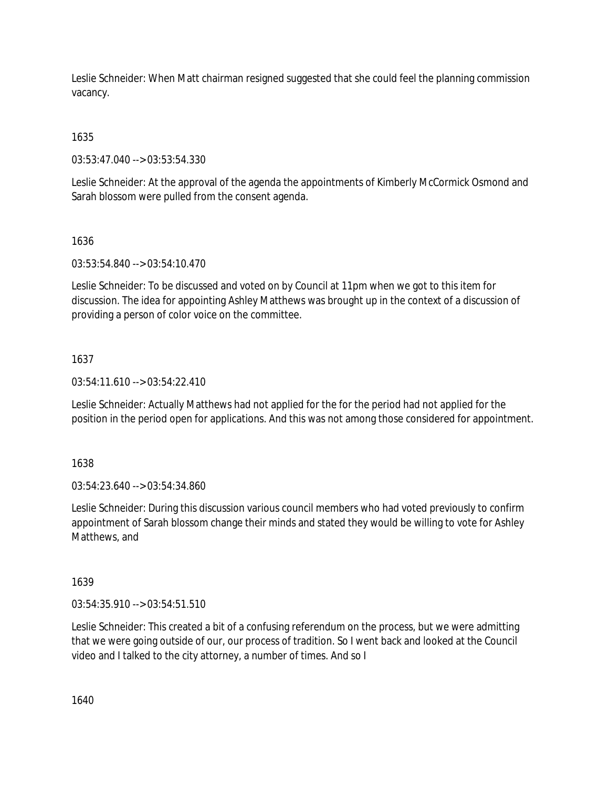Leslie Schneider: When Matt chairman resigned suggested that she could feel the planning commission vacancy.

1635

03:53:47.040 --> 03:53:54.330

Leslie Schneider: At the approval of the agenda the appointments of Kimberly McCormick Osmond and Sarah blossom were pulled from the consent agenda.

### 1636

03:53:54.840 --> 03:54:10.470

Leslie Schneider: To be discussed and voted on by Council at 11pm when we got to this item for discussion. The idea for appointing Ashley Matthews was brought up in the context of a discussion of providing a person of color voice on the committee.

### 1637

 $03:54:11.610 \rightarrow 03:54:22.410$ 

Leslie Schneider: Actually Matthews had not applied for the for the period had not applied for the position in the period open for applications. And this was not among those considered for appointment.

1638

03:54:23.640 --> 03:54:34.860

Leslie Schneider: During this discussion various council members who had voted previously to confirm appointment of Sarah blossom change their minds and stated they would be willing to vote for Ashley Matthews, and

# 1639

03:54:35.910 --> 03:54:51.510

Leslie Schneider: This created a bit of a confusing referendum on the process, but we were admitting that we were going outside of our, our process of tradition. So I went back and looked at the Council video and I talked to the city attorney, a number of times. And so I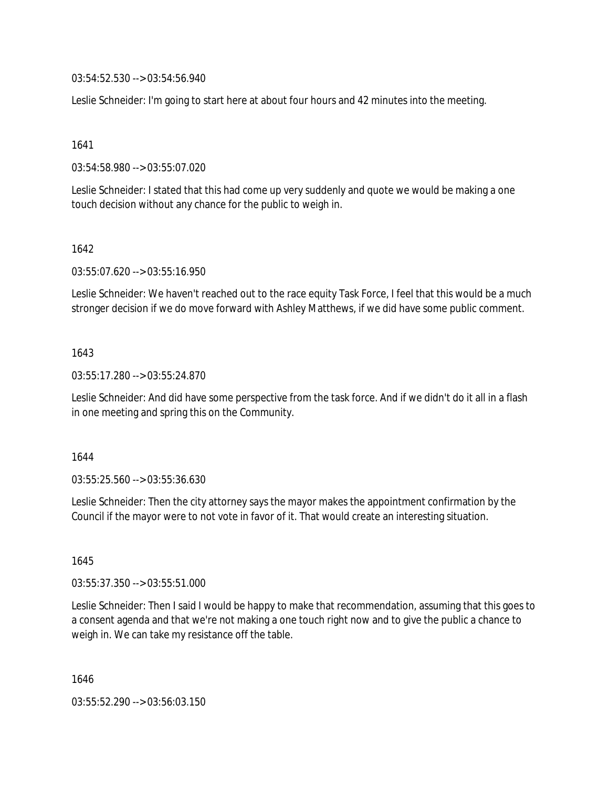03:54:52.530 --> 03:54:56.940

Leslie Schneider: I'm going to start here at about four hours and 42 minutes into the meeting.

1641

03:54:58.980 --> 03:55:07.020

Leslie Schneider: I stated that this had come up very suddenly and quote we would be making a one touch decision without any chance for the public to weigh in.

#### 1642

03:55:07.620 --> 03:55:16.950

Leslie Schneider: We haven't reached out to the race equity Task Force, I feel that this would be a much stronger decision if we do move forward with Ashley Matthews, if we did have some public comment.

### 1643

03:55:17.280 --> 03:55:24.870

Leslie Schneider: And did have some perspective from the task force. And if we didn't do it all in a flash in one meeting and spring this on the Community.

#### 1644

03:55:25.560 --> 03:55:36.630

Leslie Schneider: Then the city attorney says the mayor makes the appointment confirmation by the Council if the mayor were to not vote in favor of it. That would create an interesting situation.

#### 1645

03:55:37.350 --> 03:55:51.000

Leslie Schneider: Then I said I would be happy to make that recommendation, assuming that this goes to a consent agenda and that we're not making a one touch right now and to give the public a chance to weigh in. We can take my resistance off the table.

1646

03:55:52.290 --> 03:56:03.150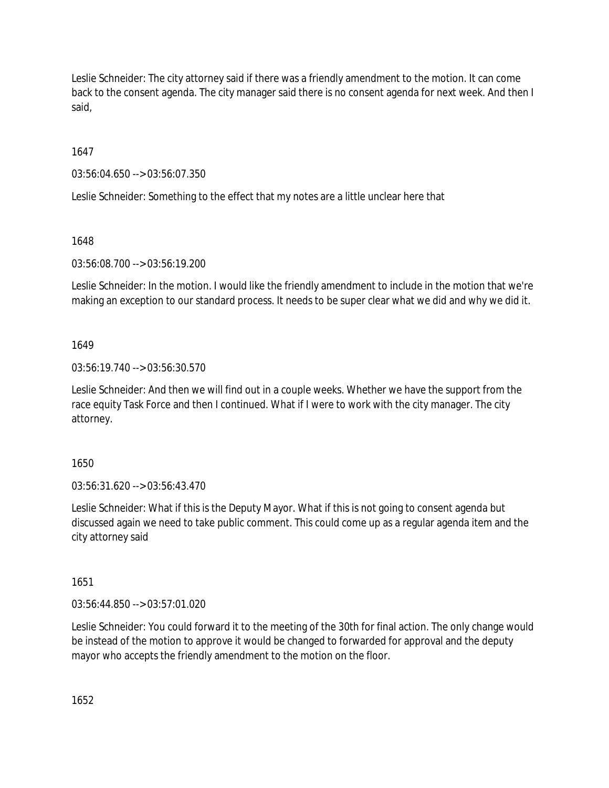Leslie Schneider: The city attorney said if there was a friendly amendment to the motion. It can come back to the consent agenda. The city manager said there is no consent agenda for next week. And then I said,

1647

03:56:04.650 --> 03:56:07.350

Leslie Schneider: Something to the effect that my notes are a little unclear here that

1648

03:56:08.700 --> 03:56:19.200

Leslie Schneider: In the motion. I would like the friendly amendment to include in the motion that we're making an exception to our standard process. It needs to be super clear what we did and why we did it.

1649

03:56:19.740 --> 03:56:30.570

Leslie Schneider: And then we will find out in a couple weeks. Whether we have the support from the race equity Task Force and then I continued. What if I were to work with the city manager. The city attorney.

1650

03:56:31.620 --> 03:56:43.470

Leslie Schneider: What if this is the Deputy Mayor. What if this is not going to consent agenda but discussed again we need to take public comment. This could come up as a regular agenda item and the city attorney said

1651

03:56:44.850 --> 03:57:01.020

Leslie Schneider: You could forward it to the meeting of the 30th for final action. The only change would be instead of the motion to approve it would be changed to forwarded for approval and the deputy mayor who accepts the friendly amendment to the motion on the floor.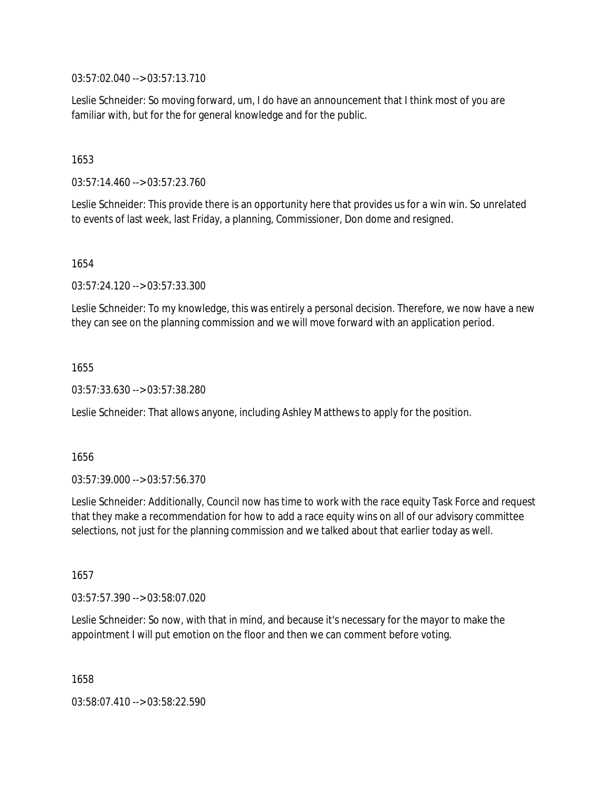03:57:02.040 --> 03:57:13.710

Leslie Schneider: So moving forward, um, I do have an announcement that I think most of you are familiar with, but for the for general knowledge and for the public.

1653

03:57:14.460 --> 03:57:23.760

Leslie Schneider: This provide there is an opportunity here that provides us for a win win. So unrelated to events of last week, last Friday, a planning, Commissioner, Don dome and resigned.

1654

03:57:24.120 --> 03:57:33.300

Leslie Schneider: To my knowledge, this was entirely a personal decision. Therefore, we now have a new they can see on the planning commission and we will move forward with an application period.

1655

03:57:33.630 --> 03:57:38.280

Leslie Schneider: That allows anyone, including Ashley Matthews to apply for the position.

1656

03:57:39.000 --> 03:57:56.370

Leslie Schneider: Additionally, Council now has time to work with the race equity Task Force and request that they make a recommendation for how to add a race equity wins on all of our advisory committee selections, not just for the planning commission and we talked about that earlier today as well.

1657

03:57:57.390 --> 03:58:07.020

Leslie Schneider: So now, with that in mind, and because it's necessary for the mayor to make the appointment I will put emotion on the floor and then we can comment before voting.

1658

03:58:07.410 --> 03:58:22.590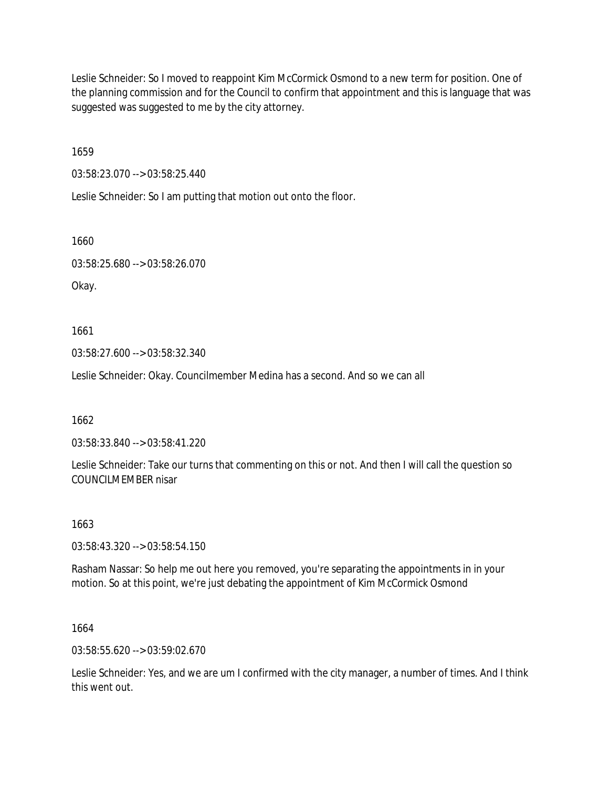Leslie Schneider: So I moved to reappoint Kim McCormick Osmond to a new term for position. One of the planning commission and for the Council to confirm that appointment and this is language that was suggested was suggested to me by the city attorney.

1659

03:58:23.070 --> 03:58:25.440

Leslie Schneider: So I am putting that motion out onto the floor.

1660

03:58:25.680 --> 03:58:26.070

Okay.

1661

03:58:27.600 --> 03:58:32.340

Leslie Schneider: Okay. Councilmember Medina has a second. And so we can all

1662

03:58:33.840 --> 03:58:41.220

Leslie Schneider: Take our turns that commenting on this or not. And then I will call the question so COUNCILMEMBER nisar

1663

03:58:43.320 --> 03:58:54.150

Rasham Nassar: So help me out here you removed, you're separating the appointments in in your motion. So at this point, we're just debating the appointment of Kim McCormick Osmond

1664

03:58:55.620 --> 03:59:02.670

Leslie Schneider: Yes, and we are um I confirmed with the city manager, a number of times. And I think this went out.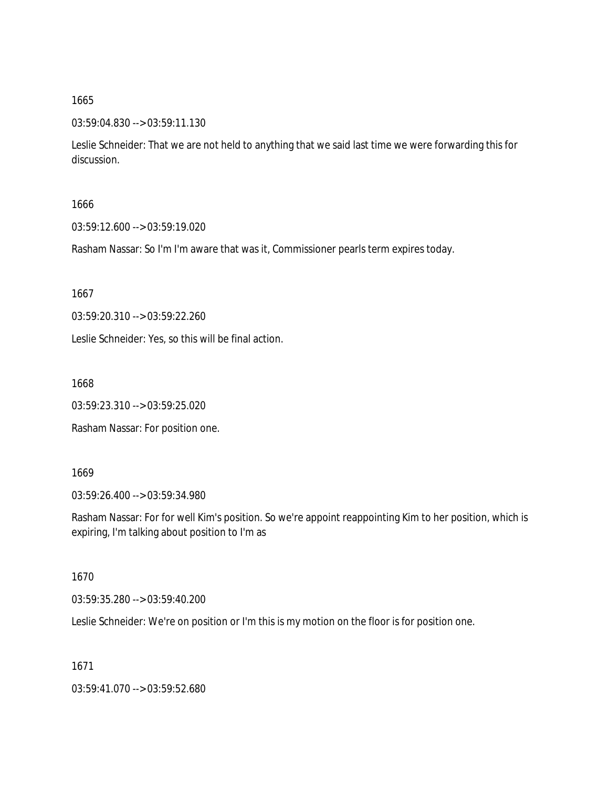#### 03:59:04.830 --> 03:59:11.130

Leslie Schneider: That we are not held to anything that we said last time we were forwarding this for discussion.

### 1666

03:59:12.600 --> 03:59:19.020

Rasham Nassar: So I'm I'm aware that was it, Commissioner pearls term expires today.

1667

03:59:20.310 --> 03:59:22.260

Leslie Schneider: Yes, so this will be final action.

1668

03:59:23.310 --> 03:59:25.020

Rasham Nassar: For position one.

#### 1669

03:59:26.400 --> 03:59:34.980

Rasham Nassar: For for well Kim's position. So we're appoint reappointing Kim to her position, which is expiring, I'm talking about position to I'm as

### 1670

03:59:35.280 --> 03:59:40.200

Leslie Schneider: We're on position or I'm this is my motion on the floor is for position one.

1671

03:59:41.070 --> 03:59:52.680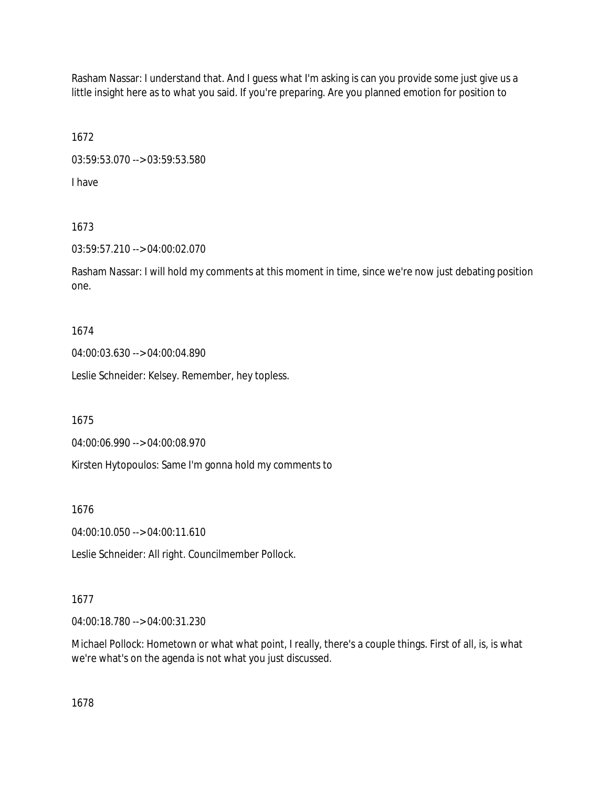Rasham Nassar: I understand that. And I guess what I'm asking is can you provide some just give us a little insight here as to what you said. If you're preparing. Are you planned emotion for position to

1672 03:59:53.070 --> 03:59:53.580

I have

# 1673

# 03:59:57.210 --> 04:00:02.070

Rasham Nassar: I will hold my comments at this moment in time, since we're now just debating position one.

# 1674

04:00:03.630 --> 04:00:04.890

Leslie Schneider: Kelsey. Remember, hey topless.

1675

04:00:06.990 --> 04:00:08.970

Kirsten Hytopoulos: Same I'm gonna hold my comments to

1676

04:00:10.050 --> 04:00:11.610

Leslie Schneider: All right. Councilmember Pollock.

# 1677

04:00:18.780 --> 04:00:31.230

Michael Pollock: Hometown or what what point, I really, there's a couple things. First of all, is, is what we're what's on the agenda is not what you just discussed.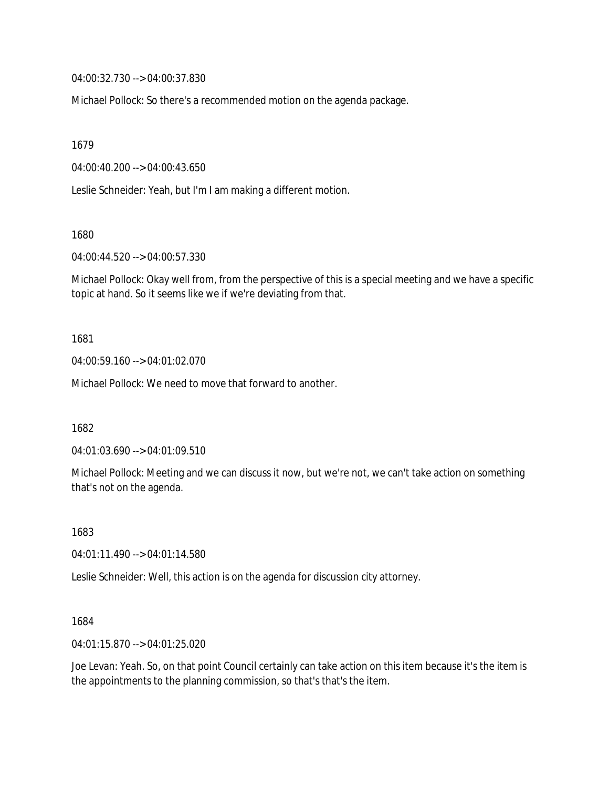04:00:32.730 --> 04:00:37.830

Michael Pollock: So there's a recommended motion on the agenda package.

1679

04:00:40.200 --> 04:00:43.650

Leslie Schneider: Yeah, but I'm I am making a different motion.

1680

04:00:44.520 --> 04:00:57.330

Michael Pollock: Okay well from, from the perspective of this is a special meeting and we have a specific topic at hand. So it seems like we if we're deviating from that.

1681

04:00:59.160 --> 04:01:02.070

Michael Pollock: We need to move that forward to another.

1682

04:01:03.690 --> 04:01:09.510

Michael Pollock: Meeting and we can discuss it now, but we're not, we can't take action on something that's not on the agenda.

1683

04:01:11.490 --> 04:01:14.580

Leslie Schneider: Well, this action is on the agenda for discussion city attorney.

1684

04:01:15.870 --> 04:01:25.020

Joe Levan: Yeah. So, on that point Council certainly can take action on this item because it's the item is the appointments to the planning commission, so that's that's the item.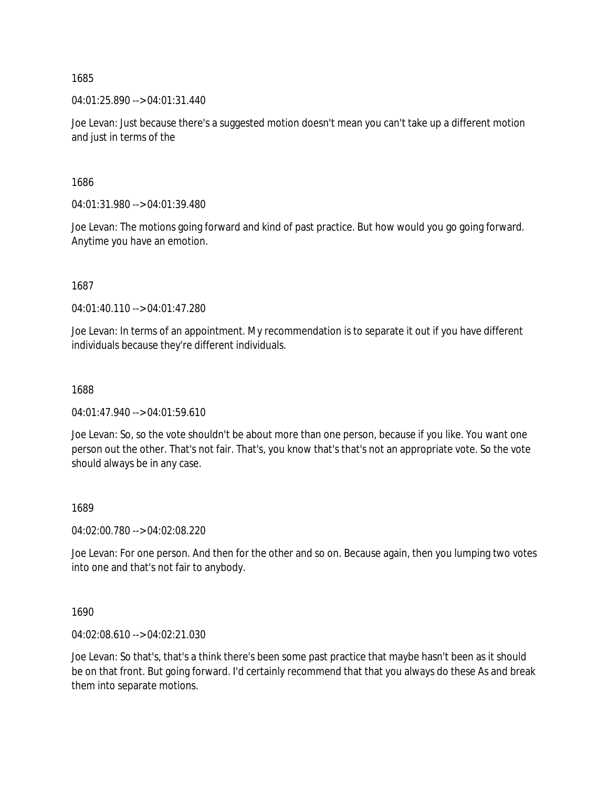04:01:25.890 --> 04:01:31.440

Joe Levan: Just because there's a suggested motion doesn't mean you can't take up a different motion and just in terms of the

1686

04:01:31.980 --> 04:01:39.480

Joe Levan: The motions going forward and kind of past practice. But how would you go going forward. Anytime you have an emotion.

1687

04:01:40.110 --> 04:01:47.280

Joe Levan: In terms of an appointment. My recommendation is to separate it out if you have different individuals because they're different individuals.

1688

04:01:47.940 --> 04:01:59.610

Joe Levan: So, so the vote shouldn't be about more than one person, because if you like. You want one person out the other. That's not fair. That's, you know that's that's not an appropriate vote. So the vote should always be in any case.

### 1689

04:02:00.780 --> 04:02:08.220

Joe Levan: For one person. And then for the other and so on. Because again, then you lumping two votes into one and that's not fair to anybody.

1690

04:02:08.610 --> 04:02:21.030

Joe Levan: So that's, that's a think there's been some past practice that maybe hasn't been as it should be on that front. But going forward. I'd certainly recommend that that you always do these As and break them into separate motions.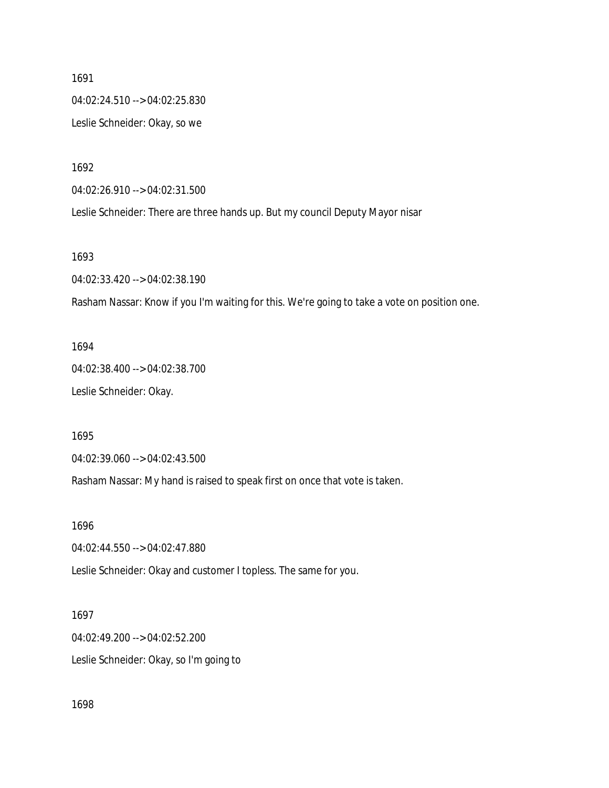1691 04:02:24.510 --> 04:02:25.830 Leslie Schneider: Okay, so we

1692

04:02:26.910 --> 04:02:31.500

Leslie Schneider: There are three hands up. But my council Deputy Mayor nisar

1693

04:02:33.420 --> 04:02:38.190

Rasham Nassar: Know if you I'm waiting for this. We're going to take a vote on position one.

1694 04:02:38.400 --> 04:02:38.700 Leslie Schneider: Okay.

1695

04:02:39.060 --> 04:02:43.500

Rasham Nassar: My hand is raised to speak first on once that vote is taken.

1696

04:02:44.550 --> 04:02:47.880

Leslie Schneider: Okay and customer I topless. The same for you.

1697 04:02:49.200 --> 04:02:52.200 Leslie Schneider: Okay, so I'm going to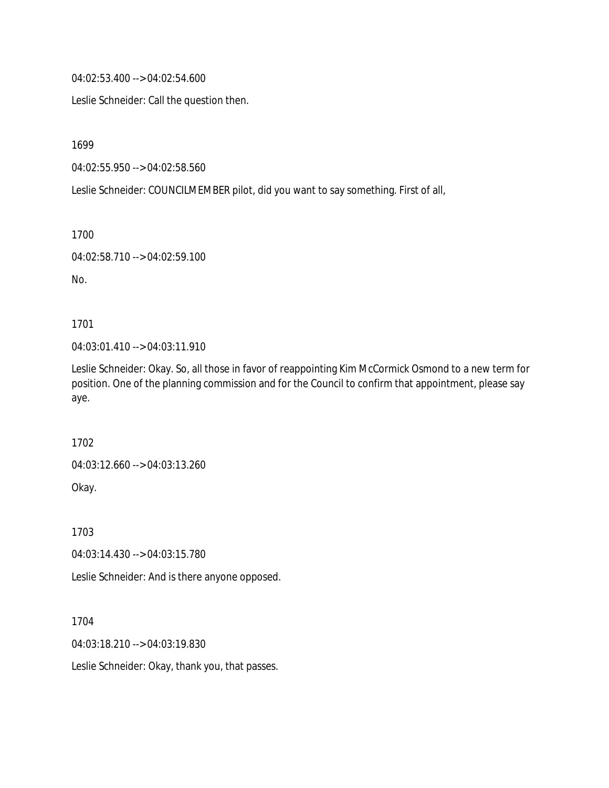04:02:53.400 --> 04:02:54.600

Leslie Schneider: Call the question then.

1699

04:02:55.950 --> 04:02:58.560

Leslie Schneider: COUNCILMEMBER pilot, did you want to say something. First of all,

1700

```
04:02:58.710 --> 04:02:59.100
```
No.

1701

04:03:01.410 --> 04:03:11.910

Leslie Schneider: Okay. So, all those in favor of reappointing Kim McCormick Osmond to a new term for position. One of the planning commission and for the Council to confirm that appointment, please say aye.

1702

04:03:12.660 --> 04:03:13.260

Okay.

1703

04:03:14.430 --> 04:03:15.780

Leslie Schneider: And is there anyone opposed.

1704

04:03:18.210 --> 04:03:19.830

Leslie Schneider: Okay, thank you, that passes.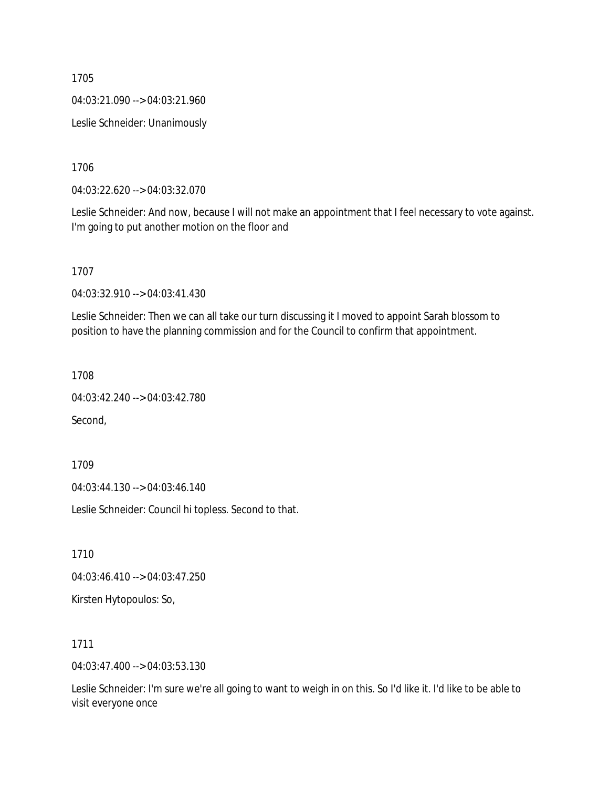04:03:21.090 --> 04:03:21.960

Leslie Schneider: Unanimously

1706

04:03:22.620 --> 04:03:32.070

Leslie Schneider: And now, because I will not make an appointment that I feel necessary to vote against. I'm going to put another motion on the floor and

1707

04:03:32.910 --> 04:03:41.430

Leslie Schneider: Then we can all take our turn discussing it I moved to appoint Sarah blossom to position to have the planning commission and for the Council to confirm that appointment.

1708

04:03:42.240 --> 04:03:42.780

Second,

1709

04:03:44.130 --> 04:03:46.140

Leslie Schneider: Council hi topless. Second to that.

1710

04:03:46.410 --> 04:03:47.250

Kirsten Hytopoulos: So,

1711

04:03:47.400 --> 04:03:53.130

Leslie Schneider: I'm sure we're all going to want to weigh in on this. So I'd like it. I'd like to be able to visit everyone once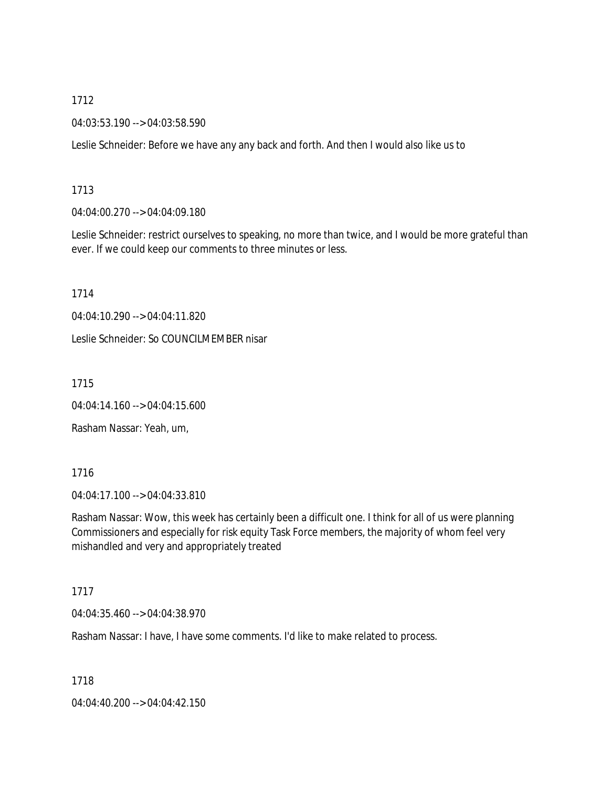04:03:53.190 --> 04:03:58.590

Leslie Schneider: Before we have any any back and forth. And then I would also like us to

1713

04:04:00.270 --> 04:04:09.180

Leslie Schneider: restrict ourselves to speaking, no more than twice, and I would be more grateful than ever. If we could keep our comments to three minutes or less.

1714

04:04:10.290 --> 04:04:11.820

Leslie Schneider: So COUNCILMEMBER nisar

1715

04:04:14.160 --> 04:04:15.600

Rasham Nassar: Yeah, um,

1716

04:04:17.100 --> 04:04:33.810

Rasham Nassar: Wow, this week has certainly been a difficult one. I think for all of us were planning Commissioners and especially for risk equity Task Force members, the majority of whom feel very mishandled and very and appropriately treated

1717

04:04:35.460 --> 04:04:38.970

Rasham Nassar: I have, I have some comments. I'd like to make related to process.

1718

04:04:40.200 --> 04:04:42.150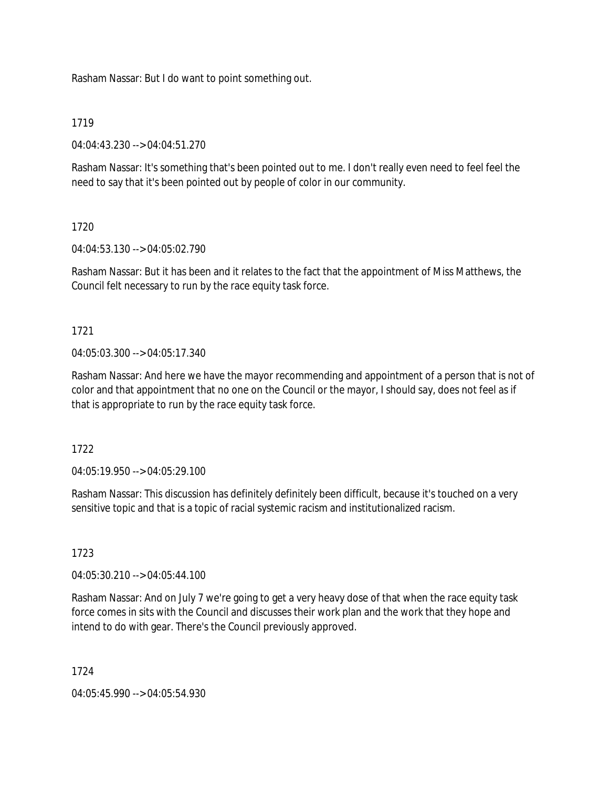Rasham Nassar: But I do want to point something out.

### 1719

04:04:43.230 --> 04:04:51.270

Rasham Nassar: It's something that's been pointed out to me. I don't really even need to feel feel the need to say that it's been pointed out by people of color in our community.

### 1720

04:04:53.130 --> 04:05:02.790

Rasham Nassar: But it has been and it relates to the fact that the appointment of Miss Matthews, the Council felt necessary to run by the race equity task force.

# 1721

04:05:03.300 --> 04:05:17.340

Rasham Nassar: And here we have the mayor recommending and appointment of a person that is not of color and that appointment that no one on the Council or the mayor, I should say, does not feel as if that is appropriate to run by the race equity task force.

1722

04:05:19.950 --> 04:05:29.100

Rasham Nassar: This discussion has definitely definitely been difficult, because it's touched on a very sensitive topic and that is a topic of racial systemic racism and institutionalized racism.

# 1723

04:05:30.210 --> 04:05:44.100

Rasham Nassar: And on July 7 we're going to get a very heavy dose of that when the race equity task force comes in sits with the Council and discusses their work plan and the work that they hope and intend to do with gear. There's the Council previously approved.

### 1724

04:05:45.990 --> 04:05:54.930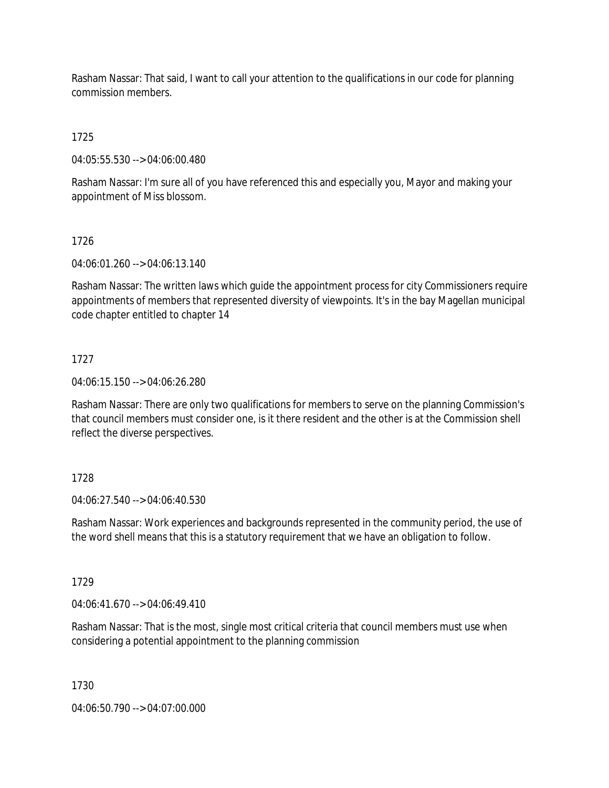Rasham Nassar: That said, I want to call your attention to the qualifications in our code for planning commission members.

1725

04:05:55.530 --> 04:06:00.480

Rasham Nassar: I'm sure all of you have referenced this and especially you, Mayor and making your appointment of Miss blossom.

### 1726

04:06:01.260 --> 04:06:13.140

Rasham Nassar: The written laws which guide the appointment process for city Commissioners require appointments of members that represented diversity of viewpoints. It's in the bay Magellan municipal code chapter entitled to chapter 14

# 1727

04:06:15.150 --> 04:06:26.280

Rasham Nassar: There are only two qualifications for members to serve on the planning Commission's that council members must consider one, is it there resident and the other is at the Commission shell reflect the diverse perspectives.

# 1728

04:06:27.540 --> 04:06:40.530

Rasham Nassar: Work experiences and backgrounds represented in the community period, the use of the word shell means that this is a statutory requirement that we have an obligation to follow.

# 1729

 $04:06:41.670 \rightarrow 04:06:49.410$ 

Rasham Nassar: That is the most, single most critical criteria that council members must use when considering a potential appointment to the planning commission

1730

04:06:50.790 --> 04:07:00.000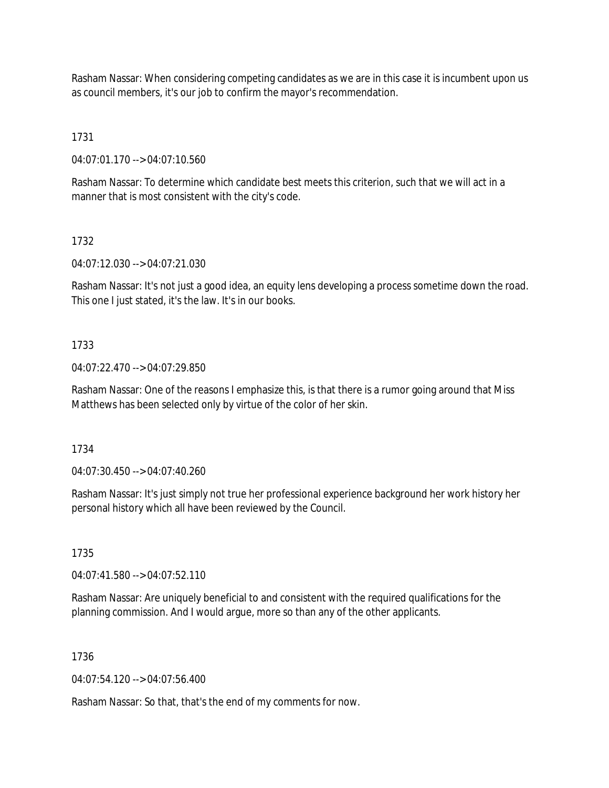Rasham Nassar: When considering competing candidates as we are in this case it is incumbent upon us as council members, it's our job to confirm the mayor's recommendation.

1731

04:07:01.170 --> 04:07:10.560

Rasham Nassar: To determine which candidate best meets this criterion, such that we will act in a manner that is most consistent with the city's code.

1732

04:07:12.030 --> 04:07:21.030

Rasham Nassar: It's not just a good idea, an equity lens developing a process sometime down the road. This one I just stated, it's the law. It's in our books.

### 1733

04:07:22.470 --> 04:07:29.850

Rasham Nassar: One of the reasons I emphasize this, is that there is a rumor going around that Miss Matthews has been selected only by virtue of the color of her skin.

1734

04:07:30.450 --> 04:07:40.260

Rasham Nassar: It's just simply not true her professional experience background her work history her personal history which all have been reviewed by the Council.

1735

04:07:41.580 --> 04:07:52.110

Rasham Nassar: Are uniquely beneficial to and consistent with the required qualifications for the planning commission. And I would argue, more so than any of the other applicants.

1736

04:07:54.120 --> 04:07:56.400

Rasham Nassar: So that, that's the end of my comments for now.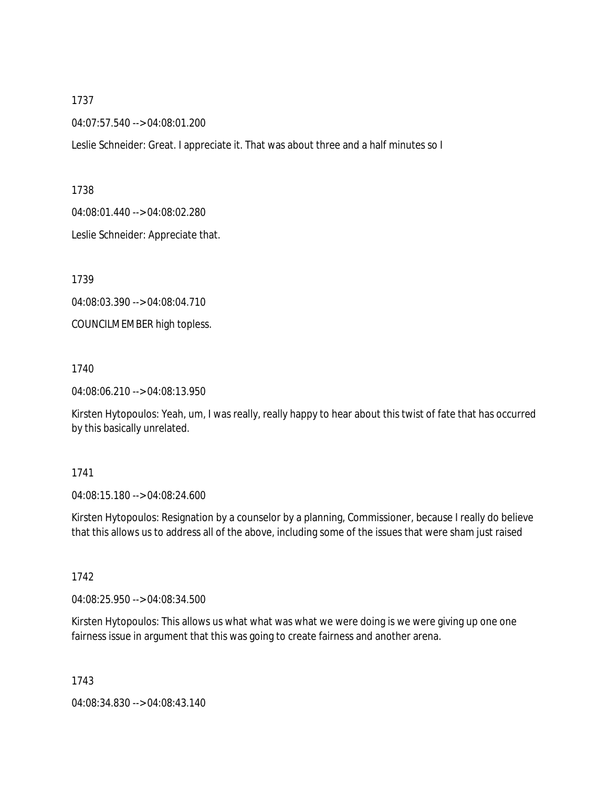04:07:57.540 --> 04:08:01.200

Leslie Schneider: Great. I appreciate it. That was about three and a half minutes so I

1738

04:08:01.440 --> 04:08:02.280

Leslie Schneider: Appreciate that.

1739

04:08:03.390 --> 04:08:04.710

COUNCILMEMBER high topless.

1740

04:08:06.210 --> 04:08:13.950

Kirsten Hytopoulos: Yeah, um, I was really, really happy to hear about this twist of fate that has occurred by this basically unrelated.

#### 1741

04:08:15.180 --> 04:08:24.600

Kirsten Hytopoulos: Resignation by a counselor by a planning, Commissioner, because I really do believe that this allows us to address all of the above, including some of the issues that were sham just raised

1742

04:08:25.950 --> 04:08:34.500

Kirsten Hytopoulos: This allows us what what was what we were doing is we were giving up one one fairness issue in argument that this was going to create fairness and another arena.

1743

04:08:34.830 --> 04:08:43.140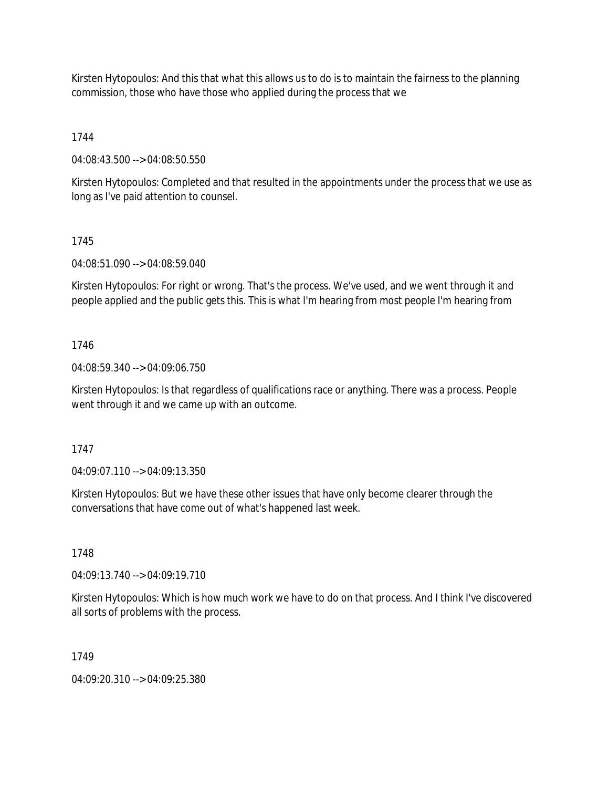Kirsten Hytopoulos: And this that what this allows us to do is to maintain the fairness to the planning commission, those who have those who applied during the process that we

1744

04:08:43.500 --> 04:08:50.550

Kirsten Hytopoulos: Completed and that resulted in the appointments under the process that we use as long as I've paid attention to counsel.

### 1745

04:08:51.090 --> 04:08:59.040

Kirsten Hytopoulos: For right or wrong. That's the process. We've used, and we went through it and people applied and the public gets this. This is what I'm hearing from most people I'm hearing from

### 1746

04:08:59.340 --> 04:09:06.750

Kirsten Hytopoulos: Is that regardless of qualifications race or anything. There was a process. People went through it and we came up with an outcome.

1747

04:09:07.110 --> 04:09:13.350

Kirsten Hytopoulos: But we have these other issues that have only become clearer through the conversations that have come out of what's happened last week.

### 1748

04:09:13.740 --> 04:09:19.710

Kirsten Hytopoulos: Which is how much work we have to do on that process. And I think I've discovered all sorts of problems with the process.

# 1749

04:09:20.310 --> 04:09:25.380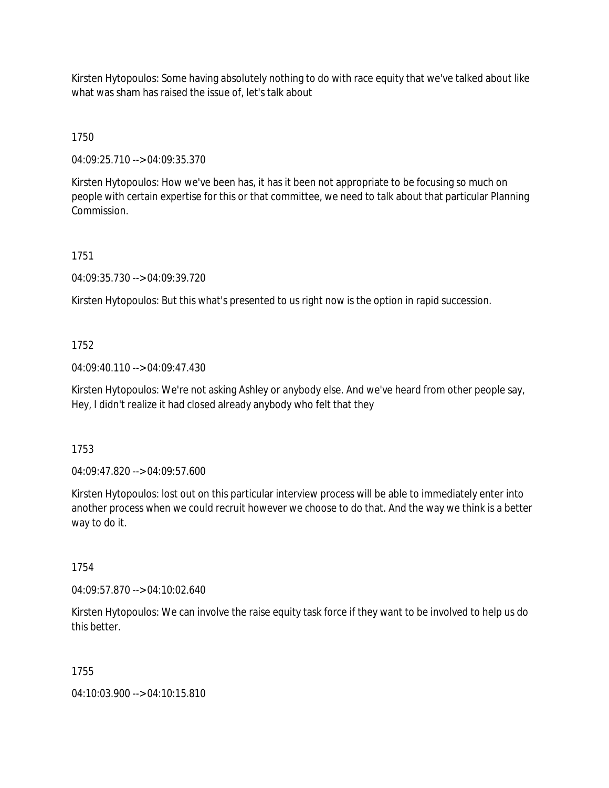Kirsten Hytopoulos: Some having absolutely nothing to do with race equity that we've talked about like what was sham has raised the issue of, let's talk about

1750

04:09:25.710 --> 04:09:35.370

Kirsten Hytopoulos: How we've been has, it has it been not appropriate to be focusing so much on people with certain expertise for this or that committee, we need to talk about that particular Planning Commission.

1751

04:09:35.730 --> 04:09:39.720

Kirsten Hytopoulos: But this what's presented to us right now is the option in rapid succession.

1752

04:09:40.110 --> 04:09:47.430

Kirsten Hytopoulos: We're not asking Ashley or anybody else. And we've heard from other people say, Hey, I didn't realize it had closed already anybody who felt that they

1753

04:09:47.820 --> 04:09:57.600

Kirsten Hytopoulos: lost out on this particular interview process will be able to immediately enter into another process when we could recruit however we choose to do that. And the way we think is a better way to do it.

1754

04:09:57.870 --> 04:10:02.640

Kirsten Hytopoulos: We can involve the raise equity task force if they want to be involved to help us do this better.

1755

04:10:03.900 --> 04:10:15.810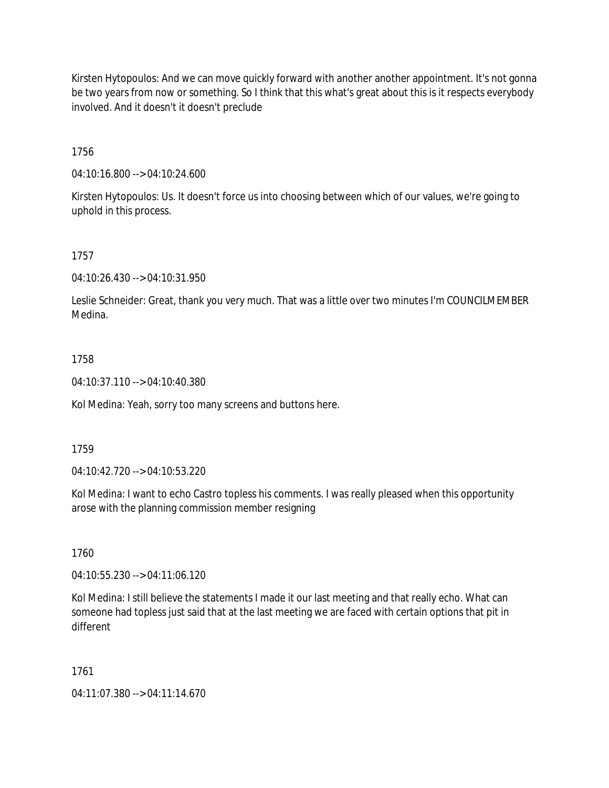Kirsten Hytopoulos: And we can move quickly forward with another another appointment. It's not gonna be two years from now or something. So I think that this what's great about this is it respects everybody involved. And it doesn't it doesn't preclude

1756

04:10:16.800 --> 04:10:24.600

Kirsten Hytopoulos: Us. It doesn't force us into choosing between which of our values, we're going to uphold in this process.

1757

04:10:26.430 --> 04:10:31.950

Leslie Schneider: Great, thank you very much. That was a little over two minutes I'm COUNCILMEMBER Medina.

### 1758

04:10:37.110 --> 04:10:40.380

Kol Medina: Yeah, sorry too many screens and buttons here.

### 1759

04:10:42.720 --> 04:10:53.220

Kol Medina: I want to echo Castro topless his comments. I was really pleased when this opportunity arose with the planning commission member resigning

1760

04:10:55.230 --> 04:11:06.120

Kol Medina: I still believe the statements I made it our last meeting and that really echo. What can someone had topless just said that at the last meeting we are faced with certain options that pit in different

### 1761

04:11:07.380 --> 04:11:14.670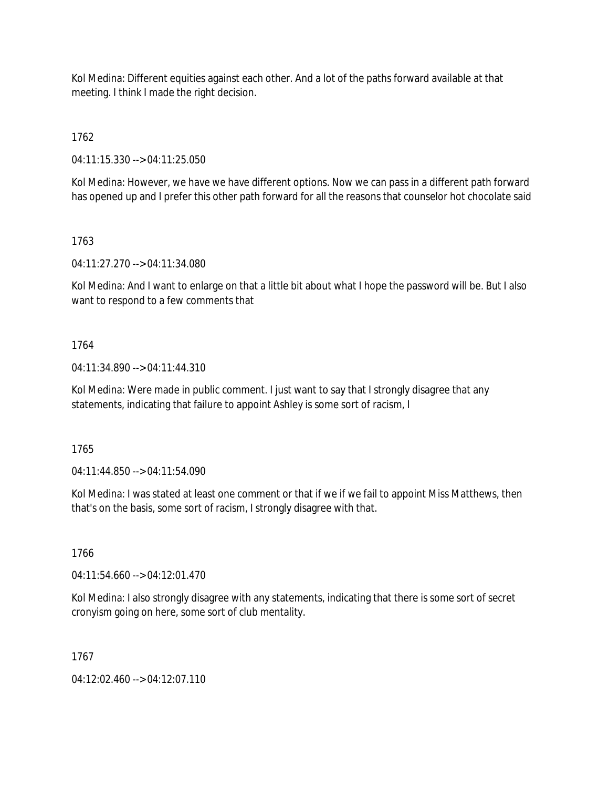Kol Medina: Different equities against each other. And a lot of the paths forward available at that meeting. I think I made the right decision.

1762

04:11:15.330 --> 04:11:25.050

Kol Medina: However, we have we have different options. Now we can pass in a different path forward has opened up and I prefer this other path forward for all the reasons that counselor hot chocolate said

### 1763

04:11:27.270 --> 04:11:34.080

Kol Medina: And I want to enlarge on that a little bit about what I hope the password will be. But I also want to respond to a few comments that

### 1764

04:11:34.890 --> 04:11:44.310

Kol Medina: Were made in public comment. I just want to say that I strongly disagree that any statements, indicating that failure to appoint Ashley is some sort of racism, I

1765

04:11:44.850 --> 04:11:54.090

Kol Medina: I was stated at least one comment or that if we if we fail to appoint Miss Matthews, then that's on the basis, some sort of racism, I strongly disagree with that.

# 1766

04:11:54.660 --> 04:12:01.470

Kol Medina: I also strongly disagree with any statements, indicating that there is some sort of secret cronyism going on here, some sort of club mentality.

# 1767

04:12:02.460 --> 04:12:07.110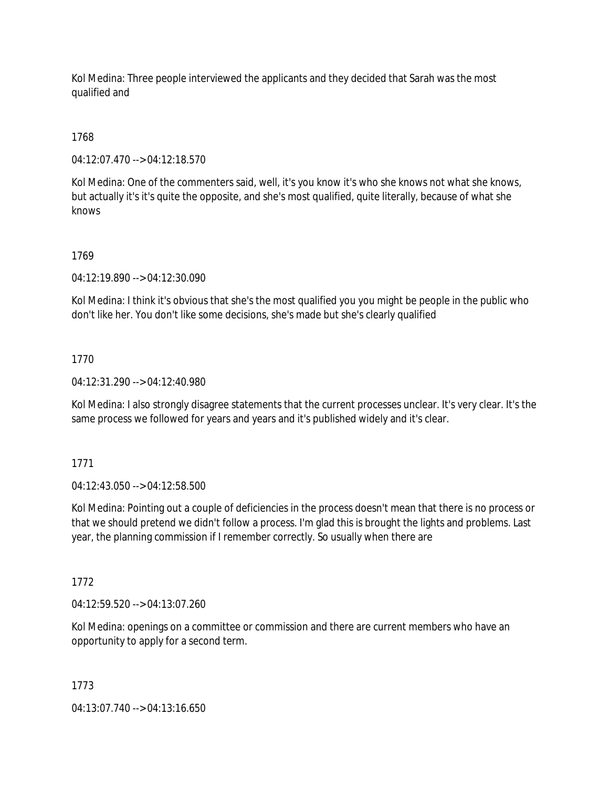Kol Medina: Three people interviewed the applicants and they decided that Sarah was the most qualified and

# 1768

04:12:07.470 --> 04:12:18.570

Kol Medina: One of the commenters said, well, it's you know it's who she knows not what she knows, but actually it's it's quite the opposite, and she's most qualified, quite literally, because of what she knows

# 1769

04:12:19.890 --> 04:12:30.090

Kol Medina: I think it's obvious that she's the most qualified you you might be people in the public who don't like her. You don't like some decisions, she's made but she's clearly qualified

### 1770

04:12:31.290 --> 04:12:40.980

Kol Medina: I also strongly disagree statements that the current processes unclear. It's very clear. It's the same process we followed for years and years and it's published widely and it's clear.

### 1771

04:12:43.050 --> 04:12:58.500

Kol Medina: Pointing out a couple of deficiencies in the process doesn't mean that there is no process or that we should pretend we didn't follow a process. I'm glad this is brought the lights and problems. Last year, the planning commission if I remember correctly. So usually when there are

# 1772

04:12:59.520 --> 04:13:07.260

Kol Medina: openings on a committee or commission and there are current members who have an opportunity to apply for a second term.

### 1773

04:13:07.740 --> 04:13:16.650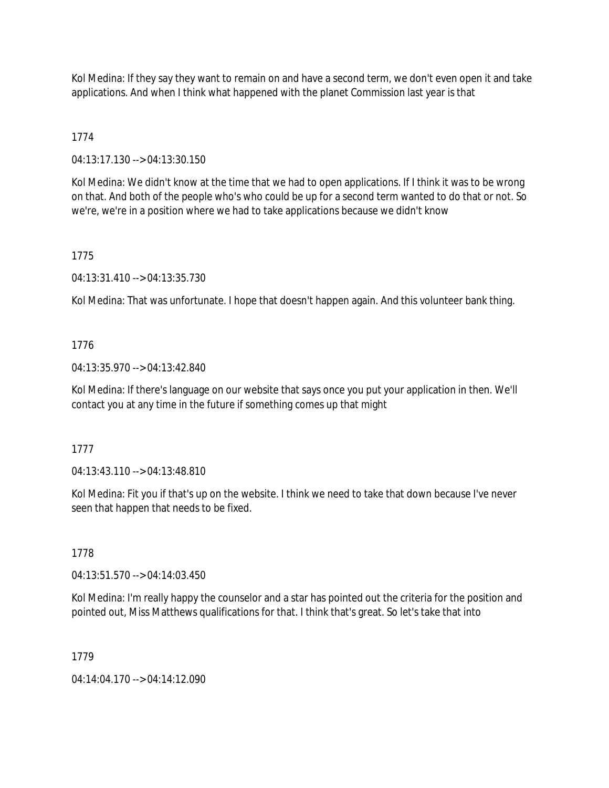Kol Medina: If they say they want to remain on and have a second term, we don't even open it and take applications. And when I think what happened with the planet Commission last year is that

# 1774

04:13:17.130 --> 04:13:30.150

Kol Medina: We didn't know at the time that we had to open applications. If I think it was to be wrong on that. And both of the people who's who could be up for a second term wanted to do that or not. So we're, we're in a position where we had to take applications because we didn't know

# 1775

04:13:31.410 --> 04:13:35.730

Kol Medina: That was unfortunate. I hope that doesn't happen again. And this volunteer bank thing.

# 1776

04:13:35.970 --> 04:13:42.840

Kol Medina: If there's language on our website that says once you put your application in then. We'll contact you at any time in the future if something comes up that might

# 1777

04:13:43.110 --> 04:13:48.810

Kol Medina: Fit you if that's up on the website. I think we need to take that down because I've never seen that happen that needs to be fixed.

# 1778

04:13:51.570 --> 04:14:03.450

Kol Medina: I'm really happy the counselor and a star has pointed out the criteria for the position and pointed out, Miss Matthews qualifications for that. I think that's great. So let's take that into

# 1779

04:14:04.170 --> 04:14:12.090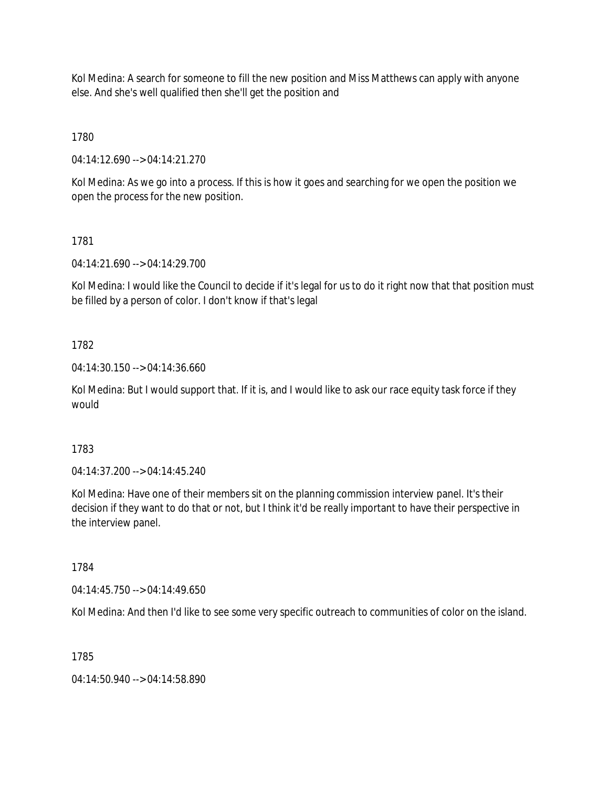Kol Medina: A search for someone to fill the new position and Miss Matthews can apply with anyone else. And she's well qualified then she'll get the position and

1780

04:14:12.690 --> 04:14:21.270

Kol Medina: As we go into a process. If this is how it goes and searching for we open the position we open the process for the new position.

1781

04:14:21.690 --> 04:14:29.700

Kol Medina: I would like the Council to decide if it's legal for us to do it right now that that position must be filled by a person of color. I don't know if that's legal

1782

04:14:30.150 --> 04:14:36.660

Kol Medina: But I would support that. If it is, and I would like to ask our race equity task force if they would

1783

04:14:37.200 --> 04:14:45.240

Kol Medina: Have one of their members sit on the planning commission interview panel. It's their decision if they want to do that or not, but I think it'd be really important to have their perspective in the interview panel.

1784

04:14:45.750 --> 04:14:49.650

Kol Medina: And then I'd like to see some very specific outreach to communities of color on the island.

1785

04:14:50.940 --> 04:14:58.890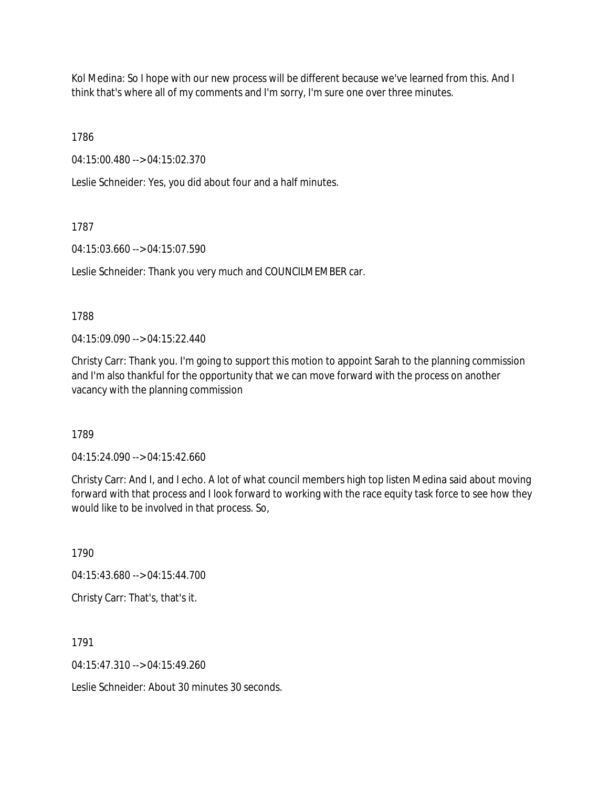Kol Medina: So I hope with our new process will be different because we've learned from this. And I think that's where all of my comments and I'm sorry, I'm sure one over three minutes.

1786

04:15:00.480 --> 04:15:02.370

Leslie Schneider: Yes, you did about four and a half minutes.

### 1787

04:15:03.660 --> 04:15:07.590

Leslie Schneider: Thank you very much and COUNCILMEMBER car.

### 1788

04:15:09.090 --> 04:15:22.440

Christy Carr: Thank you. I'm going to support this motion to appoint Sarah to the planning commission and I'm also thankful for the opportunity that we can move forward with the process on another vacancy with the planning commission

1789

04:15:24.090 --> 04:15:42.660

Christy Carr: And I, and I echo. A lot of what council members high top listen Medina said about moving forward with that process and I look forward to working with the race equity task force to see how they would like to be involved in that process. So,

1790 04:15:43.680 --> 04:15:44.700 Christy Carr: That's, that's it.

1791

 $04.15.47.310 -> 04.15.49.260$ 

Leslie Schneider: About 30 minutes 30 seconds.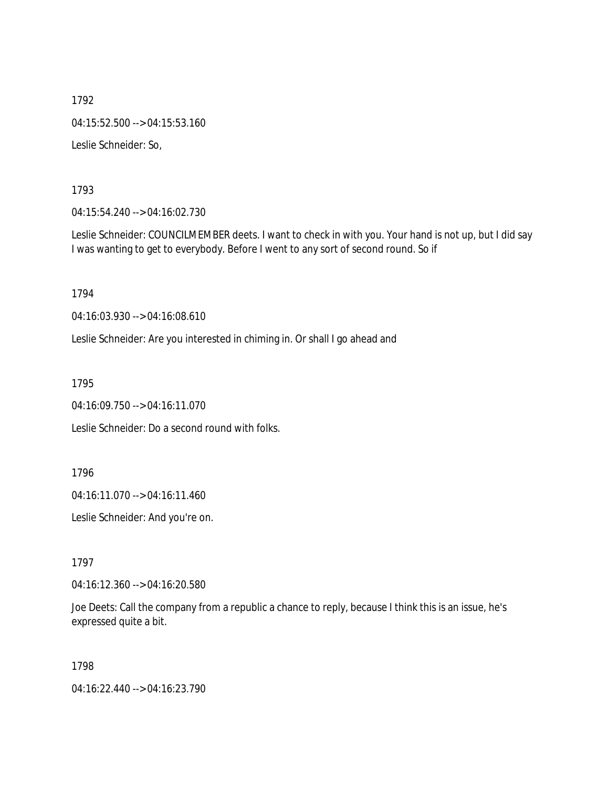1792 04:15:52.500 --> 04:15:53.160 Leslie Schneider: So,

1793

04:15:54.240 --> 04:16:02.730

Leslie Schneider: COUNCILMEMBER deets. I want to check in with you. Your hand is not up, but I did say I was wanting to get to everybody. Before I went to any sort of second round. So if

1794

04:16:03.930 --> 04:16:08.610

Leslie Schneider: Are you interested in chiming in. Or shall I go ahead and

1795

04:16:09.750 --> 04:16:11.070

Leslie Schneider: Do a second round with folks.

1796

04:16:11.070 --> 04:16:11.460

Leslie Schneider: And you're on.

1797

04:16:12.360 --> 04:16:20.580

Joe Deets: Call the company from a republic a chance to reply, because I think this is an issue, he's expressed quite a bit.

1798

04:16:22.440 --> 04:16:23.790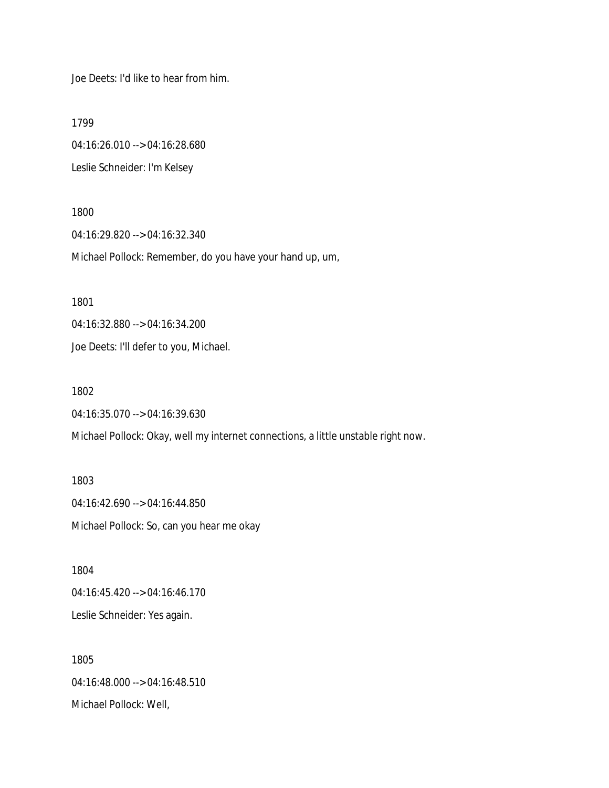Joe Deets: I'd like to hear from him.

1799

04:16:26.010 --> 04:16:28.680 Leslie Schneider: I'm Kelsey

1800

04:16:29.820 --> 04:16:32.340

Michael Pollock: Remember, do you have your hand up, um,

1801

04:16:32.880 --> 04:16:34.200

Joe Deets: I'll defer to you, Michael.

1802

04:16:35.070 --> 04:16:39.630

Michael Pollock: Okay, well my internet connections, a little unstable right now.

1803 04:16:42.690 --> 04:16:44.850 Michael Pollock: So, can you hear me okay

1804 04:16:45.420 --> 04:16:46.170 Leslie Schneider: Yes again.

1805 04:16:48.000 --> 04:16:48.510 Michael Pollock: Well,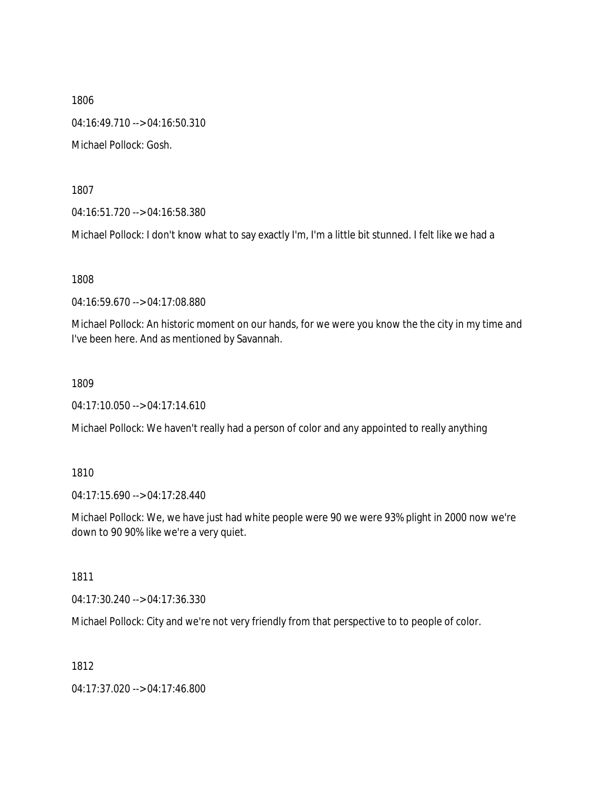1806 04:16:49.710 --> 04:16:50.310 Michael Pollock: Gosh.

1807

04:16:51.720 --> 04:16:58.380

Michael Pollock: I don't know what to say exactly I'm, I'm a little bit stunned. I felt like we had a

1808

04:16:59.670 --> 04:17:08.880

Michael Pollock: An historic moment on our hands, for we were you know the the city in my time and I've been here. And as mentioned by Savannah.

1809

04:17:10.050 --> 04:17:14.610

Michael Pollock: We haven't really had a person of color and any appointed to really anything

1810

04:17:15.690 --> 04:17:28.440

Michael Pollock: We, we have just had white people were 90 we were 93% plight in 2000 now we're down to 90 90% like we're a very quiet.

1811

04:17:30.240 --> 04:17:36.330

Michael Pollock: City and we're not very friendly from that perspective to to people of color.

1812

04:17:37.020 --> 04:17:46.800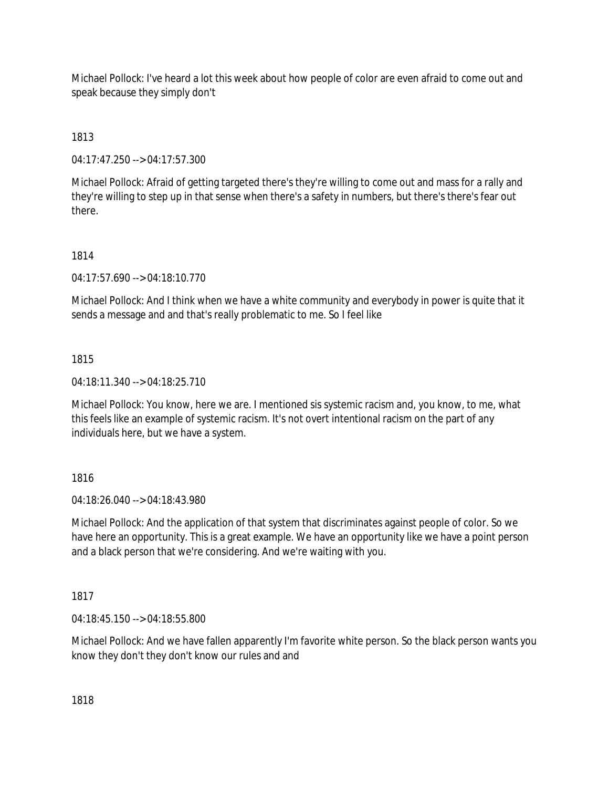Michael Pollock: I've heard a lot this week about how people of color are even afraid to come out and speak because they simply don't

1813

04:17:47.250 --> 04:17:57.300

Michael Pollock: Afraid of getting targeted there's they're willing to come out and mass for a rally and they're willing to step up in that sense when there's a safety in numbers, but there's there's fear out there.

## 1814

04:17:57.690 --> 04:18:10.770

Michael Pollock: And I think when we have a white community and everybody in power is quite that it sends a message and and that's really problematic to me. So I feel like

## 1815

04:18:11.340 --> 04:18:25.710

Michael Pollock: You know, here we are. I mentioned sis systemic racism and, you know, to me, what this feels like an example of systemic racism. It's not overt intentional racism on the part of any individuals here, but we have a system.

### 1816

04:18:26.040 --> 04:18:43.980

Michael Pollock: And the application of that system that discriminates against people of color. So we have here an opportunity. This is a great example. We have an opportunity like we have a point person and a black person that we're considering. And we're waiting with you.

1817

04:18:45.150 --> 04:18:55.800

Michael Pollock: And we have fallen apparently I'm favorite white person. So the black person wants you know they don't they don't know our rules and and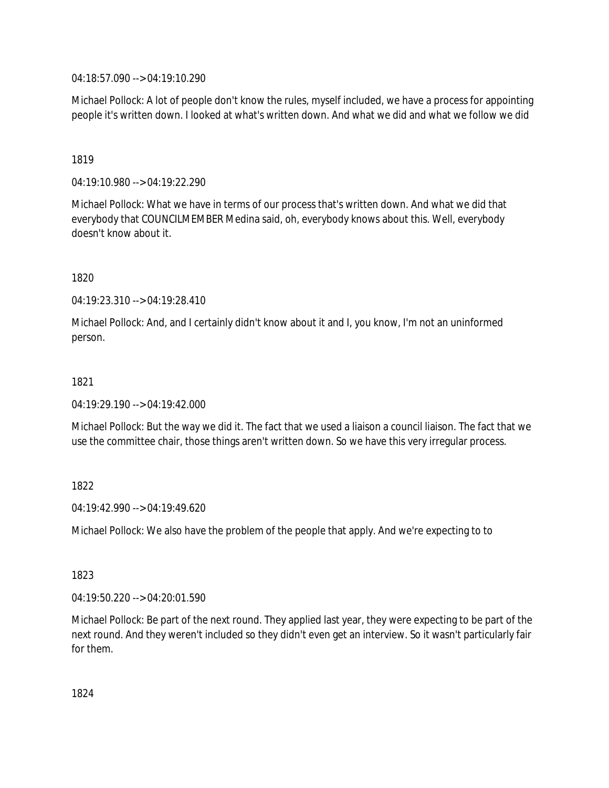04:18:57.090 --> 04:19:10.290

Michael Pollock: A lot of people don't know the rules, myself included, we have a process for appointing people it's written down. I looked at what's written down. And what we did and what we follow we did

1819

04:19:10.980 --> 04:19:22.290

Michael Pollock: What we have in terms of our process that's written down. And what we did that everybody that COUNCILMEMBER Medina said, oh, everybody knows about this. Well, everybody doesn't know about it.

1820

04:19:23.310 --> 04:19:28.410

Michael Pollock: And, and I certainly didn't know about it and I, you know, I'm not an uninformed person.

### 1821

04:19:29.190 --> 04:19:42.000

Michael Pollock: But the way we did it. The fact that we used a liaison a council liaison. The fact that we use the committee chair, those things aren't written down. So we have this very irregular process.

1822

04:19:42.990 --> 04:19:49.620

Michael Pollock: We also have the problem of the people that apply. And we're expecting to to

1823

04:19:50.220 --> 04:20:01.590

Michael Pollock: Be part of the next round. They applied last year, they were expecting to be part of the next round. And they weren't included so they didn't even get an interview. So it wasn't particularly fair for them.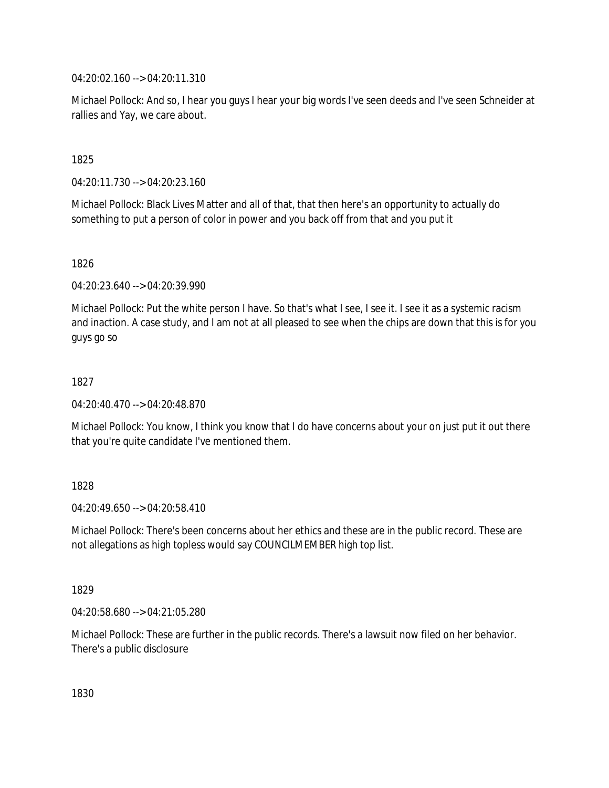04:20:02.160 --> 04:20:11.310

Michael Pollock: And so, I hear you guys I hear your big words I've seen deeds and I've seen Schneider at rallies and Yay, we care about.

1825

04:20:11.730 --> 04:20:23.160

Michael Pollock: Black Lives Matter and all of that, that then here's an opportunity to actually do something to put a person of color in power and you back off from that and you put it

1826

04:20:23.640 --> 04:20:39.990

Michael Pollock: Put the white person I have. So that's what I see, I see it. I see it as a systemic racism and inaction. A case study, and I am not at all pleased to see when the chips are down that this is for you guys go so

1827

04:20:40.470 --> 04:20:48.870

Michael Pollock: You know, I think you know that I do have concerns about your on just put it out there that you're quite candidate I've mentioned them.

1828

 $04.20.49.650 -> 04.20.58.410$ 

Michael Pollock: There's been concerns about her ethics and these are in the public record. These are not allegations as high topless would say COUNCILMEMBER high top list.

1829

04:20:58.680 --> 04:21:05.280

Michael Pollock: These are further in the public records. There's a lawsuit now filed on her behavior. There's a public disclosure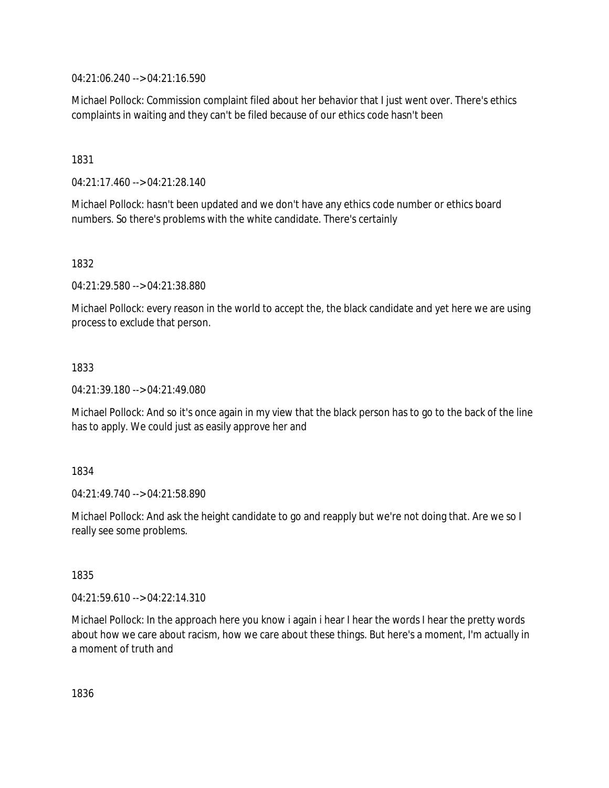04:21:06.240 --> 04:21:16.590

Michael Pollock: Commission complaint filed about her behavior that I just went over. There's ethics complaints in waiting and they can't be filed because of our ethics code hasn't been

1831

04:21:17.460 --> 04:21:28.140

Michael Pollock: hasn't been updated and we don't have any ethics code number or ethics board numbers. So there's problems with the white candidate. There's certainly

1832

04:21:29.580 --> 04:21:38.880

Michael Pollock: every reason in the world to accept the, the black candidate and yet here we are using process to exclude that person.

1833

04:21:39.180 --> 04:21:49.080

Michael Pollock: And so it's once again in my view that the black person has to go to the back of the line has to apply. We could just as easily approve her and

1834

04:21:49.740 --> 04:21:58.890

Michael Pollock: And ask the height candidate to go and reapply but we're not doing that. Are we so I really see some problems.

1835

04:21:59.610 --> 04:22:14.310

Michael Pollock: In the approach here you know i again i hear I hear the words I hear the pretty words about how we care about racism, how we care about these things. But here's a moment, I'm actually in a moment of truth and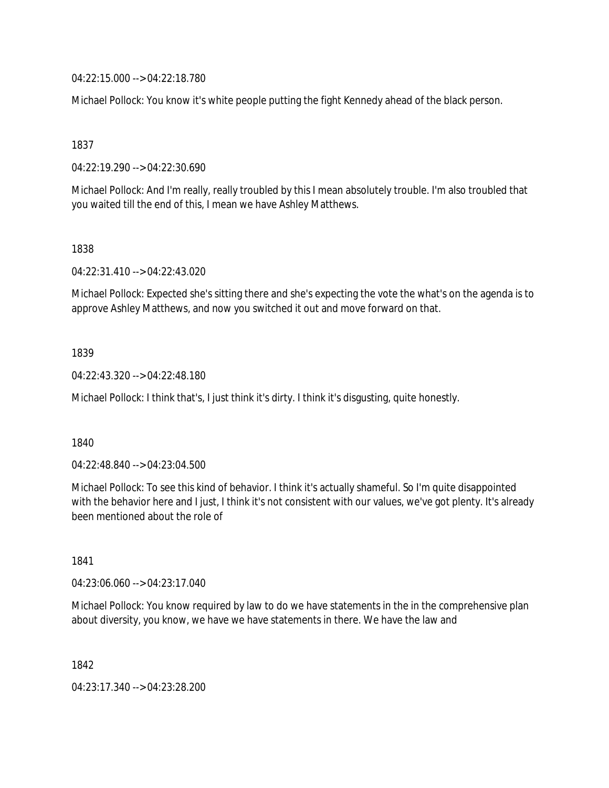04:22:15.000 --> 04:22:18.780

Michael Pollock: You know it's white people putting the fight Kennedy ahead of the black person.

1837

04:22:19.290 --> 04:22:30.690

Michael Pollock: And I'm really, really troubled by this I mean absolutely trouble. I'm also troubled that you waited till the end of this, I mean we have Ashley Matthews.

1838

04:22:31.410 --> 04:22:43.020

Michael Pollock: Expected she's sitting there and she's expecting the vote the what's on the agenda is to approve Ashley Matthews, and now you switched it out and move forward on that.

1839

04:22:43.320 --> 04:22:48.180

Michael Pollock: I think that's, I just think it's dirty. I think it's disgusting, quite honestly.

1840

04:22:48.840 --> 04:23:04.500

Michael Pollock: To see this kind of behavior. I think it's actually shameful. So I'm quite disappointed with the behavior here and I just, I think it's not consistent with our values, we've got plenty. It's already been mentioned about the role of

1841

04:23:06.060 --> 04:23:17.040

Michael Pollock: You know required by law to do we have statements in the in the comprehensive plan about diversity, you know, we have we have statements in there. We have the law and

1842

04:23:17.340 --> 04:23:28.200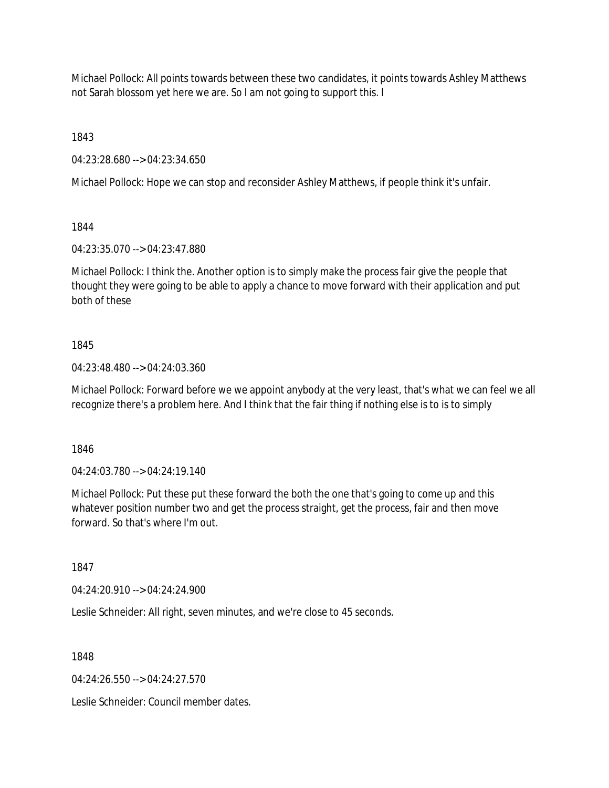Michael Pollock: All points towards between these two candidates, it points towards Ashley Matthews not Sarah blossom yet here we are. So I am not going to support this. I

1843

04:23:28.680 --> 04:23:34.650

Michael Pollock: Hope we can stop and reconsider Ashley Matthews, if people think it's unfair.

1844

04:23:35.070 --> 04:23:47.880

Michael Pollock: I think the. Another option is to simply make the process fair give the people that thought they were going to be able to apply a chance to move forward with their application and put both of these

## 1845

04:23:48.480 --> 04:24:03.360

Michael Pollock: Forward before we we appoint anybody at the very least, that's what we can feel we all recognize there's a problem here. And I think that the fair thing if nothing else is to is to simply

1846

04:24:03.780 --> 04:24:19.140

Michael Pollock: Put these put these forward the both the one that's going to come up and this whatever position number two and get the process straight, get the process, fair and then move forward. So that's where I'm out.

1847

04:24:20.910 --> 04:24:24.900

Leslie Schneider: All right, seven minutes, and we're close to 45 seconds.

1848

04:24:26.550 --> 04:24:27.570

Leslie Schneider: Council member dates.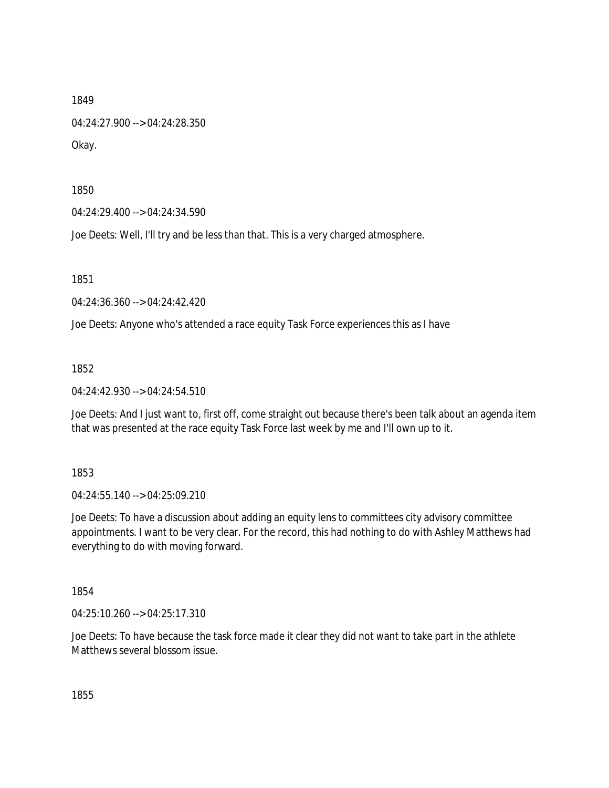04:24:27.900 --> 04:24:28.350

Okay.

1850

04:24:29.400 --> 04:24:34.590

Joe Deets: Well, I'll try and be less than that. This is a very charged atmosphere.

1851

04:24:36.360 --> 04:24:42.420

Joe Deets: Anyone who's attended a race equity Task Force experiences this as I have

1852

04:24:42.930 --> 04:24:54.510

Joe Deets: And I just want to, first off, come straight out because there's been talk about an agenda item that was presented at the race equity Task Force last week by me and I'll own up to it.

1853

04:24:55.140 --> 04:25:09.210

Joe Deets: To have a discussion about adding an equity lens to committees city advisory committee appointments. I want to be very clear. For the record, this had nothing to do with Ashley Matthews had everything to do with moving forward.

1854

04:25:10.260 --> 04:25:17.310

Joe Deets: To have because the task force made it clear they did not want to take part in the athlete Matthews several blossom issue.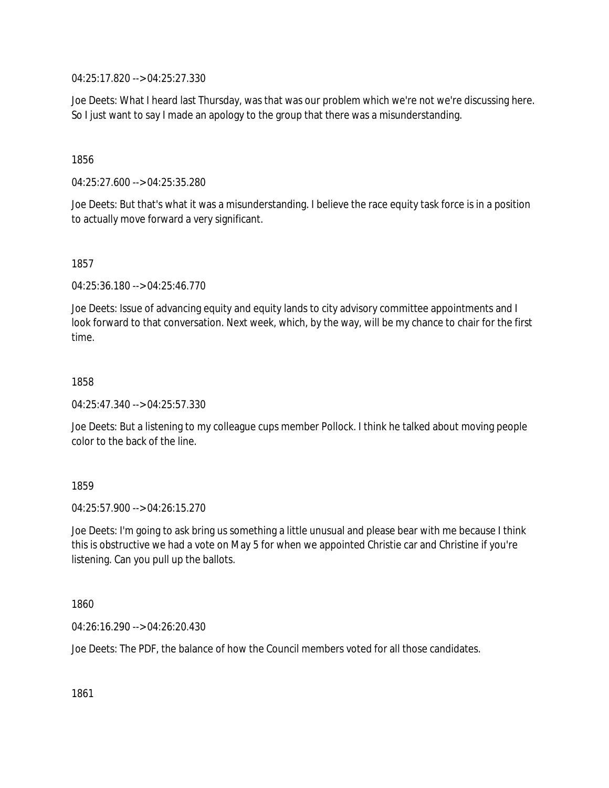04:25:17.820 --> 04:25:27.330

Joe Deets: What I heard last Thursday, was that was our problem which we're not we're discussing here. So I just want to say I made an apology to the group that there was a misunderstanding.

1856

04:25:27.600 --> 04:25:35.280

Joe Deets: But that's what it was a misunderstanding. I believe the race equity task force is in a position to actually move forward a very significant.

1857

04:25:36.180 --> 04:25:46.770

Joe Deets: Issue of advancing equity and equity lands to city advisory committee appointments and I look forward to that conversation. Next week, which, by the way, will be my chance to chair for the first time.

1858

04:25:47.340 --> 04:25:57.330

Joe Deets: But a listening to my colleague cups member Pollock. I think he talked about moving people color to the back of the line.

1859

 $04.25:57.900 -> 04.26:15.270$ 

Joe Deets: I'm going to ask bring us something a little unusual and please bear with me because I think this is obstructive we had a vote on May 5 for when we appointed Christie car and Christine if you're listening. Can you pull up the ballots.

1860

04:26:16.290 --> 04:26:20.430

Joe Deets: The PDF, the balance of how the Council members voted for all those candidates.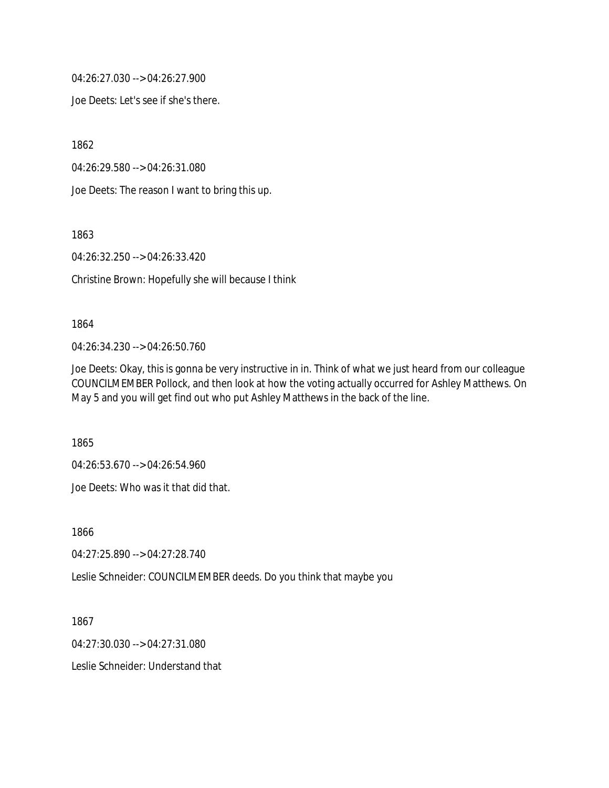04:26:27.030 --> 04:26:27.900

Joe Deets: Let's see if she's there.

1862

04:26:29.580 --> 04:26:31.080

Joe Deets: The reason I want to bring this up.

1863

04:26:32.250 --> 04:26:33.420

Christine Brown: Hopefully she will because I think

#### 1864

04:26:34.230 --> 04:26:50.760

Joe Deets: Okay, this is gonna be very instructive in in. Think of what we just heard from our colleague COUNCILMEMBER Pollock, and then look at how the voting actually occurred for Ashley Matthews. On May 5 and you will get find out who put Ashley Matthews in the back of the line.

1865

04:26:53.670 --> 04:26:54.960

Joe Deets: Who was it that did that.

1866

04:27:25.890 --> 04:27:28.740

Leslie Schneider: COUNCILMEMBER deeds. Do you think that maybe you

1867

04:27:30.030 --> 04:27:31.080

Leslie Schneider: Understand that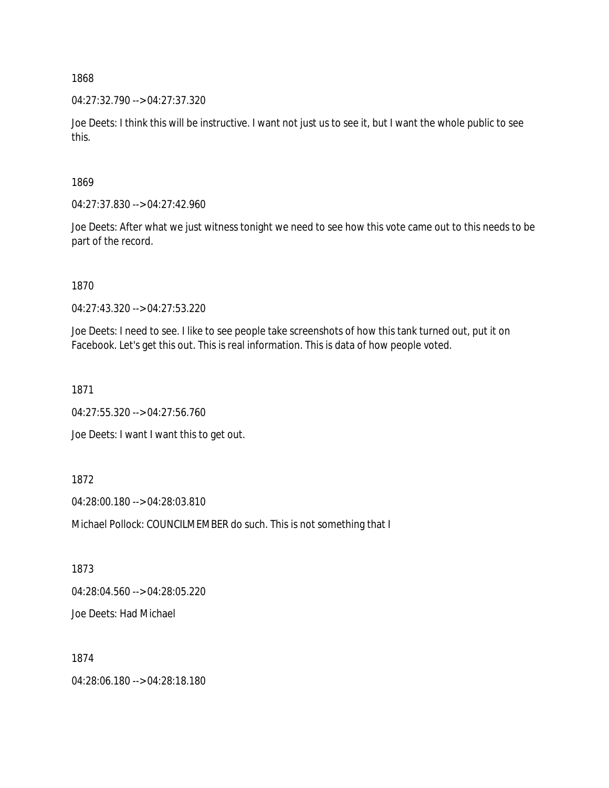04:27:32.790 --> 04:27:37.320

Joe Deets: I think this will be instructive. I want not just us to see it, but I want the whole public to see this.

1869

04:27:37.830 --> 04:27:42.960

Joe Deets: After what we just witness tonight we need to see how this vote came out to this needs to be part of the record.

1870

04:27:43.320 --> 04:27:53.220

Joe Deets: I need to see. I like to see people take screenshots of how this tank turned out, put it on Facebook. Let's get this out. This is real information. This is data of how people voted.

1871

04:27:55.320 --> 04:27:56.760

Joe Deets: I want I want this to get out.

1872

04:28:00.180 --> 04:28:03.810

Michael Pollock: COUNCILMEMBER do such. This is not something that I

1873

04:28:04.560 --> 04:28:05.220

Joe Deets: Had Michael

1874

04:28:06.180 --> 04:28:18.180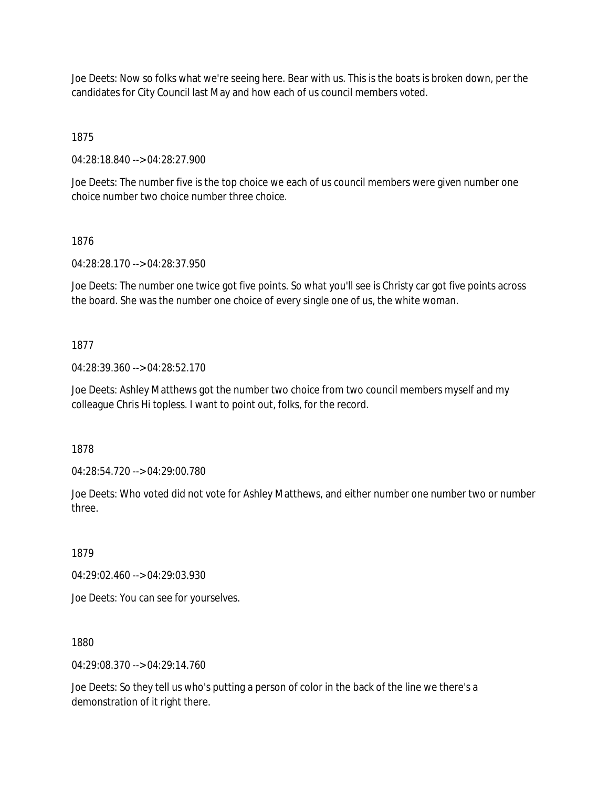Joe Deets: Now so folks what we're seeing here. Bear with us. This is the boats is broken down, per the candidates for City Council last May and how each of us council members voted.

1875

04:28:18.840 --> 04:28:27.900

Joe Deets: The number five is the top choice we each of us council members were given number one choice number two choice number three choice.

#### 1876

04:28:28.170 --> 04:28:37.950

Joe Deets: The number one twice got five points. So what you'll see is Christy car got five points across the board. She was the number one choice of every single one of us, the white woman.

### 1877

04:28:39.360 --> 04:28:52.170

Joe Deets: Ashley Matthews got the number two choice from two council members myself and my colleague Chris Hi topless. I want to point out, folks, for the record.

1878

04:28:54.720 --> 04:29:00.780

Joe Deets: Who voted did not vote for Ashley Matthews, and either number one number two or number three.

1879

04:29:02.460 --> 04:29:03.930

Joe Deets: You can see for yourselves.

1880

04:29:08.370 --> 04:29:14.760

Joe Deets: So they tell us who's putting a person of color in the back of the line we there's a demonstration of it right there.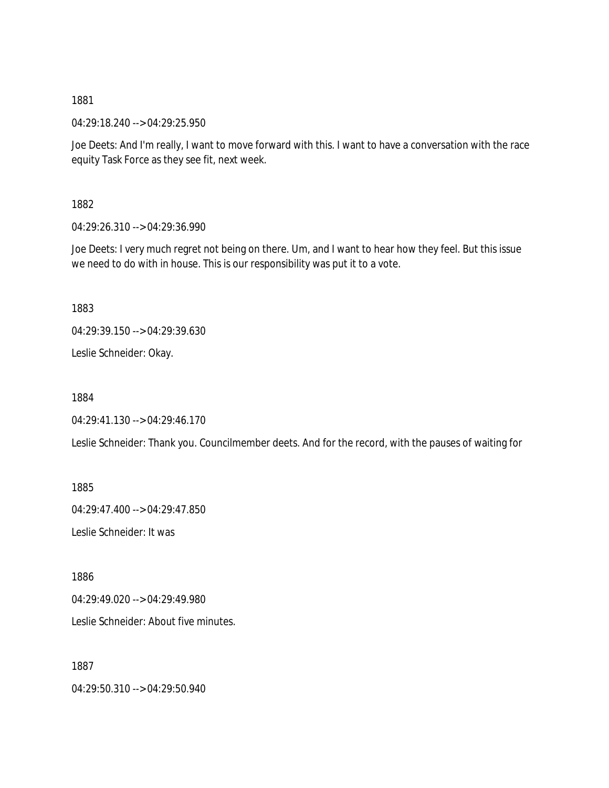04:29:18.240 --> 04:29:25.950

Joe Deets: And I'm really, I want to move forward with this. I want to have a conversation with the race equity Task Force as they see fit, next week.

1882

04:29:26.310 --> 04:29:36.990

Joe Deets: I very much regret not being on there. Um, and I want to hear how they feel. But this issue we need to do with in house. This is our responsibility was put it to a vote.

1883

04:29:39.150 --> 04:29:39.630

Leslie Schneider: Okay.

1884

04:29:41.130 --> 04:29:46.170

Leslie Schneider: Thank you. Councilmember deets. And for the record, with the pauses of waiting for

1885

04:29:47.400 --> 04:29:47.850

Leslie Schneider: It was

1886

 $04.29.49.020 - 04.29.49.980$ 

Leslie Schneider: About five minutes.

1887

04:29:50.310 --> 04:29:50.940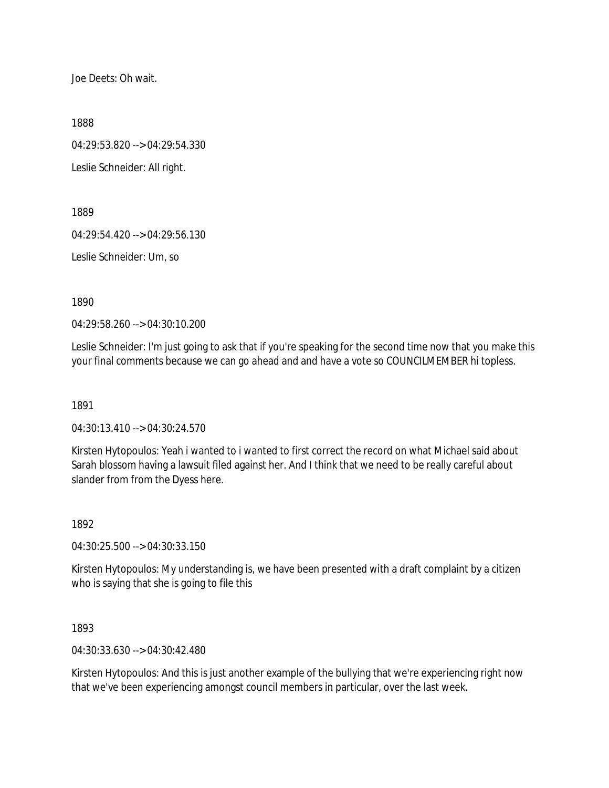Joe Deets: Oh wait.

1888

04:29:53.820 --> 04:29:54.330

Leslie Schneider: All right.

1889

04:29:54.420 --> 04:29:56.130

Leslie Schneider: Um, so

1890

04:29:58.260 --> 04:30:10.200

Leslie Schneider: I'm just going to ask that if you're speaking for the second time now that you make this your final comments because we can go ahead and and have a vote so COUNCILMEMBER hi topless.

1891

04:30:13.410 --> 04:30:24.570

Kirsten Hytopoulos: Yeah i wanted to i wanted to first correct the record on what Michael said about Sarah blossom having a lawsuit filed against her. And I think that we need to be really careful about slander from from the Dyess here.

1892

04:30:25.500 --> 04:30:33.150

Kirsten Hytopoulos: My understanding is, we have been presented with a draft complaint by a citizen who is saying that she is going to file this

1893

04:30:33.630 --> 04:30:42.480

Kirsten Hytopoulos: And this is just another example of the bullying that we're experiencing right now that we've been experiencing amongst council members in particular, over the last week.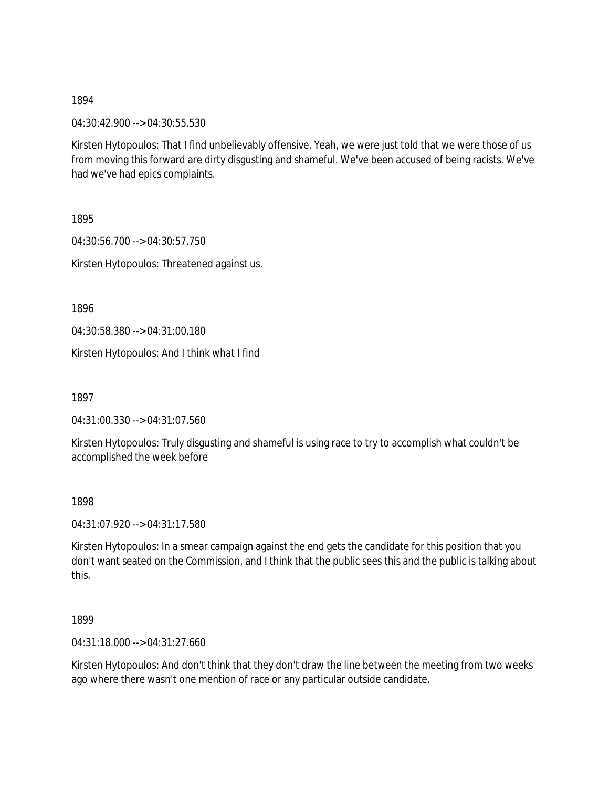04:30:42.900 --> 04:30:55.530

Kirsten Hytopoulos: That I find unbelievably offensive. Yeah, we were just told that we were those of us from moving this forward are dirty disgusting and shameful. We've been accused of being racists. We've had we've had epics complaints.

1895

04:30:56.700 --> 04:30:57.750 Kirsten Hytopoulos: Threatened against us.

1896

04:30:58.380 --> 04:31:00.180

Kirsten Hytopoulos: And I think what I find

1897

04:31:00.330 --> 04:31:07.560

Kirsten Hytopoulos: Truly disgusting and shameful is using race to try to accomplish what couldn't be accomplished the week before

1898

04:31:07.920 --> 04:31:17.580

Kirsten Hytopoulos: In a smear campaign against the end gets the candidate for this position that you don't want seated on the Commission, and I think that the public sees this and the public is talking about this.

1899

04:31:18.000 --> 04:31:27.660

Kirsten Hytopoulos: And don't think that they don't draw the line between the meeting from two weeks ago where there wasn't one mention of race or any particular outside candidate.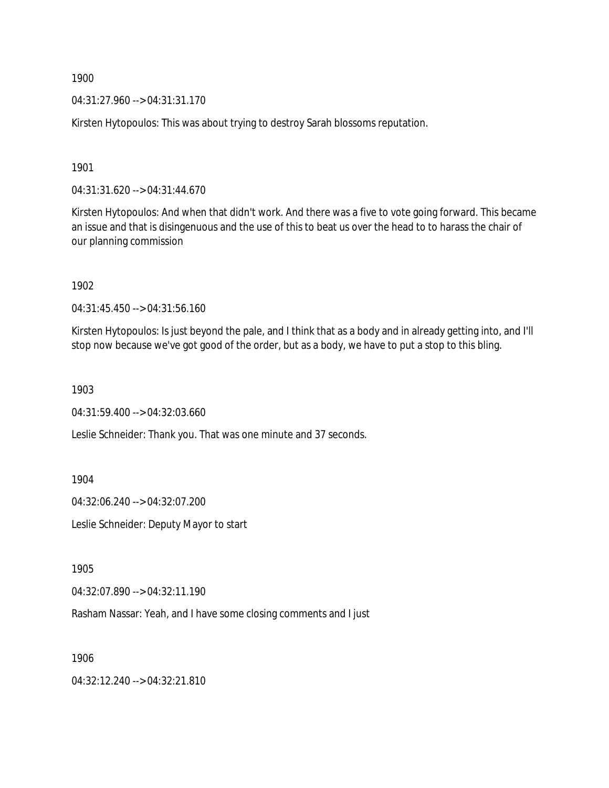04:31:27.960 --> 04:31:31.170

Kirsten Hytopoulos: This was about trying to destroy Sarah blossoms reputation.

1901

04:31:31.620 --> 04:31:44.670

Kirsten Hytopoulos: And when that didn't work. And there was a five to vote going forward. This became an issue and that is disingenuous and the use of this to beat us over the head to to harass the chair of our planning commission

1902

04:31:45.450 --> 04:31:56.160

Kirsten Hytopoulos: Is just beyond the pale, and I think that as a body and in already getting into, and I'll stop now because we've got good of the order, but as a body, we have to put a stop to this bling.

1903

04:31:59.400 --> 04:32:03.660

Leslie Schneider: Thank you. That was one minute and 37 seconds.

1904

04:32:06.240 --> 04:32:07.200

Leslie Schneider: Deputy Mayor to start

1905

04:32:07.890 --> 04:32:11.190

Rasham Nassar: Yeah, and I have some closing comments and I just

1906

04:32:12.240 --> 04:32:21.810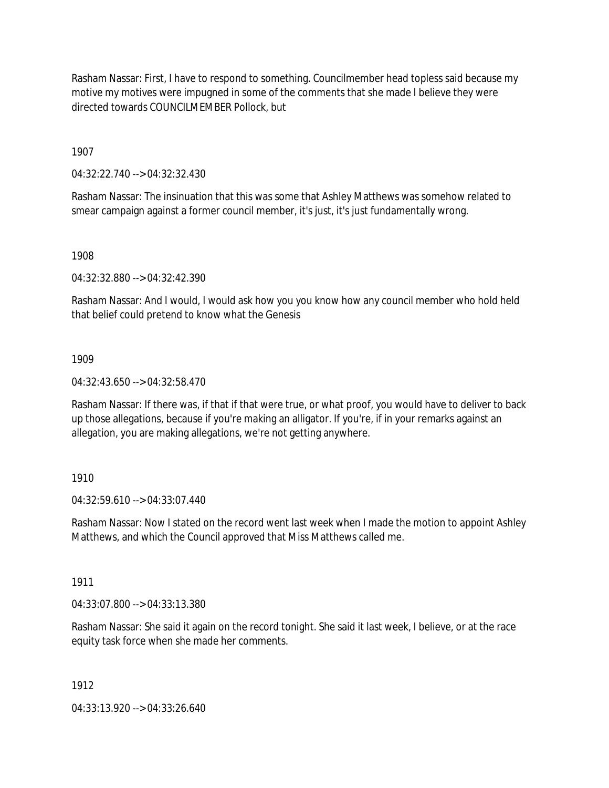Rasham Nassar: First, I have to respond to something. Councilmember head topless said because my motive my motives were impugned in some of the comments that she made I believe they were directed towards COUNCILMEMBER Pollock, but

1907

04:32:22.740 --> 04:32:32.430

Rasham Nassar: The insinuation that this was some that Ashley Matthews was somehow related to smear campaign against a former council member, it's just, it's just fundamentally wrong.

1908

04:32:32.880 --> 04:32:42.390

Rasham Nassar: And I would, I would ask how you you know how any council member who hold held that belief could pretend to know what the Genesis

1909

04:32:43.650 --> 04:32:58.470

Rasham Nassar: If there was, if that if that were true, or what proof, you would have to deliver to back up those allegations, because if you're making an alligator. If you're, if in your remarks against an allegation, you are making allegations, we're not getting anywhere.

### 1910

04:32:59.610 --> 04:33:07.440

Rasham Nassar: Now I stated on the record went last week when I made the motion to appoint Ashley Matthews, and which the Council approved that Miss Matthews called me.

1911

04:33:07.800 --> 04:33:13.380

Rasham Nassar: She said it again on the record tonight. She said it last week, I believe, or at the race equity task force when she made her comments.

1912

04:33:13.920 --> 04:33:26.640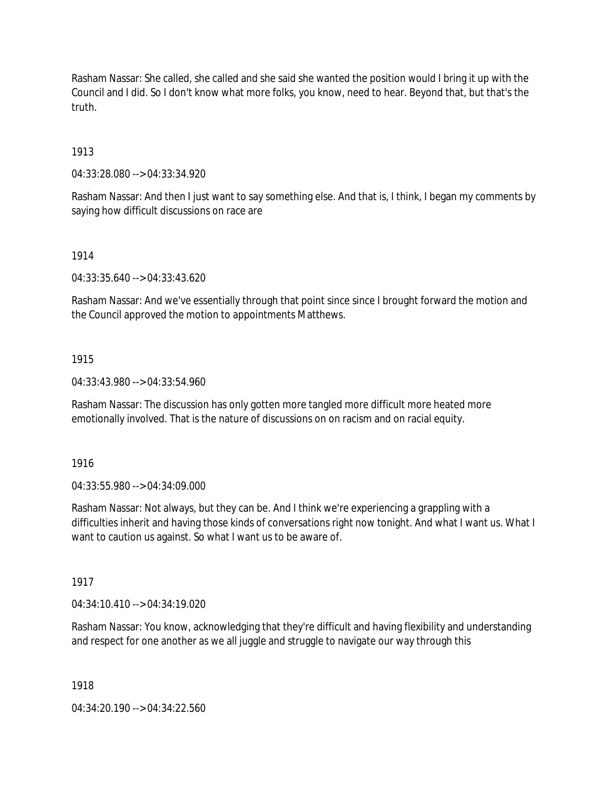Rasham Nassar: She called, she called and she said she wanted the position would I bring it up with the Council and I did. So I don't know what more folks, you know, need to hear. Beyond that, but that's the truth.

1913

04:33:28.080 --> 04:33:34.920

Rasham Nassar: And then I just want to say something else. And that is, I think, I began my comments by saying how difficult discussions on race are

1914

04:33:35.640 --> 04:33:43.620

Rasham Nassar: And we've essentially through that point since since I brought forward the motion and the Council approved the motion to appointments Matthews.

1915

04:33:43.980 --> 04:33:54.960

Rasham Nassar: The discussion has only gotten more tangled more difficult more heated more emotionally involved. That is the nature of discussions on on racism and on racial equity.

1916

04:33:55.980 --> 04:34:09.000

Rasham Nassar: Not always, but they can be. And I think we're experiencing a grappling with a difficulties inherit and having those kinds of conversations right now tonight. And what I want us. What I want to caution us against. So what I want us to be aware of.

1917

04:34:10.410 --> 04:34:19.020

Rasham Nassar: You know, acknowledging that they're difficult and having flexibility and understanding and respect for one another as we all juggle and struggle to navigate our way through this

1918

04:34:20.190 --> 04:34:22.560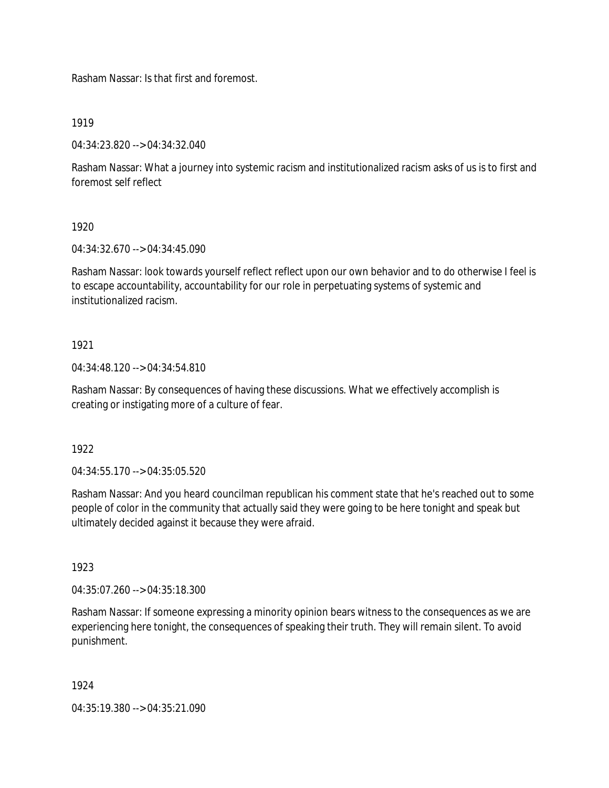Rasham Nassar: Is that first and foremost.

1919

04:34:23.820 --> 04:34:32.040

Rasham Nassar: What a journey into systemic racism and institutionalized racism asks of us is to first and foremost self reflect

1920

04:34:32.670 --> 04:34:45.090

Rasham Nassar: look towards yourself reflect reflect upon our own behavior and to do otherwise I feel is to escape accountability, accountability for our role in perpetuating systems of systemic and institutionalized racism.

## 1921

04:34:48.120 --> 04:34:54.810

Rasham Nassar: By consequences of having these discussions. What we effectively accomplish is creating or instigating more of a culture of fear.

1922

04:34:55.170 --> 04:35:05.520

Rasham Nassar: And you heard councilman republican his comment state that he's reached out to some people of color in the community that actually said they were going to be here tonight and speak but ultimately decided against it because they were afraid.

1923

04:35:07.260 --> 04:35:18.300

Rasham Nassar: If someone expressing a minority opinion bears witness to the consequences as we are experiencing here tonight, the consequences of speaking their truth. They will remain silent. To avoid punishment.

1924

04:35:19.380 --> 04:35:21.090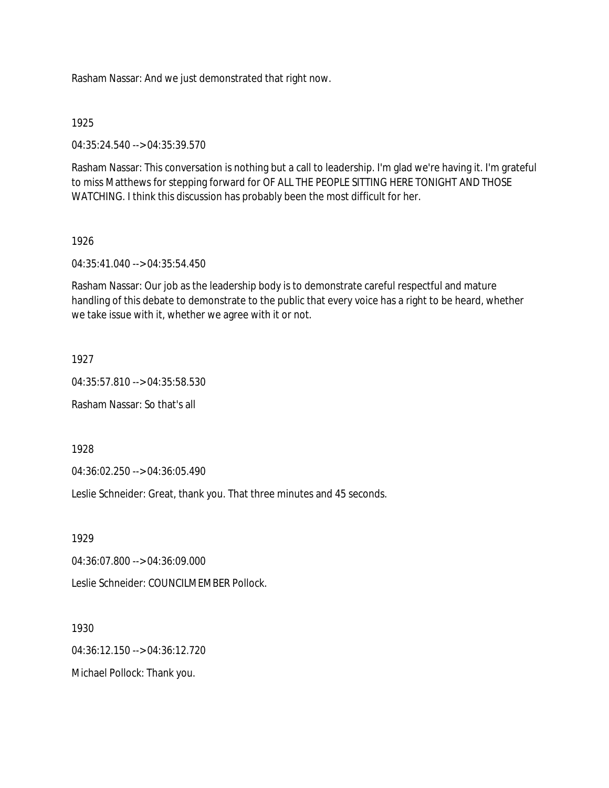Rasham Nassar: And we just demonstrated that right now.

#### 1925

04:35:24.540 --> 04:35:39.570

Rasham Nassar: This conversation is nothing but a call to leadership. I'm glad we're having it. I'm grateful to miss Matthews for stepping forward for OF ALL THE PEOPLE SITTING HERE TONIGHT AND THOSE WATCHING. I think this discussion has probably been the most difficult for her.

#### 1926

04:35:41.040 --> 04:35:54.450

Rasham Nassar: Our job as the leadership body is to demonstrate careful respectful and mature handling of this debate to demonstrate to the public that every voice has a right to be heard, whether we take issue with it, whether we agree with it or not.

#### 1927

04:35:57.810 --> 04:35:58.530

Rasham Nassar: So that's all

1928

04:36:02.250 --> 04:36:05.490

Leslie Schneider: Great, thank you. That three minutes and 45 seconds.

1929

04:36:07.800 --> 04:36:09.000

Leslie Schneider: COUNCILMEMBER Pollock.

1930

04:36:12.150 --> 04:36:12.720

Michael Pollock: Thank you.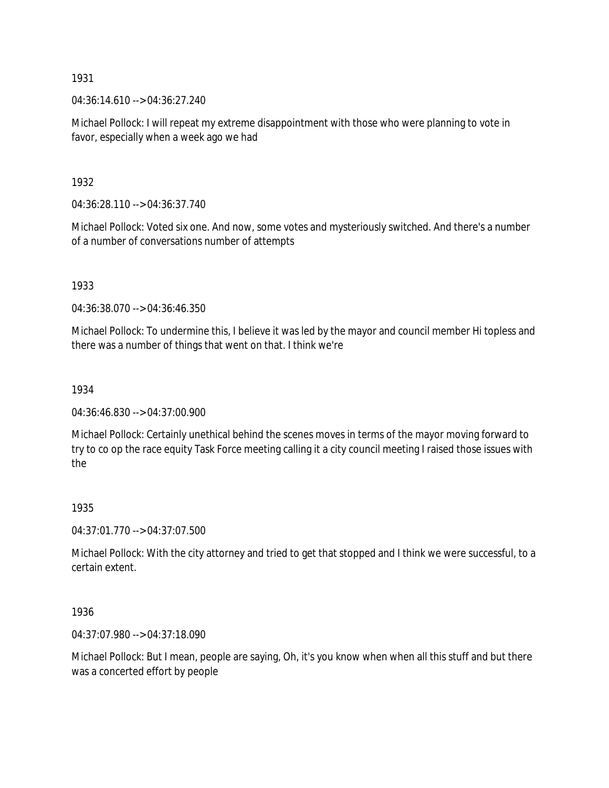04:36:14.610 --> 04:36:27.240

Michael Pollock: I will repeat my extreme disappointment with those who were planning to vote in favor, especially when a week ago we had

1932

04:36:28.110 --> 04:36:37.740

Michael Pollock: Voted six one. And now, some votes and mysteriously switched. And there's a number of a number of conversations number of attempts

1933

04:36:38.070 --> 04:36:46.350

Michael Pollock: To undermine this, I believe it was led by the mayor and council member Hi topless and there was a number of things that went on that. I think we're

1934

04:36:46.830 --> 04:37:00.900

Michael Pollock: Certainly unethical behind the scenes moves in terms of the mayor moving forward to try to co op the race equity Task Force meeting calling it a city council meeting I raised those issues with the

### 1935

04:37:01.770 --> 04:37:07.500

Michael Pollock: With the city attorney and tried to get that stopped and I think we were successful, to a certain extent.

1936

04:37:07.980 --> 04:37:18.090

Michael Pollock: But I mean, people are saying, Oh, it's you know when when all this stuff and but there was a concerted effort by people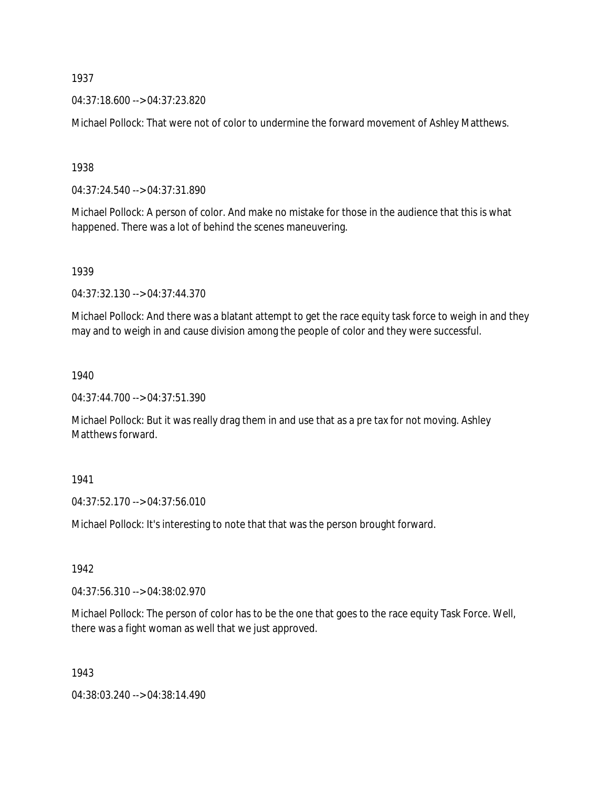04:37:18.600 --> 04:37:23.820

Michael Pollock: That were not of color to undermine the forward movement of Ashley Matthews.

1938

04:37:24.540 --> 04:37:31.890

Michael Pollock: A person of color. And make no mistake for those in the audience that this is what happened. There was a lot of behind the scenes maneuvering.

1939

04:37:32.130 --> 04:37:44.370

Michael Pollock: And there was a blatant attempt to get the race equity task force to weigh in and they may and to weigh in and cause division among the people of color and they were successful.

1940

04:37:44.700 --> 04:37:51.390

Michael Pollock: But it was really drag them in and use that as a pre tax for not moving. Ashley Matthews forward.

1941

04:37:52.170 --> 04:37:56.010

Michael Pollock: It's interesting to note that that was the person brought forward.

1942

04:37:56.310 --> 04:38:02.970

Michael Pollock: The person of color has to be the one that goes to the race equity Task Force. Well, there was a fight woman as well that we just approved.

1943

04:38:03.240 --> 04:38:14.490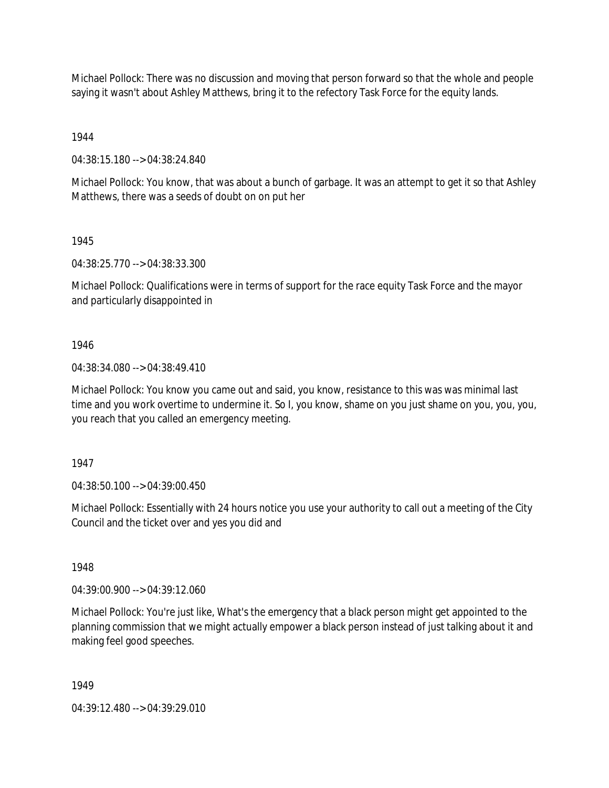Michael Pollock: There was no discussion and moving that person forward so that the whole and people saying it wasn't about Ashley Matthews, bring it to the refectory Task Force for the equity lands.

1944

04:38:15.180 --> 04:38:24.840

Michael Pollock: You know, that was about a bunch of garbage. It was an attempt to get it so that Ashley Matthews, there was a seeds of doubt on on put her

1945

04:38:25.770 --> 04:38:33.300

Michael Pollock: Qualifications were in terms of support for the race equity Task Force and the mayor and particularly disappointed in

1946

04:38:34.080 --> 04:38:49.410

Michael Pollock: You know you came out and said, you know, resistance to this was was minimal last time and you work overtime to undermine it. So I, you know, shame on you just shame on you, you, you, you reach that you called an emergency meeting.

1947

04:38:50.100 --> 04:39:00.450

Michael Pollock: Essentially with 24 hours notice you use your authority to call out a meeting of the City Council and the ticket over and yes you did and

1948

04:39:00.900 --> 04:39:12.060

Michael Pollock: You're just like, What's the emergency that a black person might get appointed to the planning commission that we might actually empower a black person instead of just talking about it and making feel good speeches.

1949

04:39:12.480 --> 04:39:29.010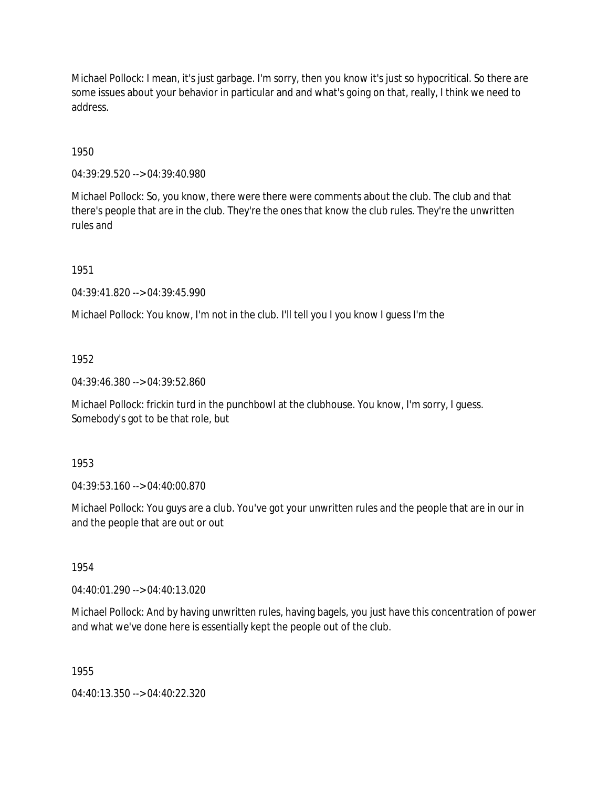Michael Pollock: I mean, it's just garbage. I'm sorry, then you know it's just so hypocritical. So there are some issues about your behavior in particular and and what's going on that, really, I think we need to address.

1950

04:39:29.520 --> 04:39:40.980

Michael Pollock: So, you know, there were there were comments about the club. The club and that there's people that are in the club. They're the ones that know the club rules. They're the unwritten rules and

1951

04:39:41.820 --> 04:39:45.990

Michael Pollock: You know, I'm not in the club. I'll tell you I you know I guess I'm the

1952

04:39:46.380 --> 04:39:52.860

Michael Pollock: frickin turd in the punchbowl at the clubhouse. You know, I'm sorry, I guess. Somebody's got to be that role, but

1953

04:39:53.160 --> 04:40:00.870

Michael Pollock: You guys are a club. You've got your unwritten rules and the people that are in our in and the people that are out or out

1954

04:40:01.290 --> 04:40:13.020

Michael Pollock: And by having unwritten rules, having bagels, you just have this concentration of power and what we've done here is essentially kept the people out of the club.

1955

04:40:13.350 --> 04:40:22.320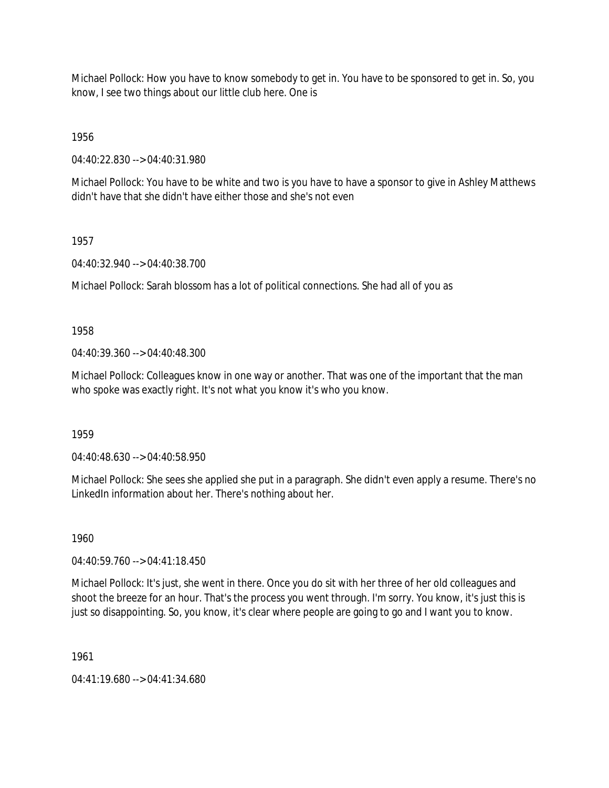Michael Pollock: How you have to know somebody to get in. You have to be sponsored to get in. So, you know, I see two things about our little club here. One is

1956

04:40:22.830 --> 04:40:31.980

Michael Pollock: You have to be white and two is you have to have a sponsor to give in Ashley Matthews didn't have that she didn't have either those and she's not even

1957

04:40:32.940 --> 04:40:38.700

Michael Pollock: Sarah blossom has a lot of political connections. She had all of you as

1958

04:40:39.360 --> 04:40:48.300

Michael Pollock: Colleagues know in one way or another. That was one of the important that the man who spoke was exactly right. It's not what you know it's who you know.

1959

04:40:48.630 --> 04:40:58.950

Michael Pollock: She sees she applied she put in a paragraph. She didn't even apply a resume. There's no LinkedIn information about her. There's nothing about her.

1960

04:40:59.760 --> 04:41:18.450

Michael Pollock: It's just, she went in there. Once you do sit with her three of her old colleagues and shoot the breeze for an hour. That's the process you went through. I'm sorry. You know, it's just this is just so disappointing. So, you know, it's clear where people are going to go and I want you to know.

1961

04:41:19.680 --> 04:41:34.680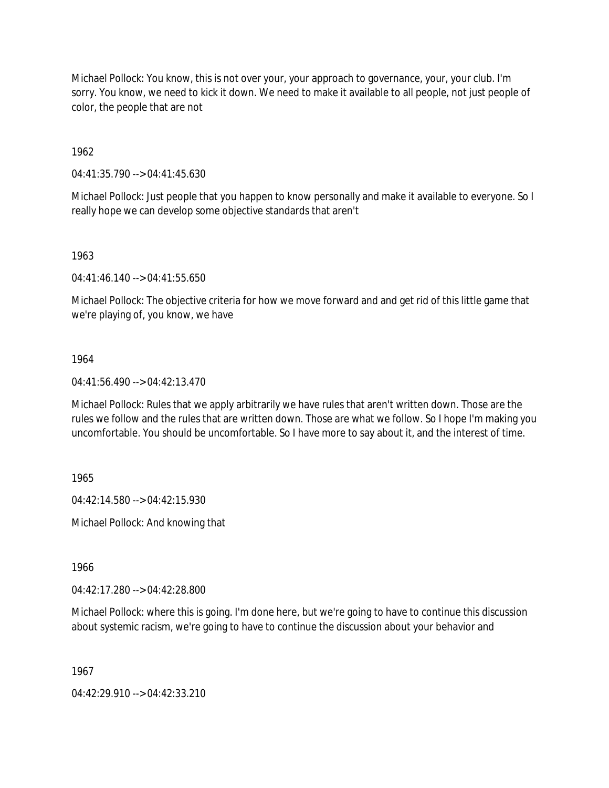Michael Pollock: You know, this is not over your, your approach to governance, your, your club. I'm sorry. You know, we need to kick it down. We need to make it available to all people, not just people of color, the people that are not

1962

04:41:35.790 --> 04:41:45.630

Michael Pollock: Just people that you happen to know personally and make it available to everyone. So I really hope we can develop some objective standards that aren't

1963

04:41:46.140 --> 04:41:55.650

Michael Pollock: The objective criteria for how we move forward and and get rid of this little game that we're playing of, you know, we have

### 1964

04:41:56.490 --> 04:42:13.470

Michael Pollock: Rules that we apply arbitrarily we have rules that aren't written down. Those are the rules we follow and the rules that are written down. Those are what we follow. So I hope I'm making you uncomfortable. You should be uncomfortable. So I have more to say about it, and the interest of time.

1965

04:42:14.580 --> 04:42:15.930

Michael Pollock: And knowing that

1966

04:42:17.280 --> 04:42:28.800

Michael Pollock: where this is going. I'm done here, but we're going to have to continue this discussion about systemic racism, we're going to have to continue the discussion about your behavior and

1967

04:42:29.910 --> 04:42:33.210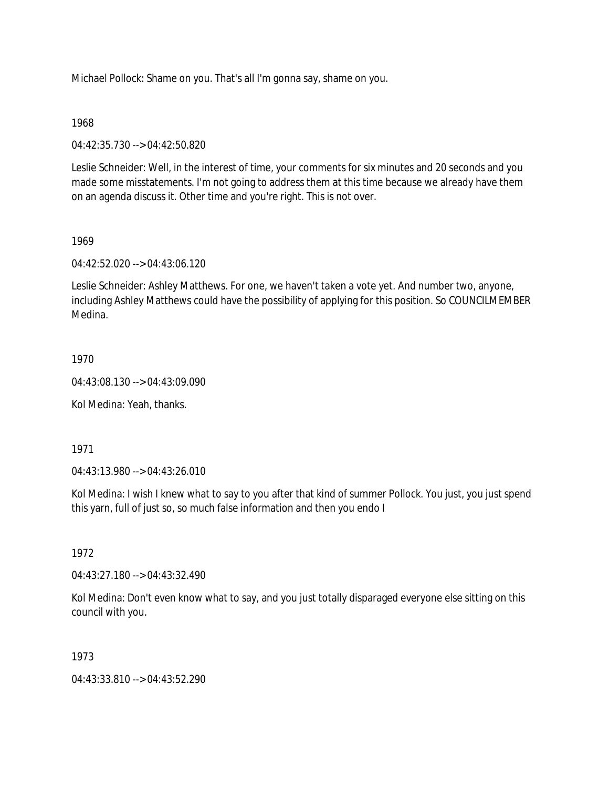Michael Pollock: Shame on you. That's all I'm gonna say, shame on you.

### 1968

04:42:35.730 --> 04:42:50.820

Leslie Schneider: Well, in the interest of time, your comments for six minutes and 20 seconds and you made some misstatements. I'm not going to address them at this time because we already have them on an agenda discuss it. Other time and you're right. This is not over.

## 1969

04:42:52.020 --> 04:43:06.120

Leslie Schneider: Ashley Matthews. For one, we haven't taken a vote yet. And number two, anyone, including Ashley Matthews could have the possibility of applying for this position. So COUNCILMEMBER Medina.

## 1970

04:43:08.130 --> 04:43:09.090

Kol Medina: Yeah, thanks.

1971

04:43:13.980 --> 04:43:26.010

Kol Medina: I wish I knew what to say to you after that kind of summer Pollock. You just, you just spend this yarn, full of just so, so much false information and then you endo I

### 1972

04:43:27.180 --> 04:43:32.490

Kol Medina: Don't even know what to say, and you just totally disparaged everyone else sitting on this council with you.

# 1973

04:43:33.810 --> 04:43:52.290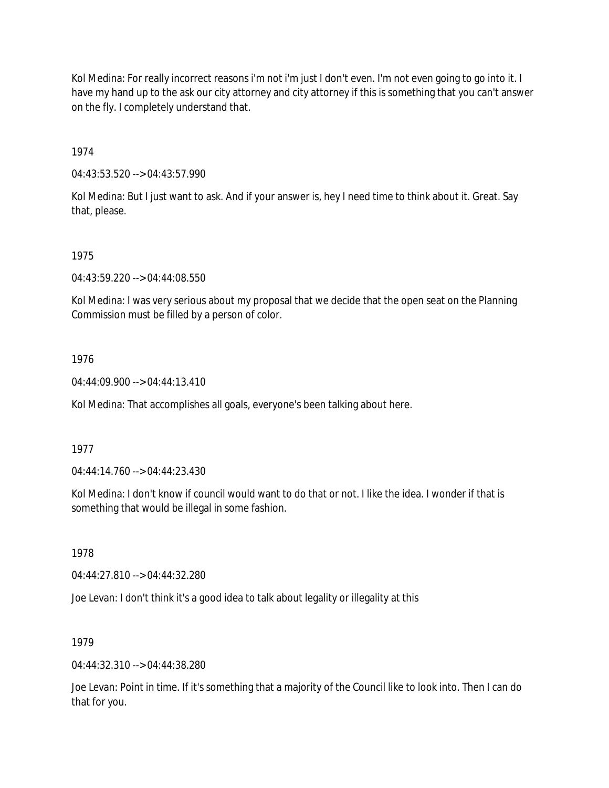Kol Medina: For really incorrect reasons i'm not i'm just I don't even. I'm not even going to go into it. I have my hand up to the ask our city attorney and city attorney if this is something that you can't answer on the fly. I completely understand that.

1974

04:43:53.520 --> 04:43:57.990

Kol Medina: But I just want to ask. And if your answer is, hey I need time to think about it. Great. Say that, please.

### 1975

04:43:59.220 --> 04:44:08.550

Kol Medina: I was very serious about my proposal that we decide that the open seat on the Planning Commission must be filled by a person of color.

### 1976

04:44:09.900 --> 04:44:13.410

Kol Medina: That accomplishes all goals, everyone's been talking about here.

### 1977

04:44:14.760 --> 04:44:23.430

Kol Medina: I don't know if council would want to do that or not. I like the idea. I wonder if that is something that would be illegal in some fashion.

### 1978

04:44:27.810 --> 04:44:32.280

Joe Levan: I don't think it's a good idea to talk about legality or illegality at this

### 1979

04:44:32.310 --> 04:44:38.280

Joe Levan: Point in time. If it's something that a majority of the Council like to look into. Then I can do that for you.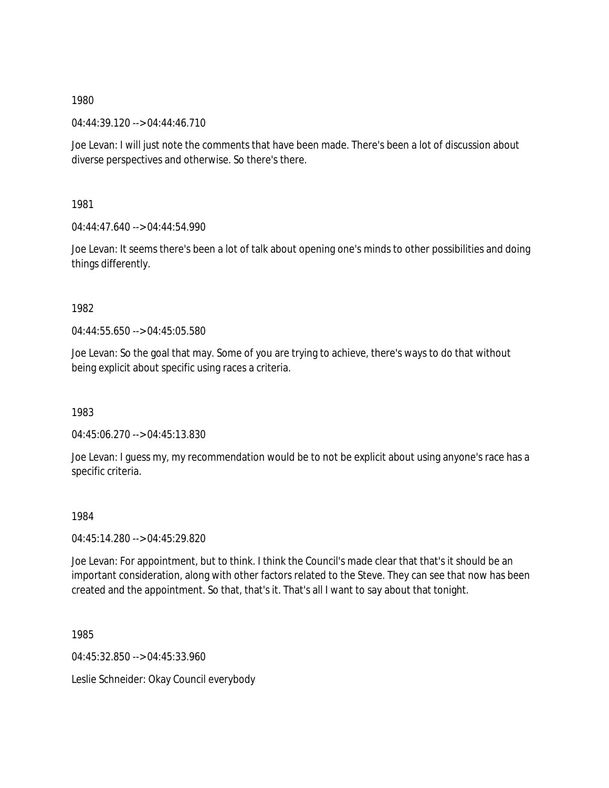04:44:39.120 --> 04:44:46.710

Joe Levan: I will just note the comments that have been made. There's been a lot of discussion about diverse perspectives and otherwise. So there's there.

1981

 $04:44:47.640 \rightarrow 04:44:54.990$ 

Joe Levan: It seems there's been a lot of talk about opening one's minds to other possibilities and doing things differently.

1982

04:44:55.650 --> 04:45:05.580

Joe Levan: So the goal that may. Some of you are trying to achieve, there's ways to do that without being explicit about specific using races a criteria.

1983

04:45:06.270 --> 04:45:13.830

Joe Levan: I guess my, my recommendation would be to not be explicit about using anyone's race has a specific criteria.

1984

04:45:14.280 --> 04:45:29.820

Joe Levan: For appointment, but to think. I think the Council's made clear that that's it should be an important consideration, along with other factors related to the Steve. They can see that now has been created and the appointment. So that, that's it. That's all I want to say about that tonight.

1985

04:45:32.850 --> 04:45:33.960

Leslie Schneider: Okay Council everybody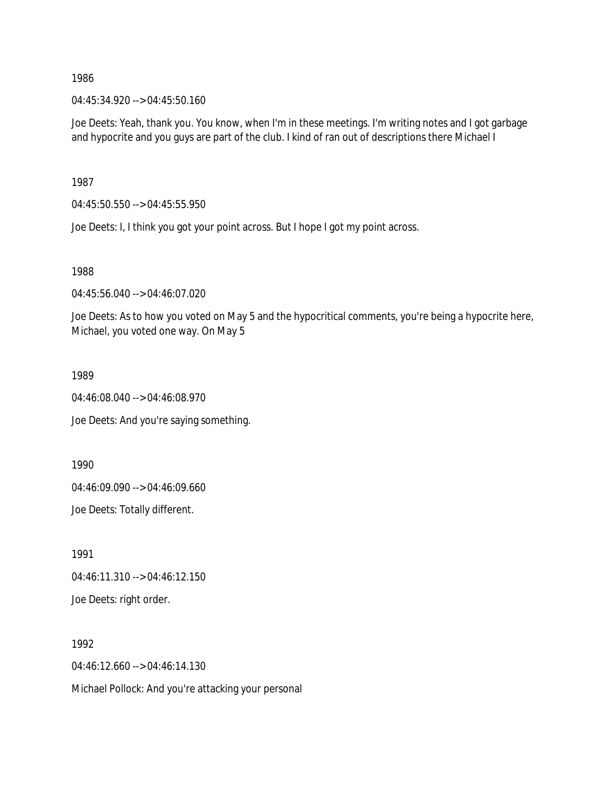04:45:34.920 --> 04:45:50.160

Joe Deets: Yeah, thank you. You know, when I'm in these meetings. I'm writing notes and I got garbage and hypocrite and you guys are part of the club. I kind of ran out of descriptions there Michael I

1987

04:45:50.550 --> 04:45:55.950

Joe Deets: I, I think you got your point across. But I hope I got my point across.

1988

04:45:56.040 --> 04:46:07.020

Joe Deets: As to how you voted on May 5 and the hypocritical comments, you're being a hypocrite here, Michael, you voted one way. On May 5

1989

04:46:08.040 --> 04:46:08.970

Joe Deets: And you're saying something.

1990

04:46:09.090 --> 04:46:09.660

Joe Deets: Totally different.

1991

04:46:11.310 --> 04:46:12.150

Joe Deets: right order.

1992

04:46:12.660 --> 04:46:14.130

Michael Pollock: And you're attacking your personal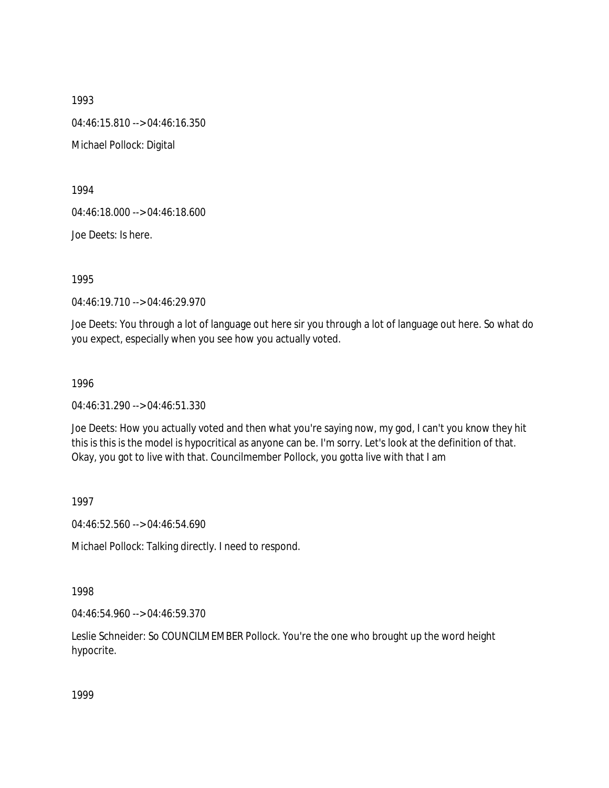1993 04:46:15.810 --> 04:46:16.350 Michael Pollock: Digital

1994

04:46:18.000 --> 04:46:18.600

Joe Deets: Is here.

1995

04:46:19.710 --> 04:46:29.970

Joe Deets: You through a lot of language out here sir you through a lot of language out here. So what do you expect, especially when you see how you actually voted.

1996

04:46:31.290 --> 04:46:51.330

Joe Deets: How you actually voted and then what you're saying now, my god, I can't you know they hit this is this is the model is hypocritical as anyone can be. I'm sorry. Let's look at the definition of that. Okay, you got to live with that. Councilmember Pollock, you gotta live with that I am

1997

04:46:52.560 --> 04:46:54.690

Michael Pollock: Talking directly. I need to respond.

1998

04:46:54.960 --> 04:46:59.370

Leslie Schneider: So COUNCILMEMBER Pollock. You're the one who brought up the word height hypocrite.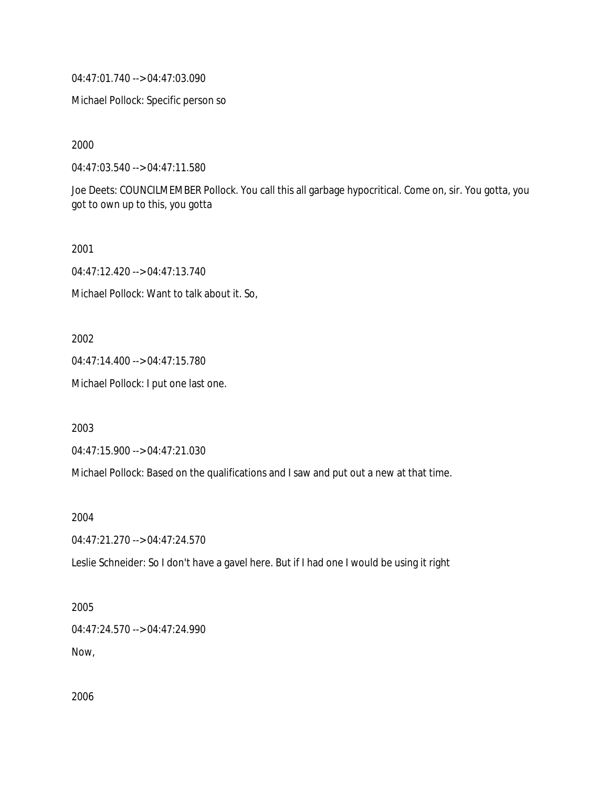04:47:01.740 --> 04:47:03.090

Michael Pollock: Specific person so

2000

04:47:03.540 --> 04:47:11.580

Joe Deets: COUNCILMEMBER Pollock. You call this all garbage hypocritical. Come on, sir. You gotta, you got to own up to this, you gotta

2001

04:47:12.420 --> 04:47:13.740

Michael Pollock: Want to talk about it. So,

2002

04:47:14.400 --> 04:47:15.780

Michael Pollock: I put one last one.

2003

04:47:15.900 --> 04:47:21.030

Michael Pollock: Based on the qualifications and I saw and put out a new at that time.

2004

04:47:21.270 --> 04:47:24.570

Leslie Schneider: So I don't have a gavel here. But if I had one I would be using it right

2005

04:47:24.570 --> 04:47:24.990

Now,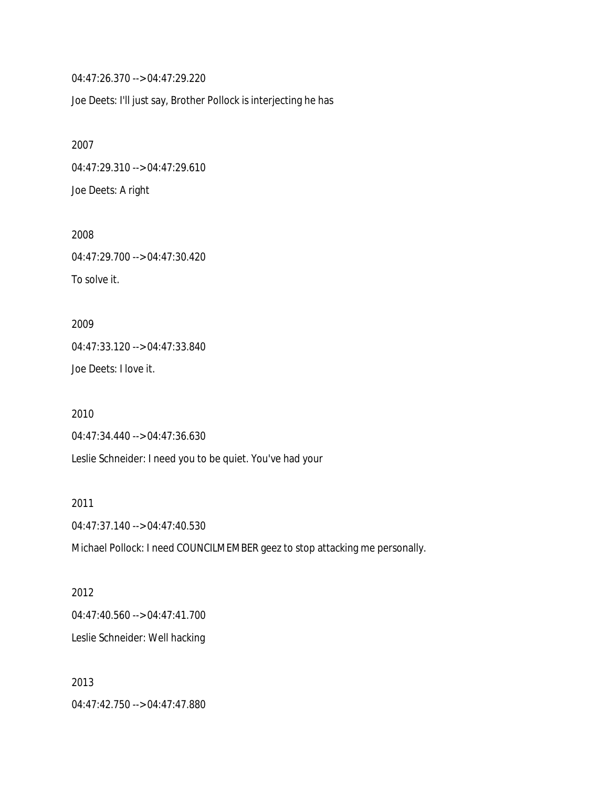04:47:26.370 --> 04:47:29.220

Joe Deets: I'll just say, Brother Pollock is interjecting he has

2007 04:47:29.310 --> 04:47:29.610 Joe Deets: A right

2008 04:47:29.700 --> 04:47:30.420 To solve it.

2009 04:47:33.120 --> 04:47:33.840 Joe Deets: I love it.

2010 04:47:34.440 --> 04:47:36.630 Leslie Schneider: I need you to be quiet. You've had your

2011 04:47:37.140 --> 04:47:40.530

Michael Pollock: I need COUNCILMEMBER geez to stop attacking me personally.

2012 04:47:40.560 --> 04:47:41.700 Leslie Schneider: Well hacking

2013 04:47:42.750 --> 04:47:47.880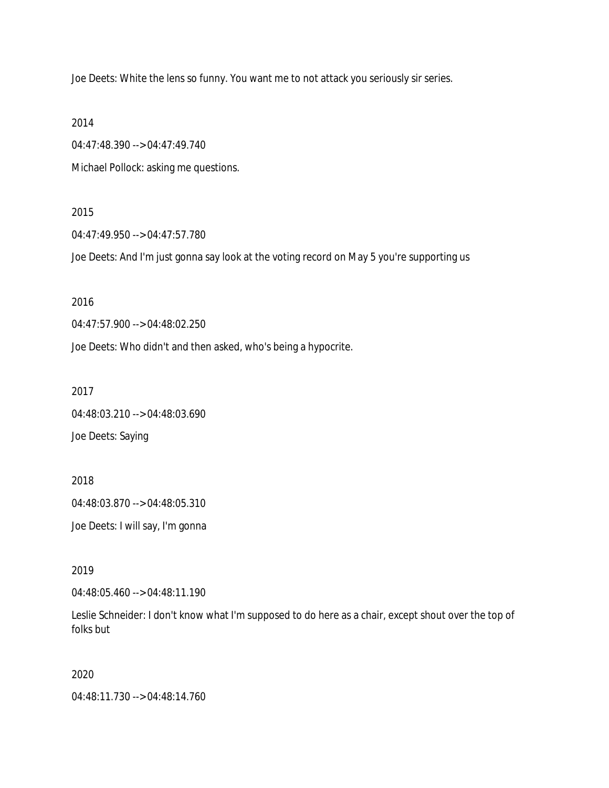Joe Deets: White the lens so funny. You want me to not attack you seriously sir series.

2014

04:47:48.390 --> 04:47:49.740

Michael Pollock: asking me questions.

#### 2015

04:47:49.950 --> 04:47:57.780

Joe Deets: And I'm just gonna say look at the voting record on May 5 you're supporting us

## 2016

04:47:57.900 --> 04:48:02.250

Joe Deets: Who didn't and then asked, who's being a hypocrite.

2017

04:48:03.210 --> 04:48:03.690 Joe Deets: Saying

2018 04:48:03.870 --> 04:48:05.310 Joe Deets: I will say, I'm gonna

2019

04:48:05.460 --> 04:48:11.190

Leslie Schneider: I don't know what I'm supposed to do here as a chair, except shout over the top of folks but

2020

04:48:11.730 --> 04:48:14.760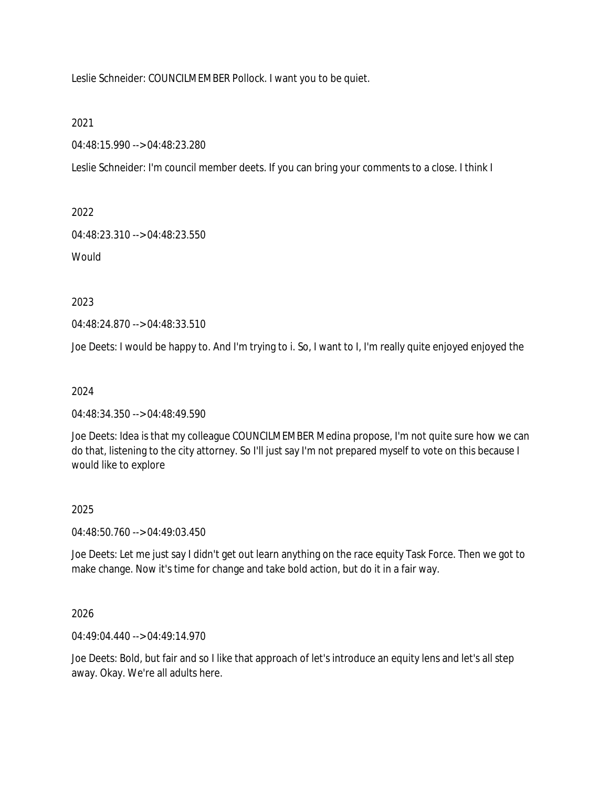Leslie Schneider: COUNCILMEMBER Pollock. I want you to be quiet.

2021

04:48:15.990 --> 04:48:23.280

Leslie Schneider: I'm council member deets. If you can bring your comments to a close. I think I

2022

04:48:23.310 --> 04:48:23.550

**Would** 

2023

04:48:24.870 --> 04:48:33.510

Joe Deets: I would be happy to. And I'm trying to i. So, I want to I, I'm really quite enjoyed enjoyed the

2024

04:48:34.350 --> 04:48:49.590

Joe Deets: Idea is that my colleague COUNCILMEMBER Medina propose, I'm not quite sure how we can do that, listening to the city attorney. So I'll just say I'm not prepared myself to vote on this because I would like to explore

### 2025

04:48:50.760 --> 04:49:03.450

Joe Deets: Let me just say I didn't get out learn anything on the race equity Task Force. Then we got to make change. Now it's time for change and take bold action, but do it in a fair way.

2026

04:49:04.440 --> 04:49:14.970

Joe Deets: Bold, but fair and so I like that approach of let's introduce an equity lens and let's all step away. Okay. We're all adults here.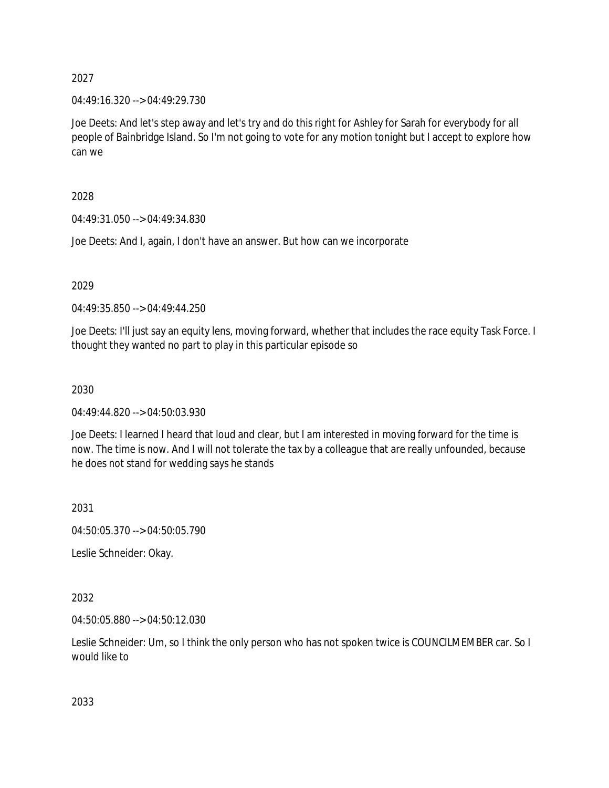04:49:16.320 --> 04:49:29.730

Joe Deets: And let's step away and let's try and do this right for Ashley for Sarah for everybody for all people of Bainbridge Island. So I'm not going to vote for any motion tonight but I accept to explore how can we

2028

04:49:31.050 --> 04:49:34.830

Joe Deets: And I, again, I don't have an answer. But how can we incorporate

2029

04:49:35.850 --> 04:49:44.250

Joe Deets: I'll just say an equity lens, moving forward, whether that includes the race equity Task Force. I thought they wanted no part to play in this particular episode so

2030

04:49:44.820 --> 04:50:03.930

Joe Deets: I learned I heard that loud and clear, but I am interested in moving forward for the time is now. The time is now. And I will not tolerate the tax by a colleague that are really unfounded, because he does not stand for wedding says he stands

2031

04:50:05.370 --> 04:50:05.790

Leslie Schneider: Okay.

2032

04:50:05.880 --> 04:50:12.030

Leslie Schneider: Um, so I think the only person who has not spoken twice is COUNCILMEMBER car. So I would like to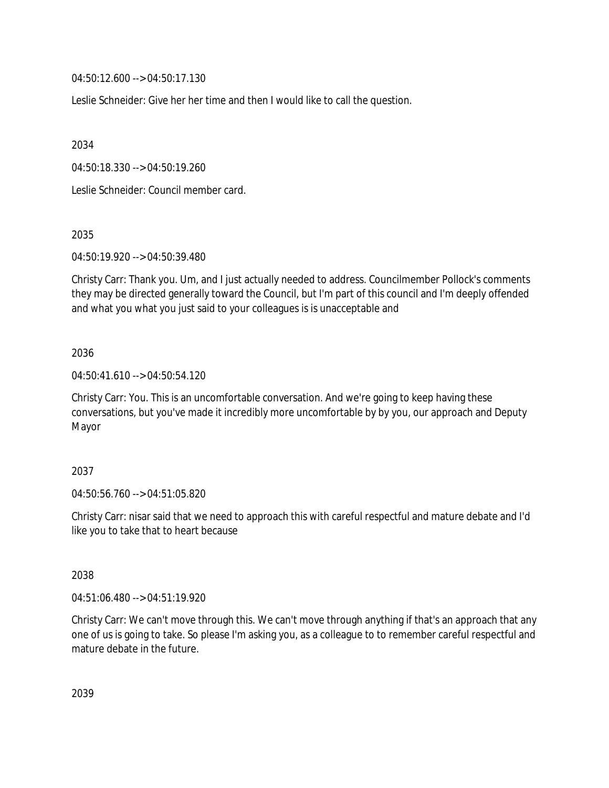04:50:12.600 --> 04:50:17.130

Leslie Schneider: Give her her time and then I would like to call the question.

2034

04:50:18.330 --> 04:50:19.260

Leslie Schneider: Council member card.

2035

04:50:19.920 --> 04:50:39.480

Christy Carr: Thank you. Um, and I just actually needed to address. Councilmember Pollock's comments they may be directed generally toward the Council, but I'm part of this council and I'm deeply offended and what you what you just said to your colleagues is is unacceptable and

### 2036

04:50:41.610 --> 04:50:54.120

Christy Carr: You. This is an uncomfortable conversation. And we're going to keep having these conversations, but you've made it incredibly more uncomfortable by by you, our approach and Deputy Mayor

### 2037

04:50:56.760 --> 04:51:05.820

Christy Carr: nisar said that we need to approach this with careful respectful and mature debate and I'd like you to take that to heart because

### 2038

04:51:06.480 --> 04:51:19.920

Christy Carr: We can't move through this. We can't move through anything if that's an approach that any one of us is going to take. So please I'm asking you, as a colleague to to remember careful respectful and mature debate in the future.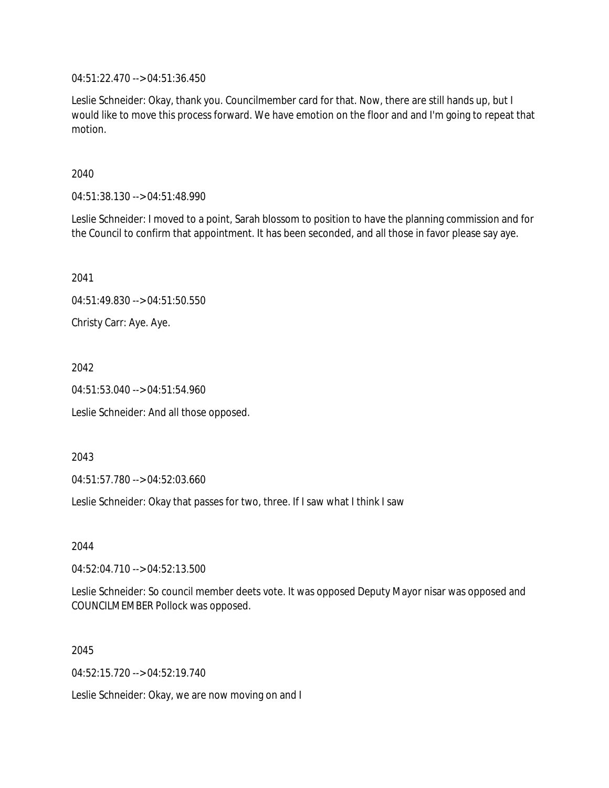04:51:22.470 --> 04:51:36.450

Leslie Schneider: Okay, thank you. Councilmember card for that. Now, there are still hands up, but I would like to move this process forward. We have emotion on the floor and and I'm going to repeat that motion.

2040

04:51:38.130 --> 04:51:48.990

Leslie Schneider: I moved to a point, Sarah blossom to position to have the planning commission and for the Council to confirm that appointment. It has been seconded, and all those in favor please say aye.

2041

04:51:49.830 --> 04:51:50.550

Christy Carr: Aye. Aye.

2042

04:51:53.040 --> 04:51:54.960

Leslie Schneider: And all those opposed.

2043

04:51:57.780 --> 04:52:03.660

Leslie Schneider: Okay that passes for two, three. If I saw what I think I saw

2044

04:52:04.710 --> 04:52:13.500

Leslie Schneider: So council member deets vote. It was opposed Deputy Mayor nisar was opposed and COUNCILMEMBER Pollock was opposed.

2045

04:52:15.720 --> 04:52:19.740

Leslie Schneider: Okay, we are now moving on and I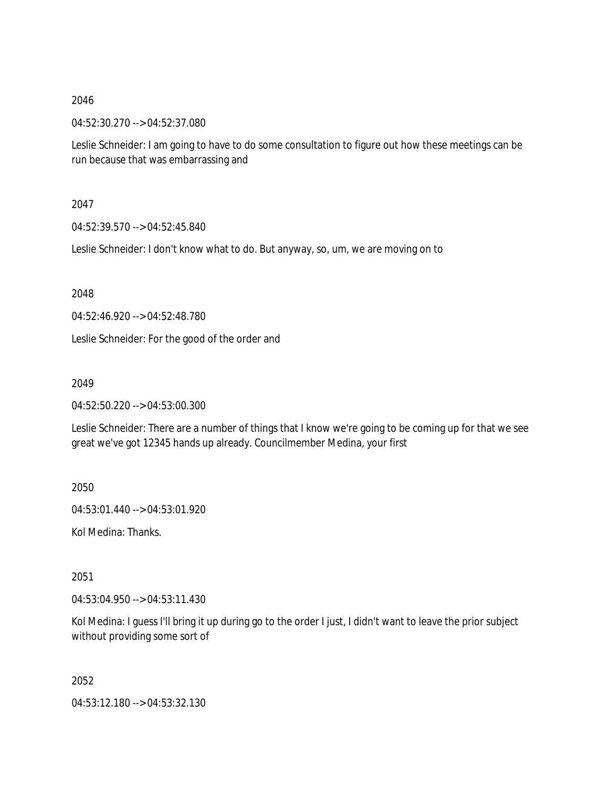04:52:30.270 --> 04:52:37.080

Leslie Schneider: I am going to have to do some consultation to figure out how these meetings can be run because that was embarrassing and

2047

04:52:39.570 --> 04:52:45.840

Leslie Schneider: I don't know what to do. But anyway, so, um, we are moving on to

2048

04:52:46.920 --> 04:52:48.780

Leslie Schneider: For the good of the order and

2049

04:52:50.220 --> 04:53:00.300

Leslie Schneider: There are a number of things that I know we're going to be coming up for that we see great we've got 12345 hands up already. Councilmember Medina, your first

2050

04:53:01.440 --> 04:53:01.920

Kol Medina: Thanks.

2051

04:53:04.950 --> 04:53:11.430

Kol Medina: I guess I'll bring it up during go to the order I just, I didn't want to leave the prior subject without providing some sort of

2052

04:53:12.180 --> 04:53:32.130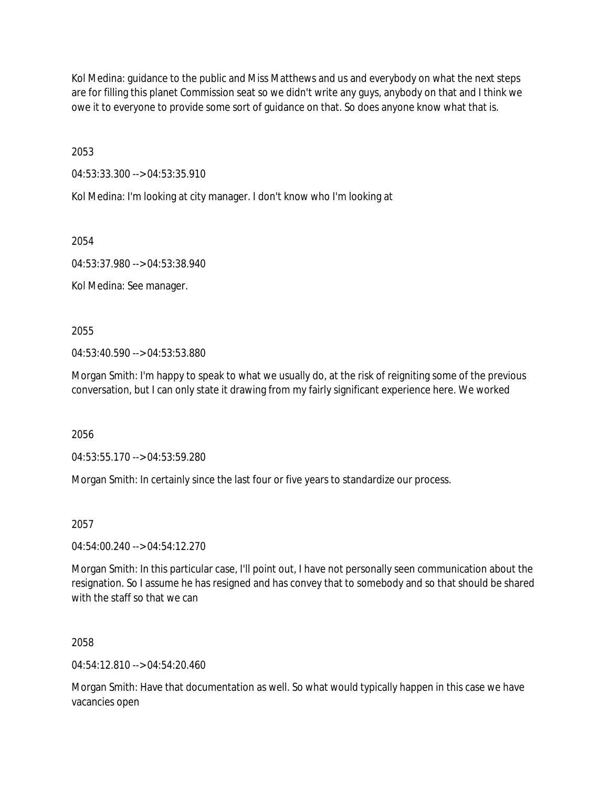Kol Medina: guidance to the public and Miss Matthews and us and everybody on what the next steps are for filling this planet Commission seat so we didn't write any guys, anybody on that and I think we owe it to everyone to provide some sort of guidance on that. So does anyone know what that is.

2053

04:53:33.300 --> 04:53:35.910

Kol Medina: I'm looking at city manager. I don't know who I'm looking at

2054

04:53:37.980 --> 04:53:38.940

Kol Medina: See manager.

2055

04:53:40.590 --> 04:53:53.880

Morgan Smith: I'm happy to speak to what we usually do, at the risk of reigniting some of the previous conversation, but I can only state it drawing from my fairly significant experience here. We worked

2056

04:53:55.170 --> 04:53:59.280

Morgan Smith: In certainly since the last four or five years to standardize our process.

2057

04:54:00.240 --> 04:54:12.270

Morgan Smith: In this particular case, I'll point out, I have not personally seen communication about the resignation. So I assume he has resigned and has convey that to somebody and so that should be shared with the staff so that we can

2058

 $04:54:12.810 \rightarrow 04:54:20.460$ 

Morgan Smith: Have that documentation as well. So what would typically happen in this case we have vacancies open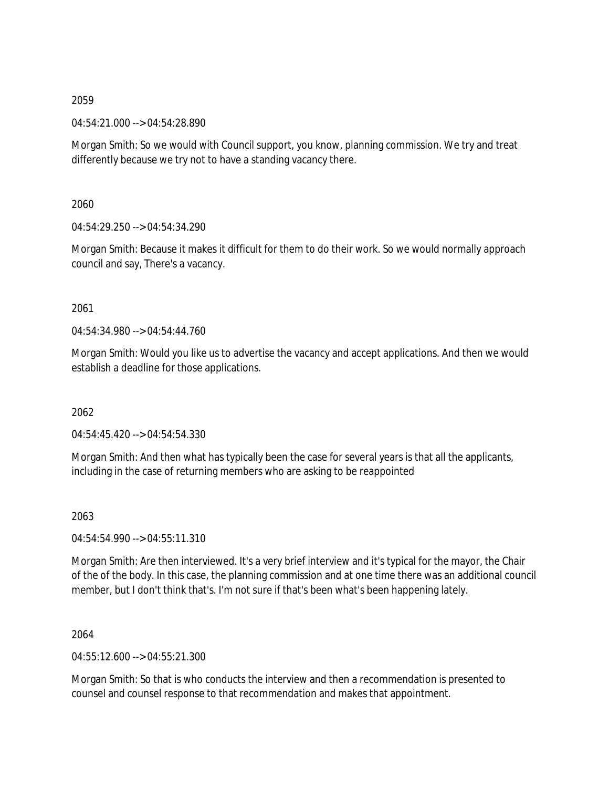04:54:21.000 --> 04:54:28.890

Morgan Smith: So we would with Council support, you know, planning commission. We try and treat differently because we try not to have a standing vacancy there.

2060

04:54:29.250 --> 04:54:34.290

Morgan Smith: Because it makes it difficult for them to do their work. So we would normally approach council and say, There's a vacancy.

## 2061

04:54:34.980 --> 04:54:44.760

Morgan Smith: Would you like us to advertise the vacancy and accept applications. And then we would establish a deadline for those applications.

# 2062

04:54:45.420 --> 04:54:54.330

Morgan Smith: And then what has typically been the case for several years is that all the applicants, including in the case of returning members who are asking to be reappointed

## 2063

04:54:54.990 --> 04:55:11.310

Morgan Smith: Are then interviewed. It's a very brief interview and it's typical for the mayor, the Chair of the of the body. In this case, the planning commission and at one time there was an additional council member, but I don't think that's. I'm not sure if that's been what's been happening lately.

2064

04:55:12.600 --> 04:55:21.300

Morgan Smith: So that is who conducts the interview and then a recommendation is presented to counsel and counsel response to that recommendation and makes that appointment.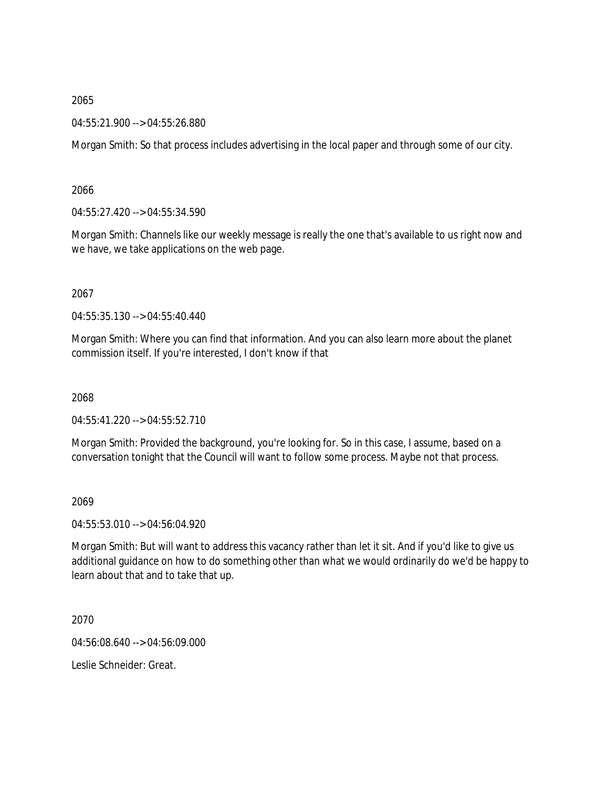04:55:21.900 --> 04:55:26.880

Morgan Smith: So that process includes advertising in the local paper and through some of our city.

2066

04:55:27.420 --> 04:55:34.590

Morgan Smith: Channels like our weekly message is really the one that's available to us right now and we have, we take applications on the web page.

2067

04:55:35.130 --> 04:55:40.440

Morgan Smith: Where you can find that information. And you can also learn more about the planet commission itself. If you're interested, I don't know if that

2068

04:55:41.220 --> 04:55:52.710

Morgan Smith: Provided the background, you're looking for. So in this case, I assume, based on a conversation tonight that the Council will want to follow some process. Maybe not that process.

2069

04:55:53.010 --> 04:56:04.920

Morgan Smith: But will want to address this vacancy rather than let it sit. And if you'd like to give us additional guidance on how to do something other than what we would ordinarily do we'd be happy to learn about that and to take that up.

2070

04:56:08.640 --> 04:56:09.000

Leslie Schneider: Great.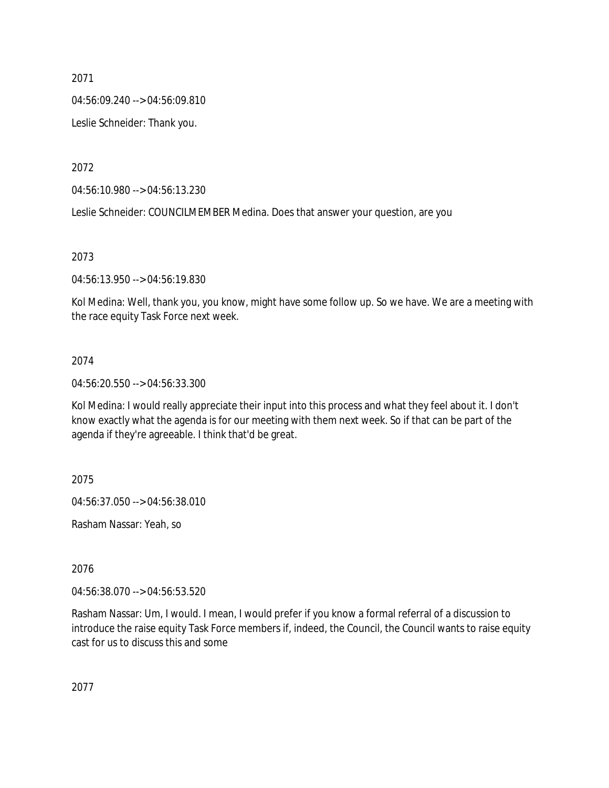04:56:09.240 --> 04:56:09.810

Leslie Schneider: Thank you.

2072

04:56:10.980 --> 04:56:13.230

Leslie Schneider: COUNCILMEMBER Medina. Does that answer your question, are you

2073

04:56:13.950 --> 04:56:19.830

Kol Medina: Well, thank you, you know, might have some follow up. So we have. We are a meeting with the race equity Task Force next week.

## 2074

04:56:20.550 --> 04:56:33.300

Kol Medina: I would really appreciate their input into this process and what they feel about it. I don't know exactly what the agenda is for our meeting with them next week. So if that can be part of the agenda if they're agreeable. I think that'd be great.

2075

04:56:37.050 --> 04:56:38.010

Rasham Nassar: Yeah, so

2076

04:56:38.070 --> 04:56:53.520

Rasham Nassar: Um, I would. I mean, I would prefer if you know a formal referral of a discussion to introduce the raise equity Task Force members if, indeed, the Council, the Council wants to raise equity cast for us to discuss this and some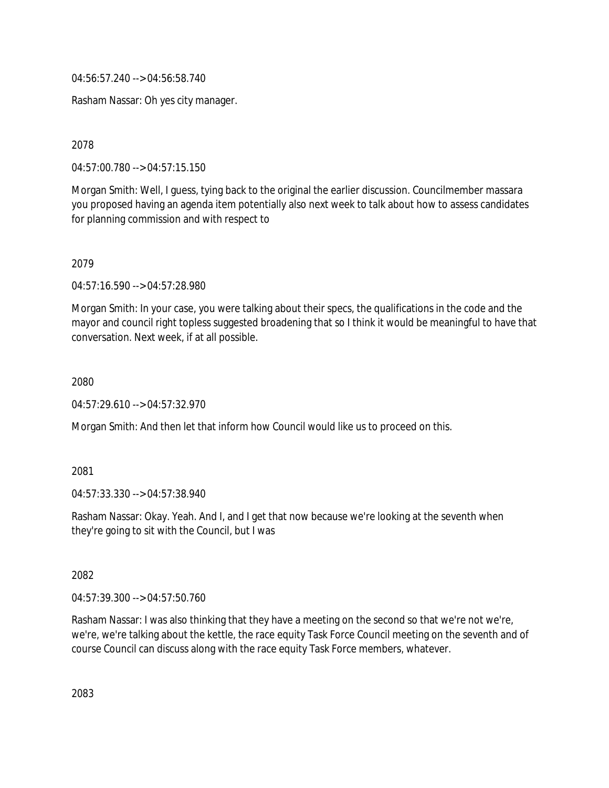04:56:57.240 --> 04:56:58.740

Rasham Nassar: Oh yes city manager.

2078

04:57:00.780 --> 04:57:15.150

Morgan Smith: Well, I guess, tying back to the original the earlier discussion. Councilmember massara you proposed having an agenda item potentially also next week to talk about how to assess candidates for planning commission and with respect to

2079

04:57:16.590 --> 04:57:28.980

Morgan Smith: In your case, you were talking about their specs, the qualifications in the code and the mayor and council right topless suggested broadening that so I think it would be meaningful to have that conversation. Next week, if at all possible.

2080

04:57:29.610 --> 04:57:32.970

Morgan Smith: And then let that inform how Council would like us to proceed on this.

2081

04:57:33.330 --> 04:57:38.940

Rasham Nassar: Okay. Yeah. And I, and I get that now because we're looking at the seventh when they're going to sit with the Council, but I was

2082

04:57:39.300 --> 04:57:50.760

Rasham Nassar: I was also thinking that they have a meeting on the second so that we're not we're, we're, we're talking about the kettle, the race equity Task Force Council meeting on the seventh and of course Council can discuss along with the race equity Task Force members, whatever.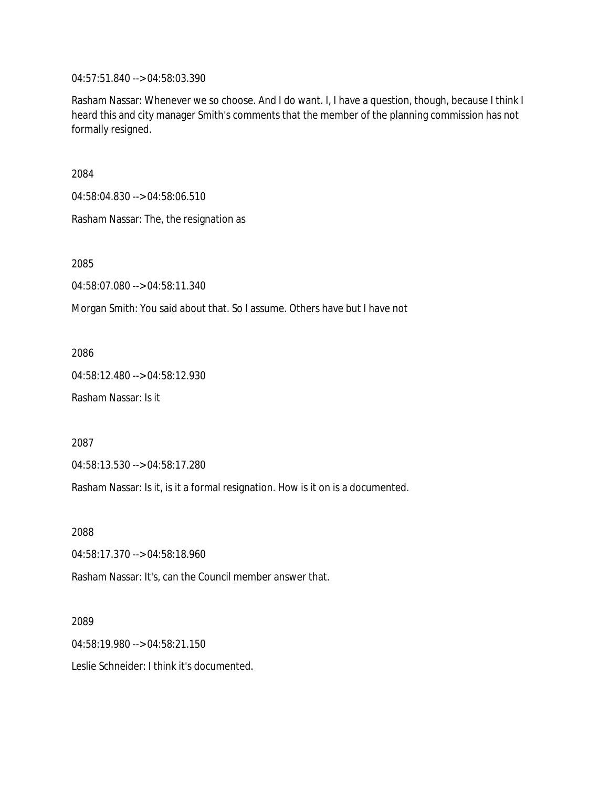04:57:51.840 --> 04:58:03.390

Rasham Nassar: Whenever we so choose. And I do want. I, I have a question, though, because I think I heard this and city manager Smith's comments that the member of the planning commission has not formally resigned.

2084

04:58:04.830 --> 04:58:06.510

Rasham Nassar: The, the resignation as

2085

04:58:07.080 --> 04:58:11.340

Morgan Smith: You said about that. So I assume. Others have but I have not

2086

04:58:12.480 --> 04:58:12.930

Rasham Nassar: Is it

2087

04:58:13.530 --> 04:58:17.280

Rasham Nassar: Is it, is it a formal resignation. How is it on is a documented.

2088

04:58:17.370 --> 04:58:18.960

Rasham Nassar: It's, can the Council member answer that.

2089

04:58:19.980 --> 04:58:21.150

Leslie Schneider: I think it's documented.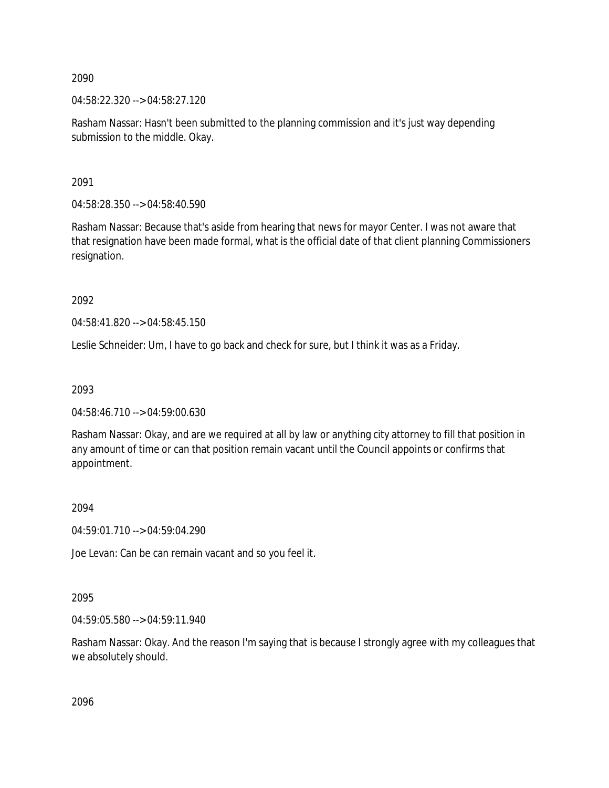04:58:22.320 --> 04:58:27.120

Rasham Nassar: Hasn't been submitted to the planning commission and it's just way depending submission to the middle. Okay.

2091

04:58:28.350 --> 04:58:40.590

Rasham Nassar: Because that's aside from hearing that news for mayor Center. I was not aware that that resignation have been made formal, what is the official date of that client planning Commissioners resignation.

2092

04:58:41.820 --> 04:58:45.150

Leslie Schneider: Um, I have to go back and check for sure, but I think it was as a Friday.

2093

04:58:46.710 --> 04:59:00.630

Rasham Nassar: Okay, and are we required at all by law or anything city attorney to fill that position in any amount of time or can that position remain vacant until the Council appoints or confirms that appointment.

2094

04:59:01.710 --> 04:59:04.290

Joe Levan: Can be can remain vacant and so you feel it.

2095

04:59:05.580 --> 04:59:11.940

Rasham Nassar: Okay. And the reason I'm saying that is because I strongly agree with my colleagues that we absolutely should.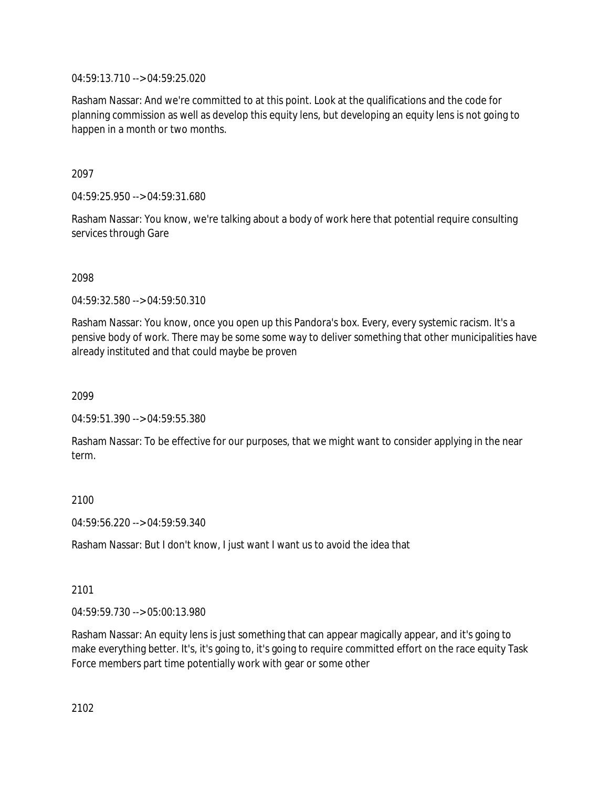04:59:13.710 --> 04:59:25.020

Rasham Nassar: And we're committed to at this point. Look at the qualifications and the code for planning commission as well as develop this equity lens, but developing an equity lens is not going to happen in a month or two months.

2097

04:59:25.950 --> 04:59:31.680

Rasham Nassar: You know, we're talking about a body of work here that potential require consulting services through Gare

2098

04:59:32.580 --> 04:59:50.310

Rasham Nassar: You know, once you open up this Pandora's box. Every, every systemic racism. It's a pensive body of work. There may be some some way to deliver something that other municipalities have already instituted and that could maybe be proven

2099

04:59:51.390 --> 04:59:55.380

Rasham Nassar: To be effective for our purposes, that we might want to consider applying in the near term.

2100

04:59:56.220 --> 04:59:59.340

Rasham Nassar: But I don't know, I just want I want us to avoid the idea that

## 2101

04:59:59.730 --> 05:00:13.980

Rasham Nassar: An equity lens is just something that can appear magically appear, and it's going to make everything better. It's, it's going to, it's going to require committed effort on the race equity Task Force members part time potentially work with gear or some other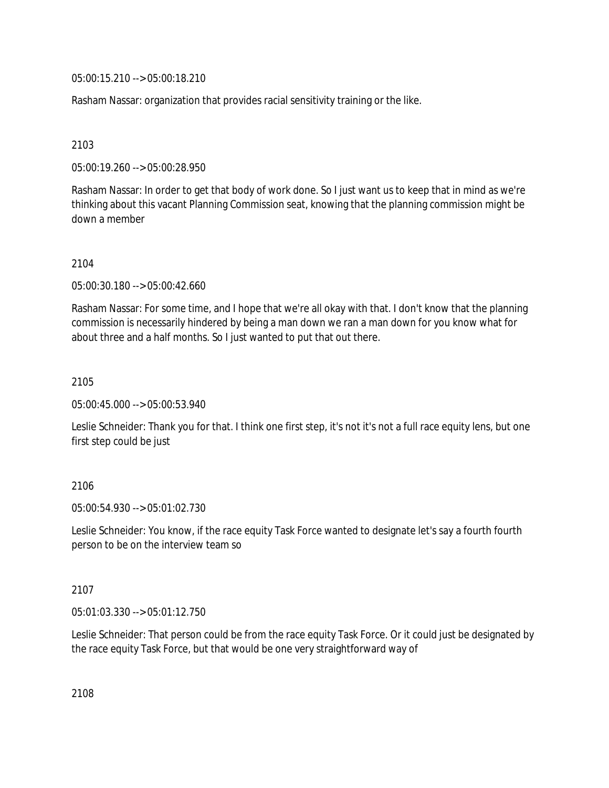05:00:15.210 --> 05:00:18.210

Rasham Nassar: organization that provides racial sensitivity training or the like.

2103

05:00:19.260 --> 05:00:28.950

Rasham Nassar: In order to get that body of work done. So I just want us to keep that in mind as we're thinking about this vacant Planning Commission seat, knowing that the planning commission might be down a member

2104

05:00:30.180 --> 05:00:42.660

Rasham Nassar: For some time, and I hope that we're all okay with that. I don't know that the planning commission is necessarily hindered by being a man down we ran a man down for you know what for about three and a half months. So I just wanted to put that out there.

2105

05:00:45.000 --> 05:00:53.940

Leslie Schneider: Thank you for that. I think one first step, it's not it's not a full race equity lens, but one first step could be just

## 2106

05:00:54.930 --> 05:01:02.730

Leslie Schneider: You know, if the race equity Task Force wanted to designate let's say a fourth fourth person to be on the interview team so

## 2107

05:01:03.330 --> 05:01:12.750

Leslie Schneider: That person could be from the race equity Task Force. Or it could just be designated by the race equity Task Force, but that would be one very straightforward way of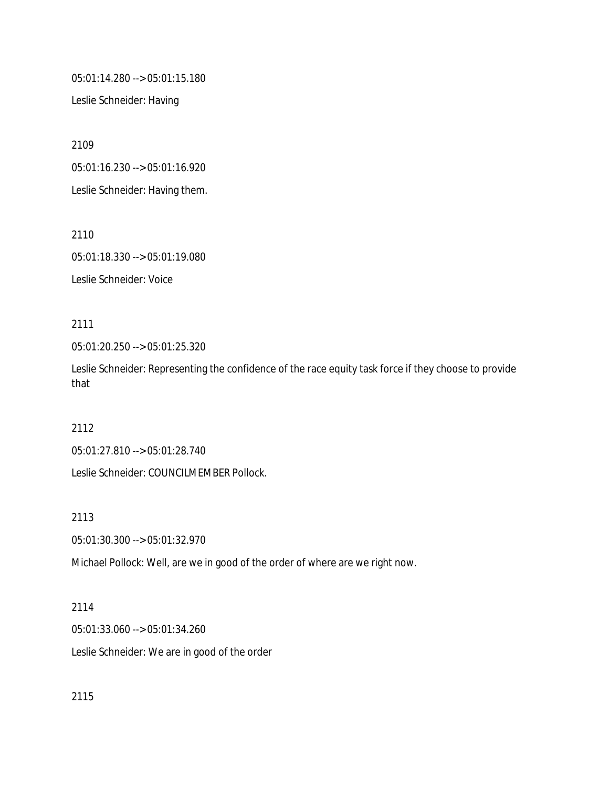05:01:14.280 --> 05:01:15.180

Leslie Schneider: Having

2109

05:01:16.230 --> 05:01:16.920

Leslie Schneider: Having them.

2110

05:01:18.330 --> 05:01:19.080

Leslie Schneider: Voice

# 2111

05:01:20.250 --> 05:01:25.320

Leslie Schneider: Representing the confidence of the race equity task force if they choose to provide that

# 2112

05:01:27.810 --> 05:01:28.740

Leslie Schneider: COUNCILMEMBER Pollock.

2113

05:01:30.300 --> 05:01:32.970

Michael Pollock: Well, are we in good of the order of where are we right now.

## 2114

05:01:33.060 --> 05:01:34.260

Leslie Schneider: We are in good of the order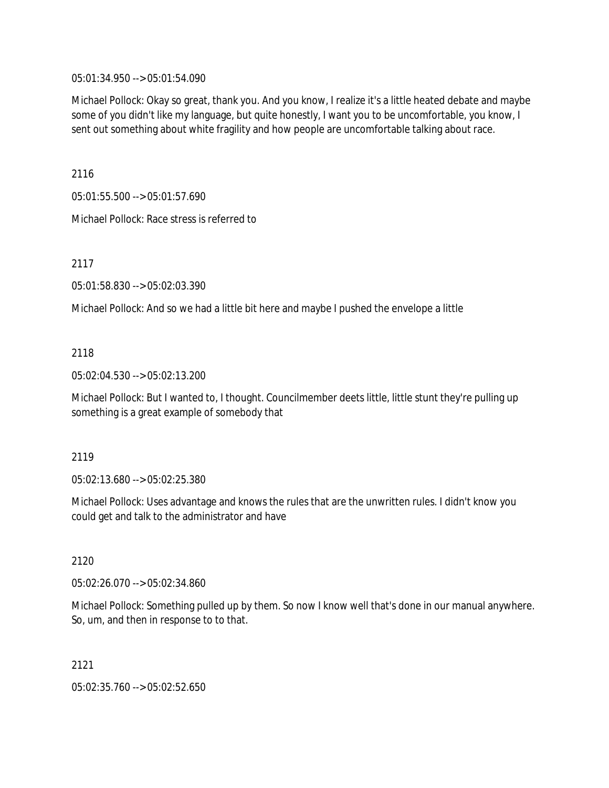05:01:34.950 --> 05:01:54.090

Michael Pollock: Okay so great, thank you. And you know, I realize it's a little heated debate and maybe some of you didn't like my language, but quite honestly, I want you to be uncomfortable, you know, I sent out something about white fragility and how people are uncomfortable talking about race.

2116

05:01:55.500 --> 05:01:57.690

Michael Pollock: Race stress is referred to

2117

05:01:58.830 --> 05:02:03.390

Michael Pollock: And so we had a little bit here and maybe I pushed the envelope a little

## 2118

05:02:04.530 --> 05:02:13.200

Michael Pollock: But I wanted to, I thought. Councilmember deets little, little stunt they're pulling up something is a great example of somebody that

## 2119

05:02:13.680 --> 05:02:25.380

Michael Pollock: Uses advantage and knows the rules that are the unwritten rules. I didn't know you could get and talk to the administrator and have

2120

05:02:26.070 --> 05:02:34.860

Michael Pollock: Something pulled up by them. So now I know well that's done in our manual anywhere. So, um, and then in response to to that.

2121

05:02:35.760 --> 05:02:52.650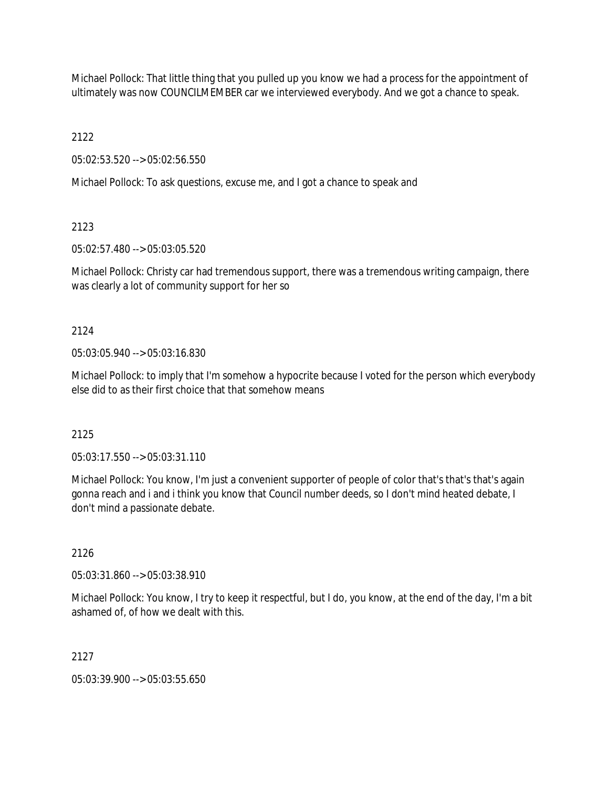Michael Pollock: That little thing that you pulled up you know we had a process for the appointment of ultimately was now COUNCILMEMBER car we interviewed everybody. And we got a chance to speak.

2122

05:02:53.520 --> 05:02:56.550

Michael Pollock: To ask questions, excuse me, and I got a chance to speak and

2123

05:02:57.480 --> 05:03:05.520

Michael Pollock: Christy car had tremendous support, there was a tremendous writing campaign, there was clearly a lot of community support for her so

2124

05:03:05.940 --> 05:03:16.830

Michael Pollock: to imply that I'm somehow a hypocrite because I voted for the person which everybody else did to as their first choice that that somehow means

2125

05:03:17.550 --> 05:03:31.110

Michael Pollock: You know, I'm just a convenient supporter of people of color that's that's that's again gonna reach and i and i think you know that Council number deeds, so I don't mind heated debate, I don't mind a passionate debate.

2126

05:03:31.860 --> 05:03:38.910

Michael Pollock: You know, I try to keep it respectful, but I do, you know, at the end of the day, I'm a bit ashamed of, of how we dealt with this.

2127

05:03:39.900 --> 05:03:55.650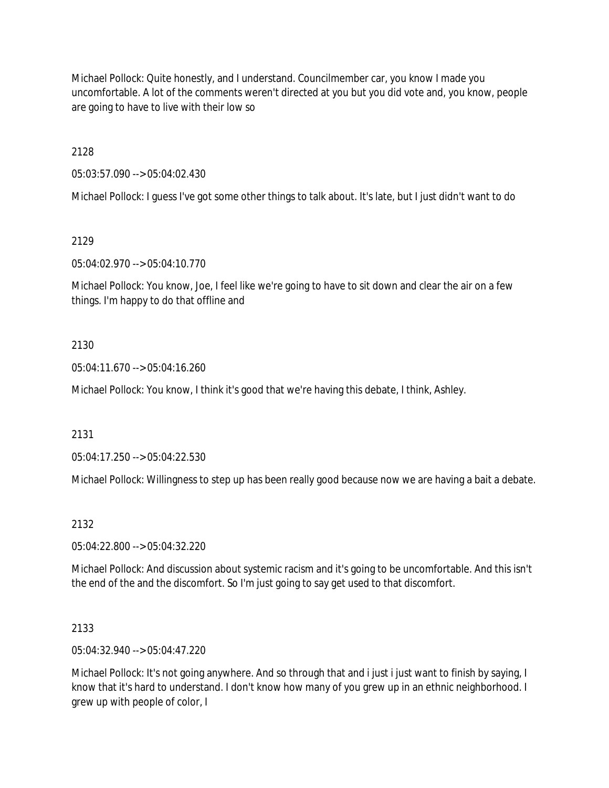Michael Pollock: Quite honestly, and I understand. Councilmember car, you know I made you uncomfortable. A lot of the comments weren't directed at you but you did vote and, you know, people are going to have to live with their low so

2128

05:03:57.090 --> 05:04:02.430

Michael Pollock: I guess I've got some other things to talk about. It's late, but I just didn't want to do

2129

05:04:02.970 --> 05:04:10.770

Michael Pollock: You know, Joe, I feel like we're going to have to sit down and clear the air on a few things. I'm happy to do that offline and

## 2130

05:04:11.670 --> 05:04:16.260

Michael Pollock: You know, I think it's good that we're having this debate, I think, Ashley.

2131

05:04:17.250 --> 05:04:22.530

Michael Pollock: Willingness to step up has been really good because now we are having a bait a debate.

2132

05:04:22.800 --> 05:04:32.220

Michael Pollock: And discussion about systemic racism and it's going to be uncomfortable. And this isn't the end of the and the discomfort. So I'm just going to say get used to that discomfort.

2133

05:04:32.940 --> 05:04:47.220

Michael Pollock: It's not going anywhere. And so through that and i just i just want to finish by saying, I know that it's hard to understand. I don't know how many of you grew up in an ethnic neighborhood. I grew up with people of color, I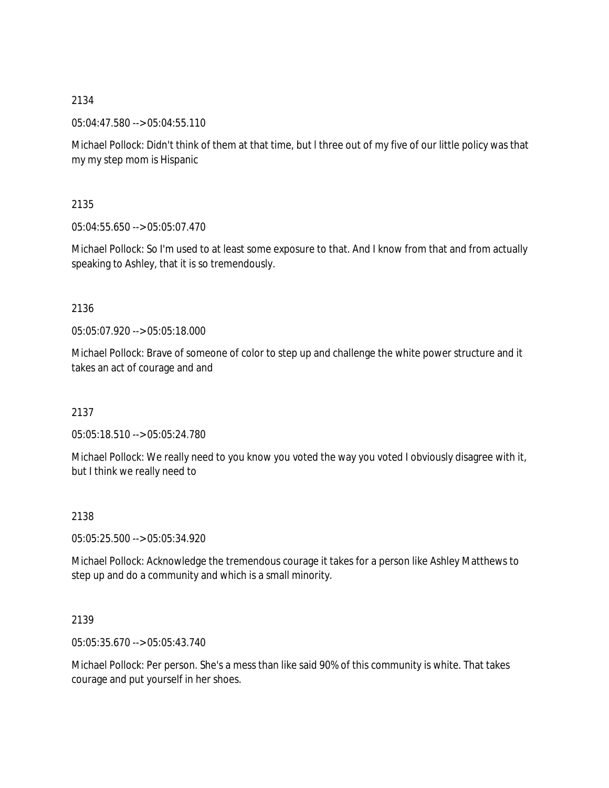05:04:47.580 --> 05:04:55.110

Michael Pollock: Didn't think of them at that time, but l three out of my five of our little policy was that my my step mom is Hispanic

2135

05:04:55.650 --> 05:05:07.470

Michael Pollock: So I'm used to at least some exposure to that. And I know from that and from actually speaking to Ashley, that it is so tremendously.

2136

05:05:07.920 --> 05:05:18.000

Michael Pollock: Brave of someone of color to step up and challenge the white power structure and it takes an act of courage and and

2137

05:05:18.510 --> 05:05:24.780

Michael Pollock: We really need to you know you voted the way you voted I obviously disagree with it, but I think we really need to

2138

05:05:25.500 --> 05:05:34.920

Michael Pollock: Acknowledge the tremendous courage it takes for a person like Ashley Matthews to step up and do a community and which is a small minority.

2139

05:05:35.670 --> 05:05:43.740

Michael Pollock: Per person. She's a mess than like said 90% of this community is white. That takes courage and put yourself in her shoes.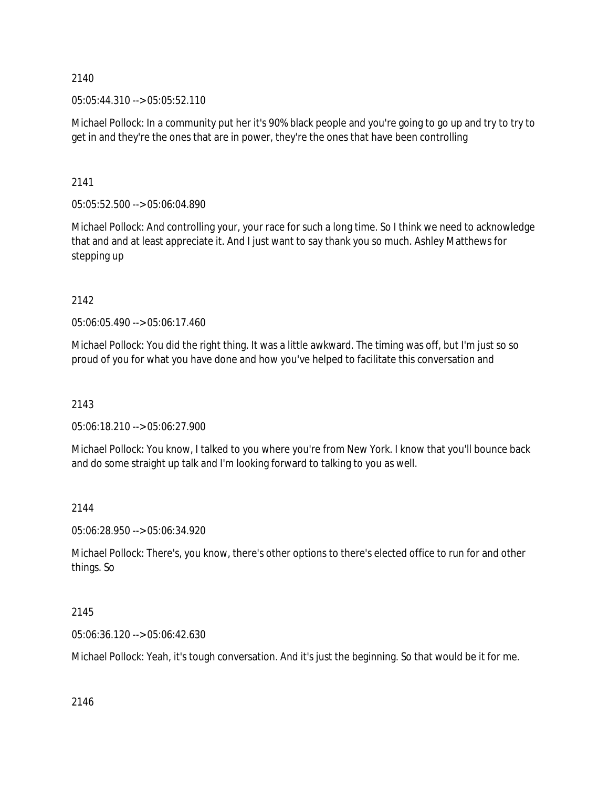05:05:44.310 --> 05:05:52.110

Michael Pollock: In a community put her it's 90% black people and you're going to go up and try to try to get in and they're the ones that are in power, they're the ones that have been controlling

2141

05:05:52.500 --> 05:06:04.890

Michael Pollock: And controlling your, your race for such a long time. So I think we need to acknowledge that and and at least appreciate it. And I just want to say thank you so much. Ashley Matthews for stepping up

2142

05:06:05.490 --> 05:06:17.460

Michael Pollock: You did the right thing. It was a little awkward. The timing was off, but I'm just so so proud of you for what you have done and how you've helped to facilitate this conversation and

2143

05:06:18.210 --> 05:06:27.900

Michael Pollock: You know, I talked to you where you're from New York. I know that you'll bounce back and do some straight up talk and I'm looking forward to talking to you as well.

## 2144

05:06:28.950 --> 05:06:34.920

Michael Pollock: There's, you know, there's other options to there's elected office to run for and other things. So

# 2145

05:06:36.120 --> 05:06:42.630

Michael Pollock: Yeah, it's tough conversation. And it's just the beginning. So that would be it for me.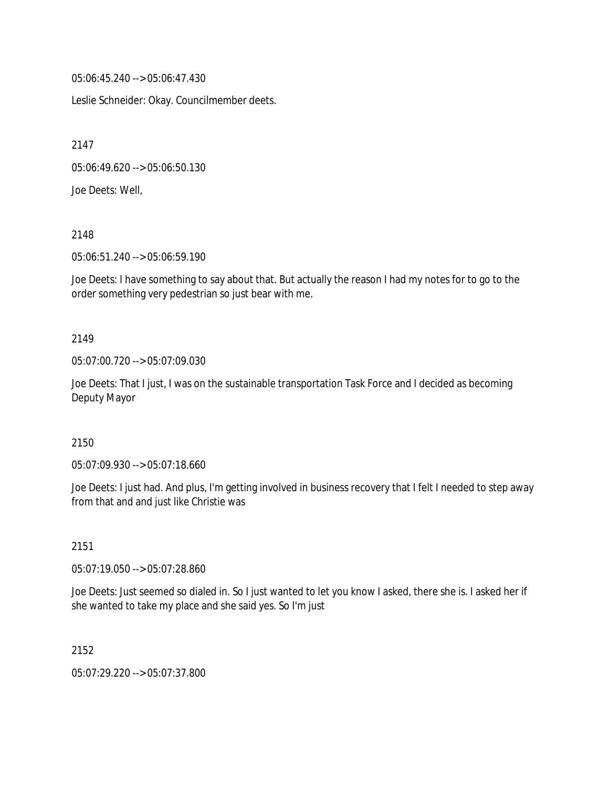05:06:45.240 --> 05:06:47.430

Leslie Schneider: Okay. Councilmember deets.

2147

05:06:49.620 --> 05:06:50.130

Joe Deets: Well,

2148

05:06:51.240 --> 05:06:59.190

Joe Deets: I have something to say about that. But actually the reason I had my notes for to go to the order something very pedestrian so just bear with me.

#### 2149

05:07:00.720 --> 05:07:09.030

Joe Deets: That I just, I was on the sustainable transportation Task Force and I decided as becoming Deputy Mayor

#### 2150

05:07:09.930 --> 05:07:18.660

Joe Deets: I just had. And plus, I'm getting involved in business recovery that I felt I needed to step away from that and and just like Christie was

## 2151

05:07:19.050 --> 05:07:28.860

Joe Deets: Just seemed so dialed in. So I just wanted to let you know I asked, there she is. I asked her if she wanted to take my place and she said yes. So I'm just

2152

05:07:29.220 --> 05:07:37.800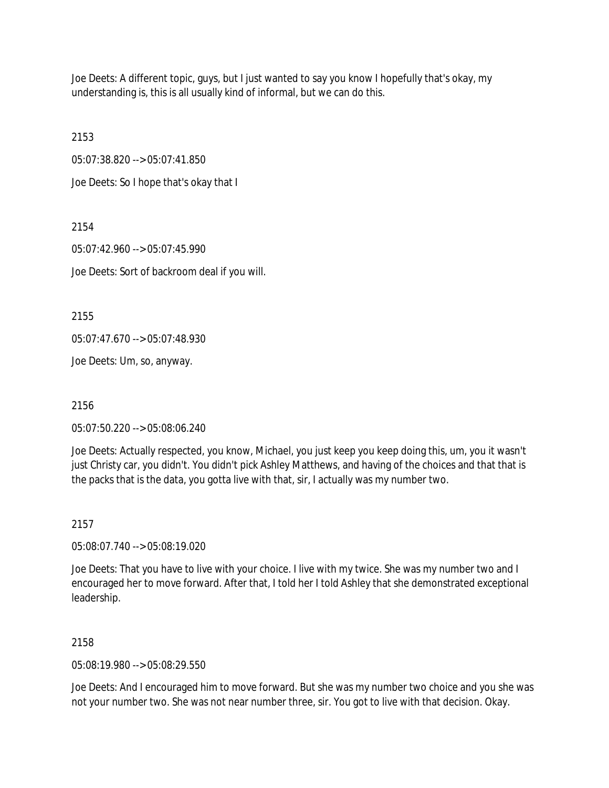Joe Deets: A different topic, guys, but I just wanted to say you know I hopefully that's okay, my understanding is, this is all usually kind of informal, but we can do this.

2153

05:07:38.820 --> 05:07:41.850

Joe Deets: So I hope that's okay that I

2154 05:07:42.960 --> 05:07:45.990 Joe Deets: Sort of backroom deal if you will.

2155

05:07:47.670 --> 05:07:48.930

Joe Deets: Um, so, anyway.

2156

05:07:50.220 --> 05:08:06.240

Joe Deets: Actually respected, you know, Michael, you just keep you keep doing this, um, you it wasn't just Christy car, you didn't. You didn't pick Ashley Matthews, and having of the choices and that that is the packs that is the data, you gotta live with that, sir, I actually was my number two.

2157

05:08:07.740 --> 05:08:19.020

Joe Deets: That you have to live with your choice. I live with my twice. She was my number two and I encouraged her to move forward. After that, I told her I told Ashley that she demonstrated exceptional leadership.

2158

05:08:19.980 --> 05:08:29.550

Joe Deets: And I encouraged him to move forward. But she was my number two choice and you she was not your number two. She was not near number three, sir. You got to live with that decision. Okay.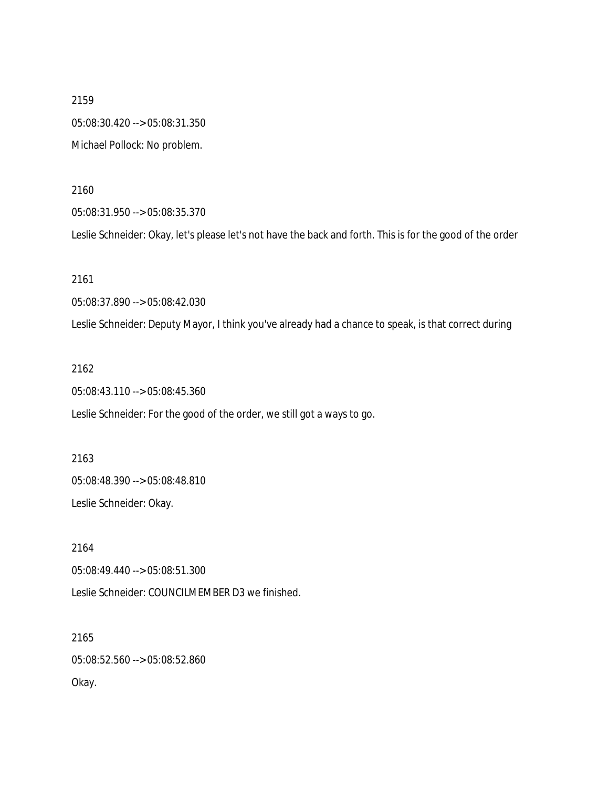2159 05:08:30.420 --> 05:08:31.350 Michael Pollock: No problem.

2160

05:08:31.950 --> 05:08:35.370

Leslie Schneider: Okay, let's please let's not have the back and forth. This is for the good of the order

2161

05:08:37.890 --> 05:08:42.030

Leslie Schneider: Deputy Mayor, I think you've already had a chance to speak, is that correct during

2162

05:08:43.110 --> 05:08:45.360

Leslie Schneider: For the good of the order, we still got a ways to go.

2163 05:08:48.390 --> 05:08:48.810 Leslie Schneider: Okay.

2164 05:08:49.440 --> 05:08:51.300 Leslie Schneider: COUNCILMEMBER D3 we finished.

2165 05:08:52.560 --> 05:08:52.860 Okay.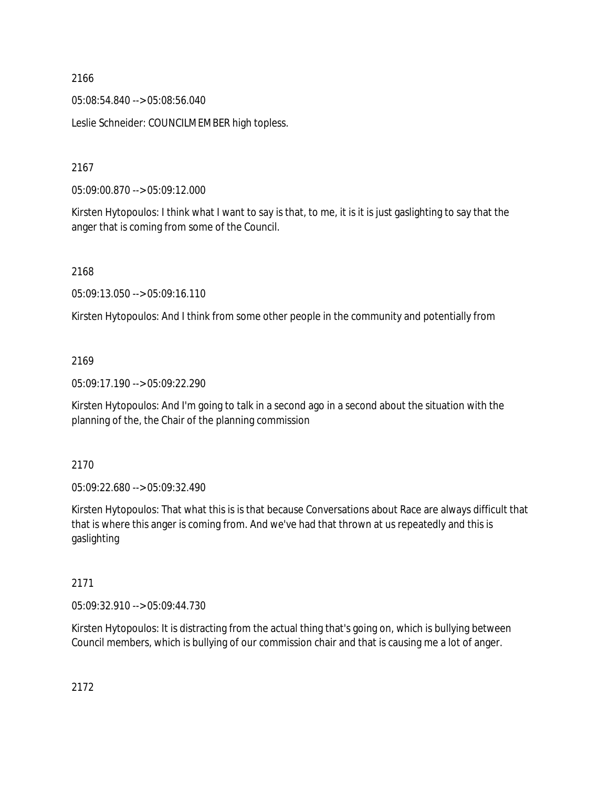05:08:54.840 --> 05:08:56.040

Leslie Schneider: COUNCILMEMBER high topless.

2167

05:09:00.870 --> 05:09:12.000

Kirsten Hytopoulos: I think what I want to say is that, to me, it is it is just gaslighting to say that the anger that is coming from some of the Council.

2168

05:09:13.050 --> 05:09:16.110

Kirsten Hytopoulos: And I think from some other people in the community and potentially from

## 2169

05:09:17.190 --> 05:09:22.290

Kirsten Hytopoulos: And I'm going to talk in a second ago in a second about the situation with the planning of the, the Chair of the planning commission

2170

05:09:22.680 --> 05:09:32.490

Kirsten Hytopoulos: That what this is is that because Conversations about Race are always difficult that that is where this anger is coming from. And we've had that thrown at us repeatedly and this is gaslighting

## 2171

05:09:32.910 --> 05:09:44.730

Kirsten Hytopoulos: It is distracting from the actual thing that's going on, which is bullying between Council members, which is bullying of our commission chair and that is causing me a lot of anger.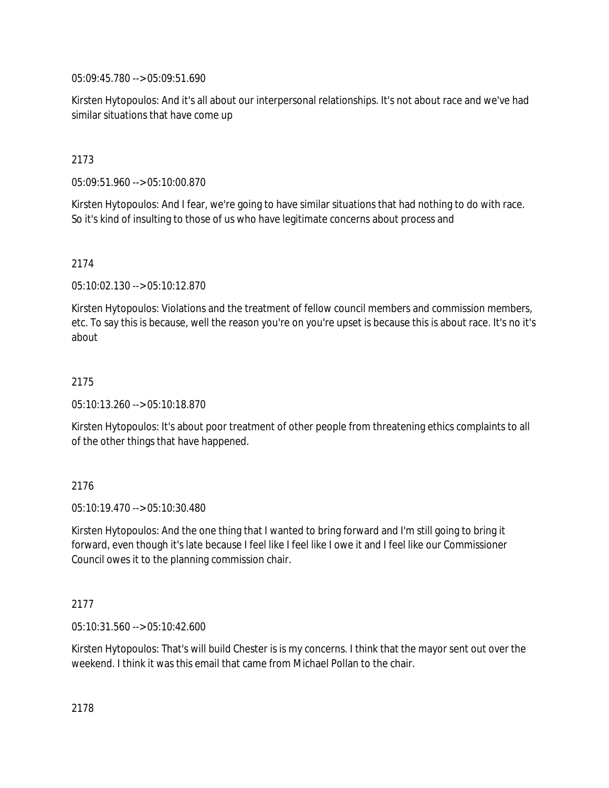05:09:45.780 --> 05:09:51.690

Kirsten Hytopoulos: And it's all about our interpersonal relationships. It's not about race and we've had similar situations that have come up

# 2173

05:09:51.960 --> 05:10:00.870

Kirsten Hytopoulos: And I fear, we're going to have similar situations that had nothing to do with race. So it's kind of insulting to those of us who have legitimate concerns about process and

## 2174

05:10:02.130 --> 05:10:12.870

Kirsten Hytopoulos: Violations and the treatment of fellow council members and commission members, etc. To say this is because, well the reason you're on you're upset is because this is about race. It's no it's about

## 2175

05:10:13.260 --> 05:10:18.870

Kirsten Hytopoulos: It's about poor treatment of other people from threatening ethics complaints to all of the other things that have happened.

## 2176

05:10:19.470 --> 05:10:30.480

Kirsten Hytopoulos: And the one thing that I wanted to bring forward and I'm still going to bring it forward, even though it's late because I feel like I feel like I owe it and I feel like our Commissioner Council owes it to the planning commission chair.

## 2177

05:10:31.560 --> 05:10:42.600

Kirsten Hytopoulos: That's will build Chester is is my concerns. I think that the mayor sent out over the weekend. I think it was this email that came from Michael Pollan to the chair.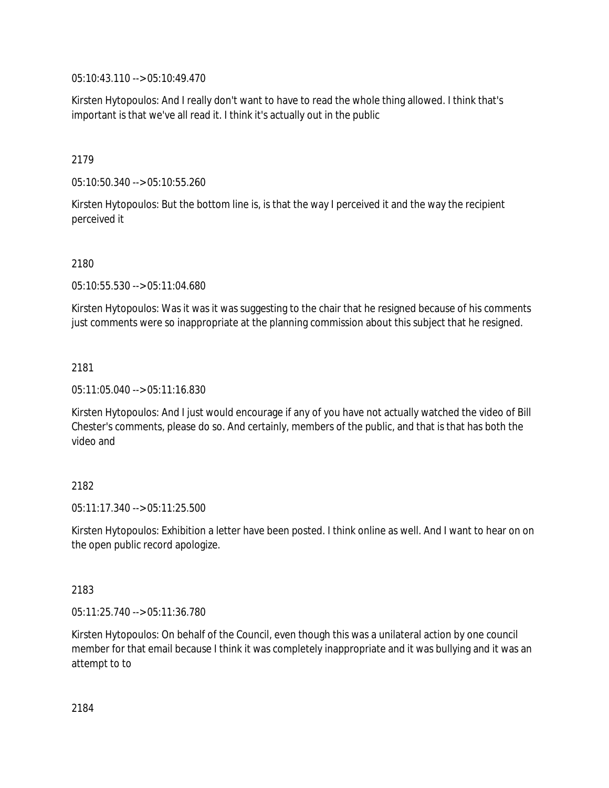05:10:43.110 --> 05:10:49.470

Kirsten Hytopoulos: And I really don't want to have to read the whole thing allowed. I think that's important is that we've all read it. I think it's actually out in the public

## 2179

05:10:50.340 --> 05:10:55.260

Kirsten Hytopoulos: But the bottom line is, is that the way I perceived it and the way the recipient perceived it

## 2180

05:10:55.530 --> 05:11:04.680

Kirsten Hytopoulos: Was it was it was suggesting to the chair that he resigned because of his comments just comments were so inappropriate at the planning commission about this subject that he resigned.

## 2181

05:11:05.040 --> 05:11:16.830

Kirsten Hytopoulos: And I just would encourage if any of you have not actually watched the video of Bill Chester's comments, please do so. And certainly, members of the public, and that is that has both the video and

# 2182

05:11:17.340 --> 05:11:25.500

Kirsten Hytopoulos: Exhibition a letter have been posted. I think online as well. And I want to hear on on the open public record apologize.

## 2183

05:11:25.740 --> 05:11:36.780

Kirsten Hytopoulos: On behalf of the Council, even though this was a unilateral action by one council member for that email because I think it was completely inappropriate and it was bullying and it was an attempt to to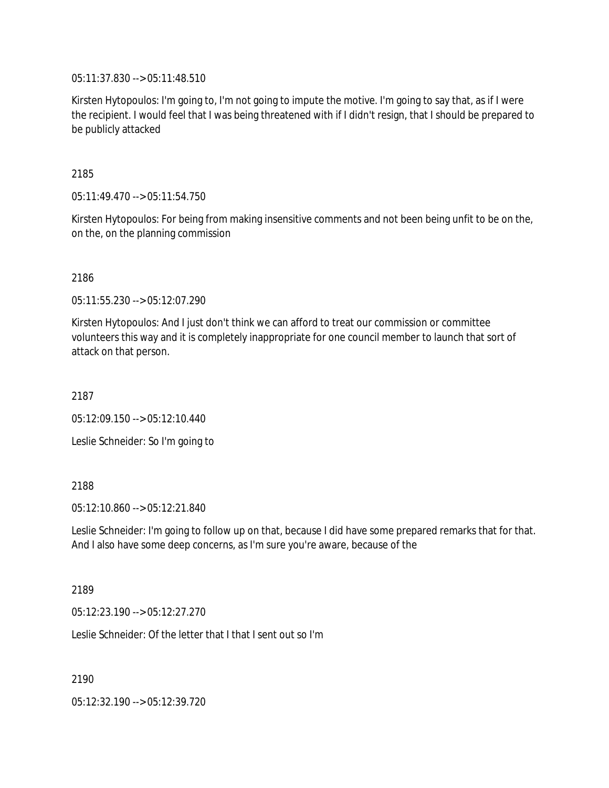05:11:37.830 --> 05:11:48.510

Kirsten Hytopoulos: I'm going to, I'm not going to impute the motive. I'm going to say that, as if I were the recipient. I would feel that I was being threatened with if I didn't resign, that I should be prepared to be publicly attacked

2185

05:11:49.470 --> 05:11:54.750

Kirsten Hytopoulos: For being from making insensitive comments and not been being unfit to be on the, on the, on the planning commission

2186

05:11:55.230 --> 05:12:07.290

Kirsten Hytopoulos: And I just don't think we can afford to treat our commission or committee volunteers this way and it is completely inappropriate for one council member to launch that sort of attack on that person.

2187

05:12:09.150 --> 05:12:10.440

Leslie Schneider: So I'm going to

2188

05:12:10.860 --> 05:12:21.840

Leslie Schneider: I'm going to follow up on that, because I did have some prepared remarks that for that. And I also have some deep concerns, as I'm sure you're aware, because of the

2189

05:12:23.190 --> 05:12:27.270

Leslie Schneider: Of the letter that I that I sent out so I'm

2190

05:12:32.190 --> 05:12:39.720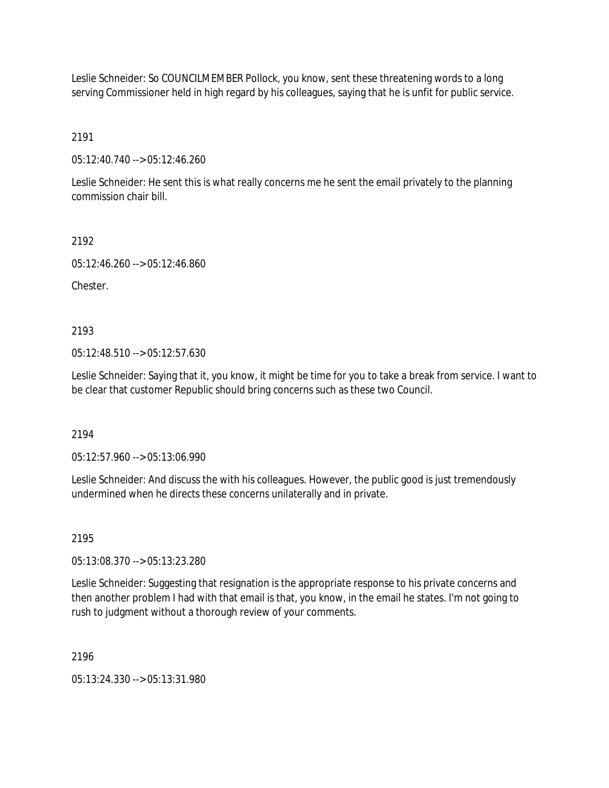Leslie Schneider: So COUNCILMEMBER Pollock, you know, sent these threatening words to a long serving Commissioner held in high regard by his colleagues, saying that he is unfit for public service.

2191

05:12:40.740 --> 05:12:46.260

Leslie Schneider: He sent this is what really concerns me he sent the email privately to the planning commission chair bill.

2192

05:12:46.260 --> 05:12:46.860

**Chester** 

2193

05:12:48.510 --> 05:12:57.630

Leslie Schneider: Saying that it, you know, it might be time for you to take a break from service. I want to be clear that customer Republic should bring concerns such as these two Council.

2194

05:12:57.960 --> 05:13:06.990

Leslie Schneider: And discuss the with his colleagues. However, the public good is just tremendously undermined when he directs these concerns unilaterally and in private.

2195

05:13:08.370 --> 05:13:23.280

Leslie Schneider: Suggesting that resignation is the appropriate response to his private concerns and then another problem I had with that email is that, you know, in the email he states. I'm not going to rush to judgment without a thorough review of your comments.

2196

05:13:24.330 --> 05:13:31.980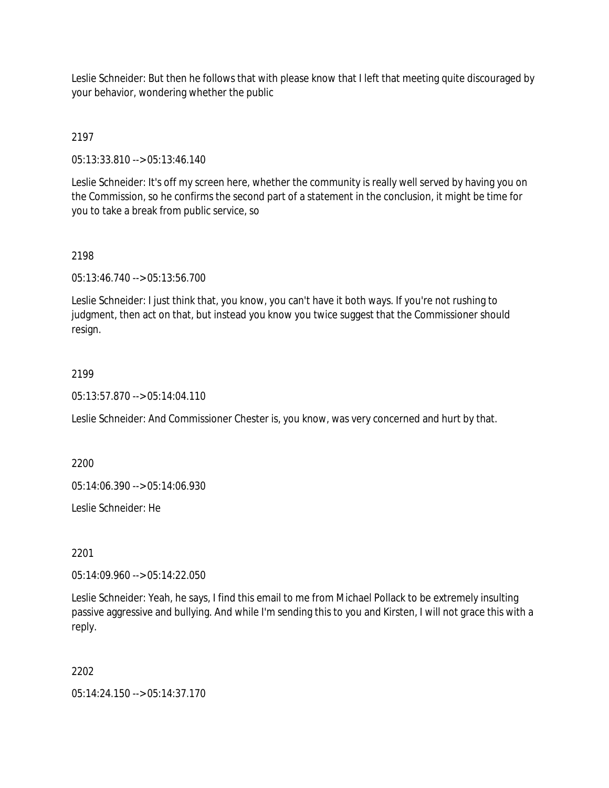Leslie Schneider: But then he follows that with please know that I left that meeting quite discouraged by your behavior, wondering whether the public

# 2197

05:13:33.810 --> 05:13:46.140

Leslie Schneider: It's off my screen here, whether the community is really well served by having you on the Commission, so he confirms the second part of a statement in the conclusion, it might be time for you to take a break from public service, so

## 2198

05:13:46.740 --> 05:13:56.700

Leslie Schneider: I just think that, you know, you can't have it both ways. If you're not rushing to judgment, then act on that, but instead you know you twice suggest that the Commissioner should resign.

## 2199

05:13:57.870 --> 05:14:04.110

Leslie Schneider: And Commissioner Chester is, you know, was very concerned and hurt by that.

2200

05:14:06.390 --> 05:14:06.930

Leslie Schneider: He

2201

05:14:09.960 --> 05:14:22.050

Leslie Schneider: Yeah, he says, I find this email to me from Michael Pollack to be extremely insulting passive aggressive and bullying. And while I'm sending this to you and Kirsten, I will not grace this with a reply.

## 2202

05:14:24.150 --> 05:14:37.170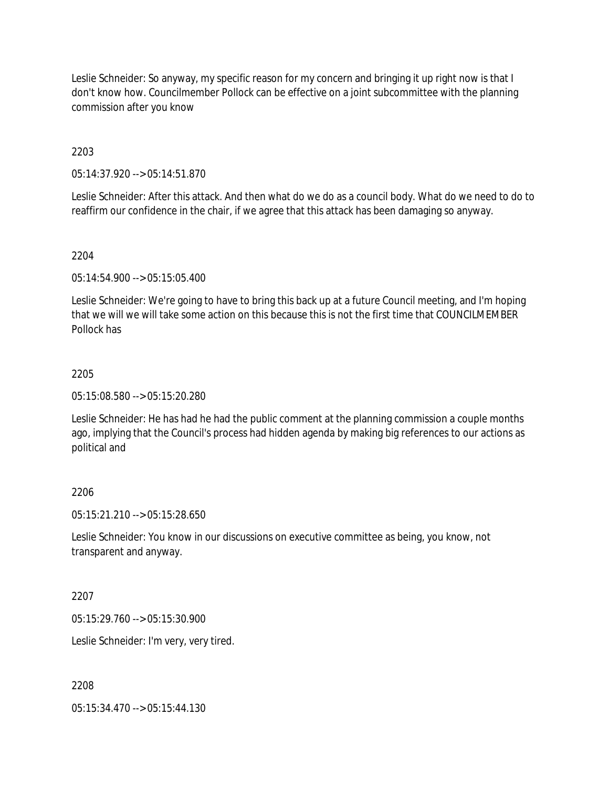Leslie Schneider: So anyway, my specific reason for my concern and bringing it up right now is that I don't know how. Councilmember Pollock can be effective on a joint subcommittee with the planning commission after you know

## 2203

05:14:37.920 --> 05:14:51.870

Leslie Schneider: After this attack. And then what do we do as a council body. What do we need to do to reaffirm our confidence in the chair, if we agree that this attack has been damaging so anyway.

## 2204

05:14:54.900 --> 05:15:05.400

Leslie Schneider: We're going to have to bring this back up at a future Council meeting, and I'm hoping that we will we will take some action on this because this is not the first time that COUNCILMEMBER Pollock has

## 2205

05:15:08.580 --> 05:15:20.280

Leslie Schneider: He has had he had the public comment at the planning commission a couple months ago, implying that the Council's process had hidden agenda by making big references to our actions as political and

# 2206

05:15:21.210 --> 05:15:28.650

Leslie Schneider: You know in our discussions on executive committee as being, you know, not transparent and anyway.

## 2207

05:15:29.760 --> 05:15:30.900

Leslie Schneider: I'm very, very tired.

## 2208

05:15:34.470 --> 05:15:44.130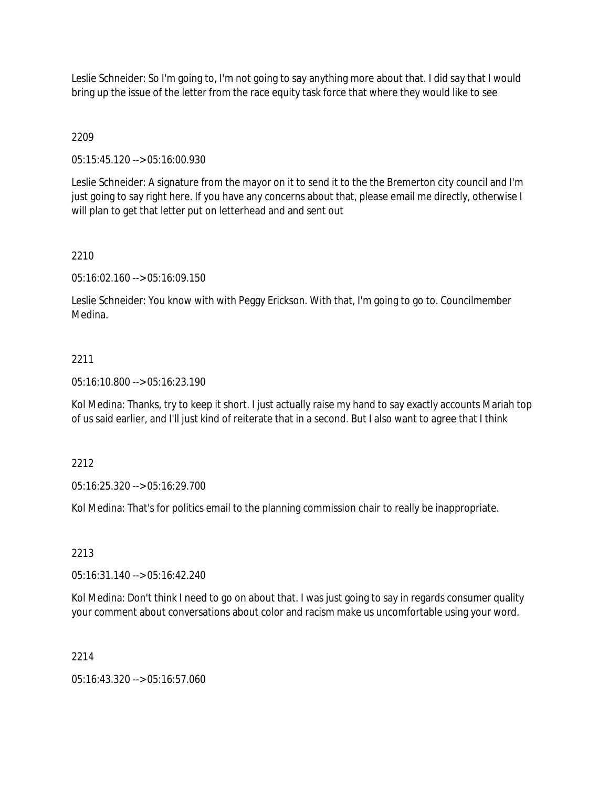Leslie Schneider: So I'm going to, I'm not going to say anything more about that. I did say that I would bring up the issue of the letter from the race equity task force that where they would like to see

# 2209

05:15:45.120 --> 05:16:00.930

Leslie Schneider: A signature from the mayor on it to send it to the the Bremerton city council and I'm just going to say right here. If you have any concerns about that, please email me directly, otherwise I will plan to get that letter put on letterhead and and sent out

# 2210

05:16:02.160 --> 05:16:09.150

Leslie Schneider: You know with with Peggy Erickson. With that, I'm going to go to. Councilmember Medina.

# 2211

05:16:10.800 --> 05:16:23.190

Kol Medina: Thanks, try to keep it short. I just actually raise my hand to say exactly accounts Mariah top of us said earlier, and I'll just kind of reiterate that in a second. But I also want to agree that I think

2212

05:16:25.320 --> 05:16:29.700

Kol Medina: That's for politics email to the planning commission chair to really be inappropriate.

2213

05:16:31.140 --> 05:16:42.240

Kol Medina: Don't think I need to go on about that. I was just going to say in regards consumer quality your comment about conversations about color and racism make us uncomfortable using your word.

2214

05:16:43.320 --> 05:16:57.060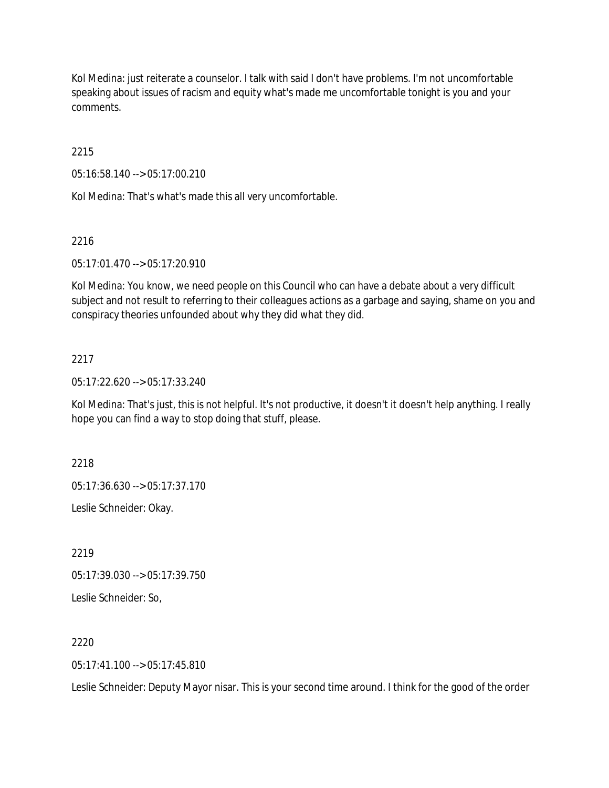Kol Medina: just reiterate a counselor. I talk with said I don't have problems. I'm not uncomfortable speaking about issues of racism and equity what's made me uncomfortable tonight is you and your comments.

2215

05:16:58.140 --> 05:17:00.210

Kol Medina: That's what's made this all very uncomfortable.

## 2216

05:17:01.470 --> 05:17:20.910

Kol Medina: You know, we need people on this Council who can have a debate about a very difficult subject and not result to referring to their colleagues actions as a garbage and saying, shame on you and conspiracy theories unfounded about why they did what they did.

## 2217

05:17:22.620 --> 05:17:33.240

Kol Medina: That's just, this is not helpful. It's not productive, it doesn't it doesn't help anything. I really hope you can find a way to stop doing that stuff, please.

2218

05:17:36.630 --> 05:17:37.170

Leslie Schneider: Okay.

2219

05:17:39.030 --> 05:17:39.750

Leslie Schneider: So,

## 2220

 $05:17:41.100 \rightarrow 05:17:45.810$ 

Leslie Schneider: Deputy Mayor nisar. This is your second time around. I think for the good of the order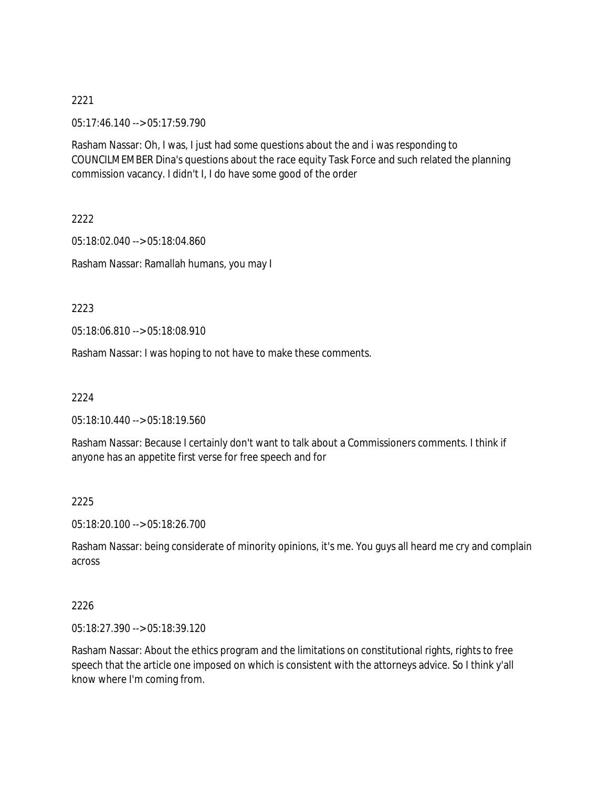05:17:46.140 --> 05:17:59.790

Rasham Nassar: Oh, I was, I just had some questions about the and i was responding to COUNCILMEMBER Dina's questions about the race equity Task Force and such related the planning commission vacancy. I didn't I, I do have some good of the order

2222

05:18:02.040 --> 05:18:04.860 Rasham Nassar: Ramallah humans, you may I

2223

05:18:06.810 --> 05:18:08.910

Rasham Nassar: I was hoping to not have to make these comments.

2224

05:18:10.440 --> 05:18:19.560

Rasham Nassar: Because I certainly don't want to talk about a Commissioners comments. I think if anyone has an appetite first verse for free speech and for

2225

05:18:20.100 --> 05:18:26.700

Rasham Nassar: being considerate of minority opinions, it's me. You guys all heard me cry and complain across

#### 2226

05:18:27.390 --> 05:18:39.120

Rasham Nassar: About the ethics program and the limitations on constitutional rights, rights to free speech that the article one imposed on which is consistent with the attorneys advice. So I think y'all know where I'm coming from.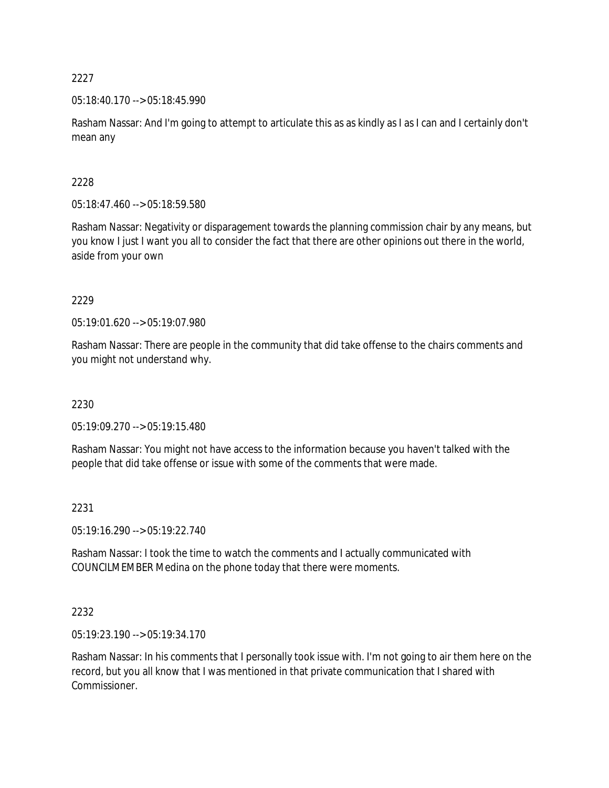05:18:40.170 --> 05:18:45.990

Rasham Nassar: And I'm going to attempt to articulate this as as kindly as I as I can and I certainly don't mean any

## 2228

05:18:47.460 --> 05:18:59.580

Rasham Nassar: Negativity or disparagement towards the planning commission chair by any means, but you know I just I want you all to consider the fact that there are other opinions out there in the world, aside from your own

2229

05:19:01.620 --> 05:19:07.980

Rasham Nassar: There are people in the community that did take offense to the chairs comments and you might not understand why.

2230

05:19:09.270 --> 05:19:15.480

Rasham Nassar: You might not have access to the information because you haven't talked with the people that did take offense or issue with some of the comments that were made.

## 2231

05:19:16.290 --> 05:19:22.740

Rasham Nassar: I took the time to watch the comments and I actually communicated with COUNCILMEMBER Medina on the phone today that there were moments.

## 2232

05:19:23.190 --> 05:19:34.170

Rasham Nassar: In his comments that I personally took issue with. I'm not going to air them here on the record, but you all know that I was mentioned in that private communication that I shared with Commissioner.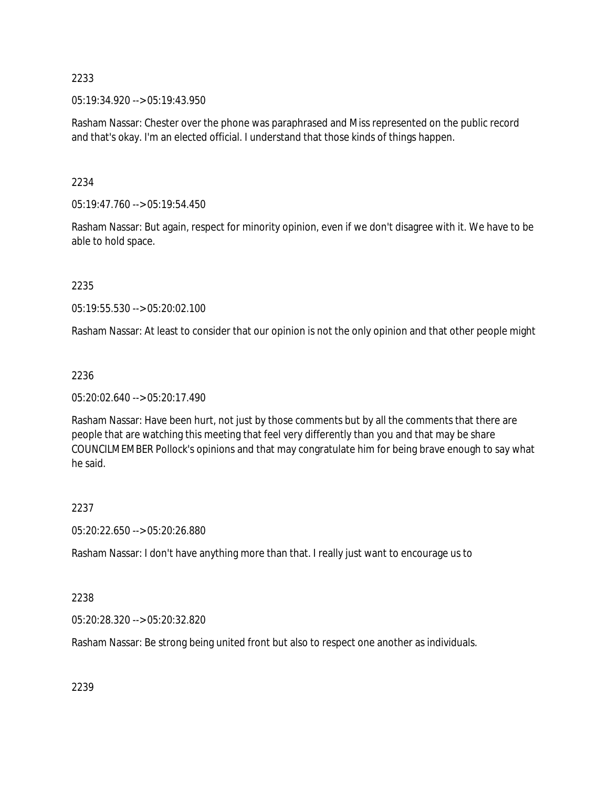05:19:34.920 --> 05:19:43.950

Rasham Nassar: Chester over the phone was paraphrased and Miss represented on the public record and that's okay. I'm an elected official. I understand that those kinds of things happen.

## 2234

05:19:47.760 --> 05:19:54.450

Rasham Nassar: But again, respect for minority opinion, even if we don't disagree with it. We have to be able to hold space.

2235

05:19:55.530 --> 05:20:02.100

Rasham Nassar: At least to consider that our opinion is not the only opinion and that other people might

#### 2236

05:20:02.640 --> 05:20:17.490

Rasham Nassar: Have been hurt, not just by those comments but by all the comments that there are people that are watching this meeting that feel very differently than you and that may be share COUNCILMEMBER Pollock's opinions and that may congratulate him for being brave enough to say what he said.

## 2237

05:20:22.650 --> 05:20:26.880

Rasham Nassar: I don't have anything more than that. I really just want to encourage us to

## 2238

05:20:28.320 --> 05:20:32.820

Rasham Nassar: Be strong being united front but also to respect one another as individuals.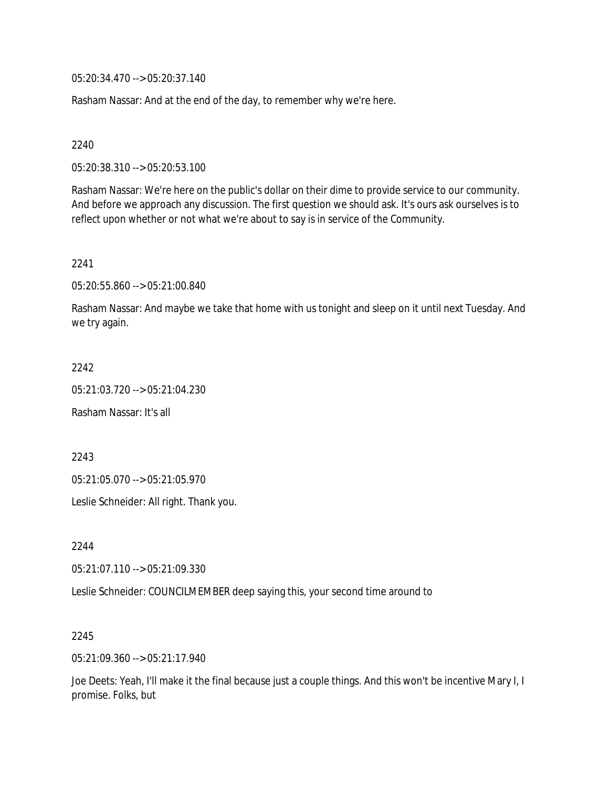05:20:34.470 --> 05:20:37.140

Rasham Nassar: And at the end of the day, to remember why we're here.

2240

05:20:38.310 --> 05:20:53.100

Rasham Nassar: We're here on the public's dollar on their dime to provide service to our community. And before we approach any discussion. The first question we should ask. It's ours ask ourselves is to reflect upon whether or not what we're about to say is in service of the Community.

2241

05:20:55.860 --> 05:21:00.840

Rasham Nassar: And maybe we take that home with us tonight and sleep on it until next Tuesday. And we try again.

2242

05:21:03.720 --> 05:21:04.230

Rasham Nassar: It's all

2243

05:21:05.070 --> 05:21:05.970

Leslie Schneider: All right. Thank you.

2244

05:21:07.110 --> 05:21:09.330

Leslie Schneider: COUNCILMEMBER deep saying this, your second time around to

2245

05:21:09.360 --> 05:21:17.940

Joe Deets: Yeah, I'll make it the final because just a couple things. And this won't be incentive Mary I, I promise. Folks, but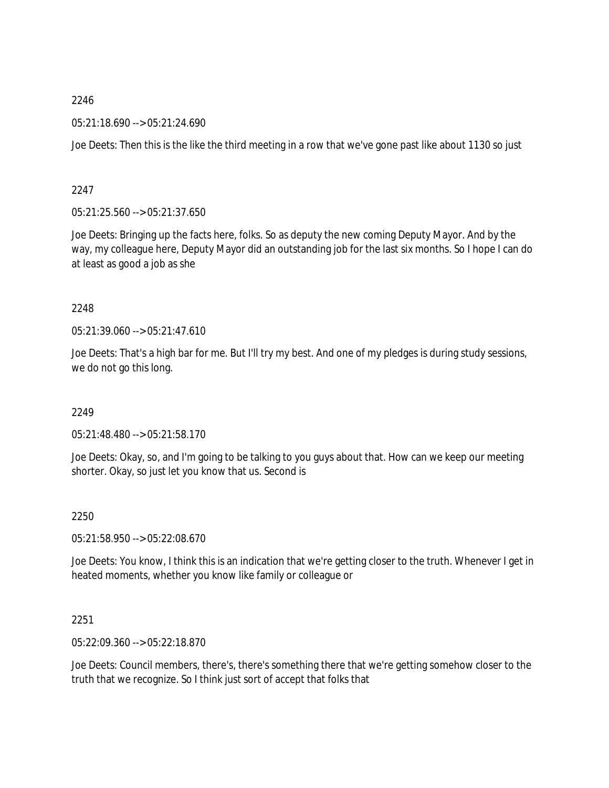05:21:18.690 --> 05:21:24.690

Joe Deets: Then this is the like the third meeting in a row that we've gone past like about 1130 so just

## 2247

05:21:25.560 --> 05:21:37.650

Joe Deets: Bringing up the facts here, folks. So as deputy the new coming Deputy Mayor. And by the way, my colleague here, Deputy Mayor did an outstanding job for the last six months. So I hope I can do at least as good a job as she

## 2248

05:21:39.060 --> 05:21:47.610

Joe Deets: That's a high bar for me. But I'll try my best. And one of my pledges is during study sessions, we do not go this long.

## 2249

05:21:48.480 --> 05:21:58.170

Joe Deets: Okay, so, and I'm going to be talking to you guys about that. How can we keep our meeting shorter. Okay, so just let you know that us. Second is

## 2250

05:21:58.950 --> 05:22:08.670

Joe Deets: You know, I think this is an indication that we're getting closer to the truth. Whenever I get in heated moments, whether you know like family or colleague or

# 2251

05:22:09.360 --> 05:22:18.870

Joe Deets: Council members, there's, there's something there that we're getting somehow closer to the truth that we recognize. So I think just sort of accept that folks that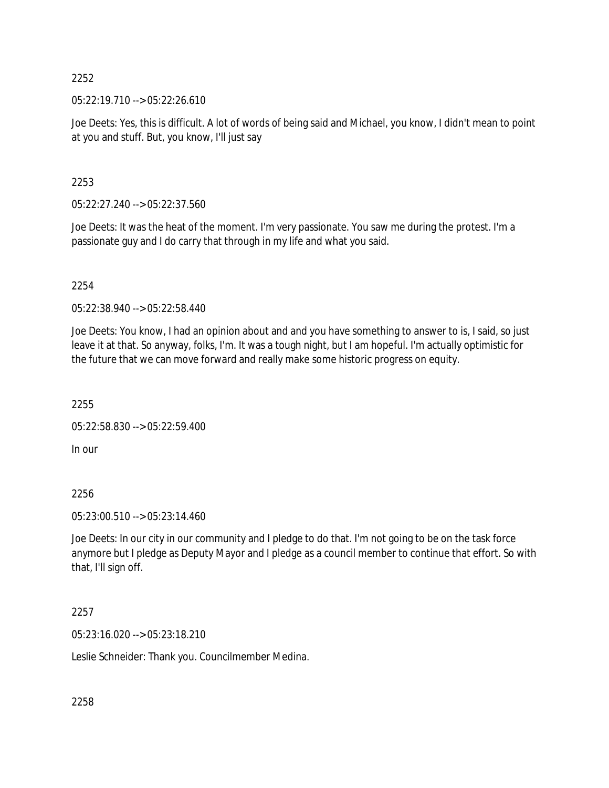05:22:19.710 --> 05:22:26.610

Joe Deets: Yes, this is difficult. A lot of words of being said and Michael, you know, I didn't mean to point at you and stuff. But, you know, I'll just say

2253

05:22:27.240 --> 05:22:37.560

Joe Deets: It was the heat of the moment. I'm very passionate. You saw me during the protest. I'm a passionate guy and I do carry that through in my life and what you said.

2254

05:22:38.940 --> 05:22:58.440

Joe Deets: You know, I had an opinion about and and you have something to answer to is, I said, so just leave it at that. So anyway, folks, I'm. It was a tough night, but I am hopeful. I'm actually optimistic for the future that we can move forward and really make some historic progress on equity.

2255

```
05:22:58.830 --> 05:22:59.400
```
In our

2256

05:23:00.510 --> 05:23:14.460

Joe Deets: In our city in our community and I pledge to do that. I'm not going to be on the task force anymore but I pledge as Deputy Mayor and I pledge as a council member to continue that effort. So with that, I'll sign off.

2257

05:23:16.020 --> 05:23:18.210

Leslie Schneider: Thank you. Councilmember Medina.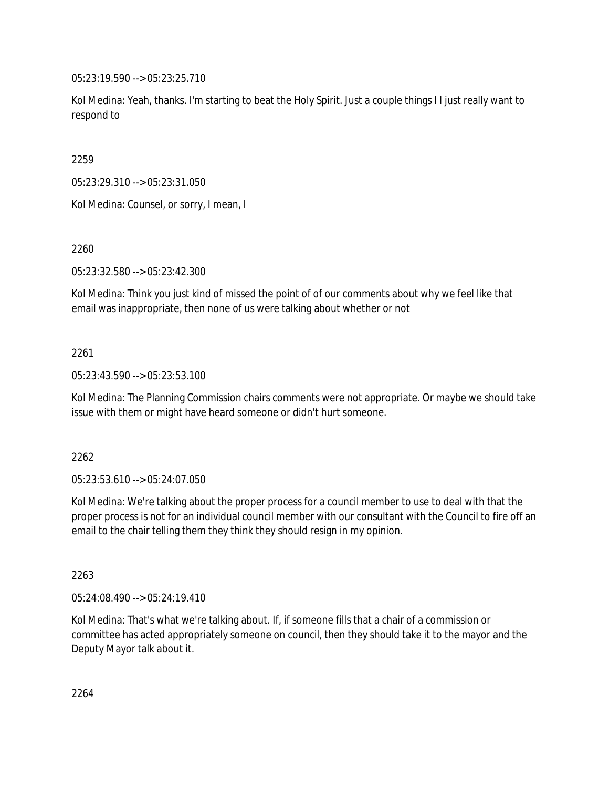05:23:19.590 --> 05:23:25.710

Kol Medina: Yeah, thanks. I'm starting to beat the Holy Spirit. Just a couple things I I just really want to respond to

2259

05:23:29.310 --> 05:23:31.050

Kol Medina: Counsel, or sorry, I mean, I

2260

05:23:32.580 --> 05:23:42.300

Kol Medina: Think you just kind of missed the point of of our comments about why we feel like that email was inappropriate, then none of us were talking about whether or not

# 2261

05:23:43.590 --> 05:23:53.100

Kol Medina: The Planning Commission chairs comments were not appropriate. Or maybe we should take issue with them or might have heard someone or didn't hurt someone.

2262

05:23:53.610 --> 05:24:07.050

Kol Medina: We're talking about the proper process for a council member to use to deal with that the proper process is not for an individual council member with our consultant with the Council to fire off an email to the chair telling them they think they should resign in my opinion.

2263

05:24:08.490 --> 05:24:19.410

Kol Medina: That's what we're talking about. If, if someone fills that a chair of a commission or committee has acted appropriately someone on council, then they should take it to the mayor and the Deputy Mayor talk about it.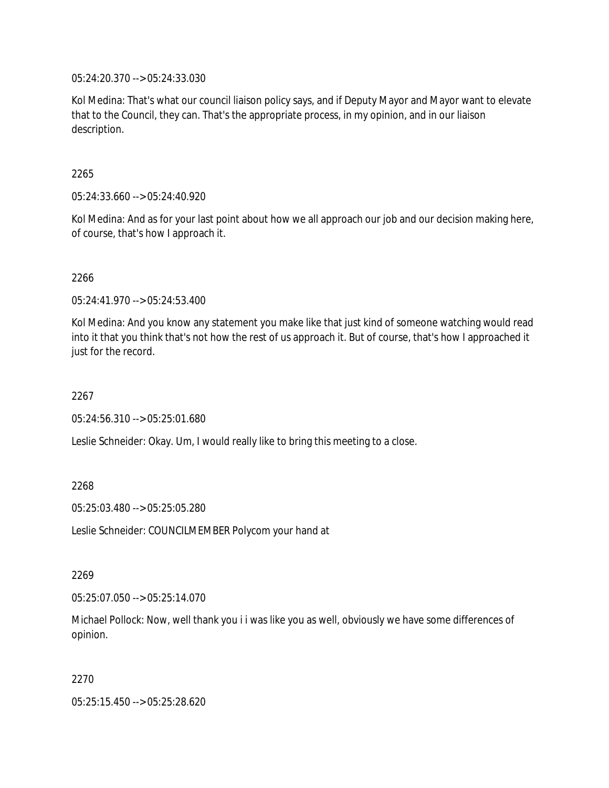05:24:20.370 --> 05:24:33.030

Kol Medina: That's what our council liaison policy says, and if Deputy Mayor and Mayor want to elevate that to the Council, they can. That's the appropriate process, in my opinion, and in our liaison description.

#### 2265

05:24:33.660 --> 05:24:40.920

Kol Medina: And as for your last point about how we all approach our job and our decision making here, of course, that's how I approach it.

#### 2266

05:24:41.970 --> 05:24:53.400

Kol Medina: And you know any statement you make like that just kind of someone watching would read into it that you think that's not how the rest of us approach it. But of course, that's how I approached it just for the record.

#### 2267

05:24:56.310 --> 05:25:01.680

Leslie Schneider: Okay. Um, I would really like to bring this meeting to a close.

#### 2268

05:25:03.480 --> 05:25:05.280

Leslie Schneider: COUNCILMEMBER Polycom your hand at

#### 2269

05:25:07.050 --> 05:25:14.070

Michael Pollock: Now, well thank you i i was like you as well, obviously we have some differences of opinion.

#### 2270

05:25:15.450 --> 05:25:28.620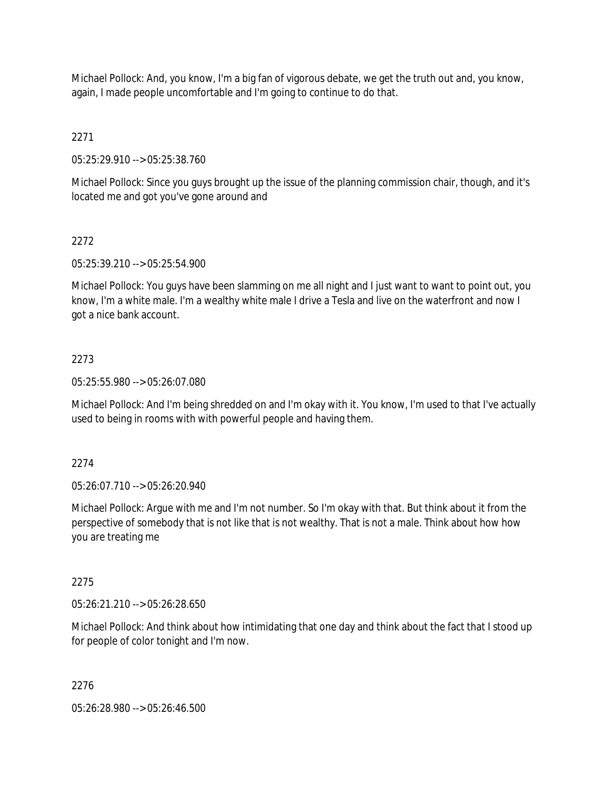Michael Pollock: And, you know, I'm a big fan of vigorous debate, we get the truth out and, you know, again, I made people uncomfortable and I'm going to continue to do that.

2271

05:25:29.910 --> 05:25:38.760

Michael Pollock: Since you guys brought up the issue of the planning commission chair, though, and it's located me and got you've gone around and

# 2272

05:25:39.210 --> 05:25:54.900

Michael Pollock: You guys have been slamming on me all night and I just want to want to point out, you know, I'm a white male. I'm a wealthy white male I drive a Tesla and live on the waterfront and now I got a nice bank account.

# 2273

05:25:55.980 --> 05:26:07.080

Michael Pollock: And I'm being shredded on and I'm okay with it. You know, I'm used to that I've actually used to being in rooms with with powerful people and having them.

## 2274

05:26:07.710 --> 05:26:20.940

Michael Pollock: Argue with me and I'm not number. So I'm okay with that. But think about it from the perspective of somebody that is not like that is not wealthy. That is not a male. Think about how how you are treating me

## 2275

05:26:21.210 --> 05:26:28.650

Michael Pollock: And think about how intimidating that one day and think about the fact that I stood up for people of color tonight and I'm now.

## 2276

05:26:28.980 --> 05:26:46.500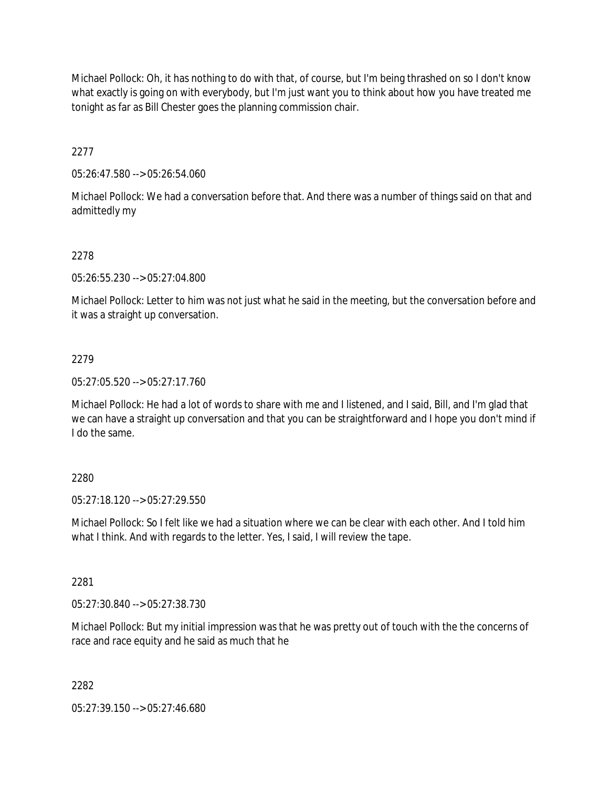Michael Pollock: Oh, it has nothing to do with that, of course, but I'm being thrashed on so I don't know what exactly is going on with everybody, but I'm just want you to think about how you have treated me tonight as far as Bill Chester goes the planning commission chair.

2277

05:26:47.580 --> 05:26:54.060

Michael Pollock: We had a conversation before that. And there was a number of things said on that and admittedly my

# 2278

05:26:55.230 --> 05:27:04.800

Michael Pollock: Letter to him was not just what he said in the meeting, but the conversation before and it was a straight up conversation.

## 2279

05:27:05.520 --> 05:27:17.760

Michael Pollock: He had a lot of words to share with me and I listened, and I said, Bill, and I'm glad that we can have a straight up conversation and that you can be straightforward and I hope you don't mind if I do the same.

## 2280

05:27:18.120 --> 05:27:29.550

Michael Pollock: So I felt like we had a situation where we can be clear with each other. And I told him what I think. And with regards to the letter. Yes, I said, I will review the tape.

## 2281

05:27:30.840 --> 05:27:38.730

Michael Pollock: But my initial impression was that he was pretty out of touch with the the concerns of race and race equity and he said as much that he

## 2282

05:27:39.150 --> 05:27:46.680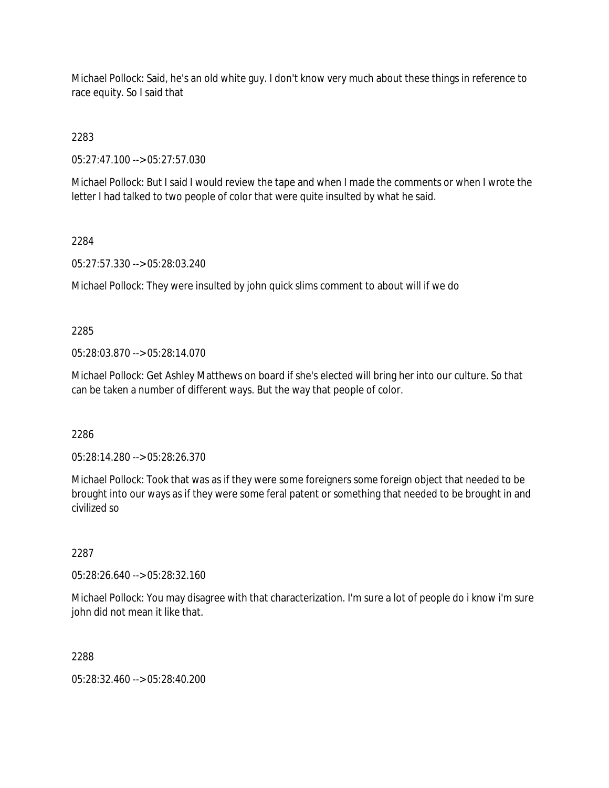Michael Pollock: Said, he's an old white guy. I don't know very much about these things in reference to race equity. So I said that

2283

05:27:47.100 --> 05:27:57.030

Michael Pollock: But I said I would review the tape and when I made the comments or when I wrote the letter I had talked to two people of color that were quite insulted by what he said.

#### 2284

05:27:57.330 --> 05:28:03.240

Michael Pollock: They were insulted by john quick slims comment to about will if we do

## 2285

05:28:03.870 --> 05:28:14.070

Michael Pollock: Get Ashley Matthews on board if she's elected will bring her into our culture. So that can be taken a number of different ways. But the way that people of color.

2286

05:28:14.280 --> 05:28:26.370

Michael Pollock: Took that was as if they were some foreigners some foreign object that needed to be brought into our ways as if they were some feral patent or something that needed to be brought in and civilized so

## 2287

05:28:26.640 --> 05:28:32.160

Michael Pollock: You may disagree with that characterization. I'm sure a lot of people do i know i'm sure john did not mean it like that.

## 2288

05:28:32.460 --> 05:28:40.200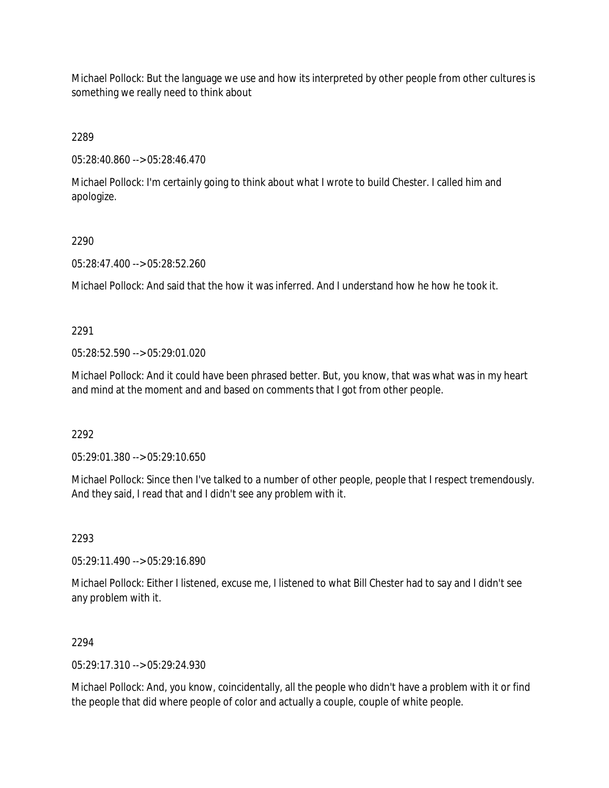Michael Pollock: But the language we use and how its interpreted by other people from other cultures is something we really need to think about

2289

05:28:40.860 --> 05:28:46.470

Michael Pollock: I'm certainly going to think about what I wrote to build Chester. I called him and apologize.

#### 2290

05:28:47.400 --> 05:28:52.260

Michael Pollock: And said that the how it was inferred. And I understand how he how he took it.

## 2291

05:28:52.590 --> 05:29:01.020

Michael Pollock: And it could have been phrased better. But, you know, that was what was in my heart and mind at the moment and and based on comments that I got from other people.

2292

05:29:01.380 --> 05:29:10.650

Michael Pollock: Since then I've talked to a number of other people, people that I respect tremendously. And they said, I read that and I didn't see any problem with it.

## 2293

05:29:11.490 --> 05:29:16.890

Michael Pollock: Either I listened, excuse me, I listened to what Bill Chester had to say and I didn't see any problem with it.

## 2294

05:29:17.310 --> 05:29:24.930

Michael Pollock: And, you know, coincidentally, all the people who didn't have a problem with it or find the people that did where people of color and actually a couple, couple of white people.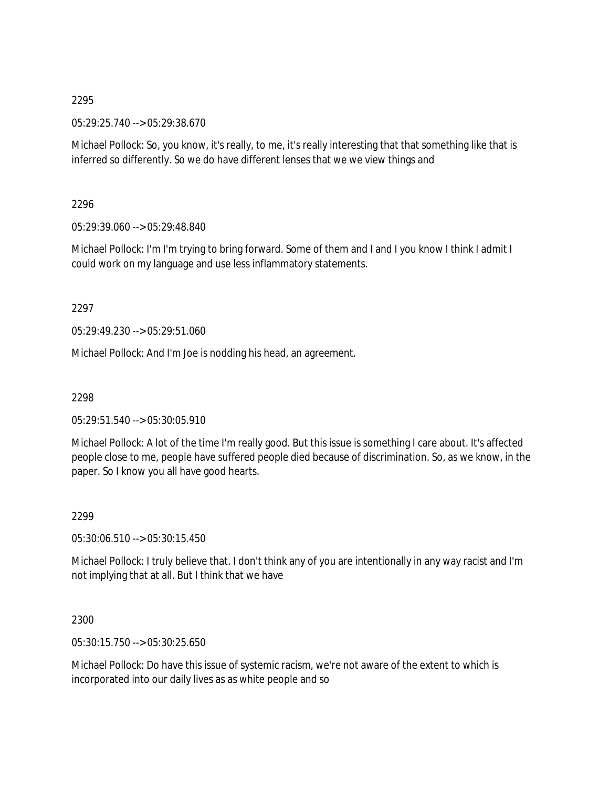#### 2295

05:29:25.740 --> 05:29:38.670

Michael Pollock: So, you know, it's really, to me, it's really interesting that that something like that is inferred so differently. So we do have different lenses that we we view things and

2296

05:29:39.060 --> 05:29:48.840

Michael Pollock: I'm I'm trying to bring forward. Some of them and I and I you know I think I admit I could work on my language and use less inflammatory statements.

2297

05:29:49.230 --> 05:29:51.060

Michael Pollock: And I'm Joe is nodding his head, an agreement.

2298

05:29:51.540 --> 05:30:05.910

Michael Pollock: A lot of the time I'm really good. But this issue is something I care about. It's affected people close to me, people have suffered people died because of discrimination. So, as we know, in the paper. So I know you all have good hearts.

2299

05:30:06.510 --> 05:30:15.450

Michael Pollock: I truly believe that. I don't think any of you are intentionally in any way racist and I'm not implying that at all. But I think that we have

2300

05:30:15.750 --> 05:30:25.650

Michael Pollock: Do have this issue of systemic racism, we're not aware of the extent to which is incorporated into our daily lives as as white people and so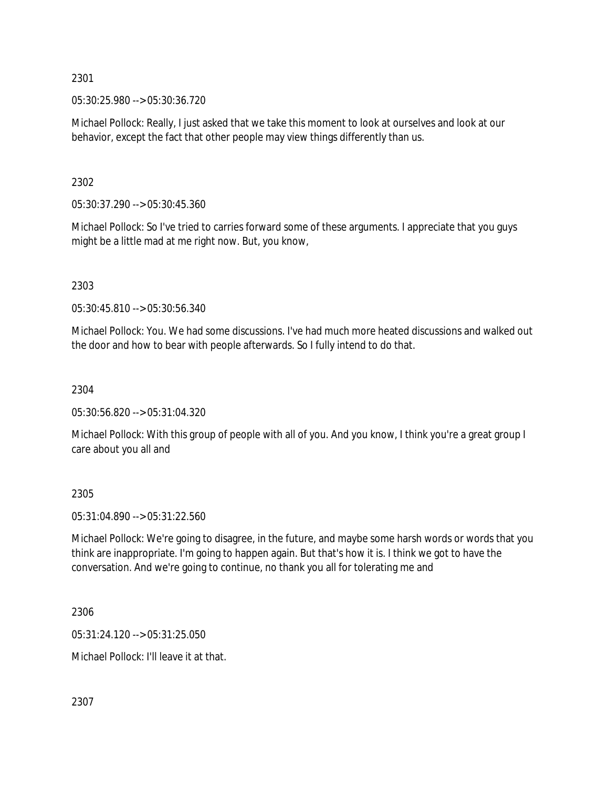2301

05:30:25.980 --> 05:30:36.720

Michael Pollock: Really, I just asked that we take this moment to look at ourselves and look at our behavior, except the fact that other people may view things differently than us.

2302

05:30:37.290 --> 05:30:45.360

Michael Pollock: So I've tried to carries forward some of these arguments. I appreciate that you guys might be a little mad at me right now. But, you know,

2303

05:30:45.810 --> 05:30:56.340

Michael Pollock: You. We had some discussions. I've had much more heated discussions and walked out the door and how to bear with people afterwards. So I fully intend to do that.

2304

05:30:56.820 --> 05:31:04.320

Michael Pollock: With this group of people with all of you. And you know, I think you're a great group I care about you all and

2305

05:31:04.890 --> 05:31:22.560

Michael Pollock: We're going to disagree, in the future, and maybe some harsh words or words that you think are inappropriate. I'm going to happen again. But that's how it is. I think we got to have the conversation. And we're going to continue, no thank you all for tolerating me and

2306

05:31:24.120 --> 05:31:25.050

Michael Pollock: I'll leave it at that.

2307